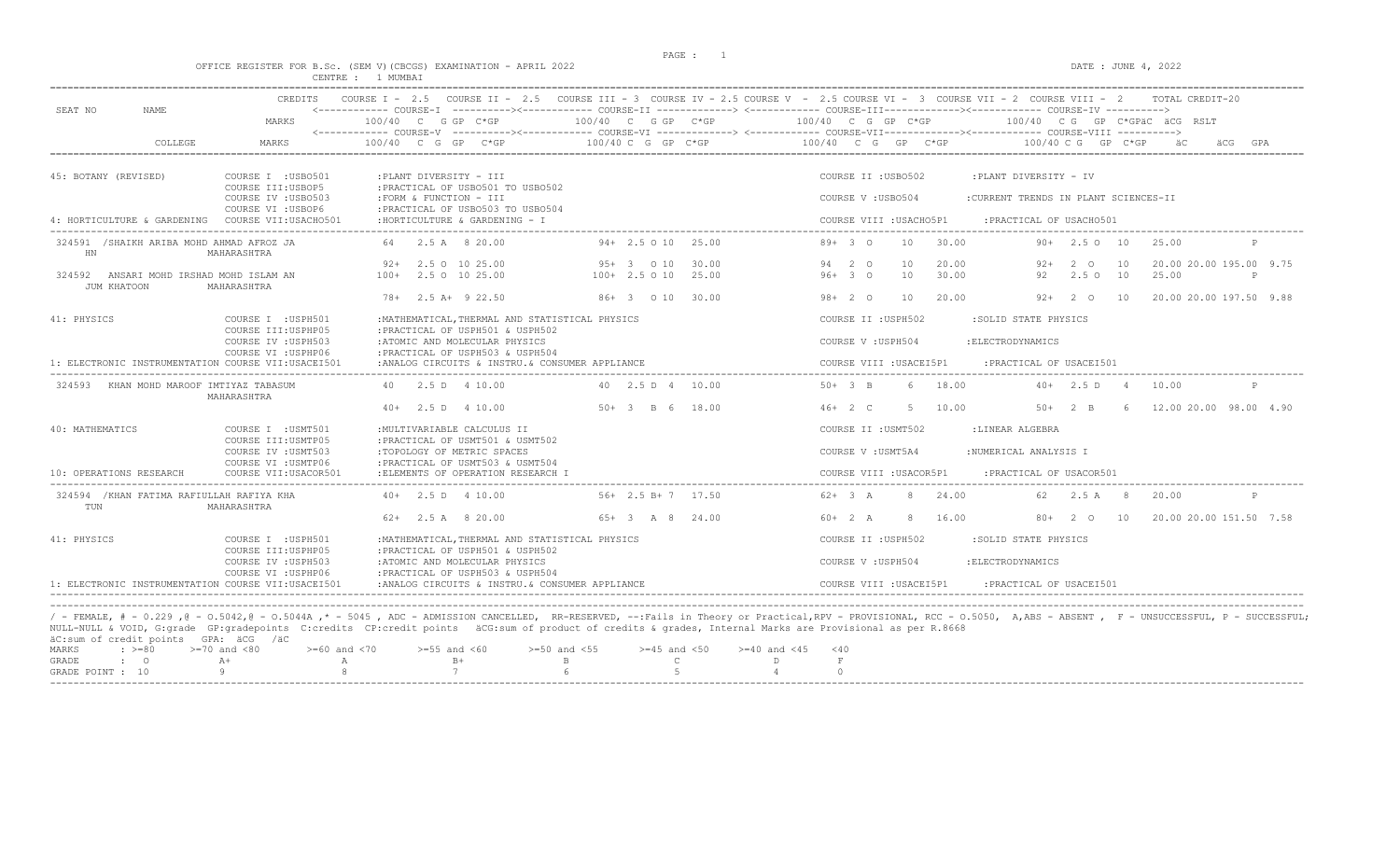$DATA: JUNE 4, 2022$ 

|  |  |          |  |        | OFFICE REGISTER FOR B.SC. (SEM V)(CBCGS) EXAMINATION - APRIL 2022 |  |  |
|--|--|----------|--|--------|-------------------------------------------------------------------|--|--|
|  |  | CENTRE : |  | MUMBAT |                                                                   |  |  |

| SEAT NO<br><b>NAME</b>                                                                 | <b>CREDITS</b><br>MARKS                    | 100/40 C G GP C*GP                                                                  | $100/40$ C G GP C*GP                                                                                                                                     | COURSE I - 2.5 COURSE II - 2.5 COURSE III - 3 COURSE IV - 2.5 COURSE V - 2.5 COURSE VI - 3 COURSE VII - 2 COURSE VIII - 2<br>TOTAL CREDIT-20<br>$100/40$ C G GP C*GP<br>100/40 CG GP C*GPäC äCG RSLT              |     |
|----------------------------------------------------------------------------------------|--------------------------------------------|-------------------------------------------------------------------------------------|----------------------------------------------------------------------------------------------------------------------------------------------------------|-------------------------------------------------------------------------------------------------------------------------------------------------------------------------------------------------------------------|-----|
|                                                                                        |                                            |                                                                                     |                                                                                                                                                          |                                                                                                                                                                                                                   |     |
| COLLEGE                                                                                | MARKS                                      | $100/40$ C G GP C*GP                                                                | $100/40$ C G GP C*GP                                                                                                                                     | 100/40 C G GP C*GP<br>$100/40 \, C \, G$ GP $C*GP$<br>äС<br>äCG                                                                                                                                                   | GPA |
| 45: BOTANY (REVISED)                                                                   | COURSE I : USB0501<br>COURSE III: USBOP5   | :PLANT DIVERSITY - III<br>: PRACTICAL OF USB0501 TO USB0502                         |                                                                                                                                                          | COURSE II : USB0502<br>:PLANT DIVERSITY - IV                                                                                                                                                                      |     |
|                                                                                        | COURSE IV : USB0503<br>COURSE VI : USBOP6  | : FORM & FUNCTION - III<br>: PRACTICAL OF USB0503 TO USB0504                        |                                                                                                                                                          | COURSE V: USB0504<br>:CURRENT TRENDS IN PLANT SCIENCES-II                                                                                                                                                         |     |
| 4: HORTICULTURE & GARDENING                                                            | COURSE VII:USACHO501                       | : HORTICULTURE & GARDENING - I                                                      |                                                                                                                                                          | COURSE VIII : USACHO5P1<br>:PRACTICAL OF USACH0501                                                                                                                                                                |     |
| 324591 /SHAIKH ARIBA MOHD AHMAD AFROZ JA<br>HN                                         | MAHARASHTRA                                | 64 2.5 A 8 20.00                                                                    | $94+2.5010$ 25.00                                                                                                                                        | $89+30$<br>10<br>30.00<br>$90+$ 2.5 0 10<br>25.00                                                                                                                                                                 |     |
| 324592 ANSARI MOHD IRSHAD MOHD ISLAM AN                                                |                                            | 2.5 0 10 25.00<br>$92+$<br>$100+$ 2.5 0 10 25.00                                    | $95+3$ 0 10<br>30.00<br>$100+2.5010$<br>25.00                                                                                                            | 20.00<br>20.00 20.00 195.00 9.75<br>94 2 0<br>10<br>2 O<br>10<br>92+<br>10<br>30.00<br>$96+30$<br>92<br>2.5010<br>25.00<br>P                                                                                      |     |
| JUM KHATOON                                                                            | MAHARASHTRA                                |                                                                                     |                                                                                                                                                          |                                                                                                                                                                                                                   |     |
|                                                                                        |                                            | 78+ 2.5 A+ 9 22.50                                                                  | 86+ 3 0 10 30.00                                                                                                                                         | $98 + 20$<br>10<br>20.00<br>$92+2010$<br>20.00 20.00 197.50 9.88                                                                                                                                                  |     |
| 41: PHYSICS                                                                            | COURSE I : USPH501                         | : MATHEMATICAL, THERMAL AND STATISTICAL PHYSICS                                     |                                                                                                                                                          | COURSE II : USPH502<br>:SOLID STATE PHYSICS                                                                                                                                                                       |     |
|                                                                                        | COURSE III: USPHP05<br>COURSE IV : USPH503 | : PRACTICAL OF USPH501 & USPH502<br>:ATOMIC AND MOLECULAR PHYSICS                   |                                                                                                                                                          | COURSE V : USPH504<br>: ELECTRODYNAMICS                                                                                                                                                                           |     |
| 1: ELECTRONIC INSTRUMENTATION COURSE VII:USACEI501                                     | COURSE VI : USPHP06                        | : PRACTICAL OF USPH503 & USPH504<br>:ANALOG CIRCUITS & INSTRU. & CONSUMER APPLIANCE |                                                                                                                                                          | COURSE VIII : USACEI5P1<br>: PRACTICAL OF USACEI501                                                                                                                                                               |     |
| 324593 KHAN MOHD MAROOF IMTIYAZ TABASUM                                                | MAHARASHTRA                                | 40 2.5 D 4 10.00                                                                    | 40 2.5 D 4 10.00                                                                                                                                         | $50 + 3 B$<br>6 18.00<br>$40+$ 2.5 D 4<br>10.00<br>P                                                                                                                                                              |     |
|                                                                                        |                                            | $40+$ 2.5 D 4 10.00                                                                 | $50+3$ B 6 18.00                                                                                                                                         | $46+2 C$<br>5 10.00<br>6 12.00 20.00 98.00 4.90<br>$50+2$ B                                                                                                                                                       |     |
| 40: MATHEMATICS                                                                        | COURSE I : USMT501                         | : MULTIVARIABLE CALCULUS II                                                         |                                                                                                                                                          | COURSE II : USMT502<br>:LINEAR ALGEBRA                                                                                                                                                                            |     |
|                                                                                        | COURSE III: USMTP05<br>COURSE IV : USMT503 | : PRACTICAL OF USMT501 & USMT502<br>:TOPOLOGY OF METRIC SPACES                      |                                                                                                                                                          | :NUMERICAL ANALYSIS I<br>COURSE V : USMT5A4                                                                                                                                                                       |     |
|                                                                                        | COURSE VI : USMTP06                        | : PRACTICAL OF USMT503 & USMT504                                                    |                                                                                                                                                          |                                                                                                                                                                                                                   |     |
| 10: OPERATIONS RESEARCH                                                                | COURSE VII: USACOR501                      | :ELEMENTS OF OPERATION RESEARCH I                                                   |                                                                                                                                                          | COURSE VIII : USACOR5P1<br>: PRACTICAL OF USACOR501                                                                                                                                                               |     |
| 324594 / KHAN FATIMA RAFIULLAH RAFIYA KHA<br>TUN                                       | MAHARASHTRA                                | $40+$ 2.5 D 4 10.00                                                                 | $56+2.5 B+7$ 17.50                                                                                                                                       | $62+3 A$<br>8 24.00<br>$2.5 A$ 8<br>62.<br>20.00<br>P                                                                                                                                                             |     |
|                                                                                        |                                            | $62+$ 2.5 A 8 20.00                                                                 | $65+3$ A 8 24.00                                                                                                                                         | 20.00 20.00 151.50 7.58<br>$60+2 A$<br>8<br>16.00<br>$80+$ 2 0 10                                                                                                                                                 |     |
| 41: PHYSICS                                                                            | COURSE I : USPH501<br>COURSE III: USPHP05  | : MATHEMATICAL, THERMAL AND STATISTICAL PHYSICS<br>: PRACTICAL OF USPH501 & USPH502 |                                                                                                                                                          | COURSE II : USPH502<br>:SOLID STATE PHYSICS                                                                                                                                                                       |     |
|                                                                                        | COURSE IV : USPH503                        | :ATOMIC AND MOLECULAR PHYSICS                                                       |                                                                                                                                                          | COURSE V: USPH504<br>: ELECTRODYNAMICS                                                                                                                                                                            |     |
| 1: ELECTRONIC INSTRUMENTATION COURSE VII:USACEI501                                     | COURSE VI : USPHP06                        | : PRACTICAL OF USPH503 & USPH504<br>:ANALOG CIRCUITS & INSTRU. & CONSUMER APPLIANCE |                                                                                                                                                          | COURSE VIII : USACEI5P1<br>: PRACTICAL OF USACEI501                                                                                                                                                               |     |
|                                                                                        |                                            |                                                                                     |                                                                                                                                                          |                                                                                                                                                                                                                   |     |
|                                                                                        |                                            |                                                                                     |                                                                                                                                                          | / - FEMALE, # - 0.229,0 - 0.5042,0 - 0.5044A,* - 5045, ADC - ADMISSION CANCELLED, RR-RESERVED, --:Fails in Theory or Practical,RPV - PROVISIONAL, RCC - 0.5050, A,ABS - ABSENT, F - UNSUCCESSFUL, P - SUCCESSFUL; |     |
|                                                                                        |                                            |                                                                                     | NULL-NULL & VOID, G:grade GP:gradepoints C:credits CP:credit points äCG:sum of product of credits & grades, Internal Marks are Provisional as per R.8668 |                                                                                                                                                                                                                   |     |
| äC:sum of credit points GPA: äCG /äC<br>MARKS<br>$\therefore$ >=80<br>$>=70$ and $<80$ | $>=60$ and $<70$                           | $>=55$ and $<60$                                                                    | $>=50$ and $<55$<br>$>=45$ and $<50$                                                                                                                     | $>= 40$ and $< 45$ $< 40$                                                                                                                                                                                         |     |

|  |              | GRADE POINT : $10$ 9 8 7 6 6 5 5 4                                                             |             |  |  |  |  |
|--|--------------|------------------------------------------------------------------------------------------------|-------------|--|--|--|--|
|  | GRADE : O A+ | A R+                                                                                           | $\mathbb B$ |  |  |  |  |
|  |              | MARKS : >=80 >=70 and <80 >=60 and <70 >=55 and <60 >=50 and <55 >=45 and <50 >=40 and <45 <40 |             |  |  |  |  |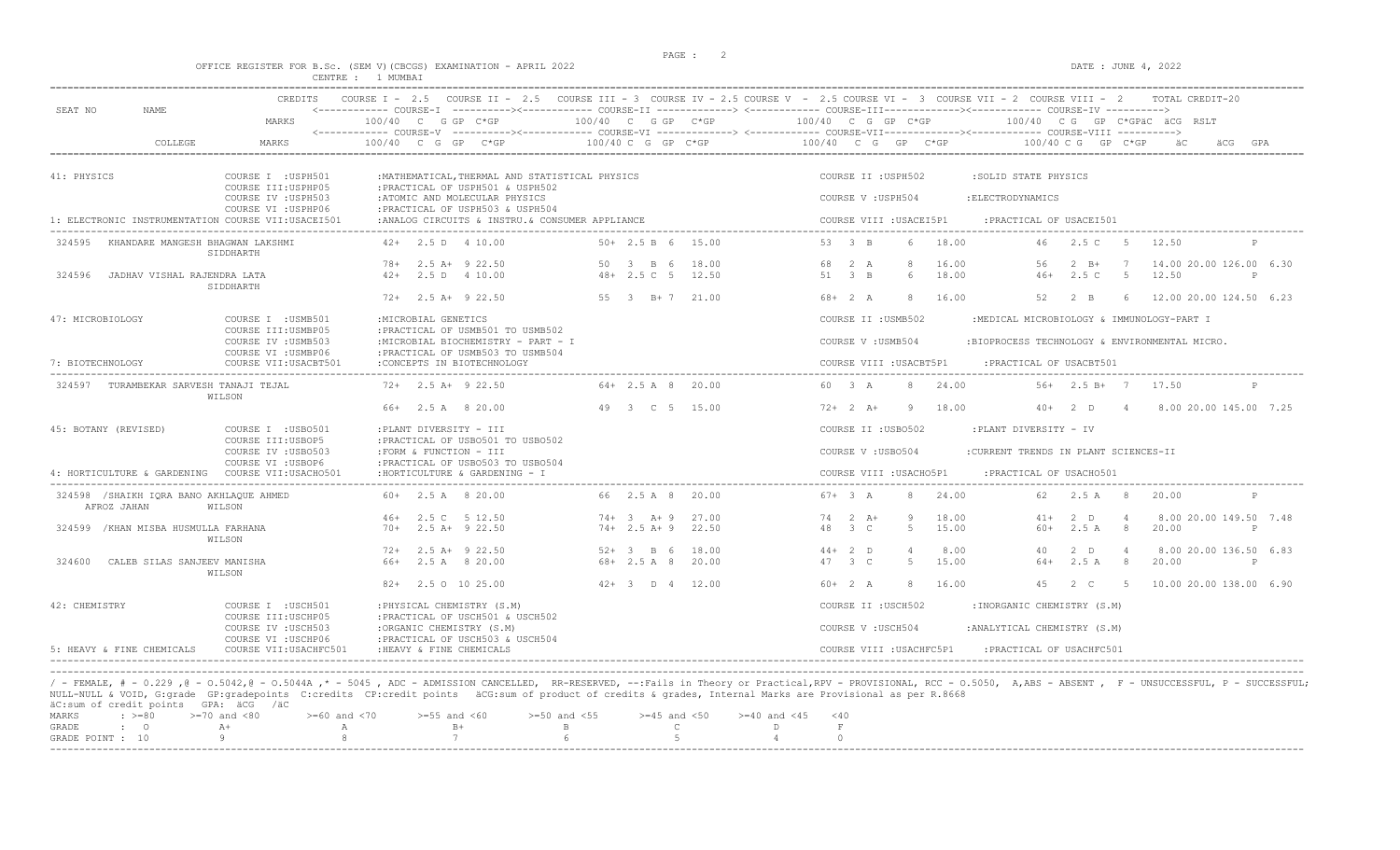DATE : JUNE  $4, 2022$ 

|  |  |          |  |        | OFFICE REGISTER FOR B.SC. (SEM V)(CBCGS) EXAMINATION - APRIL 202. |  |  |
|--|--|----------|--|--------|-------------------------------------------------------------------|--|--|
|  |  | CENTRE : |  | MUMBAT |                                                                   |  |  |

| SEAT NO<br>NAME.                                       | CREDITS                                                           |                                                                                                  |                                                  | COURSE I - 2.5 COURSE II - 2.5 COURSE III - 3 COURSE IV - 2.5 COURSE V - 2.5 COURSE VI - 3 COURSE VII - 2 COURSE VIII - 2 | <------------ COURSE-I ----------><----------- COURSE-II -------------> <------------ COURSE-III-----------><------------ COURSE-IV ---------->> | TOTAL CREDIT-20                                 |
|--------------------------------------------------------|-------------------------------------------------------------------|--------------------------------------------------------------------------------------------------|--------------------------------------------------|---------------------------------------------------------------------------------------------------------------------------|--------------------------------------------------------------------------------------------------------------------------------------------------|-------------------------------------------------|
|                                                        | MARKS                                                             | 100/40 C G GP C*GP                                                                               | 100/40 C G GP C*GP                               | 100/40 C G GP C*GP                                                                                                        | $100/40$ C G GP C*GPäC äCG RSLT                                                                                                                  |                                                 |
| COLLEGE                                                | MARKS                                                             | 100/40 C G GP                                                                                    | $100/40$ C G GP C*GP                             | 100/40 C G GP C*GP                                                                                                        | 100/40 C G GP C*GP                                                                                                                               |                                                 |
| 41: PHYSICS                                            | COURSE I : USPH501<br>COURSE III: USPHP05                         | : MATHEMATICAL, THERMAL AND STATISTICAL PHYSICS<br>: PRACTICAL OF USPH501 & USPH502              |                                                  | COURSE II : USPH502                                                                                                       | :SOLID STATE PHYSICS                                                                                                                             |                                                 |
|                                                        | COURSE IV : USPH503<br>COURSE VI : USPHP06                        | :ATOMIC AND MOLECULAR PHYSICS<br>: PRACTICAL OF USPH503 & USPH504                                |                                                  | COURSE V: USPH504                                                                                                         | : ELECTRODYNAMICS                                                                                                                                |                                                 |
| 1: ELECTRONIC INSTRUMENTATION COURSE VII:USACEI501     |                                                                   | :ANALOG CIRCUITS & INSTRU. & CONSUMER APPLIANCE                                                  |                                                  | COURSE VIII : USACEI5P1                                                                                                   | : PRACTICAL OF USACEI501                                                                                                                         |                                                 |
| 324595<br>KHANDARE MANGESH BHAGWAN LAKSHMI             | SIDDHARTH                                                         | $42+$ 2.5 D 4 10.00                                                                              | $50+ 2.5 B 6 15.00$                              | 53 3 B                                                                                                                    | 6 18.00<br>46 2.5 C                                                                                                                              | 12.50                                           |
| 324596<br>JADHAV VISHAL RAJENDRA LATA                  | SIDDHARTH                                                         | $78 + 2.5$ A+ 9 22.50<br>2.5 D 4 10.00<br>$42+$                                                  | 50 3 B 6<br>18.00<br>$48 + 2.5$ C 5<br>12.50     | 68 2 A<br>51 3 B<br>$6^{\circ}$                                                                                           | 16.00<br>56<br>$2 \quad B+$<br>7<br>18.00<br>2.5 <sub>c</sub><br>-5<br>$46+$                                                                     | 14.00 20.00 126.00 6.30<br>12.50<br>P           |
|                                                        |                                                                   | $72+$ 2.5 A+ 9 22.50                                                                             | 55 3 B+7 21.00                                   | $68 + 2 A$                                                                                                                | 16.00<br>52<br>$2 \overline{B}$<br>-6                                                                                                            | 12.00 20.00 124.50 6.23                         |
| 47: MICROBIOLOGY                                       | COURSE I : USMB501<br>COURSE III: USMBP05                         | : MICROBIAL GENETICS<br>: PRACTICAL OF USMB501 TO USMB502                                        |                                                  | COURSE II : USMB502                                                                                                       | :MEDICAL MICROBIOLOGY & IMMUNOLOGY-PART I                                                                                                        |                                                 |
|                                                        | COURSE IV : USMB503<br>COURSE VI : USMBP06                        | :MICROBIAL BIOCHEMISTRY - PART - I<br>: PRACTICAL OF USMB503 TO USMB504                          |                                                  | COURSE V: USMB504                                                                                                         | :BIOPROCESS TECHNOLOGY & ENVIRONMENTAL MICRO.                                                                                                    |                                                 |
| 7: BIOTECHNOLOGY                                       | COURSE VII: USACBT501                                             | : CONCEPTS IN BIOTECHNOLOGY                                                                      |                                                  | COURSE VIII : USACBT5P1                                                                                                   | : PRACTICAL OF USACBT501                                                                                                                         |                                                 |
| 324597 TURAMBEKAR SARVESH TANAJI TEJAL                 | WILSON                                                            | $72+2.5$ A+ 9 22.50                                                                              | $64 + 2.5$ A 8 20.00                             | 60 3 A<br>-8                                                                                                              | 24.00<br>$56+$ 2.5 B+ 7 17.50                                                                                                                    | $\mathbb{P}$                                    |
|                                                        |                                                                   | 2.5 A 8 20.00<br>66+                                                                             | 49 3 C 5 15.00                                   | $72+2 + 2 + 1$<br>-9.                                                                                                     | 18.00<br>$40+2$ D<br>$\overline{4}$                                                                                                              | 8.00 20.00 145.00 7.25                          |
| 45: BOTANY (REVISED)                                   | COURSE I : USB0501<br>COURSE III: USBOP5                          | : PLANT DIVERSITY - III<br>: PRACTICAL OF USB0501 TO USB0502                                     |                                                  | COURSE II : USB0502                                                                                                       | :PLANT DIVERSITY - IV                                                                                                                            |                                                 |
|                                                        | COURSE IV : USB0503                                               | :FORM & FUNCTION - III                                                                           |                                                  | COURSE V: USB0504                                                                                                         | :CURRENT TRENDS IN PLANT SCIENCES-II                                                                                                             |                                                 |
| 4: HORTICULTURE & GARDENING COURSE VII:USACHO501       | COURSE VI : USBOP6                                                | : PRACTICAL OF USB0503 TO USB0504<br>: HORTICULTURE & GARDENING - I                              |                                                  | COURSE VIII : USACHO5P1                                                                                                   | : PRACTICAL OF USACH0501                                                                                                                         |                                                 |
| 324598 /SHAIKH IORA BANO AKHLAQUE AHMED<br>AFROZ JAHAN | WILSON                                                            | $60+$ 2.5 A 8 20.00                                                                              | 66 2.5 A 8 20.00                                 | $67 + 3 A$                                                                                                                | 8 24.00<br>2.5 A 8<br>62                                                                                                                         | 20.00                                           |
| 324599 / KHAN MISBA HUSMULLA FARHANA                   |                                                                   | 46+ 2.5 C 5 12.50<br>$70+$ 2.5 A+ 9 22.50                                                        | $74 + 3 + 9$<br>27.00<br>$74+2.5$ A+9 22.50      | 74 2 A+<br>- 9<br>48 3 C<br>$5 -$                                                                                         | 18.00<br>2 D<br>$\overline{4}$<br>$41+$<br>15.00<br>2.5A<br>$60+$<br>- 8                                                                         | 8.00 20.00 149.50 7.48<br>20.00<br>P            |
| 324600<br>CALEB SILAS SANJEEV MANISHA                  | WILSON                                                            | $72+$ 2.5 A+ 9 22.50<br>66+ 2.5 A 8 20.00                                                        | 18.00<br>$52 + 3$ B 6<br>$68 + 2.5 A 8$<br>20.00 | $44+2$ D<br>47 3 C<br>$5 -$                                                                                               | 8.00<br>$2$ D<br>40<br>$\overline{4}$<br>15.00<br>2.5A<br>64+<br>8                                                                               | 8.00 20.00 136.50 6.83<br>20.00<br>$\mathbb{P}$ |
|                                                        | WILSON                                                            |                                                                                                  |                                                  |                                                                                                                           |                                                                                                                                                  |                                                 |
|                                                        |                                                                   | 82+ 2.5 0 10 25.00                                                                               | $42+3$ D $4$ 12.00                               | $60+2 A$<br>8                                                                                                             | 16.00<br>45 2 C<br>$5^{\circ}$                                                                                                                   | 10.00 20.00 138.00 6.90                         |
| 42: CHEMISTRY                                          | COURSE I : USCH501                                                | : PHYSICAL CHEMISTRY (S.M)                                                                       |                                                  | COURSE II : USCH502                                                                                                       | : INORGANIC CHEMISTRY (S.M)                                                                                                                      |                                                 |
|                                                        | COURSE III: USCHP05<br>COURSE IV : USCH503<br>COURSE VI : USCHP06 | : PRACTICAL OF USCH501 & USCH502<br>:ORGANIC CHEMISTRY (S.M)<br>: PRACTICAL OF USCH503 & USCH504 |                                                  | COURSE V: USCH504                                                                                                         | :ANALYTICAL CHEMISTRY (S.M)                                                                                                                      |                                                 |
| 5: HEAVY & FINE CHEMICALS                              | COURSE VII: USACHFC501                                            | : HEAVY & FINE CHEMICALS                                                                         |                                                  | COURSE VIII : USACHFC5P1                                                                                                  | :PRACTICAL OF USACHFC501                                                                                                                         |                                                 |

----------------------------------------------------------------------------------------------------------------------------------------------------------------------------------------------------------------------- / - FEMALE, # - 0.229 ,@ - 0.5042,@ - 0.5044A ,\* - 5045 , ADC - ADMISSION CANCELLED, RR-RESERVED, --:Fails in Theory or Practical,RPV - PROVISIONAL, RCC - 0.5050, A,ABS - ABSENT , F - UNSUCCESSFUL, P - SUCCESSFUL; NULL-NULL & VOID, G:grade GP:gradepoints C:credits CP:credit points äCG:sum of product of credits & grades, Internal Marks are Provisional as per R.8668 äC:sum of credit points GPA: äCG /äC

|  | MARKS : >=80 >=70 and <80 >=60 and <70 >=55 and <60 >=50 and <55 >=45 and <50 >=40 and <45 <40 |  |  |  |  |  |  |  |  |  |  |
|--|------------------------------------------------------------------------------------------------|--|--|--|--|--|--|--|--|--|--|
|  |                                                                                                |  |  |  |  |  |  |  |  |  |  |
|  | GRADE POINT : $10$ 9 8 7 6 5 5 4                                                               |  |  |  |  |  |  |  |  |  |  |
|  |                                                                                                |  |  |  |  |  |  |  |  |  |  |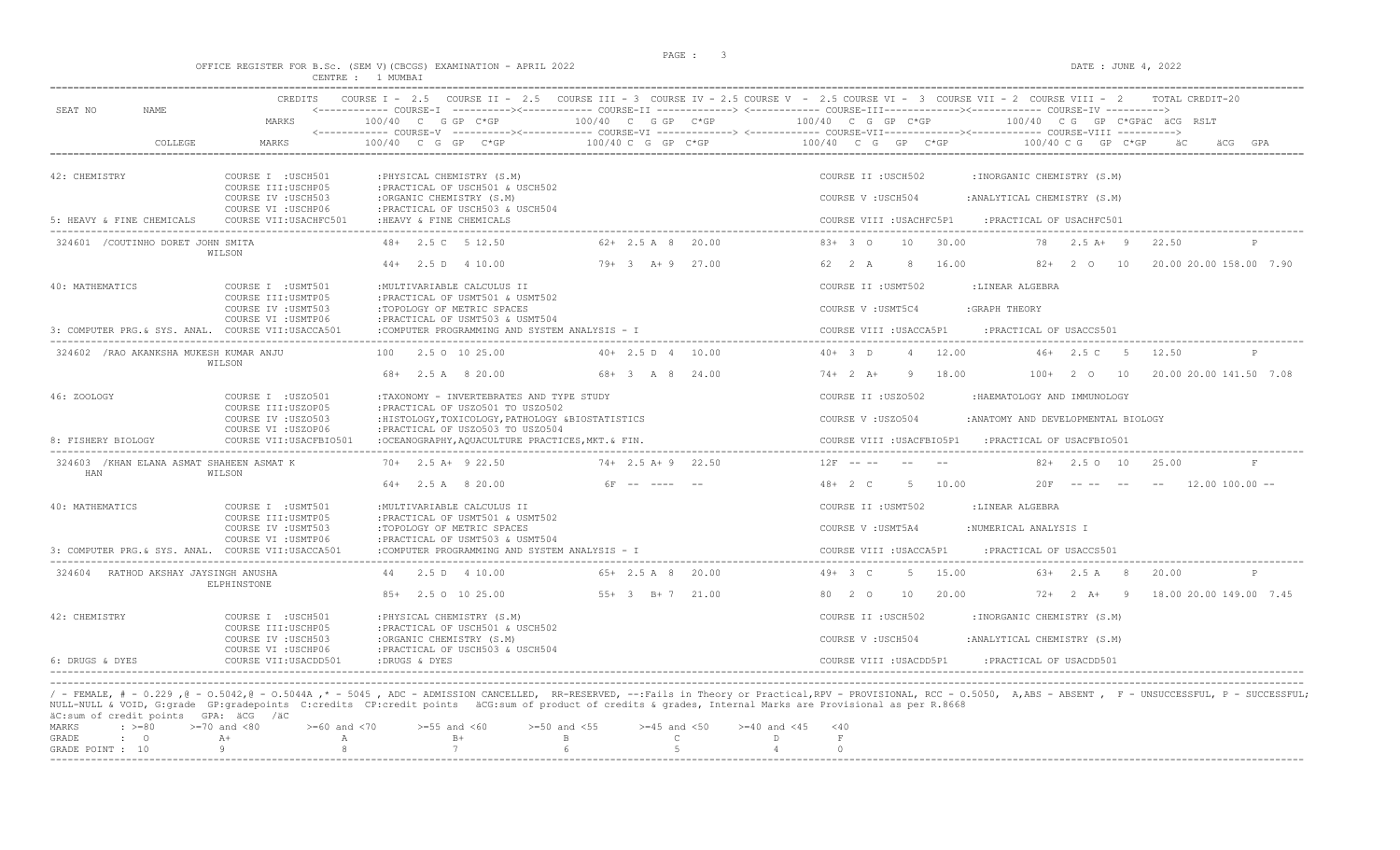OFFICE REGISTER FOR B.Sc. (SEM V)(CBCGS) EXAMINATION - APRIL 2022 DATE : JUNE 4, 2022

|                                                                                                                                                                  | CENTRE : 1 MUMBAI                                                                                                                                                                                                           |                                             |                                                                                                                                                                                                                                                                                                                                                        |
|------------------------------------------------------------------------------------------------------------------------------------------------------------------|-----------------------------------------------------------------------------------------------------------------------------------------------------------------------------------------------------------------------------|---------------------------------------------|--------------------------------------------------------------------------------------------------------------------------------------------------------------------------------------------------------------------------------------------------------------------------------------------------------------------------------------------------------|
| <b>CREDITS</b><br>SEAT NO<br>NAME<br>MARKS                                                                                                                       | 100/40 C G GP C*GP                                                                                                                                                                                                          | 100/40 C G GP C*GP                          | COURSE I - 2.5 COURSE II - 2.5 COURSE III - 3 COURSE IV - 2.5 COURSE V - 2.5 COURSE VI - 3 COURSE VII - 2 COURSE VIII - 2<br>TOTAL CREDIT-20<br><------------ COURSE-I ----------><------------ COURSE-II -------------> <------------ COURSE-III------------><----------- COURSE-IV ----------><br>100/40 C G GP C*GP<br>100/40 CG GP C*GPÄC ÄCG RSLT |
| COLLEGE<br>MARKS                                                                                                                                                 | 100/40 C G GP C*GP                                                                                                                                                                                                          | $100/40$ C G GP C*GP                        | 100/40 C G GP C*GP<br>100/40 C G GP C*GP<br>GPA                                                                                                                                                                                                                                                                                                        |
| 42: CHEMISTRY<br>COURSE I : USCH501<br>COURSE III: USCHP05<br>COURSE IV : USCH503<br>COURSE VI : USCHP06                                                         | : PHYSICAL CHEMISTRY (S.M)<br>: PRACTICAL OF USCH501 & USCH502<br>:ORGANIC CHEMISTRY (S.M)<br>: PRACTICAL OF USCH503 & USCH504                                                                                              |                                             | COURSE II : USCH502<br>: INORGANIC CHEMISTRY (S.M)<br>COURSE V: USCH504<br>: ANALYTICAL CHEMISTRY (S.M)                                                                                                                                                                                                                                                |
| 5: HEAVY & FINE CHEMICALS<br>COURSE VII: USACHFC501                                                                                                              | : HEAVY & FINE CHEMICALS                                                                                                                                                                                                    |                                             | COURSE VIII : USACHFC5P1<br>: PRACTICAL OF USACHFC501                                                                                                                                                                                                                                                                                                  |
| 324601 / COUTINHO DORET JOHN SMITA<br>WILSON                                                                                                                     | 48+ 2.5 C 5 12.50<br>$44+$ 2.5 D 4 10.00                                                                                                                                                                                    | $62+2.5$ A 8<br>20.00<br>$79 + 3 + 9$ 27.00 | $83+30$<br>30.00<br>$2.5A+9$<br>22.50<br>10<br>78<br>$\mathbb{D}$<br>62 2 A<br>-8<br>16.00<br>$82+$<br>2 0 10<br>20.00 20.00 158.00 7.90                                                                                                                                                                                                               |
| 40: MATHEMATICS<br>COURSE I : USMT501<br>COURSE III: USMTP05                                                                                                     | : MULTIVARIABLE CALCULUS II<br>:PRACTICAL OF USMT501 & USMT502                                                                                                                                                              |                                             | COURSE II : USMT502<br>:LINEAR ALGEBRA                                                                                                                                                                                                                                                                                                                 |
| COURSE IV : USMT503<br>COURSE VI : USMTP06<br>3: COMPUTER PRG.& SYS. ANAL. COURSE VII:USACCA501                                                                  | :TOPOLOGY OF METRIC SPACES<br>: PRACTICAL OF USMT503 & USMT504<br>:COMPUTER PROGRAMMING AND SYSTEM ANALYSIS - I                                                                                                             |                                             | COURSE V : USMT5C4<br>: GRAPH THEORY<br>COURSE VIII : USACCA5P1<br>: PRACTICAL OF USACCS501                                                                                                                                                                                                                                                            |
| 324602 / RAO AKANKSHA MUKESH KUMAR ANJU<br>WILSON                                                                                                                | 2.5 0 10 25.00<br>100<br>68+ 2.5 A 8 20.00                                                                                                                                                                                  | $40+ 2.5 D 4 10.00$<br>68+ 3 A 8 24.00      | $40+3$ D<br>12.00<br>$46+2.5$ C 5<br>$\overline{4}$<br>12.50<br>P<br>$74+2$ A+<br>18.00<br>20.00 20.00 141.50 7.08<br>- 9<br>$100+$ 2 0 10                                                                                                                                                                                                             |
| 46: ZOOLOGY<br>COURSE I : USZ0501<br>COURSE III:USZOP05<br>COURSE IV : USZ0503<br>COURSE VI : USZOP06<br>8: FISHERY BIOLOGY<br>COURSE VII: USACFBIO501           | :TAXONOMY - INVERTEBRATES AND TYPE STUDY<br>: PRACTICAL OF USZ0501 TO USZ0502<br>:HISTOLOGY, TOXICOLOGY, PATHOLOGY &BIOSTATISTICS<br>: PRACTICAL OF USZ0503 TO USZ0504<br>:OCEANOGRAPHY, AQUACULTURE PRACTICES, MKT. & FIN. |                                             | COURSE II : USZ0502<br>:HAEMATOLOGY AND IMMUNOLOGY<br>COURSE V: USZ0504<br>: ANATOMY AND DEVELOPMENTAL BIOLOGY<br>COURSE VIII : USACFBIO5P1<br>: PRACTICAL OF USACFBIO501                                                                                                                                                                              |
| 324603 / KHAN ELANA ASMAT SHAHEEN ASMAT K<br>HAN<br>WILSON                                                                                                       | $70+$ 2.5 A+ 9 22.50<br>$64+$ 2.5 A 8 20.00                                                                                                                                                                                 | $74 + 2.5$ A + 9 22.50<br>$6F$ -- ----      | $12F - - -$<br>$82+$ 2.5 0 10<br>25.00<br>F<br>$48 + 2 C$<br>5 10.00<br>$12.00$ $100.00$ $-$<br>20F                                                                                                                                                                                                                                                    |
| 40: MATHEMATICS<br>COURSE I : USMT501<br>COURSE III: USMTP05<br>COURSE IV : USMT503<br>COURSE VI : USMTP06<br>3: COMPUTER PRG. & SYS. ANAL. COURSE VII:USACCA501 | : MULTIVARIABLE CALCULUS II<br>:PRACTICAL OF USMT501 & USMT502<br>:TOPOLOGY OF METRIC SPACES<br>: PRACTICAL OF USMT503 & USMT504<br>:COMPUTER PROGRAMMING AND SYSTEM ANALYSIS - I                                           |                                             | COURSE II : USMT502<br>:LINEAR ALGEBRA<br>:NUMERICAL ANALYSIS I<br>COURSE V : USMT5A4<br>COURSE VIII : USACCA5P1<br>: PRACTICAL OF USACCS501                                                                                                                                                                                                           |
| 324604 RATHOD AKSHAY JAYSINGH ANUSHA<br>ELPHINSTONE                                                                                                              | 2.5 D 4 10.00<br>44<br>85+ 2.5 0 10 25.00                                                                                                                                                                                   | $65+2.5$ A 8 20.00<br>$55+3$ B+7 21.00      | $49 + 3 C$<br>15.00<br>$63+$ 2.5 A 8<br>- 5<br>20.00<br>$\mathbb P$<br>20.00<br>18.00 20.00 149.00 7.45<br>80 2 0<br>10<br>$72+2+19$                                                                                                                                                                                                                   |
| 42: CHEMISTRY<br>COURSE I : USCH501<br>COURSE III: USCHP05<br>COURSE IV : USCH503<br>COURSE VI : USCHP06<br>6: DRUGS & DYES<br>COURSE VII: USACDD501             | : PHYSICAL CHEMISTRY (S.M)<br>:PRACTICAL OF USCH501 & USCH502<br>:ORGANIC CHEMISTRY (S.M)<br>: PRACTICAL OF USCH503 & USCH504<br>:DRUGS & DYES                                                                              |                                             | COURSE II : USCH502<br>: INORGANIC CHEMISTRY (S.M)<br>COURSE V: USCH504<br>:ANALYTICAL CHEMISTRY (S.M)<br>COURSE VIII · USACDD5P1<br>:PRACTICAL OF USACDD501                                                                                                                                                                                           |

/ - FEMALE, # - 0.229 ,@ - O.5042,@ - O.5044A ,\* - 5045 , ADC - ADMISSION CANCELLED, RR-RESERVED, --:Fails in Theory or Practical,RPV - PROVISIONAL, RCC - O.5050, A,ABS - ABSENT , F - UNSUCCESSFUL, P - SUCCESSFUL; NULL-NULL & VOID, G:grade GP:gradepoints C:credits CP:credit points äCG:sum of product of credits & grades, Internal Marks are Provisional as per R.8668<br>äC:sum of credit points GPA: äCG /äC

|  | at:Sum of credit points form: att fact |                                                                                                |  |  |  |  |  |
|--|----------------------------------------|------------------------------------------------------------------------------------------------|--|--|--|--|--|
|  |                                        | MARKS : >=80 >=70 and <80 >=60 and <70 >=55 and <60 >=50 and <55 >=45 and <50 >=40 and <45 <40 |  |  |  |  |  |
|  |                                        | GRADE : 0 A+ A A B+ B C D                                                                      |  |  |  |  |  |
|  |                                        | GRADE POINT : $10$ 9 8 7 6 5 5 4                                                               |  |  |  |  |  |
|  |                                        |                                                                                                |  |  |  |  |  |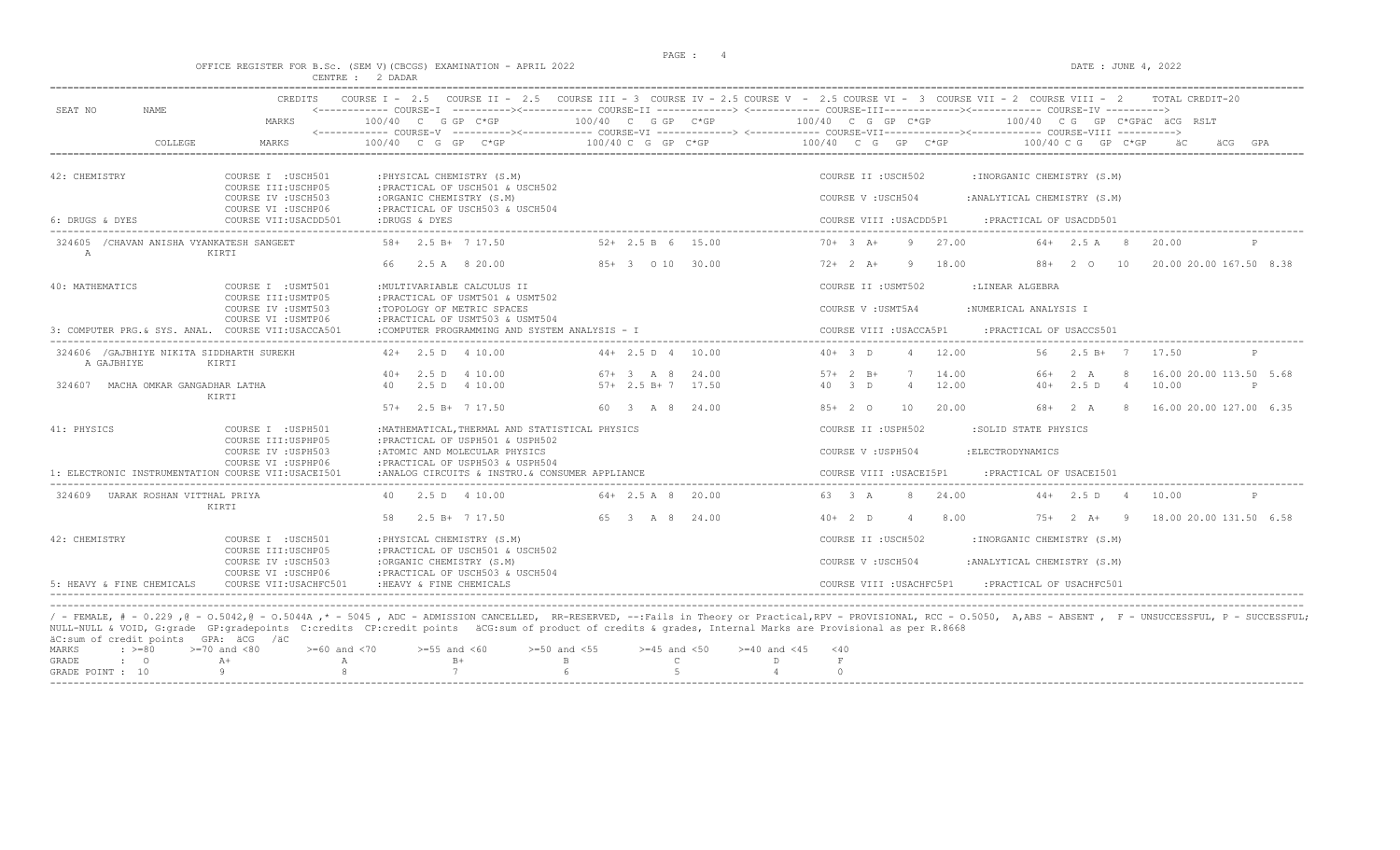$DATA: JUNE 4, 2022$ 

|  |  |                  |  | OFFICE REGISTER FOR B.SC. (SEM V)(CBCGS) EXAMINATION - APRIL 2022 |  |  |
|--|--|------------------|--|-------------------------------------------------------------------|--|--|
|  |  | CENTRE : 2 DADAR |  |                                                                   |  |  |

| 100/40 C G GP C*GP<br>100/40 C G GP C*GP<br>MARKS<br>$100/40$ C G GP C*GP<br>100/40 CG GP C*GPÄC ÄCG RSLT<br>COLLEGE<br>MARKS<br>$100/40$ C G GP C*GP<br>100/40 C G GP C*GP<br>100/40 C G GP C*GP<br>100/40 C G GP C*GP<br>GPA<br>42: CHEMISTRY<br>COURSE I : USCH501<br>: PHYSICAL CHEMISTRY (S.M)<br>: INORGANIC CHEMISTRY (S.M)<br>COURSE II : USCH502<br>COURSE III: USCHP05<br>: PRACTICAL OF USCH501 & USCH502<br>COURSE IV : USCH503<br>:ORGANIC CHEMISTRY (S.M)<br>COURSE V: USCH504<br>: ANALYTICAL CHEMISTRY (S.M)<br>COURSE VI : USCHP06<br>: PRACTICAL OF USCH503 & USCH504<br>6: DRUGS & DYES<br>COURSE VII:USACDD501<br>:DRUGS & DYES<br>COURSE VIII : USACDD5P1<br>: PRACTICAL OF USACDD501<br>$70+3$ A+<br>27.00<br>324605 / CHAVAN ANISHA VYANKATESH SANGEET<br>$58 + 2.5 B + 7 17.50$<br>$52+2.5 B 6$<br>15.00<br>-9<br>$64 + 2.5$ A 8<br>20.00<br>$\mathbb{A}$<br>KIRTI<br>85+ 3 0 10<br>30.00<br>18.00<br>10<br>2.5 A 8 20.00<br>$72+2+1$<br>$88+$<br>2 O<br>40: MATHEMATICS<br>COURSE I : USMT501<br>: MULTIVARIABLE CALCULUS II<br>COURSE II : USMT502<br>:LINEAR ALGEBRA<br>COURSE III: USMTP05<br>: PRACTICAL OF USMT501 & USMT502<br>:TOPOLOGY OF METRIC SPACES<br>COURSE IV : USMT503<br>COURSE V : USMT5A4<br>:NUMERICAL ANALYSIS I<br>COURSE VI : USMTP06<br>: PRACTICAL OF USMT503 & USMT504<br>:COMPUTER PROGRAMMING AND SYSTEM ANALYSIS - I<br>3: COMPUTER PRG. & SYS. ANAL. COURSE VII:USACCA501<br>COURSE VIII : USACCA5P1<br>: PRACTICAL OF USACCS501<br>324606 / GAJBHIYE NIKITA SIDDHARTH SUREKH<br>$42+$ 2.5 D 4 10.00<br>$44+2.5 D 4$<br>$40+3$ D<br>12.00<br>56 -<br>$2.5 B+7$<br>17.50<br>10.00<br>A GAJBHIYE<br>KIRTI<br>14.00<br>2.5 D 4 10.00<br>$67 + 3$ A 8<br>24.00<br>$57 + 2 B +$<br>$40+$<br>66+<br>2 A<br>$57+2.5 B+7$<br>17.50<br>40 3 D<br>12.00<br>$40+$<br>2.5 D<br>10.00<br>324607<br>MACHA OMKAR GANGADHAR LATHA<br>2.5 D 4 10.00<br>$\overline{4}$<br>$\overline{4}$<br>40<br>$\mathsf{P}$<br>KIRTI<br>$57+$ 2.5 B+ 7 17.50<br>60 3 A 8 24.00<br>$85+20$<br>10<br>20.00<br>68+ 2 A<br>8 <sup>1</sup><br>41: PHYSICS<br>COURSE I : USPH501<br>: MATHEMATICAL, THERMAL AND STATISTICAL PHYSICS<br>COURSE II : USPH502<br>:SOLID STATE PHYSICS<br>COURSE III: USPHP05<br>: PRACTICAL OF USPH501 & USPH502<br>COURSE IV : USPH503<br>:ATOMIC AND MOLECULAR PHYSICS<br>COURSE V: USPH504<br>: ELECTRODYNAMICS<br>COURSE VI : USPHP06<br>: PRACTICAL OF USPH503 & USPH504<br>COURSE VIII : USACEI5P1<br>: PRACTICAL OF USACEI501<br>1: ELECTRONIC INSTRUMENTATION COURSE VII:USACEI501<br>:ANALOG CIRCUITS & INSTRU.& CONSUMER APPLIANCE<br>324609 UARAK ROSHAN VITTHAL PRIYA<br>2.5 D 4 10.00<br>$64 + 2.5$ A 8 20.00<br>63 3 A<br>24.00<br>$44+$ 2.5 D 4<br>10.00<br>$\mathbb{P}$<br>40<br>KIRTI<br>$2.5 B+ 7 17.50$<br>65 3 A 8<br>24.00<br>8.00<br>58<br>$40+2$ D<br>$7.5+$<br>$2 A+ 9$<br>42: CHEMISTRY<br>COURSE I : USCH501<br>: PHYSICAL CHEMISTRY (S.M)<br>COURSE II : USCH502<br>:INORGANIC CHEMISTRY (S.M)<br>COURSE III: USCHP05<br>: PRACTICAL OF USCH501 & USCH502<br>COURSE IV : USCH503<br>:ORGANIC CHEMISTRY (S.M)<br>COURSE V: USCH504<br>: ANALYTICAL CHEMISTRY (S.M)<br>: PRACTICAL OF USCH503 & USCH504<br>COURSE VI : USCHP06 | SEAT NO<br><b>NAME</b>    | CREDITS                |                          | COURSE I - 2.5 COURSE II - 2.5 COURSE III - 3 COURSE IV - 2.5 COURSE V - 2.5 COURSE VI - 3 COURSE VII - 2 COURSE VIII - 2<br>TOTAL CREDIT-20 |
|--------------------------------------------------------------------------------------------------------------------------------------------------------------------------------------------------------------------------------------------------------------------------------------------------------------------------------------------------------------------------------------------------------------------------------------------------------------------------------------------------------------------------------------------------------------------------------------------------------------------------------------------------------------------------------------------------------------------------------------------------------------------------------------------------------------------------------------------------------------------------------------------------------------------------------------------------------------------------------------------------------------------------------------------------------------------------------------------------------------------------------------------------------------------------------------------------------------------------------------------------------------------------------------------------------------------------------------------------------------------------------------------------------------------------------------------------------------------------------------------------------------------------------------------------------------------------------------------------------------------------------------------------------------------------------------------------------------------------------------------------------------------------------------------------------------------------------------------------------------------------------------------------------------------------------------------------------------------------------------------------------------------------------------------------------------------------------------------------------------------------------------------------------------------------------------------------------------------------------------------------------------------------------------------------------------------------------------------------------------------------------------------------------------------------------------------------------------------------------------------------------------------------------------------------------------------------------------------------------------------------------------------------------------------------------------------------------------------------------------------------------------------------------------------------------------------------------------------------------------------------------------------------------------------------------------------------------------------------------------------------------------------------------------------------------------------------------------------------------------------------------------------------------------------------------------------------------|---------------------------|------------------------|--------------------------|----------------------------------------------------------------------------------------------------------------------------------------------|
|                                                                                                                                                                                                                                                                                                                                                                                                                                                                                                                                                                                                                                                                                                                                                                                                                                                                                                                                                                                                                                                                                                                                                                                                                                                                                                                                                                                                                                                                                                                                                                                                                                                                                                                                                                                                                                                                                                                                                                                                                                                                                                                                                                                                                                                                                                                                                                                                                                                                                                                                                                                                                                                                                                                                                                                                                                                                                                                                                                                                                                                                                                                                                                                                        |                           |                        |                          |                                                                                                                                              |
|                                                                                                                                                                                                                                                                                                                                                                                                                                                                                                                                                                                                                                                                                                                                                                                                                                                                                                                                                                                                                                                                                                                                                                                                                                                                                                                                                                                                                                                                                                                                                                                                                                                                                                                                                                                                                                                                                                                                                                                                                                                                                                                                                                                                                                                                                                                                                                                                                                                                                                                                                                                                                                                                                                                                                                                                                                                                                                                                                                                                                                                                                                                                                                                                        |                           |                        |                          |                                                                                                                                              |
|                                                                                                                                                                                                                                                                                                                                                                                                                                                                                                                                                                                                                                                                                                                                                                                                                                                                                                                                                                                                                                                                                                                                                                                                                                                                                                                                                                                                                                                                                                                                                                                                                                                                                                                                                                                                                                                                                                                                                                                                                                                                                                                                                                                                                                                                                                                                                                                                                                                                                                                                                                                                                                                                                                                                                                                                                                                                                                                                                                                                                                                                                                                                                                                                        |                           |                        |                          |                                                                                                                                              |
|                                                                                                                                                                                                                                                                                                                                                                                                                                                                                                                                                                                                                                                                                                                                                                                                                                                                                                                                                                                                                                                                                                                                                                                                                                                                                                                                                                                                                                                                                                                                                                                                                                                                                                                                                                                                                                                                                                                                                                                                                                                                                                                                                                                                                                                                                                                                                                                                                                                                                                                                                                                                                                                                                                                                                                                                                                                                                                                                                                                                                                                                                                                                                                                                        |                           |                        |                          |                                                                                                                                              |
|                                                                                                                                                                                                                                                                                                                                                                                                                                                                                                                                                                                                                                                                                                                                                                                                                                                                                                                                                                                                                                                                                                                                                                                                                                                                                                                                                                                                                                                                                                                                                                                                                                                                                                                                                                                                                                                                                                                                                                                                                                                                                                                                                                                                                                                                                                                                                                                                                                                                                                                                                                                                                                                                                                                                                                                                                                                                                                                                                                                                                                                                                                                                                                                                        |                           |                        |                          |                                                                                                                                              |
|                                                                                                                                                                                                                                                                                                                                                                                                                                                                                                                                                                                                                                                                                                                                                                                                                                                                                                                                                                                                                                                                                                                                                                                                                                                                                                                                                                                                                                                                                                                                                                                                                                                                                                                                                                                                                                                                                                                                                                                                                                                                                                                                                                                                                                                                                                                                                                                                                                                                                                                                                                                                                                                                                                                                                                                                                                                                                                                                                                                                                                                                                                                                                                                                        |                           |                        |                          |                                                                                                                                              |
|                                                                                                                                                                                                                                                                                                                                                                                                                                                                                                                                                                                                                                                                                                                                                                                                                                                                                                                                                                                                                                                                                                                                                                                                                                                                                                                                                                                                                                                                                                                                                                                                                                                                                                                                                                                                                                                                                                                                                                                                                                                                                                                                                                                                                                                                                                                                                                                                                                                                                                                                                                                                                                                                                                                                                                                                                                                                                                                                                                                                                                                                                                                                                                                                        |                           |                        |                          | 20.00 20.00 167.50 8.38                                                                                                                      |
|                                                                                                                                                                                                                                                                                                                                                                                                                                                                                                                                                                                                                                                                                                                                                                                                                                                                                                                                                                                                                                                                                                                                                                                                                                                                                                                                                                                                                                                                                                                                                                                                                                                                                                                                                                                                                                                                                                                                                                                                                                                                                                                                                                                                                                                                                                                                                                                                                                                                                                                                                                                                                                                                                                                                                                                                                                                                                                                                                                                                                                                                                                                                                                                                        |                           |                        |                          |                                                                                                                                              |
|                                                                                                                                                                                                                                                                                                                                                                                                                                                                                                                                                                                                                                                                                                                                                                                                                                                                                                                                                                                                                                                                                                                                                                                                                                                                                                                                                                                                                                                                                                                                                                                                                                                                                                                                                                                                                                                                                                                                                                                                                                                                                                                                                                                                                                                                                                                                                                                                                                                                                                                                                                                                                                                                                                                                                                                                                                                                                                                                                                                                                                                                                                                                                                                                        |                           |                        |                          |                                                                                                                                              |
|                                                                                                                                                                                                                                                                                                                                                                                                                                                                                                                                                                                                                                                                                                                                                                                                                                                                                                                                                                                                                                                                                                                                                                                                                                                                                                                                                                                                                                                                                                                                                                                                                                                                                                                                                                                                                                                                                                                                                                                                                                                                                                                                                                                                                                                                                                                                                                                                                                                                                                                                                                                                                                                                                                                                                                                                                                                                                                                                                                                                                                                                                                                                                                                                        |                           |                        |                          |                                                                                                                                              |
|                                                                                                                                                                                                                                                                                                                                                                                                                                                                                                                                                                                                                                                                                                                                                                                                                                                                                                                                                                                                                                                                                                                                                                                                                                                                                                                                                                                                                                                                                                                                                                                                                                                                                                                                                                                                                                                                                                                                                                                                                                                                                                                                                                                                                                                                                                                                                                                                                                                                                                                                                                                                                                                                                                                                                                                                                                                                                                                                                                                                                                                                                                                                                                                                        |                           |                        |                          |                                                                                                                                              |
|                                                                                                                                                                                                                                                                                                                                                                                                                                                                                                                                                                                                                                                                                                                                                                                                                                                                                                                                                                                                                                                                                                                                                                                                                                                                                                                                                                                                                                                                                                                                                                                                                                                                                                                                                                                                                                                                                                                                                                                                                                                                                                                                                                                                                                                                                                                                                                                                                                                                                                                                                                                                                                                                                                                                                                                                                                                                                                                                                                                                                                                                                                                                                                                                        |                           |                        |                          | 16.00 20.00 113.50 5.68                                                                                                                      |
|                                                                                                                                                                                                                                                                                                                                                                                                                                                                                                                                                                                                                                                                                                                                                                                                                                                                                                                                                                                                                                                                                                                                                                                                                                                                                                                                                                                                                                                                                                                                                                                                                                                                                                                                                                                                                                                                                                                                                                                                                                                                                                                                                                                                                                                                                                                                                                                                                                                                                                                                                                                                                                                                                                                                                                                                                                                                                                                                                                                                                                                                                                                                                                                                        |                           |                        |                          | 16.00 20.00 127.00 6.35                                                                                                                      |
|                                                                                                                                                                                                                                                                                                                                                                                                                                                                                                                                                                                                                                                                                                                                                                                                                                                                                                                                                                                                                                                                                                                                                                                                                                                                                                                                                                                                                                                                                                                                                                                                                                                                                                                                                                                                                                                                                                                                                                                                                                                                                                                                                                                                                                                                                                                                                                                                                                                                                                                                                                                                                                                                                                                                                                                                                                                                                                                                                                                                                                                                                                                                                                                                        |                           |                        |                          |                                                                                                                                              |
|                                                                                                                                                                                                                                                                                                                                                                                                                                                                                                                                                                                                                                                                                                                                                                                                                                                                                                                                                                                                                                                                                                                                                                                                                                                                                                                                                                                                                                                                                                                                                                                                                                                                                                                                                                                                                                                                                                                                                                                                                                                                                                                                                                                                                                                                                                                                                                                                                                                                                                                                                                                                                                                                                                                                                                                                                                                                                                                                                                                                                                                                                                                                                                                                        |                           |                        |                          |                                                                                                                                              |
|                                                                                                                                                                                                                                                                                                                                                                                                                                                                                                                                                                                                                                                                                                                                                                                                                                                                                                                                                                                                                                                                                                                                                                                                                                                                                                                                                                                                                                                                                                                                                                                                                                                                                                                                                                                                                                                                                                                                                                                                                                                                                                                                                                                                                                                                                                                                                                                                                                                                                                                                                                                                                                                                                                                                                                                                                                                                                                                                                                                                                                                                                                                                                                                                        |                           |                        |                          |                                                                                                                                              |
|                                                                                                                                                                                                                                                                                                                                                                                                                                                                                                                                                                                                                                                                                                                                                                                                                                                                                                                                                                                                                                                                                                                                                                                                                                                                                                                                                                                                                                                                                                                                                                                                                                                                                                                                                                                                                                                                                                                                                                                                                                                                                                                                                                                                                                                                                                                                                                                                                                                                                                                                                                                                                                                                                                                                                                                                                                                                                                                                                                                                                                                                                                                                                                                                        |                           |                        |                          |                                                                                                                                              |
|                                                                                                                                                                                                                                                                                                                                                                                                                                                                                                                                                                                                                                                                                                                                                                                                                                                                                                                                                                                                                                                                                                                                                                                                                                                                                                                                                                                                                                                                                                                                                                                                                                                                                                                                                                                                                                                                                                                                                                                                                                                                                                                                                                                                                                                                                                                                                                                                                                                                                                                                                                                                                                                                                                                                                                                                                                                                                                                                                                                                                                                                                                                                                                                                        |                           |                        |                          | 18.00 20.00 131.50 6.58                                                                                                                      |
|                                                                                                                                                                                                                                                                                                                                                                                                                                                                                                                                                                                                                                                                                                                                                                                                                                                                                                                                                                                                                                                                                                                                                                                                                                                                                                                                                                                                                                                                                                                                                                                                                                                                                                                                                                                                                                                                                                                                                                                                                                                                                                                                                                                                                                                                                                                                                                                                                                                                                                                                                                                                                                                                                                                                                                                                                                                                                                                                                                                                                                                                                                                                                                                                        |                           |                        |                          |                                                                                                                                              |
|                                                                                                                                                                                                                                                                                                                                                                                                                                                                                                                                                                                                                                                                                                                                                                                                                                                                                                                                                                                                                                                                                                                                                                                                                                                                                                                                                                                                                                                                                                                                                                                                                                                                                                                                                                                                                                                                                                                                                                                                                                                                                                                                                                                                                                                                                                                                                                                                                                                                                                                                                                                                                                                                                                                                                                                                                                                                                                                                                                                                                                                                                                                                                                                                        |                           |                        |                          |                                                                                                                                              |
|                                                                                                                                                                                                                                                                                                                                                                                                                                                                                                                                                                                                                                                                                                                                                                                                                                                                                                                                                                                                                                                                                                                                                                                                                                                                                                                                                                                                                                                                                                                                                                                                                                                                                                                                                                                                                                                                                                                                                                                                                                                                                                                                                                                                                                                                                                                                                                                                                                                                                                                                                                                                                                                                                                                                                                                                                                                                                                                                                                                                                                                                                                                                                                                                        | 5: HEAVY & FINE CHEMICALS | COURSE VII: USACHFC501 | : HEAVY & FINE CHEMICALS | COURSE VIII : USACHFC5P1<br>: PRACTICAL OF USACHFC501                                                                                        |

/ - FEMALE, # - 0.229 ,@ - 0.5042,@ - 0.5044A ,\* - 5045 , ADC - ADMISSION CANCELLED, RR-RESERVED, --:Fails in Theory or Practical,RPV - PROVISIONAL, RCC - 0.5050, A,ABS - ABSENT , F - UNSUCCESSFUL, P - SUCCESSFUL; NULL-NULL & VOID, G:grade GP:gradepoints C:credits CP:credit points äCG:sum of product of credits & grades, Internal Marks are Provisional as per R.8668 äC:sum of credit points GPA: äCG /äC  $\geq=60$  and  $<70$   $\geq=55$  and  $<60$   $\geq=50$  and  $<55$   $\geq=45$  and  $<50$   $\geq=40$  and  $<45$   $<40$   $\,$  R $\,$  C  $\,$  D $\,$  F GRADE : O  $A+$  A  $B+$  B C D F  $A$  O GRADE : O  $A+$  A  $B+$  B C D F GRADE POINT : 10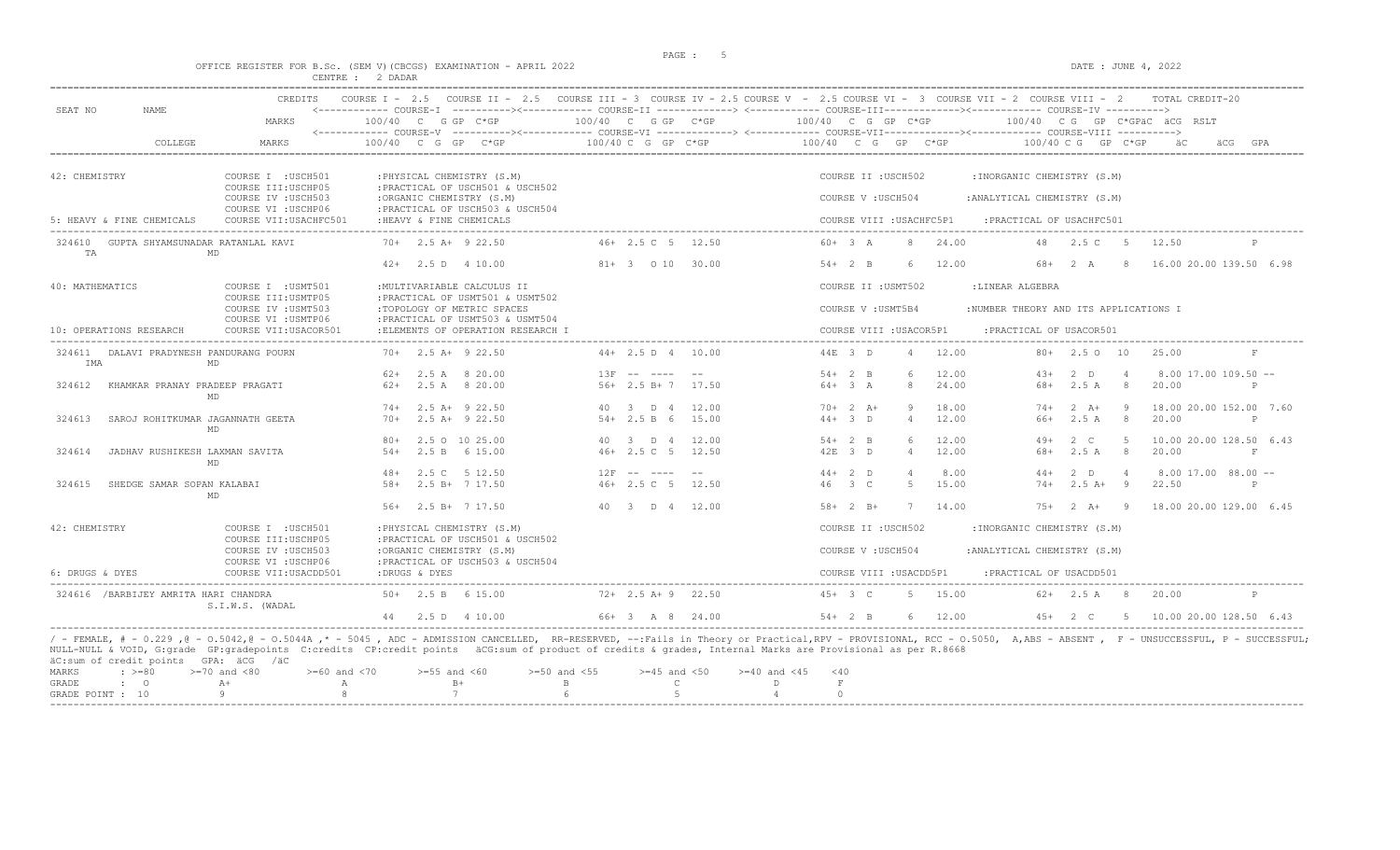$DATA: JUNE 4, 2022$ 

|  |  |  |                  | OFFICE REGISTER FOR B.SC. (SEM V)(CBCGS) EXAMINATION - APRIL 2022 |  |  |
|--|--|--|------------------|-------------------------------------------------------------------|--|--|
|  |  |  | CENTRE : 2 DADAR |                                                                   |  |  |

| <b>CREDITS</b><br>SEAT NO<br>NAME.                                                                                                                                                               |                                                                        |                         | COURSE I - 2.5 COURSE II - 2.5 COURSE III - 3 COURSE IV - 2.5 COURSE V - 2.5 COURSE VI - 3 COURSE VII - 2 COURSE VIII - 2<br>TOTAL CREDIT-20                                                                            |
|--------------------------------------------------------------------------------------------------------------------------------------------------------------------------------------------------|------------------------------------------------------------------------|-------------------------|-------------------------------------------------------------------------------------------------------------------------------------------------------------------------------------------------------------------------|
| MARKS                                                                                                                                                                                            | 100/40 C G GP C*GP                                                     |                         | $100/40$ C G GP C*GP $100/40$ C G GP C*GP $100/40$ C G GP C*GPäC äCG RSLT                                                                                                                                               |
| COLLEGE<br>MARKS                                                                                                                                                                                 | $100/40$ C G GP C*GP                                                   | $100/40$ C G GP C*GP    | $100/40$ C G GP C*GP<br>$100/40$ C G GP C*GP<br>GPA<br>äC<br>äCG                                                                                                                                                        |
| 42: CHEMISTRY<br>COURSE I : USCH501<br>COURSE III: USCHP05                                                                                                                                       | : PHYSICAL CHEMISTRY (S.M)<br>: PRACTICAL OF USCH501 & USCH502         |                         | COURSE II : USCH502<br>: INORGANIC CHEMISTRY (S.M)                                                                                                                                                                      |
| COURSE IV : USCH503<br>COURSE VI : USCHP06                                                                                                                                                       | :ORGANIC CHEMISTRY (S.M)<br>: PRACTICAL OF USCH503 & USCH504           |                         | COURSE V: USCH504<br>: ANALYTICAL CHEMISTRY (S.M)                                                                                                                                                                       |
| 5: HEAVY & FINE CHEMICALS<br>COURSE VII: USACHFC501                                                                                                                                              | : HEAVY & FINE CHEMICALS                                               |                         | COURSE VIII : USACHFC5P1<br>: PRACTICAL OF USACHFC501                                                                                                                                                                   |
| 324610 GUPTA SHYAMSUNADAR RATANLAL KAVI<br>TA<br>MD                                                                                                                                              | $70+$ 2.5 A+ 9 22.50                                                   | 46+ 2.5 C 5 12.50       | $60+3 A$<br>8 24.00<br>48 2.5 C 5<br>12.50<br>P                                                                                                                                                                         |
|                                                                                                                                                                                                  | $42+$ 2.5 D 4 10.00                                                    | 81+ 3 0 10 30.00        | $54+2$ B<br>12.00<br>68+ 2 A 8<br>16.00 20.00 139.50 6.98<br>- 6                                                                                                                                                        |
| 40: MATHEMATICS<br>COURSE I : USMT501                                                                                                                                                            | : MULTIVARIABLE CALCULUS II                                            |                         | COURSE II : USMT502<br>:LINEAR ALGEBRA                                                                                                                                                                                  |
| COURSE III: USMTP05<br>COURSE IV : USMT503                                                                                                                                                       | : PRACTICAL OF USMT501 & USMT502<br>:TOPOLOGY OF METRIC SPACES         |                         | COURSE V : USMT5B4<br>:NUMBER THEORY AND ITS APPLICATIONS I                                                                                                                                                             |
| COURSE VI : USMTP06<br>10: OPERATIONS RESEARCH<br>COURSE VII: USACOR501                                                                                                                          | : PRACTICAL OF USMT503 & USMT504<br>: ELEMENTS OF OPERATION RESEARCH I |                         | COURSE VIII : USACOR5P1<br>: PRACTICAL OF USACOR501                                                                                                                                                                     |
| 324611 DALAVI PRADYNESH PANDURANG POURN<br>IMA<br>MD                                                                                                                                             | $70+$ 2.5 A+ 9 22.50                                                   | $44+2.5 D 4 10.00$      | 44E 3 D<br>4 12.00<br>$80+$ 2.5 0 10<br>25.00<br>F                                                                                                                                                                      |
|                                                                                                                                                                                                  | $62+$ 2.5 A 8 20.00                                                    | $13F$ -- ---- --        | $54+2$ B<br>6<br>12.00<br>$2$ D<br>$8.00$ 17.00 109.50 --<br>$43+$<br>$\sim$ 4                                                                                                                                          |
| 324612<br>KHAMKAR PRANAY PRADEEP PRAGATI<br>MD                                                                                                                                                   | $62+$ 2.5 A 8 20.00                                                    | $56+2.5 B+7$ 17.50      | 24.00<br>2.5 A 8<br>$64 + 3 A$<br>8<br>20.00<br>68+<br>P                                                                                                                                                                |
|                                                                                                                                                                                                  | $74+$ 2.5 A+ 9 22.50                                                   | 40 3 D 4<br>12.00       | $70+2 A+$<br>9<br>18.00<br>$74+2 \text{ A}+$<br>- 9<br>18.00 20.00 152.00 7.60                                                                                                                                          |
| 324613<br>SAROJ ROHITKUMAR JAGANNATH GEETA<br>MD                                                                                                                                                 | $70+$ 2.5 A+ 9 22.50                                                   | $54 + 2.5 B 6$<br>15.00 | $44+3$ D<br>$\overline{4}$<br>12.00<br>2.5 A<br>8 <sup>8</sup><br>20.00<br>66+<br>P                                                                                                                                     |
|                                                                                                                                                                                                  | 80+ 2.5 0 10 25.00                                                     | 40 3 D 4 12.00          | 6<br>12.00<br>$2 \quad C$<br>$5^{\circ}$<br>10.00 20.00 128.50 6.43<br>$54+2$ B<br>$49+$                                                                                                                                |
| 324614<br>JADHAV RUSHIKESH LAXMAN SAVITA<br><b>MD</b>                                                                                                                                            | 2.5 B 6 15.00<br>$54+$                                                 | $46 + 2.5$ C 5 12.50    | 12.00<br>2.5 A 8<br>42F 3 D<br>$\overline{4}$<br>68+<br>20.00<br>F                                                                                                                                                      |
|                                                                                                                                                                                                  | 48+ 2.5 C 5 12.50                                                      | $12F$ -- ---- --        | $44+2$ D<br>$\overline{4}$<br>8.00<br>$44+$<br>$2$ D<br>$\overline{4}$<br>$8.00$ 17.00 $88.00$ --                                                                                                                       |
| 324615<br>SHEDGE SAMAR SOPAN KALABAI<br>MD                                                                                                                                                       | 2.5 B+ 7 17.50<br>$.58+$                                               | 46+ 2.5 C 5 12.50       | 15.00<br>46 3 C<br>$74+$<br>$2.5 A+ 9$<br>22.50<br>-5<br>P                                                                                                                                                              |
|                                                                                                                                                                                                  | $56+$ 2.5 B+ 7 17.50                                                   | 40 3 D 4 12.00          | $58 + 2 B +$<br>14.00<br>$75+2+9$<br>18.00 20.00 129.00 6.45<br>7                                                                                                                                                       |
| 42: CHEMISTRY<br>COURSE I : USCH501                                                                                                                                                              | : PHYSICAL CHEMISTRY (S.M)                                             |                         | COURSE II : USCH502<br>: INORGANIC CHEMISTRY (S.M)                                                                                                                                                                      |
| COURSE III: USCHP05<br>COURSE IV : USCH503                                                                                                                                                       | :PRACTICAL OF USCH501 & USCH502<br>:ORGANIC CHEMISTRY (S.M)            |                         | COURSE V: USCH504<br>: ANALYTICAL CHEMISTRY (S.M)                                                                                                                                                                       |
| COURSE VI : USCHP06<br>6: DRUGS & DYES<br>COURSE VII: USACDD501                                                                                                                                  | : PRACTICAL OF USCH503 & USCH504<br>:DRUGS & DYES                      |                         | COURSE VIII : USACDD5P1<br>: PRACTICAL OF USACDD501                                                                                                                                                                     |
| 324616 /BARBIJEY AMRITA HARI CHANDRA                                                                                                                                                             | $50+$ 2.5 B 6 15.00                                                    | $72+2.5$ A+9 22.50      | $45+3$ C<br>5 15.00<br>$62+$ 2.5 A 8<br>20.00<br>P                                                                                                                                                                      |
| S.I.W.S. (WADAL                                                                                                                                                                                  | 44 2.5 D 4 10.00                                                       | 66+ 3 A 8 24.00         | $54+2$ B<br>6 12.00<br>45+ 2 C 5 10.00 20.00 128.50 6.43                                                                                                                                                                |
| NULL-NULL & VOID, G:grade GP:gradepoints C:credits CP:credit points äCG:sum of product of credits & grades, Internal Marks are Provisional as per R.8668<br>äC:sum of credit points GPA: äCG /äC |                                                                        |                         | / - FEMALE, # - 0.229 ,0 - 0.5042,0 - 0.5044A ,* - 5045 , ADC - ADMISSION CANCELLED, RR-RESERVED, --: Fails in Theory or Practical, RPV - PROVISIONAL, RCC - 0.5050, A,ABS - ABSENT , F - UNSUCCESSFUL, P - SUCCESSFUL; |

|  |  | MARKS : >=80 >=70 and <80 >=60 and <70 >=55 and <60 >=50 and <55 >=45 and <50 >=40 and <45 <40 |  |  |  |  |
|--|--|------------------------------------------------------------------------------------------------|--|--|--|--|
|  |  | GRADE : O A+ A B+ B B C D F                                                                    |  |  |  |  |
|  |  | GRADE POINT : $10$ 9 8 7 6 5 5 4 0                                                             |  |  |  |  |
|  |  |                                                                                                |  |  |  |  |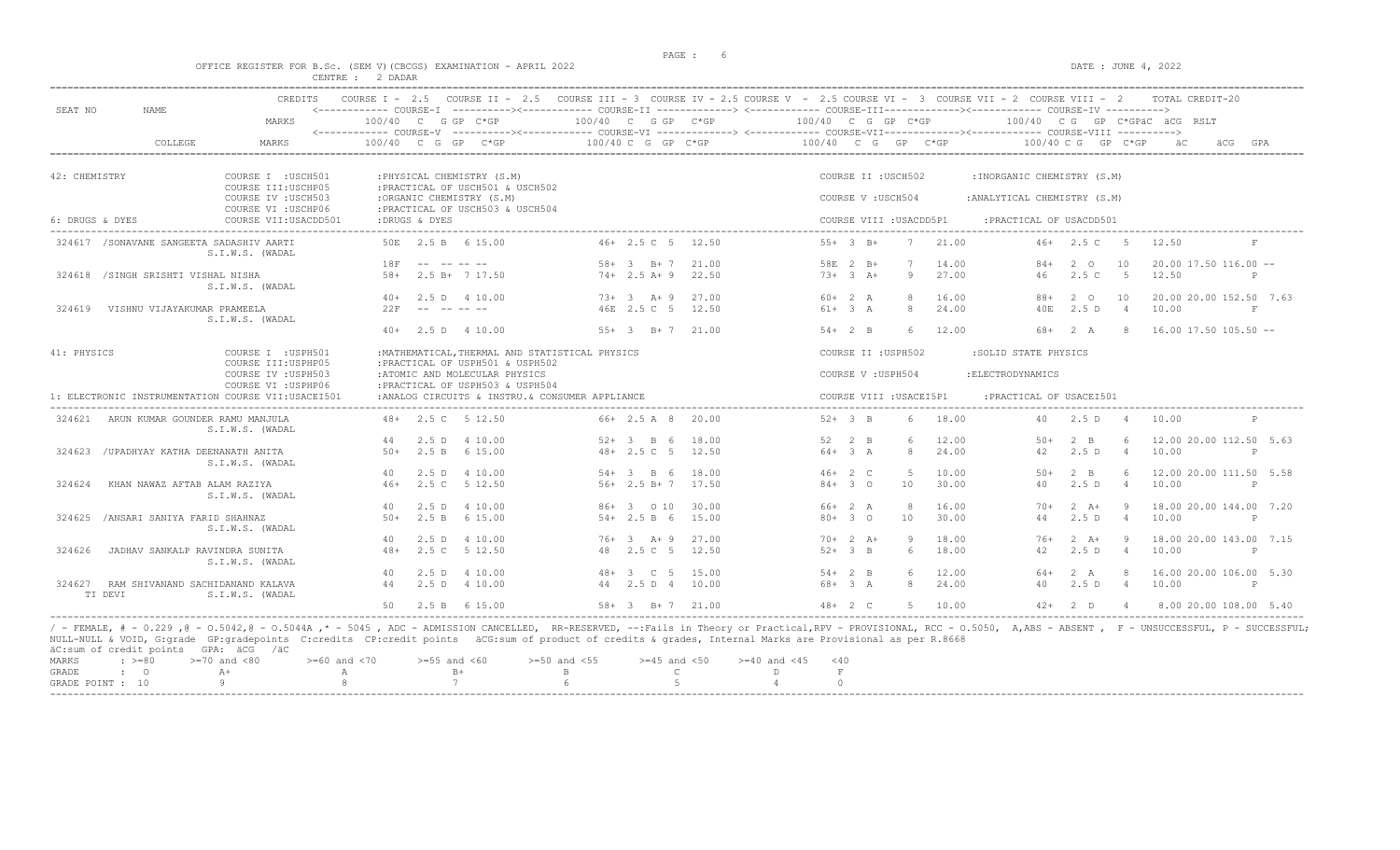example of the state of the state of the state of the state of the state of the state of the state of the state of the state of the state of the state of the state of the state of the state of the state of the state of the

DATE : JUNE  $4, 2022$ 

|  |  |                  |  | OFFICE REGISTER FOR B.SC. (SEM V)(CBCGS) EXAMINATION - APRIL 2022 |  |  |
|--|--|------------------|--|-------------------------------------------------------------------|--|--|
|  |  | CENTRE : 2 DADAR |  |                                                                   |  |  |

| SEAT NO<br><b>NAME</b>                                | CREDITS                                    | COURSE $I - 2.5$                             |                 |                                                                  | COURSE II - 2.5 COURSE III - 3 COURSE IV - 2.5 COURSE V - 2.5 COURSE VI - 3 COURSE VII - 2 COURSE VIII - 2<br><------------ COURSE-T -----------><----------- COURSE-TT --------------> <------------ COURSE-TU COURSE-TV -----------> |                                   |                |                      |                        |                     |                         |                |                              |                            |                            | TOTAL CREDIT-20                  |              |
|-------------------------------------------------------|--------------------------------------------|----------------------------------------------|-----------------|------------------------------------------------------------------|----------------------------------------------------------------------------------------------------------------------------------------------------------------------------------------------------------------------------------------|-----------------------------------|----------------|----------------------|------------------------|---------------------|-------------------------|----------------|------------------------------|----------------------------|----------------------------|----------------------------------|--------------|
|                                                       | MARKS                                      | 100/40 C G GP C*GP<br><------------ COURSE-V |                 |                                                                  | ----------><------------ COURSE-VI ------------> <------------ COURSE-VII----------------<<--------- COURSE-VIII ----------->                                                                                                          | $100/40$ C G GP C*GP              |                | $100/40$ C G GP C*GP |                        |                     |                         |                |                              |                            |                            | 100/40 CG GP C*GPAC ACG RSLT     |              |
| COLLEGE                                               | <b>MARKS</b>                               | 100/40<br>$\overline{C}$                     | G<br>GP         | $C*GP$                                                           |                                                                                                                                                                                                                                        | 100/40 C G GP C*GP                |                | 100/40 C G           |                        |                     | GP                      | $C*GP$         | 100/40 C G                   |                            | GP<br>C*GP                 | äCG                              | GPA          |
| 42: CHEMISTRY                                         | COURSE I : USCH501<br>COURSE III: USCHP05  |                                              |                 | : PHYSICAL CHEMISTRY (S.M)<br>: PRACTICAL OF USCH501 & USCH502   |                                                                                                                                                                                                                                        |                                   |                |                      |                        |                     | COURSE II : USCH502     |                | : INORGANIC CHEMISTRY (S.M)  |                            |                            |                                  |              |
|                                                       | COURSE IV : USCH503<br>COURSE VI : USCHP06 |                                              |                 | :ORGANIC CHEMISTRY (S.M)<br>: PRACTICAL OF USCH503 & USCH504     |                                                                                                                                                                                                                                        |                                   |                |                      |                        | COURSE V: USCH504   |                         |                | : ANALYTICAL CHEMISTRY (S.M) |                            |                            |                                  |              |
| 6: DRUGS & DYES                                       | COURSE VII: USACDD501                      | :DRUGS & DYES                                |                 |                                                                  |                                                                                                                                                                                                                                        |                                   |                |                      |                        |                     | COURSE VIII : USACDD5P1 |                | : PRACTICAL OF USACDD501     |                            |                            |                                  |              |
| 324617 / SONAVANE SANGEETA SADASHIV AARTI             | S.I.W.S. (WADAL                            |                                              |                 | 50E 2.5 B 6 15.00                                                |                                                                                                                                                                                                                                        | $46+2.5C=5$                       | 12.50          |                      |                        | $55+3$ B+           | $\overline{7}$          | 21.00          | 46+                          | 2.5 C                      | - 5                        | 12.50                            |              |
| 324618 /SINGH SRISHTI VISHAL NISHA                    | S.I.W.S. (WADAL                            | 18F<br>$58+$                                 |                 | $2.5 B+ 7 17.50$                                                 | $58+$                                                                                                                                                                                                                                  | $3 \t B+7$<br>$74+2.5$ A+9        | 21.00<br>22.50 |                      |                        | 58E 2 B+<br>$73+3+$ | 9                       | 14.00<br>27.00 | $84+$<br>46                  | $2^{\circ}$<br>2.5C        | 10<br>$-5$                 | $20.00$ 17.50 116.00 --<br>12.50 | P            |
| VISHNU VIJAYAKUMAR PRAMEELA<br>324619                 |                                            | $40+$<br>22F                                 | $  \,$          | 2.5 D 4 10.00<br>-- -- --                                        |                                                                                                                                                                                                                                        | $73+3+9$<br>46E 2.5 C 5           | 27.00<br>12.50 |                      | $60+2 A$<br>$61+3 A$   |                     | 8<br>8                  | 16.00<br>24.00 | $88+$<br>40E                 | $2^{\circ}$<br>2.5D        | 10<br>$\overline{4}$       | 20.00 20.00 152.50 7.63<br>10.00 | $_{\rm F}$   |
|                                                       | S.I.W.S. (WADAL                            | $40+$                                        |                 | 2.5 D 4 10.00                                                    |                                                                                                                                                                                                                                        | $55+3$ B+7 21.00                  |                |                      |                        | $54+2$ B            | 6                       | 12.00          | 68+                          | 2 A                        | -8                         | $16.00$ 17.50 105.50 --          |              |
| 41: PHYSICS                                           | COURSE I : USPH501<br>COURSE III: USPHP05  |                                              |                 | :PRACTICAL OF USPH501 & USPH502                                  | : MATHEMATICAL, THERMAL AND STATISTICAL PHYSICS                                                                                                                                                                                        |                                   |                |                      |                        |                     | COURSE II : USPH502     |                | :SOLID STATE PHYSICS         |                            |                            |                                  |              |
|                                                       | COURSE IV : USPH503<br>COURSE VI : USPHP06 |                                              |                 | :ATOMIC AND MOLECULAR PHYSICS<br>:PRACTICAL OF USPH503 & USPH504 |                                                                                                                                                                                                                                        |                                   |                |                      |                        | COURSE V: USPH504   |                         |                | : ELECTRODYNAMICS            |                            |                            |                                  |              |
| 1: ELECTRONIC INSTRUMENTATION COURSE VII: USACEI501   |                                            |                                              |                 |                                                                  | :ANALOG CIRCUITS & INSTRU. & CONSUMER APPLIANCE                                                                                                                                                                                        |                                   |                |                      |                        |                     | COURSE VIII : USACEI5P1 |                | : PRACTICAL OF USACEI501     |                            |                            |                                  |              |
| 324621<br>ARUN KUMAR GOUNDER RAMU MANJULA             | S.I.W.S. (WADAL                            | $48+$                                        |                 | 2.5 C 5 12.50                                                    |                                                                                                                                                                                                                                        | $66+2.5A8$                        | 20.00          |                      | $52 + 3$ B             |                     | $6^{\circ}$             | 18.00          | 40                           | 2.5D                       | - 4                        | 10.00                            |              |
| /UPADHYAY KATHA DEENANATH ANITA<br>324623             | S.I.W.S. (WADAL                            | $50+$                                        | 2.5D<br>2.5 B   | 4 10.00<br>6 15.00                                               |                                                                                                                                                                                                                                        | - 6<br>$52+3$ B<br>$48 + 2.5$ C 5 | 18.00<br>12.50 | $52 -$               | $64+3 A$               | $2 \quad B$         | 6<br>8                  | 12.00<br>24.00 | $50+$<br>42                  | $2 \quad B$<br>2.5D        | $\overline{4}$             | 12.00 20.00 112.50 5.63<br>10.00 | P            |
| 324624<br>KHAN NAWAZ AFTAB ALAM RAZIYA                | S.I.W.S. (WADAL                            | 40<br>$46+$                                  | 2.5D<br>2.5C    | 4 10.00<br>5 12.50                                               |                                                                                                                                                                                                                                        | $54 + 3$ B 6<br>$56+2.5 B+7$      | 18.00<br>17.50 |                      | $46+2$ C<br>$84 + 30$  |                     | $\overline{5}$<br>10    | 10.00<br>30.00 | $50+$<br>40                  | $2 \quad B$<br>2.5D        | 6<br>$\overline{4}$        | 12.00 20.00 111.50 5.58<br>10.00 | P            |
| /ANSARI SANIYA FARID SHAHNAZ<br>324625                | S.I.W.S. (WADAL                            | 40<br>$50+$                                  | 2.5 B           | 2.5 D 4 10.00<br>6 15.00                                         |                                                                                                                                                                                                                                        | 86+ 3 0 10<br>$54 + 2.5 B 6$      | 30.00<br>15.00 |                      | $66+2 A$               | $80+30$             | 8<br>10                 | 16.00<br>30.00 | $70+$<br>44                  | $2 \overline{A}$<br>2.5D   | - 9<br>$\overline{4}$      | 18.00 20.00 144.00 7.20<br>10.00 | $\mathbb{P}$ |
| 324626<br>JADHAV SANKALP RAVINDRA SUNITA              | S.I.W.S. (WADAL                            | 40<br>$48+$                                  | 2.5D<br>2.5C    | 4 10.00<br>5 12.50                                               | 76+<br>48                                                                                                                                                                                                                              | $3 + 9$<br>2.5 C 5                | 27.00<br>12.50 |                      | $52+3$ B               | $70+2 A+$           | Q<br>6                  | 18.00<br>18.00 | 76+<br>42                    | $2 \overline{A}$ +<br>2.5D | <b>q</b><br>$\overline{4}$ | 18.00 20.00 143.00 7.15<br>10.00 | P            |
| 324627<br>RAM SHIVANAND SACHIDANAND KALAVA<br>TI DEVI | S.I.W.S. (WADAL                            | 40<br>44                                     | 2.5D<br>$2.5$ D | 4 10.00<br>4 10.00                                               | $48+$                                                                                                                                                                                                                                  | 3 C 5<br>44 2.5 D 4               | 15.00<br>10.00 |                      | $54+2$ B<br>$68 + 3 A$ |                     | 8                       | 12.00<br>24.00 | 64+<br>40                    | 2 A<br>2.5D                | 8<br>$\overline{4}$        | 16.00 20.00 106.00 5.30<br>10.00 | P            |
|                                                       |                                            | 50                                           |                 | 2.5 B 6 15.00                                                    |                                                                                                                                                                                                                                        | $58 + 3$ B + 7 21.00              |                |                      | $48 + 2 C$             |                     | $5 -$                   | 10.00          | $42+$                        | $2$ D                      | $\overline{4}$             | 8.00 20.00 108.00 5.40           |              |

----------------------------------------------------------------------------------------------------------------------------------------------------------------------------------------------------------------------- / - FEMALE, # - 0.229 ,@ - O.5042,@ - O.5044A ,\* - 5045 , ADC - ADMISSION CANCELLED, RR-RESERVED, --:Fails in Theory or Practical,RPV - PROVISIONAL, RCC - O.5050, A,ABS - ABSENT , F - UNSUCCESSFUL, P - SUCCESSFUL; NULL-NULL & VOID, G:grade GP:gradepoints C:credits CP:credit points äCG:sum of product of credits & grades, Internal Marks are Provisional as per R.8668 äC:sum of credit points GPA: äCG /äC

|  |              | MARKS : >=80 >=70 and <80 >=60 and <70 >=55 and <60 >=50 and <55 >=45 and <50 >=40 and <45 <40 |  |  |  |  |  |
|--|--------------|------------------------------------------------------------------------------------------------|--|--|--|--|--|
|  | GRADE : O A+ | A B+ B+ B+                                                                                     |  |  |  |  |  |
|  |              | GRADE POINT : $10$ 9 8 7 6 5 5 4                                                               |  |  |  |  |  |
|  |              |                                                                                                |  |  |  |  |  |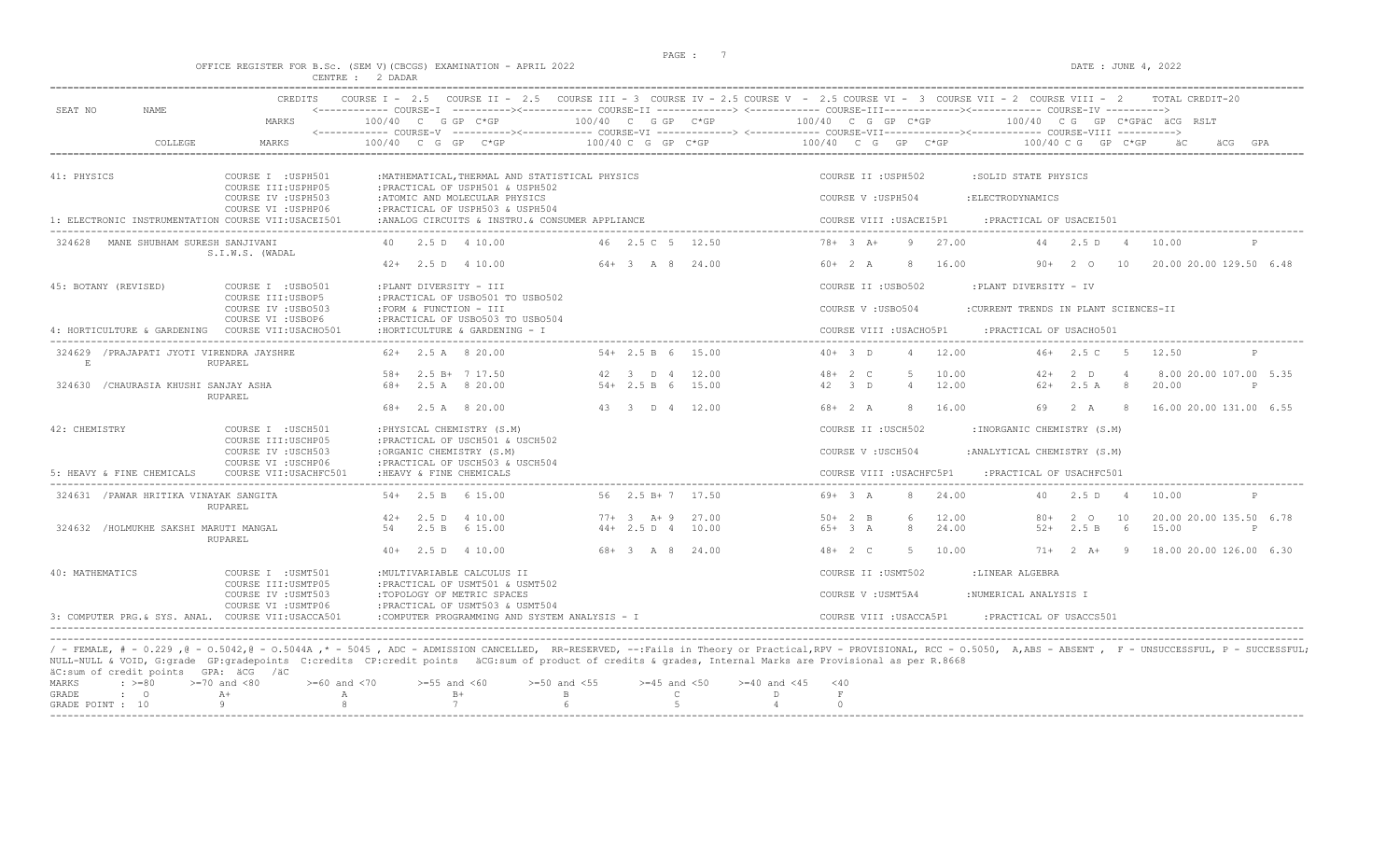$DATA: JUNE 4, 2022$ 

|  |  |  |                  | OFFICE REGISTER FOR B.SC. (SEM V)(CBCGS) EXAMINATION - APRIL 2022 |  |  |
|--|--|--|------------------|-------------------------------------------------------------------|--|--|
|  |  |  | CENTRE : 2 DADAR |                                                                   |  |  |

| SEAT NO<br><b>NAME</b>                             | MARKS                                         | $100/40$ C G GP C*GP                                                                | 100/40 C G GP C*GP      | 100/40 C G GP C*GP<br>100/40 CG GP C*GPÄC ÄCG RSLT                                |
|----------------------------------------------------|-----------------------------------------------|-------------------------------------------------------------------------------------|-------------------------|-----------------------------------------------------------------------------------|
|                                                    |                                               |                                                                                     |                         |                                                                                   |
| COLLEGE                                            | MARKS                                         | 100/40<br>$C$ G GP                                                                  | $100/40$ C G GP C*GP    | $100/40$ C G GP C*GP<br>$100/40 \, C \, G$<br>GP C*GP                             |
| 41: PHYSICS                                        | COURSE I : USPH501<br>COURSE III: USPHP05     | : MATHEMATICAL, THERMAL AND STATISTICAL PHYSICS<br>: PRACTICAL OF USPH501 & USPH502 |                         | COURSE II : USPH502<br>:SOLID STATE PHYSICS                                       |
|                                                    | COURSE IV : USPH503<br>COURSE VI : USPHP06    | :ATOMIC AND MOLECULAR PHYSICS<br>: PRACTICAL OF USPH503 & USPH504                   |                         | COURSE V: USPH504<br>: ELECTRODYNAMICS                                            |
| 1: ELECTRONIC INSTRUMENTATION COURSE VII:USACEI501 |                                               | :ANALOG CIRCUITS & INSTRU. & CONSUMER APPLIANCE                                     |                         | COURSE VIII : USACEI5P1<br>: PRACTICAL OF USACEI501<br>___________________        |
| MANE SHUBHAM SURESH SANJIVANI<br>324628            | S.I.W.S. (WADAL                               | 40 2.5 D 4 10.00                                                                    | 46 2.5 C 5 12.50        | $78 + 3$ A+<br>9<br>27.00<br>2.5D<br>44<br>10.00<br>$\overline{a}$                |
|                                                    |                                               | $42+$ 2.5 D 4 10.00                                                                 | $64 + 3$ A 8 24.00      | 20.00 20.00 129.50 6.48<br>$60+2 A$<br>8<br>16.00<br>90+<br>2 0<br>10             |
| 45: BOTANY (REVISED)                               | COURSE I : USB0501<br>COURSE III: USBOP5      | :PLANT DIVERSITY - III<br>: PRACTICAL OF USB0501 TO USB0502                         |                         | COURSE II : USB0502<br>:PLANT DIVERSITY - IV                                      |
|                                                    | COURSE IV : USB0503<br>COURSE VI : USBOP6     | :FORM & FUNCTION - III<br>: PRACTICAL OF USB0503 TO USB0504                         |                         | COURSE V: USB0504<br>:CURRENT TRENDS IN PLANT SCIENCES-II                         |
| 4: HORTICULTURE & GARDENING                        | COURSE VII:USACHO501                          | :HORTICULTURE & GARDENING - I                                                       |                         | COURSE VIII : USACHO5P1<br>: PRACTICAL OF USACH0501                               |
| 324629 / PRAJAPATI JYOTI VIRENDRA JAYSHRE<br>E     | RUPAREL                                       | $62+$ 2.5 A 8 20.00                                                                 | $54+2.5 B 6 15.00$      | $40+3$ D<br>12.00<br>$46+2.5C$<br>5<br>12.50<br>$\overline{4}$<br>P               |
|                                                    |                                               | $58 + 2.5 B + 7 17.50$                                                              | 12.00<br>42 3 D 4       | 10.00<br>8.00 20.00 107.00 5.35<br>$48 + 2 C$<br>$\overline{5}$<br>$2$ D<br>$42+$ |
| 324630<br>/CHAURASIA KHUSHI SANJAY ASHA            | RUPAREL                                       | 2.5 A 8 20.00<br>68+                                                                | $54 + 2.5 B 6$<br>15.00 | 42 3 D<br>12.00<br>$62+$<br>2.5A<br>20.00<br>$\overline{4}$<br>8                  |
|                                                    |                                               | 68+ 2.5 A 8 20.00                                                                   | 43 3 D 4 12.00          | $68 + 2 A$<br>16.00<br>16.00 20.00 131.00 6.55<br>-8<br>69<br>2 A<br>- 8          |
| 42: CHEMISTRY                                      | COURSE I : USCH501<br>COURSE III: USCHP05     | : PHYSICAL CHEMISTRY (S.M)<br>: PRACTICAL OF USCH501 & USCH502                      |                         | COURSE II : USCH502<br>:INORGANIC CHEMISTRY (S.M)                                 |
|                                                    | COURSE IV : USCH503                           | :ORGANIC CHEMISTRY (S.M)                                                            |                         | COURSE V: USCH504<br>: ANALYTICAL CHEMISTRY (S.M)                                 |
| 5: HEAVY & FINE CHEMICALS                          | COURSE VI : USCHP06<br>COURSE VII: USACHFC501 | : PRACTICAL OF USCH503 & USCH504<br>: HEAVY & FINE CHEMICALS                        |                         | COURSE VIII : USACHFC5P1<br>: PRACTICAL OF USACHFC501                             |
| 324631 / PAWAR HRITIKA VINAYAK SANGITA             | <b>RUPAREL</b>                                | $54+$ 2.5 B 6 15.00                                                                 | 56 2.5 B+ 7 17.50       | $69+3 A$<br>8<br>24.00<br>2.5 D<br>10.00<br>P<br>40<br>$\overline{4}$             |
|                                                    |                                               | $42+$ 2.5 D 4 10.00                                                                 | $77+3$ $A+9$<br>27.00   | $50+2$ B<br>$\epsilon$<br>12.00<br>20.00 20.00 135.50 6.78<br>$80+$<br>2 0<br>10  |
| 324632 /HOLMUKHE SAKSHI MARUTI MANGAL              | RUPAREL                                       | 6 15.00<br>2.5 B<br>54                                                              | $44 + 2.5$ D $4$ 10.00  | $65+3A$<br>8<br>24.00<br>2.5 B<br>15.00<br>$52+$<br>6<br>P                        |
|                                                    |                                               | $40+$ 2.5 D 4 10.00                                                                 | 68+ 3 A 8 24.00         | 10.00<br>$48 + 2 C$<br>5<br>$71+$ 2 A+ 9<br>18.00 20.00 126.00 6.30               |
| 40: MATHEMATICS                                    | COURSE I : USMT501                            | : MULTIVARIABLE CALCULUS II                                                         |                         | COURSE II : USMT502<br>:LINEAR ALGEBRA                                            |
|                                                    | COURSE III: USMTP05<br>COURSE IV : USMT503    | :PRACTICAL OF USMT501 & USMT502<br>:TOPOLOGY OF METRIC SPACES                       |                         | COURSE V : USMT5A4<br>:NUMERICAL ANALYSIS I                                       |
|                                                    | COURSE VI : USMTP06                           | : PRACTICAL OF USMT503 & USMT504                                                    |                         |                                                                                   |
| 3: COMPUTER PRG. & SYS. ANAL. COURSE VII:USACCA501 |                                               | : COMPUTER PROGRAMMING AND SYSTEM ANALYSIS - I                                      |                         | COURSE VIII : USACCA5P1<br>PRACTICAL OF USACCS501                                 |
|                                                    |                                               |                                                                                     |                         |                                                                                   |

|  |  | MARKS : >=80 >=70 and <80 >=60 and <70 >=55 and <60 >=50 and <55 >=45 and <50 >=40 and <45 <40 |  |  |  |
|--|--|------------------------------------------------------------------------------------------------|--|--|--|
|  |  |                                                                                                |  |  |  |
|  |  | GRADE POINT : $10$ 9 8 7 6 5 5 4 0                                                             |  |  |  |
|  |  |                                                                                                |  |  |  |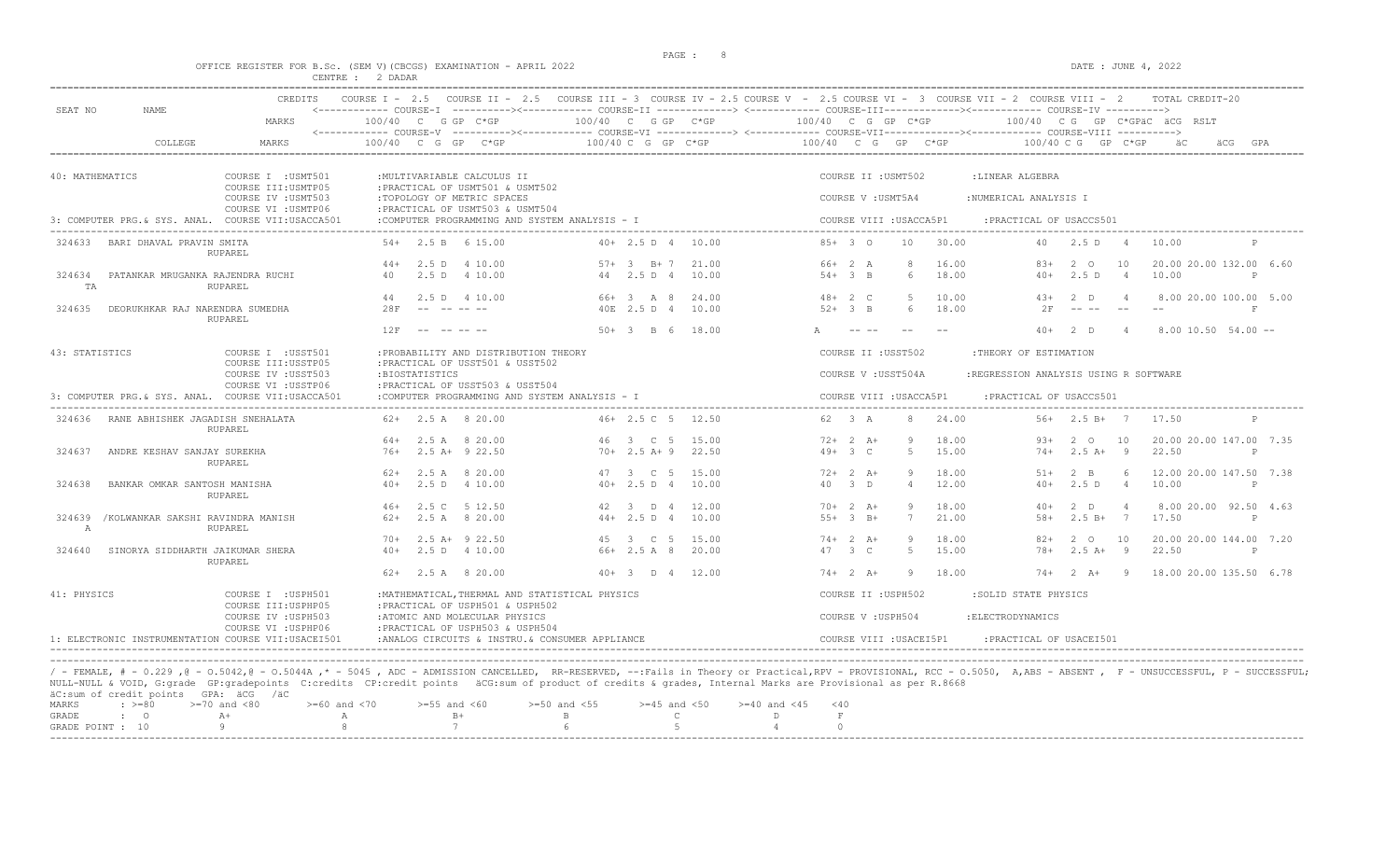#### OFFICE REGISTER FOR B.Sc. (SEM V)(CBCGS) EXAMINATION - APRIL 2022 DATE : JUNE 4, 2022 CENTRE : 2 DADAR

| SEAT NO         | NAME.                                   | MARKS                                                             | 100/40 C G GP C*GP |                        |                                                                                                    | 100/40 C G GP C*GP                               |                    |       | 100/40 C G GP C*GP |           |                     |                         | <------------ COURSE-I ----------><----------- COURSE-II -------------> <------------ COURSE-III------------><----------- COURSE-IV ----------> |                                                                                                                                                                                                                                                                                                                                                                                              |                | 100/40 CG GP C*GPäC äCG RSLT |              |
|-----------------|-----------------------------------------|-------------------------------------------------------------------|--------------------|------------------------|----------------------------------------------------------------------------------------------------|--------------------------------------------------|--------------------|-------|--------------------|-----------|---------------------|-------------------------|-------------------------------------------------------------------------------------------------------------------------------------------------|----------------------------------------------------------------------------------------------------------------------------------------------------------------------------------------------------------------------------------------------------------------------------------------------------------------------------------------------------------------------------------------------|----------------|------------------------------|--------------|
|                 | COLLEGE                                 | MARKS                                                             | 100/40 C G GP C*GP |                        |                                                                                                    |                                                  | 100/40 C G GP C*GP |       | 100/40 C G GP C*GP |           |                     |                         |                                                                                                                                                 | 100/40 C G GP C*GP                                                                                                                                                                                                                                                                                                                                                                           |                | äC                           | GPA          |
| 40: MATHEMATICS |                                         | COURSE I : USMT501                                                |                    |                        | : MULTIVARIABLE CALCULUS II                                                                        |                                                  |                    |       |                    |           | COURSE II : USMT502 |                         | :LINEAR ALGEBRA                                                                                                                                 |                                                                                                                                                                                                                                                                                                                                                                                              |                |                              |              |
|                 |                                         | COURSE III: USMTP05<br>COURSE IV : USMT503<br>COURSE VI : USMTP06 |                    |                        | : PRACTICAL OF USMT501 & USMT502<br>:TOPOLOGY OF METRIC SPACES<br>: PRACTICAL OF USMT503 & USMT504 |                                                  |                    |       |                    |           | COURSE V : USMT5A4  |                         | :NUMERICAL ANALYSIS I                                                                                                                           |                                                                                                                                                                                                                                                                                                                                                                                              |                |                              |              |
|                 |                                         | 3: COMPUTER PRG.& SYS. ANAL. COURSE VII:USACCA501                 |                    |                        |                                                                                                    | :COMPUTER PROGRAMMING AND SYSTEM ANALYSIS - I    |                    |       |                    |           |                     | COURSE VIII : USACCA5P1 | : PRACTICAL OF USACCS501                                                                                                                        |                                                                                                                                                                                                                                                                                                                                                                                              |                |                              |              |
| 324633          | BARI DHAVAL PRAVIN SMITA                | RUPAREL                                                           |                    | $54+$ 2.5 B 6 15.00    |                                                                                                    |                                                  | 40+ 2.5 D 4 10.00  |       | $85+30$            |           | 10 <sup>°</sup>     | 30.00                   | 40                                                                                                                                              | 2.5 D                                                                                                                                                                                                                                                                                                                                                                                        | $\overline{4}$ | 10.00                        |              |
|                 |                                         |                                                                   | $44+$              | 2.5 D 4 10.00          |                                                                                                    |                                                  | $57 + 3$ B + 7     | 21.00 | $66+2 A$           |           |                     | 16.00                   | $8.3+$                                                                                                                                          | 2 O                                                                                                                                                                                                                                                                                                                                                                                          | 10             | 20.00 20.00 132.00 6.60      |              |
| 324634<br>TA    | PATANKAR MRUGANKA RAJENDRA RUCHI        | <b>RUPAREL</b>                                                    | 40                 | 2.5 D 4 10.00          |                                                                                                    |                                                  | 44 2.5 D 4         | 10.00 | $54 + 3 B$         |           | 6                   | 18.00                   | $40+$                                                                                                                                           | 2.5 D                                                                                                                                                                                                                                                                                                                                                                                        | $\overline{4}$ | 10.00                        | $\mathbb P$  |
|                 |                                         |                                                                   | 44                 | 2.5 D 4 10.00          |                                                                                                    |                                                  | 66+ 3 A 8          | 24.00 | $48 + 2 C$         |           | -5                  | 10.00                   | $43+$                                                                                                                                           | $2$ D                                                                                                                                                                                                                                                                                                                                                                                        | $\overline{4}$ | 8.00 20.00 100.00 5.00       |              |
| 324635          | DEORUKHKAR RAJ NARENDRA SUMEDHA         | <b>RUPAREL</b>                                                    | 28F                | $\sim$ $ -$<br>------- |                                                                                                    |                                                  | 40E 2.5 D 4        | 10.00 | $52+3$ B           |           | $6^{\circ}$         | 18.00                   | 2F                                                                                                                                              | $\frac{1}{2} \frac{1}{2} \frac{1}{2} \frac{1}{2} \frac{1}{2} \frac{1}{2} \frac{1}{2} \frac{1}{2} \frac{1}{2} \frac{1}{2} \frac{1}{2} \frac{1}{2} \frac{1}{2} \frac{1}{2} \frac{1}{2} \frac{1}{2} \frac{1}{2} \frac{1}{2} \frac{1}{2} \frac{1}{2} \frac{1}{2} \frac{1}{2} \frac{1}{2} \frac{1}{2} \frac{1}{2} \frac{1}{2} \frac{1}{2} \frac{1}{2} \frac{1}{2} \frac{1}{2} \frac{1}{2} \frac{$ | $-$            |                              | F            |
|                 |                                         |                                                                   | 12F                | ---------              |                                                                                                    |                                                  | $50+3$ B 6 18.00   |       |                    |           |                     |                         |                                                                                                                                                 | $40+2$ D                                                                                                                                                                                                                                                                                                                                                                                     | $\overline{4}$ | $8.00 10.50 54.00 -$         |              |
| 43: STATISTICS  |                                         | COURSE I : USST501<br>COURSE III: USSTP05                         |                    |                        | : PROBABILITY AND DISTRIBUTION THEORY<br>: PRACTICAL OF USST501 & USST502                          |                                                  |                    |       |                    |           | COURSE II : USST502 |                         | :THEORY OF ESTIMATION                                                                                                                           |                                                                                                                                                                                                                                                                                                                                                                                              |                |                              |              |
|                 |                                         | COURSE IV : USST503<br>COURSE VI : USSTP06                        |                    | :BIOSTATISTICS         | : PRACTICAL OF USST503 & USST504                                                                   |                                                  |                    |       |                    |           | COURSE V : USST504A |                         | :REGRESSION ANALYSIS USING R SOFTWARE                                                                                                           |                                                                                                                                                                                                                                                                                                                                                                                              |                |                              |              |
|                 |                                         | 3: COMPUTER PRG.& SYS. ANAL. COURSE VII:USACCA501                 |                    |                        |                                                                                                    | :COMPUTER PROGRAMMING AND SYSTEM ANALYSIS - I    |                    |       |                    |           |                     | COURSE VIII : USACCA5P1 | : PRACTICAL OF USACCS501                                                                                                                        |                                                                                                                                                                                                                                                                                                                                                                                              |                |                              |              |
|                 | 324636 RANE ABHISHEK JAGADISH SNEHALATA | <b>RUPAREL</b>                                                    |                    | $62+$ 2.5 A 8 20.00    |                                                                                                    |                                                  | $46+2.5C$ 5 12.50  |       | 62 3 A             |           | 8                   | 24.00                   |                                                                                                                                                 | $56+2.5 B+7$                                                                                                                                                                                                                                                                                                                                                                                 |                | 17.50                        |              |
|                 |                                         |                                                                   | 64+                | 2.5 A 8 20.00          |                                                                                                    |                                                  | 46 3 C 5           | 15.00 |                    | $72+2$ A+ |                     | 18.00                   | $93+$                                                                                                                                           | 2 0                                                                                                                                                                                                                                                                                                                                                                                          | 10             | 20.00 20.00 147.00 7.35      |              |
| 324637          | ANDRE KESHAV SANJAY SUREKHA             | RUPAREL                                                           | $76+$              | $2.5$ A+ $9$ 22.50     |                                                                                                    |                                                  | $70+2.5 A+9$       | 22.50 | $49+3$ C           |           | $5^{\circ}$         | 15.00                   | $74+$                                                                                                                                           | $2.5A+$                                                                                                                                                                                                                                                                                                                                                                                      | $\overline{9}$ | 22.50                        | P            |
|                 |                                         |                                                                   | $62+$              | 2.5 A 8 20.00          |                                                                                                    |                                                  | 47 3 C 5           | 15.00 |                    | $72+2+1$  |                     | 18.00                   | $51+$                                                                                                                                           | $2 \quad B$                                                                                                                                                                                                                                                                                                                                                                                  | $\kappa$       | 12.00 20.00 147.50 7.38      |              |
| 324638          | BANKAR OMKAR SANTOSH MANISHA            | <b>RUPAREL</b>                                                    | $40+$              | 2.5 D                  | 4 10.00                                                                                            |                                                  | $40+2.5 D 4$       | 10.00 |                    | 40 3 D    |                     | 12.00                   | $40+$                                                                                                                                           | 2.5D                                                                                                                                                                                                                                                                                                                                                                                         | $\overline{4}$ | 10.00                        | $\mathbb{P}$ |
|                 |                                         |                                                                   | $46+$              | 2.5 C                  | 5 12.50                                                                                            |                                                  | 42 3 D 4           | 12.00 |                    | $70+2 A+$ | -9                  | 18.00                   | $40+$                                                                                                                                           | $2$ D                                                                                                                                                                                                                                                                                                                                                                                        |                | 8.00 20.00 92.50 4.63        |              |
| 324639<br>A     | /KOLWANKAR SAKSHI RAVINDRA MANISH       | <b>RUPAREL</b>                                                    | $62+$              | 2.5 A 8 20.00          |                                                                                                    |                                                  | $44+2.5 D 4$       | 10.00 |                    | $55+3$ B+ | 7                   | 21.00                   | $58+$                                                                                                                                           | $2.5 B+ 7$                                                                                                                                                                                                                                                                                                                                                                                   |                | 17.50                        | $\mathbb P$  |
|                 |                                         |                                                                   | $70+$              | $2.5$ A+ $9$ 22.50     |                                                                                                    |                                                  | 45 3 C 5           | 15.00 |                    | $74+2 A+$ | 9                   | 18.00                   | $82+$                                                                                                                                           | 2 0                                                                                                                                                                                                                                                                                                                                                                                          | 10             | 20.00 20.00 144.00 7.20      |              |
| 324640          | SINORYA SIDDHARTH JAIKUMAR SHERA        | <b>RUPAREL</b>                                                    | $40+$              | 2.5 D 4 10.00          |                                                                                                    |                                                  | 66+ 2.5 A 8        | 20.00 |                    | 47 3 C    | -5                  | 15.00                   | $78+$                                                                                                                                           | $2.5 A+ 9$                                                                                                                                                                                                                                                                                                                                                                                   |                | 22.50                        | $\mathbb{P}$ |
|                 |                                         |                                                                   | $62+$              | 2.5 A 8 20.00          |                                                                                                    |                                                  | $40+3$ D $4$ 12.00 |       |                    | $74+2 A+$ | -9                  | 18.00                   | $74+$                                                                                                                                           | $2 A+ 9$                                                                                                                                                                                                                                                                                                                                                                                     |                | 18.00 20.00 135.50 6.78      |              |
| 41: PHYSICS     |                                         | COURSE I : USPH501<br>COURSE III: USPHP05                         |                    |                        | : PRACTICAL OF USPH501 & USPH502                                                                   | : MATHEMATICAL, THERMAL AND STATISTICAL PHYSICS  |                    |       |                    |           | COURSE II : USPH502 |                         | :SOLID STATE PHYSICS                                                                                                                            |                                                                                                                                                                                                                                                                                                                                                                                              |                |                              |              |
|                 |                                         | COURSE IV : USPH503<br>COURSE VI : USPHP06                        |                    |                        | :ATOMIC AND MOLECULAR PHYSICS<br>: PRACTICAL OF USPH503 & USPH504                                  |                                                  |                    |       |                    |           | COURSE V: USPH504   |                         | : ELECTRODYNAMICS                                                                                                                               |                                                                                                                                                                                                                                                                                                                                                                                              |                |                              |              |
|                 |                                         | 1: ELECTRONIC INSTRUMENTATION COURSE VII:USACEI501                |                    |                        |                                                                                                    | : ANALOG CIRCUITS & INSTRU. & CONSUMER APPLIANCE |                    |       |                    |           |                     | COURSE VIII : USACEI5P1 | : PRACTICAL OF USACEI501                                                                                                                        |                                                                                                                                                                                                                                                                                                                                                                                              |                |                              |              |

/ - FEMALE, # - 0.229 ,@ - 0.5042,@ - 0.5044A ,\* - 5045 , ADC - ADMISSION CANCELLED, RR-RESERVED, --:Fails in Theory or Practical,RPV - PROVISIONAL, RCC - 0.5050, A,ABS - ABSENT , F - UNSUCCESSFUL, P - SUCCESSFUL;<br>AULL-NUL

| GRADE POINT : 10 |           |                 | 8 7 6 5 4     |      |       |  |      |  |
|------------------|-----------|-----------------|---------------|------|-------|--|------|--|
|                  | GRADE : 0 |                 |               | $B+$ | R C D |  |      |  |
| MARKS            |           | >≕ /∪ anα < o ∪ | >=bu and < /u |      |       |  | – 40 |  |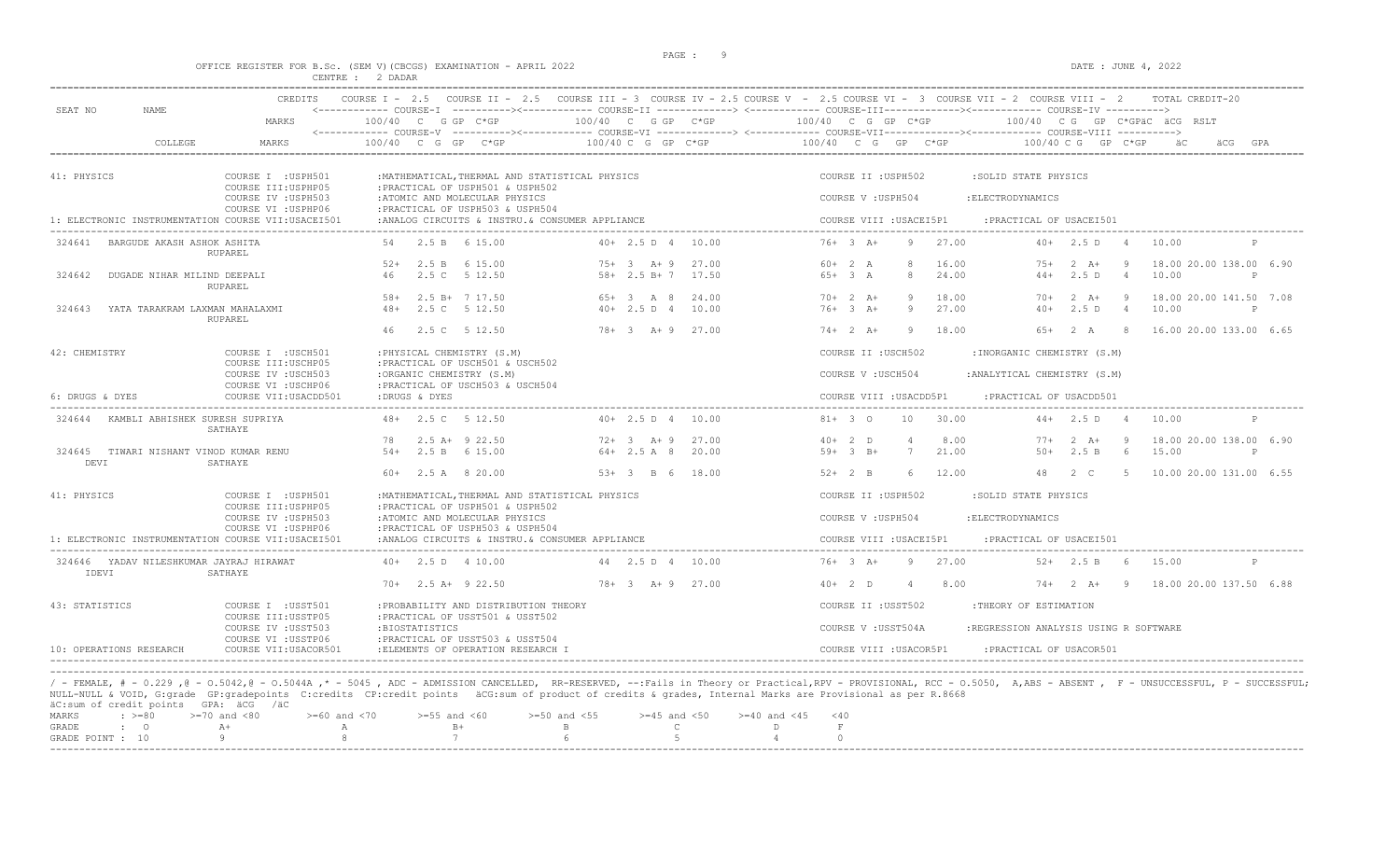# OFFICE REGISTER FOR B.Sc. (SEM V)(CBCGS) EXAMINATION - APRIL 2022<br>CENTRE : 2 DADAR<br>CENTRE : 2 DADAR

| SEAT NO<br>NAME                                    | MARKS                                        | $100/40$ C G GP C*GP                                                                | 100/40 C G GP C*GP              | <------------ COURSE-I ----------><----------- COURSE-II -------------> <------------ COURSE-III-----------><------------ COURSE-IV ---------->><br>100/40 C G GP C*GP<br>100/40 CG GP C*GPÄC ÄCG RSLT |  |
|----------------------------------------------------|----------------------------------------------|-------------------------------------------------------------------------------------|---------------------------------|--------------------------------------------------------------------------------------------------------------------------------------------------------------------------------------------------------|--|
| COLLEGE                                            | MARKS                                        | 100/40 C G GP C*GP                                                                  | 100/40 C G GP C*GP              | 100/40 C G GP C*GP<br>100/40 C G GP C*GP                                                                                                                                                               |  |
| 41: PHYSICS                                        | COURSE I : USPH501<br>COURSE III: USPHP05    | : MATHEMATICAL, THERMAL AND STATISTICAL PHYSICS<br>: PRACTICAL OF USPH501 & USPH502 |                                 | COURSE II : USPH502<br>:SOLID STATE PHYSICS                                                                                                                                                            |  |
|                                                    | COURSE IV : USPH503<br>COURSE VI : USPHP06   | :ATOMIC AND MOLECULAR PHYSICS<br>:PRACTICAL OF USPH503 & USPH504                    |                                 | COURSE V : USPH504<br>: ELECTRODYNAMICS                                                                                                                                                                |  |
| 1: ELECTRONIC INSTRUMENTATION COURSE VII:USACEI501 |                                              | :ANALOG CIRCUITS & INSTRU. & CONSUMER APPLIANCE                                     |                                 | COURSE VIII : USACEI5P1<br>: PRACTICAL OF USACEI501                                                                                                                                                    |  |
| BARGUDE AKASH ASHOK ASHITA<br>324641               | RUPAREL                                      | 2.5 B 6 15.00                                                                       | $40+2.5 D 4$<br>10.00           | $76 + 3$ $\overline{A}$ +<br>27.00<br>9<br>$40+$<br>2.5 D<br>10.00<br>$\overline{4}$                                                                                                                   |  |
|                                                    |                                              | 2.5 B 6 15.00<br>$52+$                                                              | $75+3$ A + 9<br>27.00           | $60+2 A$<br>8<br>16.00<br>18.00 20.00 138.00 6.90<br>$75+$<br>$2 \overline{A}$ +<br>-9                                                                                                                 |  |
| 324642<br>DUGADE NIHAR MILIND DEEPALI              | <b>RUPAREL</b>                               | 2.5 C 5 12.50<br>46                                                                 | $58 + 2.5 B + 7$<br>17.50       | $65+3A$<br>24.00<br>2.5D<br>10.00<br>8<br>$44+$<br>$\overline{4}$<br>P                                                                                                                                 |  |
|                                                    |                                              | 2.5 B+ 7 17.50<br>$58+$                                                             | $65+3$ A 8<br>24.00             | 18.00<br>$70+2 A+$<br>$2 \overline{A}$ +<br>18.00 20.00 141.50 7.08<br>$70+$<br>- 9                                                                                                                    |  |
| 324643<br>YATA TARAKRAM LAXMAN MAHALAXMI           | RUPAREL                                      | 2.5 C 5 12.50<br>$48+$                                                              | 10.00<br>$40+2.5 D 4$           | 27.00<br>$76+3$ $A+$<br>2.5D<br>10.00<br>9<br>$40+$<br>$\overline{4}$<br>P                                                                                                                             |  |
|                                                    |                                              | 2.5 C 5 12.50<br>46                                                                 | $78 + 3$ $\lambda + 9$<br>27.00 | $74+2 A+$<br>18.00<br>$6.5+$<br>2A<br>16.00 20.00 133.00 6.65<br>Q<br>- 8                                                                                                                              |  |
| 42: CHEMISTRY                                      | COURSE I : USCH501<br>COURSE III: USCHP05    | : PHYSICAL CHEMISTRY (S.M)<br>: PRACTICAL OF USCH501 & USCH502                      |                                 | COURSE II : USCH502<br>: INORGANIC CHEMISTRY (S.M)                                                                                                                                                     |  |
|                                                    | COURSE IV : USCH503<br>COURSE VI : USCHP06   | :ORGANIC CHEMISTRY (S.M)<br>: PRACTICAL OF USCH503 & USCH504                        |                                 | COURSE V: USCH504<br>: ANALYTICAL CHEMISTRY (S.M)                                                                                                                                                      |  |
| 6: DRUGS & DYES                                    | COURSE VII: USACDD501                        | :DRUGS & DYES                                                                       |                                 | COURSE VIII : USACDD5P1<br>: PRACTICAL OF USACDD501                                                                                                                                                    |  |
| KAMBLI ABHISHEK SURESH SUPRIYA<br>324644           | SATHAYE                                      | 48+ 2.5 C 5 12.50                                                                   | $40+2.5 D 4$<br>10.00           | 30.00<br>$44+2.5 D$<br>$81+ 3 0$<br>10<br>10.00                                                                                                                                                        |  |
|                                                    |                                              | $2.5$ A+ $9$ 22.50<br>78                                                            | $72+3$ A + 9<br>27.00           | 8.00<br>18.00 20.00 138.00 6.90<br>$40+2$ D<br>4<br>$77+$<br>$2 \overline{A}$<br>-9                                                                                                                    |  |
| 324645 TIWARI NISHANT VINOD KUMAR RENU<br>DEVI     | SATHAYE                                      | $.54+$<br>2.5 B 6 15.00                                                             | $64 + 2.5$ A 8<br>20.00         | 21.00<br>$59+3$ B+<br>7<br>$50+$<br>2.5 B<br>6<br>15.00<br>P                                                                                                                                           |  |
|                                                    |                                              | $60+$ 2.5 A 8 20.00                                                                 | $53+3$ B 6<br>18.00             | $52+2$ B<br>12.00<br>48<br>2 C<br>10.00 20.00 131.00 6.55<br>-6<br>-5                                                                                                                                  |  |
| 41: PHYSICS                                        | COURSE I : USPH501                           | : MATHEMATICAL, THERMAL AND STATISTICAL PHYSICS                                     |                                 | COURSE II : USPH502<br>:SOLID STATE PHYSICS                                                                                                                                                            |  |
|                                                    | COURSE III: USPHP05<br>COURSE IV : USPH503   | : PRACTICAL OF USPH501 & USPH502<br>:ATOMIC AND MOLECULAR PHYSICS                   |                                 | COURSE V : USPH504<br>: ELECTRODYNAMICS                                                                                                                                                                |  |
| 1: ELECTRONIC INSTRUMENTATION COURSE VII:USACEI501 | COURSE VI : USPHP06                          | : PRACTICAL OF USPH503 & USPH504<br>:ANALOG CIRCUITS & INSTRU. & CONSUMER APPLIANCE |                                 | COURSE VIII : USACEI5P1<br>: PRACTICAL OF USACEI501                                                                                                                                                    |  |
| 324646 YADAV NILESHKUMAR JAYRAJ HIRAWAT<br>IDEVI   | SATHAYE                                      | $40+$ 2.5 D 4 10.00                                                                 | 44  2.5  D  4  10.00            | $76+3 A+$<br>27.00<br>$52+$ 2.5 B<br>15.00<br>9<br>6 <sup>6</sup><br>P                                                                                                                                 |  |
|                                                    |                                              | $70+$ 2.5 A+ 9 22.50                                                                | $78 + 3 + 9$ 27.00              | $40+2$ D<br>8.00<br>$2 \quad A+$<br>18.00 20.00 137.50 6.88<br>$74+$<br>9<br>$\overline{4}$                                                                                                            |  |
| 43: STATISTICS                                     | COURSE I : USST501<br>COURSE III: USSTP05    | : PROBABILITY AND DISTRIBUTION THEORY<br>: PRACTICAL OF USST501 & USST502           |                                 | COURSE II : USST502<br>:THEORY OF ESTIMATION                                                                                                                                                           |  |
|                                                    | COURSE IV : USST503                          | :BIOSTATISTICS                                                                      |                                 | COURSE V: USST504A<br>:REGRESSION ANALYSIS USING R SOFTWARE                                                                                                                                            |  |
| 10: OPERATIONS RESEARCH                            | COURSE VI : USSTP06<br>COURSE VII: USACOR501 | : PRACTICAL OF USST503 & USST504<br>:ELEMENTS OF OPERATION RESEARCH I               |                                 | COURSE VIII : USACOR5P1<br>: PRACTICAL OF USACOR501                                                                                                                                                    |  |
|                                                    |                                              |                                                                                     |                                 |                                                                                                                                                                                                        |  |

|  | ac.od. Or creare points of and yac |                                                                                                |      |                                                                 |  |  |  |  |
|--|------------------------------------|------------------------------------------------------------------------------------------------|------|-----------------------------------------------------------------|--|--|--|--|
|  |                                    | MARKS : >=80 >=70 and <80 >=60 and <70 >=55 and <60 >=50 and <55 >=45 and <50 >=40 and <45 <40 |      |                                                                 |  |  |  |  |
|  | GRADE : O A+                       |                                                                                                | $R+$ | $\mathbf{B}$ and $\mathbf{B}$ and $\mathbf{B}$ and $\mathbf{B}$ |  |  |  |  |
|  |                                    | GRADE POINT : $10$ 9 8 7 7 6 5 5                                                               |      |                                                                 |  |  |  |  |
|  |                                    |                                                                                                |      |                                                                 |  |  |  |  |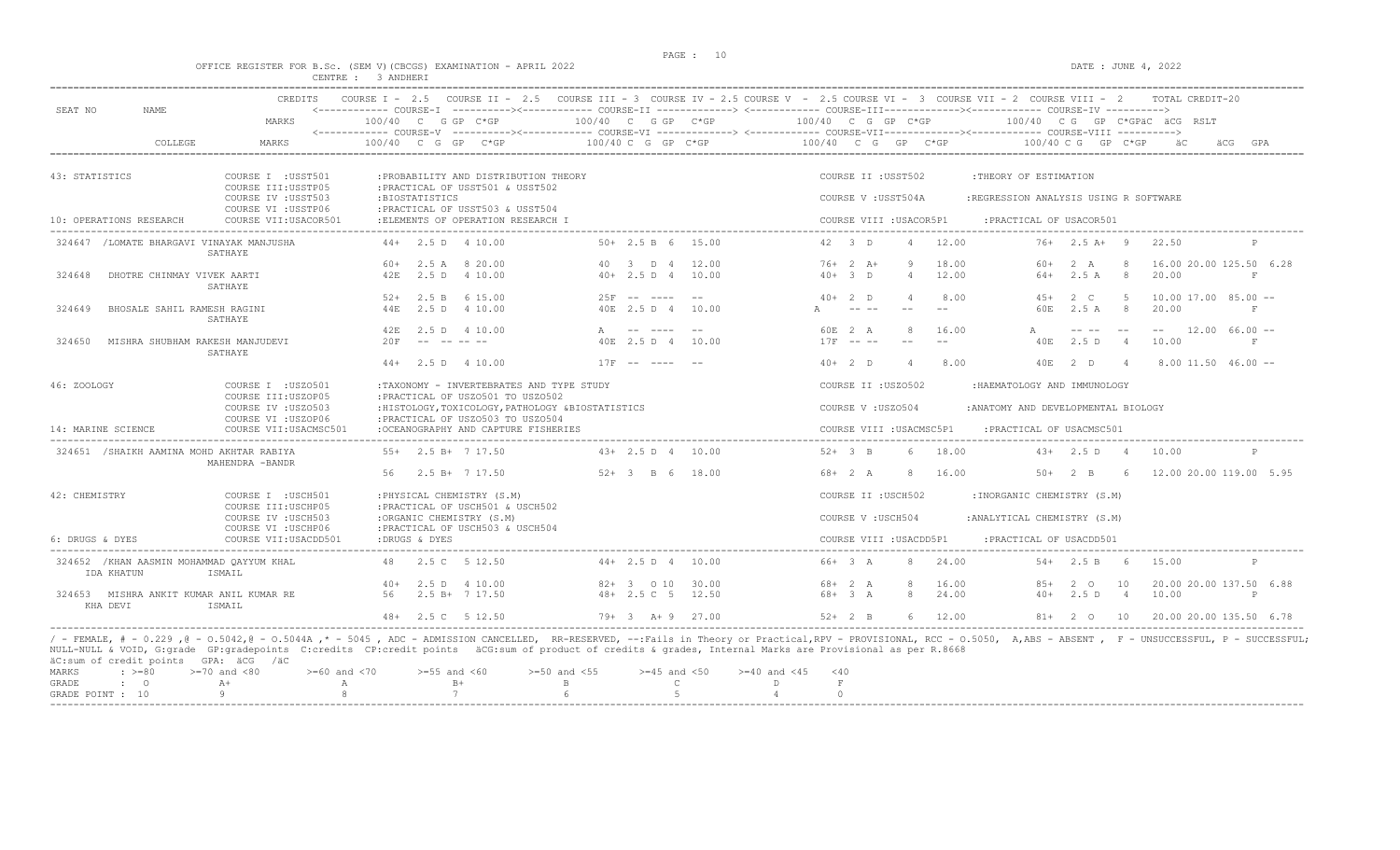# OFFICE REGISTER FOR B.Sc. (SEM V)(CBCGS) EXAMINATION - APRIL 2022<br>CENTRE : 3 ANDHERI

|                                        | <b>CREDITS</b>                                                    | COURSE $I - 2.5$                                                                        |                                                                                                                                                          | COURSE II - 2.5 COURSE III - 3 COURSE IV - 2.5 COURSE V - 2.5 COURSE VI - 3 COURSE VII - 2 COURSE VIII - 2<br>TOTAL CREDIT-20                                                                                                                                                                                                                                                                                                                 |              |
|----------------------------------------|-------------------------------------------------------------------|-----------------------------------------------------------------------------------------|----------------------------------------------------------------------------------------------------------------------------------------------------------|-----------------------------------------------------------------------------------------------------------------------------------------------------------------------------------------------------------------------------------------------------------------------------------------------------------------------------------------------------------------------------------------------------------------------------------------------|--------------|
| SEAT NO<br><b>NAME</b>                 | MARKS                                                             | 100/40 C G GP C*GP<br><------------ COURSE-V                                            | $100/40$ C G GP $C*GP$                                                                                                                                   | <------------ COURSE-I ----------><----------- COURSE-II -------------> <------------ COURSE-III-----------><--------><---------- COURSE-IV ----------><br>100/40 C G GP C*GP<br>$100/40$ C G GP C*GPÄC ÄCG RSLT<br>----------><----------- COURSE-VI -------------> <------------ COURSE-VII-------------><---------- COURSE-VIII ---------->                                                                                                |              |
|                                        | COLLEGE<br>MARKS                                                  | $C*GP$<br>100/40 C G GP                                                                 | 100/40 C G GP C*GP                                                                                                                                       | 100/40 C G GP C*GP<br>$100/40$ C G GP C*GP<br>äCG                                                                                                                                                                                                                                                                                                                                                                                             |              |
| 43: STATISTICS                         | COURSE I : USST501                                                | : PROBABILITY AND DISTRIBUTION THEORY                                                   |                                                                                                                                                          | COURSE II : USST502<br>:THEORY OF ESTIMATION                                                                                                                                                                                                                                                                                                                                                                                                  |              |
|                                        | COURSE III: USSTP05<br>COURSE IV : USST503<br>COURSE VI : USSTP06 | : PRACTICAL OF USST501 & USST502<br>:BIOSTATISTICS<br>: PRACTICAL OF USST503 & USST504  |                                                                                                                                                          | COURSE V : USST504A<br>:REGRESSION ANALYSIS USING R SOFTWARE                                                                                                                                                                                                                                                                                                                                                                                  |              |
| 10: OPERATIONS RESEARCH                | COURSE VII: USACOR501                                             | :ELEMENTS OF OPERATION RESEARCH I                                                       |                                                                                                                                                          | COURSE VIII : USACOR5P1<br>: PRACTICAL OF USACOR501                                                                                                                                                                                                                                                                                                                                                                                           |              |
|                                        | 324647 /LOMATE BHARGAVI VINAYAK MANJUSHA<br>SATHAYE               | $44+$ 2.5 D 4 10.00                                                                     | $50+ 2.5 B 6 15.00$                                                                                                                                      | 42 3 D<br>12.00<br>$76+$ 2.5 A+ 9<br>22.50<br>4                                                                                                                                                                                                                                                                                                                                                                                               | P            |
|                                        |                                                                   | 2.5 A 8 20.00<br>60+                                                                    | 40 3 D 4<br>12.00                                                                                                                                        | $76+2 A+$<br>q<br>18.00<br>2 A<br>8<br>16.00 20.00 125.50 6.28<br>60+                                                                                                                                                                                                                                                                                                                                                                         |              |
| 324648                                 | DHOTRE CHINMAY VIVEK AARTI<br>SATHAYE                             | 42E<br>2.5 D 4 10.00                                                                    | $40+2.5 D 4$<br>10.00                                                                                                                                    | $40+3$ D<br>12.00<br>2.5A<br>8 <sup>8</sup><br>20.00<br>$\overline{4}$<br>64+                                                                                                                                                                                                                                                                                                                                                                 | F            |
|                                        |                                                                   | 2.5 B<br>6 15.00<br>$52+$                                                               | $25F - - - - - -$<br>$- -$                                                                                                                               | 8.00<br>$10.00$ 17.00 85.00 --<br>$40+2$ D<br>$4.5+$<br>$2\degree$ C<br>-5<br>$\Delta$                                                                                                                                                                                                                                                                                                                                                        |              |
| 324649                                 | BHOSALE SAHIL RAMESH RAGINI<br>SATHAYE                            | 2.5 D 4 10.00<br>44 F.                                                                  | 40E 2.5 D 4<br>10.00                                                                                                                                     | 2.5A<br>8<br>20.00<br>60 E                                                                                                                                                                                                                                                                                                                                                                                                                    | F            |
|                                        |                                                                   | 42F<br>2.5 D 4 10.00                                                                    | $\mathbb{A}$<br>--- ----<br>$- -$                                                                                                                        | $-- 12.00 66.00 --$<br>60E 2 A<br>-8<br>16.00<br>$\frac{1}{2} \frac{1}{2} \frac{1}{2} \frac{1}{2} \frac{1}{2} \frac{1}{2} \frac{1}{2} \frac{1}{2} \frac{1}{2} \frac{1}{2} \frac{1}{2} \frac{1}{2} \frac{1}{2} \frac{1}{2} \frac{1}{2} \frac{1}{2} \frac{1}{2} \frac{1}{2} \frac{1}{2} \frac{1}{2} \frac{1}{2} \frac{1}{2} \frac{1}{2} \frac{1}{2} \frac{1}{2} \frac{1}{2} \frac{1}{2} \frac{1}{2} \frac{1}{2} \frac{1}{2} \frac{1}{2} \frac{$ |              |
| 324650                                 | MISHRA SHUBHAM RAKESH MANJUDEVI<br>SATHAYE                        | 20F                                                                                     | 40E 2.5 D 4<br>10.00                                                                                                                                     | $17F$ -- --<br>10.00<br>2.5 D<br>$-$<br>40E<br>$\overline{4}$                                                                                                                                                                                                                                                                                                                                                                                 | F            |
|                                        |                                                                   | $44+$<br>2.5 D 4 10.00                                                                  | $17F$ -- ----                                                                                                                                            | $40+2$ D<br>2 D<br>$8.00$ 11.50 46.00 --<br>8.00<br>40E<br>$\overline{4}$<br>$\overline{4}$                                                                                                                                                                                                                                                                                                                                                   |              |
| 46: ZOOLOGY                            | COURSE I : USZ0501<br>COURSE III:USZOP05                          | :TAXONOMY - INVERTEBRATES AND TYPE STUDY<br>: PRACTICAL OF USZ0501 TO USZ0502           |                                                                                                                                                          | COURSE II : USZ0502<br>:HAEMATOLOGY AND IMMUNOLOGY                                                                                                                                                                                                                                                                                                                                                                                            |              |
|                                        | COURSE IV : USZ0503<br>COURSE VI : USZOP06                        | : HISTOLOGY, TOXICOLOGY, PATHOLOGY & BIOSTATISTICS<br>: PRACTICAL OF USZ0503 TO USZ0504 |                                                                                                                                                          | COURSE V: USZ0504<br>: ANATOMY AND DEVELOPMENTAL BIOLOGY                                                                                                                                                                                                                                                                                                                                                                                      |              |
| 14: MARINE SCIENCE                     | COURSE VII: USACMSC501                                            | :OCEANOGRAPHY AND CAPTURE FISHERIES                                                     |                                                                                                                                                          | COURSE VIII : USACMSC5P1<br>: PRACTICAL OF USACMSC501                                                                                                                                                                                                                                                                                                                                                                                         |              |
|                                        | 324651 /SHAIKH AAMINA MOHD AKHTAR RABIYA<br>MAHENDRA -BANDR       | $55+$ 2.5 B+ 7 17.50                                                                    | $43+2.5 D 4 10.00$                                                                                                                                       | $52 + 3 B$<br>6<br>18.00<br>$43+2.5 D$<br>10.00<br>$\sim$ 4                                                                                                                                                                                                                                                                                                                                                                                   | $\mathsf{P}$ |
|                                        |                                                                   | 2.5 B+ 7 17.50<br>56                                                                    | $52+3$ B 6 18.00                                                                                                                                         | $68 + 2 A$<br>8<br>16.00<br>12.00 20.00 119.00 5.95<br>$50+$<br>2 B<br>- 6                                                                                                                                                                                                                                                                                                                                                                    |              |
| 42: CHEMISTRY                          | COURSE I : USCH501<br>COURSE III: USCHP05                         | : PHYSICAL CHEMISTRY (S.M)<br>: PRACTICAL OF USCH501 & USCH502                          |                                                                                                                                                          | COURSE II : USCH502<br>:INORGANIC CHEMISTRY (S.M)                                                                                                                                                                                                                                                                                                                                                                                             |              |
|                                        | COURSE IV : USCH503<br>COURSE VI : USCHP06                        | :ORGANIC CHEMISTRY (S.M)<br>: PRACTICAL OF USCH503 & USCH504                            |                                                                                                                                                          | COURSE V : USCH504<br>:ANALYTICAL CHEMISTRY (S.M)                                                                                                                                                                                                                                                                                                                                                                                             |              |
| 6: DRUGS & DYES                        | COURSE VII: USACDD501                                             | :DRUGS & DYES                                                                           |                                                                                                                                                          | COURSE VIII : USACDD5P1<br>:PRACTICAL OF USACDD501                                                                                                                                                                                                                                                                                                                                                                                            |              |
| IDA KHATUN                             | 324652 / KHAN AASMIN MOHAMMAD QAYYUM KHAL<br>ISMAIL               | 2.5 C 5 12.50<br>48                                                                     | $44+2.5 D 4 10.00$                                                                                                                                       | 66+ 3 A<br>24.00<br>8<br>$54 + 2.5 B$<br>15.00<br>6                                                                                                                                                                                                                                                                                                                                                                                           | P            |
|                                        |                                                                   | 2.5 D 4 10.00<br>$40+$                                                                  | $82+3$ 0 10<br>30.00                                                                                                                                     | $68 + 2 A$<br>8<br>16.00<br>$85+$<br>10<br>20.00 20.00 137.50 6.88<br>2 0                                                                                                                                                                                                                                                                                                                                                                     |              |
| KHA DEVI                               | 324653 MISHRA ANKIT KUMAR ANIL KUMAR RE<br>ISMAIL                 | 56<br>$2.5 B+ 7 17.50$                                                                  | $48 + 2.5$ C 5<br>12.50                                                                                                                                  | $68 + 3 A$<br>24.00<br>8<br>$40+$<br>2.5D<br>10.00<br>$\overline{4}$                                                                                                                                                                                                                                                                                                                                                                          | P            |
|                                        |                                                                   | $48 + 2.5$ C $5$ 12.50                                                                  | $79+3$ $\lambda+9$ 27.00                                                                                                                                 | $52+2$ B<br>6 12.00<br>$81 + 201$<br>20.00 20.00 135.50 6.78                                                                                                                                                                                                                                                                                                                                                                                  |              |
| äC:sum of credit points GPA: äCG /äC   |                                                                   |                                                                                         | NULL-NULL & VOID, G:grade GP:gradepoints C:credits CP:credit points äCG:sum of product of credits & grades, Internal Marks are Provisional as per R.8668 | / - FEMALE, # - 0.229 ,@ - 0.5042,@ - 0.5044A ,* - 5045 , ADC - ADMISSION CANCELLED, RR-RESERVED, --:Fails in Theory or Practical,RPV - PROVISIONAL, RCC - 0.5050, A,ABS - ABSENT , F - UNSUCCESSFUL, P - SUCCESSFUL;                                                                                                                                                                                                                         |              |
| $\div$ >=80<br>MARKS                   | $>=70$ and $<80$<br>$>=60$ and $<70$                              | $>=55$ and $<60$                                                                        | $>=50$ and $<55$<br>$>=45$ and $<50$                                                                                                                     | $>= 40$ and $< 45$<br>$<$ 40                                                                                                                                                                                                                                                                                                                                                                                                                  |              |
| GRADE<br>$\cdot$ 0<br>GRADE POINT : 10 | $A+$<br>$\mathbb{A}$<br>-9<br>8                                   | $B+$<br>7                                                                               | $\mathbb{C}$<br>$\mathbb B$<br>-5<br>6                                                                                                                   | $\,$ F<br>D<br>$\Omega$<br>$\overline{4}$                                                                                                                                                                                                                                                                                                                                                                                                     |              |
|                                        |                                                                   |                                                                                         |                                                                                                                                                          |                                                                                                                                                                                                                                                                                                                                                                                                                                               |              |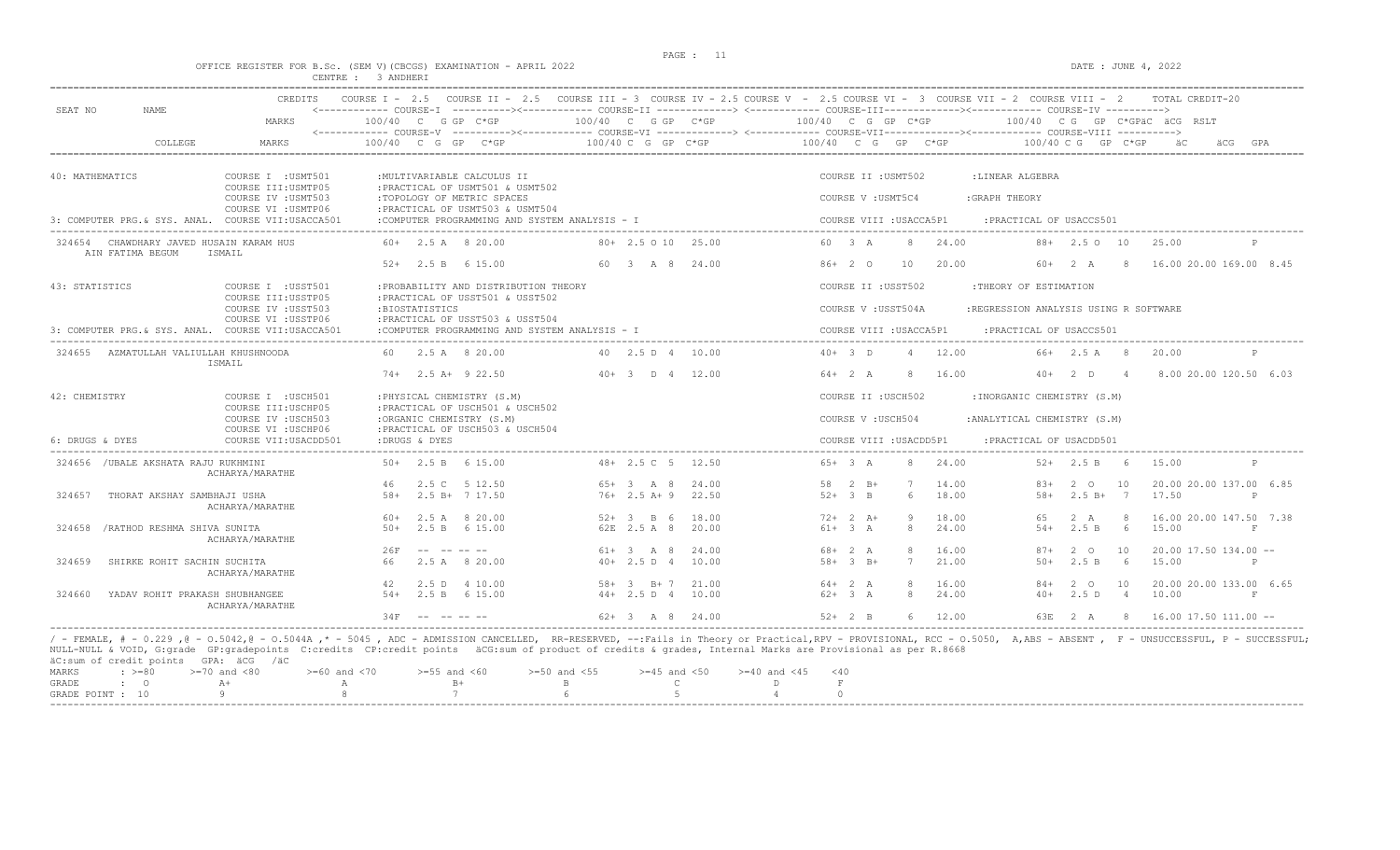# PAGE : 11 OFFICE REGISTER FOR B.Sc. (SEM V)(CBCGS) EXAMINATION - APRIL 2022 DATE : JUNE 4, 2022 CENTRE : 3 ANDHERI

| SEAT NO         | NAME.                                                       | MARKS                                                             | $100/40$ C G GP C*GP |                                                                                                                                                                                                                                | <------------ COURSE-I ----------><------------ COURSE-II -------------> <------------ COURSE-III------------><----------- COURSE-IV ----------> | 100/40 C G GP C*GP        |                | 100/40 C G GP C*GP |                         |                |                |                                       |             |                      |                | 100/40 CG GP C*GPäC äCG RSLT     |              |
|-----------------|-------------------------------------------------------------|-------------------------------------------------------------------|----------------------|--------------------------------------------------------------------------------------------------------------------------------------------------------------------------------------------------------------------------------|--------------------------------------------------------------------------------------------------------------------------------------------------|---------------------------|----------------|--------------------|-------------------------|----------------|----------------|---------------------------------------|-------------|----------------------|----------------|----------------------------------|--------------|
|                 |                                                             |                                                                   |                      |                                                                                                                                                                                                                                |                                                                                                                                                  |                           |                |                    |                         |                |                |                                       |             |                      |                |                                  |              |
|                 | COLLEGE                                                     | <b>MARKS</b>                                                      | $100/40$ C G GP      |                                                                                                                                                                                                                                | $C*GP$                                                                                                                                           | $100/40$ C G GP C*GP      |                | 100/40 C G GP C*GP |                         |                |                |                                       |             | $100/40$ C G GP C*GP |                | äС.                              |              |
| 40: MATHEMATICS |                                                             | COURSE I : USMT501                                                |                      |                                                                                                                                                                                                                                | : MULTIVARIABLE CALCULUS II                                                                                                                      |                           |                |                    | COURSE II : USMT502     |                |                | :LINEAR ALGEBRA                       |             |                      |                |                                  |              |
|                 |                                                             | COURSE III: USMTP05<br>COURSE IV : USMT503<br>COURSE VI : USMTP06 |                      |                                                                                                                                                                                                                                | : PRACTICAL OF USMT501 & USMT502<br>:TOPOLOGY OF METRIC SPACES<br>: PRACTICAL OF USMT503 & USMT504                                               |                           |                |                    | COURSE V : USMT5C4      |                |                | : GRAPH THEORY                        |             |                      |                |                                  |              |
|                 |                                                             | 3: COMPUTER PRG & SYS. ANAL. COURSE VII:USACCA501                 |                      |                                                                                                                                                                                                                                | :COMPUTER PROGRAMMING AND SYSTEM ANALYSIS - I                                                                                                    |                           |                |                    | COURSE VIII : USACCA5P1 |                |                | : PRACTICAL OF USACCS501              |             |                      |                |                                  |              |
|                 | 324654 CHAWDHARY JAVED HUSAIN KARAM HUS<br>AIN FATIMA BEGUM | ISMAIL                                                            |                      |                                                                                                                                                                                                                                | $60+$ 2.5 A 8 20.00                                                                                                                              | $80 + 2.5010$ 25.00       |                | 60 3 A             |                         |                | 8 24.00        |                                       |             | $88 + 2.50$ 10       |                | 25.00                            |              |
|                 |                                                             |                                                                   |                      |                                                                                                                                                                                                                                | $52+$ 2.5 B 6 15.00                                                                                                                              | 60 3 A 8 24.00            |                |                    | $86+20$                 | 10             | 20.00          |                                       | 60+ 2 A     |                      | -8             | 16.00 20.00 169.00 8.45          |              |
| 43: STATISTICS  |                                                             | COURSE I : USST501<br>COURSE III: USSTP05                         |                      |                                                                                                                                                                                                                                | : PROBABILITY AND DISTRIBUTION THEORY<br>: PRACTICAL OF USST501 & USST502                                                                        |                           |                |                    | COURSE II : USST502     |                |                | :THEORY OF ESTIMATION                 |             |                      |                |                                  |              |
|                 |                                                             | COURSE IV : USST503<br>COURSE VI : USSTP06                        |                      | :BIOSTATISTICS                                                                                                                                                                                                                 | : PRACTICAL OF USST503 & USST504                                                                                                                 |                           |                |                    | COURSE V : USST504A     |                |                | :REGRESSION ANALYSIS USING R SOFTWARE |             |                      |                |                                  |              |
|                 |                                                             | 3: COMPUTER PRG. & SYS. ANAL. COURSE VII:USACCA501                |                      |                                                                                                                                                                                                                                | :COMPUTER PROGRAMMING AND SYSTEM ANALYSIS - I                                                                                                    |                           |                |                    | COURSE VIII : USACCA5P1 |                |                | : PRACTICAL OF USACCS501              |             |                      |                |                                  |              |
|                 | 324655 AZMATULLAH VALIULLAH KHUSHNOODA                      | ISMAIL                                                            |                      |                                                                                                                                                                                                                                | 60 2.5 A 8 20.00                                                                                                                                 | 40 2.5 D 4 10.00          |                | $40+3$ D           |                         | $\overline{4}$ | 12.00          |                                       |             | 66+ 2.5 A 8          |                | 20.00                            | $\mathbb{P}$ |
|                 |                                                             |                                                                   |                      |                                                                                                                                                                                                                                | $74+$ 2.5 A+ 9 22.50                                                                                                                             | $40+3$ D $4$ 12.00        |                |                    | $64+2 A$                | 8              | 16.00          |                                       | $40+2$ D    |                      | $\overline{4}$ | 8.00 20.00 120.50 6.03           |              |
| 42: CHEMISTRY   |                                                             | COURSE I : USCH501<br>COURSE III: USCHP05                         |                      |                                                                                                                                                                                                                                | : PHYSICAL CHEMISTRY (S.M)<br>: PRACTICAL OF USCH501 & USCH502                                                                                   |                           |                |                    | COURSE II : USCH502     |                |                | : INORGANIC CHEMISTRY (S.M)           |             |                      |                |                                  |              |
|                 |                                                             | COURSE IV : USCH503<br>COURSE VI : USCHP06                        |                      |                                                                                                                                                                                                                                | :ORGANIC CHEMISTRY (S.M)<br>: PRACTICAL OF USCH503 & USCH504                                                                                     |                           |                |                    | COURSE V: USCH504       |                |                | : ANALYTICAL CHEMISTRY (S.M)          |             |                      |                |                                  |              |
| 6: DRUGS & DYES |                                                             | COURSE VII: USACDD501                                             |                      | :DRUGS & DYES                                                                                                                                                                                                                  |                                                                                                                                                  |                           |                |                    | COURSE VIII : USACDD5P1 |                |                | : PRACTICAL OF USACDD501              |             |                      |                |                                  |              |
|                 | 324656 / UBALE AKSHATA RAJU RUKHMINI                        | ACHARYA/MARATHE                                                   |                      |                                                                                                                                                                                                                                | $50+$ 2.5 B 6 15.00                                                                                                                              | $48 + 2.5$ C $5$ 12.50    |                |                    | $65+3 A$                | 8              | 24.00          |                                       |             | $52+$ 2.5 B 6        |                | 15.00                            |              |
|                 |                                                             |                                                                   | 46                   |                                                                                                                                                                                                                                | 2.5 C 5 12.50                                                                                                                                    | $65+3$ A 8                | 24.00          |                    | 58 2 B+                 | 7              | 14.00          |                                       | $83+$       | $2^{\circ}$          | 10             | 20.00 20.00 137.00 6.85          |              |
| 324657          | THORAT AKSHAY SAMBHAJI USHA                                 | ACHARYA/MARATHE                                                   | $58+$                |                                                                                                                                                                                                                                | 2.5 B+ 7 17.50                                                                                                                                   | 76+ 2.5 A+ 9 22.50        |                | $52+3$ B           |                         | 6              | 18.00          |                                       | $58+$       | $2.5 B+ 7$           |                | 17.50                            | P            |
| 324658          | /RATHOD RESHMA SHIVA SUNITA                                 |                                                                   | 60+                  |                                                                                                                                                                                                                                | 2.5 A 8 20.00<br>$50+$ 2.5 B 6 15.00                                                                                                             | $52+3$ B 6<br>62E 2.5 A 8 | 18.00<br>20.00 | $61+3 A$           | $72+2+1$                | 9<br>8         | 18.00<br>24.00 |                                       | 65<br>$54+$ | 2 A<br>2.5 B         | -8<br>6        | 16.00 20.00 147.50 7.38<br>15.00 | $_{\rm F}$   |
|                 |                                                             | ACHARYA/MARATHE                                                   | 26F                  | and the second second second second second second second second second second second second second second second second second second second second second second second second second second second second second second seco |                                                                                                                                                  | $61 + 3$ A 8              | 24.00          | $68 + 2 A$         |                         | 8              | 16.00          |                                       | 87+         | 2 0                  | 10             | $20.00$ 17.50 134.00 --          |              |
| 324659          | SHIRKE ROHIT SACHIN SUCHITA                                 | ACHARYA/MARATHE                                                   | 66                   |                                                                                                                                                                                                                                | 2.5 A 8 20.00                                                                                                                                    | $40+ 2.5 D 4 10.00$       |                |                    | $58 + 3 B +$            | 7              | 21.00          |                                       | $50+$       | 2.5 B 6              |                | 15.00                            | $\mathbf{P}$ |
|                 |                                                             |                                                                   | 42                   |                                                                                                                                                                                                                                | 2.5 D 4 10.00                                                                                                                                    | $58 + 3$ B + 7            | 21.00          | $64+2 A$           |                         | 8              | 16.00          |                                       | 84+         | $2^{\circ}$ 0        | 10             | 20.00 20.00 133.00 6.65          |              |
| 324660          | YADAV ROHIT PRAKASH SHUBHANGEE                              | ACHARYA/MARATHE                                                   |                      |                                                                                                                                                                                                                                | $54+$ 2.5 B 6 15.00                                                                                                                              | $44+2.5 D 4$              | 10.00          | $62+3 A$           |                         | 8              | 24.00          |                                       | $40+$       | 2.5D                 | $\overline{4}$ | 10.00                            | $_{\rm F}$   |
|                 |                                                             |                                                                   | 34 F                 | ---------                                                                                                                                                                                                                      |                                                                                                                                                  | $62+3$ A 8 24.00          |                | $52+2$ B           |                         |                | 6 12.00        |                                       |             |                      |                | 63E 2 A 8 16.00 17.50 111.00 --  |              |

|           |  | ac.out of create points and the year |                                                                                                  |                                                                                                                                                                                                                                   |  |  |
|-----------|--|--------------------------------------|--------------------------------------------------------------------------------------------------|-----------------------------------------------------------------------------------------------------------------------------------------------------------------------------------------------------------------------------------|--|--|
|           |  |                                      | MARKS : >=80 >=70 and <80 > >=60 and <70 >=55 and <60 >=50 and <55 >=45 and <50 >=40 and <45 <40 |                                                                                                                                                                                                                                   |  |  |
| GRADE : 0 |  |                                      | $A+$ and $A$ and $B+$                                                                            | $\mathbb B$ . The contract of the contract of the contract of the contract of the contract of the contract of the contract of the contract of the contract of the contract of the contract of the contract of the contract of the |  |  |
|           |  |                                      | GRADE POINT : $10$ 9 8 8 7 6 6 5 5                                                               |                                                                                                                                                                                                                                   |  |  |
|           |  |                                      |                                                                                                  |                                                                                                                                                                                                                                   |  |  |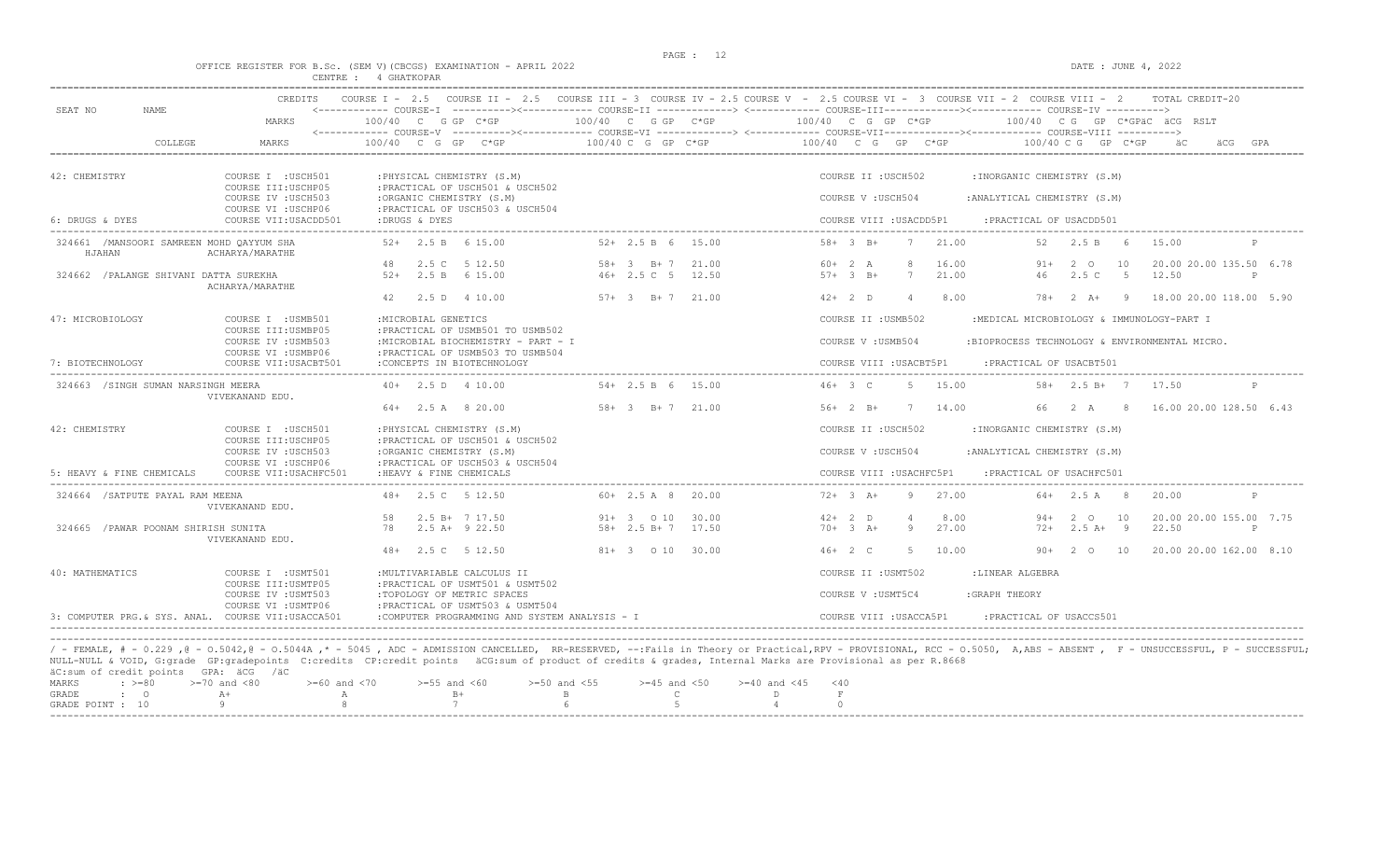#### OFFICE REGISTER FOR B.Sc. (SEM V)(CBCGS) EXAMINATION - APRIL 2022 DATE : JUNE 4, 2022 CENTRE : 4 GHATKOPAR

|                                                    | <b>CREDITS</b>                                | COURSE $IT - 2.5$<br>COURSE $T = 2.5$                                                                                                                    |                                                              |       | COURSE III - 3 COURSE IV - 2.5 COURSE V - 2.5 COURSE VI - 3 COURSE VII - 2 COURSE VIII - 2                                                                                                                        |
|----------------------------------------------------|-----------------------------------------------|----------------------------------------------------------------------------------------------------------------------------------------------------------|--------------------------------------------------------------|-------|-------------------------------------------------------------------------------------------------------------------------------------------------------------------------------------------------------------------|
| SEAT NO<br><b>NAME</b>                             | MARKS                                         | $100/40$ C G GP C*GP                                                                                                                                     | 100/40 C G GP C*GP                                           |       | <------------ COURSE-I ----------><------------ COURSE-II -------------> <------------ COURSE-III------------><----------- COURSE-IV ----------><br>100/40 C G GP C*GP<br>100/40 CG GP C*GPAC ACG RSLT            |
| COLLEGE                                            | MARKS                                         | $100/40$ C G GP C*GP                                                                                                                                     | 100/40 C G GP C*GP                                           |       | 100/40 C G GP C*GP<br>100/40 C G<br>GP C*GP<br>GPA<br>äCG                                                                                                                                                         |
| 42: CHEMISTRY                                      | COURSE I : USCH501<br>COURSE III: USCHP05     | : PHYSICAL CHEMISTRY (S.M)<br>: PRACTICAL OF USCH501 & USCH502                                                                                           |                                                              |       | COURSE II : USCH502<br>: INORGANIC CHEMISTRY (S.M)                                                                                                                                                                |
|                                                    | COURSE IV : USCH503<br>COURSE VI : USCHP06    | :ORGANIC CHEMISTRY (S.M)<br>: PRACTICAL OF USCH503 & USCH504                                                                                             |                                                              |       | COURSE V: USCH504<br>: ANALYTICAL CHEMISTRY (S.M)                                                                                                                                                                 |
| 6: DRUGS & DYES                                    | COURSE VII: USACDD501                         | :DRUGS & DYES                                                                                                                                            |                                                              |       | COURSE VIII : USACDD5P1<br>: PRACTICAL OF USACDD501                                                                                                                                                               |
| 324661 /MANSOORI SAMREEN MOHD OAYYUM SHA<br>HJAHAN | ACHARYA/MARATHE                               | $52+$<br>2.5 B 6 15.00                                                                                                                                   | $52+2.5 B 6 15.00$                                           |       | $58 + 3 B +$<br>7<br>21.00<br>2.5 B<br>15.00<br>52<br>- 6<br>P                                                                                                                                                    |
|                                                    |                                               | 2.5 C 5 12.50<br>48                                                                                                                                      | $58 + 3$ B + 7                                               | 21.00 | $60+2 A$<br>8<br>16.00<br>20.00 20.00 135.50 6.78<br>2 0<br>10<br>91+                                                                                                                                             |
| 324662 / PALANGE SHIVANI DATTA SUREKHA             | ACHARYA/MARATHE                               | $52+$<br>2.5 B 6 15.00                                                                                                                                   | $46+2.5C$ 5                                                  | 12.50 | $57+3$ B+<br>7<br>21.00<br>46<br>2.5C<br>$5^{\circ}$<br>12.50<br>P                                                                                                                                                |
|                                                    |                                               | 42<br>2.5 D 4 10.00                                                                                                                                      | $57+ 3$ B+7 21.00                                            |       | $42+2$ D<br>8.00<br>$\Delta$<br>78+<br>$2 \overline{A}$ +<br>- 9<br>18.00 20.00 118.00 5.90                                                                                                                       |
| 47: MICROBIOLOGY                                   | COURSE I : USMB501<br>COURSE III: USMBP05     | : MICROBIAL GENETICS<br>: PRACTICAL OF USMB501 TO USMB502                                                                                                |                                                              |       | COURSE II : USMB502<br>:MEDICAL MICROBIOLOGY & IMMUNOLOGY-PART I                                                                                                                                                  |
|                                                    | COURSE IV : USMB503                           | :MICROBIAL BIOCHEMISTRY - PART - I                                                                                                                       |                                                              |       | COURSE V: USMB504<br>:BIOPROCESS TECHNOLOGY & ENVIRONMENTAL MICRO.                                                                                                                                                |
| 7: BIOTECHNOLOGY                                   | COURSE VI : USMBP06<br>COURSE VII: USACBT501  | : PRACTICAL OF USMB503 TO USMB504<br>:CONCEPTS IN BIOTECHNOLOGY                                                                                          |                                                              |       | COURSE VIII : USACBT5P1<br>: PRACTICAL OF USACBT501                                                                                                                                                               |
| 324663 /SINGH SUMAN NARSINGH MEERA                 |                                               | $40+$ 2.5 D 4 10.00                                                                                                                                      | $54 + 2.5 B 6$                                               | 15.00 | $46+3$ C<br>15.00<br>58+ 2.5 B+ 7 17.50<br>-5                                                                                                                                                                     |
|                                                    | VIVEKANAND EDU.                               | $64+$ 2.5 A 8 20.00                                                                                                                                      | $58 + 3$ B + 7 21.00                                         |       | 14.00<br>66<br>$2 \overline{A}$<br>8 <sup>1</sup><br>16.00 20.00 128.50 6.43<br>$56+2 B+$<br>7                                                                                                                    |
| 42: CHEMISTRY                                      | COURSE I : USCH501<br>COURSE III: USCHP05     | : PHYSICAL CHEMISTRY (S.M)<br>: PRACTICAL OF USCH501 & USCH502                                                                                           |                                                              |       | COURSE II : USCH502<br>: INORGANIC CHEMISTRY (S.M)                                                                                                                                                                |
|                                                    | COURSE IV : USCH503                           | :ORGANIC CHEMISTRY (S.M)                                                                                                                                 |                                                              |       | COURSE V: USCH504<br>: ANALYTICAL CHEMISTRY (S.M)                                                                                                                                                                 |
| 5: HEAVY & FINE CHEMICALS                          | COURSE VI : USCHP06<br>COURSE VII: USACHFC501 | : PRACTICAL OF USCH503 & USCH504<br>: HEAVY & FINE CHEMICALS                                                                                             |                                                              |       | COURSE VIII : USACHFC5P1<br>: PRACTICAL OF USACHFC501                                                                                                                                                             |
| 324664 / SATPUTE PAYAL RAM MEENA                   | VIVEKANAND EDU.                               | 48+ 2.5 C 5 12.50                                                                                                                                        | $60+2.5A8$                                                   | 20.00 | $72+3$ A+<br>9<br>27.00<br>$64+$ 2.5 A<br>20.00<br>- 8                                                                                                                                                            |
|                                                    |                                               | 58<br>2.5 B+ 7 17.50                                                                                                                                     | $91+ 3 010$                                                  | 30.00 | $42+2$ D<br>8.00<br>20.00 20.00 155.00 7.75<br>$\overline{4}$<br>$94 +$<br>$2^{\circ}$ O<br>10                                                                                                                    |
| 324665 / PAWAR POONAM SHIRISH SUNITA               | VIVEKANAND EDU.                               | $2.5 A+ 9 22.50$<br>78                                                                                                                                   | $58 + 2.5 B + 7 17.50$                                       |       | $70+3 + 3$<br>27.00<br>$2.5 A+ 9$<br>22.50<br>-9<br>$72+$<br>P                                                                                                                                                    |
|                                                    |                                               | 2.5 C 5 12.50<br>$48+$                                                                                                                                   | 81+ 3 0 10 30.00                                             |       | $46+2$ C<br>-5<br>10.00<br>2 0 10<br>20.00 20.00 162.00 8.10<br>$90+$                                                                                                                                             |
| 40: MATHEMATICS                                    | COURSE I : USMT501<br>COURSE III: USMTP05     | : MULTIVARIABLE CALCULUS II<br>: PRACTICAL OF USMT501 & USMT502                                                                                          |                                                              |       | COURSE II : USMT502<br>:LINEAR ALGEBRA                                                                                                                                                                            |
|                                                    | COURSE IV : USMT503<br>COURSE VI : USMTP06    | :TOPOLOGY OF METRIC SPACES<br>:PRACTICAL OF USMT503 & USMT504                                                                                            |                                                              |       | COURSE V : USMT5C4<br>: GRAPH THEORY                                                                                                                                                                              |
| 3: COMPUTER PRG.& SYS. ANAL. COURSE VII:USACCA501  |                                               | :COMPUTER PROGRAMMING AND SYSTEM ANALYSIS - I                                                                                                            |                                                              |       | COURSE VIII : USACCA5P1<br>: PRACTICAL OF USACCS501                                                                                                                                                               |
|                                                    |                                               |                                                                                                                                                          |                                                              |       |                                                                                                                                                                                                                   |
| äC:sum of credit points GPA: äCG /äC               |                                               | NULL-NULL & VOID, G:grade GP:gradepoints C:credits CP:credit points äCG:sum of product of credits & grades, Internal Marks are Provisional as per R.8668 |                                                              |       | / - FEMALE, # - 0.229,0 - 0.5042,0 - 0.5044A,* - 5045, ADC - ADMISSION CANCELLED, RR-RESERVED, --:Fails in Theory or Practical,RPV - PROVISIONAL, RCC - 0.5050, A,ABS - ABSENT, F - UNSUCCESSFUL, P - SUCCESSFUL; |
| MARKS<br>$: \; > = 80$                             | $>=70$ and $<80$<br>$>=60$ and $<70$          | $>=55$ and $<60$<br>$B+$                                                                                                                                 | $>=50$ and $<55$<br>$>=45$ and $<50$<br>Ċ.<br>$\overline{B}$ |       | $>= 40$ and $< 45$<br>< 40<br>$\mathbf F$                                                                                                                                                                         |
| GRADE<br>$\cdot$ 0<br>GRADE POINT : 10             | $A+$<br>А<br>Q                                | 7                                                                                                                                                        | $\overline{5}$                                               |       | D<br>$\cap$                                                                                                                                                                                                       |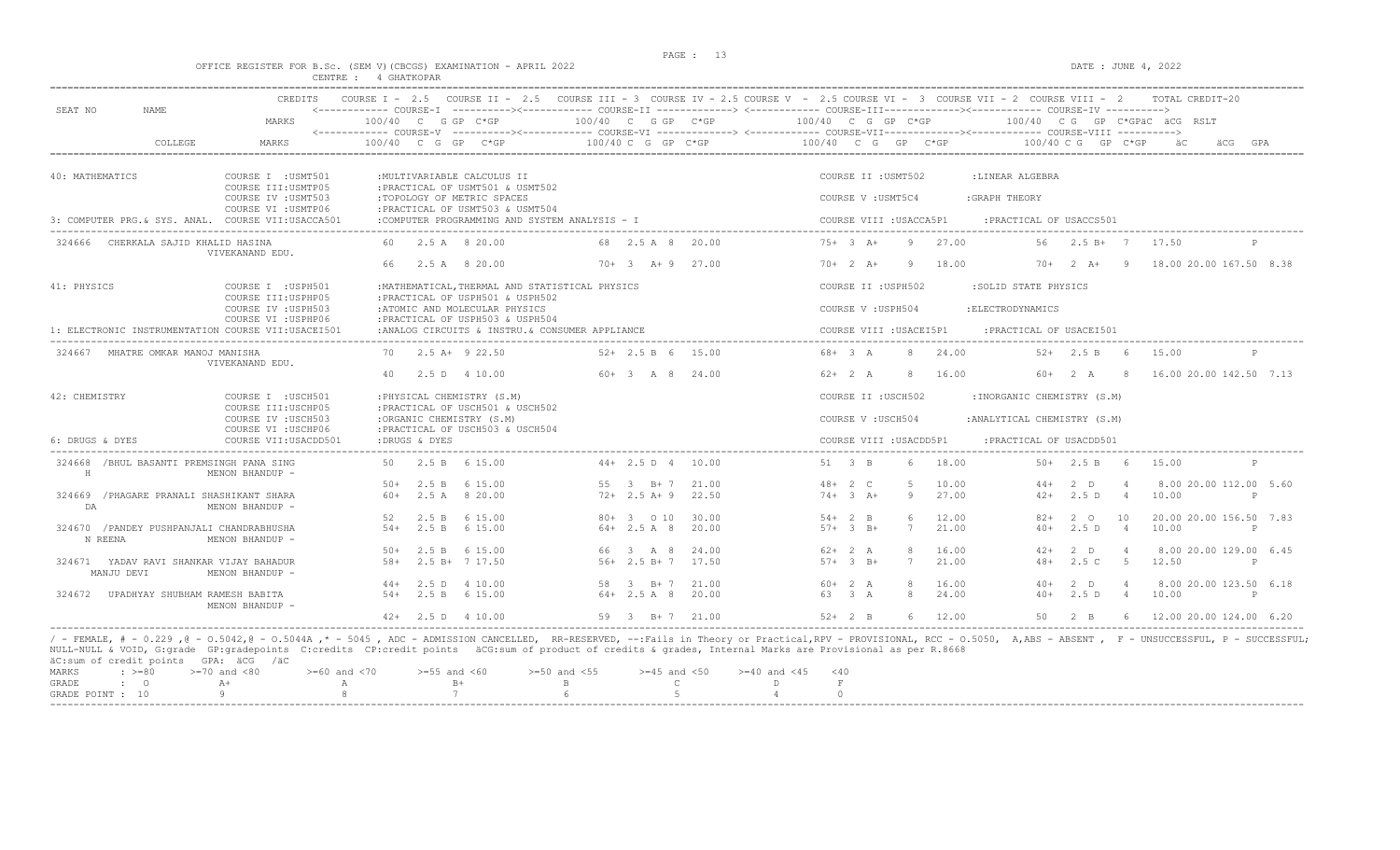$DATA: JUNE 4, 2022$ 

|  |  |          |  |             | OFFICE REGISTER FOR B.Sc. (SEM V)(CBCGS) EXAMINATION - APRIL 202. |  |  |
|--|--|----------|--|-------------|-------------------------------------------------------------------|--|--|
|  |  | CENTRE : |  | 4 GHATKOPAR |                                                                   |  |  |

| SEAT NO<br>NAME.                                      | <b>CREDITS</b>                                                    |                      |                                                                                                  |                            |                | COURSE I - 2.5 COURSE II - 2.5 COURSE III - 3 COURSE IV - 2.5 COURSE V - 2.5 COURSE VI - 3 COURSE VII - 2 COURSE VIII - 2<br>TOTAL CREDIT-20                                                  |  |  |  |  |  |  |
|-------------------------------------------------------|-------------------------------------------------------------------|----------------------|--------------------------------------------------------------------------------------------------|----------------------------|----------------|-----------------------------------------------------------------------------------------------------------------------------------------------------------------------------------------------|--|--|--|--|--|--|
|                                                       | MARKS                                                             | $100/40$ C G GP C*GP |                                                                                                  | $100/40$ C G GP C*GP       |                | 100/40 C G GP C*GP<br>100/40 CG GP C*GPÄC ÄCG RSLT<br><------------ COURSE-V -----------><----------- COURSE-VI -------------> <------------ COURSE-VIII------------- COURSE-VIII ----------> |  |  |  |  |  |  |
| COLLEGE                                               | MARKS                                                             | 100/40 C G GP C*GP   |                                                                                                  | $100/40$ C G GP C*GP       |                | 100/40 C G GP C*GP<br>$100/40$ C G GP C*GP                                                                                                                                                    |  |  |  |  |  |  |
| 40: MATHEMATICS                                       | COURSE I : USMT501                                                |                      | : MULTIVARIABLE CALCULUS II                                                                      |                            |                | COURSE II : USMT502<br>:LINEAR ALGEBRA                                                                                                                                                        |  |  |  |  |  |  |
|                                                       | COURSE III: USMTP05<br>COURSE IV : USMT503<br>COURSE VI : USMTP06 |                      | :PRACTICAL OF USMT501 & USMT502<br>:TOPOLOGY OF METRIC SPACES<br>:PRACTICAL OF USMT503 & USMT504 |                            |                | :GRAPH THEORY<br>COURSE V : USMT5C4                                                                                                                                                           |  |  |  |  |  |  |
| 3: COMPUTER PRG. & SYS. ANAL. COURSE VII:USACCA501    |                                                                   |                      | :COMPUTER PROGRAMMING AND SYSTEM ANALYSIS - I                                                    |                            |                | COURSE VIII : USACCA5P1<br>: PRACTICAL OF USACCS501                                                                                                                                           |  |  |  |  |  |  |
| 324666 CHERKALA SAJID KHALID HASINA                   | VIVEKANAND EDU.                                                   |                      | 60 2.5 A 8 20.00                                                                                 | 68 2.5 A 8                 | 20.00          | $75+3++$<br>9 27.00<br>$56$ $2.5$ $B+$ $7$<br>17.50                                                                                                                                           |  |  |  |  |  |  |
|                                                       |                                                                   | 66                   | 2.5 A 8 20.00                                                                                    | $70+3$ $\lambda+9$ 27.00   |                | 18.00<br>$70 + 2 A +$<br>$70+2 A+$<br>18.00 20.00 167.50 8.38<br>9<br>- 9                                                                                                                     |  |  |  |  |  |  |
| 41: PHYSICS                                           | COURSE I : USPH501<br>COURSE III: USPHP05                         |                      | : MATHEMATICAL, THERMAL AND STATISTICAL PHYSICS<br>:PRACTICAL OF USPH501 & USPH502               |                            |                | COURSE II : USPH502<br>:SOLID STATE PHYSICS                                                                                                                                                   |  |  |  |  |  |  |
|                                                       | COURSE IV : USPH503<br>COURSE VI : USPHP06                        |                      | :ATOMIC AND MOLECULAR PHYSICS<br>:PRACTICAL OF USPH503 & USPH504                                 |                            |                | COURSE V : USPH504<br>: ELECTRODYNAMICS                                                                                                                                                       |  |  |  |  |  |  |
| 1: ELECTRONIC INSTRUMENTATION COURSE VII:USACEI501    |                                                                   |                      | :ANALOG CIRCUITS & INSTRU. & CONSUMER APPLIANCE                                                  |                            |                | COURSE VIII : USACEI5P1<br>: PRACTICAL OF USACEI501                                                                                                                                           |  |  |  |  |  |  |
| 324667<br>MHATRE OMKAR MANOJ MANISHA                  | VIVEKANAND EDU.                                                   |                      | 70 2.5 A+ 9 22.50                                                                                | $52+2.5 B 6 15.00$         |                | 24.00<br>$68 + 3$ A<br>8<br>$52+$ 2.5 B 6<br>15.00                                                                                                                                            |  |  |  |  |  |  |
|                                                       |                                                                   | 40                   | 2.5 D 4 10.00                                                                                    | 60+ 3 A 8                  | 24.00          | $62+2 A$<br>16.00<br>$60+2 A 8$<br>16.00 20.00 142.50 7.13<br>-8                                                                                                                              |  |  |  |  |  |  |
| 42: CHEMISTRY                                         | COURSE I : USCH501<br>COURSE III: USCHP05                         |                      | : PHYSICAL CHEMISTRY (S.M)<br>: PRACTICAL OF USCH501 & USCH502                                   |                            |                | COURSE II : USCH502<br>: INORGANIC CHEMISTRY (S.M)                                                                                                                                            |  |  |  |  |  |  |
|                                                       | COURSE IV : USCH503<br>COURSE VI : USCHP06                        |                      | :ORGANIC CHEMISTRY (S.M)<br>: PRACTICAL OF USCH503 & USCH504                                     |                            |                | :ANALYTICAL CHEMISTRY (S.M)<br>COURSE V: USCH504                                                                                                                                              |  |  |  |  |  |  |
| 6: DRUGS & DYES                                       | COURSE VII: USACDD501                                             | :DRUGS & DYES        |                                                                                                  |                            |                | : PRACTICAL OF USACDD501<br>COURSE VIII : USACDD5P1                                                                                                                                           |  |  |  |  |  |  |
| 324668 /BHUL BASANTI PREMSINGH PANA SING<br>H         | MENON BHANDUP -                                                   | 50                   | 2.5 B 6 15.00                                                                                    | $44+2.5 D 4$               | 10.00          | 51 3 B<br>18.00<br>$50+$ 2.5 B 6<br>6<br>15.00<br>P                                                                                                                                           |  |  |  |  |  |  |
|                                                       |                                                                   |                      | $50+$ 2.5 B 6 15.00                                                                              | 55 3 B+7                   | 21.00          | 8.00 20.00 112.00 5.60<br>$48 + 2 C$<br>$\overline{r}$<br>10.00<br>$2$ D<br>$44+$                                                                                                             |  |  |  |  |  |  |
| 324669<br>/PHAGARE PRANALI SHASHIKANT SHARA<br>DA     | MENON BHANDUP -                                                   | $60+$                | 2.5 A 8 20.00                                                                                    | $72+2.5 A+9$               | 22.50          | $74+3$ A+<br>27.00<br>2.5D<br>10.00<br>9<br>$42+$<br>$\overline{4}$                                                                                                                           |  |  |  |  |  |  |
|                                                       |                                                                   | 52                   | 2.5 B 6 15.00                                                                                    | 80+ 3 0 10                 | 30.00          | $54+2$ B<br>12.00<br>6<br>$82+$<br>2 0<br>10<br>20.00 20.00 156.50 7.83                                                                                                                       |  |  |  |  |  |  |
| 324670 / PANDEY PUSHPANJALI CHANDRABHUSHA<br>N REENA  | MENON BHANDUP -                                                   | $54+$                | 2.5 B 6 15.00                                                                                    | $64 + 2.5 A 8$             | 20.00          | 7<br>21.00<br>2.5D<br>10.00<br>$57 + 3$ B+<br>$40+$<br>$\overline{4}$<br>P                                                                                                                    |  |  |  |  |  |  |
|                                                       |                                                                   | $50+$                | 2.5 B 6 15.00                                                                                    | 66 3 A 8                   | 24.00          | $62+2 A$<br>8<br>16.00<br>$2$ D<br>8.00 20.00 129.00 6.45<br>$42+$<br>$\overline{4}$                                                                                                          |  |  |  |  |  |  |
| 324671 YADAV RAVI SHANKAR VIJAY BAHADUR<br>MANJU DEVI | MENON BHANDUP -                                                   | $58+$                | 2.5 B+ 7 17.50                                                                                   | $56+2.5 B+7$               | 17.50          | $57 + 3$ B+<br>7<br>21.00<br>2.5C<br>5 <sub>5</sub><br>12.50<br>$48+$<br>P                                                                                                                    |  |  |  |  |  |  |
| 324672 UPADHYAY SHUBHAM RAMESH BABITA                 |                                                                   | $54+$                | $44+$ 2.5 D 4 10.00<br>2.5 B 6 15.00                                                             | 58 3 B+7<br>$64 + 2.5$ A 8 | 21.00<br>20.00 | 8<br>16.00<br>8.00 20.00 123.50 6.18<br>$60+2 A$<br>2 D<br>40+<br>24.00<br>63 3 A<br>8<br>2.5D<br>10.00<br>$40+$<br>$\overline{4}$<br>P                                                       |  |  |  |  |  |  |
|                                                       | MENON BHANDUP -                                                   |                      |                                                                                                  |                            |                |                                                                                                                                                                                               |  |  |  |  |  |  |
|                                                       |                                                                   |                      | $42+$ 2.5 D 4 10.00                                                                              | 59 3 B+7 21.00             |                | $52+2$ B<br>6 12.00<br>50<br>$2 \quad B$<br>6 12.00 20.00 124.00 6.20                                                                                                                         |  |  |  |  |  |  |

äC:sum of credit points GPA: äCG /äC

|  |  | MARKS : >=80 >=70 and <80 > >=60 and <70 >=55 and <60 >=50 and <55 >=45 and <50 >=40 and <45 <40 |  |  |  |
|--|--|--------------------------------------------------------------------------------------------------|--|--|--|
|  |  | GRADE : O A+ A A B+ B C D F                                                                      |  |  |  |
|  |  | GRADE POINT : $10$ 9 8 7 6 5 5 4 0                                                               |  |  |  |
|  |  |                                                                                                  |  |  |  |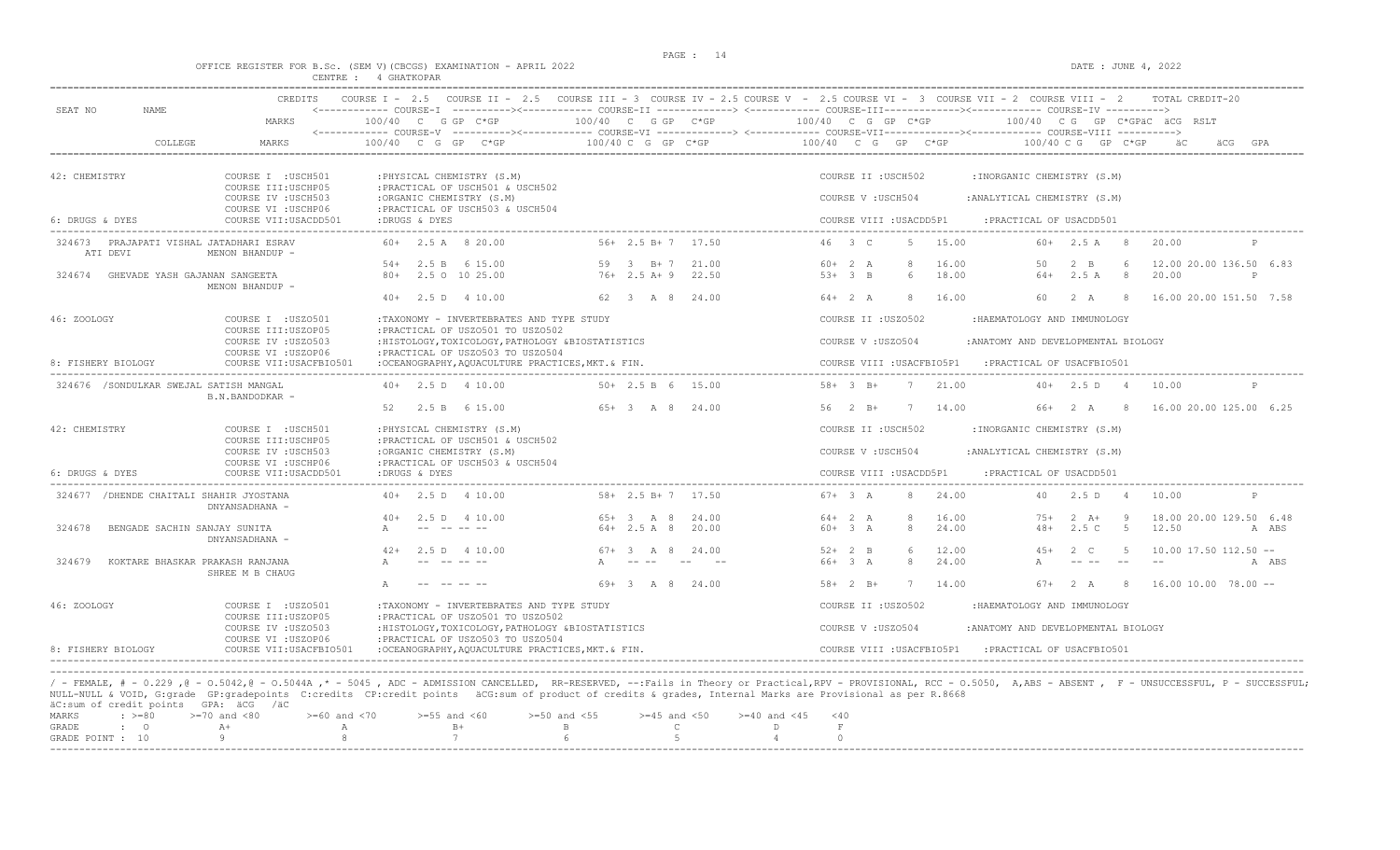#### OFFICE REGISTER FOR B.Sc. (SEM V)(CBCGS) EXAMINATION - APRIL 2022 DATE : JUNE 4, 2022 CENTRE : 4 GHATKOPAR

| SEAT NO<br>NAME.                                    | <b>CREDITS</b>                                                   |                                                                                                                            |                                                | COURSE I - 2.5 COURSE II - 2.5 COURSE III - 3 COURSE IV - 2.5 COURSE V - 2.5 COURSE VI - 3 COURSE VII - 2 COURSE VIII - 2<br>TOTAL CREDIT-20<br><------------ COURSE-I ----------><----------- COURSE-II -------------> <------------ COURSE-III------------><----------- COURSE-IV ----------> |  |  |  |  |  |  |
|-----------------------------------------------------|------------------------------------------------------------------|----------------------------------------------------------------------------------------------------------------------------|------------------------------------------------|-------------------------------------------------------------------------------------------------------------------------------------------------------------------------------------------------------------------------------------------------------------------------------------------------|--|--|--|--|--|--|
|                                                     | MARKS                                                            | $100/40$ C G GP C*GP                                                                                                       | 100/40 C G GP C*GP                             | 100/40 C G GP C*GP<br>100/40 CG GP C*GPäC äCG RSLT                                                                                                                                                                                                                                              |  |  |  |  |  |  |
| COLLEGE                                             | MARKS                                                            | 100/40 C G GP C*GP                                                                                                         | 100/40 C G GP C*GP                             | 100/40 C G GP C*GP<br>100/40 C G GP C*GP                                                                                                                                                                                                                                                        |  |  |  |  |  |  |
| 42: CHEMISTRY                                       | COURSE I : USCH501<br>COURSE III: USCHP05                        | : PHYSICAL CHEMISTRY (S.M)<br>: PRACTICAL OF USCH501 & USCH502                                                             |                                                | COURSE II : USCH502<br>: INORGANIC CHEMISTRY (S.M)                                                                                                                                                                                                                                              |  |  |  |  |  |  |
|                                                     | COURSE IV : USCH503<br>COURSE VI : USCHP06                       | :ORGANIC CHEMISTRY (S.M)<br>: PRACTICAL OF USCH503 & USCH504                                                               |                                                | COURSE V : USCH504<br>: ANALYTICAL CHEMISTRY (S.M)                                                                                                                                                                                                                                              |  |  |  |  |  |  |
| 6: DRUGS & DYES                                     | COURSE VII: USACDD501                                            | :DRUGS & DYES                                                                                                              |                                                | COURSE VIII : USACDD5P1<br>: PRACTICAL OF USACDD501                                                                                                                                                                                                                                             |  |  |  |  |  |  |
| 324673 PRAJAPATI VISHAL JATADHARI ESRAV<br>ATI DEVI | MENON BHANDUP -                                                  | $60+$ 2.5 A 8 20.00                                                                                                        | $56+2.5 B+7$ 17.50                             | 46 3 C<br>15.00<br>$60+$ 2.5 A 8<br>.5<br>20.00                                                                                                                                                                                                                                                 |  |  |  |  |  |  |
| 324674 GHEVADE YASH GAJANAN SANGEETA                |                                                                  | 2.5 B 6 15.00<br>$54+$<br>80+ 2.5 0 10 25.00                                                                               | 59 3 B+7<br>21.00<br>$76+2.5 A+9$<br>22.50     | 12.00 20.00 136.50 6.83<br>$60+2 A$<br>8<br>16.00<br>50<br>$2 \quad B$<br>6<br>$53+3$ B<br>18.00<br>$64+$<br>2.5A<br>8<br>20.00<br>6<br>P                                                                                                                                                       |  |  |  |  |  |  |
|                                                     | MENON BHANDUP -                                                  | $40+$ 2.5 D 4 10.00                                                                                                        | 62 3 A 8 24.00                                 | $64+2 A$<br>16.00<br>2A<br>16.00 20.00 151.50 7.58<br>-8<br>60.<br>- 8                                                                                                                                                                                                                          |  |  |  |  |  |  |
| 46: ZOOLOGY                                         | COURSE I : USZ0501                                               | :TAXONOMY - INVERTEBRATES AND TYPE STUDY                                                                                   |                                                | COURSE II : USZ0502<br>: HAEMATOLOGY AND IMMUNOLOGY                                                                                                                                                                                                                                             |  |  |  |  |  |  |
|                                                     | COURSE III:USZOP05<br>COURSE IV : USZ0503<br>COURSE VI : USZOP06 | : PRACTICAL OF USZ0501 TO USZ0502<br>:HISTOLOGY, TOXICOLOGY, PATHOLOGY &BIOSTATISTICS<br>: PRACTICAL OF USZ0503 TO USZ0504 |                                                | COURSE V: USZ0504<br>: ANATOMY AND DEVELOPMENTAL BIOLOGY                                                                                                                                                                                                                                        |  |  |  |  |  |  |
| 8: FISHERY BIOLOGY                                  | COURSE VII: USACFBIO501                                          | :OCEANOGRAPHY, AOUACULTURE PRACTICES, MKT. & FIN.                                                                          |                                                | COURSE VIII : USACFBIO5P1<br>: PRACTICAL OF USACFBIO501                                                                                                                                                                                                                                         |  |  |  |  |  |  |
| 324676 /SONDULKAR SWEJAL SATISH MANGAL              | B.N.BANDODKAR -                                                  | $40+$ 2.5 D 4 10.00                                                                                                        | $50+2.5 B 6 15.00$                             | 7, 21, 00<br>$58 + 3$ B+<br>$40+$ 2.5 D 4<br>10.00<br>P                                                                                                                                                                                                                                         |  |  |  |  |  |  |
|                                                     |                                                                  | 2.5 B 6 15.00<br>52                                                                                                        | $65+3$ A 8 24.00                               | $56 \t 2 B+$<br>14.00<br>66+ 2 A<br>16.00 20.00 125.00 6.25<br>7<br>- 8                                                                                                                                                                                                                         |  |  |  |  |  |  |
| 42: CHEMISTRY                                       | COURSE I : USCH501<br>COURSE III: USCHP05                        | : PHYSICAL CHEMISTRY (S.M)<br>: PRACTICAL OF USCH501 & USCH502                                                             |                                                | : INORGANIC CHEMISTRY (S.M)<br>COURSE II : USCH502                                                                                                                                                                                                                                              |  |  |  |  |  |  |
|                                                     | COURSE IV : USCH503                                              | :ORGANIC CHEMISTRY (S.M)                                                                                                   |                                                | COURSE V: USCH504<br>: ANALYTICAL CHEMISTRY (S.M)                                                                                                                                                                                                                                               |  |  |  |  |  |  |
| 6: DRUGS & DYES                                     | COURSE VI : USCHP06<br>COURSE VII: USACDD501                     | : PRACTICAL OF USCH503 & USCH504<br>:DRUGS & DYES                                                                          |                                                | COURSE VIII : USACDD5P1<br>: PRACTICAL OF USACDD501                                                                                                                                                                                                                                             |  |  |  |  |  |  |
| 324677 / DHENDE CHAITALI SHAHIR JYOSTANA            | DNYANSADHANA -                                                   | $40+$ 2.5 D 4 10.00                                                                                                        | $58 + 2.5 B + 7 17.50$                         | $67 + 3 A$<br>24.00<br>40 2.5 D 4<br>10.00<br>8                                                                                                                                                                                                                                                 |  |  |  |  |  |  |
| 324678                                              | BENGADE SACHIN SANJAY SUNITA                                     | $40+$<br>2.5 D 4 10.00                                                                                                     | $65+3$ A 8<br>24.00<br>$64 + 2.5 A 8$<br>20.00 | $64+2 A$<br>16.00<br>18.00 20.00 129.50 6.48<br>-8<br>$75+$<br>$2 \overline{A}$ +<br>- 9<br>$60+3 A$<br>8<br>24.00<br>2.5C<br>$5^{\circ}$<br>12.50<br>$48+$<br>A ABS                                                                                                                            |  |  |  |  |  |  |
|                                                     | DNYANSADHANA -                                                   |                                                                                                                            |                                                |                                                                                                                                                                                                                                                                                                 |  |  |  |  |  |  |
|                                                     |                                                                  | 2.5 D 4 10.00<br>$42+$                                                                                                     | $67 + 3$ A 8<br>24.00                          | $52 + 2$ B<br>$2 \quad C$<br>12.00<br>$45+$<br>-5<br>$10.00$ 17.50 112.50 --                                                                                                                                                                                                                    |  |  |  |  |  |  |
| 324679                                              | KOKTARE BHASKAR PRAKASH RANJANA<br>SHREE M B CHAUG               |                                                                                                                            | $  \,$                                         | $66+3A$<br>8<br>24.00<br>A ABS                                                                                                                                                                                                                                                                  |  |  |  |  |  |  |
|                                                     |                                                                  |                                                                                                                            | $69 + 3$ $A$ 8 24,00                           | $58 + 2$ B+<br>7 14.00<br>$67 + 2 A$<br>$\overline{8}$<br>$16.00$ $10.00$ $78.00$ $-$                                                                                                                                                                                                           |  |  |  |  |  |  |
| 46: ZOOLOGY                                         | COURSE I : USZ0501<br>COURSE III:USZOP05                         | :TAXONOMY - INVERTEBRATES AND TYPE STUDY<br>: PRACTICAL OF USZ0501 TO USZ0502                                              |                                                | COURSE II : USZO502<br>: HAEMATOLOGY AND IMMUNOLOGY                                                                                                                                                                                                                                             |  |  |  |  |  |  |
|                                                     | COURSE IV : USZ0503<br>COURSE VI : USZOP06                       | : HISTOLOGY, TOXICOLOGY, PATHOLOGY & BIOSTATISTICS<br>: PRACTICAL OF USZ0503 TO USZ0504                                    |                                                | COURSE V: USZ0504<br>: ANATOMY AND DEVELOPMENTAL BIOLOGY                                                                                                                                                                                                                                        |  |  |  |  |  |  |
| 8: FISHERY BIOLOGY                                  | COURSE VII: USACFBIO501                                          | :OCEANOGRAPHY, AOUACULTURE PRACTICES, MKT. & FIN.                                                                          |                                                | COURSE VIII : USACFBIO5P1<br>: PRACTICAL OF USACFBIO501                                                                                                                                                                                                                                         |  |  |  |  |  |  |

/ - FEMALE, # - 0.229 ,@ - 0.5042,@ - 0.5044A ,\* - 5045 , ADC - ADMISSION CANCELLED, RR-RESERVED, --:Fails in Theory or Practical,RPV - PROVISIONAL, RCC - 0.5050, A,ABS - ABSENT , F - UNSUCCESSFUL, P - SUCCESSFUL; NULL-NULL & VOID, G:grade GP:gradepoints C:credits CP:credit points äCG:sum of product of credits & grades, Internal Marks are Provisional as per R.8668 äC:sum of credit points GPA: äCG /äC

|  | MARKS : >=80 >=70 and <80 >=60 and <70 >=55 and <60 >=50 and <55 >=45 and <50 >=40 and <45 <40 |  |  |  |
|--|------------------------------------------------------------------------------------------------|--|--|--|
|  |                                                                                                |  |  |  |
|  | GRADE POINT : $10$ 9 8 7 6 6 5 5 4                                                             |  |  |  |
|  |                                                                                                |  |  |  |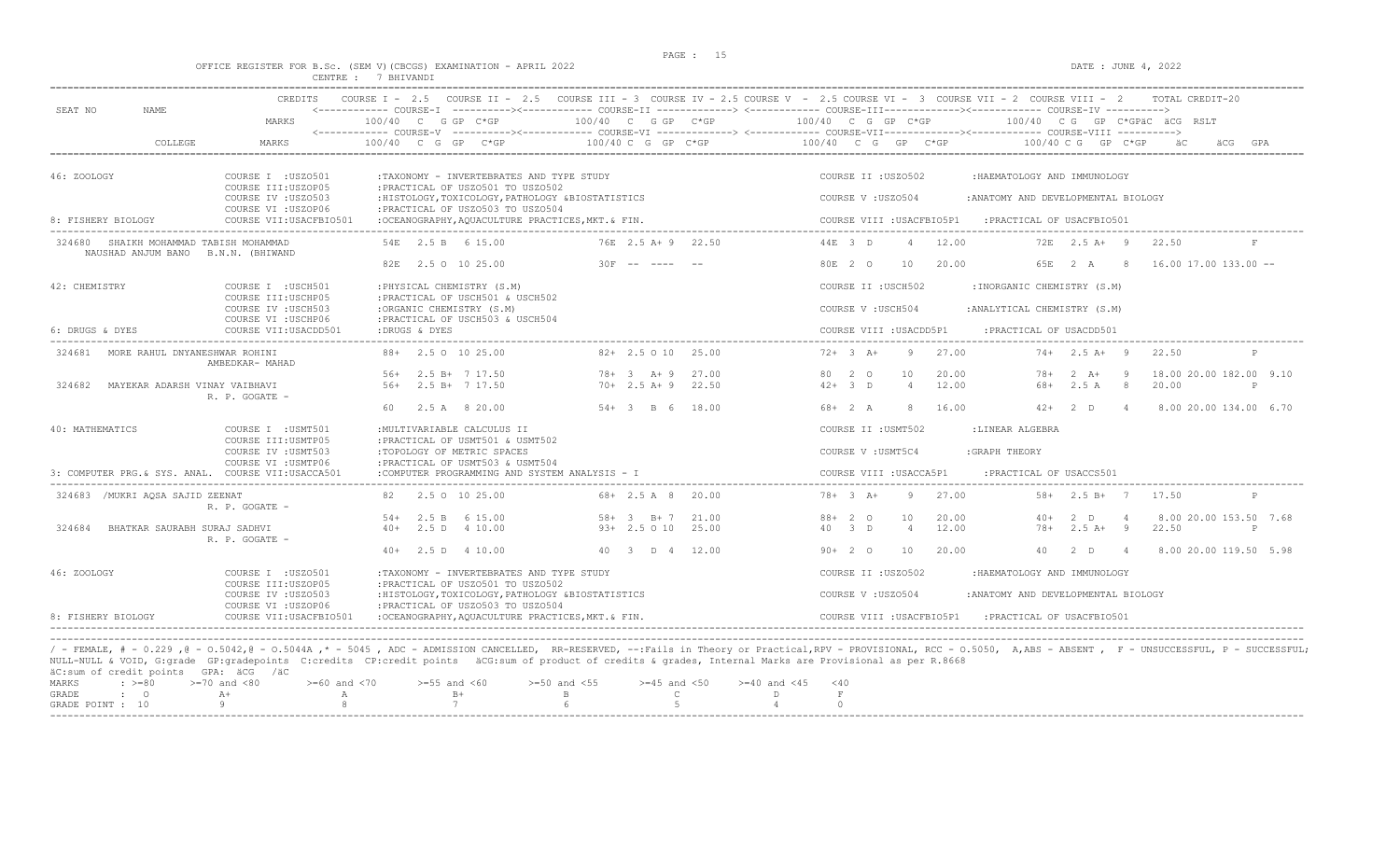#### OFFICE REGISTER FOR B.Sc. (SEM V)(CBCGS) EXAMINATION - APRIL 2022 DATE : JUNE 4, 2022 CENTRE : 7 BHIVANDI

|                                                                              | <b>CREDITS</b>                             |                                                                                         |                                                                                                                                                          | COURSE I - 2.5 COURSE II - 2.5 COURSE III - 3 COURSE IV - 2.5 COURSE V - 2.5 COURSE VI - 3 COURSE VII - 2 COURSE VIII - 2                                                       | TOTAL CREDIT-20                                                                                                                                                                                                     |
|------------------------------------------------------------------------------|--------------------------------------------|-----------------------------------------------------------------------------------------|----------------------------------------------------------------------------------------------------------------------------------------------------------|---------------------------------------------------------------------------------------------------------------------------------------------------------------------------------|---------------------------------------------------------------------------------------------------------------------------------------------------------------------------------------------------------------------|
| SEAT NO<br><b>NAME</b>                                                       | MARKS                                      | 100/40 C G GP C*GP                                                                      | 100/40 C G GP C*GP                                                                                                                                       | <------------ COURSE-I ----------><----------- COURSE-II -------------> <------------ COURSE-III-----------><---------><---------- COURSE-IV ---------->><br>100/40 C G GP C*GP | 100/40 CG GP C*GPÄC ÄCG RSLT                                                                                                                                                                                        |
| COLLEGE                                                                      | MARKS                                      | $100/40$ C G GP C*GP                                                                    | $100/40 C G$ PC*GP                                                                                                                                       | <------------ COURSE-V -----------><----------- COURSE-VI --------------> <------------ COURSE-VII---------------- COURSE-VIII ----------><br>100/40 C G GP C*GP                | 100/40 C G GP C*GP                                                                                                                                                                                                  |
| 46: ZOOLOGY                                                                  | COURSE I : USZ0501<br>COURSE III: USZOP05  | :TAXONOMY - INVERTEBRATES AND TYPE STUDY<br>: PRACTICAL OF USZ0501 TO USZ0502           |                                                                                                                                                          | COURSE II : USZ0502                                                                                                                                                             | : HAEMATOLOGY AND IMMUNOLOGY                                                                                                                                                                                        |
|                                                                              | COURSE IV : USZ0503<br>COURSE VI : USZOP06 | : HISTOLOGY, TOXICOLOGY, PATHOLOGY & BIOSTATISTICS<br>: PRACTICAL OF USZ0503 TO USZ0504 |                                                                                                                                                          | COURSE V : USZ0504                                                                                                                                                              | : ANATOMY AND DEVELOPMENTAL BIOLOGY                                                                                                                                                                                 |
| 8: FISHERY BIOLOGY                                                           | COURSE VII: USACFBIO501                    | : OCEANOGRAPHY, AQUACULTURE PRACTICES, MKT. & FIN.                                      |                                                                                                                                                          | COURSE VIII : USACFBIO5P1                                                                                                                                                       | : PRACTICAL OF USACFBIO501                                                                                                                                                                                          |
| 324680 SHAIKH MOHAMMAD TABISH MOHAMMAD<br>NAUSHAD ANJUM BANO B.N.N. (BHIWAND |                                            | 54E 2.5 B 6 15.00                                                                       | 76E 2.5 A+ 9 22.50                                                                                                                                       | 44E 3 D<br>12.00<br>$\overline{4}$                                                                                                                                              | $72E$ $2.5A+$ 9<br>22.50                                                                                                                                                                                            |
|                                                                              |                                            | 82E 2.5 O 10 25.00                                                                      | $30F$ -- ---- --                                                                                                                                         | 80E 2 0<br>10<br>20.00                                                                                                                                                          | 65E 2 A 8<br>$16.00$ 17.00 133.00 --                                                                                                                                                                                |
| 42: CHEMISTRY                                                                | COURSE I : USCH501<br>COURSE III: USCHP05  | : PHYSICAL CHEMISTRY (S.M)<br>: PRACTICAL OF USCH501 & USCH502                          |                                                                                                                                                          | COURSE II : USCH502                                                                                                                                                             | : INORGANIC CHEMISTRY (S.M)                                                                                                                                                                                         |
|                                                                              | COURSE IV : USCH503<br>COURSE VI : USCHP06 | :ORGANIC CHEMISTRY (S.M)<br>: PRACTICAL OF USCH503 & USCH504                            |                                                                                                                                                          | COURSE V: USCH504                                                                                                                                                               | : ANALYTICAL CHEMISTRY (S.M)                                                                                                                                                                                        |
| 6: DRUGS & DYES                                                              | COURSE VII: USACDD501                      | :DRUGS & DYES                                                                           |                                                                                                                                                          | COURSE VIII : USACDD5P1                                                                                                                                                         | : PRACTICAL OF USACDD501                                                                                                                                                                                            |
| 324681<br>MORE RAHUL DNYANESHWAR ROHINI                                      | AMBEDKAR- MAHAD                            | 88+ 2.5 0 10 25.00                                                                      | $82+2.5010$ 25.00                                                                                                                                        | $72+3+$<br>27.00<br>-9                                                                                                                                                          | $74+2.5$ A+ 9<br>22.50<br>P                                                                                                                                                                                         |
|                                                                              |                                            | $56+$ 2.5 B+ 7 17.50                                                                    | $78 + 3 + 9$ 27.00                                                                                                                                       | 80 2 0<br>10<br>20.00                                                                                                                                                           | - 9<br>18.00 20.00 182.00 9.10<br>78+<br>2 A+                                                                                                                                                                       |
| 324682<br>MAYEKAR ADARSH VINAY VAIBHAVI                                      | R. P. GOGATE -                             | 56+ 2.5 B+ 7 17.50                                                                      | $70+2.5 A+9$ 22.50                                                                                                                                       | $42+3$ D<br>$\overline{4}$<br>12.00                                                                                                                                             | 68+<br>$2.5 A$ 8<br>20.00<br>P                                                                                                                                                                                      |
|                                                                              |                                            | 2.5 A 8 20.00<br>60.                                                                    | $54 + 3$ B 6 18.00                                                                                                                                       | $68 + 2 A$<br>8<br>16.00                                                                                                                                                        | $42+$ 2 D 4<br>8.00 20.00 134.00 6.70                                                                                                                                                                               |
| 40: MATHEMATICS                                                              | COURSE I : USMT501<br>COURSE III: USMTP05  | : MULTIVARIABLE CALCULUS II<br>: PRACTICAL OF USMT501 & USMT502                         |                                                                                                                                                          | COURSE II : USMT502                                                                                                                                                             | :LINEAR ALGEBRA                                                                                                                                                                                                     |
|                                                                              | COURSE IV : USMT503                        | :TOPOLOGY OF METRIC SPACES                                                              |                                                                                                                                                          | COURSE V : USMT5C4<br>:GRAPH THEORY                                                                                                                                             |                                                                                                                                                                                                                     |
| 3: COMPUTER PRG & SYS. ANAL. COURSE VII:USACCA501                            | COURSE VI : USMTP06                        | : PRACTICAL OF USMT503 & USMT504<br>:COMPUTER PROGRAMMING AND SYSTEM ANALYSIS - I       |                                                                                                                                                          | COURSE VIII : USACCA5P1                                                                                                                                                         | : PRACTICAL OF USACCS501                                                                                                                                                                                            |
| 324683 /MUKRI AOSA SAJID ZEENAT                                              | R. P. GOGATE -                             | 82 2.5 0 10 25.00                                                                       | 68+ 2.5 A 8 20.00                                                                                                                                        | $78 + 3 A +$<br>27.00<br>-9                                                                                                                                                     | $58 + 2.5 B + 7$<br>17.50                                                                                                                                                                                           |
|                                                                              |                                            | $54+$ 2.5 B 6 15.00                                                                     | $58 + 3$ B + 7<br>21.00                                                                                                                                  | $88 + 20$<br>20.00<br>10                                                                                                                                                        | 8.00 20.00 153.50 7.68<br>$40+$<br>2 D<br>$\overline{4}$                                                                                                                                                            |
| 324684<br>BHATKAR SAURABH SURAJ SADHVI                                       | R. P. GOGATE -                             | 2.5 D 4 10.00<br>$40+$                                                                  | $93+2.5010$<br>25.00                                                                                                                                     | 12.00<br>40 3 D<br>$\overline{4}$                                                                                                                                               | $2.5 A+ 9$<br>22.50<br>$78+$<br>P                                                                                                                                                                                   |
|                                                                              |                                            | $40+$ 2.5 D 4 10.00                                                                     | 40 3 D 4 12.00                                                                                                                                           | $90+20$<br>10<br>20.00                                                                                                                                                          | 40<br>$2 - D$<br>$\overline{4}$<br>8.00 20.00 119.50 5.98                                                                                                                                                           |
| 46: ZOOLOGY                                                                  | COURSE I : USZ0501<br>COURSE III: USZOP05  | :TAXONOMY - INVERTEBRATES AND TYPE STUDY<br>: PRACTICAL OF USZ0501 TO USZ0502           |                                                                                                                                                          | COURSE II : USZ0502                                                                                                                                                             | :HAEMATOLOGY AND IMMUNOLOGY                                                                                                                                                                                         |
|                                                                              | COURSE IV : USZ0503<br>COURSE VI : USZOP06 | : HISTOLOGY, TOXICOLOGY, PATHOLOGY & BIOSTATISTICS<br>: PRACTICAL OF USZ0503 TO USZ0504 |                                                                                                                                                          | COURSE V: USZ0504                                                                                                                                                               | : ANATOMY AND DEVELOPMENTAL BIOLOGY                                                                                                                                                                                 |
| 8: FISHERY BIOLOGY                                                           | COURSE VII: USACFBIO501                    | :OCEANOGRAPHY, AOUACULTURE PRACTICES, MKT. & FIN.                                       |                                                                                                                                                          | COURSE VIII : USACFBIO5P1                                                                                                                                                       | : PRACTICAL OF USACFBIO501                                                                                                                                                                                          |
|                                                                              |                                            |                                                                                         |                                                                                                                                                          |                                                                                                                                                                                 |                                                                                                                                                                                                                     |
| äC:sum of credit points GPA: äCG /äC                                         |                                            |                                                                                         | NULL-NULL & VOID, G:grade GP:gradepoints C:credits CP:credit points äCG:sum of product of credits & grades, Internal Marks are Provisional as per R.8668 |                                                                                                                                                                                 | / - FEMALE, # - 0.229, @ - 0.5042, @ - 0.5044A,* - 5045, ADC - ADMISSION CANCELLED, RR-RESERVED, --:Fails in Theory or Practical,RPV - PROVISIONAL, RCC - 0.5050, A,ABS - ABSENT, F - UNSUCCESSFUL, P - SUCCESSFUL; |
| $: \ \ \>=80$<br>MARKS                                                       | $>=70$ and $<80$<br>$>=60$ and $<70$       | $>=55$ and $<60$                                                                        | $>=50$ and $<55$<br>$>=45$ and $<50$<br>$>= 40$ and $< 45$                                                                                               | $<$ 40                                                                                                                                                                          |                                                                                                                                                                                                                     |
| GRADE<br>$\mathbf{C}$<br>GRADE POINT : 10                                    | $A+$<br>$\mathbb{A}$<br>Q                  | $B+$<br>$7\overline{ }$                                                                 | $\mathsf{C}$<br>$\mathbf{B}$<br>D<br>$\overline{5}$                                                                                                      | $\,$ F<br>$\Omega$                                                                                                                                                              |                                                                                                                                                                                                                     |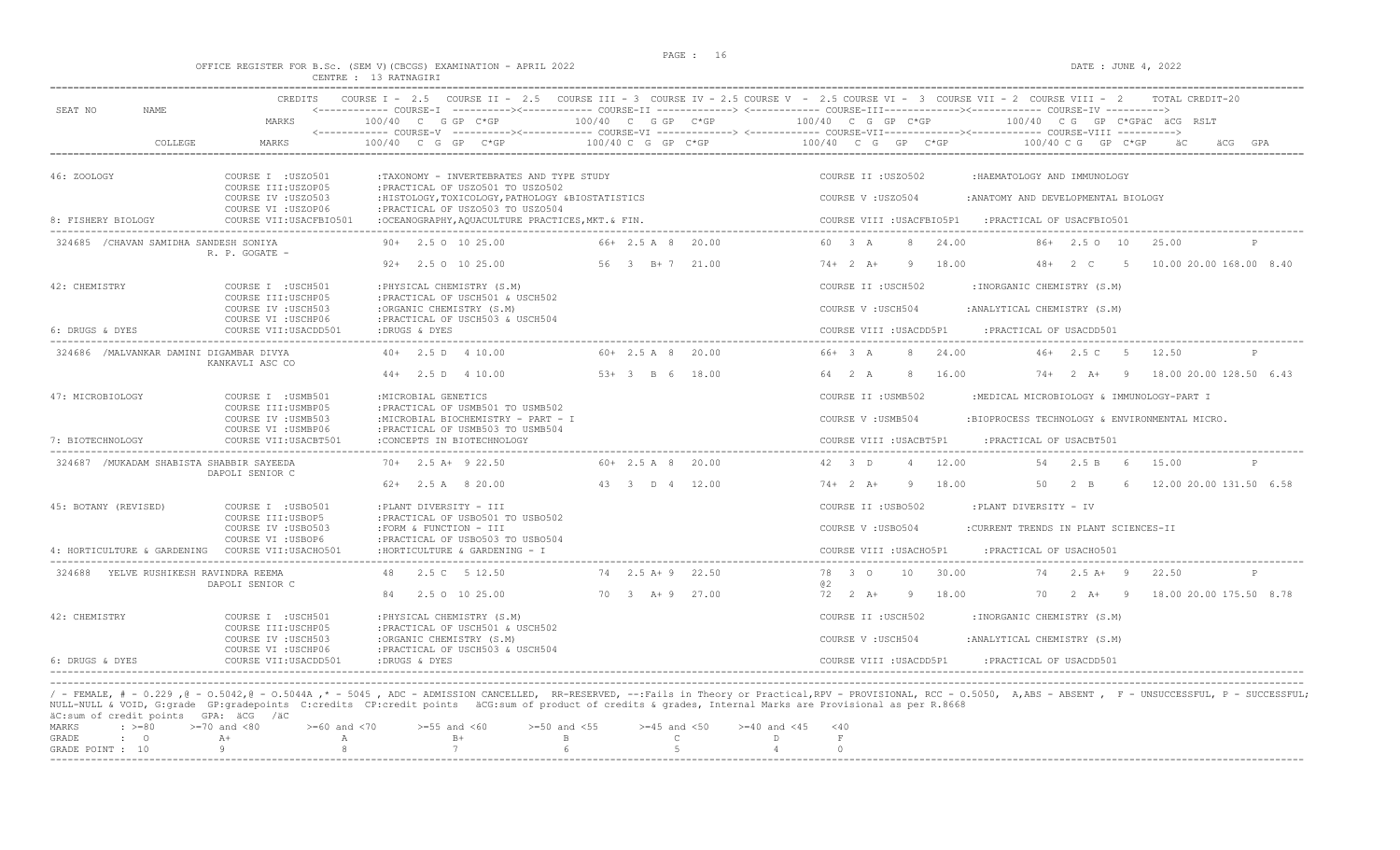DATE : JUNE  $4, 2022$ 

|  |  |  |                       | OFFICE REGISTER FOR B.Sc. (SEM V) (CBCGS) EXAMINATION - APRIL 2022 |  |  |
|--|--|--|-----------------------|--------------------------------------------------------------------|--|--|
|  |  |  | CENTRE : 13 RATNAGIRI |                                                                    |  |  |

|                                           | CREDITS                                      |                                                                                       |                     | COURSE I - 2.5 COURSE II - 2.5 COURSE III - 3 COURSE IV - 2.5 COURSE V - 2.5 COURSE VI - 3 COURSE VII - 2 COURSE VIII - 2<br>TOTAL CREDIT-20                                                           |
|-------------------------------------------|----------------------------------------------|---------------------------------------------------------------------------------------|---------------------|--------------------------------------------------------------------------------------------------------------------------------------------------------------------------------------------------------|
| SEAT NO<br>NAME.                          | MARKS                                        | 100/40 C G GP C*GP                                                                    | 100/40 C G GP C*GP  | <------------ COURSE-I ----------><----------- COURSE-II -------------> <------------ COURSE-III-----------><------------ COURSE-IV ---------->><br>100/40 C G GP C*GP<br>100/40 CG GP C*GPäC äCG RSLT |
| COLLEGE                                   | MARKS                                        | $100/40$ C G GP C*GP                                                                  | 100/40 C G GP C*GP  | <------------ COURSE-V ----------><----------- COURSE-VI -------------> <------------ COURSE-VIII-------------- COURSE-VIII ----------><br>100/40 C G GP C*GP<br>$100/40$ C G GP C*GP<br>äС            |
| 46: ZOOLOGY                               | COURSE T : USZO501<br>COURSE III:USZOP05     | : TAXONOMY - INVERTEBRATES AND TYPE STUDY<br>: PRACTICAL OF USZ0501 TO USZ0502        |                     | COURSE IT : USZO502<br>:HAEMATOLOGY AND IMMUNOLOGY                                                                                                                                                     |
|                                           | COURSE IV : USZ0503<br>COURSE VI : USZOP06   | :HISTOLOGY, TOXICOLOGY, PATHOLOGY &BIOSTATISTICS<br>: PRACTICAL OF USZ0503 TO USZ0504 |                     | COURSE V: USZ0504<br>: ANATOMY AND DEVELOPMENTAL BIOLOGY                                                                                                                                               |
| 8: FISHERY BIOLOGY                        | COURSE VII:USACFBIO501                       | :OCEANOGRAPHY, AOUACULTURE PRACTICES, MKT. & FIN.                                     |                     | COURSE VIII : USACFBIO5P1<br>PRACTICAL OF USACFBIO501:                                                                                                                                                 |
| 324685 / CHAVAN SAMIDHA SANDESH SONIYA    | R. P. GOGATE -                               | $90+$ 2.5 0 10 25.00                                                                  | 66+ 2.5 A 8 20.00   | 60 3 A<br>24.00<br>86+ 2.5 0 10<br>8<br>25.00                                                                                                                                                          |
|                                           |                                              | $92+$ 2.5 0 10 25.00                                                                  | 56 3 B+7 21.00      | $74+2 A+$<br>9 18.00<br>$48 + 2 C$<br>10.00 20.00 168.00 8.40<br>5 <sub>5</sub>                                                                                                                        |
| 42: CHEMISTRY                             | COURSE I : USCH501<br>COURSE III:USCHP05     | : PHYSICAL CHEMISTRY (S.M)<br>: PRACTICAL OF USCH501 & USCH502                        |                     | COURSE II : USCH502<br>: INORGANIC CHEMISTRY (S.M)                                                                                                                                                     |
|                                           | COURSE IV : USCH503<br>COURSE VI : USCHP06   | :ORGANIC CHEMISTRY (S.M)<br>: PRACTICAL OF USCH503 & USCH504                          |                     | COURSE V : USCH504<br>: ANALYTICAL CHEMISTRY (S.M)                                                                                                                                                     |
| 6: DRUGS & DYES                           | COURSE VII: USACDD501                        | :DRUGS & DYES                                                                         |                     | COURSE VIII : USACDD5P1<br>: PRACTICAL OF USACDD501                                                                                                                                                    |
| 324686 /MALVANKAR DAMINI DIGAMBAR DIVYA   | KANKAVLI ASC CO                              | $40+$ 2.5 D 4 10.00                                                                   | $60+ 2.5 A 8 20.00$ | 66+ 3 A<br>46+ 2.5 C 5 12.50<br>24.00<br>$\mathcal{R}$<br>P                                                                                                                                            |
|                                           |                                              | $44+$ 2.5 D 4 10.00                                                                   | 53+ 3 B 6 18.00     | 64 2 A<br>16.00<br>74+ 2 A+ 9 18.00 20.00 128.50 6.43<br>-8                                                                                                                                            |
| 47: MICROBIOLOGY                          | COURSE I : USMB501<br>COURSE III: USMBP05    | : MICROBIAL GENETICS<br>:PRACTICAL OF USMB501 TO USMB502                              |                     | COURSE II : USMB502<br>:MEDICAL MICROBIOLOGY & IMMUNOLOGY-PART I                                                                                                                                       |
|                                           | COURSE IV : USMB503                          | :MICROBIAL BIOCHEMISTRY - PART - I                                                    |                     | COURSE V : USMB504<br>:BIOPROCESS TECHNOLOGY & ENVIRONMENTAL MICRO.                                                                                                                                    |
| 7: BIOTECHNOLOGY                          | COURSE VI : USMBP06<br>COURSE VII: USACBT501 | : PRACTICAL OF USMB503 TO USMB504<br>:CONCEPTS IN BIOTECHNOLOGY                       |                     | COURSE VIII : USACBT5P1<br>:PRACTICAL OF USACBT501                                                                                                                                                     |
| 324687 / MUKADAM SHABISTA SHABBIR SAYEEDA | DAPOLI SENIOR C                              | $70+$ 2.5 A+ 9 22.50                                                                  | $60+ 2.5 A 8 20.00$ | 42 3 D<br>4 12.00<br>54 2.5 B 6<br>15.00<br>P                                                                                                                                                          |
|                                           |                                              | $62+$ 2.5 A 8 20.00                                                                   | 43 3 D 4 12.00      | $74 + 2 A +$<br>9 18.00<br>50<br>$2 \quad B$<br>12.00 20.00 131.50 6.58<br>- 6 -                                                                                                                       |
| 45: BOTANY (REVISED)                      | COURSE I : USB0501                           | :PLANT DIVERSITY - III                                                                |                     | COURSE II : USB0502<br>:PLANT DIVERSITY - IV                                                                                                                                                           |
|                                           | COURSE III: USBOP5<br>COURSE IV : USB0503    | : PRACTICAL OF USB0501 TO USB0502<br>:FORM & FUNCTION - III                           |                     | COURSE V: USB0504<br>:CURRENT TRENDS IN PLANT SCIENCES-II                                                                                                                                              |
| 4: HORTICULTURE & GARDENING               | COURSE VI : USBOP6<br>COURSE VII: USACHO501  | : PRACTICAL OF USB0503 TO USB0504<br>: HORTICULTURE & GARDENING - I                   |                     | COURSE VIII : USACHO5P1<br>:PRACTICAL OF USACH0501                                                                                                                                                     |
| 324688 YELVE RUSHIKESH RAVINDRA REEMA     |                                              | 48 2.5 C 5 12.50                                                                      | 74 2.5 A + 9 22.50  | 78 3 0<br>30.00<br>74 2.5 A+ 9<br>10<br>22.50<br>$\mathbb{P}$                                                                                                                                          |
|                                           | DAPOLI SENIOR C                              | 2.5 0 10 25.00<br>84                                                                  | 70 3 A + 9 27.00    | 02<br>$72 \t2 \tA+$<br>9 18.00<br>$2 A+ 9$<br>18.00 20.00 175.50 8.78<br>70                                                                                                                            |
| 42: CHEMISTRY                             | COURSE I : USCH501                           | : PHYSICAL CHEMISTRY (S.M)                                                            |                     | COURSE II : USCH502<br>: INORGANIC CHEMISTRY (S.M)                                                                                                                                                     |
|                                           | COURSE III: USCHP05<br>COURSE IV : USCH503   | : PRACTICAL OF USCH501 & USCH502<br>:ORGANIC CHEMISTRY (S.M)                          |                     | COURSE V: USCH504<br>: ANALYTICAL CHEMISTRY (S.M)                                                                                                                                                      |
| 6: DRUGS & DYES                           | COURSE VI : USCHP06<br>COURSE VII:USACDD501  | :PRACTICAL OF USCH503 & USCH504<br>:DRUGS & DYES                                      |                     | COURSE VIII : USACDD5P1<br>: PRACTICAL OF USACDD501                                                                                                                                                    |
|                                           |                                              |                                                                                       |                     |                                                                                                                                                                                                        |

/ - FEMALE, # - 0.229 ,@ - 0.5042,@ - 0.5044A ,\* - 5045 , ADC - ADMISSION CANCELLED, RR-RESERVED, --:Fails in Theory or Practical,RPV - PROVISIONAL, RCC - 0.5050, A,ABS - ABSENT , F - UNSUCCESSFUL, P - SUCCESSFUL; NULL-NULL & VOID, G:grade GP:gradepoints C:credits CP:credit points äCG:sum of product of credits & grades, Internal Marks are Provisional as per R.8668<br>äC:sum of credit points GPA: äCG /äC

| ay,sull UI CIEUIL DUINCS - GIA, aug - /au |                                                                                                |  |  |  |  |  |
|-------------------------------------------|------------------------------------------------------------------------------------------------|--|--|--|--|--|
|                                           | MARKS : >=80 >=70 and <80 >=60 and <70 >=55 and <60 >=50 and <55 >=45 and <50 >=40 and <45 <40 |  |  |  |  |  |
|                                           | GRADE : 0 A+ A A B+ B C D                                                                      |  |  |  |  |  |
|                                           | GRADE POINT : $10$ 9 8 7 6 5 5 4 0                                                             |  |  |  |  |  |
|                                           |                                                                                                |  |  |  |  |  |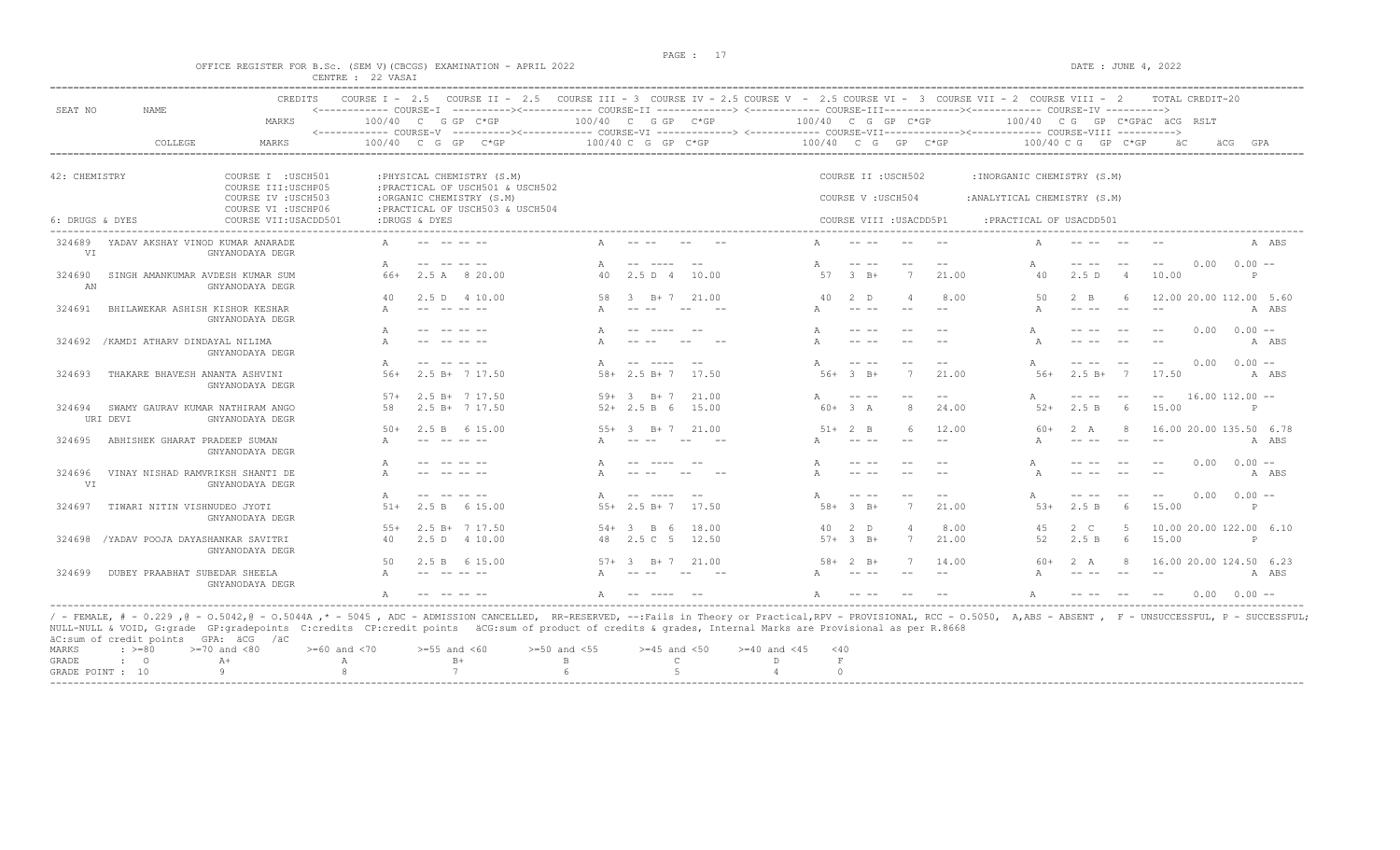$DATA: JUNE 4, 2022$ 

|  |  |                   |  | OFFICE REGISTER FOR B.SC. (SEM V)(CBCGS) EXAMINATION - APRIL 2022 |  |  |
|--|--|-------------------|--|-------------------------------------------------------------------|--|--|
|  |  | CENTRE : 22 VASAI |  |                                                                   |  |  |

|                 | CREDITS                                             | COURSE $T = 2.5$ | COURSE II $-2.5$                                               |                                                                                                                                                           |                                                                                                                                                                                                                                                                                                                                                                                              |                | COURSE III - 3 COURSE IV - 2.5 COURSE V - 2.5 COURSE VI - 3 COURSE VII - 2 COURSE VIII - 2 |                                                                                                                                                                                                                                                                                                                                                                                              |                |        |                              |                                                                                                                                                                                                                                                                                                                                                                                                          |       | TOTAL CREDIT-20              |                           |
|-----------------|-----------------------------------------------------|------------------|----------------------------------------------------------------|-----------------------------------------------------------------------------------------------------------------------------------------------------------|----------------------------------------------------------------------------------------------------------------------------------------------------------------------------------------------------------------------------------------------------------------------------------------------------------------------------------------------------------------------------------------------|----------------|--------------------------------------------------------------------------------------------|----------------------------------------------------------------------------------------------------------------------------------------------------------------------------------------------------------------------------------------------------------------------------------------------------------------------------------------------------------------------------------------------|----------------|--------|------------------------------|----------------------------------------------------------------------------------------------------------------------------------------------------------------------------------------------------------------------------------------------------------------------------------------------------------------------------------------------------------------------------------------------------------|-------|------------------------------|---------------------------|
| SEAT NO         | NAME<br>MARKS                                       |                  | 100/40 C G GP C*GP                                             | <------------ COURSE-I ----------><----------- COURSE-II -------------> <------------ COURSE-III-----------><---------><---------- COURSE-IV ---------->> | 100/40 C G GP C*GP                                                                                                                                                                                                                                                                                                                                                                           |                | 100/40 C G GP C*GP                                                                         |                                                                                                                                                                                                                                                                                                                                                                                              |                |        |                              |                                                                                                                                                                                                                                                                                                                                                                                                          |       | 100/40 CG GP C*GPÄC ÄCG RSLT |                           |
|                 | COLLEGE<br><b>MARKS</b>                             | 100/40           | C G GP<br>$C*GP$                                               | <------------ COURSE-V ----------><----------- COURSE-VI -------------> <------------ COURSE-VIII-------------- COURSE-VIII ---------->                   | 100/40 C G GP C*GP                                                                                                                                                                                                                                                                                                                                                                           |                | 100/40 C G                                                                                 |                                                                                                                                                                                                                                                                                                                                                                                              | GP             | $C*GP$ |                              | $100/40$ C G GP C*GP                                                                                                                                                                                                                                                                                                                                                                                     |       |                              | äCG<br>GPA                |
|                 |                                                     |                  |                                                                |                                                                                                                                                           |                                                                                                                                                                                                                                                                                                                                                                                              |                |                                                                                            |                                                                                                                                                                                                                                                                                                                                                                                              |                |        |                              |                                                                                                                                                                                                                                                                                                                                                                                                          |       |                              |                           |
| 42: CHEMISTRY   | COURSE I : USCH501<br>COURSE III: USCHP05           |                  | : PHYSICAL CHEMISTRY (S.M)<br>: PRACTICAL OF USCH501 & USCH502 |                                                                                                                                                           |                                                                                                                                                                                                                                                                                                                                                                                              |                |                                                                                            | COURSE II : USCH502                                                                                                                                                                                                                                                                                                                                                                          |                |        | : INORGANIC CHEMISTRY (S.M)  |                                                                                                                                                                                                                                                                                                                                                                                                          |       |                              |                           |
|                 | COURSE IV : USCH503<br>COURSE VI : USCHP06          |                  | :ORGANIC CHEMISTRY (S.M)<br>: PRACTICAL OF USCH503 & USCH504   |                                                                                                                                                           |                                                                                                                                                                                                                                                                                                                                                                                              |                |                                                                                            | COURSE V: USCH504                                                                                                                                                                                                                                                                                                                                                                            |                |        | : ANALYTICAL CHEMISTRY (S.M) |                                                                                                                                                                                                                                                                                                                                                                                                          |       |                              |                           |
| 6: DRUGS & DYES | COURSE VII: USACDD501                               |                  | :DRUGS & DYES                                                  |                                                                                                                                                           |                                                                                                                                                                                                                                                                                                                                                                                              |                |                                                                                            | COURSE VIII : USACDD5P1                                                                                                                                                                                                                                                                                                                                                                      |                |        | : PRACTICAL OF USACDD501     |                                                                                                                                                                                                                                                                                                                                                                                                          |       |                              |                           |
| 324689<br>VI    | YADAV AKSHAY VINOD KUMAR ANARADE<br>GNYANODAYA DEGR |                  |                                                                |                                                                                                                                                           |                                                                                                                                                                                                                                                                                                                                                                                              |                |                                                                                            |                                                                                                                                                                                                                                                                                                                                                                                              |                |        |                              |                                                                                                                                                                                                                                                                                                                                                                                                          |       |                              | A ABS                     |
|                 |                                                     |                  |                                                                |                                                                                                                                                           | $\frac{1}{2} \frac{1}{2} \frac{1}{2} \frac{1}{2} \frac{1}{2} \frac{1}{2} \frac{1}{2} \frac{1}{2} \frac{1}{2} \frac{1}{2} \frac{1}{2} \frac{1}{2} \frac{1}{2} \frac{1}{2} \frac{1}{2} \frac{1}{2} \frac{1}{2} \frac{1}{2} \frac{1}{2} \frac{1}{2} \frac{1}{2} \frac{1}{2} \frac{1}{2} \frac{1}{2} \frac{1}{2} \frac{1}{2} \frac{1}{2} \frac{1}{2} \frac{1}{2} \frac{1}{2} \frac{1}{2} \frac{$ | $ -$           |                                                                                            | $- - - -$                                                                                                                                                                                                                                                                                                                                                                                    | $ -$           |        | A                            | $\frac{1}{2} \frac{1}{2} \frac{1}{2} \frac{1}{2} \frac{1}{2} \frac{1}{2} \frac{1}{2} \frac{1}{2} \frac{1}{2} \frac{1}{2} \frac{1}{2} \frac{1}{2} \frac{1}{2} \frac{1}{2} \frac{1}{2} \frac{1}{2} \frac{1}{2} \frac{1}{2} \frac{1}{2} \frac{1}{2} \frac{1}{2} \frac{1}{2} \frac{1}{2} \frac{1}{2} \frac{1}{2} \frac{1}{2} \frac{1}{2} \frac{1}{2} \frac{1}{2} \frac{1}{2} \frac{1}{2} \frac{$             | $- -$ | 0.00<br>$- -$                | $0.00 -$                  |
| 324690<br>AN    | SINGH AMANKUMAR AVDESH KUMAR SUM<br>GNYANODAYA DEGR | $66+$            | 2.5 A 8 20.00                                                  | 40                                                                                                                                                        | 2.5 <sub>D</sub><br>$\overline{4}$                                                                                                                                                                                                                                                                                                                                                           | 10.00          | 57                                                                                         | $3 \overline{B} +$                                                                                                                                                                                                                                                                                                                                                                           | 7              | 21.00  | 40                           | 2.5D                                                                                                                                                                                                                                                                                                                                                                                                     |       | 10.00                        | P                         |
|                 |                                                     | 40               | 4 10.00<br>2.5 D                                               | 58                                                                                                                                                        | $B+7$                                                                                                                                                                                                                                                                                                                                                                                        | 21.00          | 40                                                                                         | 2 D                                                                                                                                                                                                                                                                                                                                                                                          | $\overline{A}$ | 8.00   | 50                           | $2 \quad B$                                                                                                                                                                                                                                                                                                                                                                                              | -6    | 12.00 20.00 112.00 5.60      |                           |
| 324691          | BHILAWEKAR ASHISH KISHOR KESHAR<br>GNYANODAYA DEGR  |                  |                                                                |                                                                                                                                                           |                                                                                                                                                                                                                                                                                                                                                                                              |                |                                                                                            | $---$                                                                                                                                                                                                                                                                                                                                                                                        | $ -$           |        |                              |                                                                                                                                                                                                                                                                                                                                                                                                          | $ -$  |                              | A ABS                     |
| 324692          | /KAMDI ATHARV DINDAYAL NILIMA                       |                  |                                                                |                                                                                                                                                           |                                                                                                                                                                                                                                                                                                                                                                                              |                |                                                                                            | $- - - - -$                                                                                                                                                                                                                                                                                                                                                                                  |                |        |                              |                                                                                                                                                                                                                                                                                                                                                                                                          |       | 0.00                         | $0.00 -$                  |
|                 | GNYANODAYA DEGR                                     |                  |                                                                |                                                                                                                                                           |                                                                                                                                                                                                                                                                                                                                                                                              |                |                                                                                            |                                                                                                                                                                                                                                                                                                                                                                                              |                |        |                              |                                                                                                                                                                                                                                                                                                                                                                                                          |       |                              | A ABS                     |
| 324693          |                                                     | $56+$            | $2.5 B+ 7 17.50$                                               | $58+$                                                                                                                                                     | $- - - - -$<br>$2.5 B+7$                                                                                                                                                                                                                                                                                                                                                                     | 17.50          | $.56+$                                                                                     | $- - - -$<br>$-3$ $-B+$                                                                                                                                                                                                                                                                                                                                                                      |                | 21.00  | $.56+$                       | $\frac{1}{2} \frac{1}{2} \frac{1}{2} \frac{1}{2} \frac{1}{2} \frac{1}{2} \frac{1}{2} \frac{1}{2} \frac{1}{2} \frac{1}{2} \frac{1}{2} \frac{1}{2} \frac{1}{2} \frac{1}{2} \frac{1}{2} \frac{1}{2} \frac{1}{2} \frac{1}{2} \frac{1}{2} \frac{1}{2} \frac{1}{2} \frac{1}{2} \frac{1}{2} \frac{1}{2} \frac{1}{2} \frac{1}{2} \frac{1}{2} \frac{1}{2} \frac{1}{2} \frac{1}{2} \frac{1}{2} \frac{$<br>$2.5 B+$ |       | 0.00<br>$- -$<br>17.50       | $0.00 -$<br>A ABS         |
|                 | THAKARE BHAVESH ANANTA ASHVINI<br>GNYANODAYA DEGR   |                  |                                                                |                                                                                                                                                           |                                                                                                                                                                                                                                                                                                                                                                                              |                |                                                                                            |                                                                                                                                                                                                                                                                                                                                                                                              |                |        |                              |                                                                                                                                                                                                                                                                                                                                                                                                          |       |                              |                           |
| 324694          | SWAMY GAURAV KUMAR NATHIRAM ANGO                    | $.57+$<br>58     | $2.5 B+ 7 17.50$<br>$2.5 B+ 7 17.50$                           | $59+$                                                                                                                                                     | $B+7$<br>-3-<br>$52+2.5 B 6$                                                                                                                                                                                                                                                                                                                                                                 | 21.00<br>15.00 | $60+$                                                                                      | 3 A                                                                                                                                                                                                                                                                                                                                                                                          | R              | 24.00  | A<br>$52+$                   | -- --<br>2.5 B                                                                                                                                                                                                                                                                                                                                                                                           |       | 15.00                        | $16.00$ $112.00$ $-$<br>P |
| URI DEVI        | GNYANODAYA DEGR                                     |                  |                                                                |                                                                                                                                                           |                                                                                                                                                                                                                                                                                                                                                                                              |                |                                                                                            |                                                                                                                                                                                                                                                                                                                                                                                              |                |        |                              |                                                                                                                                                                                                                                                                                                                                                                                                          |       |                              |                           |
| 324695          | ABHISHEK GHARAT PRADEEP SUMAN                       | $50+$            | 2.5 B<br>6 15.00                                               | $5.5+$                                                                                                                                                    | -3<br>B+ 7                                                                                                                                                                                                                                                                                                                                                                                   | 21.00          | $.51+$                                                                                     | 2 B<br>$- -$                                                                                                                                                                                                                                                                                                                                                                                 | -6             | 12.00  | 60+                          | 2 A<br>-- --                                                                                                                                                                                                                                                                                                                                                                                             | 8     | 16.00 20.00 135.50 6.78      | A ABS                     |
|                 | GNYANODAYA DEGR                                     |                  |                                                                |                                                                                                                                                           |                                                                                                                                                                                                                                                                                                                                                                                              |                |                                                                                            |                                                                                                                                                                                                                                                                                                                                                                                              |                |        |                              |                                                                                                                                                                                                                                                                                                                                                                                                          |       |                              |                           |
|                 | VINAY NISHAD RAMVRIKSH SHANTI DE                    |                  |                                                                |                                                                                                                                                           |                                                                                                                                                                                                                                                                                                                                                                                              |                |                                                                                            |                                                                                                                                                                                                                                                                                                                                                                                              |                |        |                              |                                                                                                                                                                                                                                                                                                                                                                                                          |       | 0.00                         | $0.00 -$                  |
| 324696<br>VI    | GNYANODAYA DEGR                                     |                  |                                                                |                                                                                                                                                           |                                                                                                                                                                                                                                                                                                                                                                                              |                |                                                                                            |                                                                                                                                                                                                                                                                                                                                                                                              |                |        |                              |                                                                                                                                                                                                                                                                                                                                                                                                          |       |                              | A ABS                     |
| 324697          |                                                     | $51+$            | 6 15.00<br>2.5 B                                               | $5.5+$                                                                                                                                                    | $- - - - -$<br>$2.5 B+7$                                                                                                                                                                                                                                                                                                                                                                     | 17.50          | $58+$                                                                                      | -3-<br>$B+$                                                                                                                                                                                                                                                                                                                                                                                  |                | 21.00  | $5.3+$                       | 2.5 B                                                                                                                                                                                                                                                                                                                                                                                                    |       | 0.00<br>15.00                | $0.00 -$<br>P             |
|                 | TIWARI NITIN VISHNUDEO JYOTI<br>GNYANODAYA DEGR     |                  |                                                                |                                                                                                                                                           |                                                                                                                                                                                                                                                                                                                                                                                              |                |                                                                                            |                                                                                                                                                                                                                                                                                                                                                                                              |                |        |                              |                                                                                                                                                                                                                                                                                                                                                                                                          |       |                              |                           |
|                 |                                                     | $5.5+$           | $2.5 B+$<br>7 17.50                                            | $54+$                                                                                                                                                     | $\overline{B}$<br>- 6<br>-3.                                                                                                                                                                                                                                                                                                                                                                 | 18.00          | 40.                                                                                        | $2$ D                                                                                                                                                                                                                                                                                                                                                                                        |                | 8.00   | 45                           | $2\degree$ C                                                                                                                                                                                                                                                                                                                                                                                             |       | 10.00 20.00 122.00 6.10      |                           |
| 324698          | /YADAV POOJA DAYASHANKAR SAVITRI<br>GNYANODAYA DEGR | 40               | 2.5 D 4 10.00                                                  | 48                                                                                                                                                        | 2.5 C 5                                                                                                                                                                                                                                                                                                                                                                                      | 12.50          |                                                                                            | $57+3$ B+                                                                                                                                                                                                                                                                                                                                                                                    | 7              | 21.00  | 52                           | 2.5 B                                                                                                                                                                                                                                                                                                                                                                                                    | 6     | 15.00                        | P                         |
|                 |                                                     | 50               | 2.5 B<br>6 15.00                                               |                                                                                                                                                           | $B+7$                                                                                                                                                                                                                                                                                                                                                                                        | 21.00          | $58+$                                                                                      | $B+$                                                                                                                                                                                                                                                                                                                                                                                         |                | 14.00  |                              | 2 A                                                                                                                                                                                                                                                                                                                                                                                                      |       | 16.00 20.00 124.50 6.23      |                           |
| 324699          | DUBEY PRAABHAT SUBEDAR SHEELA<br>GNYANODAYA DEGR    |                  |                                                                |                                                                                                                                                           |                                                                                                                                                                                                                                                                                                                                                                                              |                |                                                                                            |                                                                                                                                                                                                                                                                                                                                                                                              |                |        |                              |                                                                                                                                                                                                                                                                                                                                                                                                          |       |                              | A ABS                     |
|                 |                                                     |                  |                                                                |                                                                                                                                                           |                                                                                                                                                                                                                                                                                                                                                                                              |                |                                                                                            | $\frac{1}{2} \frac{1}{2} \frac{1}{2} \frac{1}{2} \frac{1}{2} \frac{1}{2} \frac{1}{2} \frac{1}{2} \frac{1}{2} \frac{1}{2} \frac{1}{2} \frac{1}{2} \frac{1}{2} \frac{1}{2} \frac{1}{2} \frac{1}{2} \frac{1}{2} \frac{1}{2} \frac{1}{2} \frac{1}{2} \frac{1}{2} \frac{1}{2} \frac{1}{2} \frac{1}{2} \frac{1}{2} \frac{1}{2} \frac{1}{2} \frac{1}{2} \frac{1}{2} \frac{1}{2} \frac{1}{2} \frac{$ |                |        |                              |                                                                                                                                                                                                                                                                                                                                                                                                          |       | 0.00                         | $0.00 -$                  |

NULL-NULL & VOID, G:grade GP:gradepoints C:credits CP:credit points äCG:sum of product of credits & grades, Internal Marks are Provisional as per R.8668 äC:sum of credit points GPA: äCG /äC MARKS : >=80 >=70 and <80 >=60 and <70 >=55 and <60 >=50 and <55 >=45 and <50 >=40 and <45 <40 GRADE : O  $A+$  A  $B+$  B C D F  $A$  0 GRADE POINT : 10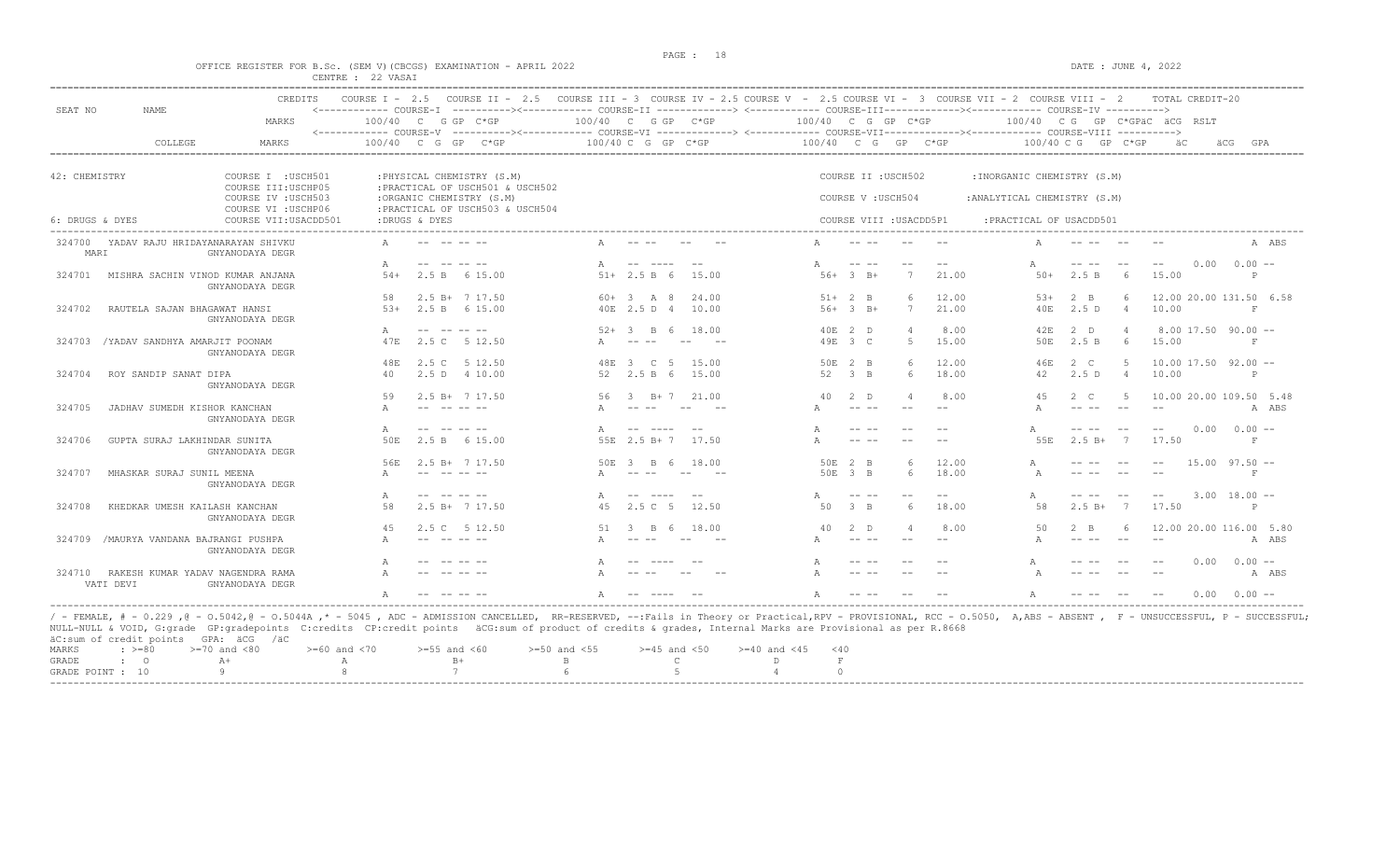$DATA: JUNE 4, 2022$ 

|  |  |                   |  | OFFICE REGISTER FOR B.SC. (SEM V)(CBCGS) EXAMINATION - APRIL 2022 |  |  |
|--|--|-------------------|--|-------------------------------------------------------------------|--|--|
|  |  | CENTRE : 22 VASAI |  |                                                                   |  |  |

|                     |                                  | <b>CREDITS</b>                             |                      |                  | COURSE I - 2.5 COURSE II - 2.5 COURSE III - 3 COURSE IV - 2.5 COURSE V - 2.5 COURSE VI - 3 COURSE VII - 2 COURSE VIII - 2<br><------------ COURSE-I ----------><----------- COURSE-II --------------> <------------ COURSE-III------------><------------ COURSE-IV ---------->                                                                                                               |                      |                                 |              |                      |                                                                                                                                                                                                                                                                                                                                                                                              |                         |       |                                                 |                      |                 | TOTAL CREDIT-20         |      |                         |
|---------------------|----------------------------------|--------------------------------------------|----------------------|------------------|----------------------------------------------------------------------------------------------------------------------------------------------------------------------------------------------------------------------------------------------------------------------------------------------------------------------------------------------------------------------------------------------|----------------------|---------------------------------|--------------|----------------------|----------------------------------------------------------------------------------------------------------------------------------------------------------------------------------------------------------------------------------------------------------------------------------------------------------------------------------------------------------------------------------------------|-------------------------|-------|-------------------------------------------------|----------------------|-----------------|-------------------------|------|-------------------------|
| SEAT NO             | <b>NAME</b>                      | MARKS                                      | $100/40$ C G GP C*GP |                  | <------------ COURSE-V -----------><----------- COURSE-VI --------------> <------------ COURSE-VIII------------- COURSE-VIII ---------->                                                                                                                                                                                                                                                     | $100/40$ C G GP C*GP |                                 |              | $100/40$ C G GP C*GP |                                                                                                                                                                                                                                                                                                                                                                                              |                         |       | 100/40 CG GP C*GPÄC ÄCG RSLT                    |                      |                 |                         |      |                         |
|                     | COLLEGE                          | MARKS                                      | 100/40 C G GP        |                  | $C*GP$                                                                                                                                                                                                                                                                                                                                                                                       |                      | 100/40 C G GP C*GP              |              | 100/40 C G           |                                                                                                                                                                                                                                                                                                                                                                                              | GP C*GP                 |       |                                                 | $100/40$ C G GP C*GP |                 |                         | äCG  | GPA                     |
|                     |                                  |                                            |                      |                  |                                                                                                                                                                                                                                                                                                                                                                                              |                      |                                 |              |                      |                                                                                                                                                                                                                                                                                                                                                                                              |                         |       |                                                 |                      |                 |                         |      |                         |
| 42: CHEMISTRY       |                                  | COURSE I : USCH501<br>COURSE III: USCHP05  |                      |                  | : PHYSICAL CHEMISTRY (S.M)<br>: PRACTICAL OF USCH501 & USCH502                                                                                                                                                                                                                                                                                                                               |                      |                                 |              |                      |                                                                                                                                                                                                                                                                                                                                                                                              | COURSE II : USCH502     |       | : INORGANIC CHEMISTRY (S.M)                     |                      |                 |                         |      |                         |
|                     |                                  | COURSE IV : USCH503<br>COURSE VI : USCHP06 |                      |                  | :ORGANIC CHEMISTRY (S.M)<br>:PRACTICAL OF USCH503 & USCH504                                                                                                                                                                                                                                                                                                                                  |                      |                                 |              |                      | COURSE V: USCH504                                                                                                                                                                                                                                                                                                                                                                            |                         |       | : ANALYTICAL CHEMISTRY (S.M)                    |                      |                 |                         |      |                         |
| 6: DRUGS & DYES     |                                  | COURSE VII: USACDD501                      |                      | :DRUGS & DYES    |                                                                                                                                                                                                                                                                                                                                                                                              |                      |                                 |              |                      |                                                                                                                                                                                                                                                                                                                                                                                              | COURSE VIII : USACDD5P1 |       | : PRACTICAL OF USACDD501<br>------------------- |                      |                 |                         |      |                         |
| 324700<br>MARI      | YADAV RAJU HRIDAYANARAYAN SHIVKU | GNYANODAYA DEGR                            |                      |                  |                                                                                                                                                                                                                                                                                                                                                                                              |                      |                                 |              |                      |                                                                                                                                                                                                                                                                                                                                                                                              |                         |       |                                                 |                      |                 |                         |      | A ABS                   |
|                     |                                  |                                            |                      |                  |                                                                                                                                                                                                                                                                                                                                                                                              |                      | -- ----                         | $- -$        |                      | $\frac{1}{2} \frac{1}{2} \frac{1}{2} \frac{1}{2} \frac{1}{2} \frac{1}{2} \frac{1}{2} \frac{1}{2} \frac{1}{2} \frac{1}{2} \frac{1}{2} \frac{1}{2} \frac{1}{2} \frac{1}{2} \frac{1}{2} \frac{1}{2} \frac{1}{2} \frac{1}{2} \frac{1}{2} \frac{1}{2} \frac{1}{2} \frac{1}{2} \frac{1}{2} \frac{1}{2} \frac{1}{2} \frac{1}{2} \frac{1}{2} \frac{1}{2} \frac{1}{2} \frac{1}{2} \frac{1}{2} \frac{$ |                         |       |                                                 | -- --                | $- -$           | $- -$                   | 0.00 | $0.00 -$                |
| 324701              | MISHRA SACHIN VINOD KUMAR ANJANA | GNYANODAYA DEGR                            | $54+$                | 2.5 B            | 6 15.00                                                                                                                                                                                                                                                                                                                                                                                      |                      | $51+ 2.5 B 6$                   | 15.00        |                      | $56+3$ B+                                                                                                                                                                                                                                                                                                                                                                                    | 7                       | 21.00 | $50+$                                           | 2.5 B                | 6               | 15.00                   |      | P                       |
|                     |                                  |                                            | 58                   |                  | $2.5 B+ 7 17.50$                                                                                                                                                                                                                                                                                                                                                                             |                      | $60 + 3$ A 8                    | 24.00        |                      | $51+2$ B                                                                                                                                                                                                                                                                                                                                                                                     | 6                       | 12.00 | $5.3+$                                          | $2 \quad B$          | 6               |                         |      | 12.00 20.00 131.50 6.58 |
| 324702              | RAUTELA SAJAN BHAGAWAT HANSI     | GNYANODAYA DEGR                            | $5.3+$               |                  | 2.5 B 6 15.00                                                                                                                                                                                                                                                                                                                                                                                |                      | 40E 2.5 D 4                     | 10.00        |                      | $56+3$ B+                                                                                                                                                                                                                                                                                                                                                                                    | 7                       | 21.00 | 40E                                             | 2.5D                 | $\overline{4}$  | 10.00                   |      | $_{\rm F}$              |
|                     |                                  |                                            | Α                    | $- -$            | $\frac{1}{2} \frac{1}{2} \frac{1}{2} \frac{1}{2} \frac{1}{2} \frac{1}{2} \frac{1}{2} \frac{1}{2} \frac{1}{2} \frac{1}{2} \frac{1}{2} \frac{1}{2} \frac{1}{2} \frac{1}{2} \frac{1}{2} \frac{1}{2} \frac{1}{2} \frac{1}{2} \frac{1}{2} \frac{1}{2} \frac{1}{2} \frac{1}{2} \frac{1}{2} \frac{1}{2} \frac{1}{2} \frac{1}{2} \frac{1}{2} \frac{1}{2} \frac{1}{2} \frac{1}{2} \frac{1}{2} \frac{$ | $52+$                | $\mathcal{R}$<br>R 6            | 18.00        |                      | 40E 2 D                                                                                                                                                                                                                                                                                                                                                                                      |                         | 8.00  | 42E                                             | 2 D                  |                 |                         |      | $8.00$ 17.50 90.00 $-$  |
| 324703              | /YADAV SANDHYA AMARJIT POONAM    | GNYANODAYA DEGR                            | 47E                  | 2.5 C            | 5 12.50                                                                                                                                                                                                                                                                                                                                                                                      |                      |                                 |              |                      | 49E 3 C                                                                                                                                                                                                                                                                                                                                                                                      | -5                      | 15.00 | 50E                                             | 2.5 B                | - 6             | 15.00                   |      | $_{\rm F}$              |
|                     |                                  |                                            | 48E                  | 2.5 C            | 5 12.50                                                                                                                                                                                                                                                                                                                                                                                      | 48F.                 | $\mathcal{R}$<br>$\overline{c}$ | - 5<br>15.00 |                      | 50E 2 B                                                                                                                                                                                                                                                                                                                                                                                      | $6\overline{6}$         | 12.00 | 46E                                             | 2 C                  | -5              | $10.00$ 17.50 92.00 $-$ |      |                         |
| 324704              | ROY SANDIP SANAT DIPA            | GNYANODAYA DEGR                            | 40                   |                  | 2.5 D 4 10.00                                                                                                                                                                                                                                                                                                                                                                                | 52                   | 2.5 B 6                         | 15.00        | 52                   | $\beta$ B                                                                                                                                                                                                                                                                                                                                                                                    | 6                       | 18.00 | 42                                              | 2.5D                 | $\overline{4}$  | 10.00                   |      | P                       |
|                     |                                  |                                            | 59                   |                  | $2.5$ B+ $7$ 17.50                                                                                                                                                                                                                                                                                                                                                                           |                      | B+ 7                            | 21.00        | 40                   | $2$ D                                                                                                                                                                                                                                                                                                                                                                                        |                         | 8.00  |                                                 | $2 \quad C$          |                 |                         |      | 10.00 20.00 109.50 5.48 |
| 324705              | JADHAV SUMEDH KISHOR KANCHAN     | GNYANODAYA DEGR                            |                      |                  |                                                                                                                                                                                                                                                                                                                                                                                              |                      |                                 |              |                      | $- - - - -$                                                                                                                                                                                                                                                                                                                                                                                  | $-$                     |       |                                                 | $- - - - -$          |                 |                         |      | A ABS                   |
|                     |                                  |                                            | A                    |                  |                                                                                                                                                                                                                                                                                                                                                                                              |                      |                                 |              |                      | $- - - - -$                                                                                                                                                                                                                                                                                                                                                                                  |                         |       |                                                 |                      |                 |                         | 0.00 | $0.00 -$                |
| 324706              | GUPTA SURAJ LAKHINDAR SUNITA     | GNYANODAYA DEGR                            | 50E                  | 2.5 B            | 6 15.00                                                                                                                                                                                                                                                                                                                                                                                      |                      | 55E 2.5 B+7                     | 17.50        |                      | $\frac{1}{2} \frac{1}{2} \frac{1}{2} \frac{1}{2} \frac{1}{2} \frac{1}{2} \frac{1}{2} \frac{1}{2} \frac{1}{2} \frac{1}{2} \frac{1}{2} \frac{1}{2} \frac{1}{2} \frac{1}{2} \frac{1}{2} \frac{1}{2} \frac{1}{2} \frac{1}{2} \frac{1}{2} \frac{1}{2} \frac{1}{2} \frac{1}{2} \frac{1}{2} \frac{1}{2} \frac{1}{2} \frac{1}{2} \frac{1}{2} \frac{1}{2} \frac{1}{2} \frac{1}{2} \frac{1}{2} \frac{$ | $ -$                    |       | 55E                                             | $2.5 B+$             | $\overline{7}$  | 17.50                   |      | F                       |
|                     |                                  |                                            | 56E                  |                  | $2.5 B+ 7 17.50$                                                                                                                                                                                                                                                                                                                                                                             | 50E                  | -3-<br>B.<br>- 6                | 18.00        |                      | 50E 2 B                                                                                                                                                                                                                                                                                                                                                                                      | $6\overline{6}$         | 12.00 | A                                               |                      |                 |                         |      | $15.00$ $97.50$ $-$     |
| 324707              | MHASKAR SURAJ SUNIL MEENA        | GNYANODAYA DEGR                            |                      |                  |                                                                                                                                                                                                                                                                                                                                                                                              |                      |                                 |              |                      | 50E 3 B                                                                                                                                                                                                                                                                                                                                                                                      | 6                       | 18.00 |                                                 |                      |                 |                         |      | F                       |
|                     |                                  |                                            | Α                    |                  | --------                                                                                                                                                                                                                                                                                                                                                                                     |                      | $\frac{1}{2}$                   |              |                      |                                                                                                                                                                                                                                                                                                                                                                                              | $ -$                    | $ -$  | A                                               |                      |                 | $- -$                   |      | $3.00$ 18.00 $-$        |
| 324708              | KHEDKAR UMESH KAILASH KANCHAN    | GNYANODAYA DEGR                            | 58                   |                  | $2.5 B+ 7 17.50$                                                                                                                                                                                                                                                                                                                                                                             | 45                   | 2.5C <sub>5</sub>               | 12.50        | 50                   | $\beta$ B                                                                                                                                                                                                                                                                                                                                                                                    | $6\overline{6}$         | 18.00 | 58                                              | $2.5 B+$             |                 | 17.50                   |      | P                       |
|                     |                                  |                                            | 45                   | 2.5 <sub>c</sub> | 5 12.50                                                                                                                                                                                                                                                                                                                                                                                      | 51                   | B.                              | 18.00<br>- 6 | 40                   | $2$ D                                                                                                                                                                                                                                                                                                                                                                                        | $\overline{4}$          | 8.00  | 50                                              | $2 \quad B$          | $6\overline{6}$ |                         |      | 12.00 20.00 116.00 5.80 |
| 324709              | /MAURYA VANDANA BAJRANGI PUSHPA  | GNYANODAYA DEGR                            |                      |                  | $\begin{array}{cccccccccccccc} - & - & - & - & - & - \end{array}$                                                                                                                                                                                                                                                                                                                            |                      | $- -$                           |              |                      | $\frac{1}{2} \frac{1}{2} \frac{1}{2} \frac{1}{2} \frac{1}{2} \frac{1}{2} \frac{1}{2} \frac{1}{2} \frac{1}{2} \frac{1}{2} \frac{1}{2} \frac{1}{2} \frac{1}{2} \frac{1}{2} \frac{1}{2} \frac{1}{2} \frac{1}{2} \frac{1}{2} \frac{1}{2} \frac{1}{2} \frac{1}{2} \frac{1}{2} \frac{1}{2} \frac{1}{2} \frac{1}{2} \frac{1}{2} \frac{1}{2} \frac{1}{2} \frac{1}{2} \frac{1}{2} \frac{1}{2} \frac{$ | $-$                     |       |                                                 | $\frac{1}{2}$        | $- -$           | $-$                     |      | A ABS                   |
|                     |                                  |                                            |                      |                  |                                                                                                                                                                                                                                                                                                                                                                                              |                      |                                 |              |                      |                                                                                                                                                                                                                                                                                                                                                                                              |                         |       | Α                                               |                      |                 |                         | 0.00 | $0.00 -$                |
| 324710<br>VATI DEVI | RAKESH KUMAR YADAV NAGENDRA RAMA | GNYANODAYA DEGR                            | A                    |                  |                                                                                                                                                                                                                                                                                                                                                                                              |                      |                                 |              |                      |                                                                                                                                                                                                                                                                                                                                                                                              |                         |       |                                                 |                      |                 |                         |      | A ABS                   |
|                     |                                  |                                            |                      |                  |                                                                                                                                                                                                                                                                                                                                                                                              |                      |                                 |              |                      | $- - - - -$                                                                                                                                                                                                                                                                                                                                                                                  |                         |       |                                                 |                      |                 |                         | 0.00 | $0.00 -$                |

NULL-NULL & VOID, G:grade GP:gradepoints C:credits CP:credit points äCG:sum of product of credits & grades, Internal Marks are Provisional as per R.8668 äC:sum of credit points GPA: äCG /äC MARKS : >=80 >=70 and <80 >=60 and <70 >=55 and <60 >=50 and <55 >=45 and <50 >=40 and <45 <40  $A + A$   $B + B$  C D F<br>  $9$   $8$   $7$  6 5 4 0 GRADE POINT : 10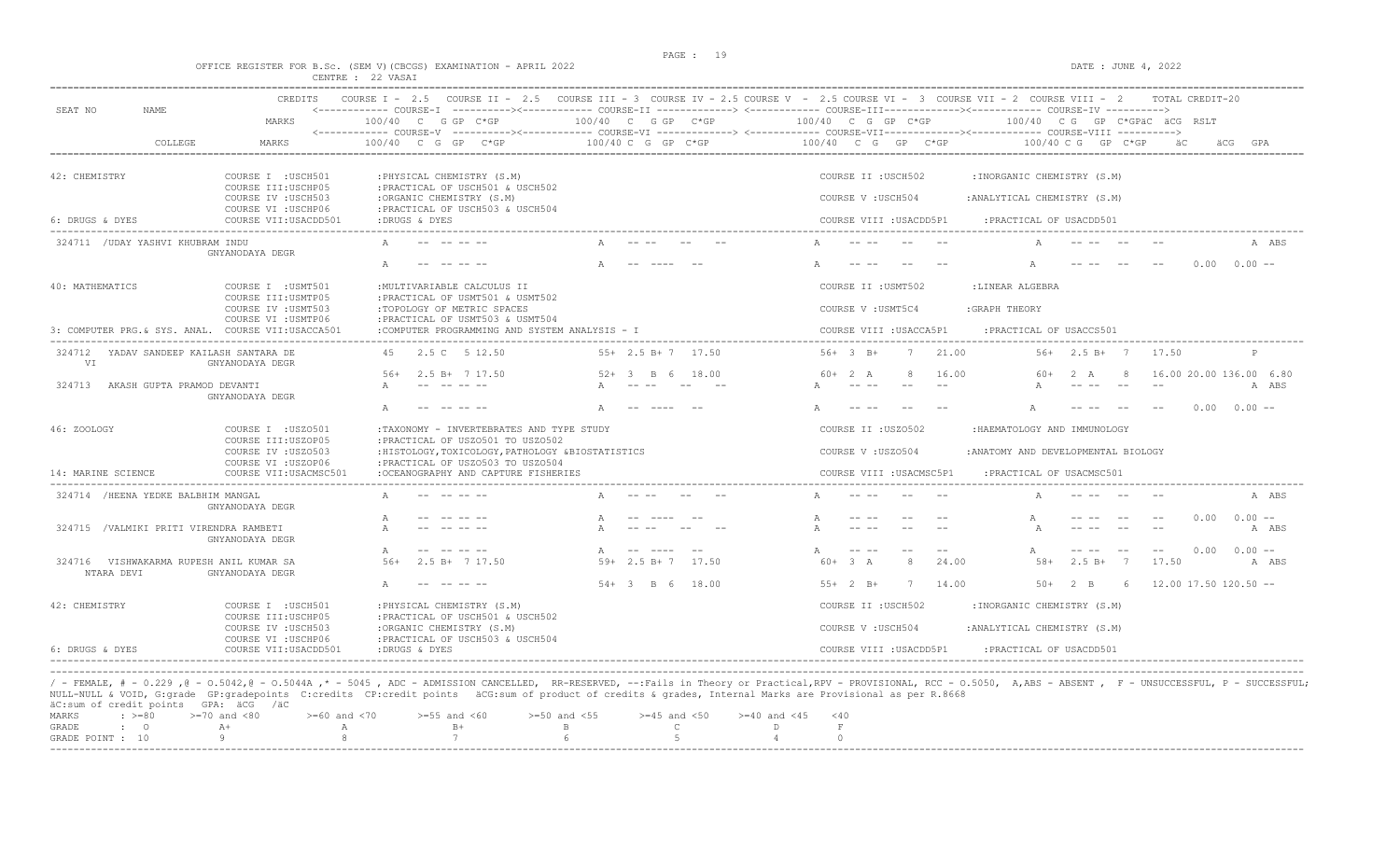$\overline{O}$   $\overline{O}$   $\overline{O}$   $\overline{O}$   $\overline{O}$   $\overline{O}$   $\overline{O}$   $\overline{O}$   $\overline{O}$   $\overline{O}$   $\overline{O}$   $\overline{O}$   $\overline{O}$   $\overline{O}$   $\overline{O}$   $\overline{O}$   $\overline{O}$   $\overline{O}$   $\overline{O}$   $\overline{O}$   $\overline{O}$   $\overline{O}$   $\overline{O}$   $\overline{O}$   $\overline{$ 

|  |  |                   |  | OFFICE REGISTER FOR B.Sc. (SEM V)(CBCGS) EXAMINATION - APRIL 2022 |  |  |
|--|--|-------------------|--|-------------------------------------------------------------------|--|--|
|  |  | CENTRE : 22 VASAI |  |                                                                   |  |  |

| SEAT NO<br>NAME.                                      | CREDITS                                            |                                                                                      |                                                 | COURSE I - 2.5 COURSE II - 2.5 COURSE III - 3 COURSE IV - 2.5 COURSE V - 2.5 COURSE VI - 3 COURSE VIII - 2 COURSE VIII - 2<br>TOTAL CREDIT-20<br><------------ COURSE-I ----------><------------ COURSE-II -------------> <------------ COURSE-III------------><----------- COURSE-IV ---------->                                                                                                                                                                                                                                                                                                                                                                                                                                                                                                                                                                                                              |
|-------------------------------------------------------|----------------------------------------------------|--------------------------------------------------------------------------------------|-------------------------------------------------|----------------------------------------------------------------------------------------------------------------------------------------------------------------------------------------------------------------------------------------------------------------------------------------------------------------------------------------------------------------------------------------------------------------------------------------------------------------------------------------------------------------------------------------------------------------------------------------------------------------------------------------------------------------------------------------------------------------------------------------------------------------------------------------------------------------------------------------------------------------------------------------------------------------|
|                                                       | MARKS                                              | $100/40$ C G GP C*GP                                                                 | $100/40$ C G GP $C*GP$                          | $100/40$ C G GP C*GP<br>$100/40$ CG GP C*GPäC äCG RSLT                                                                                                                                                                                                                                                                                                                                                                                                                                                                                                                                                                                                                                                                                                                                                                                                                                                         |
| COLLEGE                                               | MARKS                                              | 100/40 C G GP<br>$C*GP$                                                              | $100/40$ C G GP C*GP                            | 100/40 C G GP C*GP<br>$100/40$ C G GP C*GP<br>äС<br>GPA<br>äCG.                                                                                                                                                                                                                                                                                                                                                                                                                                                                                                                                                                                                                                                                                                                                                                                                                                                |
| 42: CHEMISTRY                                         | COURSE I : USCH501<br>COURSE III: USCHP05          | : PHYSICAL CHEMISTRY (S.M)<br>: PRACTICAL OF USCH501 & USCH502                       |                                                 | COURSE II : USCH502<br>: INORGANIC CHEMISTRY (S.M)                                                                                                                                                                                                                                                                                                                                                                                                                                                                                                                                                                                                                                                                                                                                                                                                                                                             |
|                                                       | COURSE IV : USCH503<br>COURSE VI : USCHP06         | :ORGANIC CHEMISTRY (S.M)<br>: PRACTICAL OF USCH503 & USCH504                         |                                                 | COURSE V: USCH504<br>: ANALYTICAL CHEMISTRY (S.M)                                                                                                                                                                                                                                                                                                                                                                                                                                                                                                                                                                                                                                                                                                                                                                                                                                                              |
| 6: DRUGS & DYES                                       | COURSE VII:USACDD501                               | :DRUGS & DYES                                                                        |                                                 | COURSE VIII : USACDD5P1<br>: PRACTICAL OF USACDD501                                                                                                                                                                                                                                                                                                                                                                                                                                                                                                                                                                                                                                                                                                                                                                                                                                                            |
| 324711 / UDAY YASHVI KHUBRAM INDU                     | GNYANODAYA DEGR                                    |                                                                                      |                                                 | A ABS                                                                                                                                                                                                                                                                                                                                                                                                                                                                                                                                                                                                                                                                                                                                                                                                                                                                                                          |
|                                                       |                                                    |                                                                                      | -- ----                                         | $0.00 -$<br>0.00                                                                                                                                                                                                                                                                                                                                                                                                                                                                                                                                                                                                                                                                                                                                                                                                                                                                                               |
| 40: MATHEMATICS                                       | COURSE I : USMT501<br>COURSE III: USMTP05          | : MULTIVARIABLE CALCULUS II<br>: PRACTICAL OF USMT501 & USMT502                      |                                                 | COURSE II : USMT502<br>:LINEAR ALGEBRA                                                                                                                                                                                                                                                                                                                                                                                                                                                                                                                                                                                                                                                                                                                                                                                                                                                                         |
|                                                       | COURSE IV : USMT503<br>COURSE VI : USMTP06         | :TOPOLOGY OF METRIC SPACES<br>:PRACTICAL OF USMT503 & USMT504                        |                                                 | COURSE V : USMT5C4<br>: GRAPH THEORY                                                                                                                                                                                                                                                                                                                                                                                                                                                                                                                                                                                                                                                                                                                                                                                                                                                                           |
|                                                       | 3: COMPUTER PRG. & SYS. ANAL. COURSE VII:USACCA501 | :COMPUTER PROGRAMMING AND SYSTEM ANALYSIS - I                                        |                                                 | COURSE VIII : USACCA5P1<br>: PRACTICAL OF USACCS501                                                                                                                                                                                                                                                                                                                                                                                                                                                                                                                                                                                                                                                                                                                                                                                                                                                            |
| 324712 YADAV SANDEEP KAILASH SANTARA DE<br>VT.        | GNYANODAYA DEGR                                    | 2.5 C 5 12.50<br>4.5                                                                 | $55+$ 2.5 B+ 7 17.50                            | $56+3$ B+<br>21.00<br>7<br>$56+$ 2.5 B+ 7<br>17.50                                                                                                                                                                                                                                                                                                                                                                                                                                                                                                                                                                                                                                                                                                                                                                                                                                                             |
| 324713 AKASH GUPTA PRAMOD DEVANTI                     | GNYANODAYA DEGR                                    | $.56+$<br>$2.5 R+ 717.50$                                                            | 52+<br>$\overline{3}$ $\overline{8}$ 6<br>18.00 | 16.00 20.00 136.00 6.80<br>$60+2 A$<br>16.00<br>2 A<br>60+<br>8<br>A ABS<br>$\frac{1}{2} \frac{1}{2} \frac{1}{2} \frac{1}{2} \frac{1}{2} \frac{1}{2} \frac{1}{2} \frac{1}{2} \frac{1}{2} \frac{1}{2} \frac{1}{2} \frac{1}{2} \frac{1}{2} \frac{1}{2} \frac{1}{2} \frac{1}{2} \frac{1}{2} \frac{1}{2} \frac{1}{2} \frac{1}{2} \frac{1}{2} \frac{1}{2} \frac{1}{2} \frac{1}{2} \frac{1}{2} \frac{1}{2} \frac{1}{2} \frac{1}{2} \frac{1}{2} \frac{1}{2} \frac{1}{2} \frac{$                                                                                                                                                                                                                                                                                                                                                                                                                                       |
|                                                       |                                                    |                                                                                      |                                                 | 0.00<br>$0.00 -$                                                                                                                                                                                                                                                                                                                                                                                                                                                                                                                                                                                                                                                                                                                                                                                                                                                                                               |
| 46: ZOOLOGY                                           | COURSE I : USZ0501<br>COURSE III:USZOP05           | :TAXONOMY - INVERTEBRATES AND TYPE STUDY<br>: PRACTICAL OF USZ0501 TO USZ0502        |                                                 | COURSE II : USZ0502<br>:HAEMATOLOGY AND IMMUNOLOGY                                                                                                                                                                                                                                                                                                                                                                                                                                                                                                                                                                                                                                                                                                                                                                                                                                                             |
|                                                       | COURSE IV : USZ0503<br>COURSE VI : USZOP06         | :HISTOLOGY, TOXICOLOGY, PATHOLOGY &BIOSTATISTICS<br>:PRACTICAL OF USZ0503 TO USZ0504 |                                                 | COURSE V: USZ0504<br>: ANATOMY AND DEVELOPMENTAL BIOLOGY                                                                                                                                                                                                                                                                                                                                                                                                                                                                                                                                                                                                                                                                                                                                                                                                                                                       |
| 14: MARINE SCIENCE                                    | COURSE VII: USACMSC501                             | :OCEANOGRAPHY AND CAPTURE FISHERIES                                                  |                                                 | COURSE VIII : USACMSC5P1<br>: PRACTICAL OF USACMSC501                                                                                                                                                                                                                                                                                                                                                                                                                                                                                                                                                                                                                                                                                                                                                                                                                                                          |
| 324714 /HEENA YEDKE BALBHIM MANGAL                    | GNYANODAYA DEGR                                    |                                                                                      |                                                 | A ABS                                                                                                                                                                                                                                                                                                                                                                                                                                                                                                                                                                                                                                                                                                                                                                                                                                                                                                          |
| 324715 /VALMIKI PRITI VIRENDRA RAMBETI                | GNYANODAYA DEGR                                    |                                                                                      |                                                 | $0.00 -$<br>0.00<br>A ABS                                                                                                                                                                                                                                                                                                                                                                                                                                                                                                                                                                                                                                                                                                                                                                                                                                                                                      |
| 324716 VISHWAKARMA RUPESH ANIL KUMAR SA<br>NTARA DEVI | GNYANODAYA DEGR                                    | $2.5 B+ 7 17.50$<br>$.56+$                                                           | $\Delta$<br>$59+2.5 B+7$<br>17.50               | $0.00 -$<br>0.00<br>$\frac{1}{2} \frac{1}{2} \frac{1}{2} \frac{1}{2} \frac{1}{2} \frac{1}{2} \frac{1}{2} \frac{1}{2} \frac{1}{2} \frac{1}{2} \frac{1}{2} \frac{1}{2} \frac{1}{2} \frac{1}{2} \frac{1}{2} \frac{1}{2} \frac{1}{2} \frac{1}{2} \frac{1}{2} \frac{1}{2} \frac{1}{2} \frac{1}{2} \frac{1}{2} \frac{1}{2} \frac{1}{2} \frac{1}{2} \frac{1}{2} \frac{1}{2} \frac{1}{2} \frac{1}{2} \frac{1}{2} \frac{$<br>$\frac{1}{2} \frac{1}{2} \frac{1}{2} \frac{1}{2} \frac{1}{2} \frac{1}{2} \frac{1}{2} \frac{1}{2} \frac{1}{2} \frac{1}{2} \frac{1}{2} \frac{1}{2} \frac{1}{2} \frac{1}{2} \frac{1}{2} \frac{1}{2} \frac{1}{2} \frac{1}{2} \frac{1}{2} \frac{1}{2} \frac{1}{2} \frac{1}{2} \frac{1}{2} \frac{1}{2} \frac{1}{2} \frac{1}{2} \frac{1}{2} \frac{1}{2} \frac{1}{2} \frac{1}{2} \frac{1}{2} \frac{$<br>$- -$<br>24.00<br>$60 + 3 A$<br>$2.5 B+$<br>$\overline{7}$<br>17.50<br>8<br>$58+$<br>A ABS |
|                                                       |                                                    |                                                                                      | $54 + 3$ B 6 18.00                              | $55+2 B+$<br>7<br>14.00<br>$50+2$ B<br>- 6<br>$12.00$ 17.50 120.50 --                                                                                                                                                                                                                                                                                                                                                                                                                                                                                                                                                                                                                                                                                                                                                                                                                                          |
| 42: CHEMISTRY                                         | COURSE I : USCH501<br>COURSE III:USCHP05           | : PHYSICAL CHEMISTRY (S.M)<br>: PRACTICAL OF USCH501 & USCH502                       |                                                 | COURSE II : USCH502<br>: INORGANIC CHEMISTRY (S.M)                                                                                                                                                                                                                                                                                                                                                                                                                                                                                                                                                                                                                                                                                                                                                                                                                                                             |
|                                                       | COURSE IV : USCH503<br>COURSE VI : USCHP06         | :ORGANIC CHEMISTRY (S.M)<br>:PRACTICAL OF USCH503 & USCH504                          |                                                 | COURSE V: USCH504<br>: ANALYTICAL CHEMISTRY (S.M)                                                                                                                                                                                                                                                                                                                                                                                                                                                                                                                                                                                                                                                                                                                                                                                                                                                              |
| 6: DRUGS & DYES                                       | COURSE VII: USACDD501                              | :DRUGS & DYES                                                                        |                                                 | COURSE VIII : USACDD5P1<br>: PRACTICAL OF USACDD501                                                                                                                                                                                                                                                                                                                                                                                                                                                                                                                                                                                                                                                                                                                                                                                                                                                            |

/ - FEMALE, # - 0.229 ,@ - 0.5042,@ - 0.5044A ,\* - 5045 , ADC - ADMISSION CANCELLED, RR-RESERVED, --:Fails in Theory or Practical,RPV - PROVISIONAL, RCC - 0.5050, A,ABS - ABSENT , F - UNSUCCESSFUL, P - SUCCESSFUL; NULL-NULL & VOID, G:grade GP:gradepoints C:credits CP:credit points äCG:sum of product of credits & grades, Internal Marks are Provisional as per R.8668 äC:sum of credit points GPA: äCG /äC

|  |  |  | MARKS : >=80 >=70 and <80 >=60 and <70 >=55 and <60 >=50 and <55 >=45 and <50 >=40 and <45 <40 |  |  |
|--|--|--|------------------------------------------------------------------------------------------------|--|--|
|  |  |  |                                                                                                |  |  |
|  |  |  | GRADE POINT : $10$ 9 8 7 6 6 5 5 4                                                             |  |  |
|  |  |  |                                                                                                |  |  |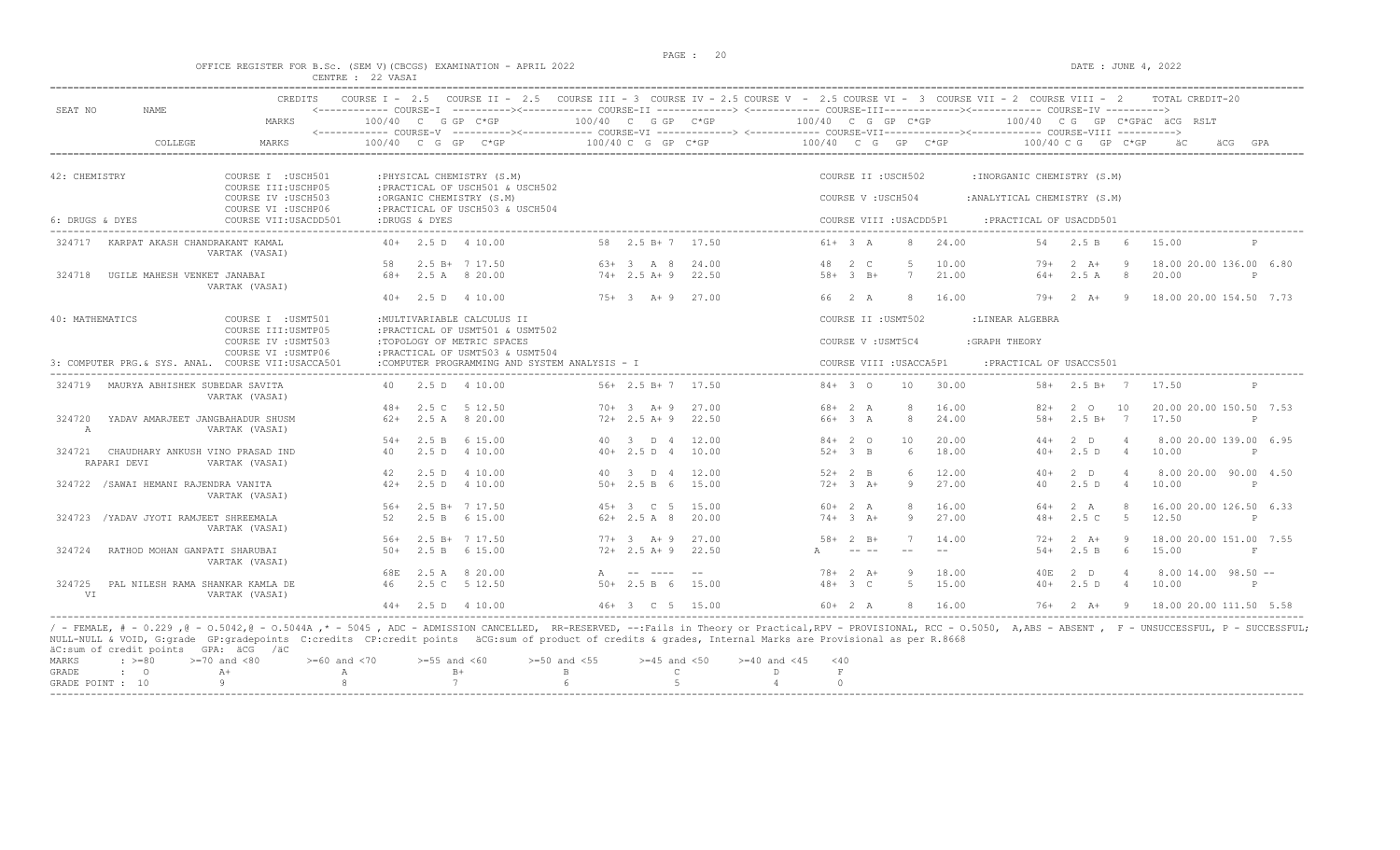#### OFFICE REGISTER FOR B.Sc. (SEM V)(CBCGS) EXAMINATION - APRIL 2022 DATE : JUNE 4, 2022 CENTRE : 22 VASAI

|                 |                                                 | CREDITS                                            | COURSE $I - 2.5$                   |                     | COURSE II $-2.5$                                                                                                                          |              |                    |       |    |              |                         |        | COURSE III - 3 COURSE IV - 2.5 COURSE V - 2.5 COURSE VI - 3 COURSE VII - 2 COURSE VIII - 2 |                    |                 | TOTAL CREDIT-20              |              |
|-----------------|-------------------------------------------------|----------------------------------------------------|------------------------------------|---------------------|-------------------------------------------------------------------------------------------------------------------------------------------|--------------|--------------------|-------|----|--------------|-------------------------|--------|--------------------------------------------------------------------------------------------|--------------------|-----------------|------------------------------|--------------|
| SEAT NO         | NAME                                            | MARKS                                              | <------------ COURSE-T<br>100/40 C |                     | G GP C*GP                                                                                                                                 |              | 100/40 C G GP C*GP |       |    |              | 100/40 C G GP C*GP      |        |                                                                                            |                    |                 | 100/40 CG GP C*GPÄC ÄCG RSLT |              |
|                 | COLLEGE                                         | MARKS                                              | <------------ COURSE-V<br>100/40   | $\overline{C}$<br>G | ----------><------------- COURSE-VI ------------> <------------ COURSE-VII-----------><---------- COURSE-VIII ----------><br>GP<br>$C*GP$ |              | 100/40 C G GP C*GP |       |    | 100/40 C G   | GP                      | $C*GP$ | 100/40 C G                                                                                 |                    | $GP$ $C*GP$     |                              | GPA          |
| 42: CHEMISTRY   |                                                 | COURSE I : USCH501                                 |                                    |                     | : PHYSICAL CHEMISTRY (S.M)                                                                                                                |              |                    |       |    |              | COURSE II : USCH502     |        | : INORGANIC CHEMISTRY (S.M)                                                                |                    |                 |                              |              |
|                 |                                                 | COURSE III: USCHP05<br>COURSE IV : USCH503         |                                    |                     | : PRACTICAL OF USCH501 & USCH502<br>:ORGANIC CHEMISTRY (S.M)                                                                              |              |                    |       |    |              | COURSE V: USCH504       |        | : ANALYTICAL CHEMISTRY (S.M)                                                               |                    |                 |                              |              |
|                 |                                                 | COURSE VI : USCHP06                                |                                    |                     | : PRACTICAL OF USCH503 & USCH504                                                                                                          |              |                    |       |    |              |                         |        |                                                                                            |                    |                 |                              |              |
| 6: DRUGS & DYES |                                                 | COURSE VII: USACDD501                              |                                    | :DRUGS & DYES       |                                                                                                                                           |              |                    |       |    |              | COURSE VIII : USACDD5P1 |        | : PRACTICAL OF USACDD501<br>-------------------                                            |                    |                 |                              |              |
| 324717          | KARPAT AKASH CHANDRAKANT KAMAL                  | VARTAK (VASAI)                                     |                                    |                     | $40+$ 2.5 D $4$ 10.00                                                                                                                     |              | 58 2.5 B+7         | 17.50 |    | $61+ 3 A$    | 8                       | 24.00  | 54                                                                                         | 2.5 B              | - 6             | 15.00                        | P            |
|                 |                                                 |                                                    | 58                                 |                     | $2.5 B+ 7 17.50$                                                                                                                          |              | $63+3$ A 8         | 24.00 | 48 | 2 C          |                         | 10.00  | $79+$                                                                                      | $2 \overline{A}$ + |                 | 18.00 20.00 136.00 6.80      |              |
| 324718          | UGILE MAHESH VENKET JANABAI                     | VARTAK (VASAI)                                     | 68+                                |                     | 2.5 A 8 20.00                                                                                                                             |              | $74+2.5 A+9$       | 22.50 |    | $58 + 3 B +$ | 7                       | 21.00  | 64+                                                                                        | 2.5A               | 8               | 20.00                        | $_{\rm P}$   |
|                 |                                                 |                                                    | 40+                                |                     | 2.5 D 4 10.00                                                                                                                             |              | $75+3$ A+9         | 27.00 |    | 66 2 A       | 8                       | 16.00  | 79+                                                                                        | $2 \overline{A}$   | - 9             | 18.00 20.00 154.50 7.73      |              |
| 40: MATHEMATICS |                                                 | COURSE I : USMT501<br>COURSE III: USMTP05          |                                    |                     | : MULTIVARIABLE CALCULUS II<br>: PRACTICAL OF USMT501 & USMT502                                                                           |              |                    |       |    |              | COURSE II : USMT502     |        | :LINEAR ALGEBRA                                                                            |                    |                 |                              |              |
|                 |                                                 | COURSE IV : USMT503<br>COURSE VI : USMTP06         |                                    |                     | :TOPOLOGY OF METRIC SPACES<br>: PRACTICAL OF USMT503 & USMT504                                                                            |              |                    |       |    |              | COURSE V : USMT5C4      |        | : GRAPH THEORY                                                                             |                    |                 |                              |              |
|                 |                                                 | 3: COMPUTER PRG. & SYS. ANAL. COURSE VII:USACCA501 |                                    |                     | :COMPUTER PROGRAMMING AND SYSTEM ANALYSIS - I                                                                                             |              |                    |       |    |              | COURSE VIII : USACCA5P1 |        | : PRACTICAL OF USACCS501                                                                   |                    |                 |                              |              |
|                 | 324719 MAURYA ABHISHEK SUBEDAR SAVITA           | VARTAK (VASAI)                                     | 40.                                |                     | 2.5 D 4 10.00                                                                                                                             |              | 56+ 2.5 B+ 7       | 17.50 |    | $84 + 30$    | 10                      | 30.00  |                                                                                            | $58 + 2.5 B + 7$   |                 | 17.50                        | P            |
|                 |                                                 |                                                    | $48+$                              | 2.5C                | 5 12.50                                                                                                                                   |              | $70+3$ A + 9       | 27.00 |    | 68+ 2 A      | $\mathcal{R}$           | 16.00  | $82+$                                                                                      | 2 0                | 10              | 20.00 20.00 150.50 7.53      |              |
| 324720<br>A     | YADAV AMARJEET JANGBAHADUR SHUSM                | VARTAK (VASAI)                                     | $62+$                              |                     | 2.5 A 8 20.00                                                                                                                             |              | $72+2.5$ A+9       | 22.50 |    | 66+ 3 A      | $\mathcal{R}$           | 24.00  | $58+$                                                                                      | $2.5 B+$           | $\overline{7}$  | 17.50                        | $\mathbb{P}$ |
|                 |                                                 |                                                    | $.54+$                             | 2.5 B               | 6 15.00                                                                                                                                   |              | 40 3 D 4           | 12.00 |    | $84+20$      | 10                      | 20.00  | $44+$                                                                                      | $2$ D              |                 | 8.00 20.00 139.00 6.95       |              |
| 324721          | CHAUDHARY ANKUSH VINO PRASAD IND<br>RAPARI DEVI | VARTAK (VASAI)                                     | 40                                 | 2.5D                | 4 10.00                                                                                                                                   |              | $40+2.5 D 4$       | 10.00 |    | $52 + 3 B$   | 6                       | 18.00  | $40+$                                                                                      | 2.5D               | $\overline{4}$  | 10.00                        | $\mathbb{P}$ |
|                 |                                                 |                                                    | 42                                 | 2.5D                | 4 10.00                                                                                                                                   |              | 40 3 D 4           | 12.00 |    | $52+2$ B     | 6                       | 12.00  | $40+$                                                                                      | $2$ D              | $\overline{4}$  | 8.00 20.00 90.00 4.50        |              |
|                 | 324722 / SAWAI HEMANI RAJENDRA VANITA           | VARTAK (VASAI)                                     | $42+$                              |                     | 2.5 D 4 10.00                                                                                                                             |              | $50+2.5 B 6$       | 15.00 |    | $72+3+$      | 9                       | 27.00  | 40                                                                                         | 2.5D               | $\overline{4}$  | 10.00                        | P            |
|                 |                                                 |                                                    | $56+$                              |                     | 2.5 B+ 7 17.50                                                                                                                            |              | $45+3$ C 5         | 15.00 |    | $60+2 A$     | $\mathcal{R}$           | 16.00  | 64+                                                                                        | 2 A                |                 | 16.00 20.00 126.50 6.33      |              |
| 324723          | /YADAV JYOTI RAMJEET SHREEMALA                  | VARTAK (VASAI)                                     | 52                                 |                     | 2.5 B 6 15.00                                                                                                                             |              | $62+2.5A8$         | 20.00 |    | $74 + 3$ A+  | 9                       | 27.00  | $48+$                                                                                      | 2.5C               | - 5             | 12.50                        | $\mathsf{P}$ |
|                 |                                                 |                                                    | $.56+$                             |                     | $2.5 B+ 7 17.50$                                                                                                                          |              | $77+3$ A + 9       | 27.00 |    | $58 + 2 B +$ |                         | 14.00  | $72+$                                                                                      | $2 \overline{A}$ + | -9              | 18.00 20.00 151.00 7.55      |              |
| 324724          | RATHOD MOHAN GANPATI SHARUBAI                   | VARTAK (VASAI)                                     | $50+$                              | 2.5 B               | 6 15.00                                                                                                                                   |              | $72+2.5$ A+9       | 22.50 |    | $- - - -$    | $-$                     | $- -$  | $54+$                                                                                      | 2.5 B              | $6\overline{6}$ | 15.00                        | F            |
|                 |                                                 |                                                    | 68E                                | 2.5 A               | 8 20.00                                                                                                                                   | $\mathbb{A}$ |                    | $ -$  |    | $78 + 2 A +$ | 9                       | 18.00  | 40E                                                                                        | 2 D                | $\overline{4}$  | $8.00$ 14.00 98.50 $-$       |              |
| 324725<br>VI    | PAL NILESH RAMA SHANKAR KAMLA DE                | VARTAK (VASAI)                                     | 46                                 |                     | 2.5 C 5 12.50                                                                                                                             |              | $50+2.5 B 6$       | 15.00 |    | $48 + 3 C$   | $\overline{5}$          | 15.00  | $40+$                                                                                      | 2.5D               | $\overline{4}$  | 10.00                        | P            |
|                 |                                                 |                                                    |                                    |                     | $44+$ 2.5 D 4 10.00                                                                                                                       |              | 46+ 3 C 5 15.00    |       |    | $60+2 A$     | 8                       | 16.00  | 76+                                                                                        | $2 \overline{A}$ + | $\overline{9}$  | 18.00 20.00 111.50 5.58      |              |

----------------------------------------------------------------------------------------------------------------------------------------------------------------------------------------------------------------------- / - FEMALE, # - 0.229 ,@ - O.5042,@ - O.5044A ,\* - 5045 , ADC - ADMISSION CANCELLED, RR-RESERVED, --:Fails in Theory or Practical,RPV - PROVISIONAL, RCC - O.5050, A,ABS - ABSENT , F - UNSUCCESSFUL, P - SUCCESSFUL; NULL-NULL & VOID, G:grade GP:gradepoints C:credits CP:credit points äCG:sum of product of credits & grades, Internal Marks are Provisional as per R.8668 äC:sum of credit points GPA: äCG /äC

|  |  | MARKS : >=80 >=70 and <80 >=60 and <70 >=55 and <60 >=50 and <55 >=45 and <50 >=40 and <45 <40 |  |  |  |  |
|--|--|------------------------------------------------------------------------------------------------|--|--|--|--|
|  |  |                                                                                                |  |  |  |  |
|  |  | GRADE POINT : $10$ 9 8 7 6 5 5 4                                                               |  |  |  |  |
|  |  |                                                                                                |  |  |  |  |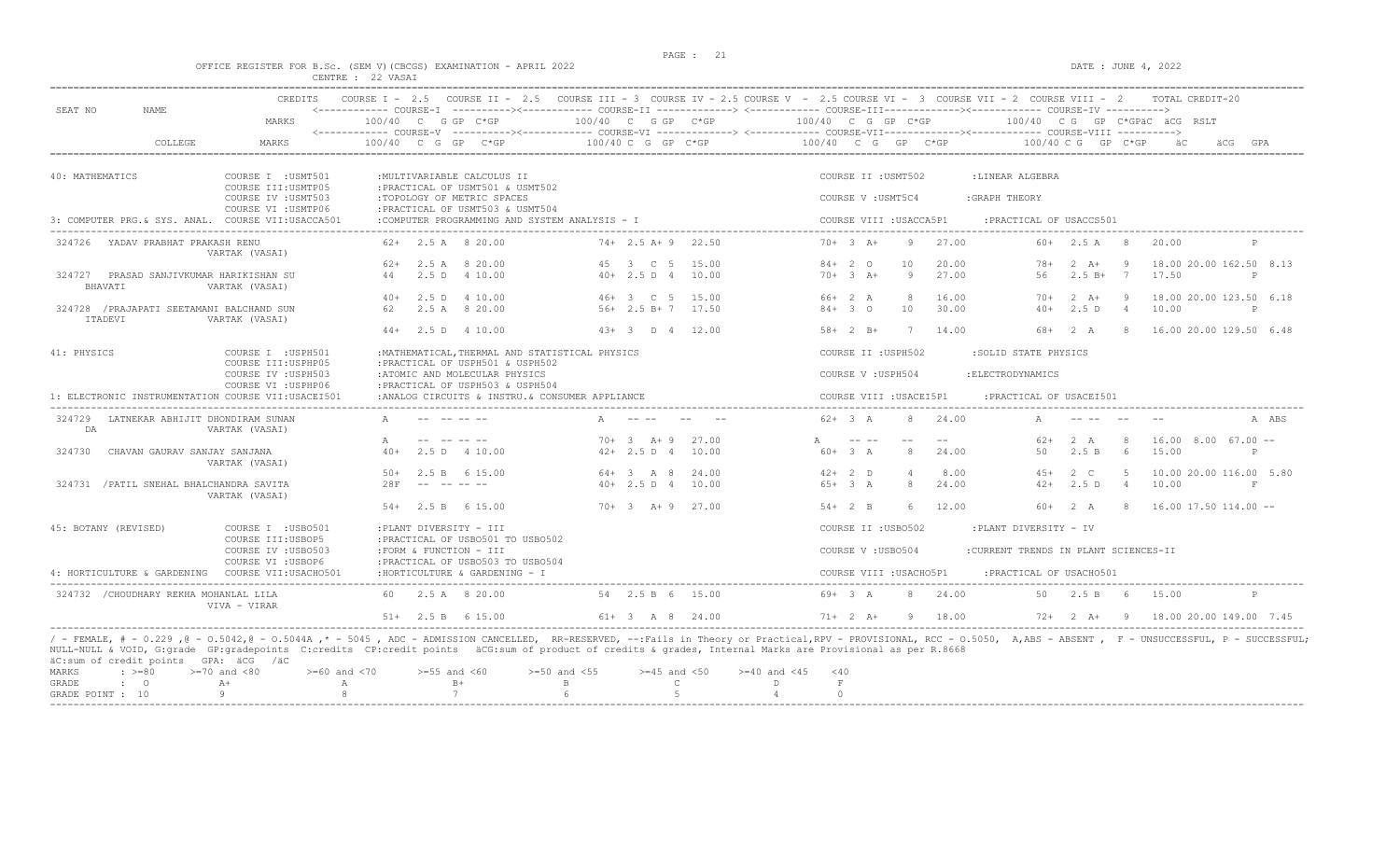# OFFICE REGISTER FOR B.Sc. (SEM V)(CBCGS) EXAMINATION - APRIL 2022<br>CENTRE : 22 VASAI<br>CENTRE : 22 VASAI

|                                                      | MARKS                                      | $100/40$ C G GP C*GP                                                                                                                                                                                                                                        | 100/40 C G GP C*GP                             | $100/40$ C G GP C*GP                                 | 100/40 CG GP C*GPäC äCG RSLT                                                                                   |
|------------------------------------------------------|--------------------------------------------|-------------------------------------------------------------------------------------------------------------------------------------------------------------------------------------------------------------------------------------------------------------|------------------------------------------------|------------------------------------------------------|----------------------------------------------------------------------------------------------------------------|
| COLLEGE                                              | MARKS                                      | $100/40$ C G GP C*GP                                                                                                                                                                                                                                        | 100/40 C G GP C*GP                             | 100/40 C G GP C*GP                                   | 100/40 C G GP C*GP                                                                                             |
| 40: MATHEMATICS                                      | COURSE I : USMT501<br>COURSE III: USMTP05  | : MULTIVARIABLE CALCULUS II<br>: PRACTICAL OF USMT501 & USMT502                                                                                                                                                                                             |                                                | COURSE II : USMT502                                  | :LINEAR ALGEBRA                                                                                                |
|                                                      | COURSE IV : USMT503<br>COURSE VI : USMTP06 | :TOPOLOGY OF METRIC SPACES<br>: PRACTICAL OF USMT503 & USMT504                                                                                                                                                                                              |                                                | COURSE V : USMT5C4                                   | : GRAPH THEORY                                                                                                 |
| 3: COMPUTER PRG. & SYS. ANAL. COURSE VII:USACCA501   |                                            | :COMPUTER PROGRAMMING AND SYSTEM ANALYSIS - I                                                                                                                                                                                                               |                                                | COURSE VIII : USACCA5P1                              | : PRACTICAL OF USACCS501                                                                                       |
| 324726 YADAV PRABHAT PRAKASH RENU                    | VARTAK (VASAI)                             | $62+$ 2.5 A 8 20.00                                                                                                                                                                                                                                         | $74+2.5$ A+9 22.50                             | $70+3 + 3$<br>27.00<br>9                             | $60+$ 2.5 A 8<br>20.00<br>P                                                                                    |
| 324727 PRASAD SANJIVKUMAR HARIKISHAN SU<br>BHAVATI   | VARTAK (VASAI)                             | 2.5 A 8 20.00<br>$62+$<br>44<br>2.5 D 4 10.00                                                                                                                                                                                                               | 45 3 C 5 15.00<br>40+ 2.5 D 4 10.00            | $84+20$<br>10<br>20.00<br>27.00<br>$70+3 + 3$<br>- 9 | $2 A+ 9$<br>18.00 20.00 162.50 8.13<br>78+<br>56<br>$2.5 B+ 7$<br>17.50<br>$\mathbf{P}$                        |
| 324728 / PRAJAPATI SEETAMANI BALCHAND SUN<br>ITADEVI | VARTAK (VASAI)                             | $40+$<br>2.5 D 4 10.00<br>2.5 A 8 20.00<br>62                                                                                                                                                                                                               | 46+ 3 C 5 15.00<br>$56+2.5 B+7$ 17.50          | 66+ 2 A<br>16.00<br>-8<br>10<br>$84 + 30$<br>30.00   | 18.00 20.00 123.50 6.18<br>$2 \overline{A}$ +<br>- 9<br>$70+$<br>2.5D<br>$\overline{4}$<br>10.00<br>$40+$<br>P |
|                                                      |                                            | $44+$ 2.5 D 4 10.00                                                                                                                                                                                                                                         | $43+3$ D 4 12.00                               | $58 + 2 B +$<br>7 14.00                              | 68+ 2 A<br>8 16.00 20.00 129.50 6.48                                                                           |
| 41: PHYSICS                                          | COURSE I : USPH501<br>COURSE III: USPHP05  | : MATHEMATICAL, THERMAL AND STATISTICAL PHYSICS<br>: PRACTICAL OF USPH501 & USPH502                                                                                                                                                                         |                                                | COURSE II : USPH502                                  | :SOLID STATE PHYSICS                                                                                           |
|                                                      | COURSE IV : USPH503<br>COURSE VI : USPHP06 | :ATOMIC AND MOLECULAR PHYSICS<br>: PRACTICAL OF USPH503 & USPH504                                                                                                                                                                                           |                                                | COURSE V : USPH504                                   | : ELECTRODYNAMICS                                                                                              |
| 1: ELECTRONIC INSTRUMENTATION COURSE VII:USACEI501   |                                            | : ANALOG CIRCUITS & INSTRU. & CONSUMER APPLIANCE                                                                                                                                                                                                            |                                                | COURSE VIII : USACEI5P1                              | : PRACTICAL OF USACEI501                                                                                       |
| 324729 LATNEKAR ABHIJIT DHONDIRAM SUNAN<br>DA        | VARTAK (VASAI)                             |                                                                                                                                                                                                                                                             | $A \t - - - -$                                 | 8 24.00<br>$62 + 3$ A                                | A ABS                                                                                                          |
| 324730 CHAVAN GAURAV SANJAY SANJANA                  | VARTAK (VASAI)                             | $\mathbb{A}$<br>2.5 D 4 10.00<br>$40+$                                                                                                                                                                                                                      | $70+3$ A + 9 27.00<br>$42+2.5 D 4$<br>10.00    | $A$ $-- ---$<br>$- -$<br>$60+3 A$<br>8<br>24.00      | 2 A<br>$62+$<br>8<br>$16.00$ 8.00 67.00 --<br>2.5 B<br>15.00<br>50<br>6<br>P                                   |
| 324731 / PATIL SNEHAL BHALCHANDRA SAVITA             | VARTAK (VASAI)                             | $50+$ 2.5 B 6 15.00<br>28F<br>and the second second second second second and second second second second second second second second second second second second second second second second second second second second second second second second second | $64 + 3$ A 8<br>24.00<br>$40+2.5 D 4$<br>10.00 | $42+2$ D<br>8.00<br>$65+3 A$<br>8<br>24.00           | $45+$<br>2 C<br>$5 -$<br>10.00 20.00 116.00 5.80<br>2.5 D<br>$\overline{4}$<br>10.00<br>$42+$<br>$\,$ F        |
|                                                      |                                            | $54+$ 2.5 B 6 15.00                                                                                                                                                                                                                                         | $70+3$ A+ 9 27.00                              | $54+2$ B<br>12.00<br>6                               | $60+2 A$<br>8 16.00 17.50 114.00 --                                                                            |
| 45: BOTANY (REVISED)                                 | COURSE I : USB0501                         | :PLANT DIVERSITY - III                                                                                                                                                                                                                                      |                                                | COURSE II : USB0502                                  | :PLANT DIVERSITY - IV                                                                                          |
|                                                      | COURSE III: USBOP5<br>COURSE IV : USB0503  | : PRACTICAL OF USB0501 TO USB0502<br>:FORM & FUNCTION - III                                                                                                                                                                                                 |                                                | COURSE V: USB0504                                    | :CURRENT TRENDS IN PLANT SCIENCES-II                                                                           |
| 4: HORTICULTURE & GARDENING                          | COURSE VI : USBOP6<br>COURSE VII:USACHO501 | : PRACTICAL OF USB0503 TO USB0504<br>: HORTICULTURE & GARDENING - I                                                                                                                                                                                         |                                                | COURSE VIII : USACHO5P1                              | : PRACTICAL OF USACHO501                                                                                       |
| 324732 / CHOUDHARY REKHA MOHANLAL LILA               | VIVA - VIRAR                               | 60 2.5 A 8 20.00                                                                                                                                                                                                                                            | 54 2.5 B 6 15.00                               | $69+3 A$<br>8 24.00                                  | 50 2.5 B 6<br>15.00<br>P                                                                                       |
|                                                      |                                            | $51+$ 2.5 B 6 15.00                                                                                                                                                                                                                                         | $61+ 3$ A 8 24.00                              | $71+ 2$ $\lambda + 9$ 18.00                          | 72+ 2 A+ 9 18.00 20.00 149.00 7.45                                                                             |

|  |  | MARKS : >=80 >=70 and <80 >=60 and <70 >=55 and <60 >=50 and <55 >=45 and <50 >=40 and <45 <40 |  |  |  |  |  |  |
|--|--|------------------------------------------------------------------------------------------------|--|--|--|--|--|--|
|  |  | GRADE : O A+ A B+ B B C D F                                                                    |  |  |  |  |  |  |
|  |  | GRADE POINT : $10$ 9 8 7 6 6 5 5 4 0                                                           |  |  |  |  |  |  |
|  |  |                                                                                                |  |  |  |  |  |  |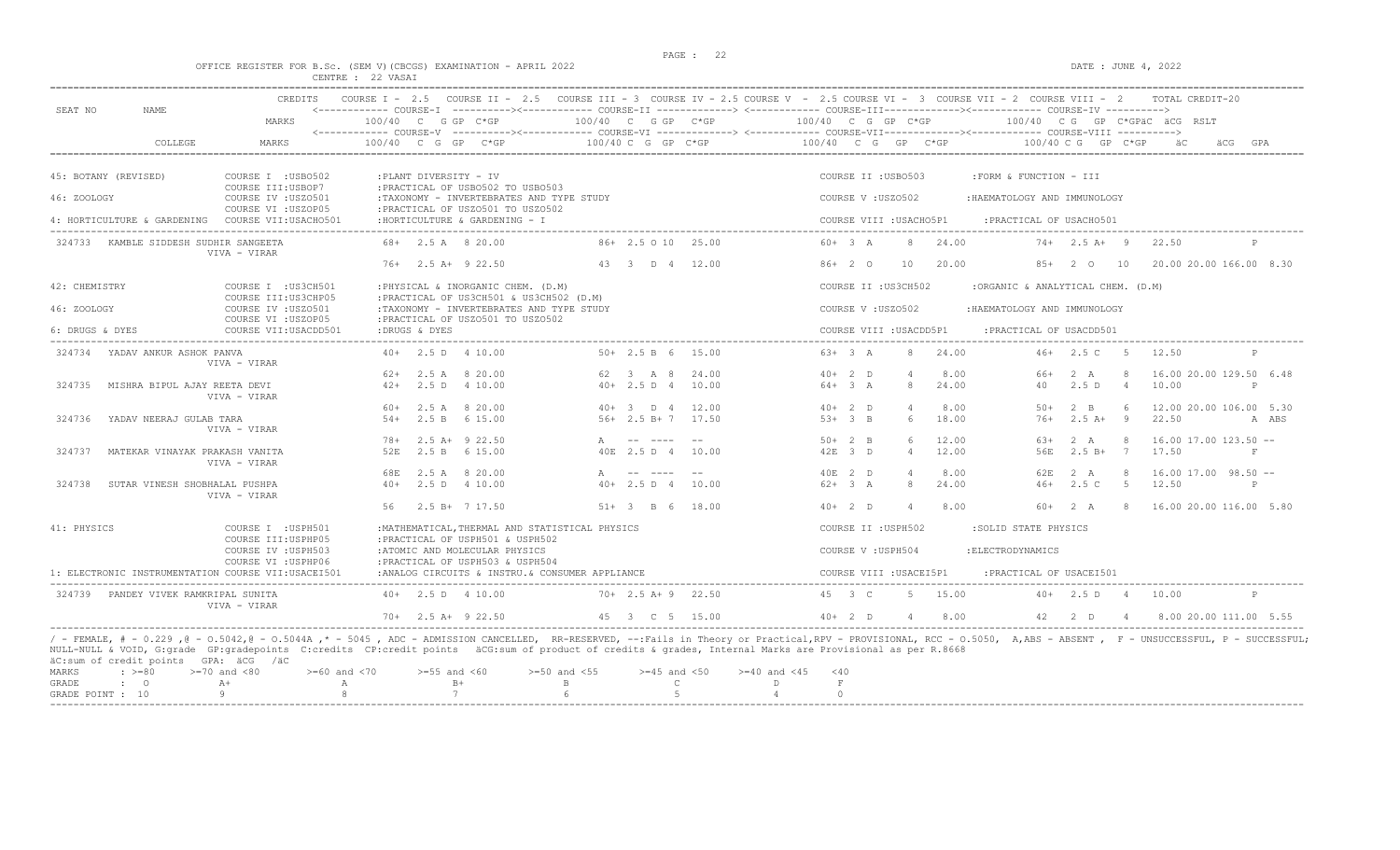# PAGE : 22 OFFICE REGISTER FOR B.Sc. (SEM V)(CBCGS) EXAMINATION - APRIL 2022 DATE : JUNE 4, 2022 CENTRE : 22 VASAI

| SEAT NO<br><b>NAME</b>                                         | MARKS                                                                     | 100/40 C G GP C*GP                                                                                                                                                                                                                                                                                                                                                                                         | $100/40$ C G GP C*GP                 |                | $100/40$ C G GP C*GP $100/40$ C G GP C*GPäC äCG RSLT |                         |                |                                   |                      |                                   |                                       |       |
|----------------------------------------------------------------|---------------------------------------------------------------------------|------------------------------------------------------------------------------------------------------------------------------------------------------------------------------------------------------------------------------------------------------------------------------------------------------------------------------------------------------------------------------------------------------------|--------------------------------------|----------------|------------------------------------------------------|-------------------------|----------------|-----------------------------------|----------------------|-----------------------------------|---------------------------------------|-------|
| COLLEGE                                                        | <b>MARKS</b>                                                              | $100/40$ C G GP C*GP                                                                                                                                                                                                                                                                                                                                                                                       | $100/40$ C G GP C*GP                 |                | $100/40$ C G GP C*GP                                 |                         |                | $100/40$ C G GP C*GP              |                      |                                   |                                       |       |
| 45: BOTANY (REVISED)                                           | COURSE I : USB0502                                                        | :PLANT DIVERSITY - IV                                                                                                                                                                                                                                                                                                                                                                                      |                                      |                |                                                      | COURSE II : USB0503     |                | :FORM & FUNCTION - III            |                      |                                   |                                       |       |
| 46: ZOOLOGY                                                    | COURSE III: USBOP7<br>COURSE IV : USZ0501                                 | : PRACTICAL OF USB0502 TO USB0503<br>:TAXONOMY - INVERTEBRATES AND TYPE STUDY                                                                                                                                                                                                                                                                                                                              |                                      |                |                                                      | COURSE V: USZ0502       |                | : HAEMATOLOGY AND IMMUNOLOGY      |                      |                                   |                                       |       |
|                                                                | COURSE VI : USZOP05<br>4: HORTICULTURE & GARDENING COURSE VII:USACHO501   | : PRACTICAL OF USZ0501 TO USZ0502<br>: HORTICULTURE & GARDENING - I                                                                                                                                                                                                                                                                                                                                        |                                      |                |                                                      | COURSE VIII : USACHO5P1 |                | :PRACTICAL OF USACH0501           |                      |                                   |                                       |       |
| 324733 KAMBLE SIDDESH SUDHIR SANGEETA                          | VIVA - VIRAR                                                              | 68+ 2.5 A 8 20.00                                                                                                                                                                                                                                                                                                                                                                                          | 86+ 2.5 0 10 25.00                   |                | $60+3 A$                                             | 8                       | 24.00          |                                   | $74+$ 2.5 A+ 9 22.50 |                                   |                                       |       |
|                                                                |                                                                           | $76+$ 2.5 A+ 9 22.50                                                                                                                                                                                                                                                                                                                                                                                       | 43 3 D 4 12.00                       |                | $86+20$                                              | 10                      | 20.00          |                                   | 85+ 2 0 10           |                                   | 20.00 20.00 166.00 8.30               |       |
| 42: CHEMISTRY                                                  | COURSE I : US3CH501<br>COURSE III: US3CHP05                               | : PHYSICAL & INORGANIC CHEM. (D.M)<br>: PRACTICAL OF US3CH501 & US3CH502 (D.M)                                                                                                                                                                                                                                                                                                                             |                                      |                |                                                      | COURSE II : US3CH502    |                | :ORGANIC & ANALYTICAL CHEM. (D.M) |                      |                                   |                                       |       |
| 46: ZOOLOGY                                                    | COURSE IV : USZ0501<br>COURSE VI : USZOP05                                | :TAXONOMY - INVERTEBRATES AND TYPE STUDY<br>: PRACTICAL OF USZ0501 TO USZ0502                                                                                                                                                                                                                                                                                                                              |                                      |                |                                                      | COURSE V: USZ0502       |                | :HAEMATOLOGY AND IMMUNOLOGY       |                      |                                   |                                       |       |
| 6: DRUGS & DYES                                                | COURSE VII:USACDD501                                                      | :DRUGS & DYES                                                                                                                                                                                                                                                                                                                                                                                              |                                      |                |                                                      | COURSE VIII : USACDD5P1 |                | : PRACTICAL OF USACDD501          |                      |                                   |                                       |       |
| 324734 YADAV ANKUR ASHOK PANVA                                 | VIVA - VIRAR                                                              | $40+$ 2.5 D 4 10.00                                                                                                                                                                                                                                                                                                                                                                                        | $50+ 2.5 B 6 15.00$                  |                | $63+3 A$                                             |                         | 8 24.00        |                                   | $46+2.5$ C 5         |                                   | 12.50<br>P                            |       |
|                                                                |                                                                           | $62+$ 2.5 A 8 20.00                                                                                                                                                                                                                                                                                                                                                                                        | 62 3 A 8                             | 24.00          | $40+2$ D                                             | $\overline{4}$          | 8.00           | 66+<br>40                         | 2 A                  | 8                                 | 16.00 20.00 129.50 6.48               |       |
| 324735<br>MISHRA BIPUL AJAY REETA DEVI                         | VIVA - VIRAR                                                              | 2.5 D 4 10.00<br>$42+$                                                                                                                                                                                                                                                                                                                                                                                     | $40+2.5 D 4$                         | 10.00          | $64+3 A$                                             | 8                       | 24.00          |                                   | 2.5D                 | $\overline{4}$                    | 10.00<br>$\mathsf{P}$                 |       |
|                                                                |                                                                           | $60+$ 2.5 A 8 20.00                                                                                                                                                                                                                                                                                                                                                                                        | $40+3$ D 4                           | 12.00          | $40+2$ D                                             | $\overline{4}$          | 8.00           | $50+$                             | $2 \quad B$          | 6                                 | 12.00 20.00 106.00 5.30               |       |
| 324736<br>YADAV NEERAJ GULAB TARA                              | VIVA - VIRAR                                                              | 2.5 B 6 15.00<br>$54+$                                                                                                                                                                                                                                                                                                                                                                                     | $56+2.5 B+7$ 17.50                   |                | $53+3$ B                                             | 6                       | 18.00          | $76+$                             | $2.5A+$              | - 9                               | 22.50                                 | A ABS |
| 324737<br>MATEKAR VINAYAK PRAKASH VANITA                       |                                                                           | 78+ 2.5 A+ 9 22.50<br>52F.<br>2.5 B 6 15.00                                                                                                                                                                                                                                                                                                                                                                | A -- ----<br>40E 2.5 D 4             | $- -$<br>10.00 | $50+2$ B<br>42E 3 D                                  | 6<br>$\overline{4}$     | 12.00<br>12.00 | 63+<br>56E                        | 2 A<br>$2.5 B+$      | 8 <sup>1</sup><br>$7\phantom{0}7$ | $16.00$ 17.00 123.50 --<br>17.50<br>F |       |
|                                                                | VIVA - VIRAR                                                              |                                                                                                                                                                                                                                                                                                                                                                                                            |                                      |                |                                                      |                         |                |                                   |                      |                                   |                                       |       |
|                                                                |                                                                           | 2.5 A 8 20.00<br>68E                                                                                                                                                                                                                                                                                                                                                                                       | A                                    | $- -$          | 40E 2 D                                              | $\overline{4}$          | 8.00<br>24.00  | 62E<br>$46+$                      | 2 A                  | 8                                 | $16.00$ 17.00 98.50 $-$               |       |
| SUTAR VINESH SHOBHALAL PUSHPA<br>324738                        | VIVA - VIRAR                                                              | $40+$<br>2.5 D 4 10.00                                                                                                                                                                                                                                                                                                                                                                                     | $40+2.5 D 4$                         | 10.00          | $62+3 A$                                             | 8                       |                |                                   | 2.5C                 | $5^{\circ}$                       | 12.50<br>P                            |       |
|                                                                |                                                                           | 2.5 B+ 7 17.50<br>56                                                                                                                                                                                                                                                                                                                                                                                       | $51+ 3$ B 6 18.00                    |                | $40+2$ D                                             | $\overline{4}$          | 8.00           | $60+2 A$                          |                      |                                   | 8 16.00 20.00 116.00 5.80             |       |
| 41: PHYSICS                                                    | COURSE I : USPH501<br>COURSE III: USPHP05                                 | : MATHEMATICAL, THERMAL AND STATISTICAL PHYSICS<br>:PRACTICAL OF USPH501 & USPH502                                                                                                                                                                                                                                                                                                                         |                                      |                |                                                      | COURSE II : USPH502     |                | :SOLID STATE PHYSICS              |                      |                                   |                                       |       |
|                                                                | COURSE IV : USPH503                                                       | :ATOMIC AND MOLECULAR PHYSICS                                                                                                                                                                                                                                                                                                                                                                              |                                      |                |                                                      | COURSE V : USPH504      |                | : ELECTRODYNAMICS                 |                      |                                   |                                       |       |
|                                                                | COURSE VI : USPHP06<br>1: ELECTRONIC INSTRUMENTATION COURSE VII:USACEI501 | : PRACTICAL OF USPH503 & USPH504<br>:ANALOG CIRCUITS & INSTRU. & CONSUMER APPLIANCE                                                                                                                                                                                                                                                                                                                        |                                      |                |                                                      | COURSE VIII : USACEI5P1 |                | :PRACTICAL OF USACEI501           |                      |                                   |                                       |       |
| 324739 PANDEY VIVEK RAMKRIPAL SUNITA                           | VIVA - VIRAR                                                              | $40+$ 2.5 D 4 10.00                                                                                                                                                                                                                                                                                                                                                                                        | $70+2.5$ A+9 22.50                   |                | 45 3 C                                               |                         | 5 15.00        |                                   | $40+$ 2.5 D 4        |                                   | 10.00<br>P                            |       |
|                                                                |                                                                           | $70+$ 2.5 A+ 9 22.50                                                                                                                                                                                                                                                                                                                                                                                       | 45 3 C 5 15.00                       |                | $40+2$ D                                             |                         | 4 8.00         |                                   | 42 2 D 4             |                                   | 8.00 20.00 111.00 5.55                |       |
| äC:sum of credit points GPA: äCG /äC<br>MARKS<br>$: \; > = 80$ | $>=70$ and $<80$<br>$>= 60$ and $< 70$                                    | / - FEMALE, # - 0.229 , @ - 0.5042, @ - 0.5044A ,* - 5045 , ADC - ADMISSION CANCELLED, RR-RESERVED, --: Fails in Theory or Practical, RPV - PROVISIONAL, RCC - 0.5050, A, ABS - ABSENT , F - UNSUCCESSFUL, P - SUCCESSFUL;<br>NULL-NULL & VOID, G:grade GP:gradepoints C:credits CP:credit points äCG:sum of product of credits & grades, Internal Marks are Provisional as per R.8668<br>$>=55$ and $<60$ | $>=50$ and $<55$<br>$>=45$ and $<50$ |                | $>= 40$ and $< 45$<br>$<$ 40                         |                         |                |                                   |                      |                                   |                                       |       |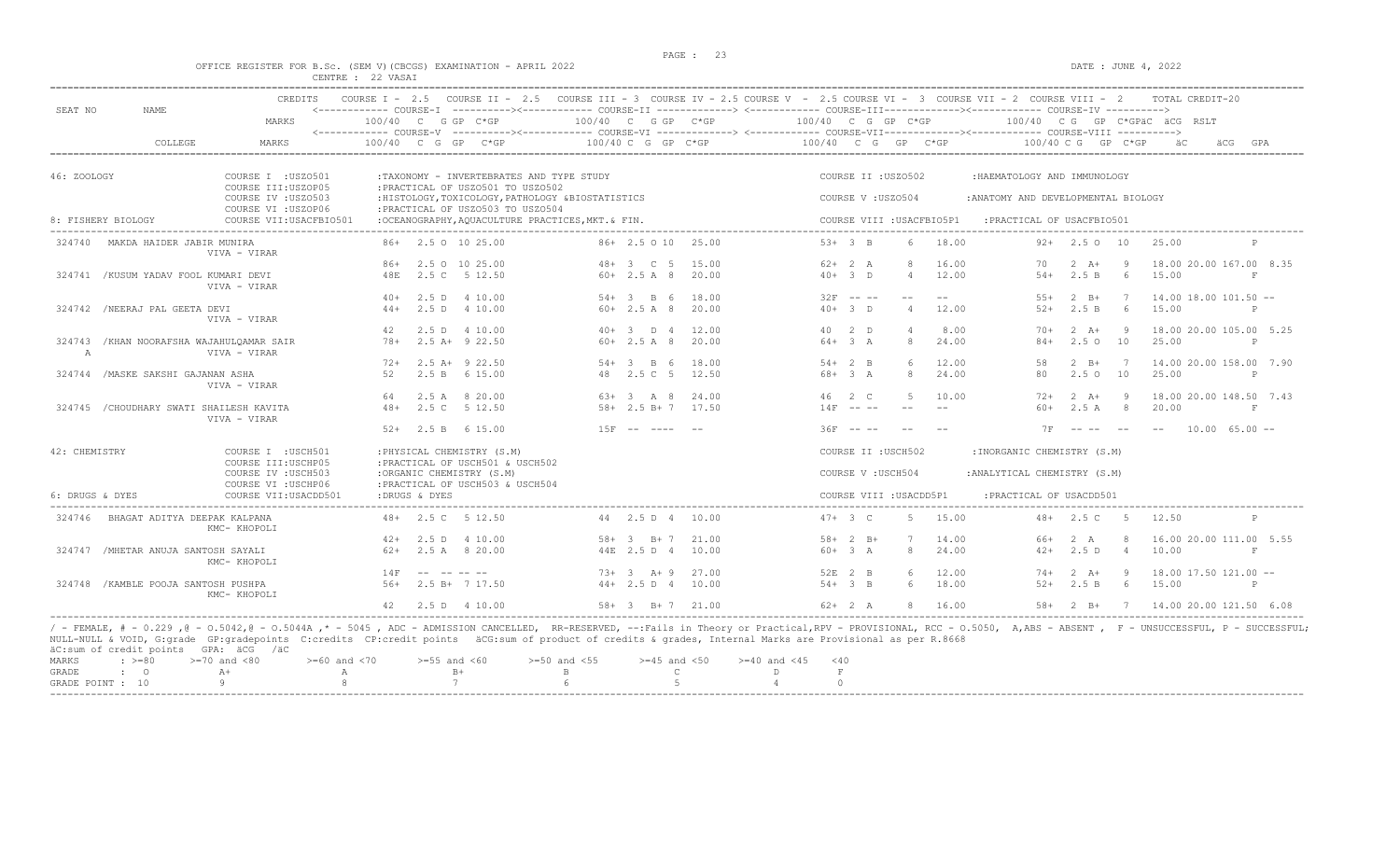|                                                                    | PAGE : 23 |                     |
|--------------------------------------------------------------------|-----------|---------------------|
| OFFICE REGISTER FOR B.Sc. (SEM V) (CBCGS) EXAMINATION - APRIL 2022 |           | DATE : JUNE 4, 2022 |
| CENTRE : 22 VASAI                                                  |           |                     |

| SEAT NO            | NAME.                                     | <b>CREDITS</b>                             |                      |       |                                                                |                                                   |                   |                        | COURSE I - 2.5 COURSE II - 2.5 COURSE III - 3 COURSE IV - 2.5 COURSE V - 2.5 COURSE VI - 3 COURSE VII - 2 COURSE VIII - 2<br><------------ COURSE-I ----------><------------ COURSE-II -------------> <------------ COURSE-III------------><----------- COURSE-IV ----------> |                   |                           |         |                                     |                    |                | TOTAL CREDIT-20                 |                   |
|--------------------|-------------------------------------------|--------------------------------------------|----------------------|-------|----------------------------------------------------------------|---------------------------------------------------|-------------------|------------------------|-------------------------------------------------------------------------------------------------------------------------------------------------------------------------------------------------------------------------------------------------------------------------------|-------------------|---------------------------|---------|-------------------------------------|--------------------|----------------|---------------------------------|-------------------|
|                    |                                           | MARKS                                      | $100/40$ C G GP C*GP |       |                                                                |                                                   |                   | 100/40 C G GP C*GP     | 100/40 C G GP C*GP<br><------------ COURSE-V ----------><----------- COURSE-VI -------------> <------------ COURSE-VIII------------- COURSE-VIII ---------->                                                                                                                  |                   |                           |         |                                     |                    |                | $100/40$ C G GP C*GPAC ACG RSLT |                   |
|                    | COLLEGE                                   | MARKS                                      | $100/40$ C G GP C*GP |       |                                                                |                                                   |                   | $100/40$ C G GP C*GP   |                                                                                                                                                                                                                                                                               |                   | $100/40$ C G GP C*GP      |         | $100/40 \, C \, G$ GP $C*GP$        |                    |                |                                 | GPA               |
| 46: ZOOLOGY        |                                           | COURSE I : USZ0501<br>COURSE III: USZOP05  |                      |       | : PRACTICAL OF USZ0501 TO USZ0502                              | :TAXONOMY - INVERTEBRATES AND TYPE STUDY          |                   |                        |                                                                                                                                                                                                                                                                               |                   | COURSE II : USZ0502       |         | :HAEMATOLOGY AND IMMUNOLOGY         |                    |                |                                 |                   |
|                    |                                           | COURSE IV : USZ0503<br>COURSE VI : USZOP06 |                      |       | : PRACTICAL OF USZ0503 TO USZ0504                              | :HISTOLOGY, TOXICOLOGY, PATHOLOGY &BIOSTATISTICS  |                   |                        |                                                                                                                                                                                                                                                                               | COURSE V: USZ0504 |                           |         | : ANATOMY AND DEVELOPMENTAL BIOLOGY |                    |                |                                 |                   |
| 8: FISHERY BIOLOGY |                                           | COURSE VII: USACFBIO501                    |                      |       |                                                                | :OCEANOGRAPHY, AQUACULTURE PRACTICES, MKT. & FIN. |                   |                        |                                                                                                                                                                                                                                                                               |                   | COURSE VIII : USACFBIO5P1 |         | :PRACTICAL OF USACFBIO501           |                    |                |                                 |                   |
| 324740             | MAKDA HAIDER JABIR MUNIRA                 | VIVA - VIRAR                               |                      |       | 86+ 2.5 0 10 25.00                                             |                                                   |                   | 86+ 2.5 0 10 25.00     |                                                                                                                                                                                                                                                                               | $53+3$ B          |                           | 18.00   |                                     | $92+$ 2.5 0 10     |                | 25.00                           |                   |
|                    |                                           |                                            | $86+$                |       | 2.5 0 10 25.00                                                 |                                                   | $48 + 3$ C 5      | 15.00                  |                                                                                                                                                                                                                                                                               | $62+2 A$          |                           | 16.00   | 70                                  | $2 \overline{A}$ + | <b>q</b>       | 18.00 20.00 167.00 8.35         |                   |
|                    | 324741 /KUSUM YADAV FOOL KUMARI DEVI      | VIVA - VIRAR                               | 48E                  | 2.5 C | 5 12.50                                                        |                                                   | $60+2.5 A 8$      | 20.00                  |                                                                                                                                                                                                                                                                               | $40+3$ D          | $\overline{4}$            | 12.00   | $54+$                               | 2.5 B              | $6^{\circ}$    | 15.00                           | F                 |
|                    |                                           |                                            | $40+$                |       | 2.5 D 4 10.00                                                  |                                                   | $54 + 3$ B 6      | 18.00                  |                                                                                                                                                                                                                                                                               | $32F$ -- --       | $ -$                      | $- -$   | $55+$                               | $2 \quad B+$       | 7              | $14.00$ $18.00$ $101.50$ $-$    |                   |
|                    | 324742 /NEERAJ PAL GEETA DEVI             | VIVA - VIRAR                               | $44+$                |       | 2.5 D 4 10.00                                                  |                                                   | $60+2.5A8$        | 20.00                  |                                                                                                                                                                                                                                                                               | $40+3$ D          | $\overline{4}$            | 12.00   | $52+$                               | 2.5 B              | 6              | 15.00                           | P                 |
|                    |                                           |                                            | 42                   |       | 2.5 D 4 10.00                                                  |                                                   | $40+3$ D 4        | 12.00                  |                                                                                                                                                                                                                                                                               | 40 2 D            |                           | 8.00    | $70+$                               | $2 \overline{A}$ + | - 9            | 18.00 20.00 105.00 5.25         |                   |
| $\mathbb{A}$       | 324743 / KHAN NOORAFSHA WAJAHULQAMAR SAIR | VIVA - VIRAR                               | $78+$                |       | $2.5 A+ 9 22.50$                                               |                                                   | $60+2.5A8$        | 20.00                  |                                                                                                                                                                                                                                                                               | $64 + 3$ A        | 8                         | 24.00   | $84+$                               | 2.5010             |                | 25.00                           | P                 |
|                    |                                           |                                            | $72+$                |       | $2.5$ A+ $9$ 22.50                                             |                                                   | $54 + 3$ B 6      | 18.00                  |                                                                                                                                                                                                                                                                               | $54+2$ B          |                           | 12.00   | 58                                  | $2$ R+             | 7              | 14,00 20.00 158.00 7.90         |                   |
|                    | 324744 / MASKE SAKSHI GAJANAN ASHA        | VIVA - VIRAR                               | 52                   |       | 2.5 B 6 15.00                                                  |                                                   | 48 2.5 C 5        | 12.50                  |                                                                                                                                                                                                                                                                               | $68 + 3 A$        | 8                         | 24.00   | 80                                  | $2.5 \circ 10$     |                | 25.00                           | $\mathbb{P}$      |
|                    |                                           |                                            | 64                   |       | 2.5 A 8 20.00                                                  |                                                   | $63+3$ A 8        | 24.00                  |                                                                                                                                                                                                                                                                               | 46 2 C            | 5<br>$-$                  | 10.00   | $72+$                               | $2 \overline{A}$ + |                | 18.00 20.00 148.50 7.43         |                   |
|                    | 324745 / CHOUDHARY SWATI SHAILESH KAVITA  | VIVA - VIRAR                               | $48+$                |       | 2.5 C 5 12.50                                                  |                                                   | $58 + 2.5 B + 7$  | 17.50                  |                                                                                                                                                                                                                                                                               | $14F$ -- --       |                           |         | $60+$                               | 2.5A               | -8             | 20.00                           | $\mathbf{F}$      |
|                    |                                           |                                            | $52+$                |       | 2.5 B 6 15.00                                                  |                                                   | $15F - - - - - -$ |                        |                                                                                                                                                                                                                                                                               | $36F - - -$       |                           |         | <b>7F</b>                           | --------           |                | $- -$                           | $10.00$ 65.00 $-$ |
| 42: CHEMISTRY      |                                           | COURSE I : USCH501<br>COURSE III: USCHP05  |                      |       | : PHYSICAL CHEMISTRY (S.M)<br>: PRACTICAL OF USCH501 & USCH502 |                                                   |                   |                        |                                                                                                                                                                                                                                                                               |                   | COURSE II : USCH502       |         | :INORGANIC CHEMISTRY (S.M)          |                    |                |                                 |                   |
|                    |                                           | COURSE IV : USCH503<br>COURSE VI : USCHP06 |                      |       | :ORGANIC CHEMISTRY (S.M)<br>: PRACTICAL OF USCH503 & USCH504   |                                                   |                   |                        |                                                                                                                                                                                                                                                                               |                   | COURSE V: USCH504         |         | : ANALYTICAL CHEMISTRY (S.M)        |                    |                |                                 |                   |
| 6: DRUGS & DYES    |                                           | COURSE VII: USACDD501                      | :DRUGS & DYES        |       |                                                                |                                                   |                   |                        |                                                                                                                                                                                                                                                                               |                   | COURSE VIII : USACDD5P1   |         | : PRACTICAL OF USACDD501            |                    |                |                                 |                   |
| 324746             | BHAGAT ADITYA DEEPAK KALPANA              | KMC- KHOPOLI                               |                      |       | 48+ 2.5 C 5 12.50                                              |                                                   |                   | 44 2.5 D 4 10.00       |                                                                                                                                                                                                                                                                               | $47 + 3 C$        |                           | 5 15.00 |                                     | $48 + 2.5$ C 5     |                | 12.50                           | $\mathbb{P}$      |
|                    |                                           |                                            | $42+$                |       | 2.5 D 4 10.00                                                  |                                                   | $58 + 3$ $B + 7$  | 21.00                  |                                                                                                                                                                                                                                                                               | $58 + 2$ B+       | 7                         | 14.00   | $66+$                               | 2A                 |                | 16.00 20.00 111.00 5.55         |                   |
|                    | 324747 / MHETAR ANUJA SANTOSH SAYALI      | KMC- KHOPOLI                               | $62+$                |       | 2.5 A 8 20.00                                                  |                                                   | 44E 2.5 D 4       | 10.00                  |                                                                                                                                                                                                                                                                               | $60 + 3$ A        | $\mathcal{R}$             | 24.00   | $42+$                               | 2.5 D              | $\overline{4}$ | 10.00                           | F                 |
|                    |                                           |                                            | 14F                  |       |                                                                |                                                   | $73+3$ A + 9      | 27.00                  |                                                                                                                                                                                                                                                                               | 52E 2 B           |                           | 12.00   | $74+$                               | $2 \overline{A}$ + | - 9            | $18.00$ 17.50 121.00 --         |                   |
|                    | 324748 / KAMBLE POOJA SANTOSH PUSHPA      | KMC- KHOPOLI                               | $56+$                |       | 2.5 B+ 7 17.50                                                 |                                                   | $44+2.5 D 4$      | 10.00                  |                                                                                                                                                                                                                                                                               | $54+3$ B          | 6                         | 18.00   | $52+$                               | 2.5 B              | - 6            | 15.00                           | P                 |
|                    |                                           |                                            | 42                   |       | 2.5 D 4 10.00                                                  |                                                   |                   | $58 + 3$ $B + 7$ 21.00 |                                                                                                                                                                                                                                                                               | $62+2 A$          |                           | 16.00   | $58+$                               | 2 B+               | $7\phantom{0}$ | 14.00 20.00 121.50 6.08         |                   |

----------------------------------------------------------------------------------------------------------------------------------------------------------------------------------------------------------------------- / - FEMALE, # - 0.229 ,@ - O.5042,@ - O.5044A ,\* - 5045 , ADC - ADMISSION CANCELLED, RR-RESERVED, --:Fails in Theory or Practical,RPV - PROVISIONAL, RCC - O.5050, A,ABS - ABSENT , F - UNSUCCESSFUL, P - SUCCESSFUL; NULL-NULL & VOID, G:grade GP:gradepoints C:credits CP:credit points äCG:sum of product of credits & grades, Internal Marks are Provisional as per R.8668 äC:sum of credit points GPA: äCG /äC

|  | ac.bull of create points office you                                                            |  |  |  |  |
|--|------------------------------------------------------------------------------------------------|--|--|--|--|
|  | MARKS : >=80 >=70 and <80 >=60 and <70 >=55 and <60 >=50 and <55 >=45 and <50 >=40 and <45 <40 |  |  |  |  |
|  |                                                                                                |  |  |  |  |
|  | GRADE POINT : $10$ 9 8 7 6 5 5 4 0                                                             |  |  |  |  |
|  |                                                                                                |  |  |  |  |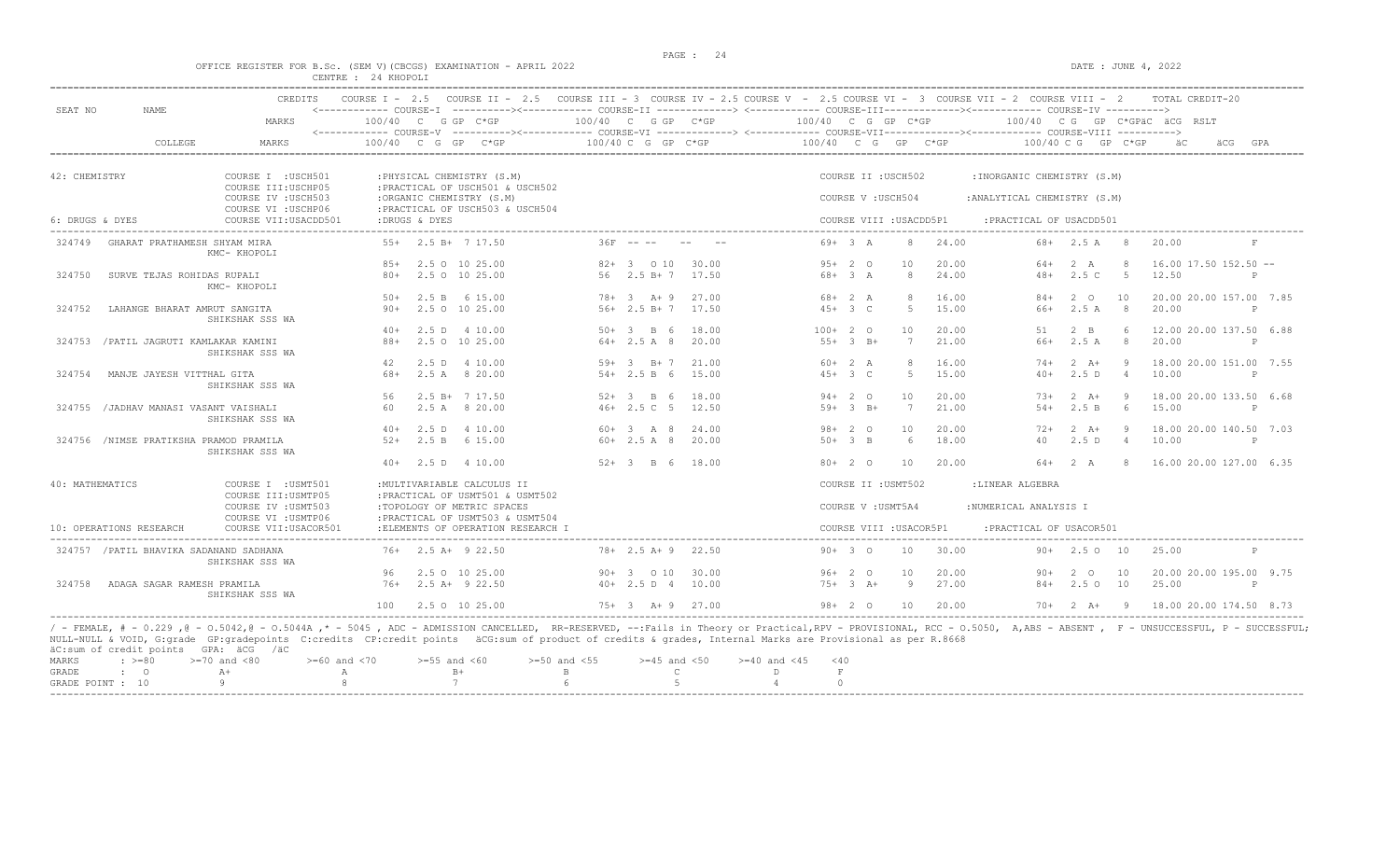#### OFFICE REGISTER FOR B.Sc. (SEM V)(CBCGS) EXAMINATION - APRIL 2022 CENTRE : 24 KHOPOLI

| SEAT NO         | <b>NAME</b>                             | <b>CREDITS</b>                                                   |                 |               |                                                                                            | COURSE I - 2.5 COURSE II - 2.5 COURSE III - 3 COURSE IV - 2.5 COURSE V - 2.5 COURSE VI - 3 COURSE VII - 2 COURSE VIII - 2<br><------------ COURSE-I ----------><----------- COURSE-II -------------> <------------ COURSE-III-----------><--------><---------- COURSE-IV ----------> |                        |                          |                    |            |                              |       |                                                            |                        |                | TOTAL CREDIT-20              |              |
|-----------------|-----------------------------------------|------------------------------------------------------------------|-----------------|---------------|--------------------------------------------------------------------------------------------|--------------------------------------------------------------------------------------------------------------------------------------------------------------------------------------------------------------------------------------------------------------------------------------|------------------------|--------------------------|--------------------|------------|------------------------------|-------|------------------------------------------------------------|------------------------|----------------|------------------------------|--------------|
|                 |                                         | MARKS                                                            |                 |               | $100/40$ C G GP C*GP                                                                       | 100/40 C G GP C*GP                                                                                                                                                                                                                                                                   |                        |                          | 100/40 C G GP C*GP |            |                              |       |                                                            |                        |                | 100/40 CG GP C*GPÄC ÄCG RSLT |              |
|                 | COLLEGE                                 | MARKS                                                            | $100/40$ C G GP |               | $C*GP$                                                                                     |                                                                                                                                                                                                                                                                                      | 100/40 C G GP C*GP     |                          | 100/40 C G GP C*GP |            |                              |       |                                                            | $100/40 C G$ GP $C*GP$ |                | äCG                          | GPA          |
| 42: CHEMISTRY   |                                         |                                                                  |                 |               |                                                                                            |                                                                                                                                                                                                                                                                                      |                        |                          |                    |            | COURSE II : USCH502          |       |                                                            |                        |                |                              |              |
|                 |                                         | COURSE I : USCH501<br>COURSE III: USCHP05<br>COURSE IV : USCH503 |                 |               | : PHYSICAL CHEMISTRY (S.M)<br>: PRACTICAL OF USCH501 & USCH502<br>:ORGANIC CHEMISTRY (S.M) |                                                                                                                                                                                                                                                                                      |                        |                          |                    |            | COURSE V: USCH504            |       | :INORGANIC CHEMISTRY (S.M)<br>: ANALYTICAL CHEMISTRY (S.M) |                        |                |                              |              |
| 6: DRUGS & DYES |                                         | COURSE VI : USCHP06<br>COURSE VII: USACDD501                     |                 | :DRUGS & DYES | :PRACTICAL OF USCH503 & USCH504                                                            |                                                                                                                                                                                                                                                                                      |                        |                          |                    |            | COURSE VIII : USACDD5P1      |       | :PRACTICAL OF USACDD501                                    |                        |                |                              |              |
| 324749          | GHARAT PRATHAMESH SHYAM MIRA            | KMC- KHOPOLI                                                     |                 |               | 55+ 2.5 B+ 7 17.50                                                                         |                                                                                                                                                                                                                                                                                      | $36F - - -$            |                          |                    | $69+3 A$   | 8                            | 24.00 |                                                            | $68 + 2.5$ A 8         |                | 20.00                        | $_{\rm F}$   |
|                 |                                         |                                                                  |                 |               | 85+ 2.5 0 10 25.00                                                                         |                                                                                                                                                                                                                                                                                      | $82+3$ 0 10            | 30.00                    |                    | $95+20$    | 10                           | 20.00 | 64+                                                        | 2 A                    | - 8            | $16.00$ 17.50 152.50 --      |              |
| 324750          | SURVE TEJAS ROHIDAS RUPALI              | KMC- KHOPOLI                                                     | $80+$           |               | 2.5 0 10 25.00                                                                             |                                                                                                                                                                                                                                                                                      | 56 2.5 B+ 7            | 17.50                    |                    | $68 + 3 A$ | -8                           | 24.00 | $48+$                                                      | 2.5C                   | $5^{\circ}$    | 12.50                        | P            |
|                 |                                         |                                                                  | $50+$           |               | 2.5 B 6 15.00                                                                              |                                                                                                                                                                                                                                                                                      | $78 + 3$ $A + 9$       | 27.00                    |                    | $68 + 2 A$ | 8                            | 16.00 | $84+$                                                      | 2 0                    | 10             | 20.00 20.00 157.00 7.85      |              |
| 324752          | LAHANGE BHARAT AMRUT SANGITA            | SHIKSHAK SSS WA                                                  | $90+$           |               | 2.5 0 10 25.00                                                                             |                                                                                                                                                                                                                                                                                      | $56+2.5 B+7$           | 17.50                    |                    | $45+3$ C   | $-5$                         | 15.00 | 66+                                                        | 2.5A                   | 8 <sup>2</sup> | 20.00                        | $\mathbb{P}$ |
|                 |                                         |                                                                  | $40+$           |               | 2.5 D 4 10.00                                                                              |                                                                                                                                                                                                                                                                                      | $50+3$ B 6             | 18.00                    | $100+20$           |            | 10                           | 20.00 | 51                                                         | $2 \quad B$            | 6              | 12.00 20.00 137.50 6.88      |              |
|                 | 324753 / PATIL JAGRUTI KAMLAKAR KAMINI  | SHIKSHAK SSS WA                                                  | $88+$           |               | 2.5 0 10 25.00                                                                             |                                                                                                                                                                                                                                                                                      | $64+2.5 A 8$           | 20.00                    |                    | $55+3$ B+  | $7\phantom{.0}\phantom{.0}7$ | 21.00 | $66+$                                                      | 2.5A                   | 8              | 20.00                        | $\mathbb P$  |
|                 |                                         |                                                                  | 42              |               | 2.5 D 4 10.00                                                                              | $59+$                                                                                                                                                                                                                                                                                | $3$ B+ 7               | 21.00                    |                    | $60+2 A$   | -8                           | 16.00 | $74+$                                                      | $2 \overline{A}$ +     | $\overline{9}$ | 18.00 20.00 151.00 7.55      |              |
| 324754          | MANJE JAYESH VITTHAL GITA               | SHIKSHAK SSS WA                                                  | 68+             |               | 2.5 A 8 20.00                                                                              |                                                                                                                                                                                                                                                                                      | $54 + 2.5 B 6$         | 15.00                    |                    | $45+3$ C   | $-5$                         | 15.00 | $40+$                                                      | 2.5D                   | $\overline{4}$ | 10.00                        | P            |
|                 |                                         |                                                                  | 56              |               | $2.5 B+ 7 17.50$                                                                           |                                                                                                                                                                                                                                                                                      | $52+3$ B 6             | 18.00                    |                    | $94 + 20$  | 10                           | 20.00 | $7.3+$                                                     | $2 \overline{A}$       | - 9            | 18.00 20.00 133.50 6.68      |              |
| 324755          | /JADHAV MANASI VASANT VAISHALI          | SHIKSHAK SSS WA                                                  | 60              |               | 2.5 A 8 20.00                                                                              |                                                                                                                                                                                                                                                                                      | $46+2.5C$ 5            | 12.50                    |                    | $59+3$ B+  | $7\phantom{.0}\phantom{.0}7$ | 21.00 | $54+$                                                      | 2.5 B                  | 6              | 15.00                        | $\mathbb{P}$ |
|                 |                                         |                                                                  | $40+$           |               | 2.5 D 4 10.00                                                                              |                                                                                                                                                                                                                                                                                      | $60 + 3$ A 8           | 24.00                    |                    | $98 + 20$  | 10                           | 20.00 | $72+$                                                      | $2 \overline{A}$       | - 9            | 18.00 20.00 140.50 7.03      |              |
|                 | 324756 /NIMSE PRATIKSHA PRAMOD PRAMILA  | SHIKSHAK SSS WA                                                  | $52+$           |               | 2.5 B 6 15.00                                                                              |                                                                                                                                                                                                                                                                                      | $60+2.5A8$             | 20.00                    |                    | $50+3$ B   | 6                            | 18.00 | 40                                                         | 2.5D                   | $\overline{4}$ | 10.00                        | $\mathbb{P}$ |
|                 |                                         |                                                                  |                 |               | $40+$ 2.5 D 4 10.00                                                                        |                                                                                                                                                                                                                                                                                      | $52+3$ B 6 18.00       |                          |                    | $80+20$    | 10                           | 20.00 | 64+                                                        | 2 A                    |                | 8 16.00 20.00 127.00 6.35    |              |
| 40: MATHEMATICS |                                         | COURSE I : USMT501<br>COURSE III: USMTP05                        |                 |               | : MULTIVARIABLE CALCULUS II<br>:PRACTICAL OF USMT501 & USMT502                             |                                                                                                                                                                                                                                                                                      |                        |                          |                    |            | COURSE II : USMT502          |       | :LINEAR ALGEBRA                                            |                        |                |                              |              |
|                 |                                         | COURSE IV : USMT503<br>COURSE VI : USMTP06                       |                 |               | :TOPOLOGY OF METRIC SPACES<br>: PRACTICAL OF USMT503 & USMT504                             |                                                                                                                                                                                                                                                                                      |                        |                          |                    |            | COURSE V : USMT5A4           |       | :NUMERICAL ANALYSIS I                                      |                        |                |                              |              |
|                 | 10: OPERATIONS RESEARCH                 | COURSE VII: USACOR501                                            |                 |               | :ELEMENTS OF OPERATION RESEARCH I                                                          |                                                                                                                                                                                                                                                                                      |                        |                          |                    |            | COURSE VIII : USACOR5P1      |       | : PRACTICAL OF USACOR501                                   |                        |                |                              |              |
|                 | 324757 / PATIL BHAVIKA SADANAND SADHANA | SHIKSHAK SSS WA                                                  |                 |               | $76+$ 2.5 A+ 9 22.50                                                                       |                                                                                                                                                                                                                                                                                      | $78 + 2.5$ A + 9 22.50 |                          |                    | $90+30$    | 10                           | 30.00 |                                                            | $90+$ 2.5 0 10         |                | 25.00                        |              |
|                 |                                         |                                                                  | 96              |               | 2.5 0 10 25.00                                                                             |                                                                                                                                                                                                                                                                                      | $90+3$ 0 10            | 30.00                    |                    | $96+20$    | 10                           | 20.00 | 90+                                                        | 2 O                    | 10             | 20.00 20.00 195.00 9.75      |              |
| 324758          | ADAGA SAGAR RAMESH PRAMILA              | SHIKSHAK SSS WA                                                  |                 |               | $76+$ 2.5 A+ 9 22.50                                                                       |                                                                                                                                                                                                                                                                                      | $40+2.5 D 4 10.00$     |                          |                    | $75+3 A+$  | 9                            | 27.00 | $84+$                                                      | 2.50 10                |                | 25.00                        | $\mathbb{P}$ |
|                 |                                         |                                                                  | 100             |               | 2.5 0 10 25.00                                                                             |                                                                                                                                                                                                                                                                                      |                        | $75+3$ $\lambda+9$ 27.00 |                    | $98 + 20$  | 10                           | 20.00 |                                                            | $70+2 A+9$             |                | 18.00 20.00 174.50 8.73      |              |

|           |                                      | NULL-NULL & VOID, G:grade GP:gradepoints C:credits CP:credit points äCG:sum of product of credits & grades, Internal Marks are Provisional as per R.8668 |  |  |  |  |  |
|-----------|--------------------------------------|----------------------------------------------------------------------------------------------------------------------------------------------------------|--|--|--|--|--|
|           | äC:sum of credit points GPA: äCG /äC |                                                                                                                                                          |  |  |  |  |  |
|           |                                      | MARKS : >=80 >=70 and <80 > >=60 and <70 >=55 and <60 >=50 and <55 >=45 and <50 >=40 and <45 <40                                                         |  |  |  |  |  |
| GRADE : O |                                      |                                                                                                                                                          |  |  |  |  |  |
|           |                                      | GRADE POINT : $10$ 9 8 7 6 5 5 4 0                                                                                                                       |  |  |  |  |  |
|           |                                      |                                                                                                                                                          |  |  |  |  |  |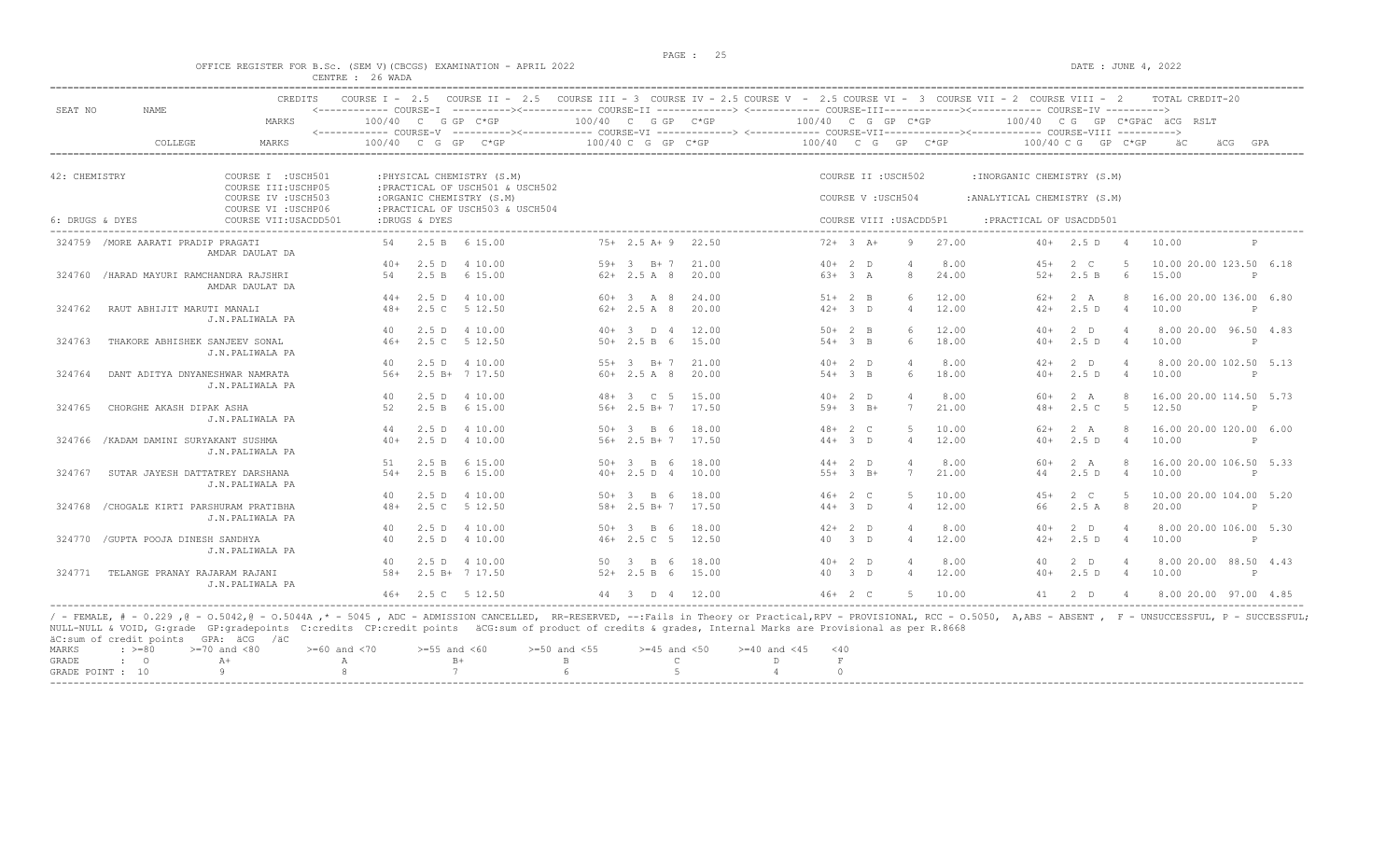$DATA: JUNE 4, 2022$ 

|  |  |                  |  | OFFICE REGISTER FOR B.SC. (SEM V)(CBCGS) EXAMINATION - APRIL 2022 |  |  |
|--|--|------------------|--|-------------------------------------------------------------------|--|--|
|  |  | CENTRE : 26 WADA |  |                                                                   |  |  |

| SEAT NO         | <b>NAME</b>                              | <b>CREDITS</b>                               | COURSE $T = 2.5$       |               | COURSE II - 2.5 COURSE III - 3 COURSE IV - 2.5 COURSE V - 2.5 COURSE VI - 3 COURSE VII - 2 COURSE VIII - 2<br><------------ COURSE-T -----------><----------- COURSE-TT --------------> <------------ COURSE-TTT------------><----------- COURSE-TV ----------> |        |                      |       |                      |            |                     |                         |               |                              |                      |                | TOTAL CREDIT-20              |   |     |
|-----------------|------------------------------------------|----------------------------------------------|------------------------|---------------|-----------------------------------------------------------------------------------------------------------------------------------------------------------------------------------------------------------------------------------------------------------------|--------|----------------------|-------|----------------------|------------|---------------------|-------------------------|---------------|------------------------------|----------------------|----------------|------------------------------|---|-----|
|                 |                                          | MARKS                                        | <------------ COURSE-V |               | 100/40 C G GP C*GP                                                                                                                                                                                                                                              |        | $100/40$ C G GP C*GP |       | $100/40$ C G GP C*GP |            |                     |                         |               |                              |                      |                | 100/40 CG GP C*GPAC ACG RSLT |   |     |
|                 | COLLEGE                                  | <b>MARKS</b>                                 | 100/40                 | C G           | GP<br>$C*GP$                                                                                                                                                                                                                                                    |        | 100/40 C G GP C*GP   |       | 100/40 C G           |            |                     | GP                      | $C*GP$        |                              | $100/40$ C G GP C*GP |                |                              |   | GPA |
| 42: CHEMISTRY   |                                          | COURSE I : USCH501                           |                        |               | : PHYSICAL CHEMISTRY (S.M)                                                                                                                                                                                                                                      |        |                      |       |                      |            | COURSE II : USCH502 |                         |               | : INORGANIC CHEMISTRY (S.M)  |                      |                |                              |   |     |
|                 |                                          | COURSE III: USCHP05                          |                        |               | : PRACTICAL OF USCH501 & USCH502                                                                                                                                                                                                                                |        |                      |       |                      |            |                     |                         |               |                              |                      |                |                              |   |     |
|                 |                                          | COURSE IV : USCH503                          |                        |               | :ORGANIC CHEMISTRY (S.M)                                                                                                                                                                                                                                        |        |                      |       |                      |            | COURSE V: USCH504   |                         |               | : ANALYTICAL CHEMISTRY (S.M) |                      |                |                              |   |     |
| 6: DRUGS & DYES |                                          | COURSE VI : USCHP06<br>COURSE VII: USACDD501 |                        | :DRUGS & DYES | : PRACTICAL OF USCH503 & USCH504                                                                                                                                                                                                                                |        |                      |       |                      |            |                     | COURSE VIII : USACDD5P1 | _____________ | : PRACTICAL OF USACDD501     |                      |                |                              |   |     |
|                 | 324759 / MORE AARATI PRADIP PRAGATI      | AMDAR DAULAT DA                              | 54                     |               | 2.5 B 6 15.00                                                                                                                                                                                                                                                   |        | $75+2.5$ A+9 22.50   |       | $72+3$ A+            |            |                     | 9                       | 27.00         | $40+$                        | 2.5 D                | - 4            | 10.00                        |   |     |
|                 |                                          |                                              | $40+$                  |               | 2.5 D 4 10.00                                                                                                                                                                                                                                                   |        | 59+ 3 B+7            | 21.00 | $40+2$ D             |            |                     |                         | 8.00          | $45+$                        | $2 \quad C$          |                | 10.00 20.00 123.50 6.18      |   |     |
|                 | 324760 / HARAD MAYURI RAMCHANDRA RAJSHRI | AMDAR DAULAT DA                              | 54                     | 2.5 B         | 6 15.00                                                                                                                                                                                                                                                         |        | $62+2.5A8$           | 20.00 |                      | $63+3 A$   |                     | 8                       | 24.00         | $52+$                        | 2.5 B                | - 6            | 15.00                        | P |     |
|                 |                                          |                                              | $44+$                  |               | 2.5 D 4 10.00                                                                                                                                                                                                                                                   |        | $60+3$ A 8           | 24.00 | $51+2$ B             |            |                     | 6                       | 12.00         | 62+                          | 2 A                  | -8             | 16.00 20.00 136.00 6.80      |   |     |
| 324762          | RAUT ABHIJIT MARUTI MANALI               | J.N.PALIWALA PA                              | $48+$                  |               | 2.5 C 5 12.50                                                                                                                                                                                                                                                   |        | $62+2.5A8$           | 20.00 | $42+3$ D             |            |                     | $\overline{4}$          | 12.00         | $42+$                        | 2.5D                 | $\overline{4}$ | 10.00                        | P |     |
|                 |                                          |                                              | 40                     |               | 2.5 D 4 10.00                                                                                                                                                                                                                                                   |        | $40+3$ D 4           | 12.00 | $50+2$ B             |            |                     | $\epsilon$              | 12.00         | $40+$                        | 2 D                  |                | 8.00 20.00 96.50 4.83        |   |     |
| 324763          | THAKORE ABHISHEK SANJEEV SONAL           | J.N.PALIWALA PA                              | $46+$                  | 2.5C          | 5 12.50                                                                                                                                                                                                                                                         |        | $50+2.5 B 6$         | 15.00 | $54+3$ B             |            |                     | 6                       | 18.00         | $40+$                        | 2.5D                 | $\sim$ 4       | 10.00                        |   |     |
|                 |                                          |                                              | 40                     |               | 2.5 D 4 10.00                                                                                                                                                                                                                                                   |        | $55+3$ B+7           | 21.00 | $40+2$ D             |            |                     | $\overline{4}$          | 8.00          | $42+$                        | $2$ D                | $\overline{4}$ | 8.00 20.00 102.50 5.13       |   |     |
| 324764          | DANT ADITYA DNYANESHWAR NAMRATA          | J.N.PALIWALA PA                              | $56+$                  |               | $2.5 B+ 7 17.50$                                                                                                                                                                                                                                                |        | $60+2.5A8$           | 20.00 |                      | $54+3$ B   |                     | 6                       | 18.00         | $40+$                        | 2.5D                 | $\overline{4}$ | 10.00                        | P |     |
|                 |                                          |                                              | 40                     | $2.5$ D       | 4 10.00                                                                                                                                                                                                                                                         | $48 +$ | 3 C 5                | 15.00 | $40+2$ D             |            |                     |                         | 8.00          | 60+                          | 2 A                  | -8             | 16.00 20.00 114.50 5.73      |   |     |
| 324765          | CHORGHE AKASH DIPAK ASHA                 | J.N.PALIWALA PA                              | 52                     | 2.5 B         | 6 15.00                                                                                                                                                                                                                                                         |        | $56+2.5 B+7$         | 17.50 |                      | $59+3$ B+  |                     | 7                       | 21.00         | $48+$                        | 2.5C                 | $-5$           | 12.50                        | P |     |
|                 |                                          |                                              | 44                     |               | 2.5 D 4 10.00                                                                                                                                                                                                                                                   |        | $50+3$ B 6           | 18.00 | $48 + 2 C$           |            |                     | 5                       | 10.00         | $62+$                        | 2 A                  | 8              | 16.00 20.00 120.00 6.00      |   |     |
|                 | 324766 / KADAM DAMINI SURYAKANT SUSHMA   | J.N.PALIWALA PA                              | $40+$                  |               | 2.5 D 4 10.00                                                                                                                                                                                                                                                   |        | $56+ 2.5 B+ 7 17.50$ |       |                      | $44+3$ D   |                     | $\overline{4}$          | 12.00         | $40+$                        | 2.5D                 | $\overline{4}$ | 10.00                        | P |     |
|                 |                                          |                                              | 51                     | 2.5 B         | 6 15.00                                                                                                                                                                                                                                                         |        | $50+3$ B 6           | 18.00 | $44+2$ D             |            |                     | $\overline{4}$          | 8.00          | $60+$                        | 2 A                  | -8             | 16.00 20.00 106.50 5.33      |   |     |
| 324767          | SUTAR JAYESH DATTATREY DARSHANA          | J.N.PALIWALA PA                              | $54+$                  |               | 2.5 B 6 15.00                                                                                                                                                                                                                                                   |        | $40+2.5 D 4$         | 10.00 | $55+3$ B+            |            |                     | 7                       | 21.00         | 44                           | 2.5D                 | 4              | 10.00                        | P |     |
|                 |                                          |                                              | 40                     |               | 2.5 D 4 10.00                                                                                                                                                                                                                                                   |        | $50 + 3$ B 6         | 18.00 | $46+2$ C             |            |                     | -5                      | 10.00         | $4.5+$                       | $2 \quad C$          | -5             | 10.00 20.00 104.00 5.20      |   |     |
| 324768          | /CHOGALE KIRTI PARSHURAM PRATIBHA        | J.N.PALIWALA PA                              | $48+$                  |               | 2.5 C 5 12.50                                                                                                                                                                                                                                                   |        | $58 + 2.5 B + 7$     | 17.50 |                      | $44 + 3$ D |                     | $\overline{4}$          | 12.00         | 66                           | 2.5A                 | -8             | 20.00                        | P |     |
|                 |                                          |                                              | 40                     | 2.5 D         | 4 10.00                                                                                                                                                                                                                                                         | 50+    | 3 B 6                | 18.00 |                      | $42+2$ D   |                     |                         | 8.00          | $40+$                        | $2$ D                | $\overline{4}$ | 8.00 20.00 106.00 5.30       |   |     |
| 324770          | /GUPTA POOJA DINESH SANDHYA              | J.N.PALIWALA PA                              | 40                     |               | 2.5 D 4 10.00                                                                                                                                                                                                                                                   |        | $46+2.5C$ 5          | 12.50 | 40                   | $3$ D      |                     | $\overline{4}$          | 12.00         | $42+$                        | 2.5D                 | $\overline{4}$ | 10.00                        | P |     |
|                 |                                          |                                              | 40                     |               | 2.5 D 4 10.00                                                                                                                                                                                                                                                   |        | 50 3 B 6             | 18.00 | $40+2$ D             |            |                     |                         | 8.00          | 40                           | $2$ D                |                | 8.00 20.00 88.50 4.43        |   |     |
| 324771          | TELANGE PRANAY RAJARAM RAJANI            | J.N.PALIWALA PA                              | $58+$                  |               | 2.5 B+ 7 17.50                                                                                                                                                                                                                                                  |        | $52+2.5 B 6$         | 15.00 | 40 3 D               |            |                     | $\overline{4}$          | 12.00         | $40+$                        | 2.5D                 | $\overline{4}$ | 10.00                        | P |     |
|                 |                                          |                                              |                        |               | 46+ 2.5 C 5 12.50                                                                                                                                                                                                                                               |        | 44 3 D 4 12.00       |       | $46+2$ C             |            |                     |                         | 5 10.00       |                              | 41 2 D               | $\overline{4}$ | 8.00 20.00 97.00 4.85        |   |     |

/ - FEMALE, # - 0.229 ,@ - 0.5042,@ - 0.5044A ,\* - 5045 , ADC - ADMISSION CANCELLED, RR-RESERVED, --:Fails in Theory or Practical,RPV - PROVISIONAL, RCC - 0.5050, A,ABS - ABSENT , F - UNSUCCESSFUL, P - SUCCESSFUL;<br>NULL-NUL

|  |  | MARKS : >=80 >=70 and <80 >=60 and <70 >=55 and <60 >=50 and <55 >=45 and <50 >=40 and <45 <40 |  |  |  |  |  |
|--|--|------------------------------------------------------------------------------------------------|--|--|--|--|--|
|  |  |                                                                                                |  |  |  |  |  |
|  |  | GRADE POINT : $10$ 9 8 7 6 5 5 4 0                                                             |  |  |  |  |  |
|  |  |                                                                                                |  |  |  |  |  |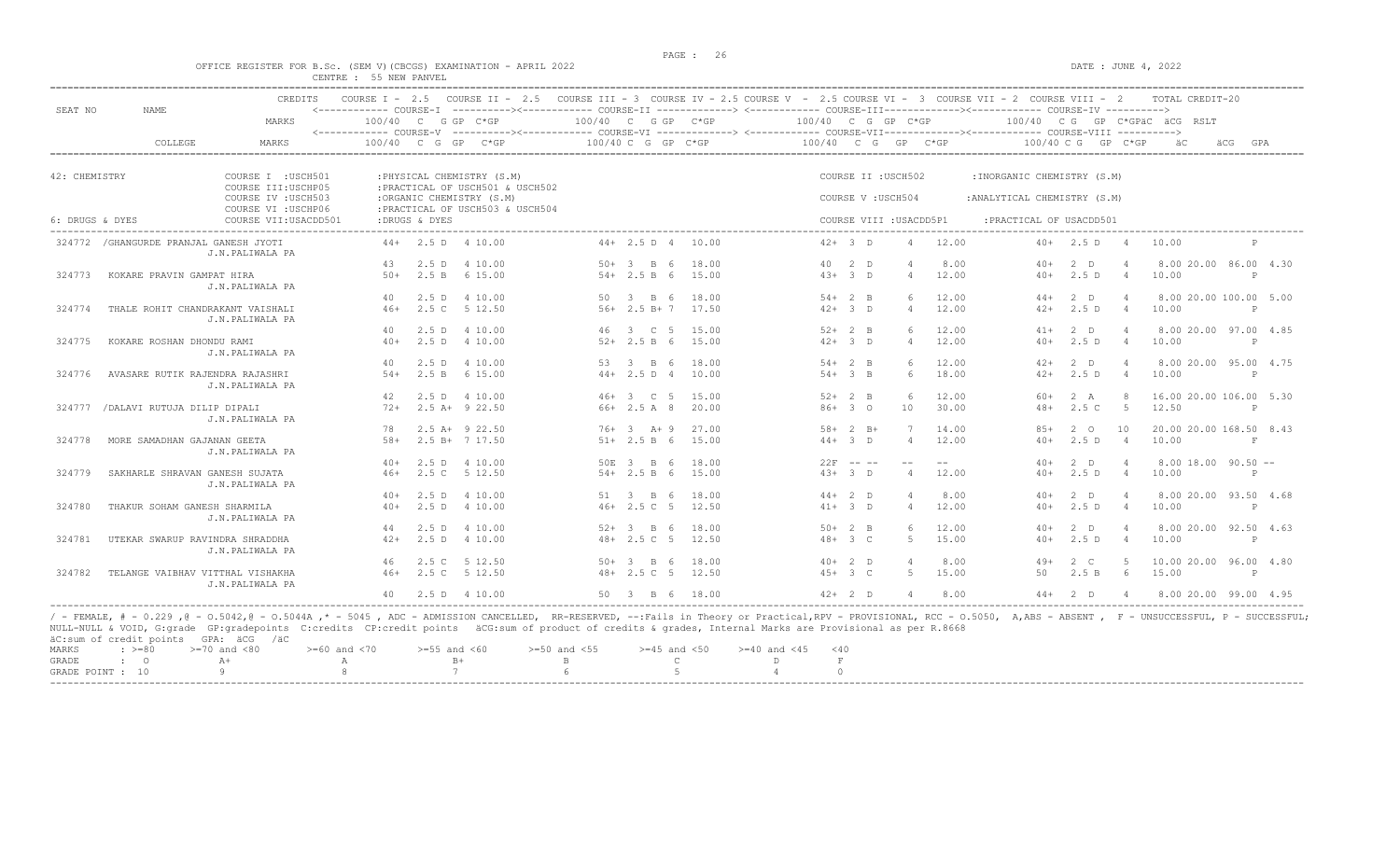#### OFFICE REGISTER FOR B.Sc. (SEM V) (CBCGS) EXAMINATION - APRIL 2022 DATE : JUNE 4, 2022 CENTRE : 55 NEW PANVEL

| SEAT NO         | NAME.                                   | CREDITS                                    |       |               | COURSE I - 2.5 COURSE II - 2.5 COURSE III - 3 COURSE IV - 2.5 COURSE V - 2.5 COURSE VI - 3 COURSE VII - 2 COURSE VIII - 2<br><------------ COURSE-T ----------><----------- COURSE-TT -------------> <------------ COURSE-TTT----------><--------><--------- COURSE-TV ----------> |                      |                      |                       |  |                   |                         |       |                              |                    |                | TOTAL CREDIT-20              |              |     |
|-----------------|-----------------------------------------|--------------------------------------------|-------|---------------|------------------------------------------------------------------------------------------------------------------------------------------------------------------------------------------------------------------------------------------------------------------------------------|----------------------|----------------------|-----------------------|--|-------------------|-------------------------|-------|------------------------------|--------------------|----------------|------------------------------|--------------|-----|
|                 |                                         | MARKS                                      |       |               | $100/40$ C G GP C*GP                                                                                                                                                                                                                                                               | $100/40$ C G GP C*GP |                      |                       |  |                   | 100/40 C G GP C*GP      |       |                              |                    |                | 100/40 CG GP C*GPAC ACG RSLT |              |     |
|                 | COLLEGE                                 | MARKS                                      |       |               | <------------ COURSE-V ----------><----------- COURSE-VI -------------> <------------ COURSE-VII--------------- COURSE-VIII ----------><br>$100/40$ C G GP C*GP                                                                                                                    |                      | $100/40$ C G GP C*GP |                       |  |                   | 100/40 C G GP C*GP      |       |                              | 100/40 C G GP C*GP |                | äС                           | äCG          | GPA |
| 42: CHEMISTRY   |                                         | COURSE I : USCH501                         |       |               | : PHYSICAL CHEMISTRY (S.M)                                                                                                                                                                                                                                                         |                      |                      |                       |  |                   | COURSE II : USCH502     |       | : INORGANIC CHEMISTRY (S.M)  |                    |                |                              |              |     |
|                 |                                         | COURSE III: USCHP05<br>COURSE IV : USCH503 |       |               | : PRACTICAL OF USCH501 & USCH502<br>:ORGANIC CHEMISTRY (S.M)                                                                                                                                                                                                                       |                      |                      |                       |  | COURSE V: USCH504 |                         |       | : ANALYTICAL CHEMISTRY (S.M) |                    |                |                              |              |     |
|                 |                                         | COURSE VI : USCHP06                        |       |               | : PRACTICAL OF USCH503 & USCH504                                                                                                                                                                                                                                                   |                      |                      |                       |  |                   |                         |       |                              |                    |                |                              |              |     |
| 6: DRUGS & DYES |                                         | COURSE VII: USACDD501                      |       | :DRUGS & DYES |                                                                                                                                                                                                                                                                                    |                      |                      |                       |  |                   | COURSE VIII : USACDD5P1 |       | : PRACTICAL OF USACDD501     |                    |                |                              |              |     |
|                 | 324772 / GHANGURDE PRANJAL GANESH JYOTI | J.N.PALIWALA PA                            |       |               | $44+$ 2.5 D 4 10.00                                                                                                                                                                                                                                                                |                      | $44+2.5 D 4$         | 10.00                 |  | $42+3$ D          | $\overline{4}$          | 12.00 |                              | $40+$ 2.5 D 4      |                | 10.00                        |              |     |
|                 |                                         |                                            | 43    |               | 2.5 D 4 10.00                                                                                                                                                                                                                                                                      |                      | 50+ 3 B 6            | 18.00                 |  | 40 2 D            |                         | 8.00  | $40+$                        | $2$ D              | $\overline{4}$ | 8.00 20.00 86.00 4.30        |              |     |
| 324773          | KOKARE PRAVIN GAMPAT HIRA               | J.N.PALIWALA PA                            | $50+$ | 2.5 B         | 6 15.00                                                                                                                                                                                                                                                                            |                      | $54 + 2.5 B 6$       | 15.00                 |  | $43+3$ D          | $\overline{4}$          | 12.00 | $40+$                        | 2.5D               | $\overline{4}$ | 10.00                        | P            |     |
|                 |                                         |                                            | 40    | 2.5D          | 4 10.00                                                                                                                                                                                                                                                                            | 50                   | $3 \quad B \quad 6$  | 18.00                 |  | $54+2$ B          |                         | 12.00 | $44+$                        | $2$ D              |                | 8.00 20.00 100.00 5.00       |              |     |
| 324774          | THALE ROHIT CHANDRAKANT VAISHALI        | J.N.PALIWALA PA                            | $46+$ |               | 2.5 C 5 12.50                                                                                                                                                                                                                                                                      |                      |                      | $56+$ 2.5 B + 7 17.50 |  | $42+3$ D          | $\overline{4}$          | 12.00 | $42+$                        | 2.5D               | $\overline{4}$ | 10.00                        | $\mathsf{P}$ |     |
|                 |                                         |                                            | 40    |               | 2.5 D 4 10.00                                                                                                                                                                                                                                                                      |                      | 46 3 C 5             | 15.00                 |  | $52+2$ B          | $6^{\circ}$             | 12.00 | $41+$                        | $2$ D              | $\overline{4}$ | 8.00 20.00 97.00 4.85        |              |     |
| 324775          | KOKARE ROSHAN DHONDU RAMI               | J.N.PALIWALA PA                            | $40+$ |               | 2.5 D 4 10.00                                                                                                                                                                                                                                                                      |                      | $52+2.5 B 6$         | 15.00                 |  | $42+3$ D          | $\overline{4}$          | 12.00 | $40+$                        | 2.5D               | 4              | 10.00                        | P            |     |
|                 |                                         |                                            | 40    |               | 2.5 D 4 10.00                                                                                                                                                                                                                                                                      |                      | 53 3 B 6             | 18.00                 |  | $54+2$ B          | 6                       | 12.00 | $42+$                        | $2$ D              | $\overline{4}$ | 8.00 20.00 95.00 4.75        |              |     |
| 324776          | AVASARE RUTIK RAJENDRA RAJASHRI         | J.N.PALIWALA PA                            | $54+$ |               | 2.5 B 6 15.00                                                                                                                                                                                                                                                                      |                      | $44+2.5 D 4$         | 10.00                 |  | $54 + 3$ B        | 6                       | 18.00 | $42+$                        | 2.5D               | $\overline{4}$ | 10.00                        | P            |     |
|                 |                                         |                                            | 42    |               | 2.5 D 4 10.00                                                                                                                                                                                                                                                                      |                      | 46+ 3 C 5            | 15.00                 |  | $52+2$ B          | 6                       | 12.00 | $60+$                        | 2 A                | $\mathcal{R}$  | 16.00 20.00 106.00 5.30      |              |     |
| 324777          | /DALAVI RUTUJA DILIP DIPALI             | J.N.PALIWALA PA                            | $72+$ |               | $2.5$ A+ $9$ 22.50                                                                                                                                                                                                                                                                 |                      | 66+ 2.5 A 8          | 20.00                 |  | $86+30$           | 10                      | 30.00 | $48+$                        | 2.5C               | 5              | 12.50                        |              |     |
|                 |                                         |                                            | 78    |               | $2.5$ A+ $9$ 22.50                                                                                                                                                                                                                                                                 |                      | $76+3$ A+9           | 27.00                 |  | $58 + 2 B +$      |                         | 14.00 | $8.5+$                       | $2^{\circ}$        | 10             | 20.00 20.00 168.50 8.43      |              |     |
| 324778          | MORE SAMADHAN GAJANAN GEETA             | J.N.PALIWALA PA                            | $58+$ |               | 2.5 B+ 7 17.50                                                                                                                                                                                                                                                                     |                      | $51+ 2.5 B 6$        | 15.00                 |  | $44+3$ D          | $\overline{4}$          | 12.00 | $40+$                        | 2.5D               | 4              | 10.00                        | $\mathbf{F}$ |     |
|                 |                                         |                                            | $40+$ |               | 2.5 D 4 10.00                                                                                                                                                                                                                                                                      |                      | 50E 3 B 6            | 18.00                 |  | $22F - - -$       |                         |       | $40+$                        | 2 D                | - 4            | $8.00$ 18.00 90.50 $-$       |              |     |
| 324779          | SAKHARLE SHRAVAN GANESH SUJATA          | J.N.PALIWALA PA                            | $46+$ | 2.5C          | 5 12.50                                                                                                                                                                                                                                                                            |                      | $54 + 2.5 B 6$       | 15.00                 |  | $43+3$ D          | $\overline{4}$          | 12.00 | $40+$                        | 2.5D               | $\overline{4}$ | 10.00                        | P            |     |
|                 |                                         |                                            | $40+$ |               | 2.5 D 4 10.00                                                                                                                                                                                                                                                                      |                      | 51 3 B 6             | 18.00                 |  | $44+2$ D          | $\overline{4}$          | 8.00  | $40+$                        | $2$ D              | $\overline{4}$ | 8.00 20.00 93.50 4.68        |              |     |
| 324780          | THAKUR SOHAM GANESH SHARMILA            | J.N.PALIWALA PA                            | $40+$ | $2.5$ D       | 4 10.00                                                                                                                                                                                                                                                                            |                      | $46+2.5C$ 5          | 12.50                 |  | $41 + 3$ D        | $\overline{4}$          | 12.00 | $40+$                        | 2.5D               | $\overline{4}$ | 10.00                        | P            |     |
|                 |                                         |                                            | 44    | 2.5D          | 4 10.00                                                                                                                                                                                                                                                                            |                      | $52+3$ B 6           | 18.00                 |  | $50+2$ B          | 6                       | 12.00 | $40+$                        | $2$ D              | $\overline{4}$ | 8.00 20.00 92.50 4.63        |              |     |
| 324781          | UTEKAR SWARUP RAVINDRA SHRADDHA         | J.N.PALIWALA PA                            | $42+$ |               | 2.5 D 4 10.00                                                                                                                                                                                                                                                                      |                      | $48 + 2.5$ C 5       | 12.50                 |  | $48 + 3 C$        | $5 -$                   | 15.00 | $40+$                        | 2.5D               | $\overline{4}$ | 10.00                        | P            |     |
|                 |                                         |                                            | 46    |               | 2.5 C 5 12.50                                                                                                                                                                                                                                                                      |                      | $50 + 3$ B 6         | 18.00                 |  | $40+2$ D          | $\Delta$                | 8.00  | $49+$                        | $2 \quad C$        | $5 -$          | 10.00 20.00 96.00 4.80       |              |     |
| 324782          | TELANGE VAIBHAV VITTHAL VISHAKHA        | J.N.PALIWALA PA                            | $46+$ |               | 2.5 C 5 12.50                                                                                                                                                                                                                                                                      |                      | $48 + 2.5$ C 5       | 12.50                 |  | $45+3$ C          | -5                      | 15.00 | 50                           | 2.5 B              | 6              | 15.00                        | P            |     |
|                 |                                         |                                            | 40    |               | 2.5 D 4 10.00                                                                                                                                                                                                                                                                      |                      | 50 3 B 6             | 18.00                 |  | $42 + 2$ D        | $\overline{4}$          | 8.00  | $44+$                        | 2 <sub>0</sub>     |                | 8.00 20.00 99.00 4.95        |              |     |

NULL-NULL & VOID, G:grade GP:gradepoints C:credits CP:credit points äCG:sum of product of credits & grades, Internal Marks are Provisional as per R.8668 äC:sum of credit points GPA: äCG /äC  $> = 60$  and  $< 70$   $> = 55$  and  $< 60$   $> = 50$  and  $< 55$   $> = 45$  and  $< 50$   $> = 40$  and  $< 45$   $< 40$ <br>A B B C D F GRADE : O  $A+$  A  $B+$  B C D F  $A$  0 GRADE POINT : 10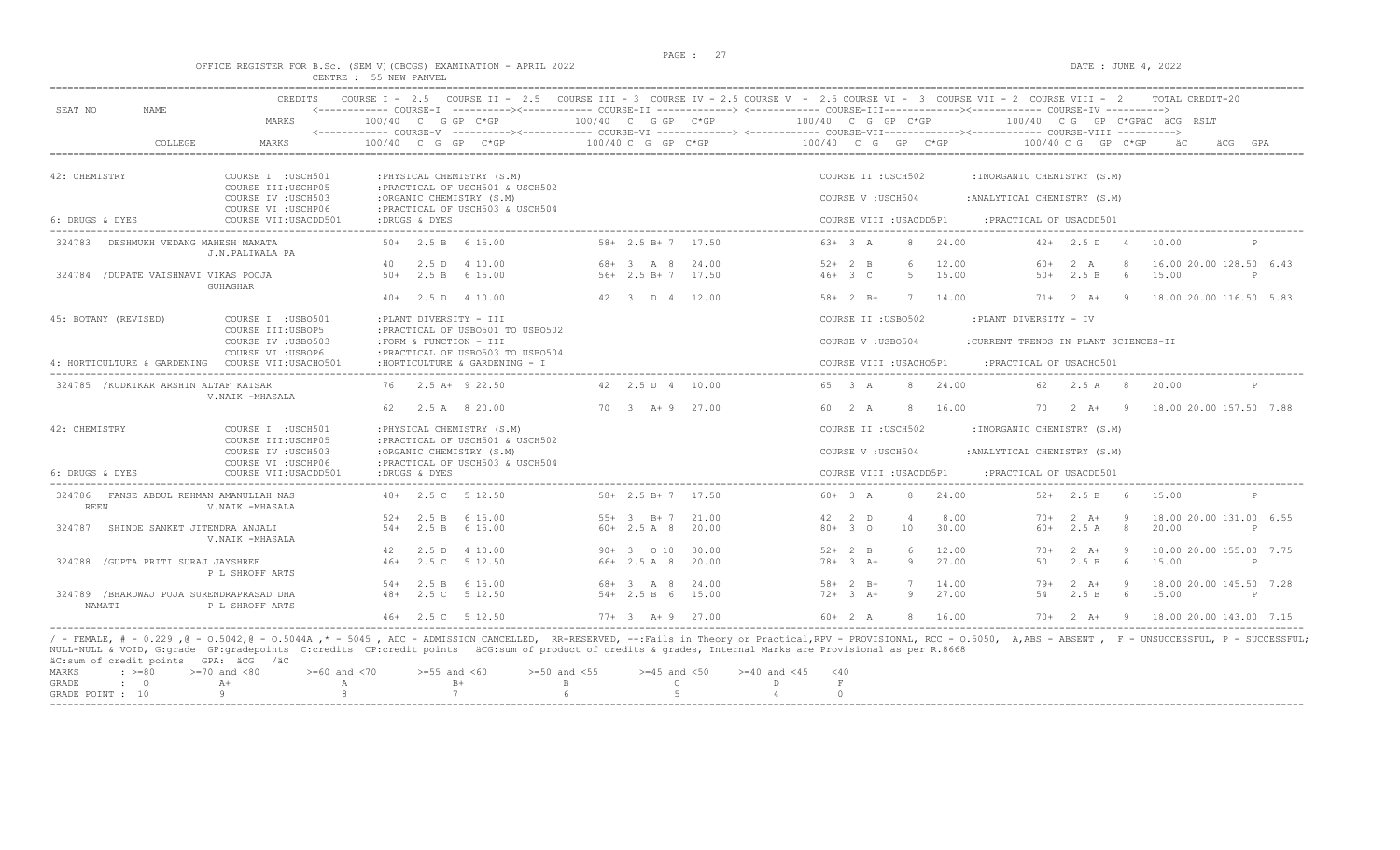# OFFICE REGISTER FOR B.Sc. (SEM V)(CBCGS) EXAMINATION - APRIL 2022<br>CENTRE : 55 NEW PANVEL<br>CENTRE : 55 NEW PANVEL

|                                                    | MARKS                                                             | $100/40$ C G GP C*GP         |                                                                      | 100/40 C G GP C*GP                    |       | <------------ COURSE-I ----------><------------ COURSE-II -------------> <------------ COURSE-III------------><----------- COURSE-IV ----------><br>$100/40$ C G GP C*GP |                         |                      |                |                                       |                            |                       | 100/40 CG GP C*GPäC äCG RSLT       |              |
|----------------------------------------------------|-------------------------------------------------------------------|------------------------------|----------------------------------------------------------------------|---------------------------------------|-------|--------------------------------------------------------------------------------------------------------------------------------------------------------------------------|-------------------------|----------------------|----------------|---------------------------------------|----------------------------|-----------------------|------------------------------------|--------------|
| COLLEGE                                            | MARKS                                                             | 100/40 C G GP C*GP           |                                                                      | 100/40 C G GP C*GP                    |       | 100/40 C G GP C*GP                                                                                                                                                       |                         |                      |                |                                       | $100/40$ C G GP C*GP       |                       | äC                                 |              |
| 42: CHEMISTRY                                      | COURSE I : USCH501                                                | : PHYSICAL CHEMISTRY (S.M)   |                                                                      |                                       |       |                                                                                                                                                                          | COURSE II : USCH502     |                      |                | : INORGANIC CHEMISTRY (S.M)           |                            |                       |                                    |              |
|                                                    | COURSE III: USCHP05<br>COURSE IV : USCH503<br>COURSE VI : USCHP06 | :ORGANIC CHEMISTRY (S.M)     | : PRACTICAL OF USCH501 & USCH502<br>: PRACTICAL OF USCH503 & USCH504 |                                       |       |                                                                                                                                                                          | COURSE V: USCH504       |                      |                | : ANALYTICAL CHEMISTRY (S.M)          |                            |                       |                                    |              |
| 6: DRUGS & DYES                                    | COURSE VII: USACDD501                                             | :DRUGS & DYES                |                                                                      |                                       |       |                                                                                                                                                                          | COURSE VIII : USACDD5P1 |                      |                | : PRACTICAL OF USACDD501              |                            |                       |                                    |              |
| 324783 DESHMUKH VEDANG MAHESH MAMATA               | J.N.PALIWALA PA                                                   | $50+$ 2.5 B 6 15.00          |                                                                      | $58 + 2.5 B + 7 17.50$                |       | $63+3 A$                                                                                                                                                                 |                         | 8                    | 24.00          |                                       | $42+$ 2.5 D 4              |                       | 10.00                              | P            |
| 324784 / DUPATE VAISHNAVI VIKAS POOJA              | GUHAGHAR                                                          | 40<br>50+ 2.5 B 6 15.00      | 2.5 D 4 10.00                                                        | 68+ 3 A 8 24.00<br>$56+2.5 B+7$ 17.50 |       | $52+2$ B<br>$46+3$ C                                                                                                                                                     |                         | 6<br>5               | 12.00<br>15.00 | 60+<br>$50+$                          | 2 A<br>2.5 B               | -8<br>6               | 16.00 20.00 128.50 6.43<br>15.00   | $\mathsf{P}$ |
|                                                    |                                                                   | $40+$ 2.5 D 4 10.00          |                                                                      | 42 3 D 4 12.00                        |       |                                                                                                                                                                          | $58 + 2 B +$            |                      | 7 14.00        |                                       |                            |                       | 71+ 2 A+ 9 18.00 20.00 116.50 5.83 |              |
| 45: BOTANY (REVISED)                               | COURSE I : USB0501<br>COURSE III:USBOP5                           | :PLANT DIVERSITY - III       | : PRACTICAL OF USB0501 TO USB0502                                    |                                       |       |                                                                                                                                                                          | COURSE II : USB0502     |                      |                | :PLANT DIVERSITY - IV                 |                            |                       |                                    |              |
|                                                    | COURSE IV : USB0503<br>COURSE VI : USBOP6                         | :FORM & FUNCTION - III       | : PRACTICAL OF USB0503 TO USB0504                                    |                                       |       |                                                                                                                                                                          | COURSE V: USB0504       |                      |                | : CURRENT TRENDS IN PLANT SCIENCES-II |                            |                       |                                    |              |
| 4: HORTICULTURE & GARDENING COURSE VII:USACHO501   |                                                                   |                              | : HORTICULTURE & GARDENING - I                                       |                                       |       |                                                                                                                                                                          | COURSE VIII : USACHO5P1 |                      |                | : PRACTICAL OF USACH0501              |                            |                       |                                    |              |
| 324785 /KUDKIKAR ARSHIN ALTAF KAISAR               | V.NAIK -MHASALA                                                   | 76 2.5 A+ 9 22.50            |                                                                      | 42  2.5  D  4  10.00                  |       | 65 3 A                                                                                                                                                                   |                         | -8                   | 24.00          |                                       | 62 2.5 A 8                 |                       | 20.00                              | P            |
|                                                    |                                                                   | 2.5 A 8 20.00<br>62.         |                                                                      | 70 3 A+ 9 27.00                       |       | 60 2 A                                                                                                                                                                   |                         |                      | 8 16.00        |                                       | 70  2  A+  9               |                       | 18.00 20.00 157.50 7.88            |              |
| 42: CHEMISTRY                                      | COURSE I : USCH501                                                | : PHYSICAL CHEMISTRY (S.M)   |                                                                      |                                       |       |                                                                                                                                                                          | COURSE II : USCH502     |                      |                | : INORGANIC CHEMISTRY (S.M)           |                            |                       |                                    |              |
|                                                    | COURSE III: USCHP05<br>COURSE IV : USCH503                        | :ORGANIC CHEMISTRY (S.M)     | : PRACTICAL OF USCH501 & USCH502                                     |                                       |       |                                                                                                                                                                          | COURSE V: USCH504       |                      |                | : ANALYTICAL CHEMISTRY (S.M)          |                            |                       |                                    |              |
| 6: DRUGS & DYES                                    | COURSE VI : USCHP06<br>COURSE VII: USACDD501                      | :DRUGS & DYES                | : PRACTICAL OF USCH503 & USCH504                                     |                                       |       |                                                                                                                                                                          | COURSE VIII : USACDD5P1 |                      |                | : PRACTICAL OF USACDD501              |                            |                       |                                    |              |
| 324786 FANSE ABDUL REHMAN AMANULLAH NAS<br>REEN    | V.NAIK -MHASALA                                                   | 48+ 2.5 C 5 12.50            |                                                                      | $58 + 2.5 B + 7 17.50$                |       | $60+3 A$                                                                                                                                                                 |                         | 8                    | 24.00          |                                       | $52+2.5 B$                 | 6                     | 15.00                              | P            |
| 324787 SHINDE SANKET JITENDRA ANJALI               |                                                                   | $52+$ 2.5 B 6 15.00<br>$54+$ | 2.5 B 6 15.00                                                        | $55+3$ B+7 21.00<br>$60+2.5A8$        | 20.00 | 42 2 D<br>$80 + 30$                                                                                                                                                      |                         | $\overline{4}$<br>10 | 8.00<br>30.00  | $70+$<br>$60+$                        | $2 \overline{A}$ +<br>2.5A | - 9<br>8 <sup>8</sup> | 18.00 20.00 131.00 6.55<br>20.00   | P            |
|                                                    | V.NAIK -MHASALA                                                   |                              |                                                                      |                                       |       |                                                                                                                                                                          |                         |                      |                |                                       |                            |                       |                                    |              |
|                                                    |                                                                   | 2.5 D<br>42                  | 4 10.00                                                              | $90+3$ 0 10                           | 30.00 | $52 + 2 B$                                                                                                                                                               |                         | 6                    | 12.00          | 70+                                   | $2 \overline{A}$ +         | - 9                   | 18.00 20.00 155.00 7.75            |              |
| 324788 / GUPTA PRITI SURAJ JAYSHREE                | P L SHROFF ARTS                                                   | $46+$                        | 2.5 C 5 12.50                                                        | 66+ 2.5 A 8                           | 20.00 | $78 + 3 A +$                                                                                                                                                             |                         | -9                   | 27.00          | 50                                    | 2.5 B                      | - 6                   | 15.00                              | P            |
|                                                    |                                                                   | $54 + 2.5 B$                 | 6 15.00                                                              | 68+ 3 A 8                             | 24.00 | $58 + 2 B +$                                                                                                                                                             |                         | 7                    | 14.00          | $79+$                                 | $2 \overline{A}$ +         | - 9                   | 18.00 20.00 145.50 7.28            |              |
| 324789 /BHARDWAJ PUJA SURENDRAPRASAD DHA<br>NAMATI | P L SHROFF ARTS                                                   | 48+ 2.5 C 5 12.50            |                                                                      | $54 + 2.5 B 6 15.00$                  |       |                                                                                                                                                                          | $72+3+1$                | 9                    | 27.00          | 54                                    | 2.5 B 6                    |                       | 15.00                              | P            |
|                                                    |                                                                   | 46+ 2.5 C 5 12.50            |                                                                      | $77+3$ A+9 27.00                      |       | $60+2 A$                                                                                                                                                                 |                         | 8                    | 16.00          |                                       |                            |                       | 70+ 2 A+ 9 18.00 20.00 143.00 7.15 |              |

|  | MARKS : >=80 >=70 and <80 >=60 and <70 >=55 and <60 >=50 and <55 >=45 and <50 >=40 and <45 <40 |           |  |  |  |  |
|--|------------------------------------------------------------------------------------------------|-----------|--|--|--|--|
|  | $GRADE$ : $O$ $A+$                                                                             | A B B C D |  |  |  |  |
|  | GRADE POINT : $10$ 9 8 7 6 6 5 4 0                                                             |           |  |  |  |  |
|  |                                                                                                |           |  |  |  |  |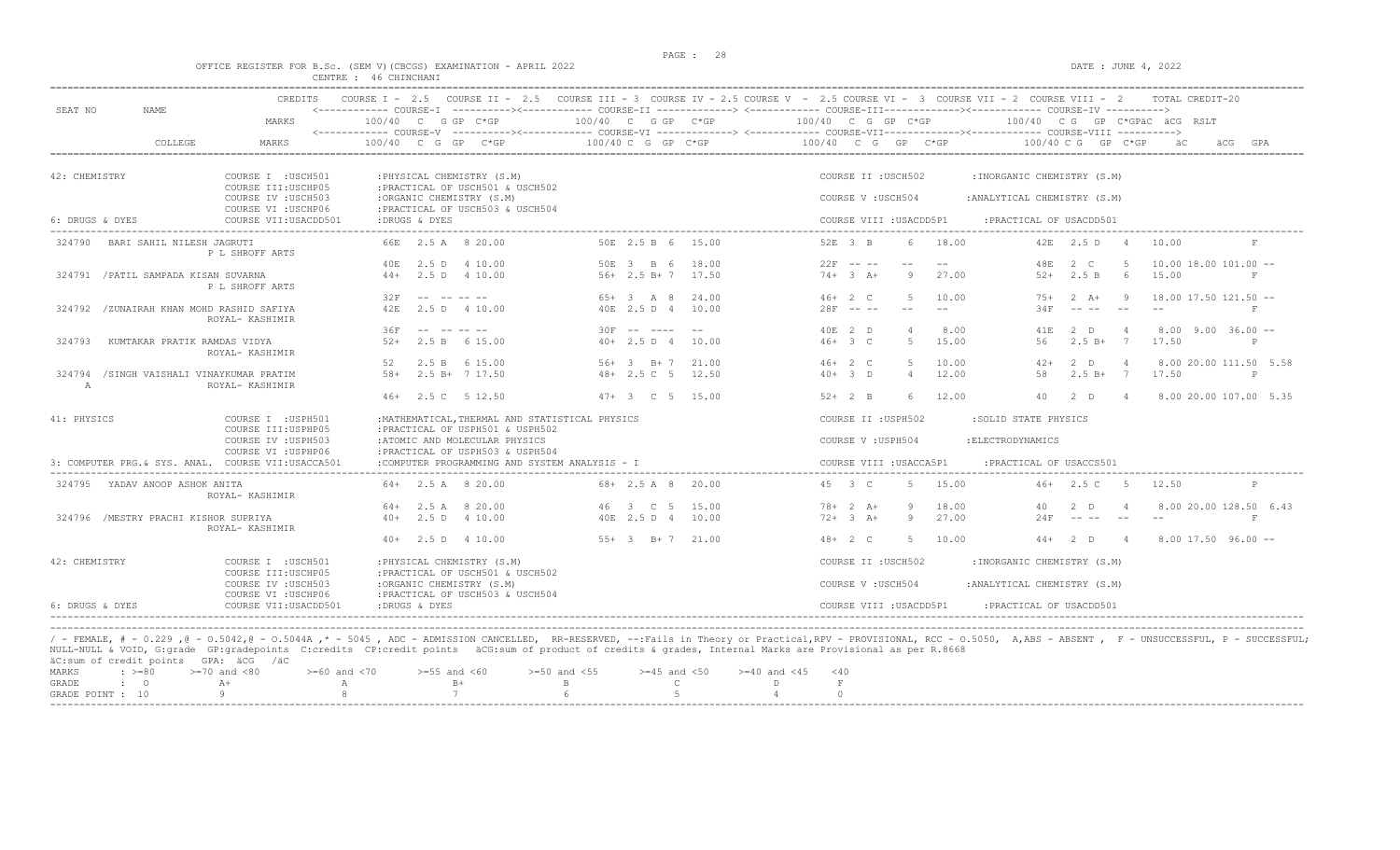$\begin{array}{l} \texttt{DATE : JUNE 4, 2022} \end{array}$ 

|  |  |  |                       | OFFICE REGISTER FOR B.SC. (SEM V)(CBCGS) EXAMINATION - APRIL 2022 |  |  |
|--|--|--|-----------------------|-------------------------------------------------------------------|--|--|
|  |  |  | CENTRE : 46 CHINCHANI |                                                                   |  |  |

| 100/40 C G GP C*GP<br>100/40 CG GP C*GPäC äCG RSLT<br>COLLEGE<br>$100/40$ C G GP C*GP<br>MARKS<br>$100/40$ C G GP C*GP<br>$100/40$ C G GP C*GP<br>$100/40 \, C \, G$ GP $C*GP$<br>GPA<br>COURSE II : USCH502<br>COURSE I : USCH501<br>: PHYSICAL CHEMISTRY (S.M)<br>:INORGANIC CHEMISTRY (S.M)<br>COURSE III: USCHP05<br>: PRACTICAL OF USCH501 & USCH502<br>COURSE IV : USCH503<br>:ORGANIC CHEMISTRY (S.M)<br>COURSE V: USCH504<br>: ANALYTICAL CHEMISTRY (S.M)<br>COURSE VI : USCHP06<br>: PRACTICAL OF USCH503 & USCH504<br>:DRUGS & DYES<br>: PRACTICAL OF USACDD501<br>COURSE VII:USACDD501<br>COURSE VIII : USACDD5P1<br>66E 2.5 A 8 20.00<br>50E 2.5 B 6 15.00<br>52E 3 B<br>18.00<br>42E 2.5 D 4<br>BARI SAHIL NILESH JAGRUTI<br>6<br>10.00<br>324790<br>F<br>P L SHROFF ARTS<br>2.5 D 4 10.00<br>50E 3 B 6<br>$22F$ -- --<br>18.00<br>48E<br>2 C<br>-5<br>$10.00$ $18.00$ $101.00$ $-$<br>40E<br>$- -$<br>2.5 B<br>15.00<br>324791 / PATIL SAMPADA KISAN SUVARNA<br>$44+$ 2.5 D 4 10.00<br>$56+2.5 B+7$ 17.50<br>$74 + 3 + 4$<br>9<br>27.00<br>$52+$<br>- 6<br>P L SHROFF ARTS<br>32F<br>and the second second second second and the second second second second second second second second second second second second second second second second second second second second second second second second second sec<br>$65+3$ A 8<br>24.00<br>$46+2$ C<br>5<br>10.00<br>$2 \overline{A}$<br>$18.00$ $17.50$ $121.50$ $-$<br>$7.5+$<br>$\overline{q}$<br>$28F$ -- --<br>42F<br>40E 2.5 D 4<br>10.00<br>34F<br>324792 /ZUNAIRAH KHAN MOHD RASHID SAFIYA<br>2.5 D 4 10.00<br>$- -$<br>$- -$<br>F<br>ROYAL- KASHIMIR<br>$30F$ -- ----<br>36F<br>40E 2 D<br>8.00<br>$8.00$ $9.00$ $36.00$ $-$<br>$\Delta$<br>41E<br>$2$ D<br>$\overline{4}$<br>$46+3$ C<br>$5^{\circ}$<br>15.00<br>$2.5 B+ 7$<br>17.50<br>2.5 B 6 15.00<br>$40+2.5 D 4$<br>56<br>324793<br>KUMTAKAR PRATIK RAMDAS VIDYA<br>$52+$<br>10.00<br>ROYAL- KASHIMIR<br>10.00<br>52<br>2.5 B 6 15.00<br>$56+3$ B+7<br>21.00<br>$46+2$ C<br>$5 -$<br>$2$ D<br>8.00 20.00 111.50 5.58<br>$42+$<br>$\overline{4}$<br>12.00<br>58<br>$2.5 B+ 7$<br>17.50<br>/SINGH VAISHALI VINAYKUMAR PRATIM<br>$58+$<br>2.5 B+ 7 17.50<br>$48 + 2.5$ C 5<br>12.50<br>$40+3$ D<br>$\overline{4}$<br>324794<br>P<br>ROYAL- KASHIMIR<br>$\mathbb{A}$<br>12.00<br>8.00 20.00 107.00 5.35<br>46+ 2.5 C 5 12.50<br>$47 + 3$ C 5 15.00<br>$52+2$ B<br>-6<br>40<br>2 D<br>$\overline{4}$<br>COURSE I : USPH501<br>:MATHEMATICAL, THERMAL AND STATISTICAL PHYSICS<br>COURSE II : USPH502<br>:SOLID STATE PHYSICS<br>COURSE III: USPHP05<br>:PRACTICAL OF USPH501 & USPH502<br>COURSE IV : USPH503<br>:ATOMIC AND MOLECULAR PHYSICS<br>COURSE V: USPH504<br>: ELECTRODYNAMICS<br>:PRACTICAL OF USPH503 & USPH504<br>COURSE VI : USPHP06<br>3: COMPUTER PRG. & SYS. ANAL. COURSE VII:USACCA501<br>:COMPUTER PROGRAMMING AND SYSTEM ANALYSIS - I<br>: PRACTICAL OF USACCS501<br>COURSE VIII : USACCA5P1<br>$64+$ 2.5 A 8 20.00<br>$68 + 2.5$ A 8 20.00<br>45 3 C<br>5 15.00<br>$46+$ 2.5 C 5<br>324795 YADAV ANOOP ASHOK ANITA<br>12.50<br>ROYAL- KASHIMIR<br>$64+$ 2.5 A 8 20.00<br>46 3 C 5<br>15.00<br>$78 + 2 A +$<br>18.00<br>9<br>40<br>$2$ D<br>40E 2.5 D 4 10.00<br>27.00<br>324796 /MESTRY PRACHI KISHOR SUPRIYA<br>$40+$ 2.5 D 4 10.00<br>$72+3$ A+<br>9<br>24F<br>-------<br>$- -$<br>ROYAL- KASHIMIR<br>$40+$ 2.5 D 4 10.00<br>$55+3$ B+7 21.00<br>$48 + 2 C$<br>5 10.00<br>$44+2$ D<br>$8.00$ 17.50 $96.00$ --<br>$\sim$ 4<br>COURSE I : USCH501<br>COURSE II : USCH502<br>: PHYSICAL CHEMISTRY (S.M)<br>:INORGANIC CHEMISTRY (S.M)<br>COURSE III: USCHP05<br>: PRACTICAL OF USCH501 & USCH502<br>COURSE IV : USCH503<br>:ORGANIC CHEMISTRY (S.M)<br>COURSE V: USCH504<br>: ANALYTICAL CHEMISTRY (S.M)<br>: PRACTICAL OF USCH503 & USCH504<br>COURSE VI : USCHP06<br>COURSE VII:USACDD501<br>:DRUGS & DYES<br>COURSE VIII : USACDD5P1<br>: PRACTICAL OF USACDD501 | SEAT NO<br><b>NAME</b> | CREDITS |                      | COURSE I - 2.5 COURSE II - 2.5 COURSE III - 3 COURSE IV - 2.5 COURSE V - 2.5 COURSE VI - 3 COURSE VII - 2 COURSE VIII - 2 | TOTAL CREDIT-20        |
|-------------------------------------------------------------------------------------------------------------------------------------------------------------------------------------------------------------------------------------------------------------------------------------------------------------------------------------------------------------------------------------------------------------------------------------------------------------------------------------------------------------------------------------------------------------------------------------------------------------------------------------------------------------------------------------------------------------------------------------------------------------------------------------------------------------------------------------------------------------------------------------------------------------------------------------------------------------------------------------------------------------------------------------------------------------------------------------------------------------------------------------------------------------------------------------------------------------------------------------------------------------------------------------------------------------------------------------------------------------------------------------------------------------------------------------------------------------------------------------------------------------------------------------------------------------------------------------------------------------------------------------------------------------------------------------------------------------------------------------------------------------------------------------------------------------------------------------------------------------------------------------------------------------------------------------------------------------------------------------------------------------------------------------------------------------------------------------------------------------------------------------------------------------------------------------------------------------------------------------------------------------------------------------------------------------------------------------------------------------------------------------------------------------------------------------------------------------------------------------------------------------------------------------------------------------------------------------------------------------------------------------------------------------------------------------------------------------------------------------------------------------------------------------------------------------------------------------------------------------------------------------------------------------------------------------------------------------------------------------------------------------------------------------------------------------------------------------------------------------------------------------------------------------------------------------------------------------------------------------------------------------------------------------------------------------------------------------------------------------------------------------------------------------------------------------------------------------------------------------------------------------------------------------------------------------------------------------------------------------------------------------------------------------------------------------------------------------------------------------------------------------------------------------------------------------------------------------------------------------------------------------------------------------------|------------------------|---------|----------------------|---------------------------------------------------------------------------------------------------------------------------|------------------------|
|                                                                                                                                                                                                                                                                                                                                                                                                                                                                                                                                                                                                                                                                                                                                                                                                                                                                                                                                                                                                                                                                                                                                                                                                                                                                                                                                                                                                                                                                                                                                                                                                                                                                                                                                                                                                                                                                                                                                                                                                                                                                                                                                                                                                                                                                                                                                                                                                                                                                                                                                                                                                                                                                                                                                                                                                                                                                                                                                                                                                                                                                                                                                                                                                                                                                                                                                                                                                                                                                                                                                                                                                                                                                                                                                                                                                                                                                                                                   |                        | MARKS   | $100/40$ C G GP C*GP | 100/40 C G GP C*GP                                                                                                        |                        |
|                                                                                                                                                                                                                                                                                                                                                                                                                                                                                                                                                                                                                                                                                                                                                                                                                                                                                                                                                                                                                                                                                                                                                                                                                                                                                                                                                                                                                                                                                                                                                                                                                                                                                                                                                                                                                                                                                                                                                                                                                                                                                                                                                                                                                                                                                                                                                                                                                                                                                                                                                                                                                                                                                                                                                                                                                                                                                                                                                                                                                                                                                                                                                                                                                                                                                                                                                                                                                                                                                                                                                                                                                                                                                                                                                                                                                                                                                                                   |                        |         |                      |                                                                                                                           |                        |
|                                                                                                                                                                                                                                                                                                                                                                                                                                                                                                                                                                                                                                                                                                                                                                                                                                                                                                                                                                                                                                                                                                                                                                                                                                                                                                                                                                                                                                                                                                                                                                                                                                                                                                                                                                                                                                                                                                                                                                                                                                                                                                                                                                                                                                                                                                                                                                                                                                                                                                                                                                                                                                                                                                                                                                                                                                                                                                                                                                                                                                                                                                                                                                                                                                                                                                                                                                                                                                                                                                                                                                                                                                                                                                                                                                                                                                                                                                                   | 42: CHEMISTRY          |         |                      |                                                                                                                           |                        |
|                                                                                                                                                                                                                                                                                                                                                                                                                                                                                                                                                                                                                                                                                                                                                                                                                                                                                                                                                                                                                                                                                                                                                                                                                                                                                                                                                                                                                                                                                                                                                                                                                                                                                                                                                                                                                                                                                                                                                                                                                                                                                                                                                                                                                                                                                                                                                                                                                                                                                                                                                                                                                                                                                                                                                                                                                                                                                                                                                                                                                                                                                                                                                                                                                                                                                                                                                                                                                                                                                                                                                                                                                                                                                                                                                                                                                                                                                                                   |                        |         |                      |                                                                                                                           |                        |
|                                                                                                                                                                                                                                                                                                                                                                                                                                                                                                                                                                                                                                                                                                                                                                                                                                                                                                                                                                                                                                                                                                                                                                                                                                                                                                                                                                                                                                                                                                                                                                                                                                                                                                                                                                                                                                                                                                                                                                                                                                                                                                                                                                                                                                                                                                                                                                                                                                                                                                                                                                                                                                                                                                                                                                                                                                                                                                                                                                                                                                                                                                                                                                                                                                                                                                                                                                                                                                                                                                                                                                                                                                                                                                                                                                                                                                                                                                                   | 6: DRUGS & DYES        |         |                      |                                                                                                                           |                        |
|                                                                                                                                                                                                                                                                                                                                                                                                                                                                                                                                                                                                                                                                                                                                                                                                                                                                                                                                                                                                                                                                                                                                                                                                                                                                                                                                                                                                                                                                                                                                                                                                                                                                                                                                                                                                                                                                                                                                                                                                                                                                                                                                                                                                                                                                                                                                                                                                                                                                                                                                                                                                                                                                                                                                                                                                                                                                                                                                                                                                                                                                                                                                                                                                                                                                                                                                                                                                                                                                                                                                                                                                                                                                                                                                                                                                                                                                                                                   |                        |         |                      |                                                                                                                           |                        |
|                                                                                                                                                                                                                                                                                                                                                                                                                                                                                                                                                                                                                                                                                                                                                                                                                                                                                                                                                                                                                                                                                                                                                                                                                                                                                                                                                                                                                                                                                                                                                                                                                                                                                                                                                                                                                                                                                                                                                                                                                                                                                                                                                                                                                                                                                                                                                                                                                                                                                                                                                                                                                                                                                                                                                                                                                                                                                                                                                                                                                                                                                                                                                                                                                                                                                                                                                                                                                                                                                                                                                                                                                                                                                                                                                                                                                                                                                                                   |                        |         |                      |                                                                                                                           |                        |
|                                                                                                                                                                                                                                                                                                                                                                                                                                                                                                                                                                                                                                                                                                                                                                                                                                                                                                                                                                                                                                                                                                                                                                                                                                                                                                                                                                                                                                                                                                                                                                                                                                                                                                                                                                                                                                                                                                                                                                                                                                                                                                                                                                                                                                                                                                                                                                                                                                                                                                                                                                                                                                                                                                                                                                                                                                                                                                                                                                                                                                                                                                                                                                                                                                                                                                                                                                                                                                                                                                                                                                                                                                                                                                                                                                                                                                                                                                                   |                        |         |                      |                                                                                                                           |                        |
|                                                                                                                                                                                                                                                                                                                                                                                                                                                                                                                                                                                                                                                                                                                                                                                                                                                                                                                                                                                                                                                                                                                                                                                                                                                                                                                                                                                                                                                                                                                                                                                                                                                                                                                                                                                                                                                                                                                                                                                                                                                                                                                                                                                                                                                                                                                                                                                                                                                                                                                                                                                                                                                                                                                                                                                                                                                                                                                                                                                                                                                                                                                                                                                                                                                                                                                                                                                                                                                                                                                                                                                                                                                                                                                                                                                                                                                                                                                   |                        |         |                      |                                                                                                                           |                        |
|                                                                                                                                                                                                                                                                                                                                                                                                                                                                                                                                                                                                                                                                                                                                                                                                                                                                                                                                                                                                                                                                                                                                                                                                                                                                                                                                                                                                                                                                                                                                                                                                                                                                                                                                                                                                                                                                                                                                                                                                                                                                                                                                                                                                                                                                                                                                                                                                                                                                                                                                                                                                                                                                                                                                                                                                                                                                                                                                                                                                                                                                                                                                                                                                                                                                                                                                                                                                                                                                                                                                                                                                                                                                                                                                                                                                                                                                                                                   |                        |         |                      |                                                                                                                           |                        |
|                                                                                                                                                                                                                                                                                                                                                                                                                                                                                                                                                                                                                                                                                                                                                                                                                                                                                                                                                                                                                                                                                                                                                                                                                                                                                                                                                                                                                                                                                                                                                                                                                                                                                                                                                                                                                                                                                                                                                                                                                                                                                                                                                                                                                                                                                                                                                                                                                                                                                                                                                                                                                                                                                                                                                                                                                                                                                                                                                                                                                                                                                                                                                                                                                                                                                                                                                                                                                                                                                                                                                                                                                                                                                                                                                                                                                                                                                                                   |                        |         |                      |                                                                                                                           |                        |
|                                                                                                                                                                                                                                                                                                                                                                                                                                                                                                                                                                                                                                                                                                                                                                                                                                                                                                                                                                                                                                                                                                                                                                                                                                                                                                                                                                                                                                                                                                                                                                                                                                                                                                                                                                                                                                                                                                                                                                                                                                                                                                                                                                                                                                                                                                                                                                                                                                                                                                                                                                                                                                                                                                                                                                                                                                                                                                                                                                                                                                                                                                                                                                                                                                                                                                                                                                                                                                                                                                                                                                                                                                                                                                                                                                                                                                                                                                                   |                        |         |                      |                                                                                                                           |                        |
|                                                                                                                                                                                                                                                                                                                                                                                                                                                                                                                                                                                                                                                                                                                                                                                                                                                                                                                                                                                                                                                                                                                                                                                                                                                                                                                                                                                                                                                                                                                                                                                                                                                                                                                                                                                                                                                                                                                                                                                                                                                                                                                                                                                                                                                                                                                                                                                                                                                                                                                                                                                                                                                                                                                                                                                                                                                                                                                                                                                                                                                                                                                                                                                                                                                                                                                                                                                                                                                                                                                                                                                                                                                                                                                                                                                                                                                                                                                   |                        |         |                      |                                                                                                                           |                        |
|                                                                                                                                                                                                                                                                                                                                                                                                                                                                                                                                                                                                                                                                                                                                                                                                                                                                                                                                                                                                                                                                                                                                                                                                                                                                                                                                                                                                                                                                                                                                                                                                                                                                                                                                                                                                                                                                                                                                                                                                                                                                                                                                                                                                                                                                                                                                                                                                                                                                                                                                                                                                                                                                                                                                                                                                                                                                                                                                                                                                                                                                                                                                                                                                                                                                                                                                                                                                                                                                                                                                                                                                                                                                                                                                                                                                                                                                                                                   |                        |         |                      |                                                                                                                           |                        |
|                                                                                                                                                                                                                                                                                                                                                                                                                                                                                                                                                                                                                                                                                                                                                                                                                                                                                                                                                                                                                                                                                                                                                                                                                                                                                                                                                                                                                                                                                                                                                                                                                                                                                                                                                                                                                                                                                                                                                                                                                                                                                                                                                                                                                                                                                                                                                                                                                                                                                                                                                                                                                                                                                                                                                                                                                                                                                                                                                                                                                                                                                                                                                                                                                                                                                                                                                                                                                                                                                                                                                                                                                                                                                                                                                                                                                                                                                                                   |                        |         |                      |                                                                                                                           |                        |
|                                                                                                                                                                                                                                                                                                                                                                                                                                                                                                                                                                                                                                                                                                                                                                                                                                                                                                                                                                                                                                                                                                                                                                                                                                                                                                                                                                                                                                                                                                                                                                                                                                                                                                                                                                                                                                                                                                                                                                                                                                                                                                                                                                                                                                                                                                                                                                                                                                                                                                                                                                                                                                                                                                                                                                                                                                                                                                                                                                                                                                                                                                                                                                                                                                                                                                                                                                                                                                                                                                                                                                                                                                                                                                                                                                                                                                                                                                                   | 41: PHYSICS            |         |                      |                                                                                                                           |                        |
|                                                                                                                                                                                                                                                                                                                                                                                                                                                                                                                                                                                                                                                                                                                                                                                                                                                                                                                                                                                                                                                                                                                                                                                                                                                                                                                                                                                                                                                                                                                                                                                                                                                                                                                                                                                                                                                                                                                                                                                                                                                                                                                                                                                                                                                                                                                                                                                                                                                                                                                                                                                                                                                                                                                                                                                                                                                                                                                                                                                                                                                                                                                                                                                                                                                                                                                                                                                                                                                                                                                                                                                                                                                                                                                                                                                                                                                                                                                   |                        |         |                      |                                                                                                                           |                        |
|                                                                                                                                                                                                                                                                                                                                                                                                                                                                                                                                                                                                                                                                                                                                                                                                                                                                                                                                                                                                                                                                                                                                                                                                                                                                                                                                                                                                                                                                                                                                                                                                                                                                                                                                                                                                                                                                                                                                                                                                                                                                                                                                                                                                                                                                                                                                                                                                                                                                                                                                                                                                                                                                                                                                                                                                                                                                                                                                                                                                                                                                                                                                                                                                                                                                                                                                                                                                                                                                                                                                                                                                                                                                                                                                                                                                                                                                                                                   |                        |         |                      |                                                                                                                           |                        |
|                                                                                                                                                                                                                                                                                                                                                                                                                                                                                                                                                                                                                                                                                                                                                                                                                                                                                                                                                                                                                                                                                                                                                                                                                                                                                                                                                                                                                                                                                                                                                                                                                                                                                                                                                                                                                                                                                                                                                                                                                                                                                                                                                                                                                                                                                                                                                                                                                                                                                                                                                                                                                                                                                                                                                                                                                                                                                                                                                                                                                                                                                                                                                                                                                                                                                                                                                                                                                                                                                                                                                                                                                                                                                                                                                                                                                                                                                                                   |                        |         |                      |                                                                                                                           |                        |
|                                                                                                                                                                                                                                                                                                                                                                                                                                                                                                                                                                                                                                                                                                                                                                                                                                                                                                                                                                                                                                                                                                                                                                                                                                                                                                                                                                                                                                                                                                                                                                                                                                                                                                                                                                                                                                                                                                                                                                                                                                                                                                                                                                                                                                                                                                                                                                                                                                                                                                                                                                                                                                                                                                                                                                                                                                                                                                                                                                                                                                                                                                                                                                                                                                                                                                                                                                                                                                                                                                                                                                                                                                                                                                                                                                                                                                                                                                                   |                        |         |                      |                                                                                                                           | 8.00 20.00 128.50 6.43 |
|                                                                                                                                                                                                                                                                                                                                                                                                                                                                                                                                                                                                                                                                                                                                                                                                                                                                                                                                                                                                                                                                                                                                                                                                                                                                                                                                                                                                                                                                                                                                                                                                                                                                                                                                                                                                                                                                                                                                                                                                                                                                                                                                                                                                                                                                                                                                                                                                                                                                                                                                                                                                                                                                                                                                                                                                                                                                                                                                                                                                                                                                                                                                                                                                                                                                                                                                                                                                                                                                                                                                                                                                                                                                                                                                                                                                                                                                                                                   |                        |         |                      |                                                                                                                           |                        |
|                                                                                                                                                                                                                                                                                                                                                                                                                                                                                                                                                                                                                                                                                                                                                                                                                                                                                                                                                                                                                                                                                                                                                                                                                                                                                                                                                                                                                                                                                                                                                                                                                                                                                                                                                                                                                                                                                                                                                                                                                                                                                                                                                                                                                                                                                                                                                                                                                                                                                                                                                                                                                                                                                                                                                                                                                                                                                                                                                                                                                                                                                                                                                                                                                                                                                                                                                                                                                                                                                                                                                                                                                                                                                                                                                                                                                                                                                                                   |                        |         |                      |                                                                                                                           |                        |
|                                                                                                                                                                                                                                                                                                                                                                                                                                                                                                                                                                                                                                                                                                                                                                                                                                                                                                                                                                                                                                                                                                                                                                                                                                                                                                                                                                                                                                                                                                                                                                                                                                                                                                                                                                                                                                                                                                                                                                                                                                                                                                                                                                                                                                                                                                                                                                                                                                                                                                                                                                                                                                                                                                                                                                                                                                                                                                                                                                                                                                                                                                                                                                                                                                                                                                                                                                                                                                                                                                                                                                                                                                                                                                                                                                                                                                                                                                                   | 42: CHEMISTRY          |         |                      |                                                                                                                           |                        |
|                                                                                                                                                                                                                                                                                                                                                                                                                                                                                                                                                                                                                                                                                                                                                                                                                                                                                                                                                                                                                                                                                                                                                                                                                                                                                                                                                                                                                                                                                                                                                                                                                                                                                                                                                                                                                                                                                                                                                                                                                                                                                                                                                                                                                                                                                                                                                                                                                                                                                                                                                                                                                                                                                                                                                                                                                                                                                                                                                                                                                                                                                                                                                                                                                                                                                                                                                                                                                                                                                                                                                                                                                                                                                                                                                                                                                                                                                                                   |                        |         |                      |                                                                                                                           |                        |
|                                                                                                                                                                                                                                                                                                                                                                                                                                                                                                                                                                                                                                                                                                                                                                                                                                                                                                                                                                                                                                                                                                                                                                                                                                                                                                                                                                                                                                                                                                                                                                                                                                                                                                                                                                                                                                                                                                                                                                                                                                                                                                                                                                                                                                                                                                                                                                                                                                                                                                                                                                                                                                                                                                                                                                                                                                                                                                                                                                                                                                                                                                                                                                                                                                                                                                                                                                                                                                                                                                                                                                                                                                                                                                                                                                                                                                                                                                                   | 6: DRUGS & DYES        |         |                      |                                                                                                                           |                        |

----------------------------------------------------------------------------------------------------------------------------------------------------------------------------------------------------------------------- / - FEMALE, # - 0.229 ,@ - O.5042,@ - O.5044A ,\* - 5045 , ADC - ADMISSION CANCELLED, RR-RESERVED, --:Fails in Theory or Practical,RPV - PROVISIONAL, RCC - O.5050, A,ABS - ABSENT , F - UNSUCCESSFUL, P - SUCCESSFUL; NULL-NULL & VOID, G:grade GP:gradepoints C:credits CP:credit points äCG:sum of product of credits & grades, Internal Marks are Provisional as per R.8668 äC:sum of credit points GPA: äCG /äC MARKS : >=80 >=70 and <80 >=60 and <70 >=55 and <60 >=50 and <55 >=45 and <50 >=40 and <45 <40

|  | MARNO : 2-00 2-70 diiu Nou |                |  |  |  |
|--|----------------------------|----------------|--|--|--|
|  | GRADE : O A+               | A B+ B+ B+ C D |  |  |  |
|  | GRADE POINT : 10 9         | 8 7 6 5 4      |  |  |  |
|  |                            |                |  |  |  |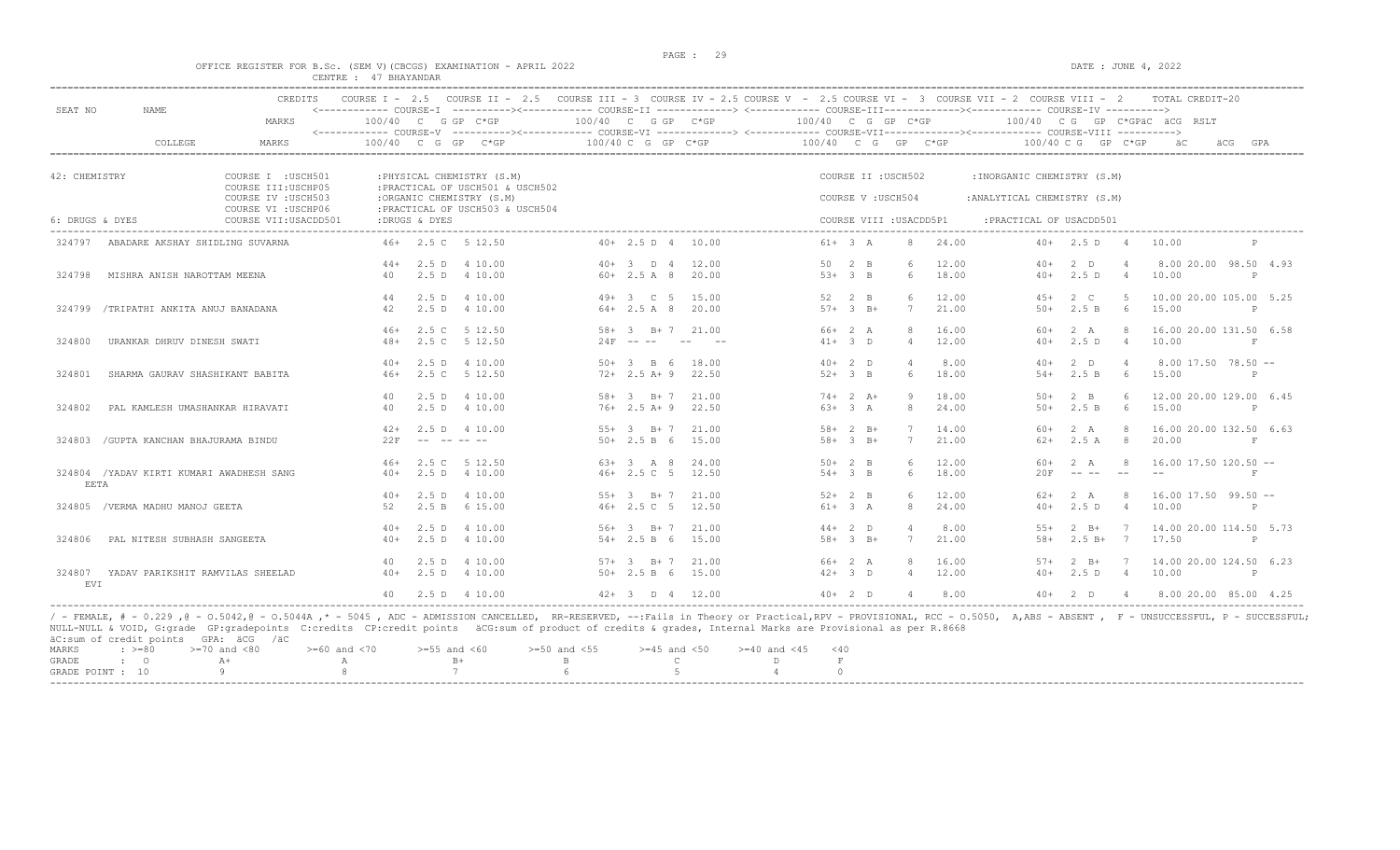#### OFFICE REGISTER FOR B.Sc. (SEM V)(CBCGS) EXAMINATION - APRIL 2022 CENTRE : 47 BHAYANDAR

| SEAT NO         | NAME                                      | CREDITS<br>MARKS                             |                |               | COURSE I - 2.5 COURSE II - 2.5 COURSE III - 3 COURSE IV - 2.5 COURSE V - 2.5 COURSE VI - 3 COURSE VII - 2 COURSE VIII - 2<br>$100/40$ C G GP C*GP | $100/40$ C G GP C*GP |                                   |                            | $100/40$ C G GP C*GP   |                         |                | 100/40 CG GP C*GPäC äCG RSLT |                    |                | TOTAL CREDIT-20                  |            |
|-----------------|-------------------------------------------|----------------------------------------------|----------------|---------------|---------------------------------------------------------------------------------------------------------------------------------------------------|----------------------|-----------------------------------|----------------------------|------------------------|-------------------------|----------------|------------------------------|--------------------|----------------|----------------------------------|------------|
|                 | COLLEGE                                   | MARKS                                        |                |               | 100/40 C G GP C*GP                                                                                                                                |                      | 100/40 C G GP C*GP                |                            | 100/40 C G GP C*GP     |                         |                |                              | 100/40 C G GP C*GP |                | äС<br>äCG                        | GPA        |
| 42: CHEMISTRY   |                                           | COURSE I : USCH501<br>COURSE III: USCHP05    |                |               | : PHYSICAL CHEMISTRY (S.M)<br>: PRACTICAL OF USCH501 & USCH502                                                                                    |                      |                                   |                            |                        | COURSE II : USCH502     |                | : INORGANIC CHEMISTRY (S.M)  |                    |                |                                  |            |
|                 |                                           | COURSE IV : USCH503                          |                |               | :ORGANIC CHEMISTRY (S.M)                                                                                                                          |                      |                                   |                            |                        | COURSE V: USCH504       |                | : ANALYTICAL CHEMISTRY (S.M) |                    |                |                                  |            |
| 6: DRUGS & DYES |                                           | COURSE VI : USCHP06<br>COURSE VII: USACDD501 |                | :DRUGS & DYES | : PRACTICAL OF USCH503 & USCH504                                                                                                                  |                      |                                   |                            |                        | COURSE VIII : USACDD5P1 |                | : PRACTICAL OF USACDD501     |                    |                |                                  |            |
| 324797          | ABADARE AKSHAY SHIDLING SUVARNA           |                                              |                |               | 46+ 2.5 C 5 12.50                                                                                                                                 |                      | $40+$ 2.5 D 4 10.00               |                            | $61+ 3 A$              | 8                       | 24.00          |                              | $40+$ 2.5 D 4      |                | 10.00                            | P          |
|                 |                                           |                                              | $44+$          |               | 2.5 D 4 10.00                                                                                                                                     |                      | $40+3$ D 4                        | 12.00                      | $50 \t 2 \t B$         | 6                       | 12.00          | $40+$                        | 2 <sub>0</sub>     | $\overline{4}$ | 8.00 20.00 98.50 4.93            |            |
| 324798          | MISHRA ANISH NAROTTAM MEENA               |                                              | 40             |               | 2.5 D 4 10.00                                                                                                                                     |                      | $60+2.5A8$                        | 20.00                      | $53+3$ B               | 6                       | 18.00          | $40+$                        | 2.5D               | $\overline{4}$ | 10.00                            | P          |
|                 | 324799 /TRIPATHI ANKITA ANUJ BANADANA     |                                              | 44<br>42       |               | 2.5 D 4 10.00<br>2.5 D 4 10.00                                                                                                                    |                      | 49+ 3 C 5 15.00<br>$64 + 2.5 A 8$ | 20.00                      | 52 2 B<br>$57 + 3 B +$ | $\kappa$<br>7           | 12.00<br>21.00 | $4.5+$<br>$50+$              | 2 C<br>2.5 B       | $5 -$<br>- 6   | 10.00 20.00 105.00 5.25<br>15.00 | P          |
|                 |                                           |                                              |                |               |                                                                                                                                                   |                      |                                   |                            |                        |                         |                |                              |                    |                |                                  |            |
| 324800          | URANKAR DHRUV DINESH SWATI                |                                              | $46+$<br>$48+$ |               | 2.5 C 5 12.50<br>2.5 C 5 12.50                                                                                                                    |                      | $58 + 3$ B + 7                    | 21.00<br>$24F$ -- -- -- -- | 66+ 2 A<br>$41+ 3 D$   | 8<br>$\overline{4}$     | 16.00<br>12.00 | 60+<br>$40+$                 | 2 A<br>2.5D        | -8<br>4        | 16.00 20.00 131.50 6.58<br>10.00 | $_{\rm F}$ |
|                 |                                           |                                              |                |               |                                                                                                                                                   |                      |                                   |                            |                        |                         |                |                              |                    |                |                                  |            |
|                 |                                           |                                              |                |               | $40+$ 2.5 D 4 10.00                                                                                                                               |                      | $50 + 3$ B 6                      | 18.00                      | $40+2$ D               |                         | 8.00           | $40+$                        | $2$ D              | $\overline{4}$ | $8.00$ 17.50 78.50 $-$           |            |
| 324801          | SHARMA GAURAV SHASHIKANT BABITA           |                                              | $46+$          |               | 2.5 C 5 12.50                                                                                                                                     |                      | $72+2.5 A+9$                      | 22.50                      | $52+3$ B               | 6                       | 18.00          | $54+$                        | 2.5 B              | - 6            | 15.00                            |            |
|                 |                                           |                                              | 40             |               | 2.5 D 4 10.00                                                                                                                                     |                      | $58 + 3$ B + 7                    | 21.00                      | $74+2 A+$              | 9                       | 18.00          | 50+                          | $2 \quad B$        | 6              | 12.00 20.00 129.00 6.45          |            |
| 324802          | PAL KAMLESH UMASHANKAR HIRAVATI           |                                              | 40             |               | 2.5 D 4 10.00                                                                                                                                     |                      | $76+2.5 A+9$                      | 22.50                      | $63+3 A$               | 8                       | 24.00          | $50+$                        | 2.5 B              | 6              | 15.00                            | P          |
|                 |                                           |                                              | $42+$          |               | 2.5 D 4 10.00                                                                                                                                     |                      | $55+3$ B+7                        | 21.00                      | $58 + 2 B +$           | 7                       | 14.00          | 60+                          | 2 A                | 8              | 16.00 20.00 132.50 6.63          |            |
|                 | 324803 / GUPTA KANCHAN BHAJURAMA BINDU    |                                              | 22F            |               | and the second second                                                                                                                             |                      | $50+2.5 B 6$                      | 15.00                      | $58 + 3 B +$           | 7                       | 21.00          | $62+$                        | 2.5A               | 8              | 20.00                            | $_{\rm F}$ |
|                 |                                           |                                              | $46+$          |               | 2.5 C 5 12.50                                                                                                                                     |                      | $63+3$ A 8                        | 24.00                      | $50+2$ B               | $6^{\circ}$             | 12.00          | $60+$                        | 2A                 | 8              | $16.00$ 17.50 120.50 --          |            |
| EETA            | 324804 / YADAV KIRTI KUMARI AWADHESH SANG |                                              | $40+$          |               | 2.5 D 4 10.00                                                                                                                                     |                      | 46+ 2.5 C 5 12.50                 |                            | $54 + 3 B$             | 6                       | 18.00          | 20F                          |                    | $- -$          |                                  | F          |
|                 |                                           |                                              | $40+$          |               | 2.5 D 4 10.00                                                                                                                                     |                      | $55+3$ B+7                        | 21.00                      | $52+2$ B               | 6                       | 12.00          | 62+                          | 2 A                | 8              | $16.00$ 17.50 99.50 $-$          |            |
|                 | 324805 / VERMA MADHU MANOJ GEETA          |                                              | 52             |               | 2.5 B 6 15.00                                                                                                                                     |                      | 46+ 2.5 C 5                       | 12.50                      | $61+ 3 A$              | 8                       | 24.00          | $40+$                        | 2.5D               | $\overline{4}$ | 10.00                            |            |
|                 |                                           |                                              | $40+$          |               | 2.5 D 4 10.00                                                                                                                                     |                      | 56+ 3 B+ 7                        | 21.00                      | $44+2$ D               | $\overline{4}$          | 8.00           | $55+$                        | $2 \quad B+$       | 7              | 14.00 20.00 114.50 5.73          |            |
| 324806          | PAL NITESH SUBHASH SANGEETA               |                                              | $40+$          |               | 2.5 D 4 10.00                                                                                                                                     |                      | $54 + 2.5 B 6$                    | 15.00                      | $58 + 3$ B+            | 7                       | 21.00          | $58+$                        | $2.5 B+ 7$         |                | 17.50                            | P          |
|                 |                                           |                                              | 40             |               | 2.5 D 4 10.00                                                                                                                                     |                      | $57 + 3$ B + 7                    | 21.00                      | 66+ 2 A                | 8                       | 16.00          | $.57+$                       | $2 \quad B+$       | $\overline{7}$ | 14.00 20.00 124.50 6.23          |            |
|                 | 324807 YADAV PARIKSHIT RAMVILAS SHEELAD   |                                              |                |               | $40+$ 2.5 D 4 10.00                                                                                                                               |                      | $50+2.5 B 6 15.00$                |                            | $42+3$ D               | $\overline{4}$          | 12.00          | $40+$                        | 2.5 D 4            |                | 10.00                            | P          |
| <b>EVT</b>      |                                           |                                              | 40             |               | 2.5 D 4 10.00                                                                                                                                     |                      | $42+3$ D $4$ 12.00                |                            | $40+2$ D               | $\overline{4}$          | 8.00           |                              | $40+2 D 4$         |                | 8.00 20.00 85.00 4.25            |            |

NULL-NULL & VOID, G:grade GP:gradepoints C:credits CP:credit points äCG:sum of product of credits & grades, Internal Marks are Provisional as per R.8668<br>äC:sum of credit points GPA: äCG /äC MARKS :  $>= 80$   $>= 70$  and  $< 80$   $>= 60$  and  $< 70$   $>= 55$  and  $< 60$   $>= 50$  and  $< 55$   $>= 45$  and  $< 50$   $>= 40$  and  $< 45$   $< 40$ 

| GRADE            |  |  |  |  |
|------------------|--|--|--|--|
| GRADE POINT : 10 |  |  |  |  |
|                  |  |  |  |  |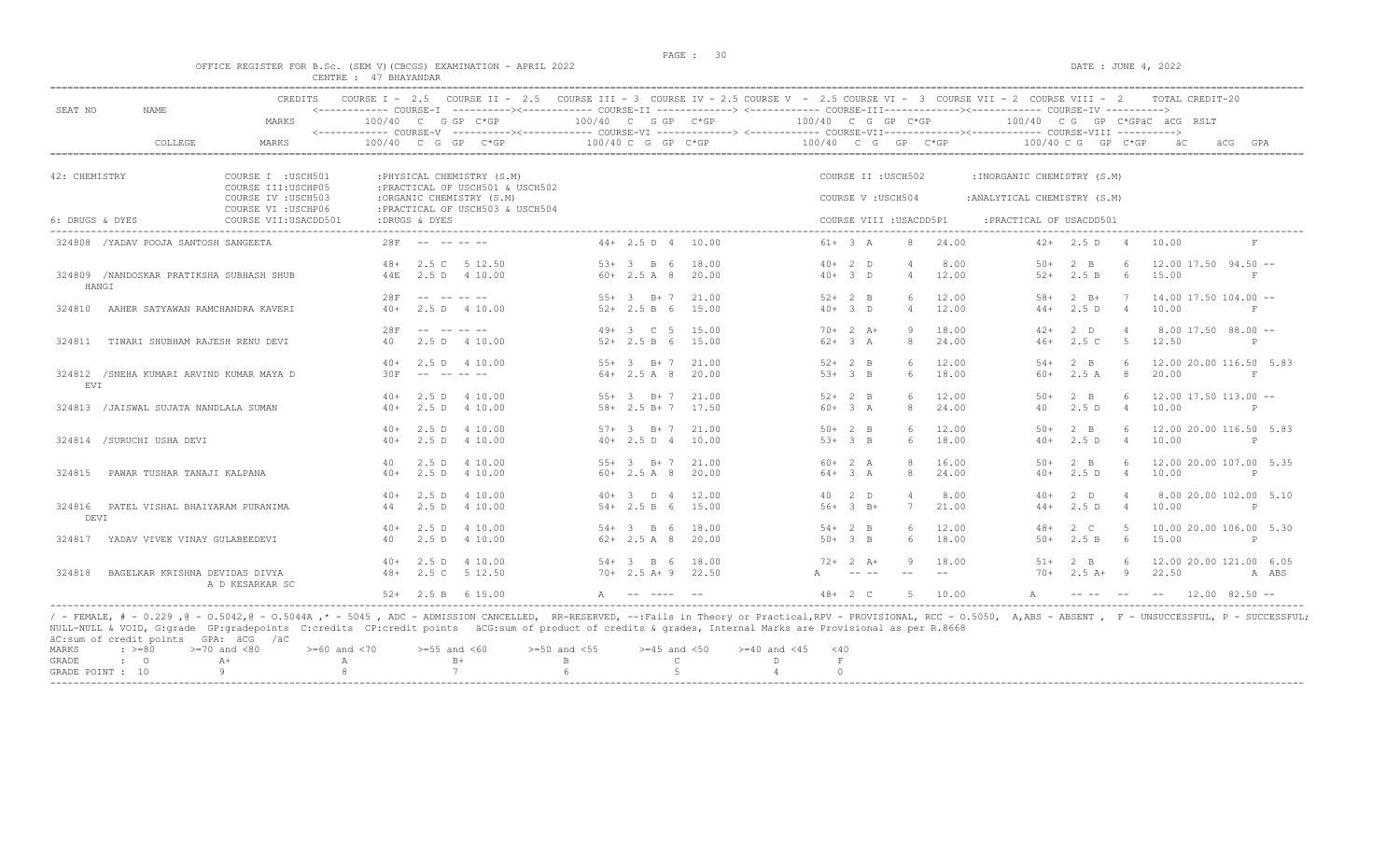#### OFFICE REGISTER FOR B.Sc. (SEM V)(CBCGS) EXAMINATION - APRIL 2022 DATE : JUNE 4, 2022 CENTRE : 47 BHAYANDAR

| SEAT NO         | <b>NAME</b>                              | CREDITS                                      |        |               |                                                              |                      |                      |       | COURSE I - 2.5 COURSE II - 2.5 COURSE III - 3 COURSE IV - 2.5 COURSE V - 2.5 COURSE VI - 3 COURSE VII - 2 COURSE VIII - 2<br><------------ COURSE-I ----------><----------- COURSE-II -------------> <------------ COURSE-III-----------><---------><---------- COURSE-IV ---------->> |            |            |                         |       |                              |                                                                                                                                                                                                                                                                                                                                                                                              |                | TOTAL CREDIT-20                 |                     |       |
|-----------------|------------------------------------------|----------------------------------------------|--------|---------------|--------------------------------------------------------------|----------------------|----------------------|-------|----------------------------------------------------------------------------------------------------------------------------------------------------------------------------------------------------------------------------------------------------------------------------------------|------------|------------|-------------------------|-------|------------------------------|----------------------------------------------------------------------------------------------------------------------------------------------------------------------------------------------------------------------------------------------------------------------------------------------------------------------------------------------------------------------------------------------|----------------|---------------------------------|---------------------|-------|
|                 |                                          | MARKS                                        |        |               | $100/40$ C G GP C*GP                                         | $100/40$ C G GP C*GP |                      |       | 100/40 C G GP C*GP                                                                                                                                                                                                                                                                     |            |            |                         |       |                              |                                                                                                                                                                                                                                                                                                                                                                                              |                | $100/40$ C G GP C*GPAC ACG RSLT |                     |       |
|                 | COLLEGE                                  | MARKS                                        |        |               | 100/40 C G GP C*GP                                           |                      | $100/40$ C G GP C*GP |       | <------------ COURSE-V -----------><----------- COURSE-VI --------------> <------------ COURSE-VIII-------------- COURSE-VIII ----------><br>100/40 C G GP C*GP                                                                                                                        |            |            |                         |       |                              | $100/40$ C G GP C*GP                                                                                                                                                                                                                                                                                                                                                                         |                | äС                              | äCG<br>GPA          |       |
| 42: CHEMISTRY   |                                          | COURSE I : USCH501                           |        |               | : PHYSICAL CHEMISTRY (S.M)                                   |                      |                      |       |                                                                                                                                                                                                                                                                                        |            |            | COURSE II : USCH502     |       | : INORGANIC CHEMISTRY (S.M)  |                                                                                                                                                                                                                                                                                                                                                                                              |                |                                 |                     |       |
|                 |                                          | COURSE III: USCHP05<br>COURSE IV : USCH503   |        |               | : PRACTICAL OF USCH501 & USCH502<br>:ORGANIC CHEMISTRY (S.M) |                      |                      |       |                                                                                                                                                                                                                                                                                        |            |            | COURSE V: USCH504       |       | : ANALYTICAL CHEMISTRY (S.M) |                                                                                                                                                                                                                                                                                                                                                                                              |                |                                 |                     |       |
| 6: DRUGS & DYES |                                          | COURSE VI : USCHP06<br>COURSE VII: USACDD501 |        | :DRUGS & DYES | : PRACTICAL OF USCH503 & USCH504                             |                      |                      |       |                                                                                                                                                                                                                                                                                        |            |            | COURSE VIII : USACDD5P1 |       | : PRACTICAL OF USACDD501     |                                                                                                                                                                                                                                                                                                                                                                                              |                |                                 |                     |       |
|                 | 324808 / YADAV POOJA SANTOSH SANGEETA    |                                              | 28F    |               |                                                              |                      | $44+2.5 D 4$         | 10.00 |                                                                                                                                                                                                                                                                                        | $61+ 3 A$  |            | -8                      | 24.00 | $42+$                        | 2.5 D                                                                                                                                                                                                                                                                                                                                                                                        |                | 10.00                           | F                   |       |
|                 |                                          |                                              | $48+$  |               | 2.5 C 5 12.50                                                |                      | $53+3$ B 6           | 18.00 |                                                                                                                                                                                                                                                                                        | $40+2$ D   |            |                         | 8.00  | $50+$                        | $2 - B$                                                                                                                                                                                                                                                                                                                                                                                      | 6              | $12.00$ 17.50 94.50 $-$         |                     |       |
| HANGI           | 324809 /NANDOSKAR PRATIKSHA SUBHASH SHUB |                                              | 44E    |               | 2.5 D 4 10.00                                                |                      | $60+2.5 A 8$         | 20.00 |                                                                                                                                                                                                                                                                                        | $40+3$ D   |            | $\overline{4}$          | 12.00 | $52+$                        | 2.5 B                                                                                                                                                                                                                                                                                                                                                                                        | 6              | 15.00                           | $_{\rm F}$          |       |
|                 |                                          |                                              | 28F    |               |                                                              |                      | $55+3$ R+ 7          | 21.00 |                                                                                                                                                                                                                                                                                        | $52 + 2$ B |            | 6                       | 12.00 | $.58+$                       | $2$ R+                                                                                                                                                                                                                                                                                                                                                                                       | $\overline{7}$ | $14.00$ 17.50 104.00 --         |                     |       |
| 324810          | AAHER SATYAWAN RAMCHANDRA KAVERI         |                                              | $40+$  |               | 2.5 D 4 10.00                                                |                      | $52+2.5 B 6$         | 15.00 |                                                                                                                                                                                                                                                                                        | $40+3$ D   |            | $\overline{4}$          | 12.00 | $44+$                        | 2.5D                                                                                                                                                                                                                                                                                                                                                                                         | $\overline{4}$ | 10.00                           | F                   |       |
|                 |                                          |                                              | 28F    |               |                                                              |                      | $49+3$ C 5           | 15.00 |                                                                                                                                                                                                                                                                                        |            | $70+2 A+$  | <sup>9</sup>            | 18.00 | $42+$                        | $2$ D                                                                                                                                                                                                                                                                                                                                                                                        | $\overline{4}$ | $8.00$ 17.50 $88.00$ --         |                     |       |
| 324811          | TIWARI SHUBHAM RAJESH RENU DEVI          |                                              | 40     |               | 2.5 D 4 10.00                                                |                      | $52+2.5 B 6$         | 15.00 |                                                                                                                                                                                                                                                                                        | $62+3 A$   |            | 8                       | 24.00 | $46+$                        | 2.5C                                                                                                                                                                                                                                                                                                                                                                                         | $-5$           | 12.50                           | P                   |       |
|                 |                                          |                                              | $40+$  |               | 2.5 D 4 10.00                                                |                      | $55+3$ B+7           | 21.00 |                                                                                                                                                                                                                                                                                        | $52+2$ B   |            | 6                       | 12.00 | $54+$                        | $2 \quad B$                                                                                                                                                                                                                                                                                                                                                                                  | -6             | 12.00 20.00 116.50 5.83         |                     |       |
| EVI             | 324812 /SNEHA KUMARI ARVIND KUMAR MAYA D |                                              | 30F    |               |                                                              |                      | $64 + 2.5$ A 8       | 20.00 |                                                                                                                                                                                                                                                                                        | $53+3$ B   |            | 6                       | 18.00 | 60+                          | 2.5A                                                                                                                                                                                                                                                                                                                                                                                         | 8              | 20.00                           | $_{\rm F}$          |       |
|                 |                                          |                                              | $40+$  |               | 2.5 D 4 10.00                                                |                      | $55+3$ R+ 7 21.00    |       |                                                                                                                                                                                                                                                                                        | $52+2$ B   |            | $6^{\circ}$             | 12.00 | $50+$                        | $2 \overline{B}$                                                                                                                                                                                                                                                                                                                                                                             | $6^{\circ}$    | $12.00$ 17.50 113.00 --         |                     |       |
|                 | 324813 / JAISWAL SUJATA NANDLALA SUMAN   |                                              | $40+$  |               | 2.5 D 4 10.00                                                |                      | $58 + 2.5 B + 7$     | 17.50 |                                                                                                                                                                                                                                                                                        | $60+3 A$   |            | 8                       | 24.00 | 40                           | 2.5D                                                                                                                                                                                                                                                                                                                                                                                         | $\overline{4}$ | 10.00                           | $\mathsf{P}$        |       |
|                 |                                          |                                              | $40+$  | 2.5 D         | 4 10 00                                                      |                      | $57 + 3$ B + 7       | 21.00 |                                                                                                                                                                                                                                                                                        | $50+2$ B   |            | 6                       | 12.00 | $50+$                        | $2 \overline{B}$                                                                                                                                                                                                                                                                                                                                                                             | -6             | 12.00 20.00 116.50 5.83         |                     |       |
|                 | 324814 /SURUCHI USHA DEVI                |                                              | $40+$  |               | 2.5 D 4 10.00                                                |                      | $40+2.5 D 4$         | 10.00 |                                                                                                                                                                                                                                                                                        | $53+3$ B   |            | 6                       | 18.00 | $40+$                        | 2.5D                                                                                                                                                                                                                                                                                                                                                                                         | $\overline{4}$ | 10.00                           | P                   |       |
|                 |                                          |                                              | 40     |               | 2.5 D 4 10.00                                                |                      | $55+3$ B+7           | 21.00 |                                                                                                                                                                                                                                                                                        | $60+2 A$   |            | $\mathcal{R}$           | 16.00 | $50+$                        | $2 - B$                                                                                                                                                                                                                                                                                                                                                                                      | $6^{\circ}$    | 12.00 20.00 107.00 5.35         |                     |       |
| 324815          | PAWAR TUSHAR TANAJI KALPANA              |                                              | $40+$  | 2.5 D         | 4 10.00                                                      |                      | $60+2.5A8$           | 20.00 |                                                                                                                                                                                                                                                                                        | $64+3 A$   |            | -8                      | 24.00 | $40+$                        | 2.5D                                                                                                                                                                                                                                                                                                                                                                                         | $\overline{4}$ | 10.00                           | P                   |       |
|                 |                                          |                                              | $40+$  |               | 2.5 D 4 10.00                                                |                      | $40+3$ D 4           | 12.00 |                                                                                                                                                                                                                                                                                        |            | 40 2 D     | $\overline{4}$          | 8.00  | $40+$                        | 2 D                                                                                                                                                                                                                                                                                                                                                                                          | $\overline{4}$ | 8.00 20.00 102.00 5.10          |                     |       |
| DEVI            | 324816 PATEL VISHAL BHAIYARAM PURANIMA   |                                              | 44     |               | 2.5 D 4 10.00                                                |                      | $54 + 2.5 B 6$       | 15.00 |                                                                                                                                                                                                                                                                                        |            | $56+3$ B+  | $7\phantom{.0}$         | 21.00 | $44+$                        | 2.5D                                                                                                                                                                                                                                                                                                                                                                                         | $\overline{4}$ | 10.00                           | P                   |       |
|                 |                                          |                                              | $40+$  | 2.5 D         | 4 10.00                                                      |                      | $54 + 3$ B 6         | 18.00 |                                                                                                                                                                                                                                                                                        | $54+2$ B   |            | 6                       | 12.00 | $48+$                        | $2\degree$ C                                                                                                                                                                                                                                                                                                                                                                                 |                | 10.00 20.00 106.00 5.30         |                     |       |
| 324817          | YADAV VIVEK VINAY GULABEEDEVI            |                                              | 40     | $2.5$ D       | 4 10.00                                                      |                      | $62+2.5A8$           | 20.00 |                                                                                                                                                                                                                                                                                        | $50+3$ B   |            | 6                       | 18.00 | $50+$                        | 2.5 B                                                                                                                                                                                                                                                                                                                                                                                        | - 6            | 15.00                           | $\mathsf{P}$        |       |
|                 |                                          |                                              | $40+$  |               | 2.5 D 4 10.00                                                |                      | $54 + 3$ B 6         | 18.00 |                                                                                                                                                                                                                                                                                        |            | $72+2+1$   | - 9                     | 18.00 | $51+$                        | $2 \quad B$                                                                                                                                                                                                                                                                                                                                                                                  | -6             | 12.00 20.00 121.00 6.05         |                     |       |
| 324818          | BAGELKAR KRISHNA DEVIDAS DIVYA           | A D KESARKAR SC                              | $48 +$ |               | 2.5 C 5 12.50                                                |                      | 70+ 2.5 A+ 9 22.50   |       |                                                                                                                                                                                                                                                                                        |            |            |                         |       | $70+$                        | $2.5 A+ 9$                                                                                                                                                                                                                                                                                                                                                                                   |                | 22.50                           |                     | A ABS |
|                 |                                          |                                              |        |               | $52+$ 2.5 B 6 15.00                                          | A                    |                      |       |                                                                                                                                                                                                                                                                                        |            | $48 + 2 C$ | -5                      | 10.00 | $\mathbb A$                  | $\frac{1}{2} \frac{1}{2} \frac{1}{2} \frac{1}{2} \frac{1}{2} \frac{1}{2} \frac{1}{2} \frac{1}{2} \frac{1}{2} \frac{1}{2} \frac{1}{2} \frac{1}{2} \frac{1}{2} \frac{1}{2} \frac{1}{2} \frac{1}{2} \frac{1}{2} \frac{1}{2} \frac{1}{2} \frac{1}{2} \frac{1}{2} \frac{1}{2} \frac{1}{2} \frac{1}{2} \frac{1}{2} \frac{1}{2} \frac{1}{2} \frac{1}{2} \frac{1}{2} \frac{1}{2} \frac{1}{2} \frac{$ |                |                                 | $12.00$ $82.50$ $-$ |       |

/ - FEMALE, # - 0.229 ,@ - 0.5042,@ - 0.5044A ,\* - 5045 , ADC - ADMISSION CANCELLED, RR-RESERVED, --:Fails in Theory or Practical,RPV - PROVISIONAL, RCC - 0.5050, A,ABS - ABSENT , F - UNSUCCESSFUL, P - SUCCESSFUL;<br>NULL-NUL MARKS :  $>= 80$   $>= 70$  and  $< 80$   $>= 60$  and  $< 70$   $>= 55$  and  $< 60$   $>= 50$  and  $< 55$   $>= 45$  and  $< 50$   $>= 40$  and  $< 45$   $< 40$ 

| GRADE :       |  |  |  |  |  |
|---------------|--|--|--|--|--|
| GRADE POINT : |  |  |  |  |  |
|               |  |  |  |  |  |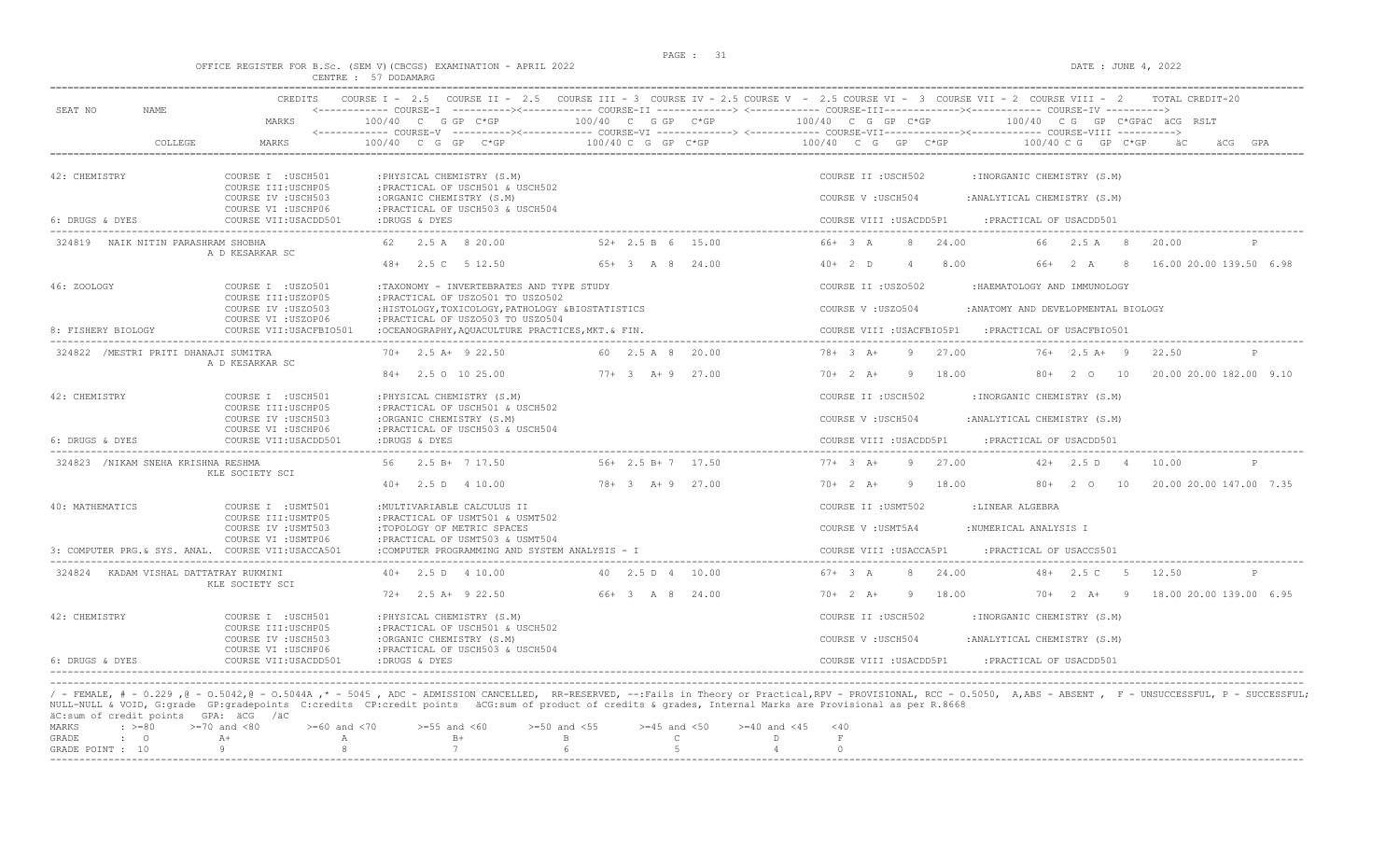DATE : JUNE  $4, 2022$ 

|  |  |  |                      | OFFICE REGISTER FOR B.SC. (SEM V)(CBCGS) EXAMINATION - APRIL 2022 |  |  |
|--|--|--|----------------------|-------------------------------------------------------------------|--|--|
|  |  |  | CENTRE : 57 DODAMARG |                                                                   |  |  |

| SEAT NO<br><b>NAME</b>                             | CREDITS                                                          |                                                                                        |                      | COURSE I - 2.5 COURSE II - 2.5 COURSE III - 3 COURSE IV - 2.5 COURSE V - 2.5 COURSE VI - 3 COURSE VII - 2 COURSE VIII - 2<br>TOTAL CREDIT-20<br><------------ COURSE-I ----------><----------- COURSE-II -------------> <------------ COURSE-III-----------><--------><---------- COURSE-IV ---------->> |
|----------------------------------------------------|------------------------------------------------------------------|----------------------------------------------------------------------------------------|----------------------|----------------------------------------------------------------------------------------------------------------------------------------------------------------------------------------------------------------------------------------------------------------------------------------------------------|
|                                                    | MARKS                                                            | 100/40 C G GP C*GP                                                                     | 100/40 C G GP C*GP   | 100/40 C G GP C*GP<br>100/40 CG GP C*GPäC äCG RSLT                                                                                                                                                                                                                                                       |
| COLLEGE                                            | MARKS                                                            | $100/40$ C G GP C*GP                                                                   | $100/40$ C G GP C*GP | $100/40$ C G GP C*GP<br>100/40 C G GP C*GP                                                                                                                                                                                                                                                               |
| 42: CHEMISTRY                                      | COURSE I : USCH501<br>COURSE III: USCHP05                        | : PHYSICAL CHEMISTRY (S.M)<br>: PRACTICAL OF USCH501 & USCH502                         |                      | COURSE II : USCH502<br>: INORGANIC CHEMISTRY (S.M)                                                                                                                                                                                                                                                       |
|                                                    | COURSE IV : USCH503                                              | :ORGANIC CHEMISTRY (S.M)                                                               |                      | : ANALYTICAL CHEMISTRY (S.M)<br>COURSE V: USCH504                                                                                                                                                                                                                                                        |
| 6: DRUGS & DYES                                    | COURSE VI : USCHP06<br>COURSE VII: USACDD501                     | : PRACTICAL OF USCH503 & USCH504<br>:DRUGS & DYES                                      |                      | COURSE VIII : USACDD5P1<br>: PRACTICAL OF USACDD501                                                                                                                                                                                                                                                      |
| 324819 NAIK NITIN PARASHRAM SHOBHA                 | A D KESARKAR SC                                                  | 62 2.5 A 8 20.00                                                                       | $52+$ 2.5 B 6 15.00  | $66+3 A$<br>66 2.5 A 8<br>24.00<br>20.00                                                                                                                                                                                                                                                                 |
|                                                    |                                                                  | 48+ 2.5 C 5 12.50                                                                      | 65+ 3 A 8 24.00      | 8.00<br>16.00 20.00 139.50 6.98<br>$40+2$ D<br>66+ 2 A 8                                                                                                                                                                                                                                                 |
| 46: ZOOLOGY                                        | COURSE I : USZ0501                                               | :TAXONOMY - INVERTEBRATES AND TYPE STUDY                                               |                      | COURSE II : USZ0502<br>:HAEMATOLOGY AND IMMUNOLOGY                                                                                                                                                                                                                                                       |
|                                                    | COURSE III:USZOP05<br>COURSE IV : USZ0503<br>COURSE VI : USZOP06 | : PRACTICAL OF USZ0501 TO USZ0502<br>: HISTOLOGY, TOXICOLOGY, PATHOLOGY &BIOSTATISTICS |                      | : ANATOMY AND DEVELOPMENTAL BIOLOGY<br>COURSE V: USZ0504                                                                                                                                                                                                                                                 |
| 8: FISHERY BIOLOGY                                 | COURSE VII: USACFBIO501                                          | : PRACTICAL OF USZ0503 TO USZ0504<br>:OCEANOGRAPHY, AQUACULTURE PRACTICES, MKT. & FIN. |                      | COURSE VIII : USACFBIO5P1<br>: PRACTICAL OF USACFBIO501                                                                                                                                                                                                                                                  |
| 324822 / MESTRI PRITI DHANAJI SUMITRA              | A D KESARKAR SC                                                  | $70+$ 2.5 A+ 9 22.50                                                                   | 60 2.5 A 8 20.00     | $78 + 3 A +$<br>27.00<br>$76+$ 2.5 A+ 9<br>9<br>22.50                                                                                                                                                                                                                                                    |
|                                                    |                                                                  | 84+ 2.5 0 10 25.00                                                                     | $77+3$ A + 9 27.00   | $70+2 A+$<br>18.00<br>80+ 2 0 10<br>20.00 20.00 182.00 9.10<br>-9                                                                                                                                                                                                                                        |
| 42: CHEMISTRY                                      | COURSE I : USCH501<br>COURSE III: USCHP05                        | : PHYSICAL CHEMISTRY (S.M)<br>: PRACTICAL OF USCH501 & USCH502                         |                      | COURSE II : USCH502<br>: INORGANIC CHEMISTRY (S.M)                                                                                                                                                                                                                                                       |
|                                                    | COURSE IV : USCH503                                              | :ORGANIC CHEMISTRY (S.M)                                                               |                      | COURSE V: USCH504<br>: ANALYTICAL CHEMISTRY (S.M)                                                                                                                                                                                                                                                        |
| 6: DRUGS & DYES                                    | COURSE VI : USCHP06<br>COURSE VII: USACDD501                     | : PRACTICAL OF USCH503 & USCH504<br>:DRUGS & DYES                                      |                      | COURSE VIII : USACDD5P1<br>: PRACTICAL OF USACDD501                                                                                                                                                                                                                                                      |
| 324823 /NIKAM SNEHA KRISHNA RESHMA                 | KLE SOCIETY SCI                                                  | 56 2.5 B+ 7 17.50                                                                      | $56+2.5 B+7$ 17.50   | $77+3+$<br>27.00<br>$42+$ 2.5 D 4<br>9<br>10.00                                                                                                                                                                                                                                                          |
|                                                    |                                                                  | $40+$ 2.5 D 4 10.00                                                                    | 78+ 3 A+ 9 27.00     | $70+2 A+$<br>9 18.00<br>80+ 2 0 10<br>20.00 20.00 147.00 7.35                                                                                                                                                                                                                                            |
| 40: MATHEMATICS                                    | COURSE I : USMT501                                               | : MULTIVARIABLE CALCULUS II                                                            |                      | COURSE II : USMT502<br>:LINEAR ALGEBRA                                                                                                                                                                                                                                                                   |
|                                                    | COURSE III: USMTP05<br>COURSE IV : USMT503                       | : PRACTICAL OF USMT501 & USMT502<br>:TOPOLOGY OF METRIC SPACES                         |                      | COURSE V: USMT5A4<br>:NUMERICAL ANALYSIS I                                                                                                                                                                                                                                                               |
| 3: COMPUTER PRG. & SYS. ANAL. COURSE VII:USACCA501 | COURSE VI : USMTP06                                              | : PRACTICAL OF USMT503 & USMT504<br>:COMPUTER PROGRAMMING AND SYSTEM ANALYSIS - I      |                      | COURSE VIII : USACCA5P1<br>: PRACTICAL OF USACCS501                                                                                                                                                                                                                                                      |
| 324824 KADAM VISHAL DATTATRAY RUKMINI              |                                                                  | $40+$ 2.5 D 4 10.00                                                                    | 40 2.5 D 4 10.00     | 67+ 3 A<br>24.00<br>$48 + 2.5$ C 5<br>-8<br>12.50<br>P                                                                                                                                                                                                                                                   |
|                                                    | KLE SOCIETY SCI                                                  | 72+ 2.5 A+ 9 22.50                                                                     | 66+ 3 A 8 24.00      | 18.00<br>18.00 20.00 139.00 6.95<br>$70+2$ A+<br>$70+2$ A+ 9<br>9                                                                                                                                                                                                                                        |
| 42: CHEMISTRY                                      | COURSE I : USCH501                                               | : PHYSICAL CHEMISTRY (S.M)                                                             |                      | COURSE II : USCH502<br>:INORGANIC CHEMISTRY (S.M)                                                                                                                                                                                                                                                        |
|                                                    | COURSE III:USCHP05<br>COURSE IV : USCH503                        | : PRACTICAL OF USCH501 & USCH502<br>:ORGANIC CHEMISTRY (S.M)                           |                      | COURSE V: USCH504<br>: ANALYTICAL CHEMISTRY (S.M)                                                                                                                                                                                                                                                        |
| 6: DRUGS & DYES                                    | COURSE VI : USCHP06<br>COURSE VII: USACDD501                     | : PRACTICAL OF USCH503 & USCH504<br>:DRUGS & DYES                                      |                      | COURSE VIII : USACDD5P1<br>: PRACTICAL OF USACDD501                                                                                                                                                                                                                                                      |

/ - FEMALE, # - 0.229 ,@ - 0.5042,@ - 0.5044A ,\* - 5045 , ADC - ADMISSION CANCELLED, RR-RESERVED, --:Fails in Theory or Practical,RPV - PROVISIONAL, RCC - 0.5050, A,ABS - ABSENT , F - UNSUCCESSFUL, P - SUCCESSFUL; NULL-NULL & VOID, G:grade GP:gradepoints C:credits CP:credit points äCG:sum of product of credits & grades, Internal Marks are Provisional as per R.8668<br>äC:sum of credit points GPA: äCG /äC

|  | automm ur urburu purnus - urht - auu - / au                                                    |  |  |  |  |
|--|------------------------------------------------------------------------------------------------|--|--|--|--|
|  | MARKS : >=80 >=70 and <80 >=60 and <70 >=55 and <60 >=50 and <55 >=45 and <50 >=40 and <45 <40 |  |  |  |  |
|  | GRADE : 0 A+ A B+ B C D F                                                                      |  |  |  |  |
|  | GRADE POINT : $10$ 9 8 7 6 5 5 4 0                                                             |  |  |  |  |
|  |                                                                                                |  |  |  |  |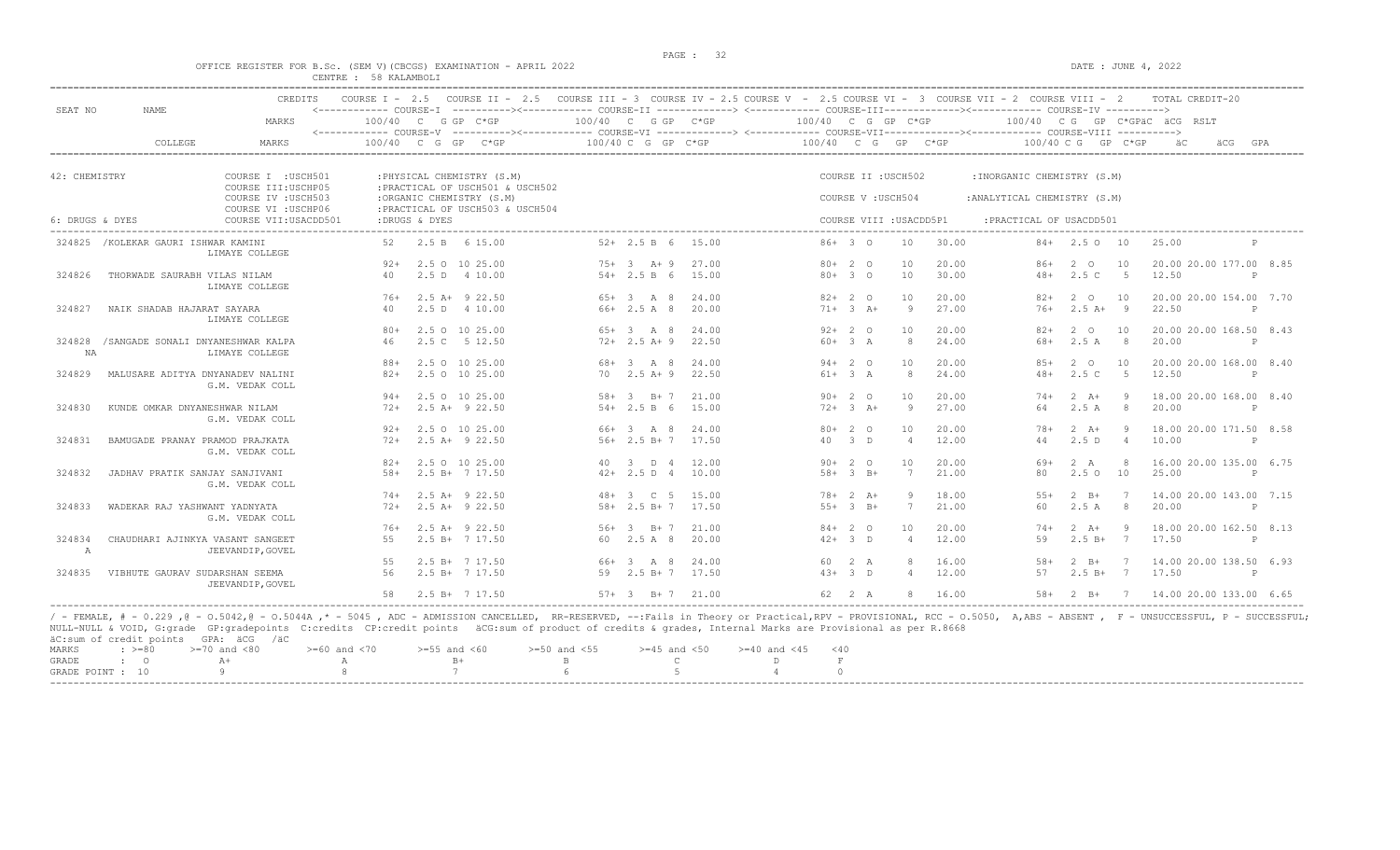$\overline{O}$   $\overline{O}$   $\overline{O}$   $\overline{O}$   $\overline{O}$   $\overline{O}$   $\overline{O}$   $\overline{O}$   $\overline{O}$   $\overline{O}$   $\overline{O}$   $\overline{O}$   $\overline{O}$   $\overline{O}$   $\overline{O}$   $\overline{O}$   $\overline{O}$   $\overline{O}$   $\overline{O}$   $\overline{O}$   $\overline{O}$   $\overline{O}$   $\overline{O}$   $\overline{O}$   $\overline{$ 

|  |  |  |                       | OFFICE REGISTER FOR B.SC. (SEM V)(CBCGS) EXAMINATION - APRIL 2022 |  |  |
|--|--|--|-----------------------|-------------------------------------------------------------------|--|--|
|  |  |  | CENTRE : 58 KALAMBOLI |                                                                   |  |  |

| SEAT NO         | NAME                                 | CREDITS                                    |        |               | COURSE I - 2.5 COURSE II - 2.5 COURSE III - 3 COURSE IV - 2.5 COURSE V - 2.5 COURSE VI - 3 COURSE VII - 2 COURSE VIII - 2<br><------------ COURSE-I ----------><----------- COURSE-II -------------> <------------ COURSE-III-----------><------------ COURSE-IV ----------> |      |                        |       |                    |                |                         |       |                               |                    |                | TOTAL CREDIT-20              |              |     |
|-----------------|--------------------------------------|--------------------------------------------|--------|---------------|------------------------------------------------------------------------------------------------------------------------------------------------------------------------------------------------------------------------------------------------------------------------------|------|------------------------|-------|--------------------|----------------|-------------------------|-------|-------------------------------|--------------------|----------------|------------------------------|--------------|-----|
|                 |                                      | MARKS                                      |        |               | 100/40 C G GP C*GP                                                                                                                                                                                                                                                           |      | $100/40$ C G GP $C*GP$ |       | 100/40 C G GP C*GP |                |                         |       |                               |                    |                | 100/40 CG GP C*GPÄC ÄCG RSLT |              |     |
|                 | COLLEGE                              | <b>MARKS</b>                               |        |               | $100/40$ C G GP C*GP                                                                                                                                                                                                                                                         |      | 100/40 C G GP C*GP     |       | 100/40 C G GP C*GP |                |                         |       |                               | 100/40 C G GP C*GP |                | äС.                          | äCG          | GPA |
|                 |                                      |                                            |        |               |                                                                                                                                                                                                                                                                              |      |                        |       |                    |                |                         |       |                               |                    |                |                              |              |     |
| 42: CHEMISTRY   |                                      | COURSE I : USCH501<br>COURSE III: USCHP05  |        |               | : PHYSICAL CHEMISTRY (S.M)<br>: PRACTICAL OF USCH501 & USCH502                                                                                                                                                                                                               |      |                        |       |                    |                | COURSE II : USCH502     |       | : INORGANIC CHEMISTRY (S.M)   |                    |                |                              |              |     |
|                 |                                      | COURSE IV : USCH503<br>COURSE VI : USCHP06 |        |               | :ORGANIC CHEMISTRY (S.M)<br>: PRACTICAL OF USCH503 & USCH504                                                                                                                                                                                                                 |      |                        |       |                    |                | COURSE V: USCH504       |       | : ANALYTICAL CHEMISTRY (S.M)  |                    |                |                              |              |     |
| 6: DRUGS & DYES |                                      | COURSE VII: USACDD501                      |        | :DRUGS & DYES |                                                                                                                                                                                                                                                                              |      |                        |       |                    |                | COURSE VIII : USACDD5P1 |       | : PRACTICAL OF USACDD501<br>. |                    |                |                              |              |     |
|                 | 324825 / KOLEKAR GAURI ISHWAR KAMINI | LIMAYE COLLEGE                             | 52     |               | 2.5 B 6 15.00                                                                                                                                                                                                                                                                |      | $52+2.5 B 6 15.00$     |       |                    | $86+30$        | 10                      | 30.00 |                               | $84+$ 2.5 0 10     |                | 25.00                        |              |     |
|                 |                                      |                                            | $92+$  |               | 2.5 0 10 25.00                                                                                                                                                                                                                                                               |      | $75+3$ A + 9           | 27.00 |                    | $80+20$        | 10                      | 20.00 | 86+                           | 2 0                | 10             | 20.00 20.00 177.00 8.85      |              |     |
| 324826          | THORWADE SAURABH VILAS NILAM         | LIMAYE COLLEGE                             | 40     |               | 2.5 D 4 10.00                                                                                                                                                                                                                                                                |      | $54 + 2.5 B 6$         | 15.00 |                    | $80+30$        | 10                      | 30.00 | $48+$                         | 2.5C               | $5^{\circ}$    | 12.50                        | P            |     |
|                 |                                      |                                            | 76+    |               | $2.5$ A+ $9$ 22.50                                                                                                                                                                                                                                                           |      | $65+3$ A 8             | 24.00 |                    | $82+20$        | 10                      | 20.00 | $82+$                         | $2^{\circ}$        | 10             | 20.00 20.00 154.00 7.70      |              |     |
| 324827          | NAIK SHADAB HAJARAT SAYARA           | LIMAYE COLLEGE                             | 40     |               | 2.5 D 4 10.00                                                                                                                                                                                                                                                                |      | $66+2.5A8$             | 20.00 |                    | $71+ 3 A+$     | -9                      | 27.00 | $76+$                         | $2.5 A+ 9$         |                | 22.50                        | $\mathbb{P}$ |     |
|                 |                                      |                                            | $80+$  |               | 2.5 0 10 25.00                                                                                                                                                                                                                                                               |      | $65+3$ A 8             | 24.00 |                    | $92+20$        | 10                      | 20.00 | $82+$                         | 2 0                | 10             | 20.00 20.00 168.50 8.43      |              |     |
| 324828<br>NA    | /SANGADE SONALI DNYANESHWAR KALPA    | LIMAYE COLLEGE                             | 46     |               | 2.5 C 5 12.50                                                                                                                                                                                                                                                                |      | $72+2.5 A+9$           | 22.50 |                    | $60+3 A$       | 8                       | 24.00 | 68+                           | 2.5A               | 8              | 20.00                        | $\mathbb{P}$ |     |
|                 |                                      |                                            | 88+    |               | 2.5 0 10 25.00                                                                                                                                                                                                                                                               |      | 68+ 3 A 8              | 24.00 |                    | $94+20$        | 10                      | 20.00 | $85+$                         | 2 0                | 10             | 20.00 20.00 168.00 8.40      |              |     |
| 324829          | MALUSARE ADITYA DNYANADEV NALINI     | G.M. VEDAK COLL                            | $82+$  |               | 2.5 0 10 25.00                                                                                                                                                                                                                                                               |      | $70 \t 2.5 \t A+9$     | 22.50 |                    | $61+ 3 A$      | $\mathcal{R}$           | 24.00 | $48+$                         | 2.5C               | $5^{\circ}$    | 12.50                        | P            |     |
|                 |                                      |                                            | 94+    |               | 2.5 0 10 25.00                                                                                                                                                                                                                                                               |      | $58 + 3$ B + 7         | 21.00 |                    | $90+20$        | 10                      | 20.00 | $74+$                         | $2 \overline{A}$   | $\overline{9}$ | 18.00 20.00 168.00 8.40      |              |     |
| 324830          | KUNDE OMKAR DNYANESHWAR NILAM        | G.M. VEDAK COLL                            | $72+$  |               | $2.5$ A+ $9$ 22.50                                                                                                                                                                                                                                                           |      | $54 + 2.5 B 6$         | 15.00 |                    | $72+3+1$       | -9                      | 27.00 | 64                            | 2.5A               | 8              | 20.00                        | P            |     |
|                 |                                      |                                            | $92+$  |               | 2.5 0 10 25.00                                                                                                                                                                                                                                                               |      | 66+ 3 A 8              | 24.00 |                    | $80+20$        | 10                      | 20.00 | 78+                           | $2 \overline{A}$ + |                | 18.00 20.00 171.50 8.58      |              |     |
| 324831          | BAMUGADE PRANAY PRAMOD PRAJKATA      | G.M. VEDAK COLL                            | $72+$  |               | $2.5 A+ 9 22.50$                                                                                                                                                                                                                                                             |      | $56+2.5 B+7$           | 17.50 |                    | 40 3 D         | $\overline{4}$          | 12.00 | 44                            | 2.5D               | $\overline{4}$ | 10.00                        | $\mathbb{P}$ |     |
|                 |                                      |                                            | $82+$  |               | 2.5 0 10 25.00                                                                                                                                                                                                                                                               | 40 3 | D 4                    | 12.00 |                    | $90+20$        | 10                      | 20.00 | 69+                           | 2 A                |                | 16.00 20.00 135.00 6.75      |              |     |
| 324832          | JADHAV PRATIK SANJAY SANJIVANI       | G.M. VEDAK COLL                            | $.58+$ |               | $2.5 B+ 7 17.50$                                                                                                                                                                                                                                                             |      | $42+2.5 D 4$           | 10.00 |                    | $58 + 3 B +$   | 7                       | 21.00 | 80                            | $2.5^\circ$        | 10             | 25.00                        | P            |     |
|                 |                                      |                                            | $74+$  |               | 2.5 A+ 9 22.50                                                                                                                                                                                                                                                               |      | 48+ 3 C 5              | 15.00 |                    | $78 + 2 A +$   | <sup>Q</sup>            | 18.00 | $55+$                         | $2 \quad B+$       | $\overline{7}$ | 14.00 20.00 143.00 7.15      |              |     |
| 324833          | WADEKAR RAJ YASHWANT YADNYATA        | G.M. VEDAK COLL                            | $72+$  |               | $2.5 A+ 9 22.50$                                                                                                                                                                                                                                                             |      | $58 + 2.5 B + 7 17.50$ |       |                    | $55+3$ B+      | 7                       | 21.00 | 60                            | 2.5A               | 8 <sup>8</sup> | 20.00                        | $\mathbb{P}$ |     |
|                 |                                      |                                            | $76+$  |               | $2.5$ A+ $9$ 22.50                                                                                                                                                                                                                                                           |      | $56+3$ R+ 7            | 21.00 |                    | $84 + 2 0$     | 10                      | 20.00 | $74+$                         | $2 \overline{A}$ + | - 9            | 18.00 20.00 162.50 8.13      |              |     |
| 324834<br>A     | CHAUDHARI AJINKYA VASANT SANGEET     | JEEVANDIP, GOVEL                           | 55     |               | 2.5 B+ 7 17.50                                                                                                                                                                                                                                                               |      | 60 2.5 A 8             | 20.00 |                    | $42+3$ D       | $\overline{4}$          | 12.00 | 59                            | $2.5 B+ 7$         |                | 17.50                        | $\mathbb{P}$ |     |
|                 |                                      |                                            | 55     |               | $2.5 B+ 7 17.50$                                                                                                                                                                                                                                                             |      | 66+ 3 A 8              | 24.00 |                    | 60 2 A         |                         | 16.00 | $58+$                         | $2 \quad B+$       | 7              | 14.00 20.00 138.50 6.93      |              |     |
| 324835          | VIBHUTE GAURAV SUDARSHAN SEEMA       | JEEVANDIP, GOVEL                           | 56     |               | $2.5 B+ 7 17.50$                                                                                                                                                                                                                                                             |      | $59$ $2.5 B+7$         | 17.50 |                    | $43+3$ D       | $\overline{4}$          | 12.00 | 57                            | $2.5 B+ 7$         |                | 17.50                        | P            |     |
|                 |                                      |                                            | 58     |               | $2.5 B+ 717.50$                                                                                                                                                                                                                                                              |      | $57 + 3$ R + 7         | 21.00 |                    | $62 \t 2 \t A$ |                         | 16.00 | $58+$                         | $2 \text{ B}$      | $\overline{7}$ | 14.00 20.00 133.00 6.65      |              |     |

----------------------------------------------------------------------------------------------------------------------------------------------------------------------------------------------------------------------- / - FEMALE, # - 0.229 ,@ - O.5042,@ - O.5044A ,\* - 5045 , ADC - ADMISSION CANCELLED, RR-RESERVED, --:Fails in Theory or Practical,RPV - PROVISIONAL, RCC - O.5050, A,ABS - ABSENT , F - UNSUCCESSFUL, P - SUCCESSFUL; NULL-NULL & VOID, G:grade GP:gradepoints C:credits CP:credit points äCG:sum of product of credits & grades, Internal Marks are Provisional as per R.8668 äC:sum of credit points GPA: äCG /äC  $\begin{array}{lllllllll} \text{MARKS} & \text{ : } & \text{ & & \text{ & & \text{ & \text{ & \text{ & \text{ \text{and} }} \text{ & \text{ \text{0}}}}$} & \text{ } & \text{ & & \text{ \text{0}}$} & \text{ } & \text{ & \text{ \text{0}}$} & \text{ } & \text{ & \text{ \text{0}}$} & \text{ } & \text{ & \text{ \text{0}}$} & \text{ } & \text{ \text{ \text{0}}$} & \text{ } & \text{ \text{0}}$ & \text{ } & \text{ \text{0}}$ & \text{ } & \text{ \text{0}}$ & \text{$ GRADE : O  $A+$  A  $B+$  B C D F  $A$  0 GRADE POINT : 10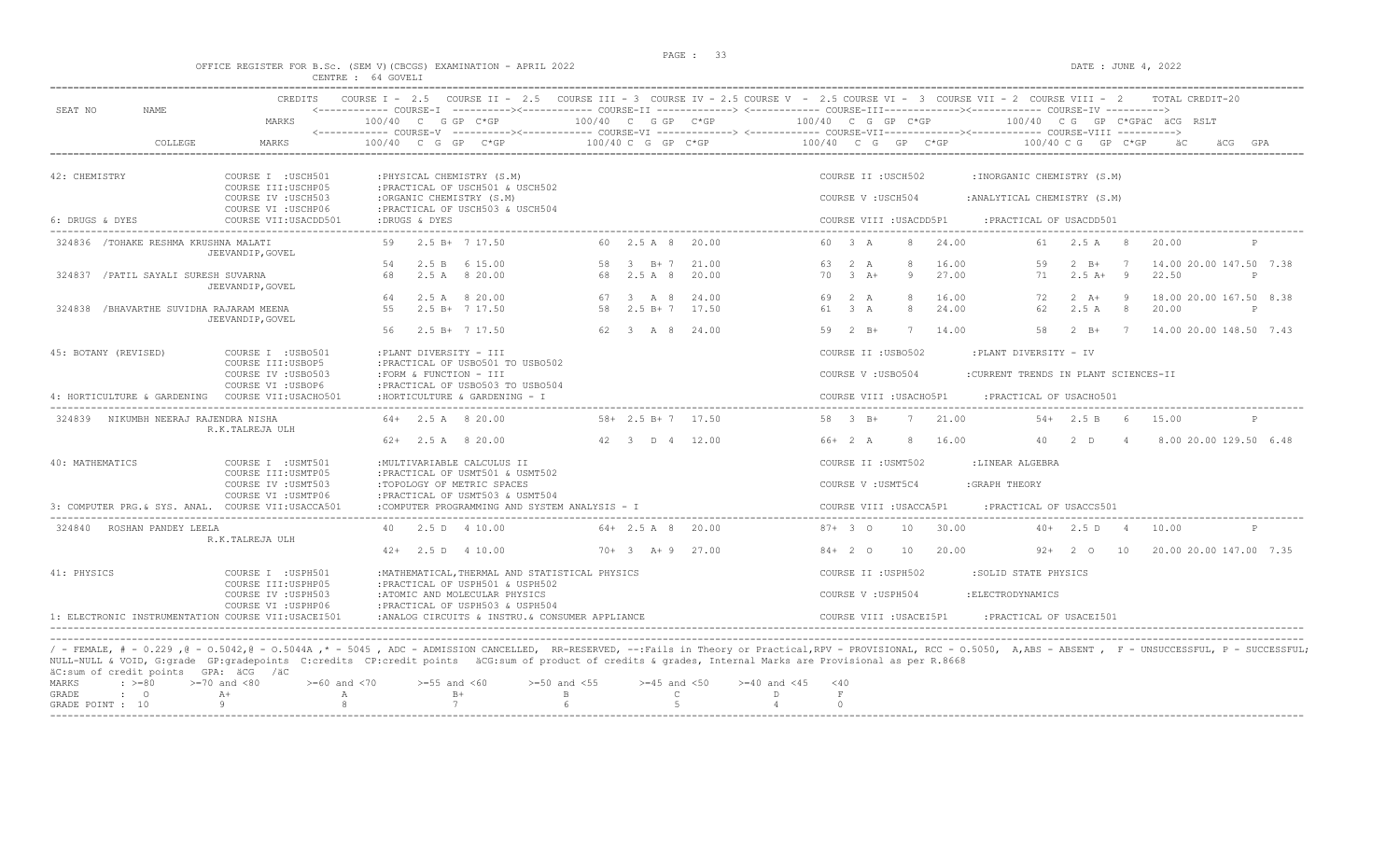#### OFFICE REGISTER FOR B.Sc. (SEM V)(CBCGS) EXAMINATION - APRIL 2022 DATE : JUNE 4, 2022 CENTRE : 64 GOVELI

| SEAT NO<br><b>NAME</b>                             | <b>CREDITS</b>                                                 | COURSE $TT - 2.5$<br>COURSE $T = 2.5$                                             |                                                                                                                                                          | COURSE III - 3 COURSE IV - 2.5 COURSE V - 2.5 COURSE VI - 3 COURSE VII - 2 COURSE VIII - 2<br><------------ COURSE-I ----------><----------- COURSE-II -------------> <------------ COURSE-III------------><----------- COURSE-IV ----------> |              |
|----------------------------------------------------|----------------------------------------------------------------|-----------------------------------------------------------------------------------|----------------------------------------------------------------------------------------------------------------------------------------------------------|-----------------------------------------------------------------------------------------------------------------------------------------------------------------------------------------------------------------------------------------------|--------------|
|                                                    | MARKS                                                          | $100/40$ C G GP C*GP                                                              | 100/40 C G GP C*GP                                                                                                                                       | 100/40 C G GP C*GP<br>100/40 CG GP C*GPÄC ÄCG RSLT                                                                                                                                                                                            |              |
| COLLEGE                                            | MARKS                                                          | $100/40$ C G GP C*GP                                                              | 100/40 C G GP C*GP                                                                                                                                       | 100/40 C G GP C*GP<br>100/40 C G<br>$GP$ $C*GP$<br>äCG                                                                                                                                                                                        | GPA          |
| 42: CHEMISTRY                                      | COURSE I : USCH501<br>COURSE III: USCHP05                      | : PHYSICAL CHEMISTRY (S.M)<br>: PRACTICAL OF USCH501 & USCH502                    |                                                                                                                                                          | COURSE II : USCH502<br>: INORGANIC CHEMISTRY (S.M)                                                                                                                                                                                            |              |
|                                                    | COURSE IV : USCH503<br>COURSE VI : USCHP06                     | :ORGANIC CHEMISTRY (S.M)<br>: PRACTICAL OF USCH503 & USCH504                      |                                                                                                                                                          | COURSE V: USCH504<br>: ANALYTICAL CHEMISTRY (S.M)                                                                                                                                                                                             |              |
| 6: DRUGS & DYES                                    | COURSE VII: USACDD501                                          | :DRUGS & DYES                                                                     |                                                                                                                                                          | COURSE VIII : USACDD5P1<br>: PRACTICAL OF USACDD501                                                                                                                                                                                           |              |
| 324836 / TOHAKE RESHMA KRUSHNA MALATI              | JEEVANDIP, GOVEL                                               | $2.5 B+ 7 17.50$                                                                  | 60 2.5 A 8<br>20.00                                                                                                                                      | 24.00<br>60 3 A<br>8<br>2.5A<br>20.00<br>61<br>- 8                                                                                                                                                                                            |              |
|                                                    |                                                                | 2.5 B 6 15.00<br>54                                                               | 58 3 B+7<br>21.00                                                                                                                                        | $\mathcal{R}$<br>16.00<br>14.00 20.00 147.50 7.38<br>63 2 A<br>59<br>$2 \quad B+$<br>7                                                                                                                                                        |              |
| 324837 / PATIL SAYALI SURESH SUVARNA               | JEEVANDIP, GOVEL                                               | 68<br>2.5 A 8 20.00                                                               | 68<br>2.5 A 8<br>20.00                                                                                                                                   | 70<br>$3 + 4$<br>9<br>27.00<br>71<br>$2.5A+$<br>$\overline{9}$<br>22.50                                                                                                                                                                       | P            |
|                                                    |                                                                | 2.5 A 8 20.00<br>64                                                               | 67 3 A 8<br>24.00                                                                                                                                        | 69 2 A<br>8<br>16.00<br>$2 \overline{A}$ +<br>18.00 20.00 167.50 8.38<br>72<br>- 9                                                                                                                                                            |              |
| 324838 /BHAVARTHE SUVIDHA RAJARAM MEENA            | JEEVANDIP, GOVEL                                               | 55<br>$2.5 B+717.50$                                                              | 58<br>$2.5 B+7$<br>17.50                                                                                                                                 | $61$ $3$ $\lambda$<br>$\mathcal{R}$<br>24.00<br>62<br>2.5A<br>$\overline{8}$<br>20.00                                                                                                                                                         | $\mathbb{D}$ |
|                                                    |                                                                | 56<br>$2.5 B+ 7 17.50$                                                            | 62 3 A 8 24.00                                                                                                                                           | 7 14.00 20.00 148.50 7.43<br>$59$ $2$ $B+$<br>7<br>14.00<br>58<br>$2 \quad B+$                                                                                                                                                                |              |
| 45: BOTANY (REVISED)                               | COURSE I : USB0501                                             | :PLANT DIVERSITY - III                                                            |                                                                                                                                                          | COURSE II : USB0502<br>:PLANT DIVERSITY - IV                                                                                                                                                                                                  |              |
|                                                    | COURSE III: USBOP5<br>COURSE IV : USB0503                      | : PRACTICAL OF USB0501 TO USB0502<br>:FORM & FUNCTION - III                       |                                                                                                                                                          | COURSE V: USB0504<br>:CURRENT TRENDS IN PLANT SCIENCES-II                                                                                                                                                                                     |              |
| 4: HORTICULTURE & GARDENING COURSE VII:USACHO501   | COURSE VI : USBOP6                                             | : PRACTICAL OF USB0503 TO USB0504<br>: HORTICULTURE & GARDENING - I               |                                                                                                                                                          | COURSE VIII : USACHO5P1<br>: PRACTICAL OF USACH0501                                                                                                                                                                                           |              |
| 324839 NIKUMBH NEERAJ RAJENDRA NISHA               |                                                                | $64+$ 2.5 A 8 20.00                                                               | $58 + 2.5 B + 7 17.50$                                                                                                                                   | 58 3 B+<br>21.00<br>$54 + 2.5 B$<br>6<br>15.00                                                                                                                                                                                                |              |
|                                                    | R.K.TALREJA ULH                                                | $62+$ 2.5 A 8 20.00                                                               | 42 3 D 4 12.00                                                                                                                                           | $66+2 A$<br>16.00<br>40<br>$2$ D<br>8.00 20.00 129.50 6.48<br>8<br>$\overline{4}$                                                                                                                                                             |              |
| 40: MATHEMATICS                                    | COURSE I : USMT501                                             | : MULTIVARIABLE CALCULUS II                                                       |                                                                                                                                                          | :LINEAR ALGEBRA<br>COURSE II : USMT502                                                                                                                                                                                                        |              |
|                                                    | COURSE III: USMTP05<br>COURSE IV : USMT503                     | : PRACTICAL OF USMT501 & USMT502<br>:TOPOLOGY OF METRIC SPACES                    |                                                                                                                                                          | COURSE V : USMT5C4<br>: GRAPH THEORY                                                                                                                                                                                                          |              |
| 3: COMPUTER PRG.& SYS. ANAL. COURSE VII:USACCA501  | COURSE VI : USMTP06                                            | : PRACTICAL OF USMT503 & USMT504<br>:COMPUTER PROGRAMMING AND SYSTEM ANALYSIS - I |                                                                                                                                                          | COURSE VIII : USACCA5P1<br>: PRACTICAL OF USACCS501                                                                                                                                                                                           |              |
| 324840 ROSHAN PANDEY LEELA                         |                                                                | 40 2.5 D 4 10.00                                                                  | $64 + 2.5$ A 8 20.00                                                                                                                                     | 10<br>30.00<br>$87 + 30$<br>$40+$<br>2.5 D<br>10.00<br>4                                                                                                                                                                                      |              |
|                                                    | R.K.TALREJA ULH                                                | $42+$ 2.5 D 4 10.00                                                               | $70+3$ A+ 9 27.00                                                                                                                                        | $84+20$<br>10<br>20.00<br>20.00 20.00 147.00 7.35<br>$92+$<br>2 O<br>10                                                                                                                                                                       |              |
| 41: PHYSICS                                        | COURSE I : USPH501                                             | : MATHEMATICAL, THERMAL AND STATISTICAL PHYSICS                                   |                                                                                                                                                          | COURSE II : USPH502<br>:SOLID STATE PHYSICS                                                                                                                                                                                                   |              |
|                                                    | COURSE III: USPHP05<br>COURSE IV : USPH503                     | :PRACTICAL OF USPH501 & USPH502<br>:ATOMIC AND MOLECULAR PHYSICS                  |                                                                                                                                                          | COURSE V : USPH504<br>: ELECTRODYNAMICS                                                                                                                                                                                                       |              |
|                                                    | COURSE VI : USPHP06                                            | :PRACTICAL OF USPH503 & USPH504                                                   |                                                                                                                                                          |                                                                                                                                                                                                                                               |              |
| 1: ELECTRONIC INSTRUMENTATION COURSE VII:USACEI501 |                                                                | :ANALOG CIRCUITS & INSTRU. & CONSUMER APPLIANCE                                   |                                                                                                                                                          | COURSE VIII : USACEI5P1<br>: PRACTICAL OF USACEI501                                                                                                                                                                                           |              |
| äC:sum of credit points GPA: äCG /äC               |                                                                |                                                                                   | NULL-NULL & VOID, G:grade GP:gradepoints C:credits CP:credit points äCG:sum of product of credits & grades, Internal Marks are Provisional as per R.8668 | / - FEMALE, # - 0.229,0 - 0.5042,0 - 0.5044A,* - 5045, ADC - ADMISSION CANCELLED, RR-RESERVED, --:Fails in Theory or Practical,RPV - PROVISIONAL, RCC - 0.5050, A,ABS - ABSENT, F - UNSUCCESSFUL, P - SUCCESSFUL;                             |              |
| MARKS<br>$\div$ >=80<br>GRADE<br>$\mathbf{C}$      | $>=70$ and $<80$<br>$>= 60$ and $< 70$<br>$A+$<br>$\mathbb{A}$ | $>=55$ and $<60$<br>$B+$                                                          | $>=50$ and $<55$<br>$>=45$ and $<50$<br>$>= 40$ and $< 45$<br>R.<br>$\mathcal{C}$<br>D                                                                   | < 40<br>$\mathbf F$                                                                                                                                                                                                                           |              |
| GRADE POINT : 10                                   |                                                                | 7                                                                                 | $\overline{a}$                                                                                                                                           | $\Omega$                                                                                                                                                                                                                                      |              |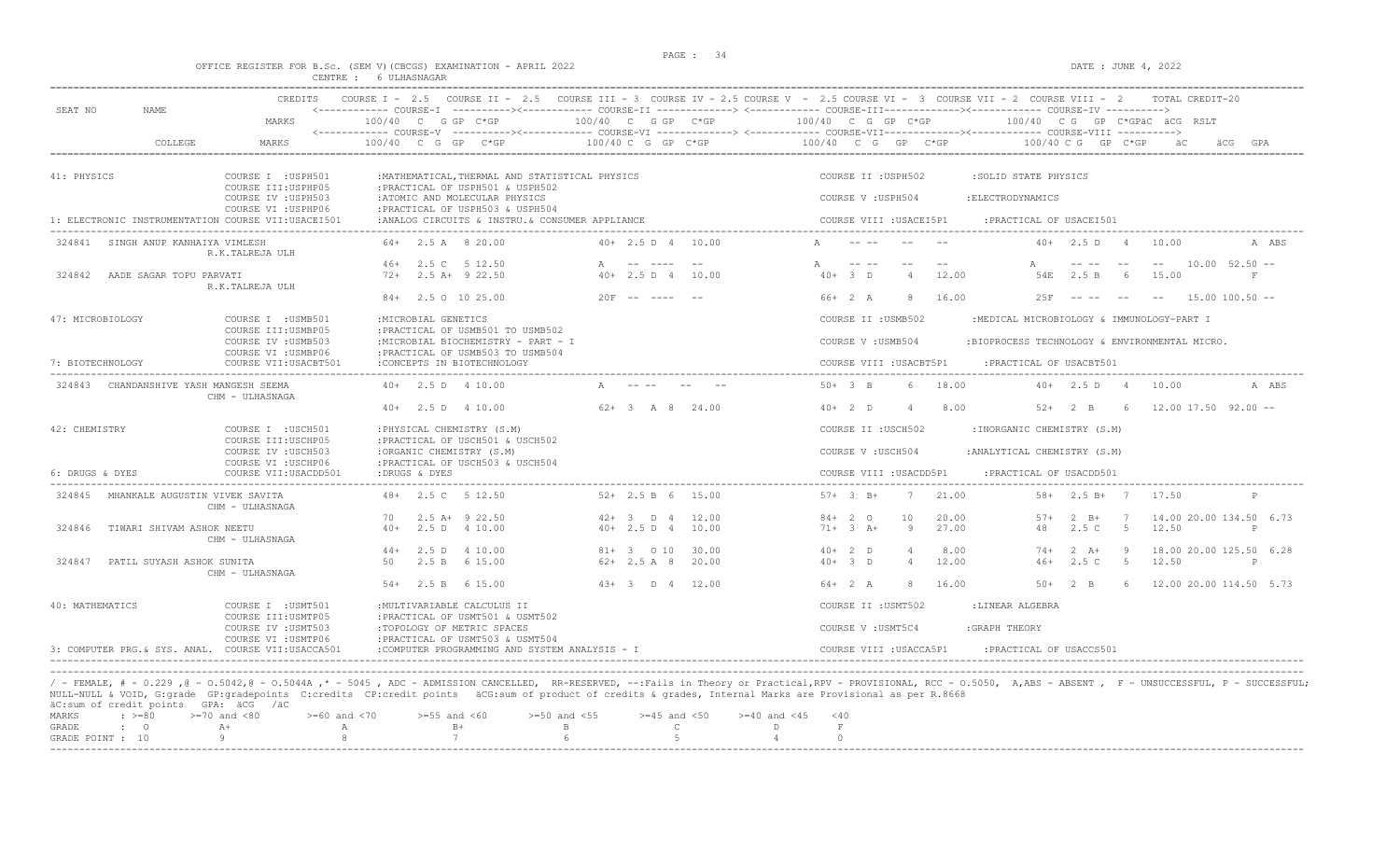### OFFICE REGISTER FOR B.Sc. (SEM V)(CBCGS) EXAMINATION - APRIL 2022 DATE : JUNE 4, 2022 CENTRE : 6 ULHASNAGAR

| SEAT NO<br>NAME.                       | <b>CREDITS</b>                                                    |                                                                                                              |                                              | COURSE I - 2.5 COURSE II - 2.5 COURSE III - 3 COURSE IV - 2.5 COURSE V - 2.5 COURSE VI - 3 COURSE VII - 2 COURSE VIII - 2<br>TOTAL CREDIT-20                                                  |
|----------------------------------------|-------------------------------------------------------------------|--------------------------------------------------------------------------------------------------------------|----------------------------------------------|-----------------------------------------------------------------------------------------------------------------------------------------------------------------------------------------------|
|                                        | MARKS                                                             | $100/40$ C G GP C*GP                                                                                         | 100/40 C G GP C*GP                           | 100/40 C G GP C*GP<br>100/40 CG GP C*GPäC äCG RSLT<br><------------ COURSE-V ----------><----------- COURSE-VI -------------> <------------ COURSE-VII--------------- COURSE-VIII ----------> |
| COLLEGE                                | MARKS                                                             | 100/40 C G GP C*GP                                                                                           | 100/40 C G GP C*GP                           | 100/40 C G GP C*GP<br>100/40 C G GP C*GP                                                                                                                                                      |
| 41: PHYSICS                            | COURSE I : USPH501                                                | : MATHEMATICAL, THERMAL AND STATISTICAL PHYSICS                                                              |                                              | COURSE II : USPH502<br>:SOLID STATE PHYSICS                                                                                                                                                   |
|                                        | COURSE III: USPHP05<br>COURSE IV : USPH503<br>COURSE VI : USPHP06 | : PRACTICAL OF USPH501 & USPH502<br>:ATOMIC AND MOLECULAR PHYSICS<br>: PRACTICAL OF USPH503 & USPH504        |                                              | COURSE V : USPH504<br>: ELECTRODYNAMICS                                                                                                                                                       |
|                                        | 1: ELECTRONIC INSTRUMENTATION COURSE VII:USACEI501                | :ANALOG CIRCUITS & INSTRU. & CONSUMER APPLIANCE                                                              |                                              | COURSE VIII : USACEI5P1<br>: PRACTICAL OF USACEI501                                                                                                                                           |
| 324841 SINGH ANUP KANHAIYA VIMLESH     | R.K.TALREJA ULH                                                   | $64+$ 2.5 A 8 20.00                                                                                          | $40+ 2.5 D 4 10.00$                          | $40+$ 2.5 D 4<br>10.00<br>A ABS                                                                                                                                                               |
| 324842 AADE SAGAR TOPU PARVATI         | R.K.TALREJA ULH                                                   | 46+ 2.5 C 5 12.50<br>$72+$ 2.5 A+ 9 22.50                                                                    | A -- ----<br>$40+2.5 D 4 10.00$              | $10.00$ 52.50 $-$<br>$40+3$ D<br>12.00<br>54E 2.5 B<br>15.00<br>6<br>F                                                                                                                        |
|                                        |                                                                   | 84+ 2.5 0 10 25.00                                                                                           | $20F$ -- ----                                | $66+2 A$<br>16.00<br>$15.00$ 100.50 $-$<br>-8<br>2.5F<br>-----                                                                                                                                |
| 47: MICROBIOLOGY                       | COURSE I : USMB501                                                | : MICROBIAL GENETICS                                                                                         |                                              | COURSE II : USMB502<br>:MEDICAL MICROBIOLOGY & IMMUNOLOGY-PART I                                                                                                                              |
|                                        | COURSE III: USMBP05<br>COURSE IV : USMB503<br>COURSE VI : USMBP06 | : PRACTICAL OF USMB501 TO USMB502<br>:MICROBIAL BIOCHEMISTRY - PART - I<br>: PRACTICAL OF USMB503 TO USMB504 |                                              | COURSE V: USMB504<br>:BIOPROCESS TECHNOLOGY & ENVIRONMENTAL MICRO.                                                                                                                            |
| 7: BIOTECHNOLOGY                       | COURSE VII: USACBT501                                             | : CONCEPTS IN BIOTECHNOLOGY                                                                                  |                                              | COURSE VIII : USACBT5P1<br>: PRACTICAL OF USACBT501                                                                                                                                           |
| 324843 CHANDANSHIVE YASH MANGESH SEEMA | CHM - ULHASNAGA                                                   | $40+$ 2.5 D 4 10.00                                                                                          |                                              | $50+3$ B<br>18.00<br>$40+$ 2.5 D 4<br>10.00<br>-6<br>A ABS                                                                                                                                    |
|                                        |                                                                   | $40+$ 2.5 D 4 10.00                                                                                          | $62+3$ A 8 24.00                             | $40+2$ D<br>8.00<br>$52+2$ B<br>$12.00$ 17.50 92.00 $-$<br>- 6<br>$\Delta$                                                                                                                    |
| 42: CHEMISTRY                          | COURSE I : USCH501<br>COURSE III: USCHP05                         | : PHYSICAL CHEMISTRY (S.M)<br>: PRACTICAL OF USCH501 & USCH502                                               |                                              | COURSE II : USCH502<br>: INORGANIC CHEMISTRY (S.M)                                                                                                                                            |
|                                        | COURSE IV : USCH503<br>COURSE VI : USCHP06                        | :ORGANIC CHEMISTRY (S.M)<br>: PRACTICAL OF USCH503 & USCH504                                                 |                                              | COURSE V: USCH504<br>: ANALYTICAL CHEMISTRY (S.M)                                                                                                                                             |
| 6: DRUGS & DYES                        | COURSE VII: USACDD501                                             | :DRUGS & DYES                                                                                                |                                              | COURSE VIII : USACDD5P1<br>: PRACTICAL OF USACDD501                                                                                                                                           |
| 324845 MHANKALE AUGUSTIN VIVEK SAVITA  | CHM - ULHASNAGA                                                   | 48+ 2.5 C 5 12.50                                                                                            | $52+2.5 B 6 15.00$                           | $57 + 3 B +$<br>21.00<br>$58 + 2.5 B + 7$<br>17.50<br>$7\phantom{.0}$                                                                                                                         |
| 324846                                 | TIWARI SHIVAM ASHOK NEETU                                         | $2.5$ A+ $9$ 22.50<br>70<br>2.5 D 4 10.00<br>$40+$                                                           | $42+3$ D 4<br>12.00<br>$40+2.5 D 4$<br>10.00 | 20.00<br>14.00 20.00 134.50 6.73<br>$84+20$<br>10<br>$57+$<br>$2 \quad B+$<br>7<br>$71 + 3 + 4$<br>27.00<br>2.5C<br>$5^{\circ}$<br>12.50<br>9<br>48<br>P                                      |
|                                        | CHM - ULHASNAGA                                                   |                                                                                                              |                                              |                                                                                                                                                                                               |
| 324847                                 | PATIL SUYASH ASHOK SUNITA                                         | $44+$<br>2.5 D 4 10.00<br>50<br>2.5 B 6 15.00                                                                | $81+ 3 010$<br>30.00<br>$62+2.5A8$<br>20.00  | $40+2$ D<br>8.00<br>$74+$<br>$2 \overline{A}$<br>- 9<br>18.00 20.00 125.50 6.28<br>$40+3$ D<br>12.00<br>2.5C<br>5 <sup>5</sup><br>12.50<br>$\overline{4}$<br>$46+$<br>P                       |
|                                        | CHM - ULHASNAGA                                                   |                                                                                                              |                                              |                                                                                                                                                                                               |
|                                        |                                                                   | $54+$ 2.5 B 6 15.00                                                                                          | $43+3$ D 4 12.00                             | $64 + 2 A$<br>8<br>16.00<br>$50+2$ B<br>6 12.00 20.00 114.50 5.73                                                                                                                             |
| 40: MATHEMATICS                        | COURSE I : USMT501<br>COURSE III: USMTP05                         | : MULTIVARIABLE CALCULUS II<br>: PRACTICAL OF USMT501 & USMT502                                              |                                              | COURSE II : USMT502<br>:LINEAR ALGEBRA                                                                                                                                                        |
|                                        | COURSE IV : USMT503<br>COURSE VI : USMTP06                        | :TOPOLOGY OF METRIC SPACES<br>: PRACTICAL OF USMT503 & USMT504                                               |                                              | COURSE V : USMT5C4<br>: GRAPH THEORY                                                                                                                                                          |
|                                        | 3: COMPUTER PRG & SYS. ANAL. COURSE VII:USACCA501                 | :COMPUTER PROGRAMMING AND SYSTEM ANALYSIS - I                                                                |                                              | COURSE VIII : USACCA5P1<br>: PRACTICAL OF USACCS501                                                                                                                                           |

/ - FEMALE, # - 0.229 ,@ - 0.5042,@ - 0.5044A ,\* - 5045 , ADC - ADMISSION CANCELLED, RR-RESERVED, --:Fails in Theory or Practical,RPV - PROVISIONAL, RCC - 0.5050, A,ABS - ABSENT , F - UNSUCCESSFUL, P - SUCCESSFUL; NULL-NULL & VOID, G:grade GP:gradepoints C:credits CP:credit points äCG:sum of product of credits & grades, Internal Marks are Provisional as per R.8668 äC:sum of credit points GPA: äCG /äC

|           | worden of create points unit woo just |                                                                                                |           |  |  |  |
|-----------|---------------------------------------|------------------------------------------------------------------------------------------------|-----------|--|--|--|
|           |                                       | MARKS : >=80 >=70 and <80 >=60 and <70 >=55 and <60 >=50 and <55 >=45 and <50 >=40 and <45 <40 |           |  |  |  |
| GRADE : O |                                       |                                                                                                | $B +$ B C |  |  |  |
|           |                                       | GRADE POINT : $10$ 9 8 7 6 6 5 5 4                                                             |           |  |  |  |
|           |                                       |                                                                                                |           |  |  |  |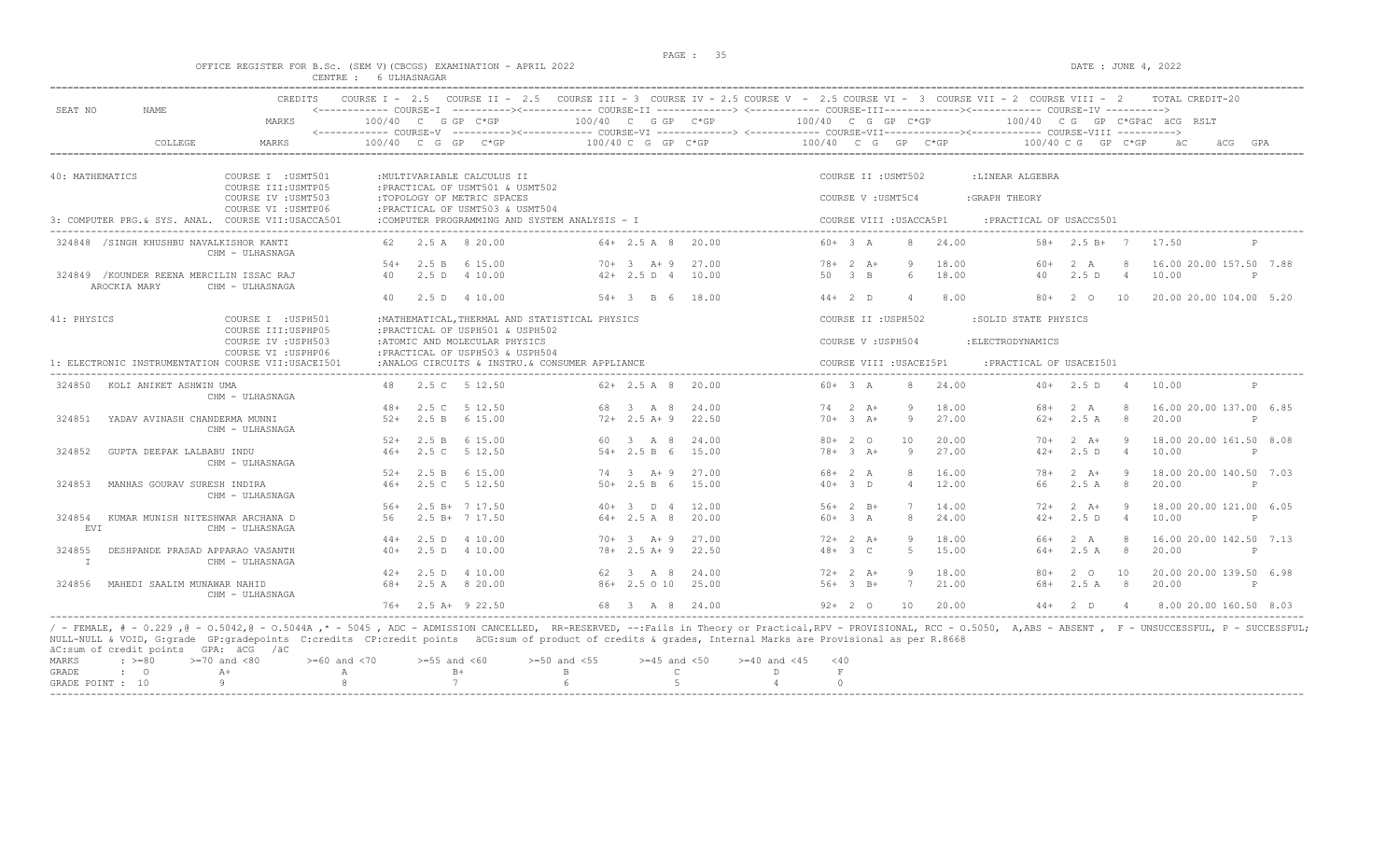### OFFICE REGISTER FOR B.Sc. (SEM V)(CBCGS) EXAMINATION - APRIL 2022 DATE : JUNE 4, 2022 CENTRE : 6 ULHASNAGAR

| SEAT NO                | NAME                                                      | <b>CREDITS</b><br>MARKS                            | 100/40 C G GP C*GP   |                  |                             |                                                                   | $100/40$ C G GP $C*GP$                          |                      |       | COURSE I - 2.5 COURSE II - 2.5 COURSE III - 3 COURSE IV - 2.5 COURSE V - 2.5 COURSE VI - 3 COURSE VII - 2 COURSE VIII - 2<br><------------ COURSE-I ----------><----------- COURSE-II -------------> <------------ COURSE-III-----------><------------ COURSE-IV ---------->><br>100/40 C G GP C*GP |                |              |                         |       |                          |       |                      |                | 100/40 CG GP C*GPAC ACG RSLT | TOTAL CREDIT-20        |              |     |
|------------------------|-----------------------------------------------------------|----------------------------------------------------|----------------------|------------------|-----------------------------|-------------------------------------------------------------------|-------------------------------------------------|----------------------|-------|-----------------------------------------------------------------------------------------------------------------------------------------------------------------------------------------------------------------------------------------------------------------------------------------------------|----------------|--------------|-------------------------|-------|--------------------------|-------|----------------------|----------------|------------------------------|------------------------|--------------|-----|
|                        | COLLEGE                                                   | MARKS                                              | $100/40$ C G GP C*GP |                  |                             |                                                                   |                                                 | $100/40$ C G GP C*GP |       | 100/40 C G GP C*GP                                                                                                                                                                                                                                                                                  |                |              |                         |       |                          |       | $100/40$ C G GP C*GP |                |                              |                        |              | GPA |
|                        |                                                           |                                                    |                      |                  |                             |                                                                   |                                                 |                      |       |                                                                                                                                                                                                                                                                                                     |                |              |                         |       |                          |       |                      |                |                              |                        |              |     |
| 40: MATHEMATICS        |                                                           | COURSE I : USMT501<br>COURSE III: USMTP05          |                      |                  | : MULTIVARIABLE CALCULUS II | : PRACTICAL OF USMT501 & USMT502                                  |                                                 |                      |       |                                                                                                                                                                                                                                                                                                     |                |              | COURSE II : USMT502     |       | :LINEAR ALGEBRA          |       |                      |                |                              |                        |              |     |
|                        |                                                           | COURSE IV : USMT503<br>COURSE VI : USMTP06         |                      |                  | :TOPOLOGY OF METRIC SPACES  |                                                                   |                                                 |                      |       |                                                                                                                                                                                                                                                                                                     |                |              | COURSE V : USMT5C4      |       | :GRAPH THEORY            |       |                      |                |                              |                        |              |     |
|                        |                                                           | 3: COMPUTER PRG & SYS. ANAL. COURSE VII:USACCA501  |                      |                  |                             | : PRACTICAL OF USMT503 & USMT504                                  | :COMPUTER PROGRAMMING AND SYSTEM ANALYSIS - I   |                      |       |                                                                                                                                                                                                                                                                                                     |                |              | COURSE VIII : USACCA5P1 |       | : PRACTICAL OF USACCS501 |       |                      |                |                              |                        |              |     |
|                        | 324848 /SINGH KHUSHBU NAVALKISHOR KANTI                   | CHM - ULHASNAGA                                    |                      |                  | 2.5 A 8 20.00               |                                                                   |                                                 | $64 + 2.5$ A 8       | 20.00 |                                                                                                                                                                                                                                                                                                     | $60+3 A$       |              | 8                       | 24.00 |                          | $58+$ | $2.5 B+7$            |                | 17.50                        |                        |              |     |
|                        |                                                           |                                                    | $.54+$               |                  | 2.5 B 6 15.00               |                                                                   |                                                 | $70+3$ $2+9$         | 27.00 |                                                                                                                                                                                                                                                                                                     |                | $78 + 2 A +$ | Q                       | 18.00 |                          | $60+$ | 2A                   | $\mathcal{R}$  | 16.00 20.00 157.50 7.88      |                        |              |     |
|                        | 324849 / KOUNDER REENA MERCILIN ISSAC RAJ<br>AROCKIA MARY | CHM - ULHASNAGA                                    | 40                   | 2.5 <sub>D</sub> | 4 10.00                     |                                                                   |                                                 | $42+2.5 D 4$         | 10.00 |                                                                                                                                                                                                                                                                                                     | $50 \t 3 \t B$ |              | 6                       | 18.00 |                          | 40    | 2.5D                 | $\overline{4}$ | 10.00                        |                        | P            |     |
|                        |                                                           |                                                    | 40                   |                  | 2.5 D 4 10.00               |                                                                   |                                                 | $54 + 3$ B 6         | 18.00 |                                                                                                                                                                                                                                                                                                     |                | $44+2$ D     | $\overline{4}$          | 8.00  |                          | $80+$ | 2 0                  | 10             | 20.00 20.00 104.00 5.20      |                        |              |     |
| 41: PHYSICS            |                                                           | COURSE I : USPH501<br>COURSE III: USPHP05          |                      |                  |                             | : PRACTICAL OF USPH501 & USPH502                                  | : MATHEMATICAL, THERMAL AND STATISTICAL PHYSICS |                      |       |                                                                                                                                                                                                                                                                                                     |                |              | COURSE II : USPH502     |       | :SOLID STATE PHYSICS     |       |                      |                |                              |                        |              |     |
|                        |                                                           | COURSE IV : USPH503<br>COURSE VI : USPHP06         |                      |                  |                             | :ATOMIC AND MOLECULAR PHYSICS<br>: PRACTICAL OF USPH503 & USPH504 |                                                 |                      |       |                                                                                                                                                                                                                                                                                                     |                |              | COURSE V: USPH504       |       | : ELECTRODYNAMICS        |       |                      |                |                              |                        |              |     |
|                        |                                                           | 1: ELECTRONIC INSTRUMENTATION COURSE VII:USACEI501 |                      |                  |                             |                                                                   | :ANALOG CIRCUITS & INSTRU.& CONSUMER APPLIANCE  |                      |       |                                                                                                                                                                                                                                                                                                     |                |              | COURSE VIII : USACEI5P1 |       | : PRACTICAL OF USACEI501 |       |                      |                |                              |                        |              |     |
| 324850                 | KOLI ANIKET ASHWIN UMA                                    | CHM - ULHASNAGA                                    |                      |                  | 2.5 C 5 12.50               |                                                                   |                                                 | $62 + 2.5$ A 8       | 20.00 |                                                                                                                                                                                                                                                                                                     | $60 + 3$ A     |              | 8                       | 24.00 |                          |       | $40+2.5 D$           | $\overline{4}$ | 10.00                        |                        | P            |     |
|                        |                                                           |                                                    | $48+$                |                  | 2.5 C 5 12.50               |                                                                   |                                                 | 68 3 A 8             | 24.00 |                                                                                                                                                                                                                                                                                                     |                | $74$ 2 $A+$  |                         | 18.00 |                          | 68+   | 2 A                  | $\mathcal{R}$  | 16.00 20.00 137.00 6.85      |                        |              |     |
| 324851                 | YADAV AVINASH CHANDERMA MUNNI                             | CHM - ULHASNAGA                                    | $52+$                |                  | 2.5 B 6 15.00               |                                                                   |                                                 | $72+2.5$ A+9         | 22.50 |                                                                                                                                                                                                                                                                                                     |                | $70+3$ A+    | 9                       | 27.00 |                          | $62+$ | 2.5A                 | 8              | 20.00                        |                        | $\mathsf{P}$ |     |
|                        |                                                           |                                                    | $52+$                | 2.5 B            | 6 15.00                     |                                                                   |                                                 | 60 3 A 8             | 24.00 |                                                                                                                                                                                                                                                                                                     | $80+20$        |              | 10                      | 20.00 |                          | $70+$ | $2 \overline{A}$ +   | -9             | 18.00 20.00 161.50 8.08      |                        |              |     |
| 324852                 | GUPTA DEEPAK LALBABU INDU                                 | CHM - ULHASNAGA                                    | $46+$                |                  | 2.5 C 5 12.50               |                                                                   |                                                 | $54 + 2.5 B 6$       | 15.00 |                                                                                                                                                                                                                                                                                                     |                | $78 + 3$ A+  | 9                       | 27.00 |                          | $42+$ | 2.5D                 | 4              | 10.00                        |                        | P            |     |
|                        |                                                           |                                                    | $52+$                |                  | 2.5 B 6 15.00               |                                                                   |                                                 | $74 \t3 \tA+9$       | 27.00 |                                                                                                                                                                                                                                                                                                     | $68 + 2 A$     |              | 8                       | 16.00 |                          | 78+   | $2 \overline{A}$     | -9             | 18.00 20.00 140.50 7.03      |                        |              |     |
| 324853                 | MANHAS GOURAV SURESH INDIRA                               | CHM - ULHASNAGA                                    | $46+$                |                  | 2.5 C 5 12.50               |                                                                   |                                                 | $50+2.5 B 6$         | 15.00 |                                                                                                                                                                                                                                                                                                     | $40+3$ D       |              | $\overline{4}$          | 12.00 |                          | 66    | 2.5A                 | 8              | 20.00                        |                        | P            |     |
|                        |                                                           |                                                    | $.56+$               |                  | $2.5 B+ 7 17.50$            |                                                                   |                                                 | $40+3$ D 4           | 12.00 |                                                                                                                                                                                                                                                                                                     |                | $56+2 B+$    |                         | 14.00 |                          | $72+$ | $2 \overline{A}$ +   | 9              | 18.00 20.00 121.00 6.05      |                        |              |     |
| 324854<br>EVI          | KUMAR MUNISH NITESHWAR ARCHANA D                          | CHM - ULHASNAGA                                    | 56                   |                  | $2.5 B+ 7 17.50$            |                                                                   |                                                 | $64+2.5 A 8$         | 20.00 |                                                                                                                                                                                                                                                                                                     | $60 + 3$ A     |              | 8                       | 24.00 |                          | $42+$ | 2.5D                 | $\overline{4}$ | 10.00                        |                        |              |     |
|                        |                                                           |                                                    | $44+$                |                  | 2.5 D 4 10.00               |                                                                   |                                                 | $70+3$ $A+9$         | 27.00 |                                                                                                                                                                                                                                                                                                     |                | $72+2+1$     |                         | 18.00 |                          | 66+   | 2 A                  | -8             | 16.00 20.00 142.50 7.13      |                        |              |     |
| 324855<br>$\mathbb{I}$ | DESHPANDE PRASAD APPARAO VASANTH                          | CHM - ULHASNAGA                                    | $40+$                |                  | 2.5 D 4 10.00               |                                                                   |                                                 | $78 + 2.5 A + 9$     | 22.50 |                                                                                                                                                                                                                                                                                                     | $48 + 3 C$     |              | $5 -$                   | 15.00 |                          | $64+$ | 2.5A                 | - 8            | 20.00                        |                        | P            |     |
|                        |                                                           |                                                    | $42+$                | 2.5D             | 4 10.00                     |                                                                   |                                                 | 62 3 A 8             | 24.00 |                                                                                                                                                                                                                                                                                                     |                | $72+2+1$     | 9                       | 18.00 |                          | $80+$ | 2 0                  | 10             | 20.00 20.00 139.50 6.98      |                        |              |     |
| 324856                 | MAHEDI SAALIM MUNAWAR NAHID                               | CHM - ULHASNAGA                                    | 68+                  |                  | 2.5 A 8 20.00               |                                                                   |                                                 | 86+ 2.5 0 10         | 25.00 |                                                                                                                                                                                                                                                                                                     |                | $56+3$ B+    | $7\phantom{.0}$         | 21.00 |                          | 68+   | $2.5 A$ 8            |                | 20.00                        |                        | $\mathsf{P}$ |     |
|                        |                                                           |                                                    |                      |                  | $76+$ 2.5 A+ 9 22.50        |                                                                   |                                                 | 68 3 A 8 24.00       |       |                                                                                                                                                                                                                                                                                                     |                | $92+20$      | 10                      | 20.00 |                          | $44+$ | 2 D 4                |                |                              | 8.00 20.00 160.50 8.03 |              |     |

----------------------------------------------------------------------------------------------------------------------------------------------------------------------------------------------------------------------- / - FEMALE, # - 0.229 ,@ - O.5042,@ - O.5044A ,\* - 5045 , ADC - ADMISSION CANCELLED, RR-RESERVED, --:Fails in Theory or Practical,RPV - PROVISIONAL, RCC - O.5050, A,ABS - ABSENT , F - UNSUCCESSFUL, P - SUCCESSFUL; NULL-NULL & VOID, G:grade GP:gradepoints C:credits CP:credit points äCG:sum of product of credits & grades, Internal Marks are Provisional as per R.8668 äC:sum of credit points GPA: äCG /äC

|  |  | MARKS : >=80 >=70 and <80 >=60 and <70 >=55 and <60 >=50 and <55 >=45 and <50 >=40 and <45 <40 |  |  |  |  |  |
|--|--|------------------------------------------------------------------------------------------------|--|--|--|--|--|
|  |  | GRADE : O A+ A A B+ B C D F                                                                    |  |  |  |  |  |
|  |  | GRADE POINT : $10$ 9 8 7 6 5 5 4 0                                                             |  |  |  |  |  |
|  |  |                                                                                                |  |  |  |  |  |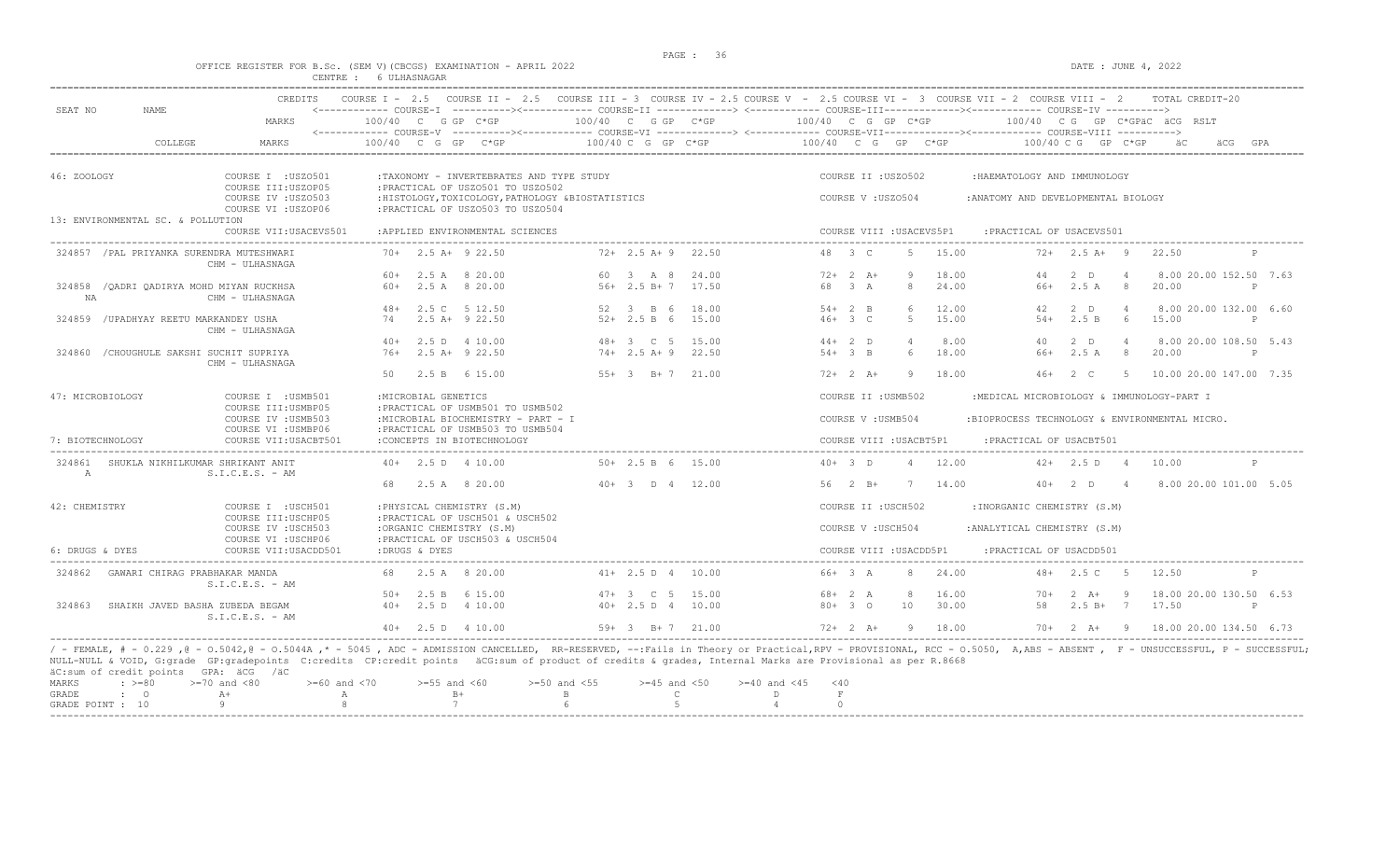$DATA: JUNE 4, 2022$ 

|  |        |              | OFFICE REGISTER FOR B.SC. (SEM V)(CBCGS) EXAMINATION - APRIL 202 |  |  |
|--|--------|--------------|------------------------------------------------------------------|--|--|
|  | CENTRE | 6 ULHASNAGAR |                                                                  |  |  |

| SEAT NO<br><b>NAME</b>                                         | <b>CREDITS</b>                             | COURSE $T = 2.5$                                                                      | COURSE II - 2.5 COURSE III - 3 COURSE IV - 2.5 COURSE V - 2.5 COURSE VI - 3 COURSE VII - 2 COURSE VIII - 2                                                                                       |                                     |                                                                                                                                                                                                                   |
|----------------------------------------------------------------|--------------------------------------------|---------------------------------------------------------------------------------------|--------------------------------------------------------------------------------------------------------------------------------------------------------------------------------------------------|-------------------------------------|-------------------------------------------------------------------------------------------------------------------------------------------------------------------------------------------------------------------|
|                                                                | MARKS                                      | $100/40$ C G GP C*GP                                                                  | 100/40 C G GP C*GP                                                                                                                                                                               | 100/40 C G GP C*GP                  | 100/40 CG GP C*GPAC ACG RSLT                                                                                                                                                                                      |
| COLLEGE                                                        | MARKS                                      | 100/40 C G GP C*GP                                                                    | 100/40 C G GP C*GP                                                                                                                                                                               | 100/40 C G GP C*GP                  | 100/40 C G GP C*GP<br>GPA<br>äCG                                                                                                                                                                                  |
| 46: ZOOLOGY                                                    | COURSE I : USZ0501<br>COURSE III:USZOP05   | :TAXONOMY - INVERTEBRATES AND TYPE STUDY<br>: PRACTICAL OF USZ0501 TO USZ0502         |                                                                                                                                                                                                  | COURSE II : USZ0502                 | :HAEMATOLOGY AND IMMUNOLOGY                                                                                                                                                                                       |
| 13: ENVIRONMENTAL SC. & POLLUTION                              | COURSE IV : USZ0503<br>COURSE VI : USZOP06 | :HISTOLOGY, TOXICOLOGY, PATHOLOGY &BIOSTATISTICS<br>: PRACTICAL OF USZ0503 TO USZ0504 |                                                                                                                                                                                                  | COURSE V: USZ0504                   | : ANATOMY AND DEVELOPMENTAL BIOLOGY                                                                                                                                                                               |
|                                                                | COURSE VII: USACEVS501                     | : APPLIED ENVIRONMENTAL SCIENCES                                                      |                                                                                                                                                                                                  | COURSE VIII : USACEVS5P1            | : PRACTICAL OF USACEVS501                                                                                                                                                                                         |
| 324857 / PAL PRIYANKA SURENDRA MUTESHWARI                      | CHM - ULHASNAGA                            | $70+$ 2.5 A+ 9 22.50                                                                  | $72+2.5$ A + 9 22.50                                                                                                                                                                             | 48 3 C<br>15.00<br>$5 -$            | $72+2.5$ A+ 9<br>22.50                                                                                                                                                                                            |
|                                                                |                                            | $60+$ 2.5 A 8 20.00                                                                   | 60 3 A 8 24.00                                                                                                                                                                                   | $72+2+1$<br>9<br>18.00              | $2$ D<br>8.00 20.00 152.50 7.63<br>44<br>$\overline{4}$                                                                                                                                                           |
| 324858 / OADRI OADIRYA MOHD MIYAN RUCKHSA<br>NA                | CHM - ULHASNAGA                            | $60+$ 2.5 A 8 20.00                                                                   | 56+ 2.5 B+ 7 17.50                                                                                                                                                                               | 68 3 A<br>24.00<br>8                | 66+ 2.5 A 8<br>20.00<br>$\mathbb{P}$                                                                                                                                                                              |
|                                                                |                                            | 48+ 2.5 C 5 12.50                                                                     | 52 3 B 6<br>18.00                                                                                                                                                                                | $54+2$ B<br>6<br>12.00              | 8.00 20.00 132.00 6.60<br>42<br>$2$ D<br>$\overline{4}$                                                                                                                                                           |
| 324859 / UPADHYAY REETU MARKANDEY USHA                         | CHM - ULHASNAGA                            | 74 2.5 A+ 9 22.50                                                                     | $52+$ 2.5 B 6 15.00                                                                                                                                                                              | 15.00<br>$46+3$ C<br>$5 -$          | $54+$<br>2.5 B 6<br>15.00<br>P                                                                                                                                                                                    |
|                                                                |                                            | $40+$ 2.5 D 4 10.00                                                                   | 48+ 3 C 5 15.00                                                                                                                                                                                  | $44+2$ D<br>8.00<br>$\overline{4}$  | $\overline{4}$<br>8.00 20.00 108.50 5.43<br>40<br>2 D                                                                                                                                                             |
| 324860 / CHOUGHULE SAKSHI SUCHIT SUPRIYA                       | CHM - ULHASNAGA                            | $76+$ 2.5 A+ 9 22.50                                                                  | $74+2.5$ A+9 22.50                                                                                                                                                                               | 18.00<br>$54+3$ B<br>6              | $2.5A$ 8<br>66+<br>20.00<br>P                                                                                                                                                                                     |
|                                                                |                                            | 50<br>2.5 B 6 15.00                                                                   | $55+3$ $B+7$ 21.00                                                                                                                                                                               | $72+2 + 2 + 1$<br>9<br>18.00        | $46+$<br>$2 \quad C$<br>5<br>10.00 20.00 147.00 7.35                                                                                                                                                              |
| 47: MICROBIOLOGY                                               | COURSE I : USMB501<br>COURSE III: USMBP05  | : MICROBIAL GENETICS<br>: PRACTICAL OF USMB501 TO USMB502                             |                                                                                                                                                                                                  | COURSE II : USMB502                 | :MEDICAL MICROBIOLOGY & IMMUNOLOGY-PART I                                                                                                                                                                         |
|                                                                | COURSE IV : USMB503<br>COURSE VI : USMBP06 | :MICROBIAL BIOCHEMISTRY - PART - I<br>: PRACTICAL OF USMB503 TO USMB504               |                                                                                                                                                                                                  | COURSE V: USMB504                   | :BIOPROCESS TECHNOLOGY & ENVIRONMENTAL MICRO.                                                                                                                                                                     |
| 7: BIOTECHNOLOGY                                               | COURSE VII: USACBT501                      | :CONCEPTS IN BIOTECHNOLOGY                                                            |                                                                                                                                                                                                  | COURSE VIII : USACBT5P1             | :PRACTICAL OF USACBT501                                                                                                                                                                                           |
| 324861 SHUKLA NIKHILKUMAR SHRIKANT ANIT<br>A                   | $S.I.C.E.S. - AM$                          | $40+$ 2.5 D 4 10.00                                                                   | $50+ 2.5 B 6 15.00$                                                                                                                                                                              | $40+3$ D<br>12.00<br>$\overline{4}$ | $42+$ 2.5 D 4<br>10.00<br>$\mathbb{D}$                                                                                                                                                                            |
|                                                                |                                            | 2.5 A 8 20.00                                                                         | $40+3$ D 4 12.00                                                                                                                                                                                 | $56 \t 2 \t B+$<br>7 14.00          | $40+2$ D<br>$\overline{4}$<br>8.00 20.00 101.00 5.05                                                                                                                                                              |
| 42: CHEMISTRY                                                  | COURSE I : USCH501<br>COURSE III: USCHP05  | : PHYSICAL CHEMISTRY (S.M)<br>:PRACTICAL OF USCH501 & USCH502                         |                                                                                                                                                                                                  | COURSE II : USCH502                 | : INORGANIC CHEMISTRY (S.M)                                                                                                                                                                                       |
|                                                                | COURSE IV : USCH503<br>COURSE VI : USCHP06 | :ORGANIC CHEMISTRY (S.M)<br>: PRACTICAL OF USCH503 & USCH504                          |                                                                                                                                                                                                  | COURSE V : USCH504                  | : ANALYTICAL CHEMISTRY (S.M)                                                                                                                                                                                      |
| 6: DRUGS & DYES                                                | COURSE VII: USACDD501                      | :DRUGS & DYES                                                                         |                                                                                                                                                                                                  | COURSE VIII : USACDD5P1             | : PRACTICAL OF USACDD501                                                                                                                                                                                          |
| GAWARI CHIRAG PRABHAKAR MANDA<br>324862                        | $S.I.C.E.S. - AM$                          | 68 2.5 A 8 20.00                                                                      | $41+ 2.5 D 4 10.00$                                                                                                                                                                              | $66+3 A$<br>24.00<br>8              | $48+$ 2.5 C 5<br>12.50                                                                                                                                                                                            |
|                                                                |                                            | $50+$ 2.5 B 6 15.00                                                                   | 15.00<br>$47 + 3$ C 5                                                                                                                                                                            | 16.00<br>$68 + 2 A$<br>8            | 18.00 20.00 130.50 6.53<br>$70+$<br>$2 \overline{A}$ +<br>- 9                                                                                                                                                     |
| 324863<br>SHAIKH JAVED BASHA ZUBEDA BEGAM                      | $S.I.C.E.S. - AM$                          | $40+$ 2.5 D 4 10.00                                                                   | $40+2.5 D 4 10.00$                                                                                                                                                                               | $80 + 30$<br>10<br>30.00            | 58<br>$2.5 B+ 7 17.50$                                                                                                                                                                                            |
|                                                                |                                            | $40+$ 2.5 D 4 10.00                                                                   | $59+ 3 B+ 7 21.00$                                                                                                                                                                               | $72+2+1$<br>9 18.00                 | 70+ 2 A+ 9 18.00 20.00 134.50 6.73                                                                                                                                                                                |
| äC:sum of credit points GPA: äCG /äC<br>MARKS<br>$: \ \ \>=80$ | $>=60$ and $<70$<br>$>=70$ and $<80$       | $>=55$ and $<60$                                                                      | NULL-NULL & VOID, G:grade GP:gradepoints C:credits CP:credit points äCG:sum of product of credits & grades, Internal Marks are Provisional as per R.8668<br>$>=50$ and $<55$<br>$>=45$ and $<50$ | $>= 40$ and $< 45$<br>< 40          | / - FEMALE, # - 0.229,0 - 0.5042,0 - 0.5044A,* - 5045, ADC - ADMISSION CANCELLED, RR-RESERVED, --:Fails in Theory or Practical,RPV - PROVISIONAL, RCC - 0.5050, A,ABS - ABSENT, F - UNSUCCESSFUL, P - SUCCESSFUL; |
| GRADE<br>$\mathbf{C}$                                          | $A+$<br>$\mathbb{A}$                       | $B+$                                                                                  | $\mathbb B$<br>$\mathsf{C}$                                                                                                                                                                      | $\mathbf F$<br>D                    |                                                                                                                                                                                                                   |
| GRADE POINT : 10                                               |                                            | 7                                                                                     | $\overline{5}$                                                                                                                                                                                   | $\cap$                              |                                                                                                                                                                                                                   |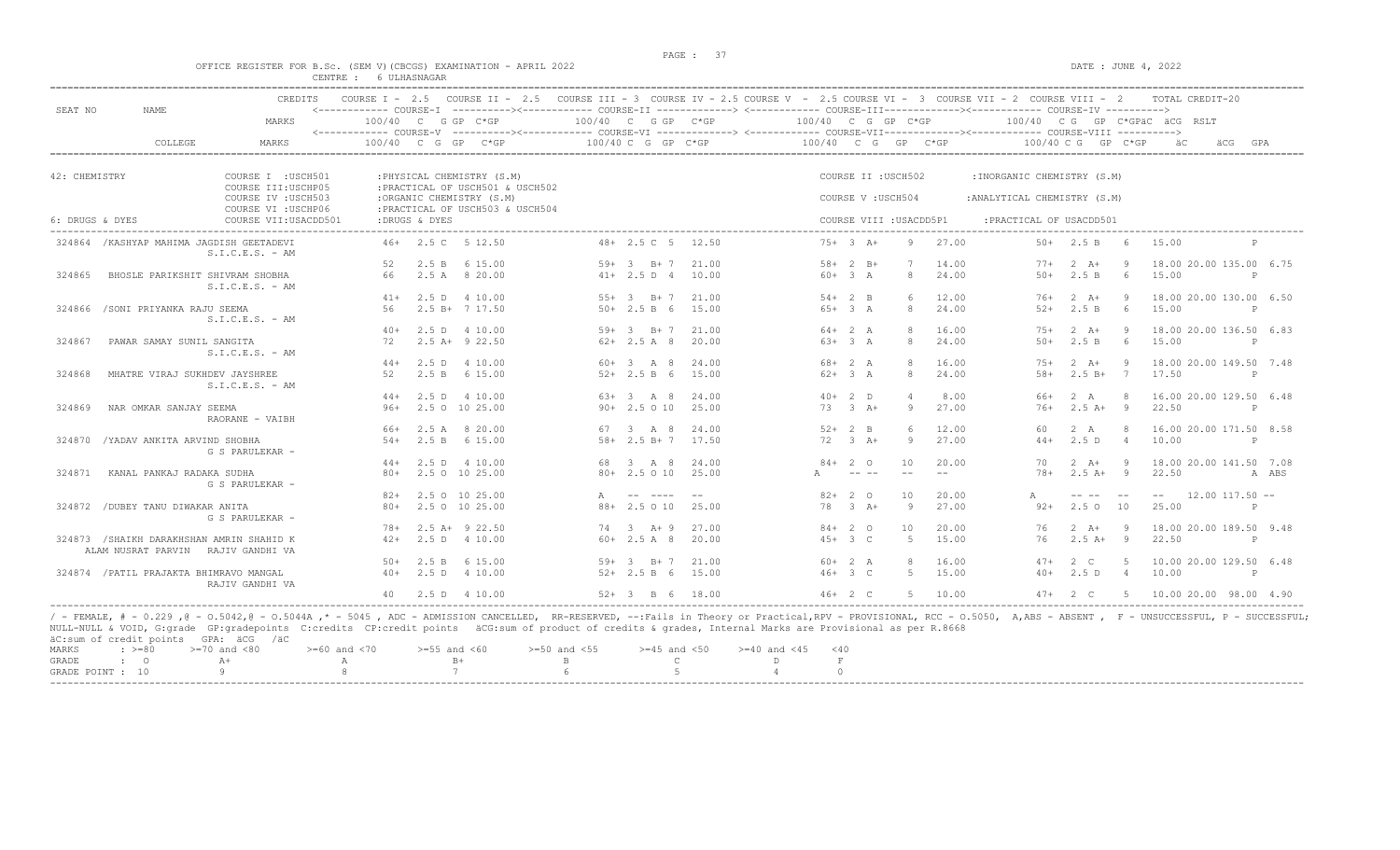#### OFFICE REGISTER FOR B.Sc. (SEM V) (CBCGS) EXAMINATION - APRIL 2022 DATE : JUNE 4, 2022 CENTRE : 6 ULHASNAGAR

|                                           | <b>CREDITS</b>                            | COURSE $T = 2.5$ |               | COURSE II - 2.5 COURSE III - 3 COURSE IV - 2.5 COURSE V - 2.5 COURSE VI - 3 COURSE VII - 2 COURSE VIII - 2                                                                      |    |                          |                |                      |                        |                         |                |                              |                           |                | TOTAL CREDIT-20                  |            |
|-------------------------------------------|-------------------------------------------|------------------|---------------|---------------------------------------------------------------------------------------------------------------------------------------------------------------------------------|----|--------------------------|----------------|----------------------|------------------------|-------------------------|----------------|------------------------------|---------------------------|----------------|----------------------------------|------------|
| SEAT NO<br><b>NAME</b>                    | MARKS                                     |                  |               | <------------ COURSE-I ----------><----------- COURSE-II -------------> <------------ COURSE-III-----------><---------><---------- COURSE-IV ---------->><br>100/40 C G GP C*GP |    | $100/40$ C G GP C*GP     |                | $100/40$ C G GP C*GP |                        |                         |                |                              |                           |                | 100/40 CG GP C*GPÄC ÄCG RSLT     |            |
| COLLEGE                                   | <b>MARKS</b>                              | 100/40           | C G GP        | <------------ COURSE-V ----------><----------- COURSE-VI -------------> <------------ COURSE-VIII-------------------> COURSE-VIII ------------- COURSE-VIII<br>$C*GP$           |    | 100/40 C G GP C*GP       |                | $100/40$ C G GP C*GP |                        |                         |                |                              | $100/40$ C G GP C*GP      |                | äCG                              | GPA        |
|                                           |                                           |                  |               |                                                                                                                                                                                 |    |                          |                |                      |                        |                         |                |                              |                           |                |                                  |            |
|                                           |                                           |                  |               |                                                                                                                                                                                 |    |                          |                |                      |                        |                         |                |                              |                           |                |                                  |            |
| 42: CHEMISTRY                             | COURSE I : USCH501<br>COURSE III: USCHP05 |                  |               | : PHYSICAL CHEMISTRY (S.M)<br>: PRACTICAL OF USCH501 & USCH502                                                                                                                  |    |                          |                |                      |                        | COURSE II : USCH502     |                | : INORGANIC CHEMISTRY (S.M)  |                           |                |                                  |            |
|                                           | COURSE IV : USCH503                       |                  |               | :ORGANIC CHEMISTRY (S.M)                                                                                                                                                        |    |                          |                |                      |                        | COURSE V: USCH504       |                | : ANALYTICAL CHEMISTRY (S.M) |                           |                |                                  |            |
|                                           | COURSE VI : USCHP06                       |                  |               | : PRACTICAL OF USCH503 & USCH504                                                                                                                                                |    |                          |                |                      |                        |                         |                |                              |                           |                |                                  |            |
| 6: DRUGS & DYES                           | COURSE VII: USACDD501                     |                  | :DRUGS & DYES |                                                                                                                                                                                 |    |                          |                |                      |                        | COURSE VIII : USACDD5P1 | -------------  | :PRACTICAL OF USACDD501      |                           |                |                                  |            |
| 324864 / KASHYAP MAHIMA JAGDISH GEETADEVI |                                           | 46+              |               | 2.5 C 5 12.50                                                                                                                                                                   |    | $48 + 2.5$ C 5           | 12.50          |                      | $75+3$ A+              | 9                       | 27.00          | 50+                          | 2.5 B                     | 6              | 15.00                            |            |
|                                           | $S.I.C.E.S. - AM$                         | 52               |               | 2.5 B 6 15.00                                                                                                                                                                   |    | 59+ 3 B+ 7               | 21.00          |                      | $58 + 2 B +$           |                         | 14.00          | $77+$                        | $2 \overline{A}$ +        | -9             | 18.00 20.00 135.00 6.75          |            |
| 324865                                    | BHOSLE PARIKSHIT SHIVRAM SHOBHA           | 66               |               | 2.5 A 8 20.00                                                                                                                                                                   |    | $41+ 2.5 D 4$            | 10.00          |                      | $60 + 3 A$             | 8                       | 24.00          | $50+$                        | 2.5 B                     | 6              | 15.00                            | P          |
|                                           | $S.I.C.E.S. - AM$                         |                  |               |                                                                                                                                                                                 |    |                          |                |                      |                        |                         |                |                              |                           |                |                                  |            |
|                                           |                                           | $41+$            |               | 2.5 D 4 10.00                                                                                                                                                                   |    | 55+ 3 B+ 7               | 21.00          |                      | $54+2$ B               | -6                      | 12.00          | 76+                          | $2 \overline{A}$ +        | -9             | 18.00 20.00 130.00 6.50          |            |
| 324866 / SONI PRIYANKA RAJU SEEMA         |                                           | 56               |               | $2.5 B+ 7 17.50$                                                                                                                                                                |    | $50+2.5 B 6$             | 15.00          |                      | $65+3A$                | 8                       | 24.00          | $52+$                        | 2.5 B                     | 6              | 15.00                            | P          |
|                                           | $S.I.C.E.S. - AM$                         |                  |               |                                                                                                                                                                                 |    |                          |                |                      |                        | 8                       |                |                              |                           |                |                                  |            |
| 324867<br>PAWAR SAMAY SUNIL SANGITA       |                                           | $40+$<br>72      |               | 2.5 D 4 10.00<br>$2.5$ A+ $9$ 22.50                                                                                                                                             |    | 59+ 3 B+ 7<br>$62+2.5A8$ | 21.00<br>20.00 |                      | $64 + 2 A$<br>$63+3 A$ | 8                       | 16.00<br>24.00 | $7.5+$<br>$50+$              | $2 \overline{A}$<br>2.5 B | -9<br>- 6      | 18.00 20.00 136.50 6.83<br>15.00 |            |
|                                           | $S.I.C.E.S. - AM$                         |                  |               |                                                                                                                                                                                 |    |                          |                |                      |                        |                         |                |                              |                           |                |                                  |            |
|                                           |                                           | $44+$            |               | 2.5 D 4 10.00                                                                                                                                                                   |    | $60 + 3$ A 8             | 24.00          |                      | 68+ 2 A                | 8                       | 16.00          | $75+$                        | $2 \overline{A}$ +        | -9             | 18.00 20.00 149.50 7.48          |            |
| 324868                                    | MHATRE VIRAJ SUKHDEV JAYSHREE             | 52               |               | 2.5 B 6 15.00                                                                                                                                                                   |    | $52+2.5 B 6$             | 15.00          |                      | $62+3A$                | 8                       | 24.00          | $58+$                        | $2.5 B+$                  | $7^{\circ}$    | 17.50                            | P          |
|                                           | $S.I.C.E.S. - AM$                         |                  |               |                                                                                                                                                                                 |    |                          |                |                      |                        |                         |                |                              |                           |                |                                  |            |
|                                           |                                           | $44+$            | 2.5D          | 4 10.00                                                                                                                                                                         |    | $63+3$ A 8               | 24.00          |                      | $40+2$ D               | $\overline{4}$          | 8.00           | 66+                          | 2 A                       | 8              | 16.00 20.00 129.50 6.48          |            |
| 324869<br>NAR OMKAR SANJAY SEEMA          | RAORANE - VAIBH                           | $96+$            |               | 2.5 0 10 25.00                                                                                                                                                                  |    | $90+2.5010$              | 25.00          | 73                   | $3+A+$                 | 9                       | 27.00          | $76+$                        | $2.5A+$                   | $\overline{9}$ | 22.50                            | P          |
|                                           |                                           | $66+$            |               | 2.5 A 8 20.00                                                                                                                                                                   |    | 67 3 A 8                 | 24.00          |                      | $52+2$ B               | 6                       | 12.00          | 60.                          | 2 A                       | -8             | 16.00 20.00 171.50 8.58          |            |
| /YADAV ANKITA ARVIND SHOBHA<br>324870     |                                           | $54+$            | 2.5 B         | 6 15.00                                                                                                                                                                         |    | $58 + 2.5 B + 7$         | 17.50          |                      | $72 \t 3 \t A+$        | 9                       | 27.00          | $44+$                        | 2.5D                      | $\sim$ 4       | 10.00                            | P          |
|                                           | G S PARULEKAR -                           |                  |               |                                                                                                                                                                                 |    |                          |                |                      |                        |                         |                |                              |                           |                |                                  |            |
|                                           |                                           | $44+$            |               | 2.5 D 4 10.00                                                                                                                                                                   |    | 68 3 A 8                 | 24.00          |                      | $84+20$                | 10                      | 20.00          | 70                           | $2 \overline{A}$ +        | -9             | 18.00 20.00 141.50 7.08          |            |
| 324871<br>KANAL PANKAJ RADAKA SUDHA       | G S PARULEKAR -                           | $80+$            |               | 2.5 0 10 25.00                                                                                                                                                                  |    | 80+ 2.5 0 10             | 25.00          |                      |                        |                         |                | $78+$                        | $2.5 A+ 9$                |                | 22.50                            | A ABS      |
|                                           |                                           | $82+$            |               | 2.5 0 10 25.00                                                                                                                                                                  |    |                          |                |                      | $82+20$                | 10                      | 20.00          |                              | -- --                     | $- -$          | $12.00$ $117.50$ $-$<br>$- -$    |            |
| 324872<br>/DUBEY TANU DIWAKAR ANITA       |                                           | $80+$            |               | 2.5 0 10 25.00                                                                                                                                                                  |    | 88+ 2.5 0 10             | 25.00          | 78                   | $-3$ $ +$              | 9                       | 27.00          | $92+$                        | $2.5^\circ$               | 10             | 25.00                            |            |
|                                           | G S PARULEKAR -                           |                  |               |                                                                                                                                                                                 |    |                          |                |                      |                        |                         |                |                              |                           |                |                                  |            |
|                                           |                                           | $78+$            |               | $2.5$ A+ $9$ 22.50                                                                                                                                                              | 74 | $3 + 9$                  | 27.00          |                      | $84+20$                | 10                      | 20.00          | 76                           | $2 \overline{A}$          | - 9            | 18.00 20.00 189.50 9.48          |            |
| 324873 /SHAIKH DARAKHSHAN AMRIN SHAHID K  | ALAM NUSRAT PARVIN RAJIV GANDHI VA        | $42+$            |               | 2.5 D 4 10.00                                                                                                                                                                   |    | $60+2.5A8$               | 20.00          |                      | $45+3$ C               | 5                       | 15.00          | 76                           | $2.5A+$                   | - 9            | 22.50                            | P          |
|                                           |                                           | $50+$            | 2.5 B         | 6 15.00                                                                                                                                                                         |    | $59+3$ B+7               | 21.00          |                      | $60+2 A$               | 8                       | 16.00          | $47+$                        | 2 C                       | -5             | 10.00 20.00 129.50 6.48          |            |
| 324874 / PATIL PRAJAKTA BHIMRAVO MANGAL   | RAJIV GANDHI VA                           | $40+$            |               | 2.5 D 4 10.00                                                                                                                                                                   |    | $52+2.5 B 6$             | 15.00          |                      | $46+3$ C               | 5                       | 15.00          | $40+$                        | 2.5D                      | $\overline{4}$ | 10.00                            | $_{\rm P}$ |
|                                           |                                           | 40               |               | 2.5 D 4 10.00                                                                                                                                                                   |    | $52+3$ B 6               | 18.00          |                      | $46 + 2 C$             | -5                      | 10.00          |                              | $47 + 2 C$                | -5             | 10.00 20.00 98.00 4.90           |            |

NULL-NULL & VOID, G:grade GP:gradepoints C:credits CP:credit points äCG:sum of product of credits & grades, Internal Marks are Provisional as per R.8668 äC:sum of credit points GPA: äCG /äC  $> = 60$  and  $< 70$   $> = 55$  and  $< 60$   $> = 50$  and  $< 55$   $> = 45$  and  $< 50$   $> = 40$  and  $< 45$   $< 40$ <br>A B B C D F GRADE : O  $A+$  A  $B+$  B C D F  $A$  O GRADE : O  $A+$  A  $B+$  B C D F GRADE POINT : 10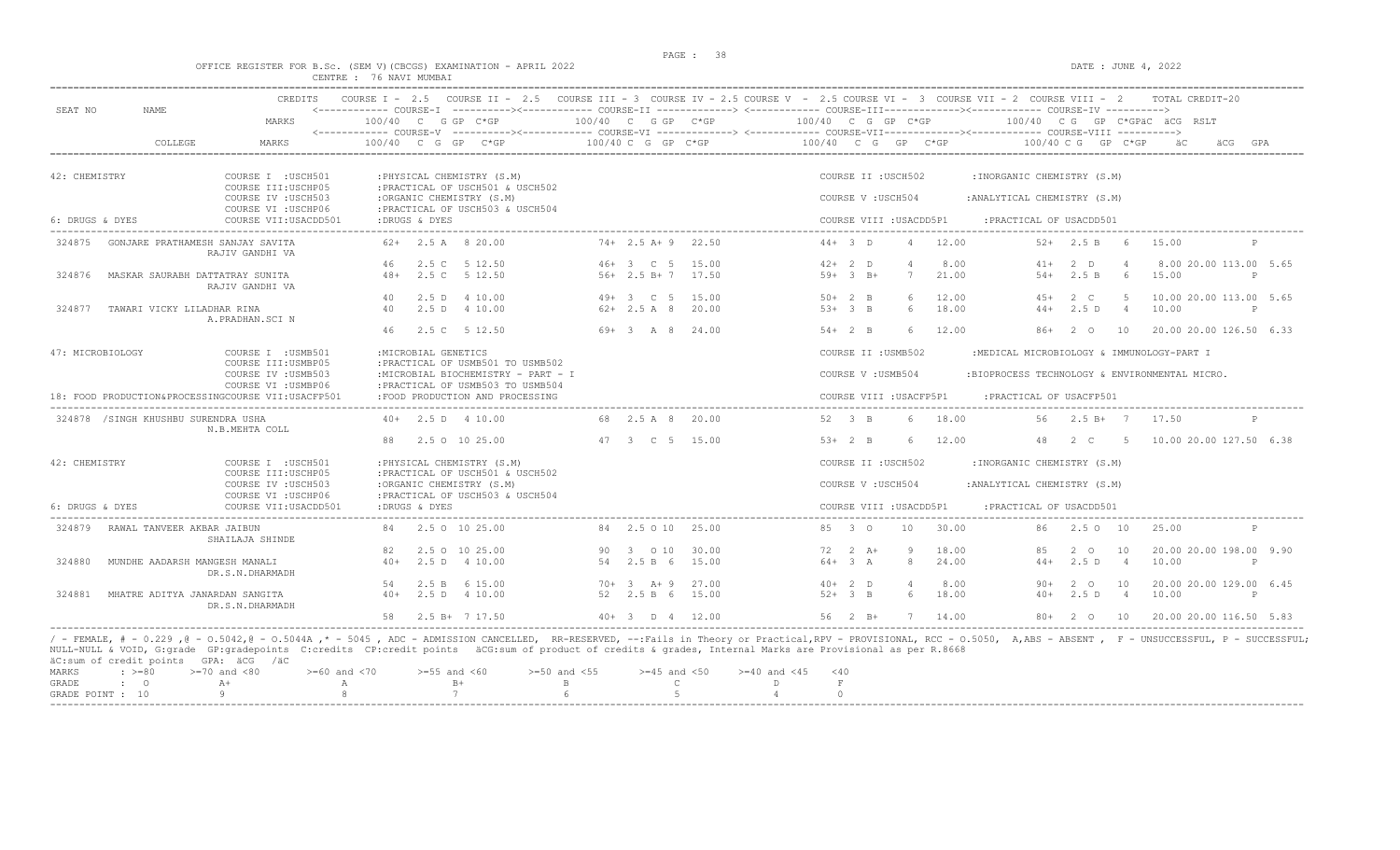### OFFICE REGISTER FOR B.Sc. (SEM V)(CBCGS) EXAMINATION - APRIL 2022 CENTRE : 76 NAVI MUMBAI

| SEAT NO<br>NAME                                              | MARKS                                                             | $100/40$ C G GP C*GP                                                                                         | 100/40 C G GP C*GP                   | 100/40 C G GP C*GP                                                                                                                                                                       | <------------ COURSE-I ----------><----------- COURSE-II -------------> <------------ COURSE-III-----------><---------><---------- COURSE-IV ---------->><br>100/40 CG GP C*GPÄC ÄCG RSLT                             |
|--------------------------------------------------------------|-------------------------------------------------------------------|--------------------------------------------------------------------------------------------------------------|--------------------------------------|------------------------------------------------------------------------------------------------------------------------------------------------------------------------------------------|-----------------------------------------------------------------------------------------------------------------------------------------------------------------------------------------------------------------------|
| COLLEGE                                                      | MARKS                                                             | $100/40$ C G GP C*GP                                                                                         | 100/40 C G GP C*GP                   | 100/40 C G GP C*GP                                                                                                                                                                       | $100/40$ C G GP C*GP<br>ăС                                                                                                                                                                                            |
| 42: CHEMISTRY                                                | COURSE I : USCH501                                                | : PHYSICAL CHEMISTRY (S.M)                                                                                   |                                      | COURSE II : USCH502                                                                                                                                                                      | : INORGANIC CHEMISTRY (S.M)                                                                                                                                                                                           |
|                                                              | COURSE III: USCHP05<br>COURSE IV : USCH503<br>COURSE VI : USCHP06 | : PRACTICAL OF USCH501 & USCH502<br>:ORGANIC CHEMISTRY (S.M)<br>: PRACTICAL OF USCH503 & USCH504             |                                      | COURSE V: USCH504                                                                                                                                                                        | : ANALYTICAL CHEMISTRY (S.M)                                                                                                                                                                                          |
| 6: DRUGS & DYES                                              | COURSE VII: USACDD501                                             | :DRUGS & DYES                                                                                                |                                      | COURSE VIII : USACDD5P1                                                                                                                                                                  | : PRACTICAL OF USACDD501                                                                                                                                                                                              |
| 324875                                                       | GONJARE PRATHAMESH SANJAY SAVITA<br>RAJIV GANDHI VA               | $62+$ 2.5 A 8 20.00                                                                                          | $74+$ 2.5 A + 9 22.50                | $44 + 3$ D<br>12.00<br>$\overline{4}$                                                                                                                                                    | $52+$ 2.5 B 6<br>15.00<br>$\mathsf{P}$                                                                                                                                                                                |
|                                                              |                                                                   | 2.5 C 5 12.50<br>46                                                                                          | $46+3$ C 5<br>15.00                  | $42+2$ D<br>8.00<br>$\overline{4}$                                                                                                                                                       | $2$ D<br>8.00 20.00 113.00 5.65<br>$41+$                                                                                                                                                                              |
| 324876                                                       | MASKAR SAURABH DATTATRAY SUNITA<br>RAJIV GANDHI VA                | 48+ 2.5 C 5 12.50                                                                                            | $56+2.5 B+7$ 17.50                   | $59+3$ B+<br>7<br>21.00                                                                                                                                                                  | $54+$<br>2.5 B<br>6<br>15.00<br>$\mathbb{P}$                                                                                                                                                                          |
|                                                              |                                                                   | 40<br>2.5 D 4 10.00                                                                                          | $49+3$ C 5<br>15.00                  | 12.00<br>$50+2$ B<br>6                                                                                                                                                                   | $4.5+$<br>$2\degree$ C<br>-5<br>10.00 20.00 113.00 5.65                                                                                                                                                               |
| 324877<br>TAWARI VICKY LILADHAR RINA                         | A. PRADHAN. SCI N                                                 | 2.5 D 4 10.00<br>40                                                                                          | $62+2.5A820.00$                      | $53+3$ B<br>6<br>18.00                                                                                                                                                                   | 2.5D<br>10.00<br>$44+$<br>$\sim$ 4<br>$\mathsf{P}$                                                                                                                                                                    |
|                                                              |                                                                   | 2.5 C 5 12.50<br>46                                                                                          | 69+ 3 A 8<br>24.00                   | 12.00<br>$54+2$ B<br>6                                                                                                                                                                   | 20.00 20.00 126.50 6.33<br>$86+$<br>2 0<br>10                                                                                                                                                                         |
| 47: MICROBIOLOGY                                             | COURSE I : USMB501                                                | :MICROBIAL GENETICS                                                                                          |                                      | COURSE II : USMB502                                                                                                                                                                      | :MEDICAL MICROBIOLOGY & IMMUNOLOGY-PART I                                                                                                                                                                             |
|                                                              | COURSE III: USMBP05<br>COURSE IV : USMB503<br>COURSE VI : USMBP06 | : PRACTICAL OF USMB501 TO USMB502<br>:MICROBIAL BIOCHEMISTRY - PART - I<br>: PRACTICAL OF USMB503 TO USMB504 |                                      | COURSE V : USMB504                                                                                                                                                                       | :BIOPROCESS TECHNOLOGY & ENVIRONMENTAL MICRO.                                                                                                                                                                         |
| 18: FOOD PRODUCTION&PROCESSINGCOURSE VII:USACFP501           |                                                                   | :FOOD PRODUCTION AND PROCESSING                                                                              |                                      | COURSE VIII : USACFP5P1                                                                                                                                                                  | : PRACTICAL OF USACFP501                                                                                                                                                                                              |
| 324878 / SINGH KHUSHBU SURENDRA USHA                         |                                                                   | $40+$ 2.5 D 4 10.00                                                                                          | 68 2.5 A 8 20.00                     | 52 3 B<br>18.00<br>6                                                                                                                                                                     | 2.5 B+ 7 17.50<br>56<br>P                                                                                                                                                                                             |
|                                                              | N.B.MEHTA COLL                                                    | 2.5 0 10 25.00<br>88                                                                                         | 47 3 C 5 15.00                       | 12.00<br>$53+2$ B<br>6                                                                                                                                                                   | 10.00 20.00 127.50 6.38<br>48<br>2 C<br>5 <sub>5</sub>                                                                                                                                                                |
| 42: CHEMISTRY                                                | COURSE I : USCH501                                                | : PHYSICAL CHEMISTRY (S.M)                                                                                   |                                      | COURSE II : USCH502                                                                                                                                                                      | : INORGANIC CHEMISTRY (S.M)                                                                                                                                                                                           |
|                                                              | COURSE III: USCHP05<br>COURSE IV : USCH503                        | : PRACTICAL OF USCH501 & USCH502<br>:ORGANIC CHEMISTRY (S.M)                                                 |                                      | COURSE V: USCH504                                                                                                                                                                        | : ANALYTICAL CHEMISTRY (S.M)                                                                                                                                                                                          |
| 6: DRUGS & DYES                                              | COURSE VI : USCHP06<br>COURSE VII: USACDD501                      | : PRACTICAL OF USCH503 & USCH504<br>:DRUGS & DYES                                                            |                                      | COURSE VIII : USACDD5P1                                                                                                                                                                  | : PRACTICAL OF USACDD501                                                                                                                                                                                              |
| 324879<br>RAWAL TANVEER AKBAR JAIBUN                         | SHAILAJA SHINDE                                                   | 2.5 0 10 25.00                                                                                               | 84 2.5 0 10 25.00                    | 30.00<br>85 3 0<br>10                                                                                                                                                                    | 2.5 0 10<br>86<br>25.00<br>P                                                                                                                                                                                          |
|                                                              |                                                                   | 2.5 0 10 25.00<br>82                                                                                         | 90 3 0 10<br>30.00                   | 72 2 A+<br>- 9<br>18.00                                                                                                                                                                  | 20.00 20.00 198.00 9.90<br>85<br>$2^{\circ}$ O<br>10                                                                                                                                                                  |
| 324880<br>MUNDHE AADARSH MANGESH MANALI                      | DR.S.N.DHARMADH                                                   | 2.5 D 4 10.00<br>$40+$                                                                                       | 54 2.5 B 6<br>15.00                  | $64+3 A$<br>8<br>24.00                                                                                                                                                                   | 2.5D<br>10.00<br>$44+$<br>$\overline{4}$<br>P                                                                                                                                                                         |
|                                                              |                                                                   | 2.5 B 6 15.00<br>.54                                                                                         | $70+3$ $A+9$<br>27.00                | $40+2$ D<br>8.00<br>$\overline{4}$                                                                                                                                                       | 20.00 20.00 129.00 6.45<br>$90+$<br>2 0<br>10                                                                                                                                                                         |
| 324881<br>MHATRE ADITYA JANARDAN SANGITA                     | DR.S.N.DHARMADH                                                   | $40+$ 2.5 D 4 10.00                                                                                          | 52 2.5 B 6<br>15.00                  | $52+3$ B<br>$6^{\circ}$<br>18.00                                                                                                                                                         | 2.5D<br>10.00<br>$40+$<br>$\overline{4}$<br>$\mathbb{P}$                                                                                                                                                              |
|                                                              |                                                                   | 58 2.5 B+ 7 17.50                                                                                            | $40+3$ D $4$ 12.00                   | 56 2 B+<br>7 14.00                                                                                                                                                                       | 80+ 2 0 10 20.00 20.00 116.50 5.83                                                                                                                                                                                    |
| äC:sum of credit points GPA: äCG /äC<br>$\div$ >=80<br>MARKS | $>=70$ and $<80$<br>$>= 60$ and $< 70$                            | $>=55$ and $<60$                                                                                             | $>=50$ and $<55$<br>$>=45$ and $<50$ | NULL-NULL & VOID, G:grade GP:gradepoints C:credits CP:credit points äCG:sum of product of credits & grades, Internal Marks are Provisional as per R.8668<br>$>= 40$ and $< 45$<br>$<$ 40 | / - FEMALE, # - 0.229 ,0 - 0.5042,0 - 0.5044A ,* - 5045 , ADC - ADMISSION CANCELLED, RR-RESERVED, --:Fails in Theory or Practical,RPV - PROVISIONAL, RCC - 0.5050, A,ABS - ABSENT , F - UNSUCCESSFUL, P - SUCCESSFUL; |
| $\cdot$ 0<br>GRADE                                           | $A+$<br>$\mathbb{A}$                                              | $B+$                                                                                                         | $\mathsf{C}$<br>B                    | $\,$ F<br>D                                                                                                                                                                              |                                                                                                                                                                                                                       |
| GRADE POINT : 10                                             | -9                                                                | 7                                                                                                            | $5 -$<br>-6                          | $\Omega$<br>$\overline{4}$                                                                                                                                                               |                                                                                                                                                                                                                       |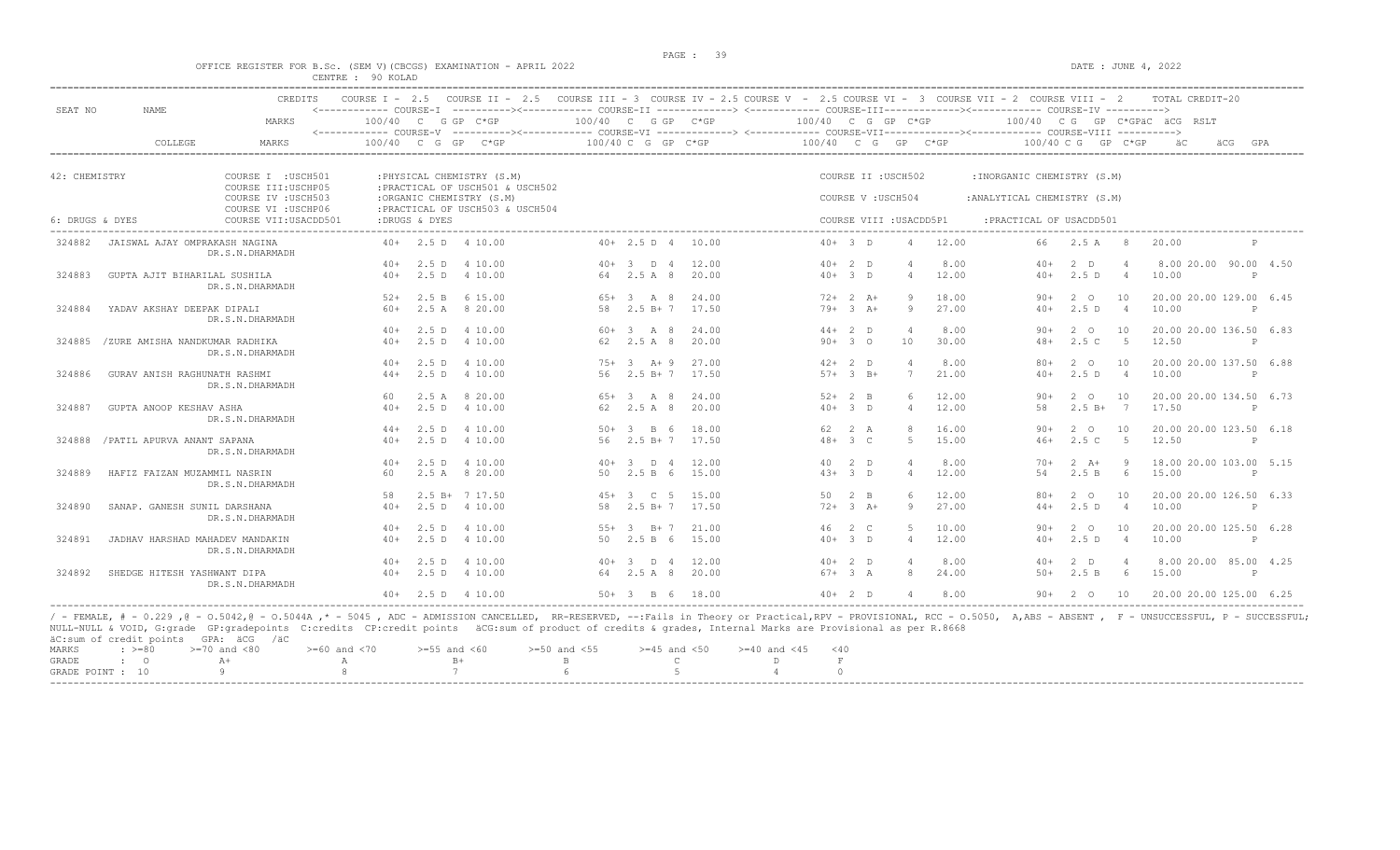$DATA: JUNE 4, 2022$ 

|  |  |                   |  | OFFICE REGISTER FOR B.SC. (SEM V)(CBCGS) EXAMINATION - APRIL 2022 |  |  |
|--|--|-------------------|--|-------------------------------------------------------------------|--|--|
|  |  | CENTRE : 90 KOLAD |  |                                                                   |  |  |

|               |                                 | <b>CREDITS</b>        | COURSE $T = 2.5$                     |               | COURSE II - 2.5 COURSE III - 3 COURSE IV - 2.5 COURSE V - 2.5 COURSE VI - 3 COURSE VII - 2 COURSE VIII - 2                               |       |                        |       |                      |                |                         |                |                              |                     |                      | TOTAL CREDIT-20              |              |     |
|---------------|---------------------------------|-----------------------|--------------------------------------|---------------|------------------------------------------------------------------------------------------------------------------------------------------|-------|------------------------|-------|----------------------|----------------|-------------------------|----------------|------------------------------|---------------------|----------------------|------------------------------|--------------|-----|
| SEAT NO       | NAME                            | MARKS                 | $100/40$ C<br><------------ COURSE-V |               | G GP C*GP<br>----------><------------- COURSE-VI ------------> <------------- COURSE-VII------------><---------- COURSE-VIII ----------> |       | 100/40 C G GP C*GP     |       | 100/40 C G GP C*GP   |                |                         |                |                              |                     |                      | 100/40 CG GP C*GPäC äCG RSLT |              |     |
|               | COLLEGE                         | MARKS                 | 100/40                               | G             | GP<br>$C*GP$                                                                                                                             |       | $100/40$ C G GP C*GP   |       | 100/40 C G           |                | GP                      | $C*GP$         | $100/40 \, C \, G$           |                     | GP C*GP              |                              |              | GPA |
| 42: CHEMISTRY |                                 | COURSE I : USCH501    |                                      |               | : PHYSICAL CHEMISTRY (S.M)                                                                                                               |       |                        |       |                      |                | COURSE II : USCH502     |                | : INORGANIC CHEMISTRY (S.M)  |                     |                      |                              |              |     |
|               |                                 | COURSE III: USCHP05   |                                      |               | : PRACTICAL OF USCH501 & USCH502                                                                                                         |       |                        |       |                      |                |                         |                |                              |                     |                      |                              |              |     |
|               |                                 | COURSE IV : USCH503   |                                      |               | :ORGANIC CHEMISTRY (S.M)                                                                                                                 |       |                        |       |                      |                | COURSE V: USCH504       |                | : ANALYTICAL CHEMISTRY (S.M) |                     |                      |                              |              |     |
|               |                                 | COURSE VI : USCHP06   |                                      |               | : PRACTICAL OF USCH503 & USCH504                                                                                                         |       |                        |       |                      |                |                         |                |                              |                     |                      |                              |              |     |
|               | 6: DRUGS & DYES                 | COURSE VII: USACDD501 |                                      | :DRUGS & DYES |                                                                                                                                          |       |                        |       |                      |                | COURSE VIII : USACDD5P1 |                | : PRACTICAL OF USACDD501     |                     |                      |                              |              |     |
| 324882        | JAISWAL AJAY OMPRAKASH NAGINA   | DR.S.N.DHARMADH       |                                      |               | $40+$ 2.5 D 4 10.00                                                                                                                      |       | 40+ 2.5 D 4 10.00      |       | $40+3$ D             |                | 4                       | 12.00          | 66                           | $2.5 A$ 8           |                      | 20.00                        |              |     |
|               |                                 |                       | $40+$                                | 2.5D          | 4 10.00                                                                                                                                  |       | $40+3$ D 4             | 12.00 | $40+2$ D             |                |                         | 8.00           | $40+$                        | $2$ D               |                      | 8.00 20.00 90.00 4.50        |              |     |
| 324883        | GUPTA AJIT BIHARILAL SUSHILA    | DR.S.N.DHARMADH       | $40+$                                | 2.5 D         | 4 10.00                                                                                                                                  |       | 64 2.5 A 8             | 20.00 | $40+3$ D             |                | $\Delta$                | 12.00          | $40+$                        | 2.5D                | $\overline{4}$       | 10.00                        | P            |     |
|               |                                 |                       | $52+$                                | 2.5 B         | 6 15.00                                                                                                                                  |       | $65+3$ A 8             | 24.00 |                      | $72+2+1$       | 9                       | 18.00          | $90+$                        | $2^{\circ}$         | 10                   | 20.00 20.00 129.00 6.45      |              |     |
| 324884        | YADAV AKSHAY DEEPAK DIPALI      | DR.S.N.DHARMADH       | $60+$                                |               | 2.5 A 8 20.00                                                                                                                            |       | 58 2.5 B+7             | 17.50 |                      | $79+3 + 3 + 1$ | Q                       | 27.00          | $40+$                        | 2.5D                | $\overline{4}$       | 10.00                        | P            |     |
|               |                                 |                       | $40+$                                | 2.5 D         | 4 10.00                                                                                                                                  |       | $60 + 3$ A 8           | 24.00 | $44+2$ D             |                |                         | 8.00           | $90+$                        | 2 0                 | 10                   | 20.00 20.00 136.50 6.83      |              |     |
| 324885        | /ZURE AMISHA NANDKUMAR RADHIKA  | DR.S.N.DHARMADH       | $40+$                                | $2.5$ D       | 4 10.00                                                                                                                                  |       | 62 2.5 A 8             | 20.00 | $90 + 30$            |                | 10                      | 30.00          | $48+$                        | 2.5 C               | $5^{\circ}$          | 12.50                        |              |     |
|               |                                 |                       | 40+                                  |               | 2.5 D 4 10.00                                                                                                                            |       | $75+3$ A + 9           | 27.00 | $42+2$ D             |                | -4                      | 8.00           | $80+$                        | 2 0                 | 10                   | 20.00 20.00 137.50 6.88      |              |     |
| 324886        | GURAV ANISH RAGHUNATH RASHMI    | DR.S.N.DHARMADH       | $44+$                                |               | 2.5 D 4 10.00                                                                                                                            | 56    | $2.5 B+7$              | 17.50 |                      | $57 + 3 B +$   | $7\phantom{.0}$         | 21.00          | $40+$                        | 2.5D                | $\overline{4}$       | 10.00                        | $\mathsf{P}$ |     |
|               |                                 |                       | 60                                   | 2.5A          | 8 20.00                                                                                                                                  |       | $65+3$ A 8             | 24.00 | $52+2$ B             |                | $6^{\circ}$             | 12.00          | $90+$<br>58                  | $2^{\circ}$         | 10<br>$\overline{7}$ | 20.00 20.00 134.50 6.73      |              |     |
| 324887        | GUPTA ANOOP KESHAV ASHA         | DR.S.N.DHARMADH       | $40+$                                |               | 2.5 D 4 10.00                                                                                                                            |       | 62 2.5 A 8             | 20.00 | $40+3$ D             |                | $\overline{4}$          | 12.00          |                              | $2.5 B+$            |                      | 17.50                        | P            |     |
|               |                                 |                       | $44+$<br>$40+$                       |               | 2.5 D 4 10.00                                                                                                                            |       | $50 + 3$ B 6           | 18.00 | 62 2 A<br>$48 + 3 C$ |                | 8<br>-5                 | 16.00<br>15.00 | $90+$<br>$46+$               | $2^{\circ}$<br>2.5C | 10<br>$-5$           | 20.00 20.00 123.50 6.18      |              |     |
| 324888        | / PATIL APURVA ANANT SAPANA     | DR.S.N.DHARMADH       |                                      |               | 2.5 D 4 10.00                                                                                                                            |       | 56 2.5 B+7 17.50       |       |                      |                |                         |                |                              |                     |                      | 12.50                        | P            |     |
|               |                                 |                       | $40+$                                | 2.5 D         | 4 10.00                                                                                                                                  |       | $40+3$ D 4             | 12.00 | 40 2 D               |                | $\overline{4}$          | 8.00           | $70+$                        | $2 \overline{A}$ +  | - 9                  | 18.00 20.00 103.00 5.15      |              |     |
| 324889        | HAFIZ FAIZAN MUZAMMIL NASRIN    | DR.S.N.DHARMADH       | 60                                   |               | 2.5 A 8 20.00                                                                                                                            |       | 50 2.5 B 6             | 15.00 | $4.3+3$ D            |                | $\overline{4}$          | 12.00          | 54                           | 2.5 B               | - 6                  | 15.00                        | $\mathsf{P}$ |     |
|               |                                 |                       | 58                                   |               | $2.5 B+ 7 17.50$                                                                                                                         |       | $45+3$ C 5             | 15.00 | 50 2 B               |                |                         | 12.00          | $80+$                        | $2^{\circ}$         | 10                   | 20.00 20.00 126.50 6.33      |              |     |
| 324890        | SANAP. GANESH SUNIL DARSHANA    | DR.S.N.DHARMADH       | $40+$                                | $2.5$ D       | 4 10.00                                                                                                                                  | 58    | $2.5 B+7$              | 17.50 |                      | $72+3+$        | 9                       | 27.00          | $44+$                        | 2.5D                | $\overline{4}$       | 10.00                        | P            |     |
|               |                                 |                       | $40+$                                | 2.5 D         | 4 10.00                                                                                                                                  | $55+$ | $B+7$<br>$\mathcal{B}$ | 21.00 | 46 2 C               |                | -5                      | 10.00          | $90+$                        | $2^{\circ}$         | 10                   | 20.00 20.00 125.50 6.28      |              |     |
| 324891        | JADHAV HARSHAD MAHADEV MANDAKIN | DR.S.N.DHARMADH       | $40+$                                |               | 2.5 D 4 10.00                                                                                                                            |       | 50 2.5 B 6             | 15.00 | $40+3$ D             |                | $\overline{4}$          | 12.00          | $40+$                        | 2.5D                | $\overline{4}$       | 10.00                        | $\mathbb{P}$ |     |
|               |                                 |                       | $40+$                                | 2.5 D         | 4 10.00                                                                                                                                  |       | $40+3$ D 4             | 12.00 | $40+2$ D             |                |                         | 8.00           | $40+$                        | $2$ D               | $\overline{4}$       | 8.00 20.00 85.00 4.25        |              |     |
| 324892        | SHEDGE HITESH YASHWANT DIPA     | DR.S.N.DHARMADH       | $40+$                                |               | 2.5 D 4 10.00                                                                                                                            |       | 64 2.5 A 8             | 20.00 | $67 + 3 A$           |                | 8                       | 24.00          | $50+$                        | 2.5 B               | 6                    | 15.00                        | P            |     |
|               |                                 |                       |                                      |               | $40+$ 2.5 D 4 10.00                                                                                                                      |       | $50+3$ B 6             | 18.00 | $40+2$ D             |                | $\overline{4}$          | 8.00           | $90+$                        | 2 0                 | 10                   | 20.00 20.00 125.00 6.25      |              |     |

/ - FEMALE, # - 0.229 ,@ - 0.5042,@ - 0.5044A ,\* - 5045 , ADC - ADMISSION CANCELLED, RR-RESERVED, --:Fails in Theory or Practical,RPV - PROVISIONAL, RCC - 0.5050, A,ABS - ABSENT , F - UNSUCCESSFUL, P - SUCCESSFUL;<br>AULL-NUL

|       | GRADE POINT : 10    | 8 7 6 5 4     |                                                                    |  |      |
|-------|---------------------|---------------|--------------------------------------------------------------------|--|------|
|       | GRADE : O<br>$A +$  |               |                                                                    |  |      |
| MAKKS | : >=80 →=70 and <80 | >=bu and < /u | >=pp and <b∪>=p∪ and <pp>=4p and <p∪>=40 and &lt;4p</p∪></pp></b∪> |  | – 40 |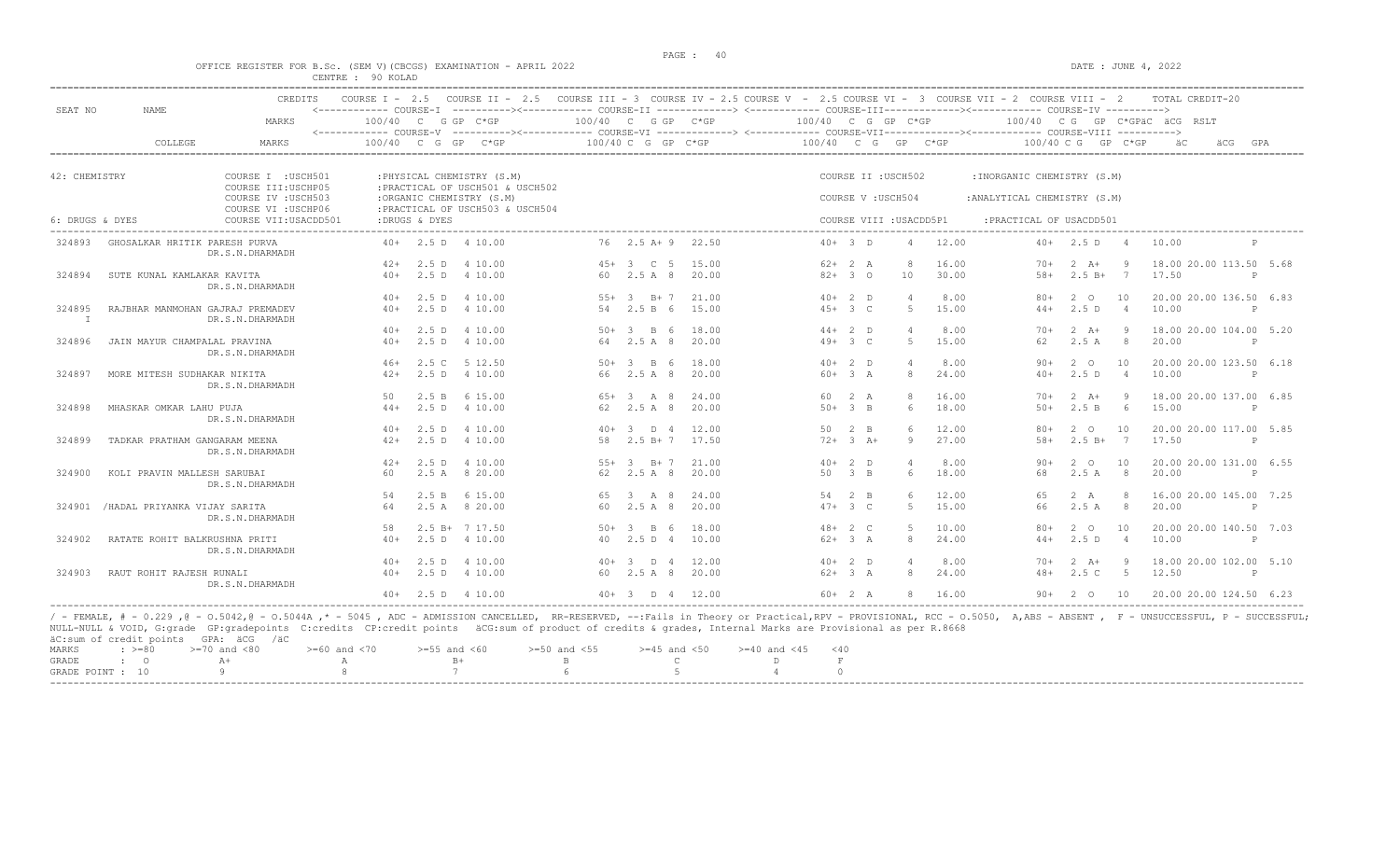DATE : JUNE  $4$ , 2022

|  |  |                   |  | OFFICE REGISTER FOR B.SC. (SEM V)(CBCGS) EXAMINATION - APRIL 2022 |  |  |
|--|--|-------------------|--|-------------------------------------------------------------------|--|--|
|  |  | CENTRE : 90 KOLAD |  |                                                                   |  |  |

| SEAT NO         | <b>NAME</b>                      | CREDITS                                    | COURSE $I - 2.5$ |               | COURSE II - 2.5 COURSE III - 3 COURSE IV - 2.5 COURSE V - 2.5 COURSE VI - 3 COURSE VII - 2 COURSE VIII - 2<br><------------ COURSE-I ----------><----------- COURSE-II -------------> <------------ COURSE-III-----------><---------><---------- COURSE-IV ---------->> |                    |                    |       |                    |             |                     |                         |                              |                    |                | TOTAL CREDIT-20              |              |
|-----------------|----------------------------------|--------------------------------------------|------------------|---------------|-------------------------------------------------------------------------------------------------------------------------------------------------------------------------------------------------------------------------------------------------------------------------|--------------------|--------------------|-------|--------------------|-------------|---------------------|-------------------------|------------------------------|--------------------|----------------|------------------------------|--------------|
|                 |                                  | MARKS                                      | 100/40 C         |               | G GP C*GP<br><------------ COURSE-V ----------><----------- COURSE-VI -------------> <------------ COURSE-VIII------------- COURSE-VIII ---------->                                                                                                                     | 100/40 C G GP C*GP |                    |       | 100/40 C G GP C*GP |             |                     |                         |                              |                    |                | 100/40 CG GP C*GPÄC ÄCG RSLT |              |
|                 | COLLEGE                          | <b>MARKS</b>                               | 100/40           | G             | GP.<br>$C*GP$                                                                                                                                                                                                                                                           |                    | 100/40 C G GP C*GP |       | 100/40 C G         |             | GP                  | $C*GP$                  | 100/40 C G                   |                    | GP C*GP        | äCG                          | GPA          |
| 42: CHEMISTRY   |                                  | COURSE I : USCH501                         |                  |               | : PHYSICAL CHEMISTRY (S.M)                                                                                                                                                                                                                                              |                    |                    |       |                    |             | COURSE II : USCH502 |                         | : INORGANIC CHEMISTRY (S.M)  |                    |                |                              |              |
|                 |                                  | COURSE III: USCHP05                        |                  |               | : PRACTICAL OF USCH501 & USCH502                                                                                                                                                                                                                                        |                    |                    |       |                    |             |                     |                         |                              |                    |                |                              |              |
|                 |                                  | COURSE IV : USCH503<br>COURSE VI : USCHP06 |                  |               | :ORGANIC CHEMISTRY (S.M)<br>: PRACTICAL OF USCH503 & USCH504                                                                                                                                                                                                            |                    |                    |       |                    |             | COURSE V: USCH504   |                         | : ANALYTICAL CHEMISTRY (S.M) |                    |                |                              |              |
| 6: DRUGS & DYES |                                  | COURSE VII: USACDD501                      |                  | :DRUGS & DYES |                                                                                                                                                                                                                                                                         |                    |                    |       |                    |             |                     | COURSE VIII : USACDD5P1 | : PRACTICAL OF USACDD501     |                    |                |                              |              |
| 324893          | GHOSALKAR HRITIK PARESH PURVA    | DR.S.N.DHARMADH                            |                  |               | $40+$ 2.5 D 4 10.00                                                                                                                                                                                                                                                     |                    | 76 2.5 A + 9 22.50 |       |                    | $40+3$ D    | $\overline{4}$      | 12.00                   |                              | $40+2.5 D$         | $\overline{4}$ | 10.00                        | P            |
|                 |                                  |                                            | $42+$            |               | 2.5 D 4 10.00                                                                                                                                                                                                                                                           |                    | $45+3$ C 5         | 15.00 |                    | $62+2 A$    | 8                   | 16.00                   | $70+$                        | $2 \overline{A}$   | -9             | 18.00 20.00 113.50 5.68      |              |
| 324894          | SUTE KUNAL KAMLAKAR KAVITA       | DR.S.N.DHARMADH                            | $40+$            | 2.5 D         | 4 10.00                                                                                                                                                                                                                                                                 | 60                 | 2.5 A 8            | 20.00 |                    | $82+30$     | 10                  | 30.00                   | $58+$                        | $2.5 B+$           | 7              | 17.50                        | P            |
|                 |                                  |                                            | $40+$            |               | 2.5 D 4 10.00                                                                                                                                                                                                                                                           | $55+$              | $3 \t B+7$         | 21.00 |                    | $40+2$ D    |                     | 8.00                    | $80+$                        | $2^{\circ}$        | 10             | 20.00 20.00 136.50 6.83      |              |
| 324895<br>T     | RAJBHAR MANMOHAN GAJRAJ PREMADEV | DR.S.N.DHARMADH                            | $40+$            |               | 2.5 D 4 10.00                                                                                                                                                                                                                                                           |                    | 54 2.5 B 6         | 15.00 |                    | $45+3$ C    |                     | 5<br>15.00              | $44+$                        | 2.5D               | $\sim$ 4       | 10.00                        | P            |
|                 |                                  |                                            | $40+$            | 2.5 D         | 4 10.00                                                                                                                                                                                                                                                                 |                    | $50 + 3$ B 6       | 18.00 |                    | $44+2$ D    |                     | 8.00                    | $70+$                        | $2 \overline{A}$ + | - 9            | 18.00 20.00 104.00 5.20      |              |
| 324896          | JAIN MAYUR CHAMPALAL PRAVINA     | DR.S.N.DHARMADH                            | $40+$            | $2.5$ D       | 4 10.00                                                                                                                                                                                                                                                                 |                    | 64 2.5 A 8         | 20.00 |                    | $49+3$ C    |                     | 5<br>15.00              | 62                           | 2.5A               | 8              | 20.00                        | $\mathsf{P}$ |
|                 |                                  |                                            | $46+$            |               | 2.5 C 5 12.50                                                                                                                                                                                                                                                           |                    | $50 + 3$ B 6       | 18.00 |                    | $40+2$ D    | $\overline{4}$      | 8.00                    | $90+$                        | $2^{\circ}$        | 10             | 20.00 20.00 123.50 6.18      |              |
| 324897          | MORE MITESH SUDHAKAR NIKITA      | DR.S.N.DHARMADH                            | $42+$            |               | 2.5 D 4 10.00                                                                                                                                                                                                                                                           | 66                 | 2.5 A 8            | 20.00 |                    | $60+3 A$    |                     | 8<br>24.00              | $40+$                        | 2.5D               | $\overline{4}$ | 10.00                        | P            |
|                 |                                  |                                            | 50               | 2.5 B         | 6 15.00                                                                                                                                                                                                                                                                 | $65+$              | $3 \overline{A} 8$ | 24.00 | 60                 | 2 A         |                     | 8<br>16.00              | $70+$                        | $2 \overline{A}$ + | - 9            | 18.00 20.00 137.00 6.85      |              |
| 324898          | MHASKAR OMKAR LAHU PUJA          | DR.S.N.DHARMADH                            | $44+$            |               | 2.5 D 4 10.00                                                                                                                                                                                                                                                           |                    | 62 2.5 A 8         | 20.00 |                    | $50+3$ B    |                     | 18.00<br>6              | $50+$                        | 2.5 B              | 6 <sup>6</sup> | 15.00                        | P            |
|                 |                                  |                                            | $40+$            |               | 2.5 D 4 10.00                                                                                                                                                                                                                                                           |                    | $40+3$ D 4         | 12.00 |                    | 50 2 B      | $\epsilon$          | 12.00                   | $80+$                        | $2^{\circ}$        | 10             | 20.00 20.00 117.00 5.85      |              |
| 324899          | TADKAR PRATHAM GANGARAM MEENA    | DR.S.N.DHARMADH                            | $42+$            | $2.5$ D       | 4 10.00                                                                                                                                                                                                                                                                 |                    | 58 2.5 B + 7 17.50 |       |                    | $72+3+$     |                     | 27.00<br>9              | $58+$                        | $2.5 B+$           | $7\phantom{0}$ | 17.50                        | $\mathsf{P}$ |
|                 |                                  |                                            | $42+$            | 2.5D          | 4 10.00                                                                                                                                                                                                                                                                 |                    | $55+3$ B+7         | 21.00 |                    | $40+2$ D    |                     | 8.00                    | $90+$                        | 2 0                | 10             | 20.00 20.00 131.00 6.55      |              |
| 324900          | KOLI PRAVIN MALLESH SARUBAI      | DR.S.N.DHARMADH                            | 60               |               | 2.5 A 8 20.00                                                                                                                                                                                                                                                           | 62                 | $2.5A$ 8           | 20.00 | 50                 | $3 \quad B$ |                     | 6<br>18.00              | 68                           | 2.5A               | 8              | 20.00                        | P            |
|                 |                                  |                                            | 54               |               | 2.5 B 6 15.00                                                                                                                                                                                                                                                           | 65                 | $3 \overline{A} 8$ | 24.00 |                    | 54 2 B      |                     | $6^{\circ}$<br>12.00    | 65                           | 2 A                | $\mathcal{R}$  | 16.00 20.00 145.00 7.25      |              |
| 324901          | /HADAL PRIYANKA VIJAY SARITA     | DR.S.N.DHARMADH                            | 64               |               | 2.5 A 8 20.00                                                                                                                                                                                                                                                           | 60                 | 2.5 A 8            | 20.00 |                    | $47 + 3 C$  |                     | 15.00<br>5              | 66                           | 2.5A               | 8              | 20.00                        |              |
|                 |                                  |                                            | 58               |               | $2.5 B+ 7 17.50$                                                                                                                                                                                                                                                        | $50+$              | 3 B 6              | 18.00 |                    | $48 + 2 C$  |                     | $5 -$<br>10.00          | $80+$                        | $2^{\circ}$        | 10             | 20.00 20.00 140.50 7.03      |              |
| 324902          | RATATE ROHIT BALKRUSHNA PRITI    | DR.S.N.DHARMADH                            | $40+$            |               | 2.5 D 4 10.00                                                                                                                                                                                                                                                           |                    | 40 2.5 D 4         | 10.00 |                    | $62+3 A$    |                     | 8<br>24.00              | $44+$                        | 2.5 D              | $\sim$ 4       | 10.00                        | $\mathbb{P}$ |
|                 |                                  |                                            | $40+$            | 2.5 D         | 4 10.00                                                                                                                                                                                                                                                                 |                    | $40+3$ D 4         | 12.00 |                    | $40+2$ D    |                     | 8.00                    | $70+$                        | $2 \overline{A}$ + | - 9            | 18.00 20.00 102.00 5.10      |              |
| 324903          | RAUT ROHIT RAJESH RUNALI         | DR.S.N.DHARMADH                            | $40+$            |               | 2.5 D 4 10.00                                                                                                                                                                                                                                                           |                    | 60 2.5 A 8         | 20.00 |                    | $62+3 A$    |                     | 8<br>24.00              | $48+$                        | 2.5C               | $-5$           | 12.50                        | P            |
|                 |                                  |                                            | $40+$            |               | 2.5 D 4 10.00                                                                                                                                                                                                                                                           |                    | $40+3$ D 4         | 12.00 |                    | $60+2 A$    |                     | 16.00<br>8              | $90+$                        | 2 0                | 10             | 20.00 20.00 124.50 6.23      |              |

NULL-NULL & VOID, G:grade GP:gradepoints C:credits CP:credit points äCG:sum of product of credits & grades, Internal Marks are Provisional as per R.8668 äC:sum of credit points GPA: äCG /äC  $\begin{array}{lllllllll} \texttt{MARKS} & \texttt{:=} & \texttt{>=} & \texttt{0} & \texttt{>=} & \texttt{0} & \texttt{0} \\ & \texttt{0} & \texttt{0} & \texttt{0} & \texttt{0} & \texttt{0} \\ & \texttt{0} & \texttt{0} & \texttt{0} & \texttt{0} & \texttt{0} \\ \end{array} \end{array} \qquad \begin{array}{lllllll} & \texttt{0} & \texttt{0} & \texttt{0} & \texttt{0} & \texttt{0} & \texttt{0} \\ & \texttt{0} & \texttt{0} & \texttt{0}$ GRADE : O A+ A A B+ B C D F GRADE POINT : 10 9 8 8 7 6 5 5 4 0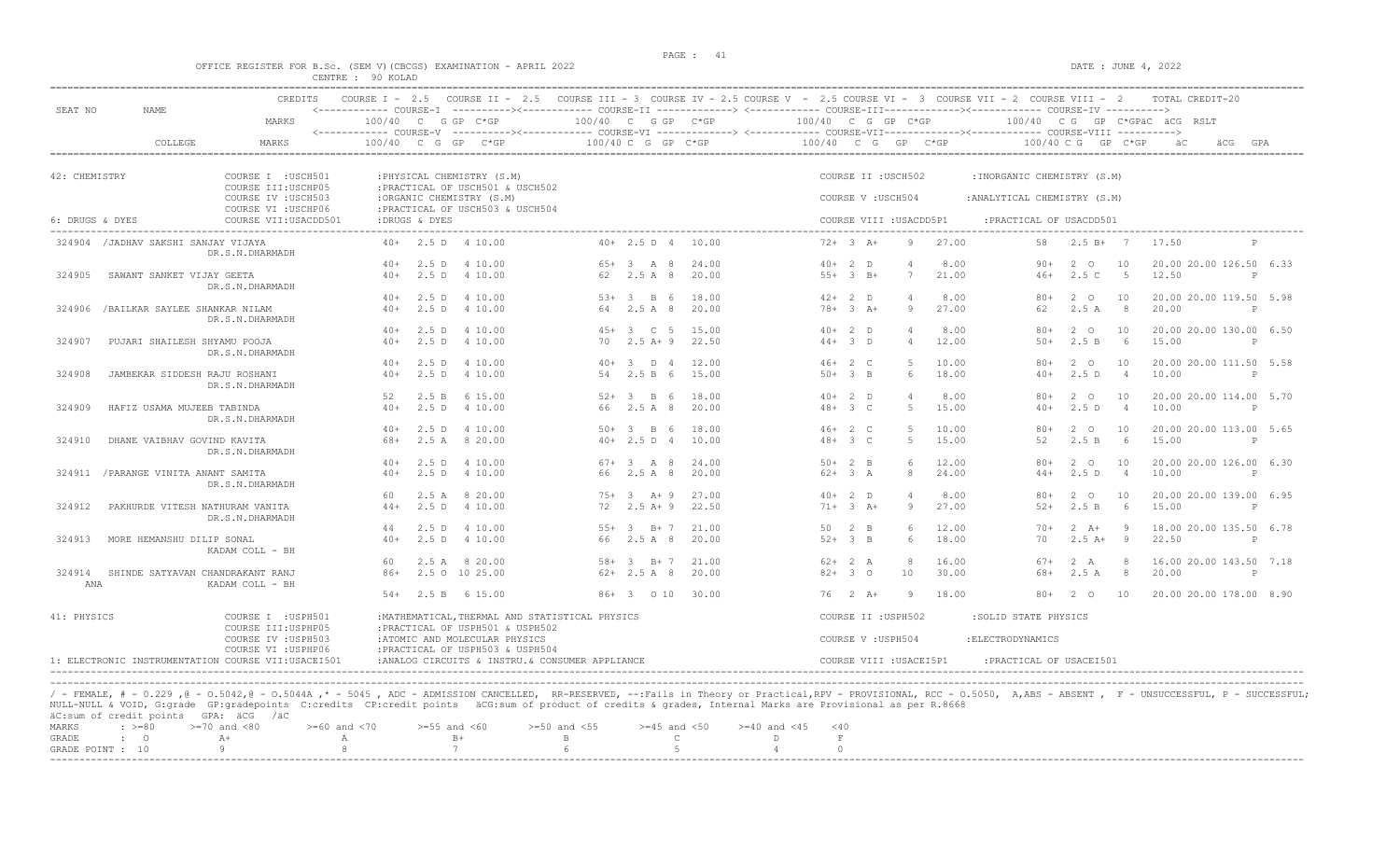|                                                                    | PAGE : 41 |                     |
|--------------------------------------------------------------------|-----------|---------------------|
| OFFICE REGISTER FOR B.Sc. (SEM V) (CBCGS) EXAMINATION - APRIL 2022 |           | DATE : JUNE 4, 2022 |
| CENTRE : 90 KOLAD                                                  |           |                     |

| SEAT NO         | NAME.                                | CREDITS                                                           |                    |          | COURSE I - 2.5 COURSE II - 2.5 COURSE III - 3 COURSE IV - 2.5 COURSE V - 2.5 COURSE VI - 3 COURSE VII - 2 COURSE VIII - 2<br><------------ COURSE-I ----------><----------- COURSE-II -------------> <------------ COURSE-III-----------><------------ COURSE-IV ---------->> |                    |                     |                     |                        |                   |                         |                |                              |                    |                | TOTAL CREDIT-20                  |              |
|-----------------|--------------------------------------|-------------------------------------------------------------------|--------------------|----------|-------------------------------------------------------------------------------------------------------------------------------------------------------------------------------------------------------------------------------------------------------------------------------|--------------------|---------------------|---------------------|------------------------|-------------------|-------------------------|----------------|------------------------------|--------------------|----------------|----------------------------------|--------------|
|                 |                                      | MARKS                                                             | 100/40 C G GP C*GP |          |                                                                                                                                                                                                                                                                               | 100/40 C G GP C*GP |                     |                     | 100/40 C G GP C*GP     |                   |                         |                |                              |                    |                | 100/40 CG GP C*GPÄC ÄCG RSLT     |              |
|                 | COLLEGE                              | MARKS                                                             | 100/40             | $C$ G GP | <------------ COURSE-V ----------><----------- COURSE-VI -------------> <------------ COURSE-VIII------------- COURSE-VIII ----------><br>$C*GP$                                                                                                                              | 100/40 C G GP C*GP |                     |                     | 100/40 C G GP C*GP     |                   |                         |                | 100/40 C G                   |                    | GP C*GP        |                                  |              |
| 42: CHEMISTRY   |                                      | COURSE I : USCH501<br>COURSE III: USCHP05                         |                    |          | : PHYSICAL CHEMISTRY (S.M)<br>: PRACTICAL OF USCH501 & USCH502                                                                                                                                                                                                                |                    |                     |                     |                        |                   | COURSE II : USCH502     |                | : INORGANIC CHEMISTRY (S.M)  |                    |                |                                  |              |
|                 |                                      | COURSE IV : USCH503<br>COURSE VI : USCHP06                        |                    |          | :ORGANIC CHEMISTRY (S.M)<br>: PRACTICAL OF USCH503 & USCH504                                                                                                                                                                                                                  |                    |                     |                     |                        | COURSE V: USCH504 |                         |                | : ANALYTICAL CHEMISTRY (S.M) |                    |                |                                  |              |
| 6: DRUGS & DYES |                                      | COURSE VII: USACDD501                                             | :DRUGS & DYES      |          |                                                                                                                                                                                                                                                                               |                    |                     |                     |                        |                   | COURSE VIII : USACDD5P1 |                | : PRACTICAL OF USACDD501     |                    |                |                                  |              |
|                 | 324904 / JADHAV SAKSHI SANJAY VIJAYA | DR.S.N.DHARMADH                                                   |                    |          | $40+$ 2.5 D 4 10.00                                                                                                                                                                                                                                                           |                    |                     | $40+ 2.5 D 4 10.00$ | $72+3$ A+              |                   | 9                       | 27.00          | 58                           | $2.5 B+ 7$         |                | 17.50                            | P            |
|                 |                                      |                                                                   | $40+$              | 2.5 D    | 4 10.00                                                                                                                                                                                                                                                                       |                    | $65+3$ A 8          | 24.00               | $40+2$ D               |                   |                         | 8.00           | $90+$                        | $2\degree$ 0       | 10             | 20.00 20.00 126.50 6.33          |              |
| 324905          | SAWANT SANKET VIJAY GEETA            | DR.S.N.DHARMADH                                                   | $40+$              | 2.5 D    | 4 10.00                                                                                                                                                                                                                                                                       |                    | 62 2.5 A 8          | 20.00               | $55+3$ B+              |                   | 7                       | 21.00          | $46+$                        | 2.5C               | $-5$           | 12.50                            | $\mathbb{P}$ |
|                 |                                      |                                                                   | $40+$              | 2.5 D    | 4 10.00                                                                                                                                                                                                                                                                       |                    | $53+3$ B 6          | 18.00               | $42+2$ D               |                   | $\overline{4}$          | 8.00           | $80+$                        | 2 0                | 10             | 20.00 20.00 119.50 5.98          |              |
| 324906          | /BAILKAR SAYLEE SHANKAR NILAM        | DR.S.N.DHARMADH                                                   | $40+$              | 2.5 D    | 4 10.00                                                                                                                                                                                                                                                                       |                    | 64 2.5 A 8          | 20.00               | $78 + 3 A +$           |                   | -9                      | 27.00          | 62                           | 2.5A               | 8 <sup>8</sup> | 20.00                            | P            |
|                 |                                      |                                                                   |                    |          | 40+ 2.5 D 4 10.00                                                                                                                                                                                                                                                             |                    | $45+3$ C 5          | 15.00               | $40+2$ D               |                   | $\overline{4}$          | 8.00           | $80+$                        | $2^{\circ}$        | 10             | 20.00 20.00 130.00 6.50          |              |
| 324907          | PUJARI SHAILESH SHYAMU POOJA         | DR.S.N.DHARMADH                                                   | $40+$              | 2.5 D    | 4 10.00                                                                                                                                                                                                                                                                       | 70                 | $2.5A+9$            | 22.50               | $44+3$ D               |                   | $\overline{4}$          | 12.00          | $50+$                        | 2.5 B              | 6              | 15.00                            | P            |
|                 |                                      |                                                                   |                    |          | $40+$ 2.5 D 4 10.00                                                                                                                                                                                                                                                           |                    | $40+3$ D 4          | 12.00               | $46+2 C$               |                   | $5^{\circ}$             | 10.00          | 80+                          | $2^{\circ}$        | 10             | 20.00 20.00 111.50 5.58          |              |
| 324908          | JAMBEKAR SIDDESH RAJU ROSHANI        | DR.S.N.DHARMADH                                                   | $40+$              | 2.5 D    | 4 10.00                                                                                                                                                                                                                                                                       | 54                 | 2.5 B 6             | 15.00               | $50+3$ B               |                   | 6                       | 18.00          | $40+$                        | 2.5D               | $\overline{4}$ | 10.00                            | $\mathbb{P}$ |
|                 |                                      |                                                                   | 52                 | 2.5 B    | 6 15.00                                                                                                                                                                                                                                                                       | $52+$              | $3 \quad B \quad 6$ | 18.00               | $40+2$ D               |                   | $\overline{4}$          | 8.00           | $80+$                        | $2^{\circ}$        | 10             | 20.00 20.00 114.00 5.70          |              |
| 324909          | HAFIZ USAMA MUJEEB TABINDA           | DR.S.N.DHARMADH                                                   | $40+$              | 2.5 D    | 4 10.00                                                                                                                                                                                                                                                                       |                    | 66 2.5 A 8          | 20.00               | $48 + 3 C$             |                   | -5                      | 15.00          | $40+$                        | 2.5D               | $\overline{4}$ | 10.00                            | P            |
|                 |                                      |                                                                   | $40+$<br>68+       | 2.5D     | 4 10.00                                                                                                                                                                                                                                                                       | 50+                | $3 \quad B \quad 6$ | 18.00               | $46+2 C$<br>$48 + 3 C$ |                   | -5<br>-5                | 10.00<br>15.00 | $80+$<br>52                  | $2^{\circ}$        | 10<br>- 6      | 20.00 20.00 113.00 5.65          |              |
| 324910          | DHANE VAIBHAV GOVIND KAVITA          | DR.S.N.DHARMADH                                                   |                    | 2.5 A    | 8 20.00                                                                                                                                                                                                                                                                       |                    | $40+2.5 D 4$        | 10.00               |                        |                   |                         |                |                              | 2.5 B              |                | 15.00                            | P            |
|                 |                                      |                                                                   | $40+$              | 2.5 D    | 4 10.00                                                                                                                                                                                                                                                                       |                    | $67 + 3$ A 8        | 24.00               | $50+2$ B               |                   | 6                       | 12.00          | $80+$                        | $2^{\circ}$        | 10             | 20.00 20.00 126.00 6.30          |              |
|                 | 324911 / PARANGE VINITA ANANT SAMITA | DR.S.N.DHARMADH                                                   | $40+$              |          | 2.5 D 4 10.00                                                                                                                                                                                                                                                                 |                    | 66 2.5 A 8          | 20.00               | $62+3 A$               |                   | 8                       | 24.00          | $44+$                        | 2.5D               | $\overline{4}$ | 10.00                            | $\mathbb{P}$ |
|                 |                                      |                                                                   | 60                 |          | 2.5 A 8 20.00                                                                                                                                                                                                                                                                 |                    | $75+3$ A + 9        | 27.00               | $40+2$ D               |                   | 4                       | 8.00           | $80+$                        | $2^{\circ}$        | 10             | 20.00 20.00 139.00 6.95          |              |
| 324912          | PAKHURDE VITESH NATHURAM VANITA      | DR.S.N.DHARMADH                                                   | $44 +$             |          | 2.5 D 4 10.00                                                                                                                                                                                                                                                                 |                    | $72 \t2.5 A+9$      | 22.50               | $71+ 3 A+$             |                   | -9                      | 27.00          | $52+$                        | 2.5 B              | 6              | 15.00                            | P            |
|                 |                                      |                                                                   | 44                 | 2.5D     | 4 10.00                                                                                                                                                                                                                                                                       | $55+$              | $3$ B+ 7            | 21.00               | 50 2 B                 |                   | 6<br>6                  | 12.00          | $70+$                        | $2 \overline{A}$ + | - 9            | 18.00 20.00 135.50 6.78          |              |
| 324913          | MORE HEMANSHU DILIP SONAL            | KADAM COLL - BH                                                   | $40+$              |          | 2.5 D 4 10.00                                                                                                                                                                                                                                                                 |                    | 66 2.5 A 8          | 20.00               | $52+3$ B               |                   |                         | 18.00          | 70                           | $2.5 A+$           | - 9            | 22.50                            | $\mathbb P$  |
| 324914          |                                      |                                                                   | 60                 |          | 2.5 A 8 20.00                                                                                                                                                                                                                                                                 |                    | 58+ 3 B+ 7          | 21.00<br>20.00      | $62+2 A$               |                   | 8<br>10                 | 16.00<br>30.00 | $67+$<br>$68+$               | 2 A                | -8<br>8        | 16.00 20.00 143.50 7.18<br>20.00 | $\mathbb{P}$ |
| ANA             | SHINDE SATYAVAN CHANDRAKANT RANJ     | KADAM COLL - BH                                                   |                    |          | 86+ 2.5 0 10 25.00                                                                                                                                                                                                                                                            |                    | $62+2.5A8$          |                     | $82+30$                |                   |                         |                |                              | 2.5A               |                |                                  |              |
|                 |                                      |                                                                   |                    |          | 54+ 2.5 B 6 15.00                                                                                                                                                                                                                                                             |                    |                     | 86+ 3 0 10 30.00    | 76 2 A+                |                   | 9                       | 18.00          | $80+$                        | 2 0                | 10             | 20.00 20.00 178.00 8.90          |              |
| 41: PHYSICS     |                                      | COURSE I : USPH501                                                |                    |          | : MATHEMATICAL, THERMAL AND STATISTICAL PHYSICS                                                                                                                                                                                                                               |                    |                     |                     |                        |                   | COURSE II : USPH502     |                | :SOLID STATE PHYSICS         |                    |                |                                  |              |
|                 |                                      | COURSE III: USPHP05<br>COURSE IV : USPH503<br>COURSE VI : USPHP06 |                    |          | : PRACTICAL OF USPH501 & USPH502<br>:ATOMIC AND MOLECULAR PHYSICS<br>: PRACTICAL OF USPH503 & USPH504                                                                                                                                                                         |                    |                     |                     |                        | COURSE V: USPH504 |                         |                | : ELECTRODYNAMICS            |                    |                |                                  |              |
|                 |                                      | 1: ELECTRONIC INSTRUMENTATION COURSE VII:USACEI501                |                    |          | :ANALOG CIRCUITS & INSTRU. & CONSUMER APPLIANCE                                                                                                                                                                                                                               |                    |                     |                     |                        |                   | COURSE VIII : USACEI5P1 |                | : PRACTICAL OF USACEI501     |                    |                |                                  |              |

----------------------------------------------------------------------------------------------------------------------------------------------------------------------------------------------------------------------- / - FEMALE, # - 0.229 ,@ - 0.5042,@ - 0.5044A ,\* - 5045 , ADC - ADMISSION CANCELLED, RR-RESERVED, --:Fails in Theory or Practical,RPV - PROVISIONAL, RCC - 0.5050, A,ABS - ABSENT , F - UNSUCCESSFUL, P - SUCCESSFUL; NULL-NULL & VOID, G:grade GP:gradepoints C:credits CP:credit points äCG:sum of product of credits & grades, Internal Marks are Provisional as per R.8668

|  |  | äC:sum of credit points GPA: äCG /äC |                                                                                                |  |  |  |
|--|--|--------------------------------------|------------------------------------------------------------------------------------------------|--|--|--|
|  |  |                                      | MARKS : >=80 >=70 and <80 >=60 and <70 >=55 and <60 >=50 and <55 >=45 and <50 >=40 and <45 <40 |  |  |  |
|  |  |                                      |                                                                                                |  |  |  |
|  |  |                                      | GRADE POINT : $10$ 9 8 8 7 6 6 5 5 4                                                           |  |  |  |
|  |  |                                      |                                                                                                |  |  |  |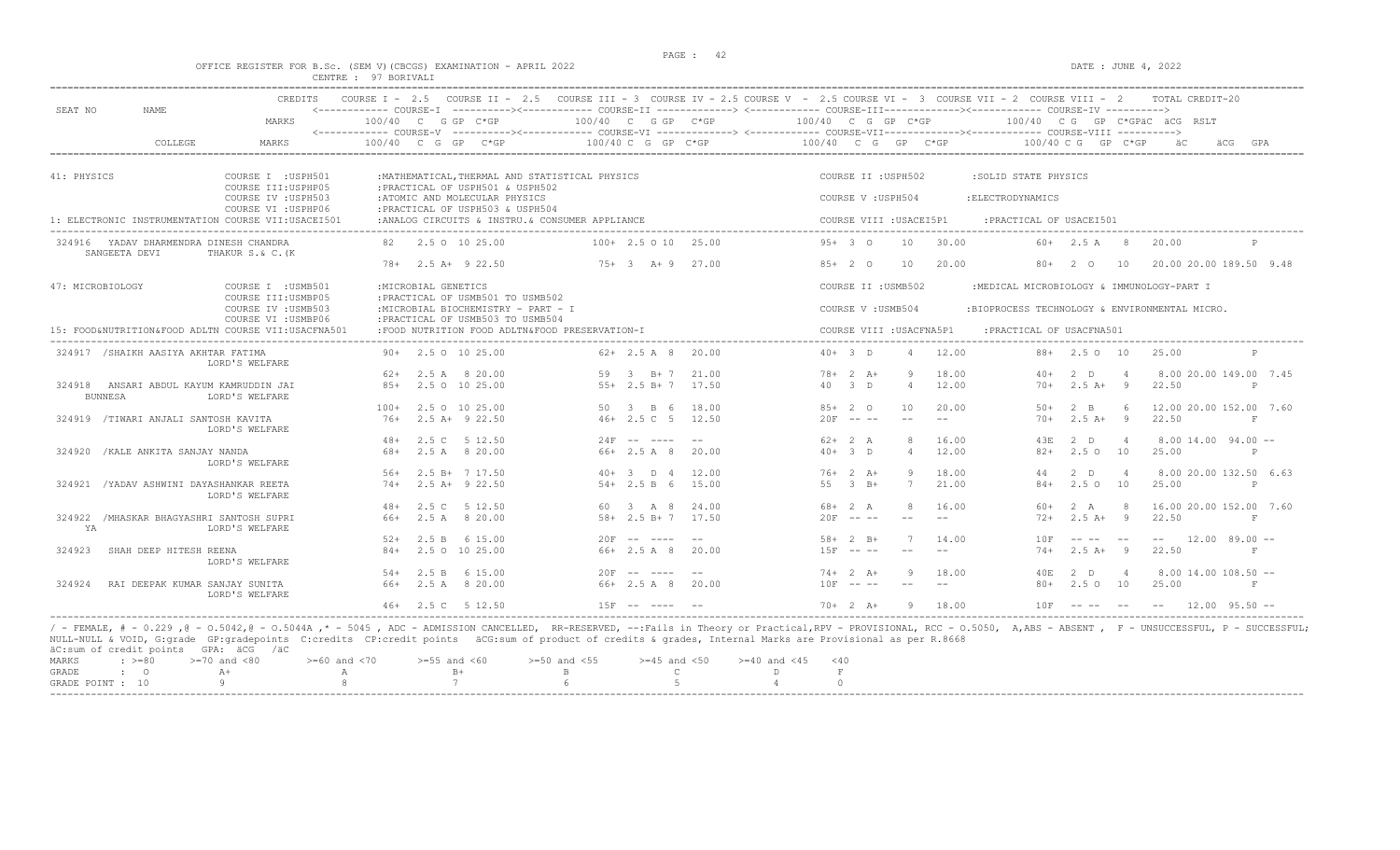DATE : JUNE  $4, 2022$ 

|  |  |                      | OFFICE REGISTER FOR B.SC. (SEM V)(CBCGS) EXAMINATION - APRIL 202. |  |
|--|--|----------------------|-------------------------------------------------------------------|--|
|  |  | CENTRE : 97 BORIVALI |                                                                   |  |

| SEAT NO<br><b>NAME</b>                                                         | <b>CREDITS</b>                             |                                                                         |                           | COURSE I - 2.5 COURSE II - 2.5 COURSE III - 3 COURSE IV - 2.5 COURSE V - 2.5 COURSE VI - 3 COURSE VII - 2 COURSE VIII - 2 | TOTAL CREDIT-20                                             |
|--------------------------------------------------------------------------------|--------------------------------------------|-------------------------------------------------------------------------|---------------------------|---------------------------------------------------------------------------------------------------------------------------|-------------------------------------------------------------|
|                                                                                | MARKS                                      | 100/40 C G GP C*GP                                                      | $100/40$ C G GP $C*GP$    | 100/40 C G GP C*GP                                                                                                        | $100/40$ C G GP C*GPAC ACG RSLT                             |
| COLLEGE                                                                        | MARKS                                      | 100/40 C G GP C*GP                                                      | $100/40$ C G GP C*GP      | $100/40$ C G GP C*GP                                                                                                      | $100/40$ C G GP C*GP<br>äC.<br>äCG<br>GPA                   |
| 41: PHYSICS                                                                    | COURSE I : USPH501                         | : MATHEMATICAL, THERMAL AND STATISTICAL PHYSICS                         |                           | COURSE II : USPH502                                                                                                       | :SOLID STATE PHYSICS                                        |
|                                                                                | COURSE III: USPHP05                        | : PRACTICAL OF USPH501 & USPH502                                        |                           |                                                                                                                           |                                                             |
|                                                                                | COURSE IV : USPH503                        | :ATOMIC AND MOLECULAR PHYSICS                                           |                           | COURSE V: USPH504                                                                                                         | : ELECTRODYNAMICS                                           |
|                                                                                | COURSE VI : USPHP06                        | : PRACTICAL OF USPH503 & USPH504                                        |                           |                                                                                                                           |                                                             |
| 1: ELECTRONIC INSTRUMENTATION COURSE VII:USACEI501                             |                                            | :ANALOG CIRCUITS & INSTRU. & CONSUMER APPLIANCE                         |                           | COURSE VIII : USACEI5P1                                                                                                   | : PRACTICAL OF USACEI501                                    |
| 324916 YADAV DHARMENDRA DINESH CHANDRA<br>SANGEETA DEVI<br>THAKUR S.& C. (K    |                                            | 2.5 0 10 25.00                                                          | $100+2.5010$<br>25.00     | $95+3$ 0<br>10<br>30.00                                                                                                   | $60+$ 2.5 A 8<br>20.00                                      |
|                                                                                |                                            | $78 + 2.5 A + 922.50$                                                   | $75+3$ $\lambda+9$ 27.00  | $85+20$<br>10<br>20.00                                                                                                    | 20.00 20.00 189.50 9.48<br>$80+$<br>2 0<br>10               |
| 47: MICROBIOLOGY                                                               | COURSE I : USMB501<br>COURSE III:USMBP05   | : MICROBIAL GENETICS<br>: PRACTICAL OF USMB501 TO USMB502               |                           | COURSE II : USMB502                                                                                                       | :MEDICAL MICROBIOLOGY & IMMUNOLOGY-PART I                   |
|                                                                                | COURSE IV : USMB503<br>COURSE VI : USMBP06 | :MICROBIAL BIOCHEMISTRY - PART - I<br>: PRACTICAL OF USMB503 TO USMB504 |                           | COURSE V: USMB504                                                                                                         | :BIOPROCESS TECHNOLOGY & ENVIRONMENTAL MICRO.               |
| 15: FOOD&NUTRITION&FOOD ADLTN COURSE VII:USACFNA501                            |                                            | :FOOD NUTRITION FOOD ADLTN&FOOD PRESERVATION-I                          |                           | COURSE VIII : USACFNA5P1                                                                                                  | : PRACTICAL OF USACFNA501                                   |
| 324917 / SHAIKH AASIYA AKHTAR FATIMA<br>LORD'S WELFARE                         |                                            | $90+$ 2.5 0 10 25.00                                                    | $62 + 2.5$ A 8<br>20.00   | $40+3$ D<br>12.00<br>$\overline{4}$                                                                                       | $88 + 2.50 10$<br>25.00                                     |
|                                                                                |                                            | $62+$ 2.5 A 8 20.00                                                     | 59<br>$3 \t B+7$<br>21.00 | $78 + 2 A +$<br>18.00                                                                                                     | 8.00 20.00 149.00 7.45<br>$2$ D<br>$40+$                    |
| 324918<br>ANSARI ABDUL KAYUM KAMRUDDIN JAI<br><b>BUNNESA</b><br>LORD'S WELFARE | $8.5+$                                     | 2.5 0 10 25.00                                                          | $55+2.5 B+7$<br>17.50     | 40 3 D<br>$\overline{4}$<br>12.00                                                                                         | $2.5A+$<br>22.50<br>$70+$<br>$\overline{9}$<br>$\mathsf{P}$ |
|                                                                                | $100+$                                     | 2.5 0 10 25.00                                                          | 18.00<br>50 3 B 6         | $85+20$<br>10<br>20.00                                                                                                    | $2 - B$<br>12.00 20.00 152.00 7.60<br>$50+$<br>$6^{\circ}$  |
| 324919 /TIWARI ANJALI SANTOSH KAVITA<br>LORD'S WELFARE                         | 76+                                        | $2.5$ A+ $9$ 22.50                                                      | $46+2.5C$ 5<br>12.50      | $20F - - -$                                                                                                               | $2.5A+$<br>22.50<br>-9<br>$70+$<br>下                        |
|                                                                                | $48+$                                      | 2.5 C<br>5 12.50                                                        | $24F$ -- ----<br>$-$      | $62+2 A$<br>16.00<br>-8                                                                                                   | $8.0014.0094.00 -$<br>43E<br>2 D<br>$\overline{4}$          |
| 324920 / KALE ANKITA SANJAY NANDA<br>LORD'S WELFARE                            | $68+$                                      | 2.5 A 8 20.00                                                           | 66+ 2.5 A 8<br>20.00      | $40+3$ D<br>12.00<br>$\overline{4}$                                                                                       | $82+$<br>2.5010<br>25.00<br>$\mathbb P$                     |
|                                                                                | $56+$                                      | 2.5 B+ 7 17.50                                                          | $40+3$ D 4<br>12.00       | $76+2$ A+<br>18.00                                                                                                        | 8.00 20.00 132.50 6.63<br>$2$ D<br>44                       |
| 324921 / YADAV ASHWINI DAYASHANKAR REETA<br>LORD'S WELFARE                     | $74+$                                      | $2.5$ A+ $9$ 22.50                                                      | $54 + 2.5 B 6$<br>15.00   | 55<br>$3 \text{ B}+$<br>7<br>21.00                                                                                        | 2.5010<br>$84+$<br>25.00<br>$\mathbb P$                     |
|                                                                                | $48+$                                      | 2.5 C 5 12.50                                                           | 60 3 A 8<br>24.00         | $68 + 2 A$<br>16.00                                                                                                       | 2 A<br>16.00 20.00 152.00 7.60<br>$60+$<br>-8               |
| 324922 / MHASKAR BHAGYASHRI SANTOSH SUPRI<br>YA<br>LORD'S WELFARE              | 66+                                        | 2.5 A 8 20.00                                                           | 58+ 2.5 B+ 7 17.50        | $20F - - -$<br>$  \,$<br>$- -$                                                                                            | $2.5$ A+<br>$\overline{9}$<br>22.50<br>$72+$<br>F           |
|                                                                                | $52+$                                      | 6 15.00<br>2.5 B                                                        | $20F$ -- ----<br>---      | $58 + 2 B +$<br>14.00                                                                                                     | $12.00$ 89.00 --<br>10 F<br>$- -$                           |
| SHAH DEEP HITESH REENA<br>324923<br>LORD'S WELFARE                             | $84+$                                      | 2.5 0 10 25.00                                                          | $66+2.5A8$<br>20.00       | $15F - - -$                                                                                                               | $2.5A+$<br>22.50<br>$74+$<br>- 9                            |
|                                                                                | $54+$                                      | 2.5 B 6 15.00                                                           | $20F$ -- ----<br>$- -$    | $74+2 A+$<br>18.00                                                                                                        | $2$ D<br>$8.00$ 14.00 108.50 $-$<br>40E<br>$\overline{4}$   |
| RAI DEEPAK KUMAR SANJAY SUNITA<br>324924<br>LORD'S WELFARE                     | 66+                                        | 2.5 A 8 20.00                                                           | 66+ 2.5 A 8<br>20.00      | $10F = - -$                                                                                                               | $80+$<br>2.5010<br>25.00<br>F                               |
|                                                                                | $46+$                                      | 2.5 C 5 12.50                                                           | $15F$ -- ----             | $70+2$ $\lambda +$<br>18.00<br>-9                                                                                         | 10F<br>$12.00$ 95.50 $-$<br>--------                        |

/ - FEMALE, # - 0.229 ,@ - 0.5042,@ - 0.5044A ,\* - 5045 , ADC - ADMISSION CANCELLED, RR-RESERVED, --:Fails in Theory or Practical,RPV - PROVISIONAL, RCC - 0.5050, A,ABS - ABSENT , F - UNSUCCESSFUL, P - SUCCESSFUL; NULL-NULL & VOID, G:grade GP:gradepoints C:credits CP:credit points äCG:sum of product of credits & grades, Internal Marks are Provisional as per R.8668 äC:sum of credit points GPA: äCG /äC

|           |  | actommed create points and the race                                                            |      |  |  |  |  |
|-----------|--|------------------------------------------------------------------------------------------------|------|--|--|--|--|
|           |  | MARKS : >=80 >=70 and <80 >=60 and <70 >=55 and <60 >=50 and <55 >=45 and <50 >=40 and <45 <40 |      |  |  |  |  |
| GRADE : O |  | $A+$                                                                                           | $R+$ |  |  |  |  |
|           |  | GRADE POINT : $10$ 9 8 8 7 6 6 5 5                                                             |      |  |  |  |  |
|           |  |                                                                                                |      |  |  |  |  |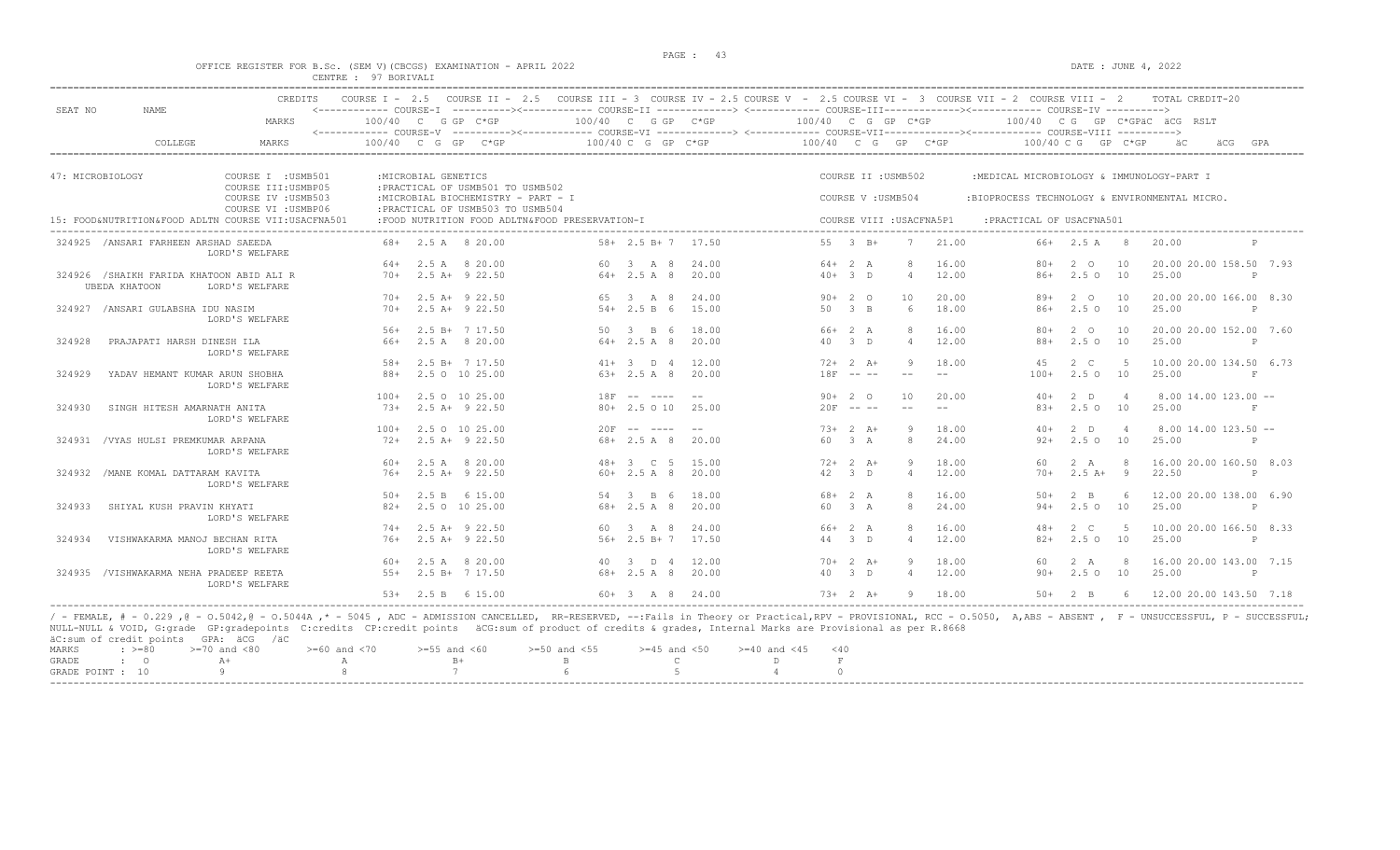#### OFFICE REGISTER FOR B.Sc. (SEM V) (CBCGS) EXAMINATION - APRIL 2022 DATE : JUNE 4, 2022 CENTRE : 97 BORIVALI

| SEAT NO | NAME.                                                            | CREDITS                                             | COURSE $I - 2.5$ |                      |                                          | COURSE II - 2.5 COURSE III - 3 COURSE IV - 2.5 COURSE V - 2.5 COURSE VI - 3 COURSE VII - 2 COURSE VIII - 2<br><------------ COURSE-T ----------><----------- COURSE-TT -------------> <------------ COURSE-TTT----------><--------><--------- COURSE-TV ----------> |                                          |                |                      |               |                     |                          |                                               |                            |                | TOTAL CREDIT-20                  |              |
|---------|------------------------------------------------------------------|-----------------------------------------------------|------------------|----------------------|------------------------------------------|---------------------------------------------------------------------------------------------------------------------------------------------------------------------------------------------------------------------------------------------------------------------|------------------------------------------|----------------|----------------------|---------------|---------------------|--------------------------|-----------------------------------------------|----------------------------|----------------|----------------------------------|--------------|
|         |                                                                  | MARKS                                               |                  |                      | $100/40$ C G GP C*GP                     | <------------ COURSE-V ----------><----------- COURSE-VI -------------> <------------ COURSE-VIII------------- COURSE-VIII ---------->                                                                                                                              | 100/40 C G GP C*GP                       |                | 100/40 C G GP C*GP   |               |                     |                          |                                               |                            |                | 100/40 CG GP C*GPAC ACG RSLT     |              |
|         | COLLEGE                                                          | MARKS                                               | $100/40$ C G GP  |                      | $C*GP$                                   |                                                                                                                                                                                                                                                                     | $100/40$ C G GP C*GP                     |                | $100/40$ C G GP C*GP |               |                     |                          |                                               | $100/40$ C G GP C*GP       |                | äCG                              | GPA          |
|         |                                                                  |                                                     |                  |                      |                                          |                                                                                                                                                                                                                                                                     |                                          |                |                      |               |                     |                          |                                               |                            |                |                                  |              |
|         | 47: MICROBIOLOGY                                                 | COURSE I : USMB501<br>COURSE III: USMBP05           |                  | : MICROBIAL GENETICS | : PRACTICAL OF USMB501 TO USMB502        |                                                                                                                                                                                                                                                                     |                                          |                |                      |               | COURSE II : USMB502 |                          | :MEDICAL MICROBIOLOGY & IMMUNOLOGY-PART I     |                            |                |                                  |              |
|         |                                                                  | COURSE IV : USMB503<br>COURSE VI : USMBP06          |                  |                      | : PRACTICAL OF USMB503 TO USMB504        | :MICROBIAL BIOCHEMISTRY - PART - I                                                                                                                                                                                                                                  |                                          |                |                      |               | COURSE V: USMB504   |                          | :BIOPROCESS TECHNOLOGY & ENVIRONMENTAL MICRO. |                            |                |                                  |              |
|         |                                                                  | 15: FOOD&NUTRITION&FOOD ADLTN COURSE VII:USACFNA501 |                  |                      |                                          | :FOOD NUTRITION FOOD ADLTN&FOOD PRESERVATION-I                                                                                                                                                                                                                      |                                          |                |                      |               |                     | COURSE VIII : USACFNA5P1 | : PRACTICAL OF USACFNA501<br>________________ |                            |                |                                  |              |
|         | 324925 / ANSARI FARHEEN ARSHAD SAEEDA                            | LORD'S WELFARE                                      |                  |                      | 68+ 2.5 A 8 20.00                        |                                                                                                                                                                                                                                                                     | $58 + 2.5 B + 7 17.50$                   |                | 55 3 B+              |               |                     | 21.00                    |                                               | 66+ 2.5 A                  | 8              | 20.00                            |              |
|         |                                                                  |                                                     | 64+              |                      | 2.5 A 8 20.00                            |                                                                                                                                                                                                                                                                     | 60 3 A 8                                 | 24.00          | $64+2 A$             |               |                     | 16.00<br>8               | $80+$                                         | 2 0                        | 10             | 20.00 20.00 158.50 7.93          |              |
|         | 324926 /SHAIKH FARIDA KHATOON ABID ALI R<br><b>UBEDA KHATOON</b> | LORD'S WELFARE                                      | $70+$            |                      | $2.5$ A+ $9$ 22.50                       |                                                                                                                                                                                                                                                                     | $64 + 2.5 A 8$                           | 20.00          | $40+$                | $-3$ D        |                     | 12.00<br>$\overline{4}$  | $86+$                                         | $2.5^\circ$                | 10             | 25.00                            | P            |
|         |                                                                  |                                                     | $70+$            |                      | $2.5$ A+ $9$ 22.50                       | 65                                                                                                                                                                                                                                                                  | 3 A 8                                    | 24.00          | $90+20$              |               |                     | 10<br>20.00              | 89+                                           | 2 0                        | 10             | 20.00 20.00 166.00 8.30          |              |
|         | 324927 / ANSARI GULABSHA IDU NASIM                               | LORD'S WELFARE                                      | $70+$            |                      | $2.5$ A+ $9$ 22.50                       |                                                                                                                                                                                                                                                                     | $54+2.5 B 6$                             | 15.00          | $50-$                | $\beta$ B     |                     | 18.00<br>6               | $86+$                                         | 2.5010                     |                | 25.00                            | $\mathsf{P}$ |
|         |                                                                  |                                                     | $56+$            |                      | $2.5 B+ 7 17.50$                         |                                                                                                                                                                                                                                                                     | 50 3 B 6                                 | 18.00          | 66+ 2 A              |               |                     | 16.00<br>8               | $80+$                                         | $2^{\circ}$                | 10             | 20.00 20.00 152.00 7.60          |              |
| 324928  | PRAJAPATI HARSH DINESH ILA                                       | LORD'S WELFARE                                      | 66+              |                      | 2.5 A 8 20.00                            |                                                                                                                                                                                                                                                                     | $64 + 2.5 A 8$                           | 20.00          | 40 3 D               |               |                     | 12.00<br>$\overline{4}$  | $88+$                                         | $2.5^\circ$                | 10             | 25.00                            | $\mathbb{P}$ |
|         |                                                                  |                                                     | $58+$            |                      | $2.5 B+ 7 17.50$                         |                                                                                                                                                                                                                                                                     | $41+ 3$ D 4                              | 12.00          | $72+2+1$             |               |                     | 18.00<br>9               | 45                                            | $2 \quad C$                | -5             | 10.00 20.00 134.50 6.73          |              |
| 324929  | YADAV HEMANT KUMAR ARUN SHOBHA                                   | LORD'S WELFARE                                      | $88+$            |                      | 2.5 0 10 25.00                           |                                                                                                                                                                                                                                                                     | $63+2.5$ A 8                             | 20.00          | $18F$ -- --          |               | $-$                 | $- -$                    | $100+$                                        | 2.5010                     |                | 25.00                            | F            |
|         |                                                                  |                                                     | $100+$           |                      | 2.5 0 10 25.00                           |                                                                                                                                                                                                                                                                     | $18F$ -- ----                            | $- -$          | $90+20$              |               |                     | 10 <sup>°</sup><br>20.00 | $40+$                                         | $2$ D                      | $\overline{4}$ | $8.00$ 14.00 123.00 --           |              |
| 324930  | SINGH HITESH AMARNATH ANITA                                      | LORD'S WELFARE                                      | $73+$            |                      | $2.5$ A+ $9$ 22.50                       |                                                                                                                                                                                                                                                                     | $80+2.5010$                              | 25.00          | $20F$ -- --          |               |                     | $--$<br>$\sim$ $-$       | $8.3+$                                        | $2.5^\circ$                | 10             | 25.00                            | F            |
|         |                                                                  |                                                     | $100+$           |                      | 2.5 0 10 25.00                           |                                                                                                                                                                                                                                                                     | $20F$ -- ----                            |                | $73+2 A+$            |               |                     | 9<br>18.00               | $40+$                                         | $2$ D                      | $\overline{4}$ | $8.00$ 14.00 123.50 $-$          |              |
| 324931  | /VYAS HULSI PREMKUMAR ARPANA                                     | LORD'S WELFARE                                      | $72+$            |                      | $2.5$ A+ $9$ 22.50                       |                                                                                                                                                                                                                                                                     | $68 + 2.5 A 8$                           | 20.00          | 60                   | 3A            |                     | 8<br>24.00               | $92+$                                         | $2.5 \circ 10$             |                | 25.00                            |              |
|         |                                                                  |                                                     | 60+              |                      | 2.5 A 8 20.00                            |                                                                                                                                                                                                                                                                     | $48 + 3$ C 5                             | 15.00          | $72+2+1$             |               |                     | 18.00                    | 60                                            | 2 A                        | 8              | 16.00 20.00 160.50 8.03          |              |
|         | 324932 /MANE KOMAL DATTARAM KAVITA                               | LORD'S WELFARE                                      | 76+              |                      | $2.5$ A+ $9$ 22.50                       |                                                                                                                                                                                                                                                                     | $60+2.5 A 8$                             | 20.00          | 42                   | $3$ D         |                     | $\overline{4}$<br>12.00  | $70+$                                         | $2.5 A+$                   | 9              | 22.50                            | $\mathsf{P}$ |
| 324933  | SHIYAL KUSH PRAVIN KHYATI                                        |                                                     | $50+$<br>$82+$   |                      | 2.5 B 6 15.00<br>2.5 0 10 25.00          |                                                                                                                                                                                                                                                                     | 54 3 B 6<br>$68 + 2.5 A 8$               | 18.00<br>20.00 | $68 + 2 A$<br>60.    | 3A            |                     | 16.00<br>8<br>8<br>24.00 | $50+$<br>$94+$                                | $2 \quad B$<br>$2.5^\circ$ | 6<br>10        | 12.00 20.00 138.00 6.90<br>25.00 | $\mathsf{P}$ |
|         |                                                                  | LORD'S WELFARE                                      | $74+$            |                      |                                          |                                                                                                                                                                                                                                                                     |                                          |                |                      |               |                     | 16.00<br>8               |                                               |                            |                | 10.00 20.00 166.50 8.33          |              |
| 324934  | VISHWAKARMA MANOJ BECHAN RITA                                    |                                                     | $76+$            |                      | $2.5$ A+ $9$ 22.50<br>$2.5$ A+ $9$ 22.50 | 60                                                                                                                                                                                                                                                                  | $3 \overline{A} 8$<br>56+ 2.5 B+ 7 17.50 | 24.00          | 66+<br>44            | 2 A<br>$-3$ D |                     | 12.00<br>$\overline{4}$  | $48+$<br>$82+$                                | 2 C<br>$2.5^\circ$         | 10             | 25.00                            | $\mathsf{P}$ |
|         |                                                                  | LORD'S WELFARE                                      | 60+              |                      |                                          |                                                                                                                                                                                                                                                                     | 40 3                                     | 12.00          | $70+2 A+$            |               |                     | 18.00<br>9               | 60                                            | 2 A                        | 8              | 16.00 20.00 143.00 7.15          |              |
|         | 324935 /VISHWAKARMA NEHA PRADEEP REETA                           |                                                     | $55+$            |                      | 2.5 A 8 20.00<br>$2.5 B+ 7 17.50$        |                                                                                                                                                                                                                                                                     | D 4<br>68+ 2.5 A 8                       | 20.00          | 40                   | $3$ D         |                     | 12.00<br>$\overline{4}$  | $90+$                                         | $2.5 \circ 10$             |                | 25.00                            | $\mathbb{P}$ |
|         |                                                                  | LORD'S WELFARE                                      |                  |                      | 2.5 B 6 15.00                            |                                                                                                                                                                                                                                                                     | $60 + 3$ $A$ $8$                         | 24.00          | $73+2$ A+            |               |                     | 18.00                    |                                               | $2 - B$                    |                | 12.00 20.00 143.50 7.18          |              |
|         |                                                                  |                                                     | $5.3+$           |                      |                                          |                                                                                                                                                                                                                                                                     |                                          |                |                      |               |                     | 9                        | $50+$                                         |                            | 6              |                                  |              |

NULL-NULL & VOID, G:grade GP:gradepoints C:credits CP:credit points äCG:sum of product of credits & grades, Internal Marks are Provisional as per R.8668 äC:sum of credit points GPA: äCG /äC  $\begin{array}{lllllllllll} \text{MARKS} & \text{ $1$} & \text{ $> = 80$} & \text{ $> = 70$} & \text{ and } & \text{ $< 80$} & \text{ $> = 60$} & \text{ and } & \text{ $< 70$} & \text{ $> = 55$} & \text{ and } & \text{ $< 60$} & \text{ $> = 50$} & \text{ and } & \text{ $< 55$} & \text{ $> = 45$} & \text{ and } & \text{ $< 50$} & \text{ $> = 40$} & \text{ and } & \text{ $< 45$} & \text{ $<$ GRADE : O A+ A  $A$  B+ B C D F F GRADE : O A+ A A B+ B C D F  $\,$ GRADE POINT : 10 -----------------------------------------------------------------------------------------------------------------------------------------------------------------------------------------------------------------------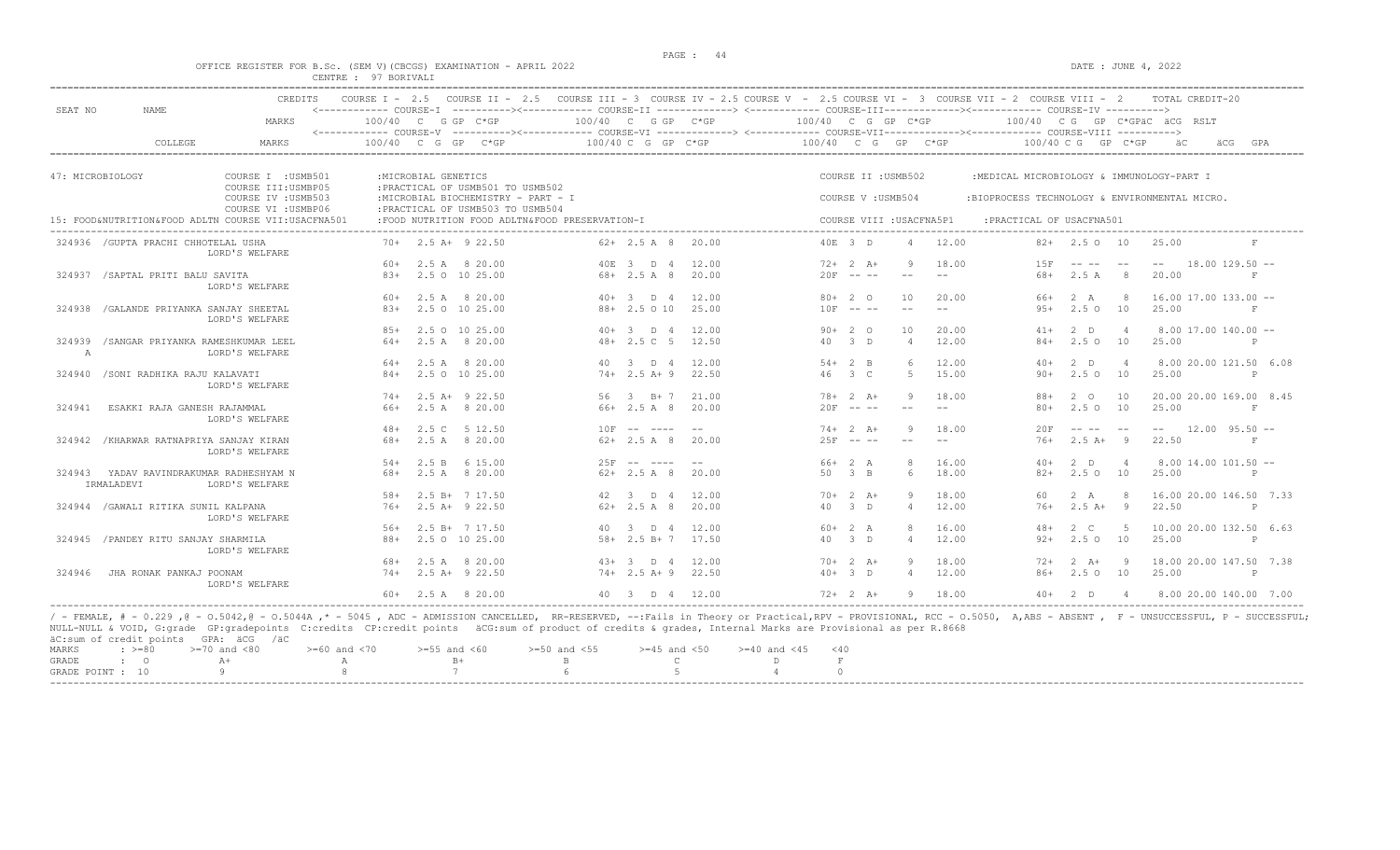#### OFFICE REGISTER FOR B.Sc. (SEM V) (CBCGS) EXAMINATION - APRIL 2022 DATE : JUNE 4, 2022 CENTRE : 97 BORIVALI

| SEAT NO          | <b>NAME</b>                                           | <b>CREDITS</b>                                      | COURSE $T = 2.5$ |                      |                                                                         | COURSE II - 2.5 COURSE III - 3 COURSE IV - 2.5 COURSE V - 2.5 COURSE VI - 3 COURSE VII - 2 COURSE VIII - 2<br><------------ COURSE-I ----------><----------- COURSE-II -------------> <------------ COURSE-III-----------><---------><---------- COURSE-IV ----------> |                        |       |                      |                     |                          |       |                                               |                      |                | TOTAL CREDIT-20                 |                         |
|------------------|-------------------------------------------------------|-----------------------------------------------------|------------------|----------------------|-------------------------------------------------------------------------|------------------------------------------------------------------------------------------------------------------------------------------------------------------------------------------------------------------------------------------------------------------------|------------------------|-------|----------------------|---------------------|--------------------------|-------|-----------------------------------------------|----------------------|----------------|---------------------------------|-------------------------|
|                  |                                                       | MARKS                                               |                  |                      | $100/40$ C G GP C*GP                                                    | <------------ COURSE-V ----------><----------- COURSE-VI -------------> <------------ COURSE-VIII------------- COURSE-VIII ---------->                                                                                                                                 | $100/40$ C G GP C*GP   |       | 100/40 C G GP C*GP   |                     |                          |       |                                               |                      |                | $100/40$ C G GP C*GPAC ACG RSLT |                         |
|                  | COLLEGE                                               | MARKS                                               | 100/40 C G GP    |                      | $C*GP$                                                                  |                                                                                                                                                                                                                                                                        | $100/40$ C G GP C*GP   |       | $100/40$ C G GP C*GP |                     |                          |       |                                               | $100/40$ C G GP C*GP |                |                                 | GPA<br>äCG              |
|                  |                                                       |                                                     |                  |                      |                                                                         |                                                                                                                                                                                                                                                                        |                        |       |                      |                     |                          |       |                                               |                      |                |                                 |                         |
| 47: MICROBIOLOGY |                                                       | COURSE I : USMB501<br>COURSE III: USMBP05           |                  | : MICROBIAL GENETICS | : PRACTICAL OF USMB501 TO USMB502                                       |                                                                                                                                                                                                                                                                        |                        |       |                      | COURSE II : USMB502 |                          |       | :MEDICAL MICROBIOLOGY & IMMUNOLOGY-PART I     |                      |                |                                 |                         |
|                  |                                                       | COURSE IV : USMB503<br>COURSE VI : USMBP06          |                  |                      | :MICROBIAL BIOCHEMISTRY - PART - I<br>: PRACTICAL OF USMB503 TO USMB504 |                                                                                                                                                                                                                                                                        |                        |       |                      | COURSE V: USMB504   |                          |       | :BIOPROCESS TECHNOLOGY & ENVIRONMENTAL MICRO. |                      |                |                                 |                         |
|                  |                                                       | 15: FOOD&NUTRITION&FOOD ADLTN COURSE VII:USACFNA501 |                  |                      |                                                                         | :FOOD NUTRITION FOOD ADLTN&FOOD PRESERVATION-I                                                                                                                                                                                                                         |                        |       |                      |                     | COURSE VIII : USACFNA5P1 |       | : PRACTICAL OF USACFNA501                     |                      |                |                                 |                         |
|                  | 324936 / GUPTA PRACHI CHHOTELAL USHA                  | LORD'S WELFARE                                      |                  |                      | $70+$ 2.5 A+ 9 22.50                                                    |                                                                                                                                                                                                                                                                        | $62 + 2.5$ A 8         | 20.00 |                      | 40E 3 D             |                          | 12.00 |                                               | $82+$ 2.5 0 10       |                | 25.00                           | F                       |
|                  |                                                       |                                                     | 60+              |                      | 2.5 A 8 20.00                                                           |                                                                                                                                                                                                                                                                        | 40E 3 D 4              | 12.00 |                      | $72+2+1$            |                          | 18.00 | 1.5F                                          |                      |                | $-  \,$                         | $18.00$ $129.50$ $-$    |
|                  | 324937 / SAPTAL PRITI BALU SAVITA                     | LORD'S WELFARE                                      | $8.3+$           |                      | 2.5 0 10 25.00                                                          |                                                                                                                                                                                                                                                                        | $68 + 2.5$ A 8         | 20.00 |                      | $20F$ -- --         | $-$                      | $- -$ | $68+$                                         | 2.5 A                | -8             | 20.00                           | F                       |
|                  |                                                       |                                                     | 60+              |                      | 2.5 A 8 20.00                                                           |                                                                                                                                                                                                                                                                        | $40+3$ D 4             | 12.00 |                      | $80+20$             | 10                       | 20.00 | 66+                                           | 2 A                  |                | $16.00$ 17.00 133.00 --         |                         |
| 324938           | /GALANDE PRIYANKA SANJAY SHEETAL                      | LORD'S WELFARE                                      | $83+$            |                      | 2.5 0 10 25.00                                                          |                                                                                                                                                                                                                                                                        | $88 + 2.5010$          | 25.00 |                      | $10F$ -- --         | $ -$                     | $-$   | $95+$                                         | 2.50                 | 10             | 25.00                           | F                       |
|                  |                                                       |                                                     | $85+$            |                      | 2.5 0 10 25.00                                                          |                                                                                                                                                                                                                                                                        | $40+3$ D 4             | 12.00 |                      | $90+20$             | 10                       | 20.00 | $41+$                                         | 2 D                  |                | $8.00$ 17.00 140.00 --          |                         |
| 324939<br>A      | /SANGAR PRIYANKA RAMESHKUMAR LEEL                     | LORD'S WELFARE                                      | 64+              |                      | 2.5 A 8 20.00                                                           |                                                                                                                                                                                                                                                                        | $48 + 2.5$ C 5         | 12.50 |                      | 40 3 D              | $\overline{4}$           | 12.00 | $84+$                                         | $2.5^\circ$          | 10             | 25.00                           | $\mathbb{P}$            |
|                  |                                                       |                                                     | 64+              |                      | 2.5 A 8 20.00                                                           |                                                                                                                                                                                                                                                                        | 40 3 D 4               | 12.00 |                      | $54+2$ B            |                          | 12.00 | $40+$                                         | $2$ D                |                |                                 | 8.00 20.00 121.50 6.08  |
|                  | 324940 / SONI RADHIKA RAJU KALAVATI                   | LORD'S WELFARE                                      | $84+$            |                      | 2.5 0 10 25.00                                                          |                                                                                                                                                                                                                                                                        | $74+2.5$ A+9           | 22.50 |                      | 46 3 C              | 5                        | 15.00 | $90+$                                         | $2.5^\circ$          | 10             | 25.00                           | $\mathbb{P}$            |
|                  |                                                       |                                                     | $74+$            |                      | $2.5$ A+ $9$ 22.50                                                      |                                                                                                                                                                                                                                                                        | $56 \t3 \t B+7$        | 21.00 |                      | $78 + 2 A +$        | 9                        | 18.00 | $88+$                                         | 2 0                  | 10             |                                 | 20.00 20.00 169.00 8.45 |
| 324941           | ESAKKI RAJA GANESH RAJAMMAL                           | LORD'S WELFARE                                      | 66+              |                      | 2.5 A 8 20.00                                                           |                                                                                                                                                                                                                                                                        | $66+2.5A8$             | 20.00 |                      | $20F$ -- --         | $\frac{1}{2}$            |       | $80+$                                         | 2.5010               |                | 25.00                           | F                       |
|                  |                                                       |                                                     | $48+$            |                      | 2.5 C 5 12.50                                                           |                                                                                                                                                                                                                                                                        | $10F$ -- ----          | $- -$ |                      | $74+2 A+$           | 9                        | 18.00 | 20F                                           |                      | $- -$          |                                 | $12.00$ $95.50$ $-$     |
| 324942           | /KHARWAR RATNAPRIYA SANJAY KIRAN                      | LORD'S WELFARE                                      | 68+              |                      | 2.5 A 8 20.00                                                           |                                                                                                                                                                                                                                                                        | $62+2.5A8$             | 20.00 |                      | $25F$ $ -$          |                          |       | $76+$                                         | $2.5A+$              | - 9            | 22.50                           | F                       |
|                  |                                                       |                                                     | $54+$            |                      | 2.5 B 6 15.00                                                           |                                                                                                                                                                                                                                                                        | $25F$ -- ----          | $- -$ |                      | 66+ 2 A             |                          | 16.00 | $40+$                                         | $2$ D                |                | $8.00$ 14.00 101.50 --          |                         |
|                  | 324943 YADAV RAVINDRAKUMAR RADHESHYAM N<br>IRMALADEVI | LORD'S WELFARE                                      | 68+              |                      | 2.5 A 8 20.00                                                           |                                                                                                                                                                                                                                                                        | $62 + 2.5$ A 8         | 20.00 | 50                   | $3 \quad B$         | 6                        | 18.00 | $82+$                                         | $2.5^\circ$          | 10             | 25.00                           | $\mathbb{P}$            |
|                  |                                                       |                                                     | $58+$            |                      | $2.5 B+ 7 17.50$                                                        | 42                                                                                                                                                                                                                                                                     | $3$ D 4                | 12.00 |                      | $70+2 A+$           |                          | 18.00 | 60                                            | 2 A                  |                |                                 | 16.00 20.00 146.50 7.33 |
|                  | 324944 / GAWALI RITIKA SUNIL KALPANA                  | LORD'S WELFARE                                      | $76+$            |                      | $2.5$ A+ $9$ 22.50                                                      |                                                                                                                                                                                                                                                                        | $62 + 2.5$ A 8         | 20.00 |                      | 40 3 D              |                          | 12.00 | $76+$                                         | $2.5A+$              | - 9            | 22.50                           | $\mathbb{P}$            |
|                  |                                                       |                                                     | 56+              |                      | 2.5 B+ 7 17.50                                                          |                                                                                                                                                                                                                                                                        | 40 3 D 4               | 12.00 |                      | $60+2 A$            |                          | 16.00 | $48+$                                         | 2 C                  |                |                                 | 10.00 20.00 132.50 6.63 |
|                  | 324945 / PANDEY RITU SANJAY SHARMILA                  | LORD'S WELFARE                                      | $88+$            |                      | 2.5 0 10 25.00                                                          |                                                                                                                                                                                                                                                                        | $58 + 2.5 B + 7 17.50$ |       |                      | 40 3 D              |                          | 12.00 | $92+$                                         | 2.5010               |                | 25.00                           | P                       |
|                  |                                                       |                                                     | 68+              |                      | 2.5 A 8 20.00                                                           |                                                                                                                                                                                                                                                                        | $43+3$ D 4             | 12.00 |                      | $70+2 A+$           | Q                        | 18.00 | $72+$                                         | $2 \overline{A}$     | - 9            |                                 | 18.00 20.00 147.50 7.38 |
| 324946           | JHA RONAK PANKAJ POONAM                               | LORD'S WELFARE                                      |                  |                      | $74+$ 2.5 A+ 9 22.50                                                    |                                                                                                                                                                                                                                                                        | $74+2.5$ A + 9 22.50   |       |                      | $40+3$ D            | $\overline{4}$           | 12.00 | $86+$                                         | 2.5010               |                | 25.00                           | P                       |
|                  |                                                       |                                                     |                  |                      | $60+$ 2.5 A 8 20.00                                                     |                                                                                                                                                                                                                                                                        | 40 3 D 4 12.00         |       |                      | $72+2$ $\lambda +$  | 9                        | 18.00 |                                               | $40+2$ D             | $\overline{4}$ |                                 | 8.00 20.00 140.00 7.00  |

/ - FEMALE, # - 0.229 ,@ - 0.5042,@ - 0.5044A ,\* - 5045 , ADC - ADMISSION CANCELLED, RR-RESERVED, --:Fails in Theory or Practical,RPV - PROVISIONAL, RCC - 0.5050, A,ABS - ABSENT , F - UNSUCCESSFUL, P - SUCCESSFUL;<br>NULL-NUL äC:sum of credit points GPA: äCG /äC  $\begin{array}{lllllllllll} \text{MARKS} & : & \text{ & \texttt{>=0} & \texttt{=70} & \text{and} & \texttt{<80} & \texttt{=60} & \text{and} & \texttt{<70} & \texttt{=55} & \text{and} & \texttt{<60} & \texttt{=50} & \text{and} & \texttt{<55} & \texttt{=45} & \text{and} & \texttt{<50} & \texttt{=40} & \text{and} & \texttt{<45} & \texttt{<40} \\ \text{GRADE} & : & \text{O} & \text{A+} & \text{A} & \text{B+}$ GRADE : O  $A+$  A  $B+$  B C D F  $A$  O GRADE : O  $A+$  A  $B+$  B C D F GRADE POINT : 10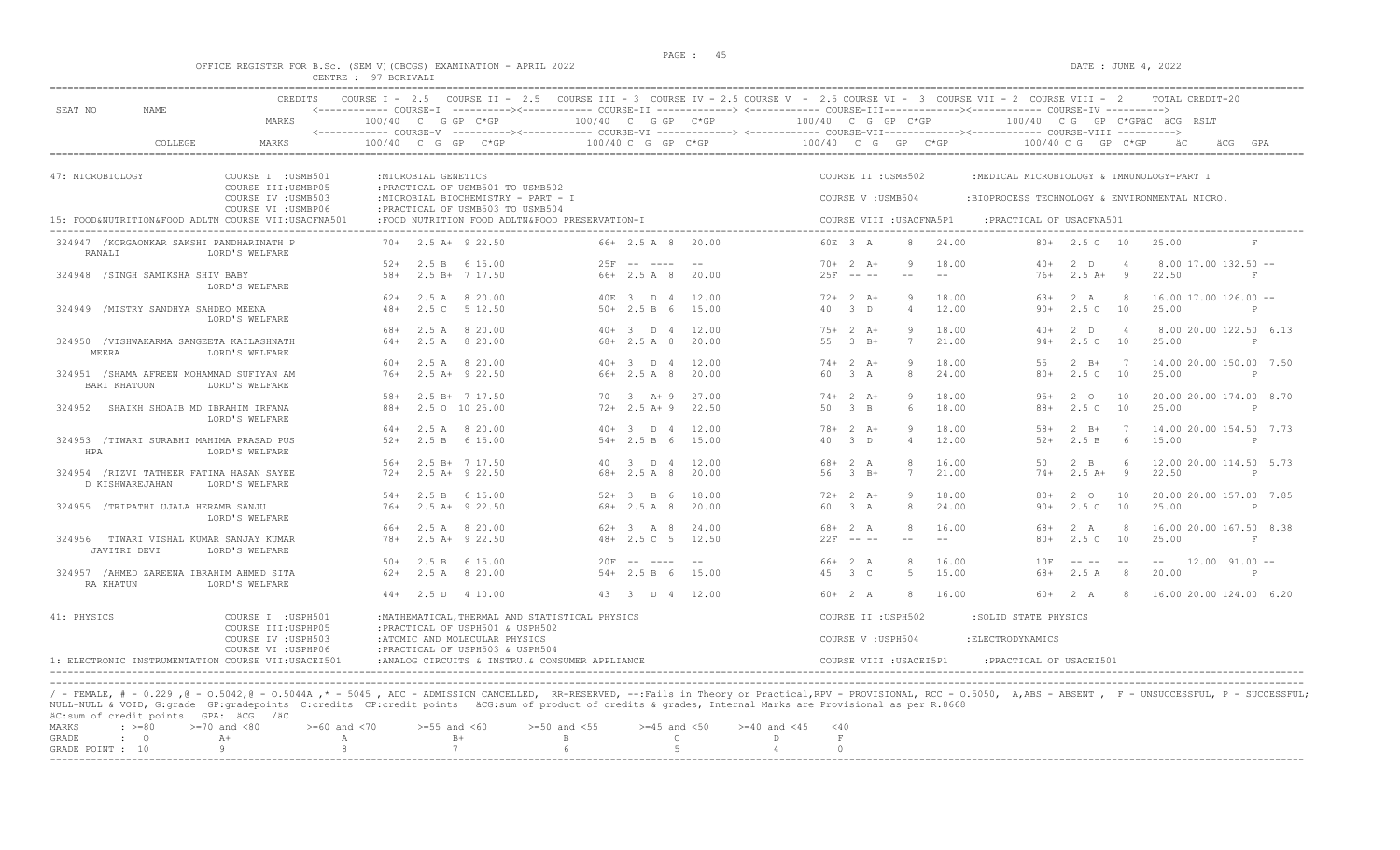#### OFFICE REGISTER FOR B.Sc. (SEM V)(CBCGS) EXAMINATION - APRIL 2022 DATE : JUNE 4, 2022 CENTRE : 97 BORIVALI

| <b>CREDITS</b><br>SEAT NO<br>NAME.                                                               | COURSE I - 2.5 COURSE II - 2.5 COURSE III - 3 COURSE IV - 2.5 COURSE V - 2.5 COURSE VI - 3 COURSE VII - 2 COURSE VIII - 2                                                             | TOTAL CREDIT-20                                                                                                                                                                                                               |
|--------------------------------------------------------------------------------------------------|---------------------------------------------------------------------------------------------------------------------------------------------------------------------------------------|-------------------------------------------------------------------------------------------------------------------------------------------------------------------------------------------------------------------------------|
| MARKS                                                                                            | 100/40 C G GP C*GP<br>$100/40$ C G GP C*GP<br><------------- COURSE-V ----------><----------- COURSE-VI -------------> <------------ COURSE-VIII------------- COURSE-VIII ----------> | 100/40 C G GP C*GP<br>100/40 CG GP C*GPäC äCG RSLT                                                                                                                                                                            |
| COLLEGE<br>MARKS                                                                                 | 100/40 C G GP C*GP<br>100/40 C G GP<br>$C*GP$                                                                                                                                         | 100/40 C G GP C*GP<br>100/40 C G GP C*GP<br>äC<br>äCG<br>GPA                                                                                                                                                                  |
| 47: MICROBIOLOGY<br>COURSE I : USMB501                                                           | : MICROBIAL GENETICS                                                                                                                                                                  | COURSE II : USMB502<br>:MEDICAL MICROBIOLOGY & IMMUNOLOGY-PART I                                                                                                                                                              |
| COURSE III: USMBP05<br>COURSE IV : USMB503<br>COURSE VI : USMBP06                                | : PRACTICAL OF USMB501 TO USMB502<br>:MICROBIAL BIOCHEMISTRY - PART - I<br>: PRACTICAL OF USMB503 TO USMB504                                                                          | COURSE V: USMB504<br>:BIOPROCESS TECHNOLOGY & ENVIRONMENTAL MICRO.                                                                                                                                                            |
| 15: FOOD&NUTRITION&FOOD ADLTN COURSE VII:USACFNA501                                              | :FOOD NUTRITION FOOD ADLTN&FOOD PRESERVATION-I                                                                                                                                        | COURSE VIII : USACFNA5P1<br>: PRACTICAL OF USACFNA501                                                                                                                                                                         |
| 324947 /KORGAONKAR SAKSHI PANDHARINATH P<br>RANALI<br>LORD'S WELFARE                             | $70+$ 2.5 A+ 9 22.50<br>66+ 2.5 A 8 20.00                                                                                                                                             | 60E 3 A<br>24.00<br>$80+$ 2.5 0 10<br>25.00<br>F                                                                                                                                                                              |
| 324948 /SINGH SAMIKSHA SHIV BABY<br>LORD'S WELFARE                                               | $25F - - - - - -$<br>$52+$<br>2.5 B 6 15.00<br>$- - -$<br>2.5 B+ 7 17.50<br>66+ 2.5 A 8<br>$.58+$<br>20.00                                                                            | $70+2 A+$<br>18.00<br>$40+$<br>$2$ D<br>$8.00$ 17.00 132.50 $-$<br>O,<br>$25F - - -$<br>$76+$<br>$2.5 A+ 9$<br>22.50<br>$ -$<br>$_{\rm F}$                                                                                    |
| 324949 /MISTRY SANDHYA SAHDEO MEENA                                                              | 40E 3 D 4<br>12.00<br>$62+$ 2.5 A 8 20.00<br>2.5 C 5 12.50<br>$50+2.5 B 6$<br>15.00<br>$48+$                                                                                          | $72+2+1$<br>18.00<br>2 A<br>$16.00$ 17.00 126.00 --<br>9<br>63+<br>-8<br>40<br>$-3$ D<br>$\overline{4}$<br>12.00<br>$90+$<br>2.50 10<br>25.00<br>$\mathbb{P}$                                                                 |
| LORD'S WELFARE<br>324950 /VISHWAKARMA SANGEETA KAILASHNATH                                       | 2.5 A 8 20.00<br>$40+3$ D 4<br>12.00<br>68+<br>64+<br>2.5A<br>8 20.00<br>68+ 2.5 A 8<br>20.00                                                                                         | $75+2 A+$<br>18.00<br>2 D<br>8.00 20.00 122.50 6.13<br>9<br>$40+$<br>$\overline{4}$<br>$2.5^\circ$<br>10<br>55<br>$-3$ B+<br>7<br>21.00<br>$94+$<br>25.00<br>P                                                                |
| MEERA<br>LORD'S WELFARE                                                                          | 2.5 A 8 20.00<br>$40+3$ D 4<br>12.00<br>60+                                                                                                                                           | $2 \quad B+$<br>$74+2$ A+<br>18.00<br>55<br>$\overline{7}$<br>14.00 20.00 150.00 7.50                                                                                                                                         |
| 324951 /SHAMA AFREEN MOHAMMAD SUFIYAN AM<br>BARI KHATOON<br>LORD'S WELFARE                       | $2.5$ A+ $9$ 22.50<br>$66+2.5A8$<br>20.00<br>$76+$                                                                                                                                    | 2.5010<br>3A<br>8<br>24.00<br>$80+$<br>25.00<br>P<br>60.                                                                                                                                                                      |
| 324952<br>SHAIKH SHOAIB MD IBRAHIM IRFANA<br>LORD'S WELFARE                                      | $58+$<br>2.5 B+ 7 17.50<br>$70 \t 3 \t A+9$<br>27.00<br>$88 +$<br>$72+2.5 A+9$<br>22.50<br>2.5 0 10 25.00                                                                             | $74+2 A+$<br>$2^{\circ}$<br>Q<br>18.00<br>$95+$<br>10<br>20.00 20.00 174.00 8.70<br>50 3 B<br>18.00<br>$88+$<br>$2.5^\circ$<br>10<br>25.00<br>6<br>$\mathsf{P}$                                                               |
| 324953 /TIWARI SURABHI MAHIMA PRASAD PUS<br>HPA<br>LORD'S WELFARE                                | 2.5 A 8 20.00<br>$40+3$ D 4<br>12.00<br>$64+$<br>$52+$<br>2.5 B 6 15.00<br>$54 + 2.5 B 6$<br>15.00                                                                                    | $78 + 2 A +$<br>9<br>18.00<br>$2 \quad B+$<br>14.00 20.00 154.50 7.73<br>$.58+$<br>$\overline{7}$<br>40 3 D<br>12.00<br>$52+$<br>2.5 B<br>6<br>15.00<br>$\overline{4}$<br>P                                                   |
| 324954 / RIZVI TATHEER FATIMA HASAN SAYEE<br>D KISHWAREJAHAN<br>LORD'S WELFARE                   | $56+$<br>2.5 B+ 7 17.50<br>40 3 D 4<br>12.00<br>$68 + 2.5 A 8$<br>$72+$<br>2.5 A+ 9 22.50<br>20.00                                                                                    | 12.00 20.00 114.50 5.73<br>$68 + 2 A$<br>16.00<br>$2 \quad B$<br>-6<br>50<br>56 3 B+<br>21.00<br>$2.5 A+ 9$<br>22.50<br>7<br>$74+$<br>$\mathbb{P}$                                                                            |
| 324955 /TRIPATHI UJALA HERAMB SANJU<br>LORD'S WELFARE                                            | 2.5 B 6 15.00<br>$52+3$ B 6<br>18.00<br>$54+$<br>$2.5$ A+ $9$ 22.50<br>$68 + 2.5$ A 8<br>20.00<br>$76+$                                                                               | $72+2+1$<br>18.00<br>$80+$<br>$2^{\circ}$<br>10<br>20.00 20.00 157.00 7.85<br>Q<br>2.5010<br>60 3 A<br>24.00<br>$90+$<br>25.00<br>8<br>$\mathbb{P}$                                                                           |
| 324956 TIWARI VISHAL KUMAR SANJAY KUMAR<br>JAVITRI DEVI<br>LORD'S WELFARE                        | 66+<br>2.5 A 8 20.00<br>$62 + 3$ A 8<br>24.00<br>$2.5 A+ 9 22.50$<br>$48 + 2.5$ C 5<br>12.50<br>$78 +$                                                                                | $68 + 2 A$<br>16.00<br>16.00 20.00 167.50 8.38<br>68+<br>2 A<br>-8<br>$22F$ -- --<br>$80 +$<br>2.5010<br>25.00<br>F<br>$--$<br>$- -$                                                                                          |
| 324957 /AHMED ZAREENA IBRAHIM AHMED SITA<br>RA KHATUN<br>LORD'S WELFARE                          | $50+$<br>2.5 B 6 15.00<br>$20F$ -- ----<br>$- -$<br>$62+$<br>2.5 A 8 20.00<br>$54 + 2.5 B 6$<br>15.00                                                                                 | $66+2A$<br>16.00<br>10F<br>$-- 12.00 91.00 --$<br>and the state of the state of the state of the state of the state of the state of the state of the state of the<br>2.5 A<br>45 3 C<br>15.00<br>68+<br>8<br>20.00<br>-5<br>P |
|                                                                                                  | $44+$ 2.5 D 4 10.00<br>43 3 D 4 12.00                                                                                                                                                 | $60+2 A$<br>2 A<br>16.00 20.00 124.00 6.20<br>-8<br>16.00<br>60+<br>-8                                                                                                                                                        |
| 41: PHYSICS<br>COURSE I : USPH501<br>COURSE III: USPHP05                                         | : MATHEMATICAL, THERMAL AND STATISTICAL PHYSICS<br>: PRACTICAL OF USPH501 & USPH502                                                                                                   | COURSE II : USPH502<br>:SOLID STATE PHYSICS                                                                                                                                                                                   |
| COURSE IV : USPH503<br>COURSE VI : USPHP06<br>1: ELECTRONIC INSTRUMENTATION COURSE VII:USACEI501 | :ATOMIC AND MOLECULAR PHYSICS<br>: PRACTICAL OF USPH503 & USPH504<br>:ANALOG CIRCUITS & INSTRU. & CONSUMER APPLIANCE                                                                  | COURSE V: USPH504<br>: ELECTRODYNAMICS<br>COURSE VIII : USACEI5P1<br>: PRACTICAL OF USACEI501                                                                                                                                 |

----------------------------------------------------------------------------------------------------------------------------------------------------------------------------------------------------------------------- / - FEMALE, # - 0.229 ,@ - 0.5042,@ - 0.5044A ,\* - 5045 , ADC - ADMISSION CANCELLED, RR-RESERVED, --:Fails in Theory or Practical,RPV - PROVISIONAL, RCC - 0.5050, A,ABS - ABSENT , F - UNSUCCESSFUL, P - SUCCESSFUL; NULL-NULL & VOID, G:grade GP:gradepoints C:credits CP:credit points äCG:sum of product of credits & grades, Internal Marks are Provisional as per R.8668

|  | äC:sum of credit points GPA: äCG /äC |                                                                                                |  |  |  |  |
|--|--------------------------------------|------------------------------------------------------------------------------------------------|--|--|--|--|
|  |                                      | MARKS : >=80 >=70 and <80 >=60 and <70 >=55 and <60 >=50 and <55 >=45 and <50 >=40 and <45 <40 |  |  |  |  |
|  |                                      |                                                                                                |  |  |  |  |
|  |                                      | GRADE POINT : $10$ 9 8 8 7 6 6 5 5 4                                                           |  |  |  |  |
|  |                                      |                                                                                                |  |  |  |  |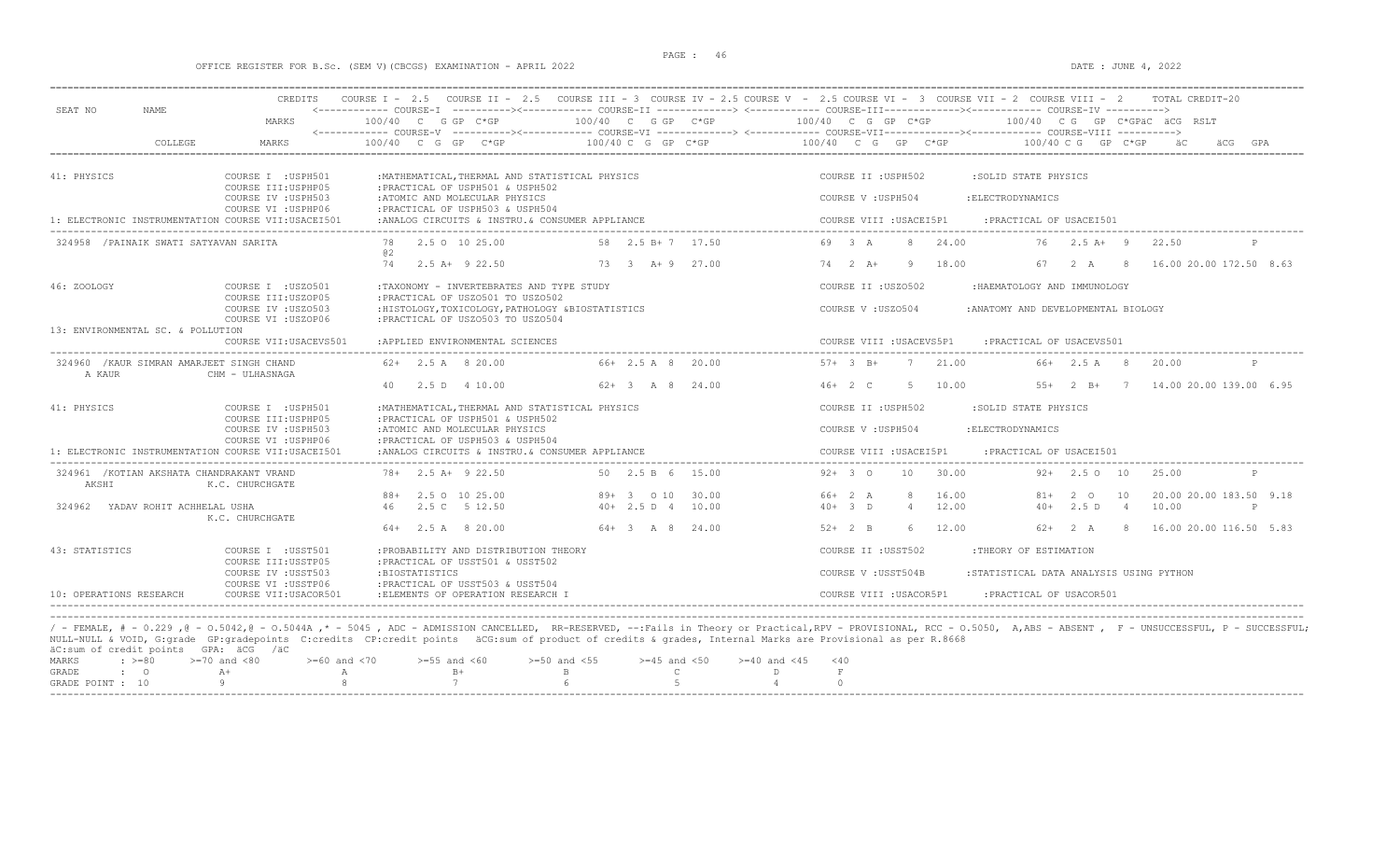### OFFICE REGISTER FOR B.Sc. (SEM V)(CBCGS) EXAMINATION - APRIL 2022 DATE : JUNE 4, 2022

|                                                     | <b>CREDITS</b>                                                    |                                                                                                                            |                         | COURSE I - 2.5 COURSE II - 2.5 COURSE III - 3 COURSE IV - 2.5 COURSE V - 2.5 COURSE VI - 3 COURSE VII - 2 COURSE VIII - 2<br>TOTAL CREDIT-20                                                                  |   |
|-----------------------------------------------------|-------------------------------------------------------------------|----------------------------------------------------------------------------------------------------------------------------|-------------------------|---------------------------------------------------------------------------------------------------------------------------------------------------------------------------------------------------------------|---|
| SEAT NO<br><b>NAME</b>                              | MARKS                                                             | 100/40 C G GP C*GP                                                                                                         | $100/40$ C G GP C*GP    | <------------ COURSE-I ----------><----------- COURSE-II -------------> <------------ COURSE-III-----------><--------><---------- COURSE-IV ----------><br>100/40 C G GP C*GP<br>100/40 CG GP C*GPAC ACG RSLT |   |
| COLLEGE                                             | MARKS                                                             | 100/40 C G GP<br>C*GP                                                                                                      | $100/40$ C G GP C*GP    | 100/40 C G GP C*GP<br>100/40 C G<br>GP C*GP                                                                                                                                                                   |   |
|                                                     |                                                                   |                                                                                                                            |                         |                                                                                                                                                                                                               |   |
| 41: PHYSICS                                         | COURSE I : USPH501<br>COURSE III: USPHP05                         | :MATHEMATICAL, THERMAL AND STATISTICAL PHYSICS<br>:PRACTICAL OF USPH501 & USPH502                                          |                         | COURSE II : USPH502<br>:SOLID STATE PHYSICS                                                                                                                                                                   |   |
|                                                     | COURSE IV : USPH503                                               | :ATOMIC AND MOLECULAR PHYSICS                                                                                              |                         | COURSE V: USPH504<br>: ELECTRODYNAMICS                                                                                                                                                                        |   |
| 1: ELECTRONIC INSTRUMENTATION COURSE VII:USACEI501  | COURSE VI : USPHP06                                               | :PRACTICAL OF USPH503 & USPH504<br>:ANALOG CIRCUITS & INSTRU. & CONSUMER APPLIANCE                                         |                         | COURSE VIII : USACEI5P1<br>: PRACTICAL OF USACEI501                                                                                                                                                           |   |
| 324958 / PAINAIK SWATI SATYAVAN SARITA              |                                                                   | 78<br>2.5 0 10 25.00                                                                                                       | 58 2.5 B + 7 17.50      | 24.00<br>$2.5 A+ 9$<br>69 3 A<br>8<br>76<br>22.50                                                                                                                                                             |   |
|                                                     |                                                                   | <b>02</b>                                                                                                                  |                         |                                                                                                                                                                                                               |   |
|                                                     |                                                                   | $2.5A+922.50$<br>74                                                                                                        | $73 \t3 \tA+9$<br>27.00 | $74$ 2 $A+$<br>18.00<br>16.00 20.00 172.50 8.63<br>- 9<br>67<br>2A<br>- 8                                                                                                                                     |   |
| 46: ZOOLOGY                                         | COURSE I : USZ0501                                                | :TAXONOMY - INVERTEBRATES AND TYPE STUDY                                                                                   |                         | COURSE II : USZ0502<br>:HAEMATOLOGY AND IMMUNOLOGY                                                                                                                                                            |   |
|                                                     | COURSE III: USZOP05<br>COURSE IV : USZ0503<br>COURSE VI : USZOP06 | : PRACTICAL OF USZ0501 TO USZ0502<br>:HISTOLOGY, TOXICOLOGY, PATHOLOGY &BIOSTATISTICS<br>: PRACTICAL OF USZ0503 TO USZ0504 |                         | COURSE V: USZ0504<br>: ANATOMY AND DEVELOPMENTAL BIOLOGY                                                                                                                                                      |   |
| 13: ENVIRONMENTAL SC. & POLLUTION                   | COURSE VII: USACEVS501                                            | :APPLIED ENVIRONMENTAL SCIENCES                                                                                            |                         | COURSE VIII : USACEVS5P1<br>: PRACTICAL OF USACEVS501                                                                                                                                                         |   |
| 324960 / KAUR SIMRAN AMARJEET SINGH CHAND<br>A KAUR | CHM - ULHASNAGA                                                   | $62+$ 2.5 A 8 20.00                                                                                                        | 66+ 2.5 A 8<br>20.00    | 21.00<br>$57 + 3$ B+<br>7<br>66+ 2.5 A 8<br>20.00                                                                                                                                                             | P |
|                                                     |                                                                   | 2.5 D 4 10.00<br>40                                                                                                        | $62+3$ A 8 24.00        | 14.00 20.00 139.00 6.95<br>$46+2 C$<br>-5<br>10.00<br>$55+$<br>$2 \text{ B}$ +<br>$\overline{7}$                                                                                                              |   |
| 41: PHYSICS                                         | COURSE I : USPH501<br>COURSE III: USPHP05                         | : MATHEMATICAL, THERMAL AND STATISTICAL PHYSICS<br>:PRACTICAL OF USPH501 & USPH502                                         |                         | COURSE II : USPH502<br>:SOLID STATE PHYSICS                                                                                                                                                                   |   |
|                                                     | COURSE IV : USPH503<br>COURSE VI : USPHP06                        | :ATOMIC AND MOLECULAR PHYSICS<br>: PRACTICAL OF USPH503 & USPH504                                                          |                         | COURSE V: USPH504<br>: ELECTRODYNAMICS                                                                                                                                                                        |   |
| 1: ELECTRONIC INSTRUMENTATION COURSE VII:USACEI501  |                                                                   | :ANALOG CIRCUITS & INSTRU. & CONSUMER APPLIANCE                                                                            |                         | COURSE VIII : USACEI5P1<br>:PRACTICAL OF USACEI501                                                                                                                                                            |   |
| 324961 / KOTIAN AKSHATA CHANDRAKANT VRAND<br>AKSHI  | K.C. CHURCHGATE                                                   | $78 + 2.5$ A+ 9 22.50                                                                                                      | 50 2.5 B 6 15.00        | $92+30$<br>10<br>30.00<br>$92+$ 2.5 0 10<br>25.00                                                                                                                                                             | P |
|                                                     |                                                                   | 88+ 2.5 0 10 25.00                                                                                                         | 30.00<br>89+ 3 0 10     | 66+ 2 A<br>16.00<br>20.00 20.00 183.50 9.18<br>$81+$<br>2 0<br>10                                                                                                                                             |   |
| 324962<br>YADAV ROHIT ACHHELAL USHA                 | K.C. CHURCHGATE                                                   | 2.5 C 5 12.50<br>46                                                                                                        | $40+2.5 D 4$<br>10.00   | $40+3$ D<br>12.00<br>$\overline{4}$<br>$40+$<br>2.5D<br>$\overline{4}$<br>10.00                                                                                                                               | P |
|                                                     |                                                                   | $64+$ 2.5 A 8 20.00                                                                                                        | $64 + 3$ A 8<br>24.00   | $52+2$ B<br>6<br>12.00<br>$62 + 2 A$<br>16.00 20.00 116.50 5.83<br>-8                                                                                                                                         |   |
| 43: STATISTICS                                      | COURSE I : USST501                                                | : PROBABILITY AND DISTRIBUTION THEORY                                                                                      |                         | COURSE II : USST502<br>:THEORY OF ESTIMATION                                                                                                                                                                  |   |
|                                                     | COURSE III:USSTP05<br>COURSE IV : USST503                         | : PRACTICAL OF USST501 & USST502<br>:BIOSTATISTICS                                                                         |                         | COURSE V : USST504B<br>:STATISTICAL DATA ANALYSIS USING PYTHON                                                                                                                                                |   |
| 10: OPERATIONS RESEARCH                             | COURSE VI : USSTP06<br>COURSE VII:USACOR501                       | : PRACTICAL OF USST503 & USST504<br>: ELEMENTS OF OPERATION RESEARCH                                                       |                         | COURSE VIII : USACOR5P1<br>PRACTICAL OF USACOR501:                                                                                                                                                            |   |
|                                                     |                                                                   |                                                                                                                            |                         |                                                                                                                                                                                                               |   |

----------------------------------------------------------------------------------------------------------------------------------------------------------------------------------------------------------------------- / - FEMALE, # - 0.229 ,@ - O.5042,@ - O.5044A ,\* - 5045 , ADC - ADMISSION CANCELLED, RR-RESERVED, --:Fails in Theory or Practical,RPV - PROVISIONAL, RCC - O.5050, A,ABS - ABSENT , F - UNSUCCESSFUL, P - SUCCESSFUL; NULL-NULL & VOID, G:grade GP:gradepoints C:credits CP:credit points äCG:sum of product of credits & grades, Internal Marks are Provisional as per R.8668 äC:sum of credit points GPA: äCG /äC MARKS : >=80 >=70 and <80 >=60 and <70 >=55 and <60 >=50 and <55 >=45 and <50 >=40 and <45 <40

|  | MARKS : >=80 >=70 and <80 >=60 and <70 >=55 and <60 >=50 and <55 >=45 and <50 >=40 and <45 <40 |  |  |  |  |  |  |
|--|------------------------------------------------------------------------------------------------|--|--|--|--|--|--|
|  | GRADE : O A+ A A B+ B+ B C D F                                                                 |  |  |  |  |  |  |
|  | GRADE POINT : $10$ 9 8 8 7 6 5 5 4 0                                                           |  |  |  |  |  |  |
|  |                                                                                                |  |  |  |  |  |  |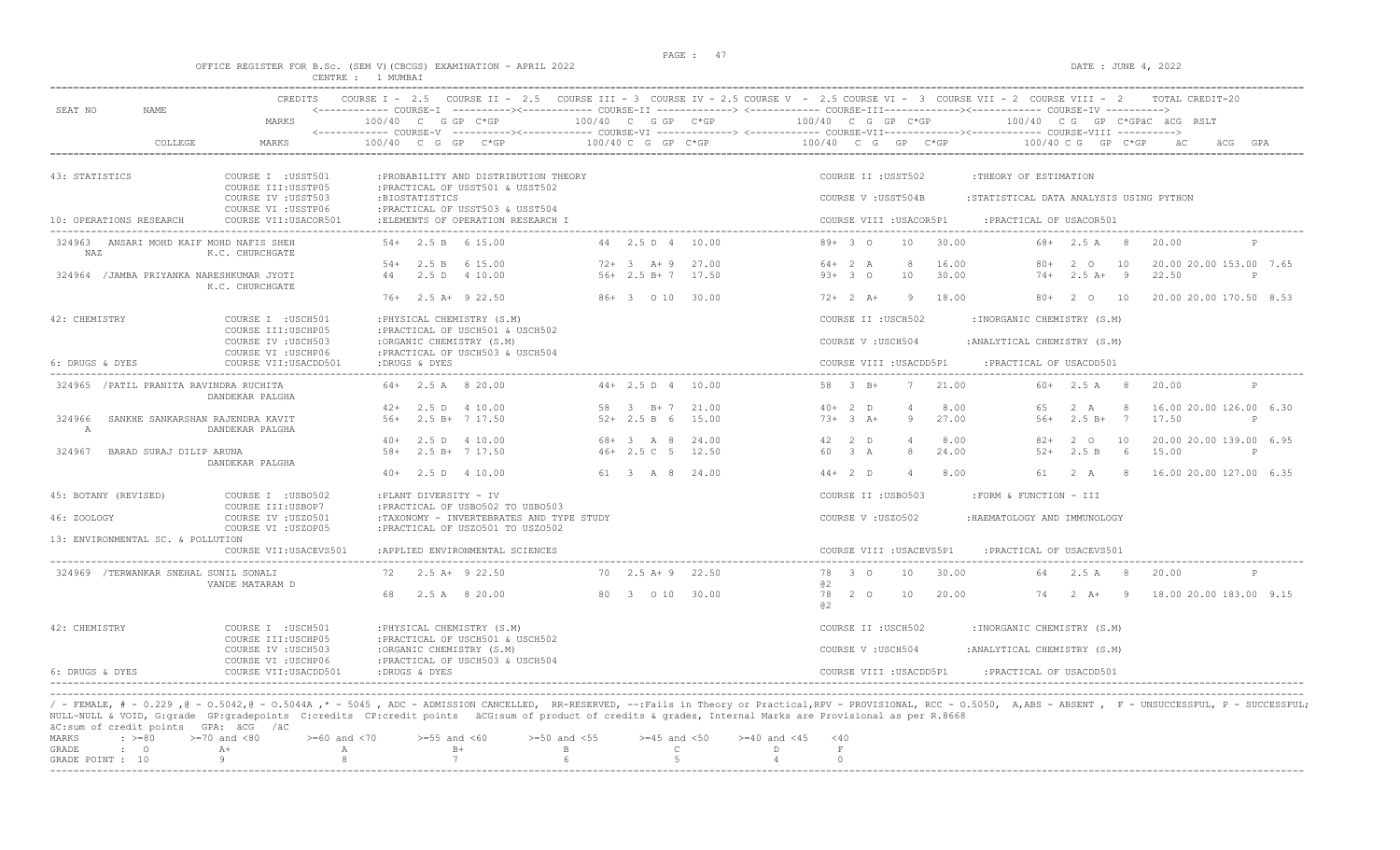# OFFICE REGISTER FOR B.Sc. (SEM V)(CBCGS) EXAMINATION - APRIL 2022<br>CENTRE : 1 MUMBAI

| NAME.                                                                                                  | <b>CREDITS</b>                                                                                                  | COURSE $I - 2.5$                                                                                                                                                                                        |                                      |                                                                                   | COURSE II - 2.5 COURSE III - 3 COURSE IV - 2.5 COURSE V - 2.5 COURSE VI - 3 COURSE VII - 2 COURSE VIII - 2<br>TOTAL CREDIT-20<br><------------ COURSE-I ----------><------------ COURSE-II -------------> <------------ COURSE-III------------><----------- COURSE-IV ----------> |
|--------------------------------------------------------------------------------------------------------|-----------------------------------------------------------------------------------------------------------------|---------------------------------------------------------------------------------------------------------------------------------------------------------------------------------------------------------|--------------------------------------|-----------------------------------------------------------------------------------|-----------------------------------------------------------------------------------------------------------------------------------------------------------------------------------------------------------------------------------------------------------------------------------|
| SEAT NO                                                                                                | MARKS                                                                                                           | 100/40 C G GP C*GP                                                                                                                                                                                      | 100/40 C G GP C*GP                   |                                                                                   | 100/40 C G GP C*GP<br>100/40 CG GP C*GPäC äCG RSLT                                                                                                                                                                                                                                |
| COLLEGE                                                                                                | <b>MARKS</b>                                                                                                    | 100/40 C G GP C*GP                                                                                                                                                                                      | 100/40 C G GP C*GP                   |                                                                                   | 100/40 C G GP C*GP<br>100/40 C G GP C*GP<br>äCG GPA                                                                                                                                                                                                                               |
| 43: STATISTICS<br>10: OPERATIONS RESEARCH                                                              | COURSE I : USST501<br>COURSE III:USSTP05<br>COURSE IV : USST503<br>COURSE VI : USSTP06<br>COURSE VII: USACOR501 | : PROBABILITY AND DISTRIBUTION THEORY<br>: PRACTICAL OF USST501 & USST502<br>:BIOSTATISTICS<br>: PRACTICAL OF USST503 & USST504<br>:ELEMENTS OF OPERATION RESEARCH I                                    |                                      |                                                                                   | COURSE II : USST502<br>:THEORY OF ESTIMATION<br>COURSE V : USST504B<br>:STATISTICAL DATA ANALYSIS USING PYTHON<br>COURSE VIII : USACOR5P1<br>: PRACTICAL OF USACOR501                                                                                                             |
| 324963 ANSARI MOHD KAIF MOHD NAFIS SHEH<br>NAZ                                                         | K.C. CHURCHGATE                                                                                                 | $54+$ 2.5 B 6 15.00                                                                                                                                                                                     | 44  2.5  D  4  10.00                 |                                                                                   | $89+30$<br>30.00<br>20.00<br>10<br>$68 + 2.5$ A 8                                                                                                                                                                                                                                 |
| 324964 / JAMBA PRIYANKA NARESHKUMAR JYOTI                                                              | K.C. CHURCHGATE                                                                                                 | 2.5 B 6 15.00<br>$54+$<br>2.5 D 4 10.00<br>44                                                                                                                                                           | $72+3$ A + 9<br>$56+2.5 B+7$         | 27.00<br>17.50                                                                    | 16.00<br>20.00 20.00 153.00 7.65<br>$64+2 A$<br>-8<br>$80+$<br>2 O<br>10<br>30.00<br>$2.5 A+ 9$<br>22.50<br>$93+30$<br>10<br>$74+$<br>$\mathbb{P}$                                                                                                                                |
|                                                                                                        |                                                                                                                 | $76+$ 2.5 A+ 9 22.50                                                                                                                                                                                    | 86+ 3 0 10 30.00                     |                                                                                   | $72+2+1$<br>18.00<br>$80+$<br>$2^{\circ}$ O<br>10<br>20.00 20.00 170.50 8.53<br>9                                                                                                                                                                                                 |
| 42: CHEMISTRY                                                                                          | COURSE I : USCH501<br>COURSE III: USCHP05<br>COURSE IV : USCH503                                                | : PHYSICAL CHEMISTRY (S.M)<br>: PRACTICAL OF USCH501 & USCH502<br>:ORGANIC CHEMISTRY (S.M)                                                                                                              |                                      |                                                                                   | COURSE II : USCH502<br>: INORGANIC CHEMISTRY (S.M)<br>COURSE V: USCH504<br>: ANALYTICAL CHEMISTRY (S.M)                                                                                                                                                                           |
| 6: DRUGS & DYES                                                                                        | COURSE VI : USCHP06<br>COURSE VII: USACDD501                                                                    | : PRACTICAL OF USCH503 & USCH504<br>:DRUGS & DYES                                                                                                                                                       |                                      |                                                                                   | COURSE VIII : USACDD5P1<br>: PRACTICAL OF USACDD501                                                                                                                                                                                                                               |
| 324965 / PATIL PRANITA RAVINDRA RUCHITA                                                                | DANDEKAR PALGHA                                                                                                 | 2.5 A 8 20.00                                                                                                                                                                                           | $44+$ 2.5 D 4 10.00                  |                                                                                   | 58 3 B+<br>21.00<br>$60+$<br>2.5 A 8<br>20.00<br>7                                                                                                                                                                                                                                |
| 324966<br>SANKHE SANKARSHAN RAJENDRA KAVIT<br>$\mathbb{A}$                                             | DANDEKAR PALGHA                                                                                                 | $42+$ 2.5 D 4 10.00<br>56+ 2.5 B+ 7 17.50                                                                                                                                                               | 58 3 B+7<br>$52+2.5 B 6$             | 21.00<br>15.00                                                                    | $40+2$ D<br>8.00<br>65<br>2 A<br>8<br>16.00 20.00 126.00 6.30<br>27.00<br>$73+3+$<br>$56+$<br>$2.5 B+$<br>17.50<br>9<br>$\overline{7}$<br>P                                                                                                                                       |
| 324967<br>BARAD SURAJ DILIP ARUNA                                                                      | DANDEKAR PALGHA                                                                                                 | $40+$ 2.5 D 4 10.00<br>$58+$<br>2.5 B+ 7 17.50                                                                                                                                                          | $68 + 3$ A 8<br>$46+2.5C$ 5          | 24.00<br>12.50                                                                    | 42 $2$ D<br>8.00<br>20.00 20.00 139.00 6.95<br>$\overline{4}$<br>$82+$<br>2 0<br>10<br>60 3 A<br>24.00<br>$52+$<br>2.5 B<br>15.00<br>8<br>- 6<br>P                                                                                                                                |
|                                                                                                        |                                                                                                                 | $40+$ 2.5 D 4 10.00                                                                                                                                                                                     | 61 3 A 8 24.00                       |                                                                                   | $44+2$ D<br>8.00<br>2 A<br>16.00 20.00 127.00 6.35<br>$\overline{4}$<br>61<br>8 <sup>2</sup>                                                                                                                                                                                      |
| 45: BOTANY (REVISED)<br>46: ZOOLOGY                                                                    | COURSE I : USB0502<br>COURSE III:USBOP7<br>COURSE IV : USZ0501<br>COURSE VI : USZOP05                           | :PLANT DIVERSITY - IV<br>: PRACTICAL OF USB0502 TO USB0503<br>:TAXONOMY - INVERTEBRATES AND TYPE STUDY<br>: PRACTICAL OF USZ0501 TO USZ0502                                                             |                                      |                                                                                   | COURSE II : USB0503<br>:FORM & FUNCTION - III<br>COURSE V: USZ0502<br>:HAEMATOLOGY AND IMMUNOLOGY                                                                                                                                                                                 |
| 13: ENVIRONMENTAL SC. & POLLUTION                                                                      | COURSE VII: USACEVS501                                                                                          | :APPLIED ENVIRONMENTAL SCIENCES                                                                                                                                                                         |                                      |                                                                                   | COURSE VIII : USACEVS5P1<br>: PRACTICAL OF USACEVS501                                                                                                                                                                                                                             |
| 324969 /TERWANKAR SNEHAL SUNIL SONALI                                                                  | VANDE MATARAM D                                                                                                 | $2.5$ A+ $9$ 22.50                                                                                                                                                                                      | 70 2.5 A + 9 22.50                   |                                                                                   | $3^{\circ}$<br>30.00<br>78<br>10<br>20.00<br>2.5 A<br>- 8<br>0.2                                                                                                                                                                                                                  |
|                                                                                                        |                                                                                                                 | 2.5 A 8 20.00<br>68                                                                                                                                                                                     | 80 3 0 10 30.00                      |                                                                                   | 78<br>$2^{\circ}$<br>10<br>20.00<br>74<br>$2 \overline{A}$ +<br>$\overline{9}$<br>18.00 20.00 183.00 9.15<br>a2                                                                                                                                                                   |
| 42: CHEMISTRY                                                                                          | COURSE I : USCH501<br>COURSE III: USCHP05                                                                       | : PHYSICAL CHEMISTRY (S.M)<br>: PRACTICAL OF USCH501 & USCH502                                                                                                                                          |                                      |                                                                                   | COURSE II : USCH502<br>: INORGANIC CHEMISTRY (S.M)                                                                                                                                                                                                                                |
| 6: DRUGS & DYES                                                                                        | COURSE IV : USCH503<br>COURSE VI : USCHP06<br>COURSE VII: USACDD501                                             | :ORGANIC CHEMISTRY (S.M)<br>: PRACTICAL OF USCH503 & USCH504<br>:DRUGS & DYES                                                                                                                           |                                      |                                                                                   | COURSE V: USCH504<br>: ANALYTICAL CHEMISTRY (S.M)<br>COURSE VIII : USACDD5P1<br>: PRACTICAL OF USACDD501                                                                                                                                                                          |
| äC:sum of credit points GPA: äCG /äC<br>$\div$ >=80<br>MARKS<br>GRADE<br>$\cdot$ 0<br>GRADE POINT : 10 | $>=70$ and $<80$<br>$>= 60$ and $< 70$<br>$A +$<br>A<br>Q<br>$\mathsf{R}$                                       | NULL-NULL & VOID, G:grade GP:gradepoints C:credits CP:credit points äCG:sum of product of credits & grades, Internal Marks are Provisional as per R.8668<br>$>=55$ and $<60$<br>$B+$<br>$7\overline{ }$ | $>=50$ and $<55$<br>$\mathbb B$<br>6 | $>=45$ and $<50$<br>$>=40$ and $<45$<br>$\mathsf{C}$<br>D.<br>5<br>$\overline{4}$ | / - FEMALE, # - 0.229, @ - 0.5042, @ - 0.5044A, * - 5045, ADC - ADMISSION CANCELLED, RR-RESERVED, --: Fails in Theory or Practical, RPV - PROVISIONAL, RCC - 0.5050, A, ABS - ABSENT, F - UNSUCCESSFUL, P - SUCCESSFUL;<br>$<$ 40<br>$\;$ F<br>$\circ$                            |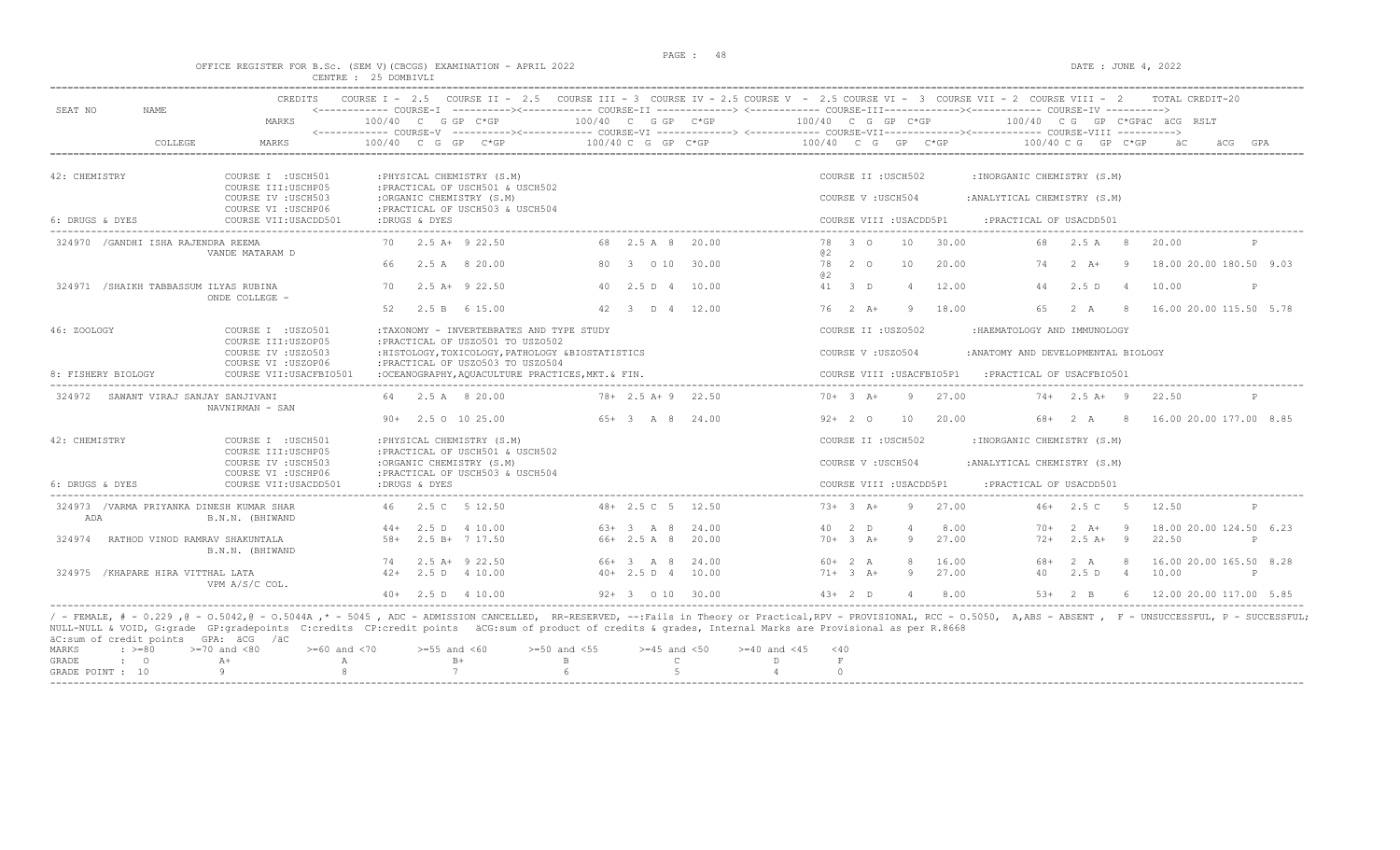$DATA: JUNE 4, 2022$ 

|  |  |  |                      | OFFICE REGISTER FOR B.SC. (SEM V)(CBCGS) EXAMINATION - APRIL 2022 |  |  |
|--|--|--|----------------------|-------------------------------------------------------------------|--|--|
|  |  |  | CENTRE : 25 DOMBIVLI |                                                                   |  |  |

| SEAT NO            | <b>NAME</b>                                                  | <b>CREDITS</b> | COURSE $T = 2.5$         |                                                                | COURSE II - 2.5 COURSE III - 3 COURSE IV - 2.5 COURSE V - 2.5 COURSE VI - 3 COURSE VII - 2 COURSE VIII - 2 |                        |                      |                    |                           |                |       |                                     |                      |                | TOTAL CREDIT-20                 |     |
|--------------------|--------------------------------------------------------------|----------------|--------------------------|----------------------------------------------------------------|------------------------------------------------------------------------------------------------------------|------------------------|----------------------|--------------------|---------------------------|----------------|-------|-------------------------------------|----------------------|----------------|---------------------------------|-----|
|                    | MARKS                                                        |                | $100/40$ C G GP C*GP     |                                                                |                                                                                                            |                        | $100/40$ C G GP C*GP | 100/40 C G GP C*GP |                           |                |       |                                     |                      |                | $100/40$ C G GP C*GPAC ACG RSLT |     |
|                    | COLLEGE<br><b>MARKS</b>                                      |                | $100/40$ C G GP C*GP     |                                                                |                                                                                                            | 100/40 C G GP C*GP     |                      | 100/40 C G GP C*GP |                           |                |       |                                     | $100/40$ C G GP C*GP |                |                                 | GPA |
| 42: CHEMISTRY      | COURSE I : USCH501                                           |                |                          | : PHYSICAL CHEMISTRY (S.M)                                     |                                                                                                            |                        |                      |                    | COURSE II : USCH502       |                |       | :INORGANIC CHEMISTRY (S.M)          |                      |                |                                 |     |
|                    | COURSE III: USCHP05                                          |                |                          | : PRACTICAL OF USCH501 & USCH502                               |                                                                                                            |                        |                      |                    |                           |                |       |                                     |                      |                |                                 |     |
|                    | COURSE IV : USCH503                                          |                | :ORGANIC CHEMISTRY (S.M) |                                                                |                                                                                                            |                        |                      |                    | COURSE V: USCH504         |                |       | : ANALYTICAL CHEMISTRY (S.M)        |                      |                |                                 |     |
| 6: DRUGS & DYES    | COURSE VI : USCHP06<br>COURSE VII: USACDD501                 |                | :DRUGS & DYES            | : PRACTICAL OF USCH503 & USCH504                               |                                                                                                            |                        |                      |                    | COURSE VIII : USACDD5P1   |                |       | : PRACTICAL OF USACDD501            |                      |                |                                 |     |
|                    | 324970 / GANDHI ISHA RAJENDRA REEMA<br>VANDE MATARAM D       |                | 70 2.5 A+ 9 22.50        |                                                                |                                                                                                            | 68 2.5 A 8 20.00       |                      | 02                 | 78 3 0                    | 10             | 30.00 | 68                                  | 2.5 A 8              |                | 20.00                           |     |
|                    |                                                              |                | 66                       | 2.5 A 8 20.00                                                  |                                                                                                            | 80 3 0 10 30.00        |                      | <b>02</b>          | 78 2 0                    | 10             | 20.00 | 74                                  | $2 \overline{A}$ +   | - 9            | 18.00 20.00 180.50 9.03         |     |
|                    | 324971 / SHAIKH TABBASSUM ILYAS RUBINA<br>ONDE COLLEGE -     |                | 70                       | $2.5$ A+ $9$ 22.50                                             |                                                                                                            | 40 2.5 D 4 10.00       |                      |                    | 41 3 D                    | $\overline{4}$ | 12.00 | 44                                  | 2.5D                 | $\overline{4}$ | 10.00                           | P   |
|                    |                                                              |                | 52                       | 2.5 B 6 15.00                                                  |                                                                                                            | 42 3 D 4 12.00         |                      |                    | $76 \t2 \tA+$             | - 9            | 18.00 | 65                                  | 2 A 8                |                | 16.00 20.00 115.50 5.78         |     |
| 46: ZOOLOGY        | COURSE I : USZ0501<br>COURSE III: USZOP05                    |                |                          | : PRACTICAL OF USZ0501 TO USZ0502                              | :TAXONOMY - INVERTEBRATES AND TYPE STUDY                                                                   |                        |                      |                    | COURSE II : USZ0502       |                |       | :HAEMATOLOGY AND IMMUNOLOGY         |                      |                |                                 |     |
|                    | COURSE IV : USZ0503                                          |                |                          |                                                                | : HISTOLOGY, TOXICOLOGY, PATHOLOGY & BIOSTATISTICS                                                         |                        |                      |                    | COURSE V: USZ0504         |                |       | : ANATOMY AND DEVELOPMENTAL BIOLOGY |                      |                |                                 |     |
| 8: FISHERY BIOLOGY | COURSE VI : USZOP06<br>COURSE VII: USACFBIO501               |                |                          | : PRACTICAL OF USZ0503 TO USZ0504                              | :OCEANOGRAPHY, AOUACULTURE PRACTICES, MKT. & FIN.                                                          |                        |                      |                    | COURSE VIII : USACFBIO5P1 |                |       | : PRACTICAL OF USACFBIO501          |                      |                |                                 |     |
|                    | 324972 SAWANT VIRAJ SANJAY SANJIVANI<br>NAVNIRMAN - SAN      |                | 64 2.5 A 8 20.00         |                                                                |                                                                                                            | $78 + 2.5 A + 9 22.50$ |                      |                    | $70+3$ A+                 | -9             | 27.00 |                                     | $74+2.5$ A+ 9        |                | 22.50                           | P   |
|                    |                                                              |                | $90+$ 2.5 0 10 25.00     |                                                                |                                                                                                            | $65+3$ A 8 24.00       |                      |                    | $92+20$                   | 10             | 20.00 |                                     | 68+ 2 A              | 8 <sup>8</sup> | 16.00 20.00 177.00 8.85         |     |
| 42: CHEMISTRY      | COURSE I : USCH501<br>COURSE III: USCHP05                    |                |                          | : PHYSICAL CHEMISTRY (S.M)<br>: PRACTICAL OF USCH501 & USCH502 |                                                                                                            |                        |                      |                    | COURSE II : USCH502       |                |       | :INORGANIC CHEMISTRY (S.M)          |                      |                |                                 |     |
|                    | COURSE IV : USCH503<br>COURSE VI : USCHP06                   |                | :ORGANIC CHEMISTRY (S.M) | : PRACTICAL OF USCH503 & USCH504                               |                                                                                                            |                        |                      |                    | COURSE V: USCH504         |                |       | : ANALYTICAL CHEMISTRY (S.M)        |                      |                |                                 |     |
| 6: DRUGS & DYES    | COURSE VII: USACDD501                                        |                | :DRUGS & DYES            |                                                                |                                                                                                            |                        |                      |                    | COURSE VIII : USACDD5P1   |                |       | : PRACTICAL OF USACDD501            |                      |                |                                 |     |
| ADA                | 324973 / VARMA PRIYANKA DINESH KUMAR SHAR<br>B.N.N. (BHIWAND |                | 46 2.5 C 5 12.50         |                                                                |                                                                                                            | 48+ 2.5 C 5 12.50      |                      |                    | $73+3+1$                  | -9             | 27.00 |                                     | $46+2.5C$            | $-5$           | 12.50                           |     |
|                    |                                                              |                | $44+$ 2.5 D 4 10.00      |                                                                |                                                                                                            | $63+3$ A 8             | 24.00                |                    | 40 2 D                    | $\overline{4}$ | 8.00  | $70+$                               | $2 \overline{A}$ +   | - 9            | 18.00 20.00 124.50 6.23         |     |
| 324974             | RATHOD VINOD RAMRAV SHAKUNTALA<br>B.N.N. (BHIWAND            |                | 58+                      | 2.5 B+ 7 17.50                                                 |                                                                                                            | $66+2.5$ A 8           | 20.00                |                    | $70+3 + 3$                | 9              | 27.00 | $72+$                               | $2.5A+$              | - 9            | 22.50                           | P   |
|                    |                                                              |                | 74                       | $2.5$ A+ $9$ 22.50                                             |                                                                                                            | 66+ 3 A 8              | 24.00                |                    | $60+2 A$                  | $\mathcal{R}$  | 16.00 | 68+                                 | 2 A                  | -8             | 16.00 20.00 165.50 8.28         |     |
|                    | 324975 / KHAPARE HIRA VITTHAL LATA<br>VPM A/S/C COL.         |                | $42+$ 2.5 D 4 10.00      |                                                                |                                                                                                            | $40+ 2.5 D 4 10.00$    |                      |                    | $71+ 3 A+$                | -9             | 27.00 | 40                                  | 2.5 D 4              |                | 10.00                           | P   |
|                    |                                                              |                | $40+$ 2.5 D 4 10.00      |                                                                |                                                                                                            | 92+ 3 0 10 30.00       |                      |                    | $43+2$ D                  | $\overline{4}$ | 8.00  |                                     | $53+2$ B             |                | 6 12.00 20.00 117.00 5.85       |     |

|  |  | actual or create points only accompled |                                                                                                |  |  |  |  |  |
|--|--|----------------------------------------|------------------------------------------------------------------------------------------------|--|--|--|--|--|
|  |  |                                        | MARKS : >=80 >=70 and <80 >=60 and <70 >=55 and <60 >=50 and <55 >=45 and <50 >=40 and <45 <40 |  |  |  |  |  |
|  |  |                                        | GRADE : O $A^+$ A $B^+$ B $C$ D F                                                              |  |  |  |  |  |
|  |  |                                        | GRADE POINT : 10 $9$ 8 7 6 6 5 5 4                                                             |  |  |  |  |  |
|  |  |                                        |                                                                                                |  |  |  |  |  |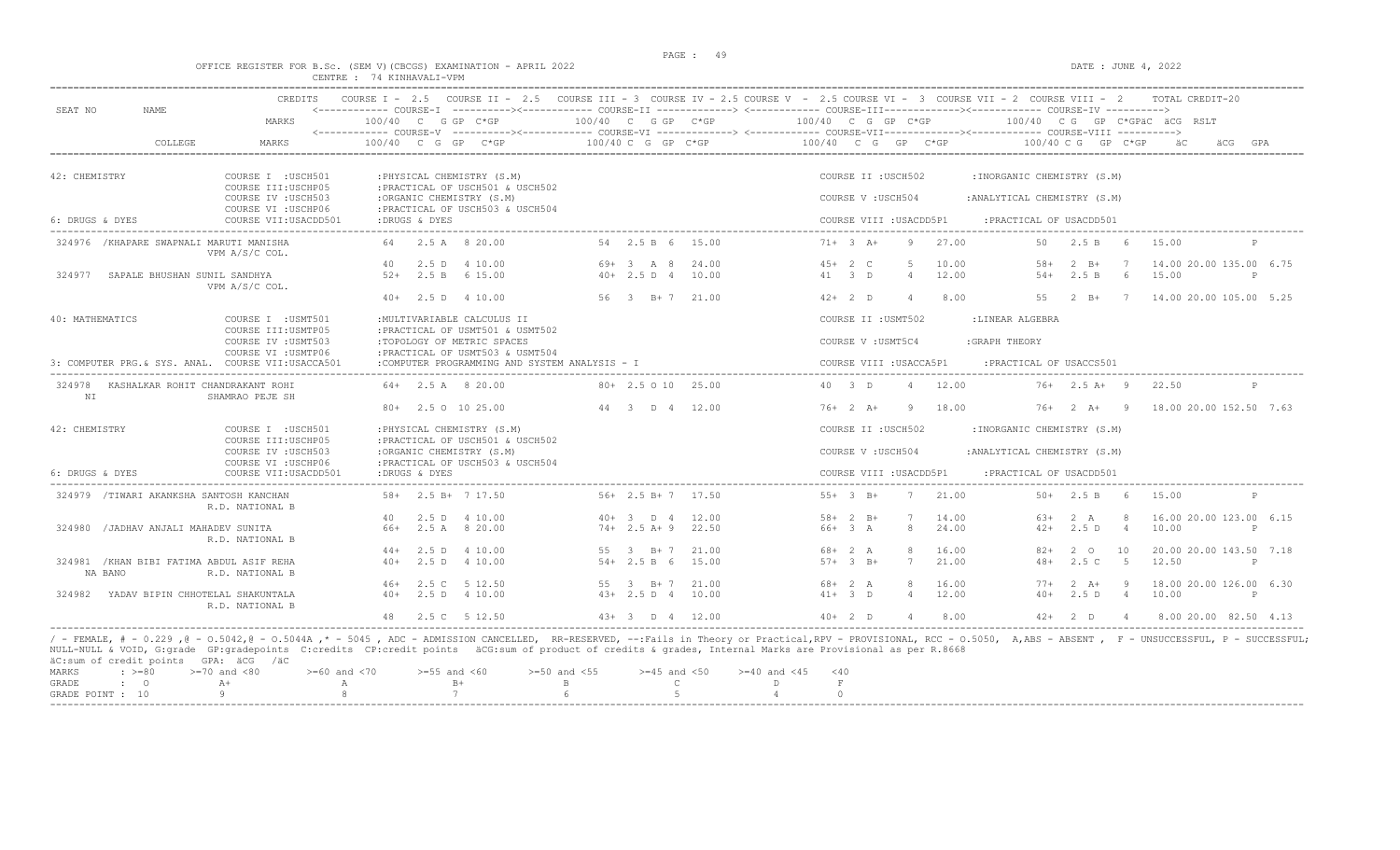### OFFICE REGISTER FOR B.Sc. (SEM V)(CBCGS) EXAMINATION - APRIL 2022 CENTRE : 74 KINHAVALI-VPM

|                                          | MARKS                                                             | $100/40$ C G GP C*GP                                                                               | 100/40 C G GP C*GP                       | <------------ COURSE-I ----------><------------ COURSE-II -------------> <------------ COURSE-III------------><----------- COURSE-IV ----------><br>$100/40$ C G GP C*GP<br>100/40 CG GP C*GPäC äCG RSLT |  |
|------------------------------------------|-------------------------------------------------------------------|----------------------------------------------------------------------------------------------------|------------------------------------------|----------------------------------------------------------------------------------------------------------------------------------------------------------------------------------------------------------|--|
|                                          | COLLEGE<br><b>MARKS</b>                                           | 100/40 C G GP C*GP                                                                                 | 100/40 C G GP C*GP                       | 100/40 C G GP C*GP<br>100/40 C G GP C*GP<br>äC                                                                                                                                                           |  |
| 42: CHEMISTRY                            | COURSE I : USCH501                                                | : PHYSICAL CHEMISTRY (S.M)                                                                         |                                          | COURSE II : USCH502<br>: INORGANIC CHEMISTRY (S.M)                                                                                                                                                       |  |
|                                          | COURSE III: USCHP05<br>COURSE IV : USCH503<br>COURSE VI : USCHP06 | : PRACTICAL OF USCH501 & USCH502<br>:ORGANIC CHEMISTRY (S.M)<br>: PRACTICAL OF USCH503 & USCH504   |                                          | COURSE V : USCH504<br>: ANALYTICAL CHEMISTRY (S.M)                                                                                                                                                       |  |
| 6: DRUGS & DYES                          | COURSE VII: USACDD501                                             | :DRUGS & DYES                                                                                      |                                          | COURSE VIII : USACDD5P1<br>: PRACTICAL OF USACDD501                                                                                                                                                      |  |
| 324976 / KHAPARE SWAPNALI MARUTI MANISHA | VPM A/S/C COL.                                                    | 64 2.5 A 8 20.00                                                                                   | 54 2.5 B 6 15.00                         | $71+ 3 A+$<br>9<br>27.00<br>50 2.5 B 6<br>15.00<br>P                                                                                                                                                     |  |
| 324977 SAPALE BHUSHAN SUNIL SANDHYA      | VPM A/S/C COL.                                                    | 40<br>2.5 D 4 10.00<br>$52+$ 2.5 B 6 15.00                                                         | $69+3$ A 8 24.00<br>$40+ 2.5 D 4 10.00$  | 5<br>10.00<br>14.00 20.00 135.00 6.75<br>$45+2$ C<br>$2 \quad B+$<br>58+<br>$7\phantom{0}7$<br>41 3 D<br>$\overline{4}$<br>12.00<br>2.5 B<br>6<br>15.00<br>$54+$<br>$\mathsf{P}$                         |  |
|                                          |                                                                   | $40+$ 2.5 D 4 10.00                                                                                | 56 3 B+7 21.00                           | $42+2$ D<br>$\overline{4}$<br>8.00<br>55 2 B+ 7 14.00 20.00 105.00 5.25                                                                                                                                  |  |
| 40: MATHEMATICS                          | COURSE I : USMT501                                                | : MULTIVARIABLE CALCULUS II                                                                        |                                          | COURSE II : USMT502<br>:LINEAR ALGEBRA                                                                                                                                                                   |  |
|                                          | COURSE III: USMTP05<br>COURSE IV : USMT503<br>COURSE VI : USMTP06 | : PRACTICAL OF USMT501 & USMT502<br>:TOPOLOGY OF METRIC SPACES<br>: PRACTICAL OF USMT503 & USMT504 |                                          | COURSE V: USMT5C4<br>: GRAPH THEORY                                                                                                                                                                      |  |
|                                          | 3: COMPUTER PRG. & SYS. ANAL. COURSE VII:USACCA501                | :COMPUTER PROGRAMMING AND SYSTEM ANALYSIS - I                                                      |                                          | COURSE VIII : USACCA5P1<br>: PRACTICAL OF USACCS501                                                                                                                                                      |  |
| NT                                       | 324978 KASHALKAR ROHIT CHANDRAKANT ROHI<br>SHAMRAO PEJE SH        | $64 + 2.5$ A 8 20.00                                                                               | $80 + 2.5010$ $25.00$                    | 40 3 D<br>$\overline{4}$<br>12.00<br>$76+$ 2.5 A+ 9<br>P<br>22.50                                                                                                                                        |  |
|                                          |                                                                   | 80+ 2.5 0 10 25.00                                                                                 | 44 3 D 4 12.00                           | $76+2 A+$<br>- 9<br>18.00<br>$76+2 A+9$<br>18.00 20.00 152.50 7.63                                                                                                                                       |  |
| 42: CHEMISTRY                            | COURSE I : USCH501                                                | : PHYSICAL CHEMISTRY (S.M)                                                                         |                                          | COURSE II : USCH502<br>: INORGANIC CHEMISTRY (S.M)                                                                                                                                                       |  |
|                                          | COURSE III: USCHP05<br>COURSE IV : USCH503<br>COURSE VI : USCHP06 | : PRACTICAL OF USCH501 & USCH502<br>:ORGANIC CHEMISTRY (S.M)<br>: PRACTICAL OF USCH503 & USCH504   |                                          | COURSE V: USCH504<br>: ANALYTICAL CHEMISTRY (S.M)                                                                                                                                                        |  |
| 6: DRUGS & DYES                          | COURSE VII: USACDD501                                             | :DRUGS & DYES                                                                                      |                                          | COURSE VIII : USACDD5P1<br>: PRACTICAL OF USACDD501                                                                                                                                                      |  |
| 324979 /TIWARI AKANKSHA SANTOSH KANCHAN  | R.D. NATIONAL B                                                   | $58 + 2.5 B + 7 17.50$                                                                             | $56+ 2.5 B+ 7 17.50$                     | $55+3$ B+<br>7<br>21.00<br>$50+$ 2.5 B 6<br>15.00<br>$\mathsf{P}$                                                                                                                                        |  |
| 324980 / JADHAV ANJALI MAHADEV SUNITA    |                                                                   | 2.5 D 4 10.00<br>40<br>66+ 2.5 A 8 20.00                                                           | 40+ 3 D 4 12.00<br>$74+2.5$ A+9<br>22.50 | $58 + 2 B +$<br>14.00<br>16.00 20.00 123.00 6.15<br>63+<br>2 A<br>- 8<br>66+ 3 A<br>8<br>24.00<br>2.5 D<br>10.00<br>$42+$<br>4<br>P                                                                      |  |
|                                          | R.D. NATIONAL B                                                   |                                                                                                    |                                          |                                                                                                                                                                                                          |  |
|                                          |                                                                   | $44+$ 2.5 D 4 10.00                                                                                | 21.00<br>55 3 B+7                        | $68 + 2 A$<br>8<br>16.00<br>82+<br>$2^{\circ}$ O<br>10<br>20.00 20.00 143.50 7.18                                                                                                                        |  |
| NA BANO                                  | 324981 / KHAN BIBI FATIMA ABDUL ASIF REHA<br>R.D. NATIONAL B      | $40+$ 2.5 D 4 10.00                                                                                | $54 + 2.5 B 6 15.00$                     | $57 + 3$ R+<br>$7^{\circ}$<br>21.00<br>2.5 C<br>$5^{\circ}$<br>12.50<br>$48+$<br>P                                                                                                                       |  |
|                                          |                                                                   | 46+ 2.5 C 5 12.50                                                                                  | 55 3 B+7 21.00                           | 8<br>16.00<br>18.00 20.00 126.00 6.30<br>$68 + 2 A$<br>$2 \overline{A}$ +<br>$\overline{9}$<br>$77+$                                                                                                     |  |
|                                          | 324982 YADAV BIPIN CHHOTELAL SHAKUNTALA<br>R.D. NATIONAL B        | $40+$ 2.5 D 4 10.00                                                                                | 43+ 2.5 D 4 10.00                        | 12.00<br>$41+ 3 D$<br>$\overline{4}$<br>2.5 D<br>$\overline{4}$<br>10.00<br>$40+$<br>$\mathbb{P}$                                                                                                        |  |
|                                          |                                                                   | 48 2.5 C 5 12.50                                                                                   | $43+3$ D 4 12.00                         | $40+2$ D<br>$\overline{4}$<br>8.00<br>42+ 2 D 4 8.00 20.00 82.50 4.13                                                                                                                                    |  |

|  | MARKS : >=80 >=70 and <80 > >=60 and <70 >=55 and <60 >=50 and <55 >=45 and <50 >=40 and <45 <40 |                                          |  |  |  |  |
|--|--------------------------------------------------------------------------------------------------|------------------------------------------|--|--|--|--|
|  | GRADE : O A+                                                                                     | $\,$ A $\,$ B+ $\,$ B $\,$ C $\,$ D $\,$ |  |  |  |  |
|  | GRADE POINT : 10 9 8 8 7 6 5 5 4 0                                                               |                                          |  |  |  |  |
|  |                                                                                                  |                                          |  |  |  |  |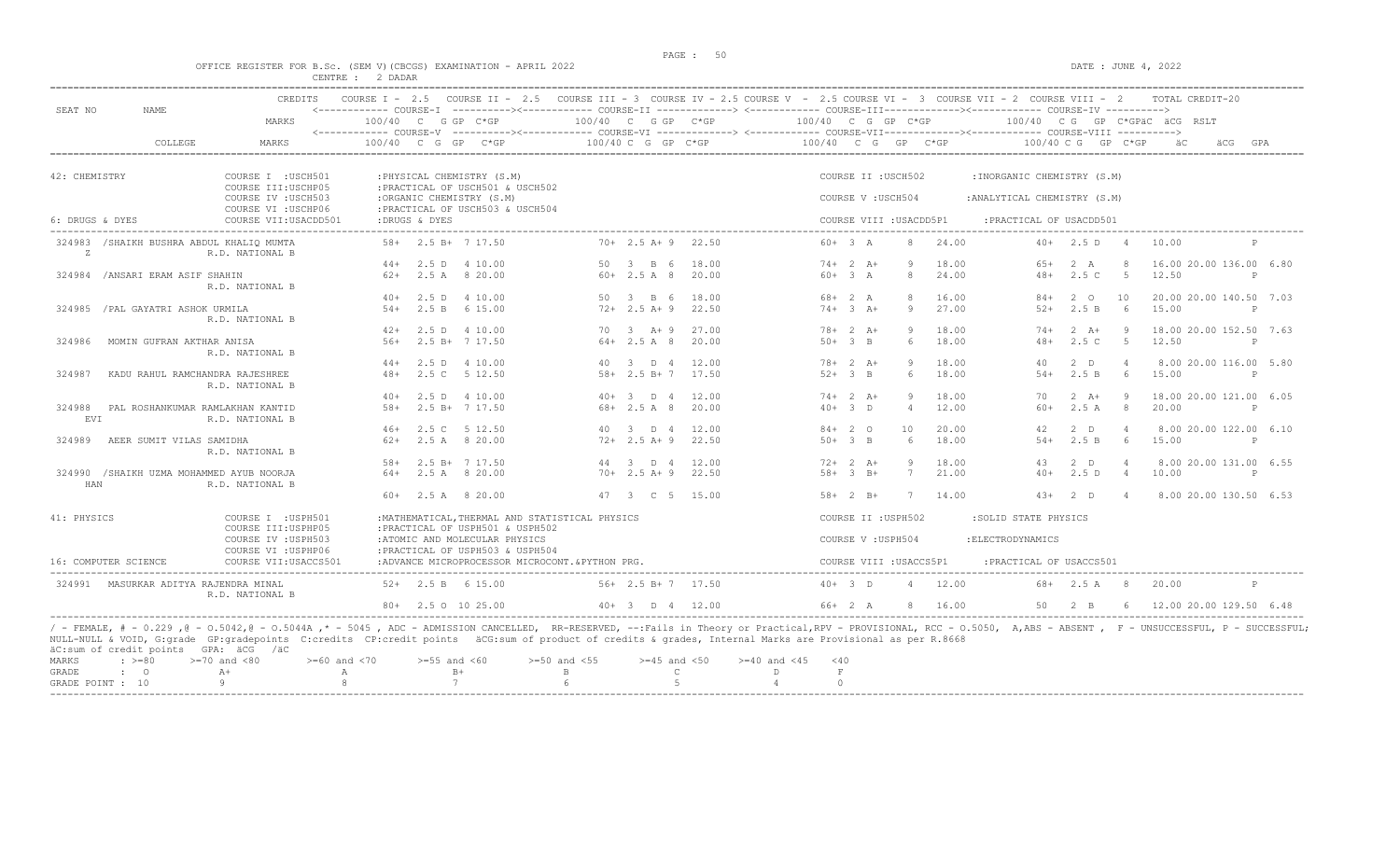# PAGE : 50 OFFICE REGISTER FOR B.Sc. (SEM V)(CBCGS) EXAMINATION - APRIL 2022 DATE : JUNE 4, 2022 CENTRE : 2 DADAR

| SEAT NO         | NAME.                                    | <b>CREDITS</b>                                                    | COURSE $T = 2.5$     |       |                                                                                                  |    |                        |       | COURSE II - 2.5 COURSE III - 3 COURSE IV - 2.5 COURSE V - 2.5 COURSE VI - 3 COURSE VII - 2 COURSE VIII - 2                                                    |                         |                |       |                              |                    |                | TOTAL CREDIT-20              |              |     |
|-----------------|------------------------------------------|-------------------------------------------------------------------|----------------------|-------|--------------------------------------------------------------------------------------------------|----|------------------------|-------|---------------------------------------------------------------------------------------------------------------------------------------------------------------|-------------------------|----------------|-------|------------------------------|--------------------|----------------|------------------------------|--------------|-----|
|                 |                                          | MARKS                                                             | $100/40$ C G GP C*GP |       |                                                                                                  |    | 100/40 C G GP C*GP     |       | 100/40 C G GP C*GP<br><------------ COURSE-V ----------><----------- COURSE-VI -------------> <------------ COURSE-VIII-------------- COURSE-VIII ----------> |                         |                |       |                              |                    |                | 100/40 CG GP C*GPÄC ÄCG RSLT |              |     |
|                 | COLLEGE                                  | <b>MARKS</b>                                                      | $100/40$ C G GP      |       | $C*GP$                                                                                           |    | 100/40 C G GP C*GP     |       | 100/40 C G GP C*GP                                                                                                                                            |                         |                |       | 100/40 C G                   |                    | $GP$ $C*GP$    |                              | äCG          | GPA |
| 42: CHEMISTRY   |                                          | COURSE I : USCH501                                                |                      |       | : PHYSICAL CHEMISTRY (S.M)                                                                       |    |                        |       |                                                                                                                                                               | COURSE II : USCH502     |                |       | : INORGANIC CHEMISTRY (S.M)  |                    |                |                              |              |     |
|                 |                                          | COURSE III: USCHP05<br>COURSE IV : USCH503<br>COURSE VI : USCHP06 |                      |       | : PRACTICAL OF USCH501 & USCH502<br>:ORGANIC CHEMISTRY (S.M)<br>: PRACTICAL OF USCH503 & USCH504 |    |                        |       |                                                                                                                                                               | COURSE V: USCH504       |                |       | : ANALYTICAL CHEMISTRY (S.M) |                    |                |                              |              |     |
| 6: DRUGS & DYES |                                          | COURSE VII: USACDD501                                             | :DRUGS & DYES        |       |                                                                                                  |    |                        |       |                                                                                                                                                               | COURSE VIII : USACDD5P1 |                |       | : PRACTICAL OF USACDD501     |                    |                |                              |              |     |
| Z               | 324983 /SHAIKH BUSHRA ABDUL KHALIO MUMTA | R.D. NATIONAL B                                                   |                      |       | $58 + 2.5 R + 7 17.50$                                                                           |    | $70+$ 2.5 A + 9        | 22.50 | $60 + 3$ A                                                                                                                                                    |                         | $\mathcal{R}$  | 24.00 |                              | $40+2.5$ D         |                | 10.00                        |              |     |
|                 |                                          |                                                                   |                      |       | $44+$ 2.5 D 4 10.00                                                                              |    | 50 3 B 6               | 18.00 | $74+2 A+$                                                                                                                                                     |                         | -9             | 18.00 | $65+$                        | 2 A                | -8             | 16.00 20.00 136.00 6.80      |              |     |
|                 | 324984 / ANSARI ERAM ASIF SHAHIN         | R.D. NATIONAL B                                                   |                      |       | $62+$ 2.5 A 8 20.00                                                                              |    | $60+2.5A8$             | 20.00 | $60 + 3 A$                                                                                                                                                    |                         | 8              | 24.00 | $48+$                        | 2.5C               | $5^{\circ}$    | 12.50                        | P            |     |
|                 |                                          |                                                                   | $40+$                | 2.5 D | 4 10.00                                                                                          | 50 | $3 \quad B \quad 6$    | 18.00 | $68 + 2 A$                                                                                                                                                    |                         | $\mathcal{R}$  | 16.00 | $84+$                        | $2^{\circ}$        | 10             | 20.00 20.00 140.50 7.03      |              |     |
|                 | 324985 / PAL GAYATRI ASHOK URMILA        | R.D. NATIONAL B                                                   |                      |       | $54+$ 2.5 B 6 15.00                                                                              |    | $72+2.5$ A+9           | 22.50 | $74 + 3 + 4$                                                                                                                                                  |                         | Q              | 27.00 | $52+$                        | 2.5 B              | - 6            | 15.00                        | $\mathsf{P}$ |     |
|                 |                                          |                                                                   | $42+$                |       | 2.5 D 4 10.00                                                                                    |    | 70 3 A+ 9              | 27.00 | $78 + 2 A +$                                                                                                                                                  |                         | Q              | 18.00 | $74+$                        | $2 \overline{A}$ + |                | 18.00 20.00 152.50 7.63      |              |     |
| 324986          | MOMIN GUFRAN AKTHAR ANISA                | R.D. NATIONAL B                                                   | $.56+$               |       | 2.5 B+ 7 17.50                                                                                   |    | $64 + 2.5 A 8$         | 20.00 | $50+3$ B                                                                                                                                                      |                         | 6              | 18.00 | $48+$                        | 2.5C               | $-5$           | 12.50                        | P            |     |
|                 |                                          |                                                                   | $44+$                |       | 2.5 D 4 10.00                                                                                    |    | 40 3 D 4 12.00         |       | $78 + 2 A +$                                                                                                                                                  |                         | Q              | 18.00 | 40                           | $2$ D              | $\overline{4}$ | 8.00 20.00 116.00 5.80       |              |     |
| 324987          | KADU RAHUL RAMCHANDRA RAJESHREE          | R.D. NATIONAL B                                                   | $48+$                |       | 2.5 C 5 12.50                                                                                    |    | $58 + 2.5 B + 7 17.50$ |       | $52+3$ B                                                                                                                                                      |                         | 6              | 18.00 | $54+$                        | 2.5 B              | - 6            | 15.00                        | P            |     |
|                 |                                          |                                                                   | $40+$                |       | 2.5 D 4 10.00                                                                                    |    | $40+3$ D 4             | 12.00 | $74+2 A+$                                                                                                                                                     |                         | -9             | 18.00 | 70                           | $2 \overline{A}$ + | - 9            | 18.00 20.00 121.00 6.05      |              |     |
| 324988<br>EVI   | PAL ROSHANKUMAR RAMLAKHAN KANTID         | R.D. NATIONAL B                                                   | $58+$                |       | 2.5 B+ 7 17.50                                                                                   |    | $68 + 2.5 A 8$         | 20.00 | $40+3$ D                                                                                                                                                      |                         | $\overline{4}$ | 12.00 | $60+$                        | 2.5A               | 8 <sup>8</sup> | 20.00                        | P            |     |
|                 |                                          |                                                                   | $46+$                |       | 2.5 C 5 12.50                                                                                    |    | 40 3 D 4 12.00         |       | $84+20$                                                                                                                                                       |                         | 10             | 20.00 | 42                           | $2$ D              |                | 8.00 20.00 122.00 6.10       |              |     |
| 324989          | AEER SUMIT VILAS SAMIDHA                 | R.D. NATIONAL B                                                   | $62+$                |       | 2.5 A 8 20.00                                                                                    |    | $72+2.5$ A+9           | 22.50 | $50+3$ B                                                                                                                                                      |                         | -6             | 18.00 | $54+$                        | 2.5 B              | - 6            | 15.00                        | P            |     |
|                 |                                          |                                                                   | $.58+$               |       | $2.5 B+ 7 17.50$                                                                                 | 44 | $\overline{3}$ D 4     | 12.00 | $72+2 + 2 + 1$                                                                                                                                                |                         | 9              | 18.00 | 43                           | $2$ D              | $\overline{4}$ | 8.00 20.00 131.00 6.55       |              |     |
| HAN             | 324990 /SHAIKH UZMA MOHAMMED AYUB NOORJA | R.D. NATIONAL B                                                   | $64+$                |       | 2.5 A 8 20.00                                                                                    |    | $70+2.5 A+9$           | 22.50 | $58 + 3 B +$                                                                                                                                                  |                         | 7              | 21.00 | $40+$                        | 2.5D               | $\overline{4}$ | 10.00                        | P            |     |
|                 |                                          |                                                                   | $60+$                |       | 2.5 A 8 20.00                                                                                    |    | 47 3 C 5 15.00         |       | $58 + 2$ B+                                                                                                                                                   |                         | 7              | 14.00 | $4.3+$                       | 2 D                | $\overline{4}$ | 8.00 20.00 130.50 6.53       |              |     |
| 41: PHYSICS     |                                          | COURSE I : USPH501<br>COURSE III: USPHP05                         |                      |       | : MATHEMATICAL, THERMAL AND STATISTICAL PHYSICS<br>:PRACTICAL OF USPH501 & USPH502               |    |                        |       |                                                                                                                                                               | COURSE II : USPH502     |                |       | :SOLID STATE PHYSICS         |                    |                |                              |              |     |
|                 |                                          | COURSE IV : USPH503<br>COURSE VI : USPHP06                        |                      |       | :ATOMIC AND MOLECULAR PHYSICS<br>: PRACTICAL OF USPH503 & USPH504                                |    |                        |       |                                                                                                                                                               | COURSE V : USPH504      |                |       | : ELECTRODYNAMICS            |                    |                |                              |              |     |
|                 | 16: COMPUTER SCIENCE                     | COURSE VII: USACCS501                                             |                      |       | :ADVANCE MICROPROCESSOR MICROCONT.&PYTHON PRG.                                                   |    |                        |       |                                                                                                                                                               | COURSE VIII : USACCS5P1 |                |       | : PRACTICAL OF USACCS501     |                    |                |                              |              |     |
| 324991          | MASURKAR ADITYA RAJENDRA MINAL           | R.D. NATIONAL B                                                   |                      |       | $52+$ 2.5 B 6 15.00                                                                              |    | 56+ 2.5 B+ 7 17.50     |       | $40+3$ D                                                                                                                                                      |                         | $\overline{4}$ | 12.00 |                              | $68 + 2.5$ A 8     |                | 20.00                        | $\mathsf{P}$ |     |
|                 |                                          |                                                                   |                      |       | 80+ 2.5 0 10 25.00                                                                               |    | $40+3$ D $4$ 12.00     |       | 66+ 2 A                                                                                                                                                       |                         | 8              | 16.00 | 50                           | $2 \quad B$        |                | 6 12.00 20.00 129.50 6.48    |              |     |

|  | MARKS : >=80 >=70 and <80 >=60 and <70 >=55 and <60 >=50 and <55 >=45 and <50 >=40 and <45 <40 |  |  |  |
|--|------------------------------------------------------------------------------------------------|--|--|--|
|  |                                                                                                |  |  |  |
|  | GRADE POINT : $10$ 9 8 8 7 6 6 5 5 4                                                           |  |  |  |
|  |                                                                                                |  |  |  |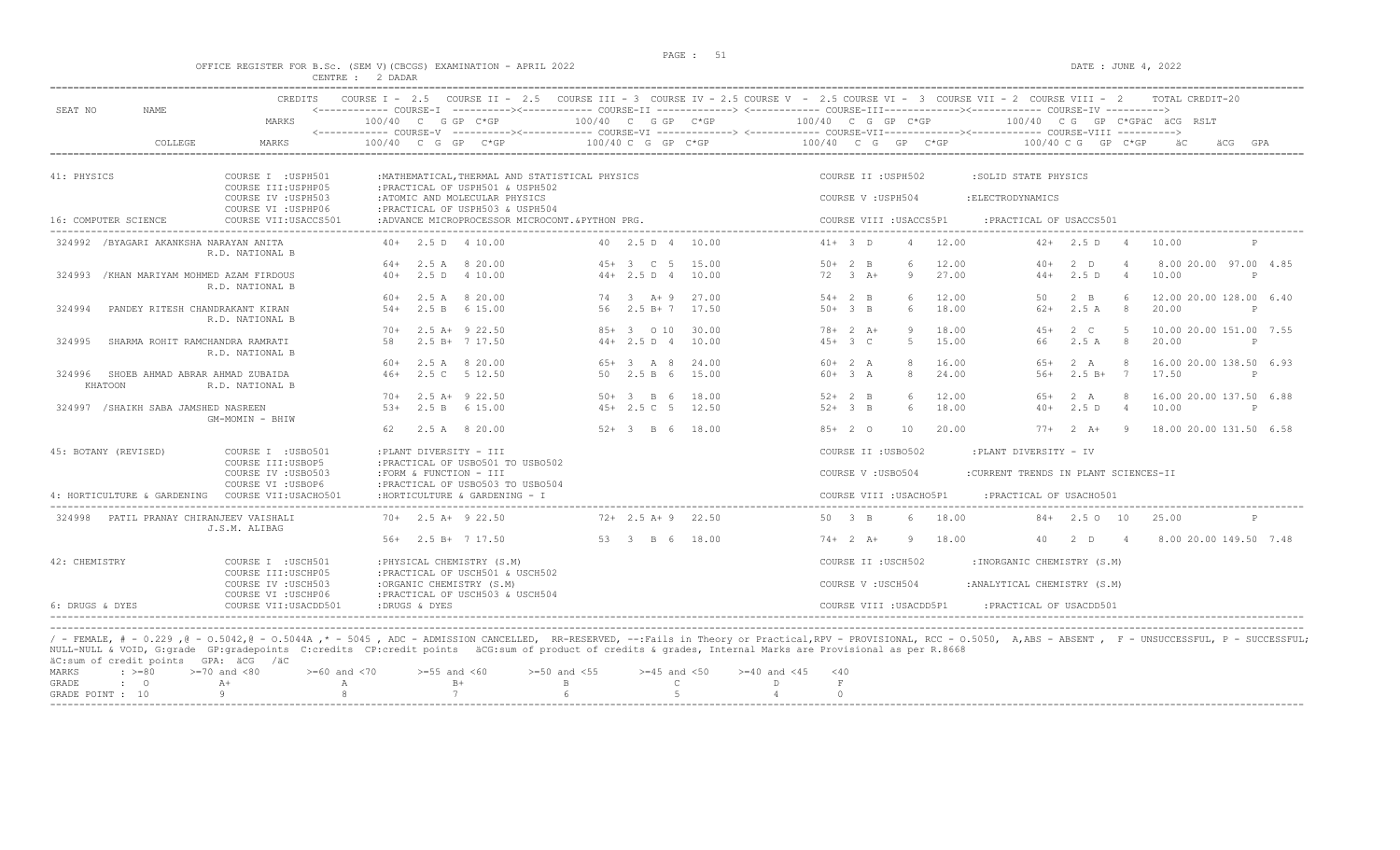$DATA: JUNE 4, 2022$ 

|  |  |                  |  | OFFICE REGISTER FOR B.SC. (SEM V)(CBCGS) EXAMINATION - APRIL 2022 |  |  |
|--|--|------------------|--|-------------------------------------------------------------------|--|--|
|  |  | CENTRE : 2 DADAR |  |                                                                   |  |  |

|                                                      | <b>CREDITS</b>                                                   | COURSE $I - 2.5$                                                                                                                                                                                                                                                                                                        |                                        | COURSE II - 2.5 COURSE III - 3 COURSE IV - 2.5 COURSE V - 2.5 COURSE VI - 3 COURSE VII - 2 COURSE VIII - 2 |           |                     |                           |                                          |                |                                                               |                      |                | TOTAL CREDIT-20                  |              |
|------------------------------------------------------|------------------------------------------------------------------|-------------------------------------------------------------------------------------------------------------------------------------------------------------------------------------------------------------------------------------------------------------------------------------------------------------------------|----------------------------------------|------------------------------------------------------------------------------------------------------------|-----------|---------------------|---------------------------|------------------------------------------|----------------|---------------------------------------------------------------|----------------------|----------------|----------------------------------|--------------|
| SEAT NO<br>NAME                                      | MARKS                                                            | <------------ COURSE-I ----------><----------- COURSE-II -------------> <------------ COURSE-III-----------><--------><--------- COURSE-IV ----------><br>100/40 C G GP C*GP<br><------------ COURSE-V ----------><----------- COURSE-VI -------------> <------------ COURSE-VIII-------------- COURSE-VIII ----------> |                                        | $100/40$ C G GP C*GP                                                                                       |           |                     | $100/40$ C G GP C*GP      |                                          |                |                                                               |                      |                | 100/40 CG GP C*GPAC ACG RSLT     |              |
| COLLEGE                                              | <b>MARKS</b>                                                     | $100/40$ C G GP C*GP                                                                                                                                                                                                                                                                                                    |                                        | 100/40 C G GP C*GP                                                                                         |           |                     | $100/40$ C G GP C*GP      |                                          |                |                                                               | $100/40$ C G GP C*GP |                |                                  | GPA          |
| 41: PHYSICS                                          | COURSE I : USPH501<br>COURSE III: USPHP05<br>COURSE IV : USPH503 | : PRACTICAL OF USPH501 & USPH502<br>:ATOMIC AND MOLECULAR PHYSICS                                                                                                                                                                                                                                                       |                                        | : MATHEMATICAL, THERMAL AND STATISTICAL PHYSICS                                                            |           |                     |                           | COURSE II : USPH502<br>COURSE V: USPH504 |                | :SOLID STATE PHYSICS<br>: ELECTRODYNAMICS                     |                      |                |                                  |              |
| 16: COMPUTER SCIENCE                                 | COURSE VI : USPHP06<br>COURSE VII: USACCS501                     | :PRACTICAL OF USPH503 & USPH504                                                                                                                                                                                                                                                                                         |                                        | :ADVANCE MICROPROCESSOR MICROCONT & PYTHON PRG.                                                            |           |                     |                           | COURSE VIII : USACCS5P1                  |                | :PRACTICAL OF USACCS501                                       |                      |                |                                  |              |
| 324992 /BYAGARI AKANKSHA NARAYAN ANITA               | R.D. NATIONAL B                                                  | $40+$ 2.5 D 4 10.00                                                                                                                                                                                                                                                                                                     |                                        | 40 2.5 D 4                                                                                                 |           | 10.00               | $41+ 3 D$                 |                                          | 12.00          | $42+$                                                         | 2.5 D                | 4              | 10.00                            | $\mathbb P$  |
| 324993<br>/KHAN MARIYAM MOHMED AZAM FIRDOUS          | R.D. NATIONAL B                                                  | 64+<br>$40+$                                                                                                                                                                                                                                                                                                            | 2.5 A 8 20.00<br>2.5 D 4 10.00         | $45+3$ C 5<br>$44+2.5 D 4$                                                                                 |           | 15.00<br>10.00      | $50+2$ B<br>$72 \t3 \tA+$ | 9                                        | 12.00<br>27.00 | $40+$<br>$44+$                                                | $2$ D<br>2.5 D       | $\overline{4}$ | 8.00 20.00 97.00 4.85<br>10.00   | P            |
| 324994<br>PANDEY RITESH CHANDRAKANT KIRAN            | R.D. NATIONAL B                                                  | 60+<br>2.5 B<br>$.54+$                                                                                                                                                                                                                                                                                                  | 2.5 A 8 20.00<br>6 15.00               | 74 3 A + 9<br>56                                                                                           | $2.5 B+7$ | 27.00<br>17.50      | $54+2$ B<br>$50+3$ B      | 6                                        | 12.00<br>18.00 | 50<br>$62+$                                                   | $2 \quad B$<br>2.5A  | -8             | 12.00 20.00 128.00 6.40<br>20.00 | P            |
| SHARMA ROHIT RAMCHANDRA RAMRATI<br>324995            | R.D. NATIONAL B                                                  | $70+$<br>58                                                                                                                                                                                                                                                                                                             | $2.5$ A+ $9$ 22.50<br>$2.5 B+ 7 17.50$ | $85+$<br>$44+2.5 D 4$                                                                                      | 3 0 10    | 30.00<br>10.00      | $78 + 2 A +$<br>$45+3$ C  | $5 -$                                    | 18.00<br>15.00 | $45+$<br>66                                                   | 2 C<br>2.5A          | -5<br>-8       | 10.00 20.00 151.00 7.55<br>20.00 | P            |
| SHOEB AHMAD ABRAR AHMAD ZUBAIDA<br>324996<br>KHATOON | R.D. NATIONAL B                                                  | 60+<br>2.5C<br>$46+$                                                                                                                                                                                                                                                                                                    | 2.5 A 8 20.00<br>5 12.50               | $65+3$ A 8<br>50 2.5 B 6                                                                                   |           | 24.00<br>15.00      | $60+2 A$<br>$60+3 A$      | $\mathcal{R}$                            | 16.00<br>24.00 | $65+$<br>$56+$                                                | 2 A<br>$2.5 B+$      | $\overline{7}$ | 16.00 20.00 138.50 6.93<br>17.50 | $\mathsf{P}$ |
| 324997 / SHAIKH SABA JAMSHED NASREEN                 | GM-MOMIN - BHIW                                                  | $70+$<br>$5.3+$                                                                                                                                                                                                                                                                                                         | $2.5$ A+ $9$ 22.50<br>2.5 B 6 15.00    | 50+ 3 B 6<br>$45+2.5C$ 5                                                                                   |           | 18.00<br>12.50      | $52+2$ B<br>$52+3$ B      | $6^{\circ}$                              | 12.00<br>18.00 | $65+$<br>$40+$                                                | 2 A<br>2.5D          | $\overline{4}$ | 16.00 20.00 137.50 6.88<br>10.00 | $\mathbb{P}$ |
|                                                      |                                                                  | 62                                                                                                                                                                                                                                                                                                                      | 2.5 A 8 20.00                          | $52+3$ B 6                                                                                                 |           | 18.00               | $85+20$                   | 10                                       | 20.00          | $77+$                                                         | $2 \overline{A}$ +   | $\overline{9}$ | 18.00 20.00 131.50 6.58          |              |
| 45: BOTANY (REVISED)                                 | COURSE I : USB0501<br>COURSE III: USBOP5<br>COURSE IV : USB0503  | : PLANT DIVERSITY - III<br>: PRACTICAL OF USB0501 TO USB0502<br>: FORM & FUNCTION - III                                                                                                                                                                                                                                 |                                        |                                                                                                            |           |                     |                           | COURSE II : USB0502<br>COURSE V: USB0504 |                | :PLANT DIVERSITY - IV<br>:CURRENT TRENDS IN PLANT SCIENCES-II |                      |                |                                  |              |
| 4: HORTICULTURE & GARDENING                          | COURSE VI : USBOP6<br>COURSE VII: USACHO501                      | : PRACTICAL OF USB0503 TO USB0504<br>: HORTICULTURE & GARDENING - I                                                                                                                                                                                                                                                     |                                        |                                                                                                            |           |                     |                           | COURSE VIII : USACHO5P1                  |                | : PRACTICAL OF USACH0501                                      |                      |                |                                  |              |
| 324998<br>PATIL PRANAY CHIRANJEEV VAISHALI           | J.S.M. ALIBAG                                                    | $70+$ 2.5 A+ 9 22.50                                                                                                                                                                                                                                                                                                    |                                        |                                                                                                            |           | $72+2.5$ A+ 9 22.50 | 50 3 B                    |                                          | 18.00          |                                                               | $84+$ 2.5 0 10       |                | 25.00                            | $\mathsf{P}$ |
|                                                      |                                                                  | $56+$ 2.5 B+ 7 17.50                                                                                                                                                                                                                                                                                                    |                                        |                                                                                                            |           | 53 3 B 6 18.00      | $74+2 A+$                 | -9                                       | 18.00          | 40                                                            | 2 D                  | $\overline{4}$ | 8.00 20.00 149.50 7.48           |              |
| 42: CHEMISTRY                                        | COURSE I : USCH501<br>COURSE III: USCHP05                        | : PHYSICAL CHEMISTRY (S.M)<br>: PRACTICAL OF USCH501 & USCH502                                                                                                                                                                                                                                                          |                                        |                                                                                                            |           |                     |                           | COURSE II : USCH502                      |                | : INORGANIC CHEMISTRY (S.M)                                   |                      |                |                                  |              |
|                                                      | COURSE IV : USCH503<br>COURSE VI : USCHP06                       | :ORGANIC CHEMISTRY (S.M)<br>: PRACTICAL OF USCH503 & USCH504                                                                                                                                                                                                                                                            |                                        |                                                                                                            |           |                     |                           | COURSE V: USCH504                        |                | : ANALYTICAL CHEMISTRY (S.M)                                  |                      |                |                                  |              |
| 6: DRUGS & DYES                                      | COURSE VII: USACDD501                                            | :DRUGS & DYES                                                                                                                                                                                                                                                                                                           |                                        |                                                                                                            |           |                     |                           | COURSE VIII : USACDD5P1                  |                | : PRACTICAL OF USACDD501                                      |                      |                |                                  |              |

----------------------------------------------------------------------------------------------------------------------------------------------------------------------------------------------------------------------- / - FEMALE, # - 0.229 ,@ - O.5042,@ - O.5044A ,\* - 5045 , ADC - ADMISSION CANCELLED, RR-RESERVED, --:Fails in Theory or Practical,RPV - PROVISIONAL, RCC - O.5050, A,ABS - ABSENT , F - UNSUCCESSFUL, P - SUCCESSFUL; NULL-NULL & VOID, G:grade GP:gradepoints C:credits CP:credit points äCG:sum of product of credits & grades, Internal Marks are Provisional as per R.8668 äC:sum of credit points GPA: äCG /äC MARKS : >=80 >=70 and <80 >=60 and <70 >=55 and <60 >=50 and <55 >=45 and <50 >=40 and <45 <40

| GRADE         |  |  |  |        |
|---------------|--|--|--|--------|
| GRADE POINT : |  |  |  |        |
| ----          |  |  |  | ------ |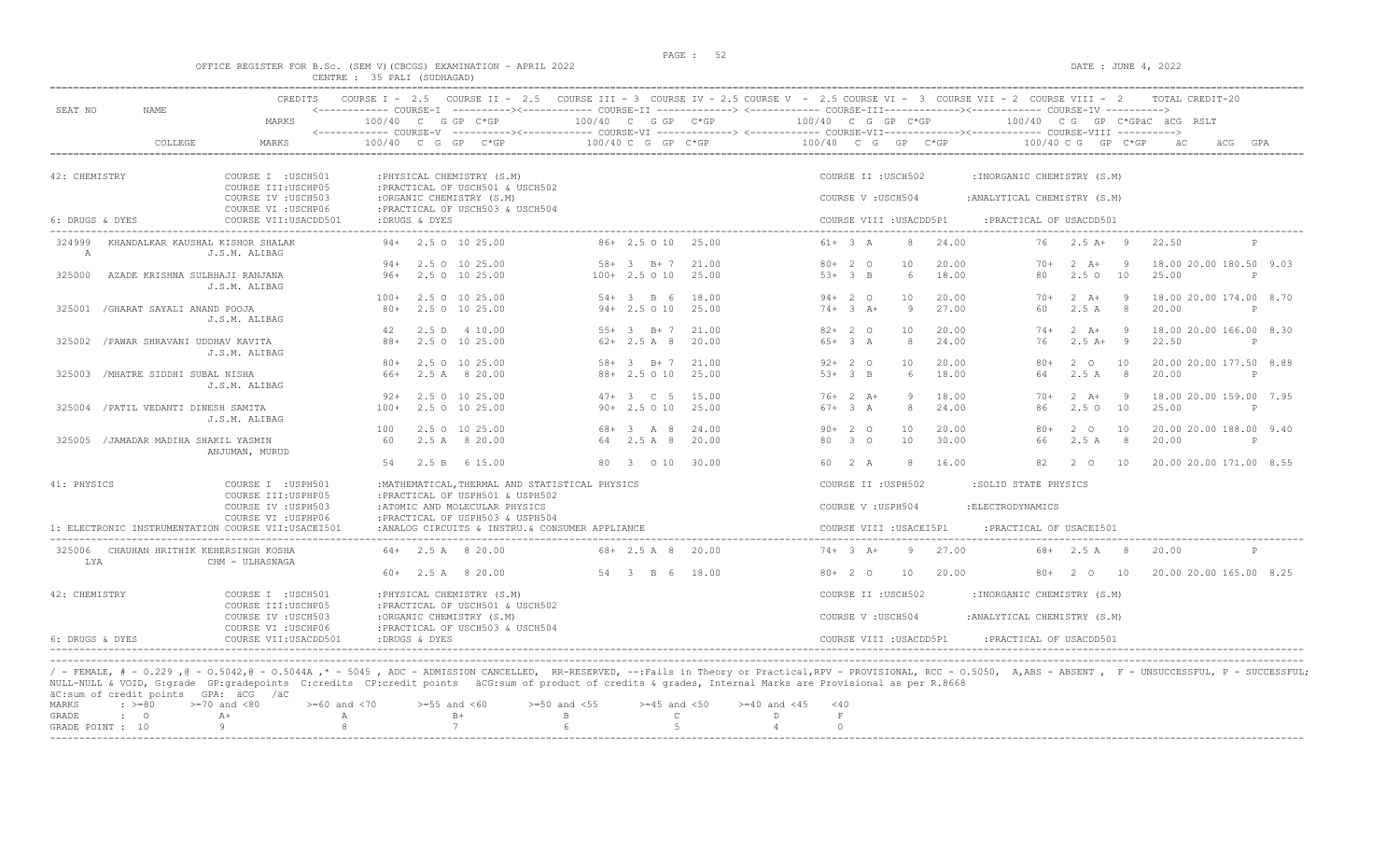# OFFICE REGISTER FOR B.Sc. (SEM V)(CBCGS) EXAMINATION - APRIL 2022<br>CENTRE : 35 PALI (SUDHAGAD)<br>CENTRE : 35 PALI (SUDHAGAD)

| SEAT NO<br>NAME                                    | MARKS                                             | $100/40$ C G GP C*GP                                                                | 100/40 C G GP C*GP               | 100/40 C G GP C*GP                        | 100/40 CG GP C*GPäC äCG RSLT                       |                                                  |
|----------------------------------------------------|---------------------------------------------------|-------------------------------------------------------------------------------------|----------------------------------|-------------------------------------------|----------------------------------------------------|--------------------------------------------------|
| COLLEGE                                            | MARKS                                             | $100/40$ C G GP C*GP                                                                | 100/40 C G GP C*GP               | 100/40 C G GP C*GP                        | $100/40$ C G GP C*GP                               | ăС<br>GPA<br>äCG                                 |
| 42: CHEMISTRY                                      | COURSE I : USCH501<br>COURSE III: USCHP05         | : PHYSICAL CHEMISTRY (S.M)<br>: PRACTICAL OF USCH501 & USCH502                      |                                  | COURSE II : USCH502                       | : INORGANIC CHEMISTRY (S.M)                        |                                                  |
|                                                    | COURSE IV : USCH503<br>COURSE VI : USCHP06        | :ORGANIC CHEMISTRY (S.M)<br>: PRACTICAL OF USCH503 & USCH504                        |                                  | COURSE V: USCH504                         | : ANALYTICAL CHEMISTRY (S.M)                       |                                                  |
| 6: DRUGS & DYES                                    | COURSE VII: USACDD501                             | :DRUGS & DYES                                                                       |                                  | COURSE VIII : USACDD5P1                   | : PRACTICAL OF USACDD501                           |                                                  |
| 324999<br>$\mathbb{A}$                             | KHANDALKAR KAUSHAL KISHOR SHALAK<br>J.S.M. ALIBAG | $94 + 2.50 10 25.00$                                                                | $86+2.5010$ 25.00                | $61 + 3$ A<br>24.00<br>8                  | $76$ $2.5$ $\text{A+}$ 9                           | 22.50<br>P                                       |
|                                                    |                                                   | 2.5 0 10 25.00<br>$94 +$                                                            | $58 + 3$ B + 7<br>21.00          | $80+20$<br>10<br>20.00                    | $2 \overline{A}$ +<br>- 9<br>$70+$                 | 18.00 20.00 180.50 9.03                          |
| AZADE KRISHNA SULBHAJI RANJANA<br>325000           | J.S.M. ALIBAG                                     | $96+$<br>2.5 0 10 25.00                                                             | $100+2.5010$ 25.00               | $53+3$ B<br>- 6<br>18.00                  | 80<br>2.5010                                       | 25.00<br>P                                       |
|                                                    |                                                   | $100+$<br>2.5 0 10 25.00                                                            | $54 + 3$ B 6<br>18.00            | $94 + 20$<br>10<br>20.00                  | $2 \overline{A}$ +<br>- 9<br>$70+$                 | 18.00 20.00 174.00 8.70                          |
| /GHARAT SAYALI ANAND POOJA<br>325001               | J.S.M. ALIBAG                                     | 80+<br>2.5 0 10 25.00                                                               | $94+2.5010$<br>25.00             | $74+3$ A+<br>9<br>27.00                   | 2.5A<br>8 <sup>8</sup><br>60                       | 20.00<br>P                                       |
|                                                    |                                                   | 42<br>2.5 D 4 10.00                                                                 | $55+3$ B+7<br>21.00              | $82+20$<br>10<br>20.00                    | $2 \overline{A}$ +<br>- 9<br>$74+$                 | 18.00 20.00 166.00 8.30                          |
| /PAWAR SHRAVANI UDDHAV KAVITA<br>325002            | J.S.M. ALIBAG                                     | 2.5 0 10 25.00<br>88+                                                               | $62+2.5A8$<br>20.00              | $65+3 A$<br>8<br>24.00                    | $2.5 A+ 9$<br>76                                   | 22.50<br>P                                       |
|                                                    |                                                   | 2.5 0 10 25.00<br>$80+$                                                             | $58 + 3$ B + 7<br>21.00          | $92 + 20$<br>20.00<br>10                  | 10<br>$80+$<br>$2^{\circ}$                         | 20.00 20.00 177.50 8.88                          |
| /MHATRE SIDDHI SUBAL NISHA<br>325003               | J.S.M. ALIBAG                                     | 66+<br>2.5 A 8 20.00                                                                | 88+ 2.5 0 10<br>25.00            | $53+3$ B<br>6<br>18.00                    | 2.5A<br>8 <sup>8</sup><br>64                       | 20.00<br>P                                       |
|                                                    |                                                   | 2.5 0 10 25.00<br>$92+$                                                             | $47 + 3$ C 5<br>15.00            | $76+2 A+$<br>18.00<br>-9<br>$67+3 A$<br>8 | $70+$<br>$2 \overline{A}$ +<br>$\overline{9}$      | 18.00 20.00 159.00 7.95                          |
| 325004 / PATIL VEDANTI DINESH SAMITA               | J.S.M. ALIBAG                                     | 2.5 0 10 25.00<br>$100+$<br>2.5 0 10 25.00<br>100                                   | $90+2.5010$<br>25.00<br>24.00    | 24.00<br>$90+20$<br>20.00<br>10           | $2.5 \circ 10$<br>86<br>10<br>$80+$<br>$2^{\circ}$ | 25.00<br>$\mathsf{P}$<br>20.00 20.00 188.00 9.40 |
| 325005 / JAMADAR MADIHA SHAKIL YASMIN              |                                                   | 2.5 A 8 20.00<br>60                                                                 | 68+ 3 A 8<br>64 2.5 A 8<br>20.00 | 80 3 0<br>10<br>30.00                     | 66<br>2.5A<br>8 <sup>8</sup>                       | 20.00<br>P                                       |
|                                                    | ANJUMAN, MURUD                                    | 2.5 B 6 15.00<br>54                                                                 | 80 3 0 10 30.00                  | 60 2 A<br>8<br>16.00                      | 82<br>$2^{\circ}$ O<br>10                          | 20.00 20.00 171.00 8.55                          |
|                                                    |                                                   |                                                                                     |                                  |                                           |                                                    |                                                  |
| 41: PHYSICS                                        | COURSE I : USPH501<br>COURSE III: USPHP05         | : MATHEMATICAL, THERMAL AND STATISTICAL PHYSICS<br>: PRACTICAL OF USPH501 & USPH502 |                                  | COURSE II : USPH502                       | :SOLID STATE PHYSICS                               |                                                  |
|                                                    | COURSE IV : USPH503<br>COURSE VI : USPHP06        | : ATOMIC AND MOLECULAR PHYSICS<br>: PRACTICAL OF USPH503 & USPH504                  |                                  | COURSE V: USPH504                         | : ELECTRODYNAMICS                                  |                                                  |
| 1: ELECTRONIC INSTRUMENTATION COURSE VII:USACEI501 |                                                   | :ANALOG CIRCUITS & INSTRU. & CONSUMER APPLIANCE                                     |                                  | COURSE VIII : USACEI5P1                   | : PRACTICAL OF USACEI501                           |                                                  |
| 325006 CHAUHAN HRITHIK KEHERSINGH KOSHA<br>LYA     | CHM - ULHASNAGA                                   | $64+$ 2.5 A 8 20.00                                                                 | $68 + 2.5$ A 8 20.00             | $74+3++$<br>$\overline{9}$<br>27.00       | $68 + 2.5$ A 8                                     | 20.00<br>P                                       |
|                                                    |                                                   | $60+$ 2.5 A 8 20.00                                                                 | 54 3 B 6 18.00                   | $80+20$<br>10<br>20.00                    | $80+$ 2 0 10                                       | 20.00 20.00 165.00 8.25                          |
| 42: CHEMISTRY                                      | COURSE I : USCH501<br>COURSE III: USCHP05         | : PHYSICAL CHEMISTRY (S.M)<br>: PRACTICAL OF USCH501 & USCH502                      |                                  | COURSE II : USCH502                       | : INORGANIC CHEMISTRY (S.M)                        |                                                  |
|                                                    | COURSE IV : USCH503<br>COURSE VI : USCHP06        | :ORGANIC CHEMISTRY (S.M)<br>: PRACTICAL OF USCH503 & USCH504                        |                                  | COURSE V: USCH504                         | : ANALYTICAL CHEMISTRY (S.M)                       |                                                  |
| 6: DRUGS & DYES                                    | COURSE VII: USACDD501                             | :DRUGS & DYES                                                                       |                                  | COURSE VIII : USACDD5P1                   | : PRACTICAL OF USACDD501                           |                                                  |
|                                                    |                                                   |                                                                                     |                                  |                                           |                                                    |                                                  |

|  | MARKS : >=80 >=70 and <80 > >=60 and <70 >=55 and <60 >=50 and <55 >=45 and <50 >=40 and <45 <40 |              |  |  |
|--|--------------------------------------------------------------------------------------------------|--------------|--|--|
|  | GRADE : O A+                                                                                     | A B+ B C D F |  |  |
|  | GRADE POINT : 10 9 9 8 7 6 5 5 4 0                                                               |              |  |  |
|  |                                                                                                  |              |  |  |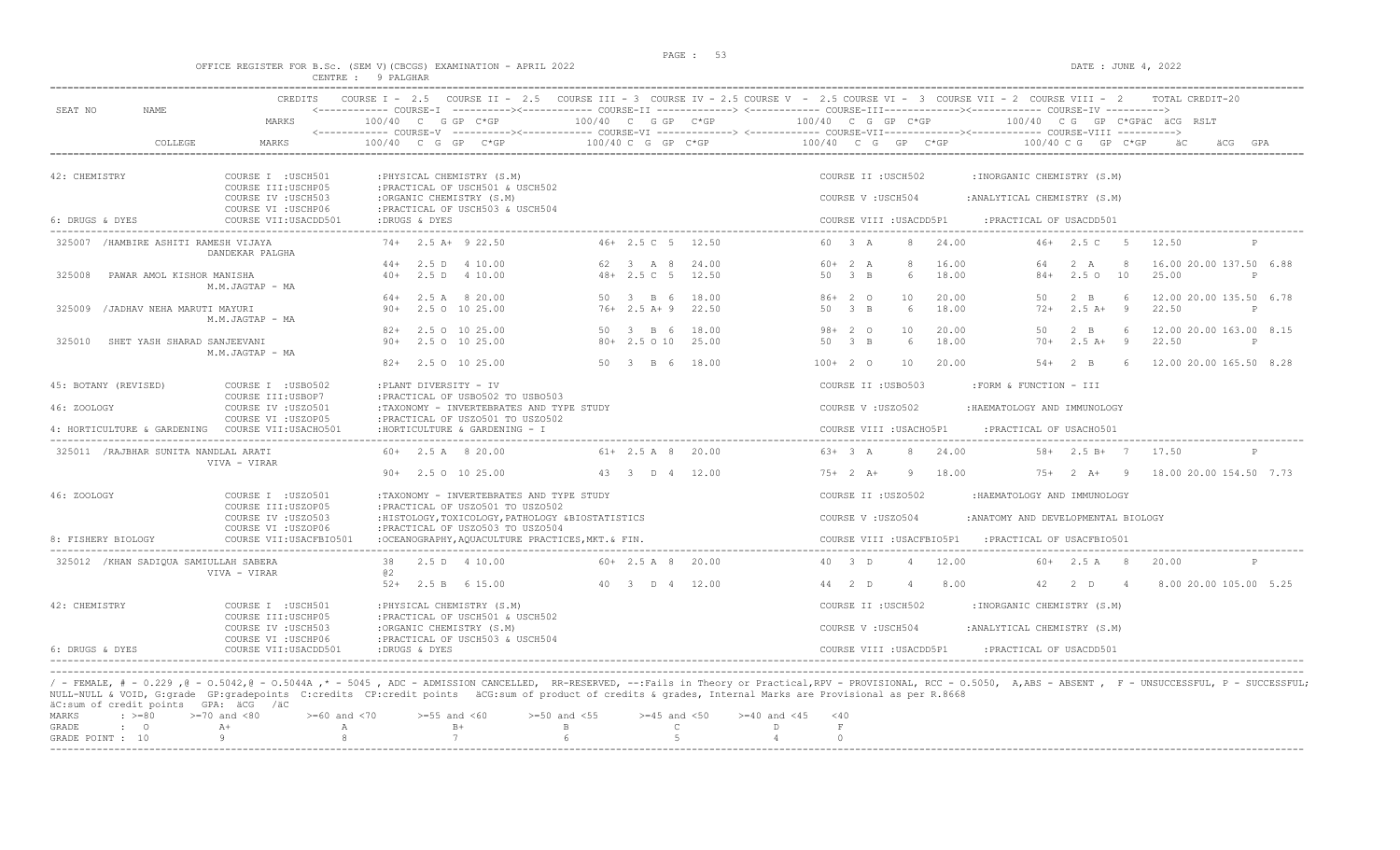DATE : JUNE  $4$ , 2022

|  |  |  |                    | OFFICE REGISTER FOR B.Sc. (SEM V) (CBCGS) EXAMINATION - APRIL 2022 |  |  |
|--|--|--|--------------------|--------------------------------------------------------------------|--|--|
|  |  |  | CENTRE : 9 PALGHAR |                                                                    |  |  |

| SEAT NO<br>NAME.                           | <b>CREDITS</b>                                                      |                                                                                                                 |                                              | COURSE I - 2.5 COURSE II - 2.5 COURSE III - 3 COURSE IV - 2.5 COURSE V - 2.5 COURSE VI - 3 COURSE VII - 2 COURSE VIII - 2<br><------------ COURSE-I ----------><------------ COURSE-II -------------> <------------ COURSE-III------------><----------- COURSE-IV ----------> | TOTAL CREDIT-20                                                                                   |  |
|--------------------------------------------|---------------------------------------------------------------------|-----------------------------------------------------------------------------------------------------------------|----------------------------------------------|-------------------------------------------------------------------------------------------------------------------------------------------------------------------------------------------------------------------------------------------------------------------------------|---------------------------------------------------------------------------------------------------|--|
|                                            | MARKS                                                               | 100/40 C G GP C*GP                                                                                              |                                              | $100/40$ C G GP C*GP $100/40$ C G GP C*GP                                                                                                                                                                                                                                     | 100/40 CG GP C*GPäC äCG RSLT                                                                      |  |
| COLLEGE                                    | <b>MARKS</b>                                                        | $100/40$ C G GP C*GP                                                                                            | $100/40$ C G GP C*GP                         | 100/40 C G GP C*GP                                                                                                                                                                                                                                                            | $100/40$ C G GP C*GP                                                                              |  |
| 42: CHEMISTRY                              | COURSE I : USCH501<br>COURSE III: USCHP05                           | : PHYSICAL CHEMISTRY (S.M)<br>: PRACTICAL OF USCH501 & USCH502                                                  |                                              | COURSE II : USCH502                                                                                                                                                                                                                                                           | : INORGANIC CHEMISTRY (S.M)                                                                       |  |
| 6: DRUGS & DYES                            | COURSE IV : USCH503<br>COURSE VI : USCHP06<br>COURSE VII: USACDD501 | :ORGANIC CHEMISTRY (S.M)<br>: PRACTICAL OF USCH503 & USCH504<br>:DRUGS & DYES                                   |                                              | COURSE V: USCH504<br>COURSE VIII : USACDD5P1                                                                                                                                                                                                                                  | : ANALYTICAL CHEMISTRY (S.M)<br>:PRACTICAL OF USACDD501                                           |  |
| 325007 / HAMBIRE ASHITI RAMESH VIJAYA      |                                                                     | $74+$ 2.5 A+ 9 22.50                                                                                            | 46+ 2.5 C 5 12.50                            | 60 3 A<br>24.00<br>8                                                                                                                                                                                                                                                          | $46+2.5$ C 5<br>12.50                                                                             |  |
| 325008<br>PAWAR AMOL KISHOR MANISHA        | DANDEKAR PALGHA<br>M.M.JAGTAP - MA                                  | $44+$ 2.5 D 4 10.00<br>2.5 D 4 10.00<br>$40+$                                                                   | 62 3 A 8<br>24.00<br>$48 + 2.5$ C 5<br>12.50 | $60 + 2 A$<br>8<br>16.00<br>$\beta$ B<br>18.00<br>50<br>6                                                                                                                                                                                                                     | 16.00 20.00 137.50 6.88<br>64<br>2 A<br>-8<br>25.00<br>$84+$<br>$2.5^\circ$<br>10<br>$\mathbb{P}$ |  |
| 325009 / JADHAV NEHA MARUTI MAYURI         | M.M.JAGTAP - MA                                                     | $64+$ 2.5 A 8 20.00<br>2.5 0 10 25.00<br>$90+$                                                                  | 50 3 B 6<br>18.00<br>$76+2.5$ A+9<br>22.50   | $86+20$<br>10<br>20.00<br>50 3 B<br>6<br>18.00                                                                                                                                                                                                                                | $2 \quad B$<br>-6<br>12.00 20.00 135.50 6.78<br>50<br>$72+$<br>$2.5A+$<br>9<br>22.50<br>P         |  |
| 325010<br>SHET YASH SHARAD SANJEEVANI      | M.M.JAGTAP - MA                                                     | 82+ 2.5 0 10 25.00<br>2.5 0 10 25.00<br>$90 +$                                                                  | 50 3 B 6<br>18.00<br>80+ 2.5 0 10<br>25.00   | $98 + 20$<br>10<br>20.00<br>18.00<br>50 3 B<br>6                                                                                                                                                                                                                              | $2 \quad B$<br>12.00 20.00 163.00 8.15<br>50<br>6<br>$2.5A+$<br>9<br>22.50<br>$70+$<br>P          |  |
|                                            |                                                                     | 2.5 0 10 25.00<br>$82+$                                                                                         | 50 3 B 6 18.00                               | $100+20$<br>10<br>20.00                                                                                                                                                                                                                                                       | $2 \quad B$<br>$54+$<br>12.00 20.00 165.50 8.28<br>6                                              |  |
| 45: BOTANY (REVISED)                       | COURSE I : USB0502<br>COURSE III:USBOP7                             | : PLANT DIVERSITY - IV<br>: PRACTICAL OF USB0502 TO USB0503                                                     |                                              | COURSE II : USB0503                                                                                                                                                                                                                                                           | :FORM & FUNCTION - III                                                                            |  |
| 46: ZOOLOGY<br>4: HORTICULTURE & GARDENING | COURSE IV : USZ0501<br>COURSE VI : USZOP05<br>COURSE VII:USACHO501  | :TAXONOMY - INVERTEBRATES AND TYPE STUDY<br>: PRACTICAL OF USZ0501 TO USZ0502<br>: HORTICULTURE & GARDENING - I |                                              | COURSE V: USZ0502<br>COURSE VIII : USACHO5P1                                                                                                                                                                                                                                  | : HAEMATOLOGY AND IMMUNOLOGY<br>:PRACTICAL OF USACH0501                                           |  |
| 325011 / RAJBHAR SUNITA NANDLAL ARATI      |                                                                     | $60+$ 2.5 A 8 20.00                                                                                             | $61+ 2.5 A 8 20.00$                          | $63+3 A$<br>24.00<br>8                                                                                                                                                                                                                                                        | _____________________________<br>$58 + 2.5 B + 7$<br>17.50                                        |  |
|                                            | VIVA - VIRAR                                                        | 90+ 2.5 0 10 25.00                                                                                              | 43 3 D 4 12.00                               | $75+2 A+$<br>18.00<br>9                                                                                                                                                                                                                                                       | $75+2+9$<br>18.00 20.00 154.50 7.73                                                               |  |
| 46: ZOOLOGY                                | COURSE I : USZ0501                                                  | :TAXONOMY - INVERTEBRATES AND TYPE STUDY                                                                        |                                              | COURSE II : USZ0502                                                                                                                                                                                                                                                           | :HAEMATOLOGY AND IMMUNOLOGY                                                                       |  |
|                                            | COURSE III: USZOP05<br>COURSE IV : USZ0503                          | : PRACTICAL OF USZ0501 TO USZ0502<br>: HISTOLOGY, TOXICOLOGY, PATHOLOGY &BIOSTATISTICS                          |                                              | COURSE V: USZ0504                                                                                                                                                                                                                                                             | : ANATOMY AND DEVELOPMENTAL BIOLOGY                                                               |  |
| 8: FISHERY BIOLOGY                         | COURSE VI : USZOP06<br>COURSE VII: USACFBIO501                      | : PRACTICAL OF USZ0503 TO USZ0504<br>: OCEANOGRAPHY, AQUACULTURE PRACTICES, MKT. & FIN.                         |                                              | COURSE VIII : USACFBIO5P1                                                                                                                                                                                                                                                     | : PRACTICAL OF USACFBIO501                                                                        |  |
| 325012 / KHAN SADIOUA SAMIULLAH SABERA     | VIVA - VIRAR                                                        | 2.5 D 4 10.00<br>38<br>@2                                                                                       | $60 + 2.5$ A 8 20.00                         | 40 3 D<br>12.00<br>$\overline{4}$                                                                                                                                                                                                                                             | $60+$ 2.5 A 8<br>20.00<br>P                                                                       |  |
|                                            |                                                                     | 2.5 B 6 15.00<br>$52+$                                                                                          | 40 3 D 4 12.00                               | 44 2 D<br>8.00                                                                                                                                                                                                                                                                | 42<br>2 D<br>8.00 20.00 105.00 5.25<br>$\overline{4}$                                             |  |
| 42: CHEMISTRY                              | COURSE I : USCH501<br>COURSE III: USCHP05                           | : PHYSICAL CHEMISTRY (S.M)<br>: PRACTICAL OF USCH501 & USCH502                                                  |                                              | COURSE II : USCH502                                                                                                                                                                                                                                                           | :INORGANIC CHEMISTRY (S.M)                                                                        |  |
| 6: DRUGS & DYES                            | COURSE IV : USCH503<br>COURSE VI : USCHP06<br>COURSE VII: USACDD501 | :ORGANIC CHEMISTRY (S.M)<br>: PRACTICAL OF USCH503 & USCH504<br>:DRUGS & DYES                                   |                                              | COURSE V: USCH504<br>COURSE VIII : USACDD5P1                                                                                                                                                                                                                                  | : ANALYTICAL CHEMISTRY (S.M)<br>: PRACTICAL OF USACDD501                                          |  |

/ - FEMALE, # - 0.229 ,@ - 0.5042,@ - 0.5044A ,\* - 5045 , ADC - ADMISSION CANCELLED, RR-RESERVED, --:Fails in Theory or Practical,RPV - PROVISIONAL, RCC - 0.5050, A,ABS - ABSENT , F - UNSUCCESSFUL, P - SUCCESSFUL; NULL-NULL & VOID, G:grade GP:gradepoints C:credits CP:credit points äCG:sum of product of credits & grades, Internal Marks are Provisional as per R.8668 äC:sum of credit points GPA: äCG /äC

| MARKS            |                                                                                                                |       |                                                                                                     |  |  |
|------------------|----------------------------------------------------------------------------------------------------------------|-------|-----------------------------------------------------------------------------------------------------|--|--|
| GRADE : O        | $A+$                                                                                                           | $B +$ | in the state of the Boston Books and the Boston Books and the Boston Books and the Boston Books and |  |  |
| GRADE POINT : 10 | та представите на время в 1911 година, која се представа на представањата на представањата на представањата на |       |                                                                                                     |  |  |
|                  |                                                                                                                |       |                                                                                                     |  |  |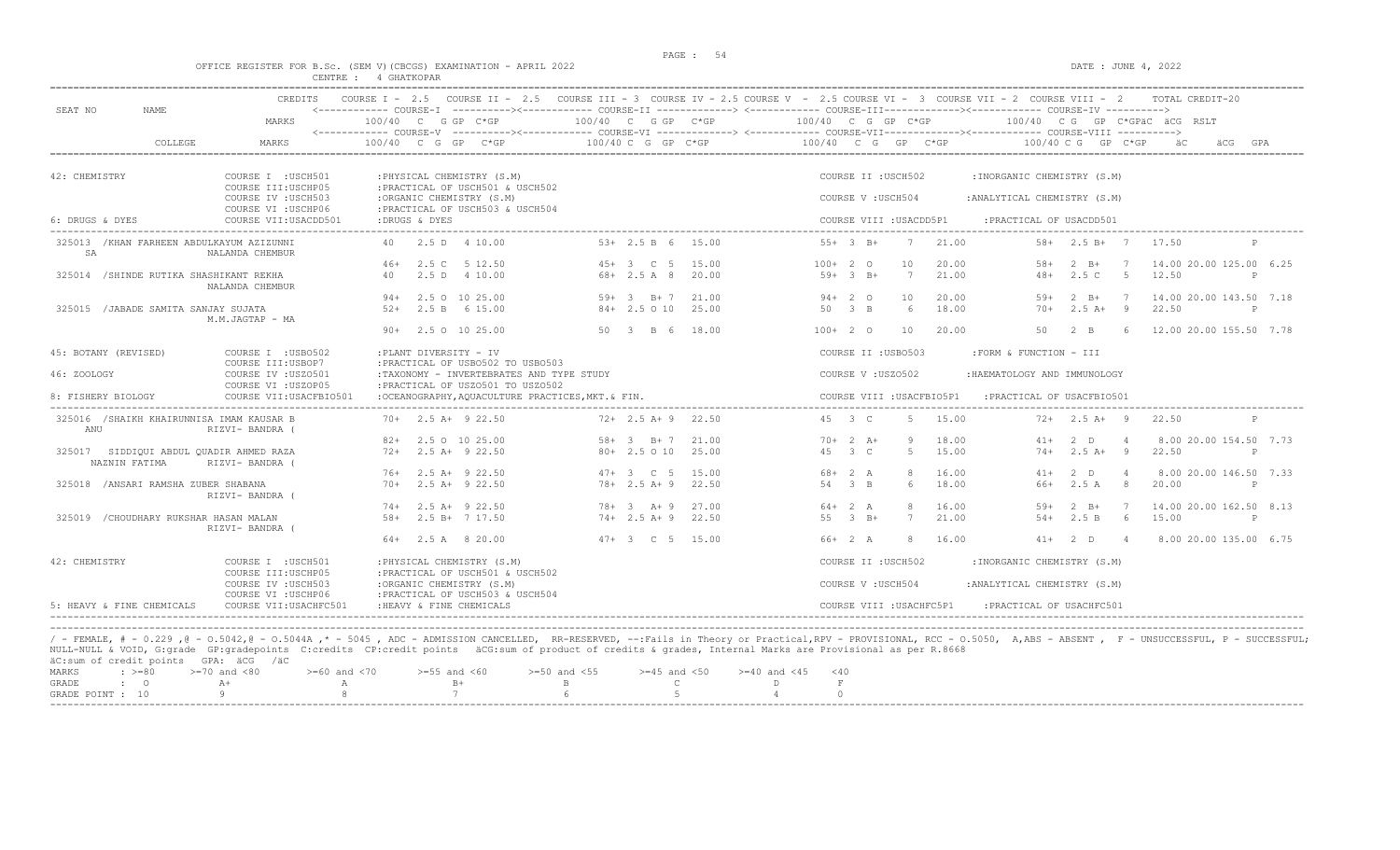### PAGE : 54 OFFICE REGISTER FOR B.Sc. (SEM V)(CBCGS) EXAMINATION - APRIL 2022 DATE : JUNE 4, 2022 CENTRE : 4 GHATKOPAR

| SEAT NO<br>NAME                                          | CREDITS                                                          |                                                                                                                    |                              | COURSE I - 2.5 COURSE II - 2.5 COURSE III - 3 COURSE IV - 2.5 COURSE V - 2.5 COURSE VI - 3 COURSE VII - 2 COURSE VIII - 2<br><------------ COURSE-T ----------><----------- COURSE-TT -------------> <------------ COURSE-TTT----------><--------><--------- COURSE-TV ----------> | TOTAL CREDIT-20                                                     |
|----------------------------------------------------------|------------------------------------------------------------------|--------------------------------------------------------------------------------------------------------------------|------------------------------|------------------------------------------------------------------------------------------------------------------------------------------------------------------------------------------------------------------------------------------------------------------------------------|---------------------------------------------------------------------|
|                                                          | MARKS                                                            | $100/40$ C G GP C*GP                                                                                               | $100/40$ C G GP $C*GP$       | $100/40$ C G GP C*GP                                                                                                                                                                                                                                                               | 100/40 CG GP C*GPÄC ÄCG RSLT                                        |
| COLLEGE                                                  | MARKS                                                            | 100/40 C G GP C*GP                                                                                                 | $100/40$ C G GP C*GP         | 100/40 C G GP C*GP                                                                                                                                                                                                                                                                 | $100/40$ C G GP C*GP<br>äCG<br>GPA                                  |
| 42: CHEMISTRY                                            | COURSE I : USCH501                                               | : PHYSICAL CHEMISTRY (S.M)                                                                                         |                              | COURSE II : USCH502                                                                                                                                                                                                                                                                | : INORGANIC CHEMISTRY (S.M)                                         |
|                                                          | COURSE III: USCHP05<br>COURSE IV : USCH503                       | : PRACTICAL OF USCH501 & USCH502<br>:ORGANIC CHEMISTRY (S.M)                                                       |                              | COURSE V: USCH504                                                                                                                                                                                                                                                                  | : ANALYTICAL CHEMISTRY (S.M)                                        |
|                                                          | COURSE VI : USCHP06                                              | : PRACTICAL OF USCH503 & USCH504                                                                                   |                              |                                                                                                                                                                                                                                                                                    |                                                                     |
| 6: DRUGS & DYES                                          | COURSE VII: USACDD501                                            | :DRUGS & DYES                                                                                                      |                              | COURSE VIII : USACDD5P1                                                                                                                                                                                                                                                            | : PRACTICAL OF USACDD501                                            |
| 325013 / KHAN FARHEEN ABDULKAYUM AZIZUNNI<br>SA          | NALANDA CHEMBUR                                                  | 2.5 D 4 10.00<br>40                                                                                                | $53+2.5 B 6$<br>15.00        | 21.00<br>$55+3$ B+<br>7                                                                                                                                                                                                                                                            | $58 + 2.5 B + 7$<br>17.50                                           |
|                                                          |                                                                  | 2.5 C 5 12.50<br>$46+$                                                                                             | 45+ 3 C 5<br>15.00           | $100+20$<br>20.00<br>10                                                                                                                                                                                                                                                            | 14,00 20,00 125,00 6.25<br>$58+$<br>$2 \quad B+$                    |
| 325014 / SHINDE RUTIKA SHASHIKANT REKHA                  | NALANDA CHEMBUR                                                  | $2.5$ D<br>4 10.00<br>40                                                                                           | $68 + 2.5 A 8$<br>20.00      | $7\phantom{.0}$<br>21.00<br>$59+3$ B+                                                                                                                                                                                                                                              | $-5$<br>12.50<br>2.5C<br>$48+$<br>P                                 |
|                                                          |                                                                  | 2.5 0 10 25.00<br>$94+$                                                                                            | 21.00<br>$59+ 3  B+ 7$       | $94+20$<br>10<br>20.00                                                                                                                                                                                                                                                             | $2 \quad B+$<br>$\overline{7}$<br>14.00 20.00 143.50 7.18<br>$59+$  |
| 325015 / JABADE SAMITA SANJAY SUJATA                     | M.M.JAGTAP - MA                                                  | $52+$<br>2.5 B 6 15.00                                                                                             | 25.00<br>$84+2.5010$         | 18.00<br>50 3 B<br>-6                                                                                                                                                                                                                                                              | $2.5 A+ 9$<br>22.50<br>$70+$<br>P                                   |
|                                                          |                                                                  | $90+$ 2.5 0 10 25.00                                                                                               | 50 3 B 6 18.00               | $100+20$<br>10<br>20.00                                                                                                                                                                                                                                                            | 12.00 20.00 155.50 7.78<br>50<br>$2 - B$<br>-6                      |
| 45: BOTANY (REVISED)                                     | COURSE I : USB0502                                               | :PLANT DIVERSITY - IV                                                                                              |                              | COURSE II : USB0503                                                                                                                                                                                                                                                                | :FORM & FUNCTION - III                                              |
| 46: ZOOLOGY                                              | COURSE III: USBOP7<br>COURSE IV : USZ0501<br>COURSE VI : USZOP05 | : PRACTICAL OF USB0502 TO USB0503<br>:TAXONOMY - INVERTEBRATES AND TYPE STUDY<br>: PRACTICAL OF USZ0501 TO USZ0502 |                              | COURSE V: USZ0502                                                                                                                                                                                                                                                                  | : HAEMATOLOGY AND IMMUNOLOGY                                        |
| 8: FISHERY BIOLOGY                                       | COURSE VII: USACFBIO501                                          | :OCEANOGRAPHY, AOUACULTURE PRACTICES, MKT. & FIN.                                                                  |                              | COURSE VIII : USACFBIO5P1                                                                                                                                                                                                                                                          | : PRACTICAL OF USACFBIO501                                          |
| 325016 /SHAIKH KHAIRUNNISA IMAM KAUSAR B<br>ANU          | RIZVI- BANDRA (                                                  | $70+$ 2.5 A+ 9 22.50                                                                                               | $72+2.5$ A + 9<br>22.50      | 45 3 C<br>.5.<br>15.00                                                                                                                                                                                                                                                             | $72+$ 2.5 A+ 9<br>22.50                                             |
|                                                          |                                                                  | 2.5 0 10 25.00<br>$82+$                                                                                            | $58+$<br>21.00<br>$3 \t B+7$ | 18.00<br>$70+2$ A+<br>9                                                                                                                                                                                                                                                            | 8.00 20.00 154.50 7.73<br>$41+$<br>$2$ D<br>$\overline{4}$          |
| 325017 SIDDIQUI ABDUL QUADIR AHMED RAZA<br>NAZNIN FATIMA | RIZVI- BANDRA (                                                  | $72+$<br>2.5 A+ 9 22.50                                                                                            | $80 + 2.5010$<br>25.00       | 45 3 C<br>$5 -$<br>15.00                                                                                                                                                                                                                                                           | $2.5 A+ 9$<br>$74+$<br>22.50<br>P                                   |
|                                                          |                                                                  | $76+$<br>$2.5$ A+ $9$ 22.50                                                                                        | $47 + 3$ C 5<br>15.00        | $68 + 2 A$<br>8<br>16.00                                                                                                                                                                                                                                                           | 8.00 20.00 146.50 7.33<br>$2$ D<br>$41+$<br>- 4                     |
| 325018 / ANSARI RAMSHA ZUBER SHABANA                     | RIZVI- BANDRA (                                                  | $2.5$ A+ $9$ 22.50<br>$70+$                                                                                        | $78 + 2.5 A + 9$<br>22.50    | 18.00<br>54 3 B<br>6                                                                                                                                                                                                                                                               | 66+<br>2.5 A<br>8<br>20.00<br>P                                     |
|                                                          |                                                                  | $2.5$ A+ 9 22.50<br>$74+$                                                                                          | $78 + 3 + 9$<br>27.00        | $64 + 2 A$<br>8<br>16.00                                                                                                                                                                                                                                                           | 14.00 20.00 162.50 8.13<br>$2 \quad B+$<br>$\overline{7}$<br>$.59+$ |
| 325019 / CHOUDHARY RUKSHAR HASAN MALAN                   | RIZVI- BANDRA (                                                  | 2.5 B+ 7 17.50<br>$58+$                                                                                            | $74+2.5 A+9$<br>22.50        | 7<br>21.00<br>55 3 B+                                                                                                                                                                                                                                                              | 6<br>15.00<br>$54+$<br>2.5 B<br>P                                   |
|                                                          |                                                                  | $64+$ 2.5 A 8 20.00                                                                                                | $47+3$ C 5 15.00             | 66+ 2 A<br>16.00<br>8                                                                                                                                                                                                                                                              | 2 D<br>8.00 20.00 135.00 6.75<br>$41+$<br>$\overline{4}$            |
| 42: CHEMISTRY                                            | COURSE I : USCH501<br>COURSE III:USCHP05                         | : PHYSICAL CHEMISTRY (S.M)<br>: PRACTICAL OF USCH501 & USCH502                                                     |                              | COURSE II : USCH502                                                                                                                                                                                                                                                                | : INORGANIC CHEMISTRY (S.M)                                         |
|                                                          | COURSE IV : USCH503<br>COURSE VI : USCHP06                       | :ORGANIC CHEMISTRY (S.M)<br>: PRACTICAL OF USCH503 & USCH504                                                       |                              | COURSE V: USCH504                                                                                                                                                                                                                                                                  | : ANALYTICAL CHEMISTRY (S.M)                                        |
| 5: HEAVY & FINE CHEMICALS                                | COURSE VII: USACHFC501                                           | : HEAVY & FINE CHEMICALS                                                                                           |                              | COURSE VIII : USACHFC5P1                                                                                                                                                                                                                                                           | : PRACTICAL OF USACHFC501                                           |

----------------------------------------------------------------------------------------------------------------------------------------------------------------------------------------------------------------------- / - FEMALE, # - 0.229 ,@ - O.5042,@ - O.5044A ,\* - 5045 , ADC - ADMISSION CANCELLED, RR-RESERVED, --:Fails in Theory or Practical,RPV - PROVISIONAL, RCC - O.5050, A,ABS - ABSENT , F - UNSUCCESSFUL, P - SUCCESSFUL; NULL-NULL & VOID, G:grade GP:gradepoints C:credits CP:credit points äCG:sum of product of credits & grades, Internal Marks are Provisional as per R.8668 äC:sum of credit points GPA: äCG /äC MARKS : >=80 >=70 and <80 >=60 and <70 >=55 and <60 >=50 and <55 >=45 and <50 >=40 and <45 <40

| GRADE            |  |  |  |  |  |
|------------------|--|--|--|--|--|
| GRADE POINT : 10 |  |  |  |  |  |
|                  |  |  |  |  |  |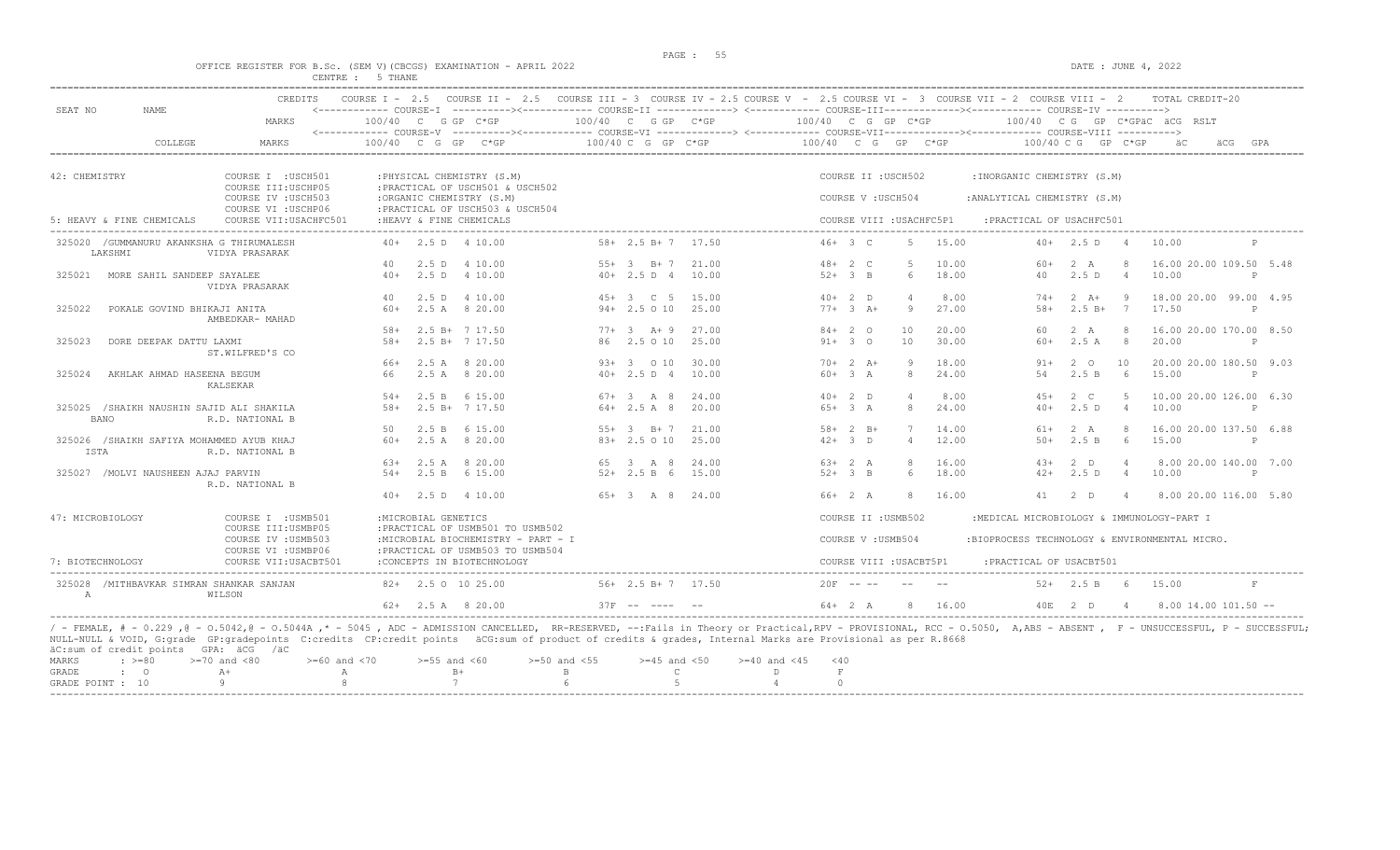$DATA: JUNE 4, 2022$ 

|  |  |                  |  | OFFICE REGISTER FOR B.SC. (SEM V)(CBCGS) EXAMINATION - APRIL 2022 |  |  |
|--|--|------------------|--|-------------------------------------------------------------------|--|--|
|  |  | CENTRE : 5 THANE |  |                                                                   |  |  |

| SEAT NO          | <b>NAME</b>                                          | <b>CREDITS</b>                             |               |                      | COURSE I - 2.5 COURSE II - 2.5 COURSE III - 3 COURSE IV - 2.5 COURSE V - 2.5 COURSE VI - 3 COURSE VII - 2 COURSE VIII - 2 |        |                            |                |                    |                        |                          |                |                                                            |                      |                | TOTAL CREDIT-20                  |              |
|------------------|------------------------------------------------------|--------------------------------------------|---------------|----------------------|---------------------------------------------------------------------------------------------------------------------------|--------|----------------------------|----------------|--------------------|------------------------|--------------------------|----------------|------------------------------------------------------------|----------------------|----------------|----------------------------------|--------------|
|                  |                                                      | MARKS                                      |               |                      | 100/40 C G GP C*GP                                                                                                        |        | 100/40 C G GP C*GP         |                | 100/40 C G GP C*GP |                        |                          |                |                                                            |                      |                | 100/40 CG GP C*GPAC ACG RSLT     |              |
|                  | COLLEGE                                              | <b>MARKS</b>                               | 100/40 C G GP |                      | $C*GP$                                                                                                                    |        | 100/40 C G GP C*GP         |                | 100/40 C G GP C*GP |                        |                          |                |                                                            | $100/40$ C G GP C*GP |                | äCG                              | GPA          |
|                  |                                                      |                                            |               |                      |                                                                                                                           |        |                            |                |                    |                        |                          |                |                                                            |                      |                |                                  |              |
| 42: CHEMISTRY    |                                                      | COURSE I : USCH501<br>COURSE III: USCHP05  |               |                      | : PHYSICAL CHEMISTRY (S.M)<br>: PRACTICAL OF USCH501 & USCH502                                                            |        |                            |                |                    |                        | COURSE II : USCH502      |                | : INORGANIC CHEMISTRY (S.M)                                |                      |                |                                  |              |
|                  |                                                      | COURSE IV : USCH503<br>COURSE VI : USCHP06 |               |                      | :ORGANIC CHEMISTRY (S.M)<br>: PRACTICAL OF USCH503 & USCH504                                                              |        |                            |                |                    | COURSE V: USCH504      |                          |                | : ANALYTICAL CHEMISTRY (S.M)                               |                      |                |                                  |              |
|                  | 5: HEAVY & FINE CHEMICALS                            | COURSE VII: USACHFC501                     |               |                      | : HEAVY & FINE CHEMICALS                                                                                                  |        |                            |                |                    |                        | COURSE VIII : USACHFC5P1 |                | : PRACTICAL OF USACHFC501<br>_____________________________ |                      |                |                                  |              |
|                  | 325020 / GUMMANURU AKANKSHA G THIRUMALESH<br>LAKSHMI | VIDYA PRASARAK                             |               |                      | $40+$ 2.5 D 4 10.00                                                                                                       |        | $58 + 2.5 B + 7 17.50$     |                |                    | $46+3$ C               | .5                       | 15.00          |                                                            | $40+2.5 D$           | $\sim$ 4       | 10.00                            | P            |
| 325021           | MORE SAHIL SANDEEP SAYALEE                           |                                            | 40<br>$40+$   |                      | 2.5 D 4 10.00<br>2.5 D 4 10.00                                                                                            |        | $55+3$ B+7<br>$40+2.5 D 4$ | 21.00<br>10.00 |                    | $48 + 2 C$<br>$52+3$ B | 5<br>6                   | 10.00<br>18.00 | 60+<br>40                                                  | 2 A<br>2.5D          | $\overline{4}$ | 16.00 20.00 109.50 5.48<br>10.00 | P            |
|                  |                                                      | VIDYA PRASARAK                             |               |                      |                                                                                                                           |        |                            |                |                    |                        |                          |                |                                                            |                      |                |                                  |              |
|                  |                                                      |                                            | 40            |                      | 2.5 D 4 10.00                                                                                                             |        | 45+ 3 C 5                  | 15.00          |                    | $40+2$ D               | $\Delta$                 | 8.00           | $74+$                                                      | $2 \overline{A}$     | - 9            | 18.00 20.00 99.00 4.95           |              |
| 325022           | POKALE GOVIND BHIKAJI ANITA                          | AMBEDKAR- MAHAD                            | $60+$         |                      | 2.5 A 8 20.00                                                                                                             |        | $94+2.5010$                | 25.00          |                    | $77+3+1$               | 9                        | 27.00          | $58+$                                                      | $2.5 B+ 7$           |                | 17.50                            | $\mathsf{P}$ |
|                  |                                                      |                                            | $58+$         |                      | 2.5 B+ 7 17.50                                                                                                            |        | $77+3$ $A+9$               | 27.00          |                    | $84+20$                | 10                       | 20.00          | 60                                                         | 2 A                  | 8 <sup>1</sup> | 16.00 20.00 170.00 8.50          |              |
| 325023           | DORE DEEPAK DATTU LAXMI                              | ST.WILFRED'S CO                            | $58+$         |                      | $2.5 B+ 7 17.50$                                                                                                          |        | 86 2.5 0 10                | 25.00          |                    | $91+ 30$               | 10                       | 30.00          | $60+$                                                      | 2.5A                 | $_{\rm 8}$     | 20.00                            | P            |
|                  |                                                      |                                            | 66+           |                      | 2.5 A 8 20.00                                                                                                             |        | 93+ 3 0 10                 | 30.00          |                    | $70+2 A+$              | -9                       | 18.00          | $91+$                                                      | 2 O                  | 10             | 20.00 20.00 180.50 9.03          |              |
| 325024           | AKHLAK AHMAD HASEENA BEGUM                           | KALSEKAR                                   | 66            |                      | 2.5 A 8 20.00                                                                                                             |        | $40+2.5 D 4$               | 10.00          |                    | $60+3 A$               | 8                        | 24.00          | 54                                                         | 2.5 B                | 6              | 15.00                            | $\mathsf{P}$ |
|                  |                                                      |                                            | $54+$         |                      | 2.5 B 6 15.00                                                                                                             |        | $67 + 3$ A 8               | 24.00          |                    | $40+2$ D               |                          | 8.00           | $4.5+$                                                     | 2 C                  | -5             | 10.00 20.00 126.00 6.30          |              |
| <b>BANO</b>      | 325025 /SHAIKH NAUSHIN SAJID ALI SHAKILA             | R.D. NATIONAL B                            | $58+$         |                      | $2.5 B+ 7 17.50$                                                                                                          |        | $64+2.5 A 8$               | 20.00          |                    | $65+3 A$               | 8                        | 24.00          | $40+$                                                      | 2.5D                 | $\overline{4}$ | 10.00                            | P            |
|                  |                                                      |                                            | 50            | 2.5 B                | 6 15.00                                                                                                                   | $5.5+$ | $3$ B+ 7                   | 21.00          |                    | $58 + 2 B +$           | 7                        | 14.00          | 61+                                                        | 2 A                  | -8             | 16.00 20.00 137.50 6.88          |              |
| ISTA             | 325026 /SHAIKH SAFIYA MOHAMMED AYUB KHAJ             | R.D. NATIONAL B                            | $60+$         |                      | 2.5 A 8 20.00                                                                                                             |        | 83+ 2.5 0 10               | 25.00          |                    | $42+3$ D               | $\overline{4}$           | 12.00          | $50+$                                                      | 2.5 B                | 6              | 15.00                            | P            |
|                  |                                                      |                                            | 63+           | 2.5 A                | 8 20.00                                                                                                                   |        | 65 3 A 8                   | 24.00          |                    | $63+2 A$               | $\mathcal{R}$            | 16.00          | $43+$                                                      | 2 D                  | $\overline{4}$ | 8.00 20.00 140.00 7.00           |              |
|                  | 325027 / MOLVI NAUSHEEN AJAJ PARVIN                  | R.D. NATIONAL B                            |               |                      | 54+ 2.5 B 6 15.00                                                                                                         |        | $52+2.5 B 6 15.00$         |                |                    | $52+3$ B               | 6                        | 18.00          | $42+$                                                      | 2.5 D                | $\overline{4}$ | 10.00                            | P            |
|                  |                                                      |                                            |               |                      | $40+$ 2.5 D 4 10.00                                                                                                       |        | 65+ 3 A 8 24.00            |                |                    | 66+ 2 A                | 8                        | 16.00          | 41                                                         | $2$ D                | $\overline{4}$ | 8.00 20.00 116.00 5.80           |              |
| 47: MICROBIOLOGY |                                                      | COURSE I : USMB501<br>COURSE III: USMBP05  |               | : MICROBIAL GENETICS | : PRACTICAL OF USMB501 TO USMB502                                                                                         |        |                            |                |                    |                        | COURSE II : USMB502      |                | :MEDICAL MICROBIOLOGY & IMMUNOLOGY-PART I                  |                      |                |                                  |              |
|                  |                                                      | COURSE IV : USMB503<br>COURSE VI : USMBP06 |               |                      | :MICROBIAL BIOCHEMISTRY - PART - I<br>: PRACTICAL OF USMB503 TO USMB504                                                   |        |                            |                |                    | COURSE V: USMB504      |                          |                | :BIOPROCESS TECHNOLOGY & ENVIRONMENTAL MICRO.              |                      |                |                                  |              |
| 7: BIOTECHNOLOGY |                                                      | COURSE VII: USACBT501                      |               |                      | : CONCEPTS IN BIOTECHNOLOGY                                                                                               |        |                            |                |                    |                        | COURSE VIII : USACBT5P1  |                | :PRACTICAL OF USACBT501                                    |                      |                |                                  |              |
| A                | 325028 /MITHBAVKAR SIMRAN SHANKAR SANJAN             | WILSON                                     |               |                      | 82+ 2.5 0 10 25.00                                                                                                        |        | $56+2.5 B+7$ 17.50         |                |                    | $20F - - -$            | $\sim$ $-$               |                |                                                            | $52+$ 2.5 B 6        |                | 15.00                            | $\rm F$      |
|                  |                                                      |                                            |               |                      | $62+$ 2.5 A 8 20.00                                                                                                       |        | $37F$ -- ---- --           |                |                    | $64+2 A$               |                          | 8 16.00        |                                                            | 40E 2 D              | $\Delta$       | $8.00$ 14.00 101.50 --           |              |

|           |  | duisum or creard points form: aug faul |                                                                                          |      |  |  |  |
|-----------|--|----------------------------------------|------------------------------------------------------------------------------------------|------|--|--|--|
| MARKS     |  |                                        | : >=80 >=70 and <80 >=60 and <70 >=55 and <60 >=50 and <55 >=45 and <50 >=40 and <45 <40 |      |  |  |  |
| GRADE : O |  | A+                                     |                                                                                          | $B+$ |  |  |  |
|           |  | GRADE POINT : 10 9                     | $\mathsf{R}$                                                                             |      |  |  |  |
|           |  |                                        |                                                                                          |      |  |  |  |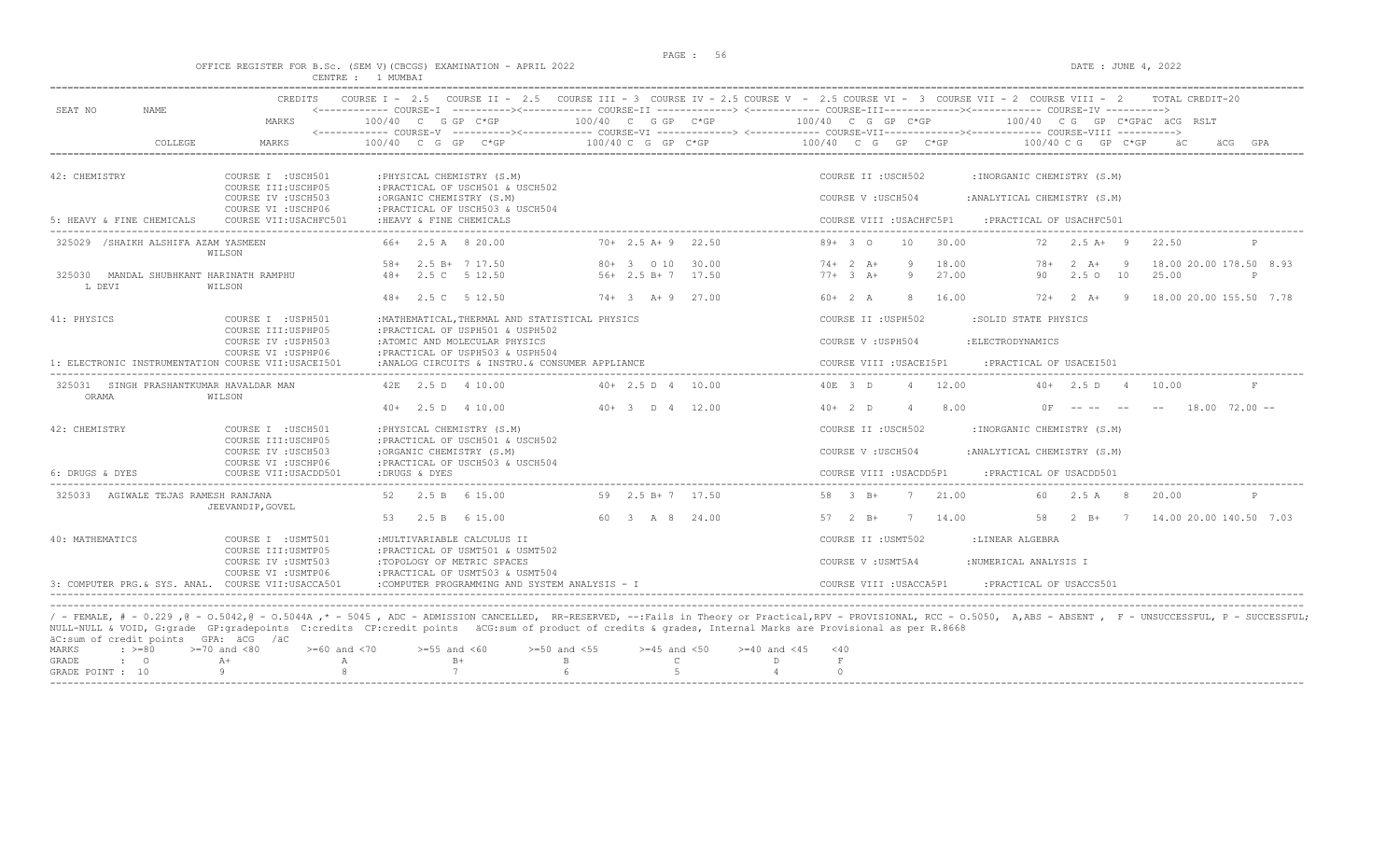$DATA: JUNE 4, 2022$ 

|  |  |          |          | OFFICE REGISTER FOR B.SC. (SEM V)(CBCGS) EXAMINATION - APRIL 2022 |  |  |
|--|--|----------|----------|-------------------------------------------------------------------|--|--|
|  |  | CENTRE : | 1 MUMBAT |                                                                   |  |  |

| MARKS<br>COLLEGE<br>MARKS<br>42: CHEMISTRY<br>COURSE I : USCH501<br>COURSE III: USCHP05<br>COURSE IV : USCH503<br>COURSE VI : USCHP06<br>5: HEAVY & FINE CHEMICALS<br>COURSE VII: USACHFC501<br>325029 / SHAIKH ALSHIFA AZAM YASMEEN<br>WILSON<br>325030 MANDAL SHUBHKANT HARINATH RAMPHU<br>L DEVI<br>WILSON<br>COURSE I : USPH501<br>COURSE III: USPHP05<br>COURSE IV : USPH503<br>COURSE VI : USPHP06<br>325031 SINGH PRASHANTKUMAR HAVALDAR MAN<br>ORAMA<br>WILSON<br>COURSE I : USCH501<br>COURSE III: USCHP05 | 100/40 C G GP C*GP<br>$100/40$ C G GP C*GP<br>: PHYSICAL CHEMISTRY (S.M)<br>: PRACTICAL OF USCH501 & USCH502<br>:ORGANIC CHEMISTRY (S.M)<br>: PRACTICAL OF USCH503 & USCH504<br>: HEAVY & FINE CHEMICALS<br>66+ 2.5 A 8 20.00<br>2.5 B+ 7 17.50<br>58+<br>48+ 2.5 C 5 12.50<br>48+ 2.5 C 5 12.50<br>: MATHEMATICAL, THERMAL AND STATISTICAL PHYSICS | 100/40 C G GP C*GP<br>$100/40$ C G GP C*GP<br>$70+2.5$ A+9 22.50<br>80+ 3 0 10<br>30.00<br>$56+2.5 B+7$ 17.50 | $100/40$ C G GP C*GP<br>100/40 CG GP C*GPÄC ÄCG RSLT<br><------------ COURSE-V ----------><----------- COURSE-VI -------------> <------------ COURSE-VII-------------> COURSE-VIII ----------><br>100/40 C G GP C*GP<br>$100/40$ C G GP C*GP<br>äС<br>äCG<br>GPA<br>COURSE II : USCH502<br>: INORGANIC CHEMISTRY (S.M)<br>COURSE V: USCH504<br>: ANALYTICAL CHEMISTRY (S.M)<br>COURSE VIII : USACHFC5P1<br>: PRACTICAL OF USACHFC501<br>$89+30$<br>10<br>30.00<br>72<br>$2.5$ A+ 9<br>22.50<br>$74+2 A+$<br>9<br>18.00<br>18.00 20.00 178.50 8.93<br>$78+$<br>$2 \overline{A}$ +<br>- 9<br>$77+3+$<br>27.00<br>9<br>90<br>2.5010<br>25.00<br>P |
|---------------------------------------------------------------------------------------------------------------------------------------------------------------------------------------------------------------------------------------------------------------------------------------------------------------------------------------------------------------------------------------------------------------------------------------------------------------------------------------------------------------------|-----------------------------------------------------------------------------------------------------------------------------------------------------------------------------------------------------------------------------------------------------------------------------------------------------------------------------------------------------|---------------------------------------------------------------------------------------------------------------|------------------------------------------------------------------------------------------------------------------------------------------------------------------------------------------------------------------------------------------------------------------------------------------------------------------------------------------------------------------------------------------------------------------------------------------------------------------------------------------------------------------------------------------------------------------------------------------------------------------------------------------------|
|                                                                                                                                                                                                                                                                                                                                                                                                                                                                                                                     |                                                                                                                                                                                                                                                                                                                                                     |                                                                                                               |                                                                                                                                                                                                                                                                                                                                                                                                                                                                                                                                                                                                                                                |
|                                                                                                                                                                                                                                                                                                                                                                                                                                                                                                                     |                                                                                                                                                                                                                                                                                                                                                     |                                                                                                               |                                                                                                                                                                                                                                                                                                                                                                                                                                                                                                                                                                                                                                                |
|                                                                                                                                                                                                                                                                                                                                                                                                                                                                                                                     |                                                                                                                                                                                                                                                                                                                                                     |                                                                                                               |                                                                                                                                                                                                                                                                                                                                                                                                                                                                                                                                                                                                                                                |
|                                                                                                                                                                                                                                                                                                                                                                                                                                                                                                                     |                                                                                                                                                                                                                                                                                                                                                     |                                                                                                               |                                                                                                                                                                                                                                                                                                                                                                                                                                                                                                                                                                                                                                                |
|                                                                                                                                                                                                                                                                                                                                                                                                                                                                                                                     |                                                                                                                                                                                                                                                                                                                                                     |                                                                                                               |                                                                                                                                                                                                                                                                                                                                                                                                                                                                                                                                                                                                                                                |
|                                                                                                                                                                                                                                                                                                                                                                                                                                                                                                                     |                                                                                                                                                                                                                                                                                                                                                     |                                                                                                               |                                                                                                                                                                                                                                                                                                                                                                                                                                                                                                                                                                                                                                                |
|                                                                                                                                                                                                                                                                                                                                                                                                                                                                                                                     |                                                                                                                                                                                                                                                                                                                                                     |                                                                                                               |                                                                                                                                                                                                                                                                                                                                                                                                                                                                                                                                                                                                                                                |
| 41: PHYSICS<br>1: ELECTRONIC INSTRUMENTATION COURSE VII:USACEI501<br>42: CHEMISTRY                                                                                                                                                                                                                                                                                                                                                                                                                                  |                                                                                                                                                                                                                                                                                                                                                     |                                                                                                               |                                                                                                                                                                                                                                                                                                                                                                                                                                                                                                                                                                                                                                                |
|                                                                                                                                                                                                                                                                                                                                                                                                                                                                                                                     |                                                                                                                                                                                                                                                                                                                                                     | $74+3$ A+ 9 27.00                                                                                             | $60+2 A$<br>8<br>16.00<br>$72+2+19$<br>18.00 20.00 155.50 7.78                                                                                                                                                                                                                                                                                                                                                                                                                                                                                                                                                                                 |
|                                                                                                                                                                                                                                                                                                                                                                                                                                                                                                                     |                                                                                                                                                                                                                                                                                                                                                     |                                                                                                               | COURSE II : USPH502<br>:SOLID STATE PHYSICS                                                                                                                                                                                                                                                                                                                                                                                                                                                                                                                                                                                                    |
|                                                                                                                                                                                                                                                                                                                                                                                                                                                                                                                     | : PRACTICAL OF USPH501 & USPH502<br>:ATOMIC AND MOLECULAR PHYSICS<br>: PRACTICAL OF USPH503 & USPH504                                                                                                                                                                                                                                               |                                                                                                               | COURSE V : USPH504<br>: ELECTRODYNAMICS                                                                                                                                                                                                                                                                                                                                                                                                                                                                                                                                                                                                        |
|                                                                                                                                                                                                                                                                                                                                                                                                                                                                                                                     | :ANALOG CIRCUITS & INSTRU. & CONSUMER APPLIANCE                                                                                                                                                                                                                                                                                                     |                                                                                                               | COURSE VIII : USACEI5P1<br>:PRACTICAL OF USACEI501                                                                                                                                                                                                                                                                                                                                                                                                                                                                                                                                                                                             |
|                                                                                                                                                                                                                                                                                                                                                                                                                                                                                                                     | 42E 2.5 D 4 10.00                                                                                                                                                                                                                                                                                                                                   | $40+$ 2.5 D 4 10.00                                                                                           | 40E 3 D<br>4 12.00<br>$40+$ 2.5 D 4<br>10.00<br>F                                                                                                                                                                                                                                                                                                                                                                                                                                                                                                                                                                                              |
|                                                                                                                                                                                                                                                                                                                                                                                                                                                                                                                     | $40+$ 2.5 D 4 10.00                                                                                                                                                                                                                                                                                                                                 | $40+3$ D 4 12.00                                                                                              | $40+2$ D<br>8.00<br>$\overline{4}$<br>$18.00$ $72.00$ $-$<br>0F.<br>-------                                                                                                                                                                                                                                                                                                                                                                                                                                                                                                                                                                    |
|                                                                                                                                                                                                                                                                                                                                                                                                                                                                                                                     | : PHYSICAL CHEMISTRY (S.M)                                                                                                                                                                                                                                                                                                                          |                                                                                                               | COURSE II : USCH502<br>: INORGANIC CHEMISTRY (S.M)                                                                                                                                                                                                                                                                                                                                                                                                                                                                                                                                                                                             |
| COURSE IV : USCH503<br>COURSE VI : USCHP06                                                                                                                                                                                                                                                                                                                                                                                                                                                                          | : PRACTICAL OF USCH501 & USCH502<br>:ORGANIC CHEMISTRY (S.M)<br>: PRACTICAL OF USCH503 & USCH504                                                                                                                                                                                                                                                    |                                                                                                               | COURSE V: USCH504<br>: ANALYTICAL CHEMISTRY (S.M)                                                                                                                                                                                                                                                                                                                                                                                                                                                                                                                                                                                              |
| COURSE VII: USACDD501<br>6: DRUGS & DYES                                                                                                                                                                                                                                                                                                                                                                                                                                                                            | :DRUGS & DYES                                                                                                                                                                                                                                                                                                                                       |                                                                                                               | COURSE VIII : USACDD5P1<br>: PRACTICAL OF USACDD501                                                                                                                                                                                                                                                                                                                                                                                                                                                                                                                                                                                            |
| 325033<br>AGIWALE TEJAS RAMESH RANJANA<br>JEEVANDIP, GOVEL                                                                                                                                                                                                                                                                                                                                                                                                                                                          | 52 2.5 B 6 15.00                                                                                                                                                                                                                                                                                                                                    | 59 2.5 B+7 17.50                                                                                              | 58 3 B+<br>21.00<br>7<br>$2.5 A$ 8<br>60<br>20.00<br>P                                                                                                                                                                                                                                                                                                                                                                                                                                                                                                                                                                                         |
|                                                                                                                                                                                                                                                                                                                                                                                                                                                                                                                     | 2.5 B 6 15.00<br>53                                                                                                                                                                                                                                                                                                                                 | 60 3 A 8 24.00                                                                                                | $57 \t 2 \t B+$<br>7 14.00<br>58<br>2 B+ 7 14.00 20.00 140.50 7.03                                                                                                                                                                                                                                                                                                                                                                                                                                                                                                                                                                             |
| 40: MATHEMATICS<br>COURSE I : USMT501<br>COURSE III: USMTP05                                                                                                                                                                                                                                                                                                                                                                                                                                                        | : MULTIVARIABLE CALCULUS II<br>: PRACTICAL OF USMT501 & USMT502                                                                                                                                                                                                                                                                                     |                                                                                                               | COURSE II : USMT502<br>:LINEAR ALGEBRA                                                                                                                                                                                                                                                                                                                                                                                                                                                                                                                                                                                                         |
| COURSE IV : USMT503                                                                                                                                                                                                                                                                                                                                                                                                                                                                                                 | :TOPOLOGY OF METRIC SPACES                                                                                                                                                                                                                                                                                                                          |                                                                                                               | COURSE V: USMT5A4<br>:NUMERICAL ANALYSIS I                                                                                                                                                                                                                                                                                                                                                                                                                                                                                                                                                                                                     |
| COURSE VI : USMTP06<br>3: COMPUTER PRG. & SYS. ANAL. COURSE VII:USACCA501                                                                                                                                                                                                                                                                                                                                                                                                                                           | : PRACTICAL OF USMT503 & USMT504<br>:COMPUTER PROGRAMMING AND SYSTEM ANALYSIS - I                                                                                                                                                                                                                                                                   |                                                                                                               | COURSE VIII : USACCA5P1<br>: PRACTICAL OF USACCS501                                                                                                                                                                                                                                                                                                                                                                                                                                                                                                                                                                                            |
|                                                                                                                                                                                                                                                                                                                                                                                                                                                                                                                     |                                                                                                                                                                                                                                                                                                                                                     |                                                                                                               |                                                                                                                                                                                                                                                                                                                                                                                                                                                                                                                                                                                                                                                |
|                                                                                                                                                                                                                                                                                                                                                                                                                                                                                                                     |                                                                                                                                                                                                                                                                                                                                                     |                                                                                                               | / - FEMALE, # - 0.229 ,0 - 0.5042,0 - 0.5044A ,* - 5045 , ADC - ADMISSION CANCELLED, RR-RESERVED, --:Fails in Theory or Practical,RPV - PROVISIONAL, RCC - 0.5050, A,ABS - ABSENT , F - UNSUCCESSFUL, P - SUCCESSFUL;                                                                                                                                                                                                                                                                                                                                                                                                                          |
|                                                                                                                                                                                                                                                                                                                                                                                                                                                                                                                     |                                                                                                                                                                                                                                                                                                                                                     |                                                                                                               |                                                                                                                                                                                                                                                                                                                                                                                                                                                                                                                                                                                                                                                |
| äC:sum of credit points GPA: äCG /äC<br>MARKS<br>$: \; > = 80$<br>$>=70$ and $<80$                                                                                                                                                                                                                                                                                                                                                                                                                                  | NULL-NULL & VOID, G:grade GP:gradepoints C:credits CP:credit points äCG:sum of product of credits & grades, Internal Marks are Provisional as per R.8668                                                                                                                                                                                            |                                                                                                               |                                                                                                                                                                                                                                                                                                                                                                                                                                                                                                                                                                                                                                                |

|                  | ac:sum or credit points form: act fac |                                                                                     |      |         |  |  |  |  |
|------------------|---------------------------------------|-------------------------------------------------------------------------------------|------|---------|--|--|--|--|
|                  | MARKS : $> = 80$ $> = 70$ and $< 80$  | $>= 60$ and <70 $>= 55$ and <60 $>= 50$ and <55 $>= 45$ and <50 $>= 40$ and <45 <40 |      |         |  |  |  |  |
| GRADE : 0        |                                       |                                                                                     | $B+$ |         |  |  |  |  |
| GRADE POINT : 10 |                                       |                                                                                     |      | 2 6 5 5 |  |  |  |  |
|                  |                                       |                                                                                     |      |         |  |  |  |  |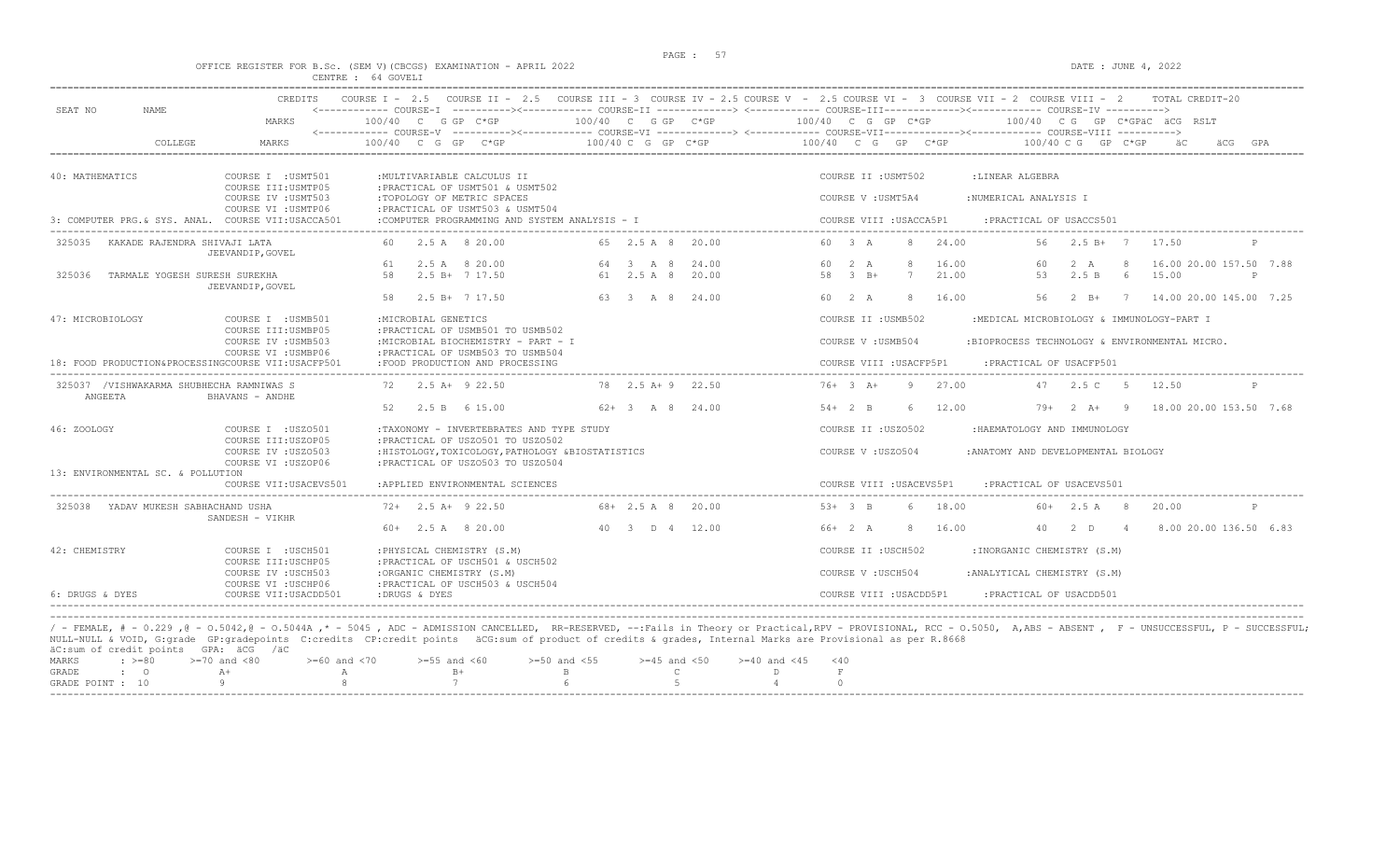# OFFICE REGISTER FOR B.Sc. (SEM V)(CBCGS) EXAMINATION - APRIL 2022<br>CENTRE : 64 GOVELI

|                  |                                                     | CREDITS                                                                   | COURSE I - 2.5 COURSE II - 2.5 COURSE III - 3 COURSE IV - 2.5 COURSE V - 2.5 COURSE VI - 3 COURSE VII - 2 COURSE VIII - 2                                |                                               |                            |                          |                                                                                                                                                                                                                   | TOTAL CREDIT-20                |
|------------------|-----------------------------------------------------|---------------------------------------------------------------------------|----------------------------------------------------------------------------------------------------------------------------------------------------------|-----------------------------------------------|----------------------------|--------------------------|-------------------------------------------------------------------------------------------------------------------------------------------------------------------------------------------------------------------|--------------------------------|
| SEAT NO          | NAME.                                               | MARKS                                                                     | 100/40 C G GP C*GP                                                                                                                                       | 100/40 C G GP C*GP                            |                            | 100/40 C G GP C*GP       | <------------ COURSE-T ----------><----------- COURSE-TT --------------> <------------ COURSE-TU COURSE-TV -----------><br>100/40 CG GP C*GPäC äCG RSLT                                                           |                                |
|                  | COLLEGE                                             | MARKS                                                                     | $100/40$ C G GP C*GP                                                                                                                                     | $100/40$ C G GP C*GP                          |                            | 100/40 C G GP C*GP       | 100/40 C G GP C*GP                                                                                                                                                                                                |                                |
| 40: MATHEMATICS  |                                                     | COURSE I : USMT501                                                        | : MULTIVARIABLE CALCULUS II                                                                                                                              |                                               |                            | COURSE II : USMT502      | :LINEAR ALGEBRA                                                                                                                                                                                                   |                                |
|                  |                                                     | COURSE III: USMTP05<br>COURSE IV : USMT503                                | : PRACTICAL OF USMT501 & USMT502<br>:TOPOLOGY OF METRIC SPACES                                                                                           |                                               |                            | COURSE V : USMT5A4       | :NUMERICAL ANALYSIS I                                                                                                                                                                                             |                                |
|                  |                                                     | COURSE VI : USMTP06<br>3: COMPUTER PRG.& SYS. ANAL. COURSE VII:USACCA501  | : PRACTICAL OF USMT503 & USMT504<br>:COMPUTER PROGRAMMING AND SYSTEM ANALYSIS - I                                                                        |                                               |                            | COURSE VIII : USACCA5P1  | : PRACTICAL OF USACCS501                                                                                                                                                                                          |                                |
| 325035           | KAKADE RAJENDRA SHIVAJI LATA                        | JEEVANDIP, GOVEL                                                          | 2.5 A 8 20.00                                                                                                                                            | 65 2.5 A 8 20.00                              |                            | 60 3 A<br>24.00<br>8     | $2.5 B+ 7 17.50$<br>56                                                                                                                                                                                            |                                |
|                  |                                                     |                                                                           | 2.5 A 8 20.00<br>61                                                                                                                                      | 64 3 A 8                                      | 24.00                      | 60 2 A<br>8<br>16.00     | -8<br>60<br>2 A                                                                                                                                                                                                   | 16.00 20.00 157.50 7.88        |
| 325036           | TARMALE YOGESH SURESH SUREKHA                       | JEEVANDIP, GOVEL                                                          | 58<br>2.5 B+ 7 17.50                                                                                                                                     | 61 2.5 A 8                                    | 20.00                      | 58 3 B+<br>7<br>21.00    | 53<br>2.5 B<br>15.00<br>6                                                                                                                                                                                         | P                              |
|                  |                                                     |                                                                           | $2.5 B+ 7 17.50$<br>58                                                                                                                                   | 63 3 A 8 24.00                                |                            | 60 2 A<br>8<br>16.00     | 56                                                                                                                                                                                                                | 2 B+ 7 14.00 20.00 145.00 7.25 |
| 47: MICROBIOLOGY |                                                     | COURSE I : USMB501<br>COURSE III:USMBP05                                  | : MICROBIAL GENETICS<br>: PRACTICAL OF USMB501 TO USMB502                                                                                                |                                               |                            | COURSE II : USMB502      | :MEDICAL MICROBIOLOGY & IMMUNOLOGY-PART I                                                                                                                                                                         |                                |
|                  |                                                     | COURSE IV : USMB503                                                       | :MICROBIAL BIOCHEMISTRY - PART - I                                                                                                                       |                                               |                            | COURSE V: USMB504        | :BIOPROCESS TECHNOLOGY & ENVIRONMENTAL MICRO.                                                                                                                                                                     |                                |
|                  |                                                     | COURSE VI : USMBP06<br>18: FOOD PRODUCTION&PROCESSINGCOURSE VII:USACFP501 | : PRACTICAL OF USMB503 TO USMB504<br>:FOOD PRODUCTION AND PROCESSING                                                                                     |                                               |                            | COURSE VIII : USACFP5P1  | : PRACTICAL OF USACFP501                                                                                                                                                                                          |                                |
|                  | 325037 /VISHWAKARMA SHUBHECHA RAMNIWAS S<br>ANGEETA | BHAVANS - ANDHE                                                           | $72 \t 2.5 \t A+ 9 \t 22.50$                                                                                                                             | 78 2.5 A + 9 22.50                            |                            | $76+3$ A+<br>9 27.00     | 47 2.5 C 5<br>12.50                                                                                                                                                                                               |                                |
|                  |                                                     |                                                                           | 2.5 B 6 15.00<br>52                                                                                                                                      | $62+3$ A 8 24.00                              |                            | 12.00<br>$54+2$ B<br>6   | $79+2+19$                                                                                                                                                                                                         | 18.00 20.00 153.50 7.68        |
| 46: ZOOLOGY      |                                                     | COURSE I : USZ0501                                                        | :TAXONOMY - INVERTEBRATES AND TYPE STUDY                                                                                                                 |                                               |                            | COURSE II : USZ0502      | : HAEMATOLOGY AND IMMUNOLOGY                                                                                                                                                                                      |                                |
|                  |                                                     | COURSE III: USZOP05<br>COURSE IV : USZ0503<br>COURSE VI : USZOP06         | : PRACTICAL OF USZ0501 TO USZ0502<br>: HISTOLOGY, TOXICOLOGY, PATHOLOGY & BIOSTATISTICS<br>: PRACTICAL OF USZ0503 TO USZ0504                             |                                               |                            | COURSE V: USZ0504        | :ANATOMY AND DEVELOPMENTAL BIOLOGY                                                                                                                                                                                |                                |
|                  | 13: ENVIRONMENTAL SC. & POLLUTION                   | COURSE VII: USACEVS501                                                    | :APPLIED ENVIRONMENTAL SCIENCES                                                                                                                          |                                               |                            | COURSE VIII : USACEVS5P1 | : PRACTICAL OF USACEVS501                                                                                                                                                                                         |                                |
| 325038           | YADAV MUKESH SABHACHAND USHA                        |                                                                           | $72+$ 2.5 A+ 9 22.50                                                                                                                                     | $68 + 2.5$ A 8 20.00                          |                            | $53+3$ B<br>18.00<br>6   | $60+$ 2.5 A 8<br>20.00                                                                                                                                                                                            | P                              |
|                  |                                                     | SANDESH - VIKHR                                                           | $60+$ 2.5 A 8 20.00                                                                                                                                      | 40 3 D 4 12.00                                |                            | 8 16.00<br>$66+2 A$      | 40 2 D 4                                                                                                                                                                                                          | 8.00 20.00 136.50 6.83         |
| 42: CHEMISTRY    |                                                     | COURSE I : USCH501                                                        | : PHYSICAL CHEMISTRY (S.M)                                                                                                                               |                                               |                            | COURSE II : USCH502      | : INORGANIC CHEMISTRY (S.M)                                                                                                                                                                                       |                                |
|                  |                                                     | COURSE III: USCHP05<br>COURSE IV : USCH503                                | : PRACTICAL OF USCH501 & USCH502<br>:ORGANIC CHEMISTRY (S.M)                                                                                             |                                               |                            | COURSE V : USCH504       | : ANALYTICAL CHEMISTRY (S.M)                                                                                                                                                                                      |                                |
| 6: DRUGS & DYES  |                                                     | COURSE VI : USCHP06<br>COURSE VII: USACDD501                              | :PRACTICAL OF USCH503 & USCH504<br>:DRUGS & DYES                                                                                                         |                                               |                            | COURSE VIII : USACDD5P1  | : PRACTICAL OF USACDD501                                                                                                                                                                                          |                                |
|                  |                                                     |                                                                           |                                                                                                                                                          |                                               |                            |                          | / - FEMALE, # - 0.229,0 - 0.5042,0 - 0.5044A,* - 5045, ADC - ADMISSION CANCELLED, RR-RESERVED, --:Fails in Theory or Practical,RPV - PROVISIONAL, RCC - 0.5050, A,ABS - ABSENT, F - UNSUCCESSFUL, P - SUCCESSFUL; |                                |
|                  | äC:sum of credit points GPA: äCG /äC                |                                                                           | NULL-NULL & VOID, G:grade GP:gradepoints C:credits CP:credit points äCG:sum of product of credits & grades, Internal Marks are Provisional as per R.8668 |                                               |                            |                          |                                                                                                                                                                                                                   |                                |
| MARKS            | $\div$ $> = 80$                                     | $>=70$ and $<80$<br>$>= 60$ and $< 70$                                    | $>=55$ and $<60$                                                                                                                                         | $>=50$ and $<55$<br>$>=45$ and $<50$          | $>=40$ and $<45$           | $<$ 40                   |                                                                                                                                                                                                                   |                                |
| <b>GRADE</b>     | $\cdot$ 0<br>GRADE POINT : 10                       | $\mathbb{A} +$<br>$\overline{A}$<br>-9                                    | $B+$<br>7                                                                                                                                                | $\mathbb{B}$<br>$\mathbb{C}$<br>$\kappa$<br>5 | $\Gamma$<br>$\overline{4}$ | F<br>$\Omega$            |                                                                                                                                                                                                                   |                                |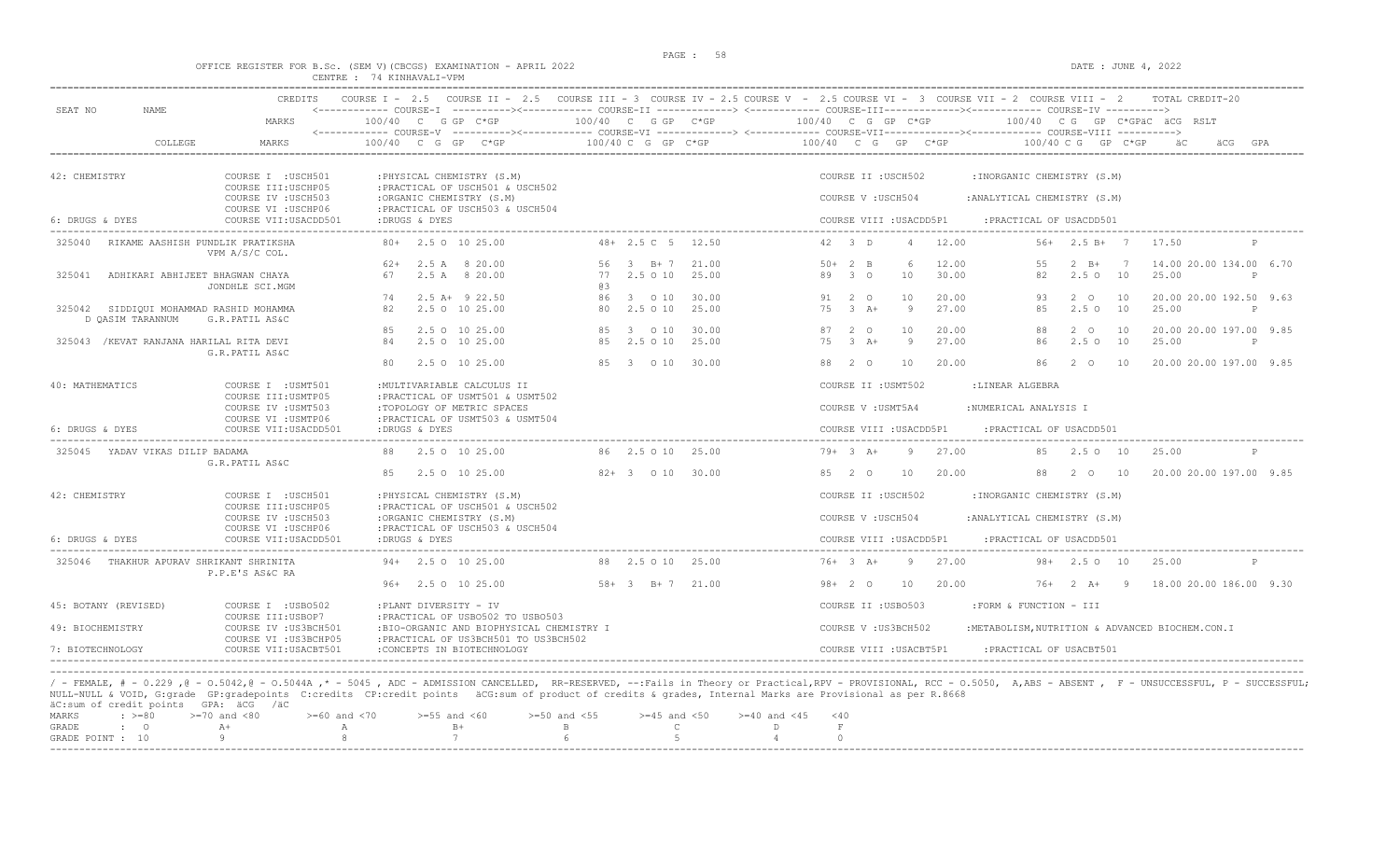### OFFICE REGISTER FOR B.Sc. (SEM V)(CBCGS) EXAMINATION - APRIL 2022 CENTRE : 74 KINHAVALI-VPM

| SEAT NO<br>NAME                         | MARKS                                                                                   | $100/40$ C G GP C*GP                                                                                                              |     | 100/40 C G GP C*GP       |                | <------------ COURSE-I ----------><----------- COURSE-II -------------> <------------ COURSE-III-----------><--------><---------- COURSE-IV<br>100/40 C G GP C*GP<br>100/40 CG GP C*GPÄC ÄCG RSLT |
|-----------------------------------------|-----------------------------------------------------------------------------------------|-----------------------------------------------------------------------------------------------------------------------------------|-----|--------------------------|----------------|---------------------------------------------------------------------------------------------------------------------------------------------------------------------------------------------------|
| COLLEGE                                 | MARKS                                                                                   | 100/40 C G GP C*GP                                                                                                                |     | 100/40 C G GP C*GP       |                | 100/40 C G GP C*GP<br>$100/40$ C G GP C*GP                                                                                                                                                        |
| 42: CHEMISTRY                           | COURSE I : USCH501<br>COURSE III: USCHP05                                               | : PHYSICAL CHEMISTRY (S.M)<br>: PRACTICAL OF USCH501 & USCH502                                                                    |     |                          |                | COURSE II : USCH502<br>: INORGANIC CHEMISTRY (S.M)                                                                                                                                                |
|                                         | COURSE IV : USCH503<br>COURSE VI : USCHP06                                              | :ORGANIC CHEMISTRY (S.M)<br>: PRACTICAL OF USCH503 & USCH504                                                                      |     |                          |                | COURSE V: USCH504<br>: ANALYTICAL CHEMISTRY (S.M)                                                                                                                                                 |
| 6: DRUGS & DYES                         | COURSE VII: USACDD501                                                                   | :DRUGS & DYES                                                                                                                     |     |                          |                | COURSE VIII : USACDD5P1<br>: PRACTICAL OF USACDD501                                                                                                                                               |
| 325040                                  | RIKAME AASHISH PUNDLIK PRATIKSHA<br>VPM A/S/C COL.                                      | 80+ 2.5 0 10 25.00                                                                                                                |     | $48 + 2.5$ C 5 12.50     |                | $42 \quad 3 \quad D$<br>$\overline{4}$<br>12.00<br>$56+$ 2.5 B+ 7<br>17.50                                                                                                                        |
| 325041                                  | ADHIKARI ABHIJEET BHAGWAN CHAYA<br>JONDHLE SCI.MGM                                      | $62+$ 2.5 A 8 20.00<br>2.5 A 8 20.00<br>67                                                                                        | G R | 56 3 B+7<br>772.5010     | 21.00<br>25.00 | 12.00<br>14.00 20.00 134.00 6.70<br>$50+2$ B<br>$\epsilon$<br>$2 \quad B+$<br>55<br>7<br>89 3 0<br>30.00<br>82<br>10<br>2.5010<br>25.00                                                           |
| 325042<br>D QASIM TARANNUM              | SIDDIQUI MOHAMMAD RASHID MOHAMMA<br>G.R.PATIL AS&C                                      | 74<br>$2.5$ A+ $9$ 22.50<br>82<br>2.5 0 10 25.00                                                                                  |     | 86 3 0 10<br>80 2.5 0 10 | 30.00<br>25.00 | 10<br>20.00<br>20.00 20.00 192.50 9.63<br>91 2 0<br>93<br>$2^{\circ}$<br>10<br>75 3 A+<br>9<br>27.00<br>85<br>2.5010<br>25.00<br>P                                                                |
| 325043 /KEVAT RANJANA HARILAL RITA DEVI | G.R.PATIL AS&C                                                                          | 85<br>2.5 0 10 25.00<br>2.5 0 10 25.00<br>84                                                                                      |     | 85 3 0 10<br>85 2.5 0 10 | 30.00<br>25.00 | 10<br>20.00<br>20.00 20.00 197.00 9.85<br>87 2 0<br>88<br>$2^{\circ}$<br>10<br>$75 \t3 \tA+$<br>-9<br>27.00<br>86<br>$2.5^\circ$<br>25.00<br>10<br>P                                              |
| 40: MATHEMATICS                         |                                                                                         | 2.5 0 10 25.00<br>80                                                                                                              |     | 85 3 0 10                | 30.00          | 20.00<br>20.00 20.00 197.00 9.85<br>88 2 0<br>10<br>86.<br>2 O<br><b>10</b>                                                                                                                       |
|                                         | COURSE I : USMT501<br>COURSE III: USMTP05<br>COURSE IV : USMT503<br>COURSE VI : USMTP06 | : MULTIVARIABLE CALCULUS II<br>: PRACTICAL OF USMT501 & USMT502<br>:TOPOLOGY OF METRIC SPACES<br>: PRACTICAL OF USMT503 & USMT504 |     |                          |                | COURSE II : USMT502<br>:LINEAR ALGEBRA<br>COURSE V : USMT5A4<br>:NUMERICAL ANALYSIS I                                                                                                             |
| 6: DRUGS & DYES                         | COURSE VII: USACDD501                                                                   | : DRUGS & DYES                                                                                                                    |     |                          |                | COURSE VIII : USACDD5P1<br>: PRACTICAL OF USACDD501                                                                                                                                               |
| 325045 YADAV VIKAS DILIP BADAMA         | G.R.PATIL AS&C                                                                          | 2.5 0 10 25.00                                                                                                                    |     | 86 2.5 0 10 25.00        |                | $79+3$ $A+$<br>9<br>27.00<br>85<br>2.50 10<br>25.00<br>P                                                                                                                                          |
|                                         |                                                                                         | 2.5 0 10 25.00<br>85                                                                                                              |     | 82+ 3 0 10 30.00         |                | 85 2 0<br>10<br>20.00<br>88<br>2 0<br>10<br>20.00 20.00 197.00 9.85                                                                                                                               |
| 42: CHEMISTRY                           | COURSE I : USCH501<br>COURSE III: USCHP05<br>COURSE IV : USCH503                        | : PHYSICAL CHEMISTRY (S.M)<br>: PRACTICAL OF USCH501 & USCH502<br>:ORGANIC CHEMISTRY (S.M)                                        |     |                          |                | COURSE II : USCH502<br>: INORGANIC CHEMISTRY (S.M)<br>COURSE V: USCH504<br>: ANALYTICAL CHEMISTRY (S.M)                                                                                           |
| 6: DRUGS & DYES                         | COURSE VI : USCHP06<br>COURSE VII: USACDD501                                            | : PRACTICAL OF USCH503 & USCH504<br>:DRUGS & DYES                                                                                 |     |                          |                | COURSE VIII : USACDD5P1<br>: PRACTICAL OF USACDD501                                                                                                                                               |
| 325046 THAKHUR APURAV SHRIKANT SHRINITA |                                                                                         | $94+$ 2.5 0 10 25.00                                                                                                              |     | 88 2.5 0 10 25.00        |                | $76+3 A+$<br>9<br>27.00<br>$98 + 2.50 10$<br>25.00<br>P                                                                                                                                           |
|                                         | P.P.E'S AS&C RA                                                                         | 96+ 2.5 0 10 25.00                                                                                                                |     | $58 + 3$ $B + 7$ 21.00   |                | 20.00<br>$76+2 A+9$<br>18.00 20.00 186.00 9.30<br>$98 + 20$<br>10                                                                                                                                 |
| 45: BOTANY (REVISED)                    | COURSE I : USB0502<br>COURSE III: USBOP7                                                | :PLANT DIVERSITY - IV<br>: PRACTICAL OF USB0502 TO USB0503                                                                        |     |                          |                | COURSE II : USB0503<br>:FORM & FUNCTION - III                                                                                                                                                     |
| 49: BIOCHEMISTRY                        | COURSE IV : US3BCH501<br>COURSE VI : US3BCHP05                                          | :BIO-ORGANIC AND BIOPHYSICAL CHEMISTRY I<br>: PRACTICAL OF US3BCH501 TO US3BCH502                                                 |     |                          |                | COURSE V: US3BCH502<br>: METABOLISM, NUTRITION & ADVANCED BIOCHEM.CON.I                                                                                                                           |
| 7: BIOTECHNOLOGY                        | COURSE VII: USACBT501                                                                   | :CONCEPTS IN BIOTECHNOLOGY                                                                                                        |     |                          |                | COURSE VIII : USACBT5P1<br>: PRACTICAL OF USACBT501                                                                                                                                               |

/ - FEMALE, # - 0.229 ,@ - 0.5042,@ - 0.5044A ,\* - 5045 , ADC - ADMISSION CANCELLED, RR-RESERVED, --:Fails in Theory or Practical,RPV - PROVISIONAL, RCC - 0.5050, A,ABS - ABSENT , F - UNSUCCESSFUL, P - SUCCESSFUL;<br>NULL-NUL äC:sum of credit points GPA: äCG /äC

|  | MARKS : >=80 >=70 and <80 >=60 and <70 >=55 and <60 >=50 and <55 >=45 and <50 >=40 and <45 <40 |                                                                                                                |  |  |  |
|--|------------------------------------------------------------------------------------------------|----------------------------------------------------------------------------------------------------------------|--|--|--|
|  | GRADE : O A+                                                                                   | A B RESERVE BLOCK COMPUTER STATES OF THE RESERVE BLOCK COMPUTER STATES OF THE RESERVE BLOCK COMPUTER STATES OF |  |  |  |
|  | GRADE POINT : $10$ 9 8 7 6 5 5 4                                                               |                                                                                                                |  |  |  |
|  |                                                                                                |                                                                                                                |  |  |  |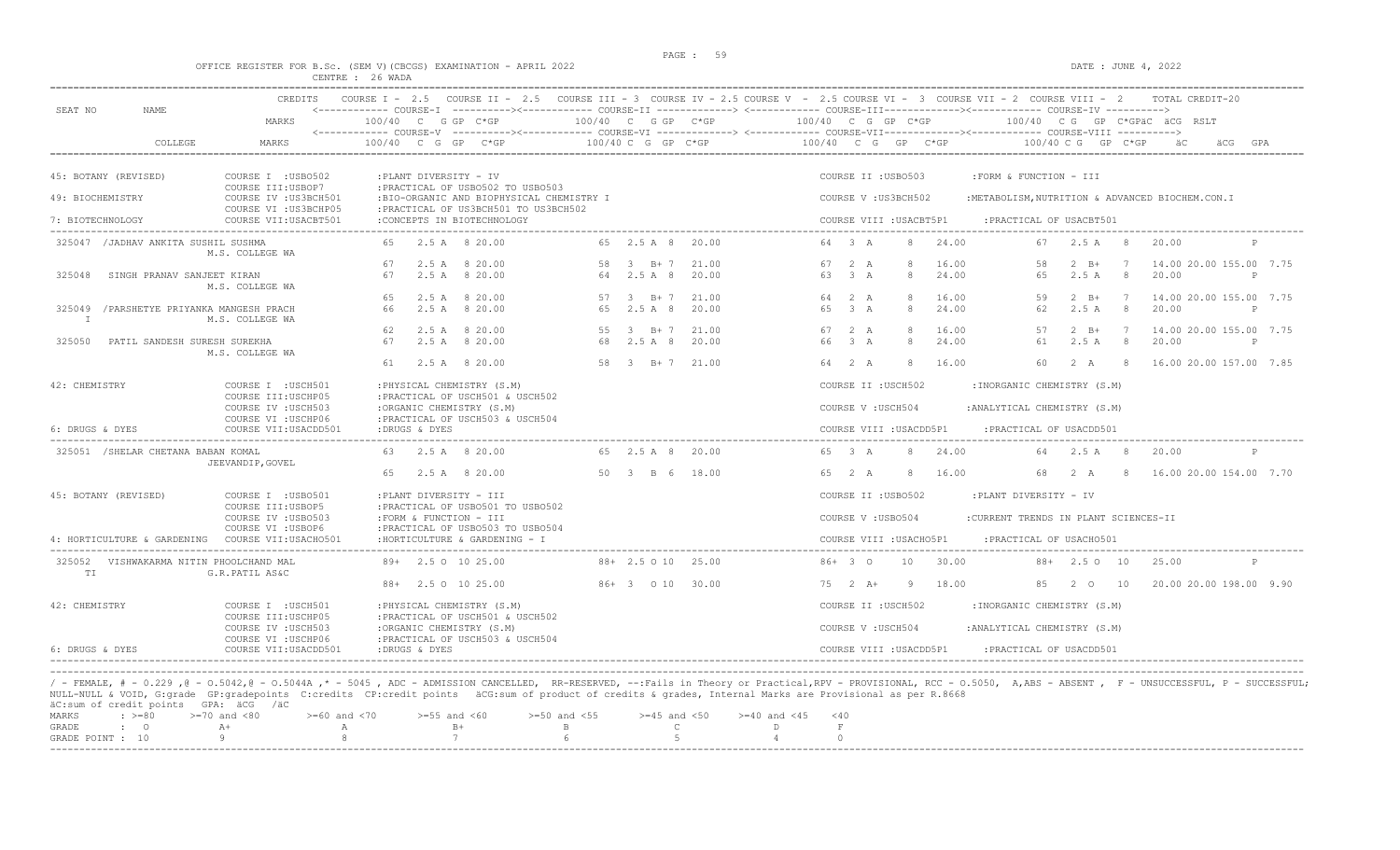#### OFFICE REGISTER FOR B.Sc. (SEM V)(CBCGS) EXAMINATION - APRIL 2022 DATE : JUNE 4, 2022 CENTRE : 26 WADA

| SEAT NO<br>NAME.                                          | CREDITS                                                             |                                                                                   |                              |                | COURSE I - 2.5 COURSE II - 2.5 COURSE III - 3 COURSE IV - 2.5 COURSE V - 2.5 COURSE VI - 3 COURSE VII - 2 COURSE VIII - 2<br>TOTAL CREDIT-20<br><------------ COURSE-I ----------><----------- COURSE-II -------------> <------------ COURSE-III-----------><------------ COURSE-IV ---------->> |
|-----------------------------------------------------------|---------------------------------------------------------------------|-----------------------------------------------------------------------------------|------------------------------|----------------|--------------------------------------------------------------------------------------------------------------------------------------------------------------------------------------------------------------------------------------------------------------------------------------------------|
|                                                           | MARKS                                                               | $100/40$ C G GP C*GP                                                              | 100/40 C G GP C*GP           |                | 100/40 C G GP C*GP<br>$100/40$ C G GP C*GPAC ACG RSLT                                                                                                                                                                                                                                            |
| COLLEGE                                                   | MARKS                                                               | 100/40 C G GP                                                                     | 100/40 C G GP C*GP           |                | 100/40 C G GP C*GP<br>$100/40$ C G GP C*GP<br>äCG                                                                                                                                                                                                                                                |
| 45: BOTANY (REVISED)                                      | COURSE I : USB0502<br>COURSE III:USBOP7                             | :PLANT DIVERSITY - IV<br>: PRACTICAL OF USB0502 TO USB0503                        |                              |                | COURSE II : USB0503<br>:FORM & FUNCTION - III                                                                                                                                                                                                                                                    |
| 49: BIOCHEMISTRY                                          | COURSE IV : US3BCH501<br>COURSE VI : US3BCHP05                      | :BIO-ORGANIC AND BIOPHYSICAL CHEMISTRY I<br>: PRACTICAL OF US3BCH501 TO US3BCH502 |                              |                | COURSE V: US3BCH502<br>:METABOLISM, NUTRITION & ADVANCED BIOCHEM.CON.I                                                                                                                                                                                                                           |
| 7: BIOTECHNOLOGY                                          | COURSE VII: USACBT501                                               | :CONCEPTS IN BIOTECHNOLOGY                                                        |                              |                | COURSE VIII : USACBT5P1<br>: PRACTICAL OF USACBT501                                                                                                                                                                                                                                              |
| 325047 / JADHAV ANKITA SUSHIL SUSHMA                      | M.S. COLLEGE WA                                                     | 2.5 A 8 20.00<br>65                                                               | 65 2.5 A 8 20.00             |                | 64 3 A<br>24.00<br>67 2.5 A 8<br>20.00                                                                                                                                                                                                                                                           |
| SINGH PRANAV SANJEET KIRAN<br>325048                      | M.S. COLLEGE WA                                                     | 2.5 A 8 20.00<br>67<br>2.5 A 8 20.00<br>67                                        | 58 3 B+7<br>64 2.5 A 8       | 21.00<br>20.00 | 67 2 A<br>16.00<br>58<br>$2 \quad B+$<br>14.00 20.00 155.00 7.75<br>7<br>63 3 A<br>2.5A<br>8<br>24.00<br>65<br>8<br>20.00<br>$\mathsf{P}$                                                                                                                                                        |
| 325049 / PARSHETYE PRIYANKA MANGESH PRACH<br>$\mathbb{I}$ | M.S. COLLEGE WA                                                     | 65<br>2.5 A 8 20.00<br>66<br>2.5A<br>8 20.00                                      | 57 3 B+7<br>2.5 A 8<br>65    | 21.00<br>20.00 | 64 2 A<br>$2 \quad B+$<br>16.00<br>59<br>14.00 20.00 155.00 7.75<br>$\overline{7}$<br>3A<br>2.5A<br>8<br>20.00<br>65<br>$\mathcal{R}$<br>24.00<br>62<br>$\mathbb{P}$                                                                                                                             |
| 325050<br>PATIL SANDESH SURESH SUREKHA                    | M.S. COLLEGE WA                                                     | 2.5 A 8 20.00<br>62<br>67<br>2.5 A 8 20.00                                        | 55 3 B+7 21.00<br>68 2.5 A 8 | 20.00          | 16.00<br>67 2 A<br>57<br>$2 \quad B+$<br>14.00 20.00 155.00 7.75<br>7<br>66<br>$\overline{3}$ $\overline{A}$<br>24.00<br>61<br>2.5A<br>8<br>20.00<br>P                                                                                                                                           |
|                                                           |                                                                     | 2.5 A 8 20.00<br>61                                                               | 58 3 B+7 21.00               |                | 64 2 A<br>16.00<br>60<br>2 A<br>16.00 20.00 157.00 7.85<br>8<br>- 8                                                                                                                                                                                                                              |
| 42: CHEMISTRY                                             | COURSE I : USCH501<br>COURSE III: USCHP05                           | : PHYSICAL CHEMISTRY (S.M)<br>: PRACTICAL OF USCH501 & USCH502                    |                              |                | COURSE II : USCH502<br>: INORGANIC CHEMISTRY (S.M)                                                                                                                                                                                                                                               |
| 6: DRUGS & DYES                                           | COURSE IV : USCH503<br>COURSE VI : USCHP06<br>COURSE VII: USACDD501 | :ORGANIC CHEMISTRY (S.M)<br>: PRACTICAL OF USCH503 & USCH504<br>:DRUGS & DYES     |                              |                | COURSE V: USCH504<br>: ANALYTICAL CHEMISTRY (S.M)<br>COURSE VIII : USACDD5P1<br>: PRACTICAL OF USACDD501                                                                                                                                                                                         |
| 325051 / SHELAR CHETANA BABAN KOMAL                       |                                                                     | 2.5 A 8 20.00                                                                     | 65 2.5 A 8 20.00             |                | 65 3 A<br>24.00<br>64 2.5 A 8<br>8<br>20.00                                                                                                                                                                                                                                                      |
|                                                           | JEEVANDIP, GOVEL                                                    | 2.5 A 8 20.00<br>65                                                               | 50 3 B 6                     | 18.00          | 65 2 A<br>16.00<br>68<br>2 A<br>16.00 20.00 154.00 7.70<br>8<br>-8                                                                                                                                                                                                                               |
| 45: BOTANY (REVISED)                                      | COURSE I : USB0501                                                  | :PLANT DIVERSITY - III                                                            |                              |                | COURSE II : USB0502<br>:PLANT DIVERSITY - IV                                                                                                                                                                                                                                                     |
|                                                           | COURSE III:USBOP5<br>COURSE IV : USB0503                            | : PRACTICAL OF USB0501 TO USB0502<br>:FORM & FUNCTION - III                       |                              |                | COURSE V : USB0504<br>:CURRENT TRENDS IN PLANT SCIENCES-II                                                                                                                                                                                                                                       |
| 4: HORTICULTURE & GARDENING                               | COURSE VI : USBOP6<br>COURSE VII: USACHO501                         | : PRACTICAL OF USB0503 TO USB0504<br>: HORTICULTURE & GARDENING - I               |                              |                | COURSE VIII : USACHO5P1<br>: PRACTICAL OF USACH0501<br>---------------------------------                                                                                                                                                                                                         |
| 325052 VISHWAKARMA NITIN PHOOLCHAND MAL<br>TI             | G.R.PATIL AS&C                                                      | 89+ 2.5 0 10 25.00                                                                | $88 + 2.5010$                | 25.00          | 30.00<br>$86+30$<br>10<br>$88 + 2.50 10$<br>25.00<br>P                                                                                                                                                                                                                                           |
|                                                           |                                                                     | 88+ 2.5 0 10 25.00                                                                | 86+ 3 0 10 30.00             |                | 20.00 20.00 198.00 9.90<br>75 2 A+<br>-9<br>18.00<br>8.5<br>2 0<br>10                                                                                                                                                                                                                            |
| 42: CHEMISTRY                                             | COURSE I : USCH501<br>COURSE III:USCHP05                            | : PHYSICAL CHEMISTRY (S.M)<br>: PRACTICAL OF USCH501 & USCH502                    |                              |                | COURSE II : USCH502<br>: INORGANIC CHEMISTRY (S.M)                                                                                                                                                                                                                                               |
|                                                           | COURSE IV : USCH503<br>COURSE VI : USCHP06                          | :ORGANIC CHEMISTRY (S.M)<br>: PRACTICAL OF USCH503 & USCH504                      |                              |                | COURSE V: USCH504<br>: ANALYTICAL CHEMISTRY (S.M)                                                                                                                                                                                                                                                |
| 6: DRUGS & DYES                                           | COURSE VII: USACDD501                                               | :DRUGS & DYES                                                                     |                              |                | COURSE VIII : USACDD5P1<br>:PRACTICAL OF USACDD501                                                                                                                                                                                                                                               |

/ - FEMALE, # - 0.229 ,@ - 0.5042,@ - 0.5044A ,\* - 5045 , ADC - ADMISSION CANCELLED, RR-RESERVED, --:Fails in Theory or Practical,RPV - PROVISIONAL, RCC - 0.5050, A,ABS - ABSENT , F - UNSUCCESSFUL, P - SUCCESSFUL; NULL-NULL & VOID, G:grade GP:gradepoints C:credits CP:credit points äCG:sum of product of credits & grades, Internal Marks are Provisional as per R.8668 äC:sum of credit points GPA: äCG /äC

|  | MARKS : >=80 >=70 and <80 >=60 and <70 >=55 and <60 >=50 and <55 >=45 and <50 >=40 and <45 <40 |  |  |  |  |  |
|--|------------------------------------------------------------------------------------------------|--|--|--|--|--|
|  |                                                                                                |  |  |  |  |  |
|  | GRADE POINT : $10$ 9 8 7 6 5 5 4                                                               |  |  |  |  |  |
|  |                                                                                                |  |  |  |  |  |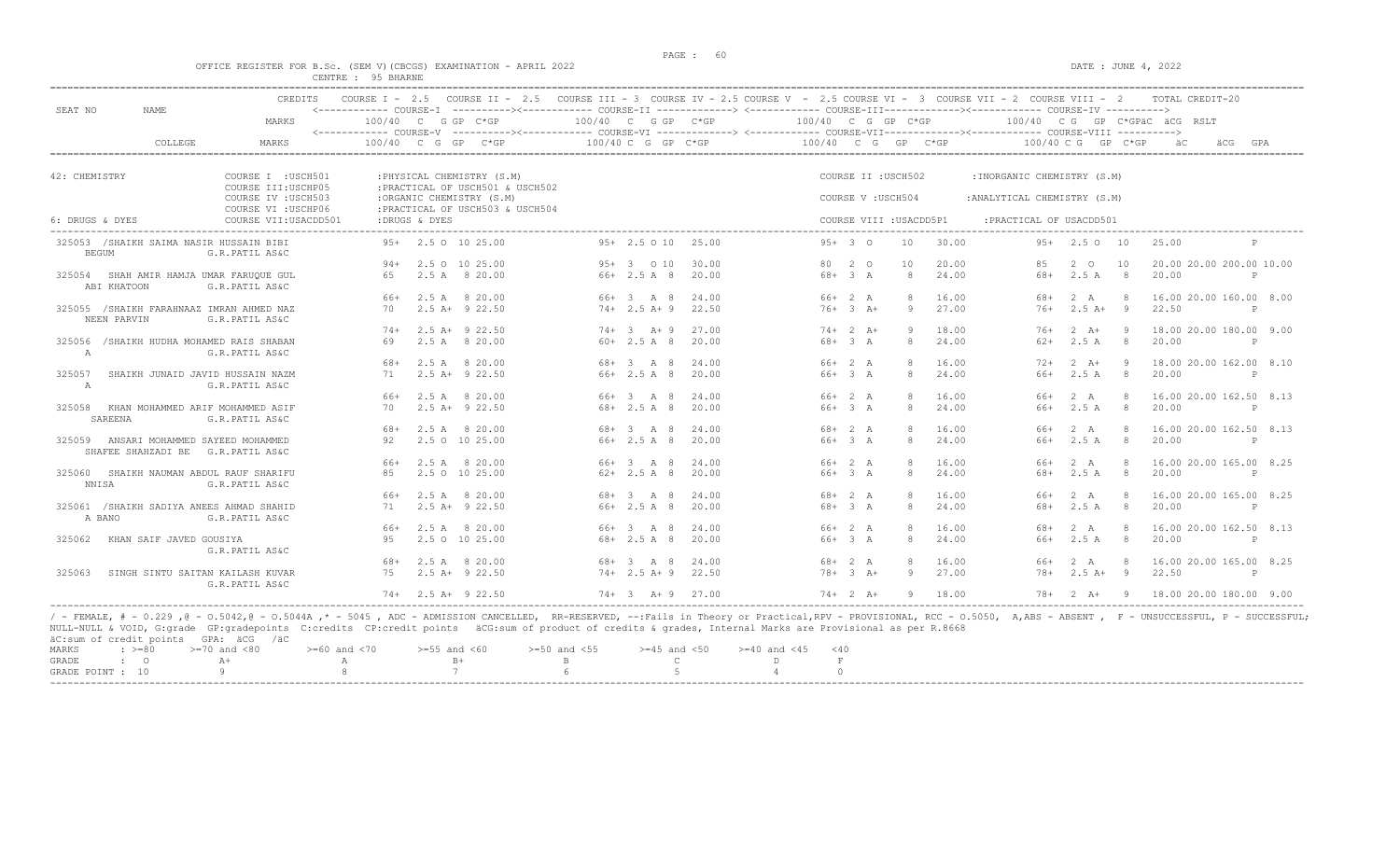#### OFFICE REGISTER FOR B.Sc. (SEM V) (CBCGS) EXAMINATION - APRIL 2022 DATE : JUNE 4, 2022 CENTRE : 95 BHARNE

|                              | <b>CREDITS</b>                                              | COURSE $T = 2.5$ |               |                                                              |                    |                        | COURSE II - 2.5 COURSE III - 3 COURSE IV - 2.5 COURSE V - 2.5 COURSE VI - 3 COURSE VII - 2 COURSE VIII - 2                                                               |                      |                         |       |                              |                      |                | TOTAL CREDIT-20              |              |     |
|------------------------------|-------------------------------------------------------------|------------------|---------------|--------------------------------------------------------------|--------------------|------------------------|--------------------------------------------------------------------------------------------------------------------------------------------------------------------------|----------------------|-------------------------|-------|------------------------------|----------------------|----------------|------------------------------|--------------|-----|
| SEAT NO<br>NAME.             | MARKS                                                       |                  |               | 100/40 C G GP C*GP                                           |                    | $100/40$ C G GP $C*GP$ | <------------ COURSE-I ----------><----------- COURSE-II -------------> <------------ COURSE-III-----------><------------ COURSE-IV ---------->><br>$100/40$ C G GP C*GP |                      |                         |       |                              |                      |                | 100/40 CG GP C*GPAC ACG RSLT |              |     |
|                              |                                                             |                  |               |                                                              |                    |                        |                                                                                                                                                                          |                      |                         |       |                              |                      |                |                              |              |     |
|                              | COLLEGE<br>MARKS                                            | $100/40$ C G GP  |               | $C*GP$                                                       | 100/40 C G GP C*GP |                        |                                                                                                                                                                          |                      | 100/40 C G GP C*GP      |       |                              | $100/40$ C G GP C*GP |                |                              | äCG          | GPA |
|                              |                                                             |                  |               |                                                              |                    |                        |                                                                                                                                                                          |                      |                         |       |                              |                      |                |                              |              |     |
| 42: CHEMISTRY                | COURSE I : USCH501                                          |                  |               | : PHYSICAL CHEMISTRY (S.M)                                   |                    |                        |                                                                                                                                                                          |                      | COURSE II : USCH502     |       | : INORGANIC CHEMISTRY (S.M)  |                      |                |                              |              |     |
|                              | COURSE III: USCHP05<br>COURSE IV : USCH503                  |                  |               | : PRACTICAL OF USCH501 & USCH502<br>:ORGANIC CHEMISTRY (S.M) |                    |                        |                                                                                                                                                                          |                      | COURSE V: USCH504       |       | : ANALYTICAL CHEMISTRY (S.M) |                      |                |                              |              |     |
|                              | COURSE VI : USCHP06                                         |                  |               | : PRACTICAL OF USCH503 & USCH504                             |                    |                        |                                                                                                                                                                          |                      |                         |       |                              |                      |                |                              |              |     |
| 6: DRUGS & DYES              | COURSE VII: USACDD501                                       |                  | :DRUGS & DYES |                                                              |                    |                        |                                                                                                                                                                          |                      | COURSE VIII : USACDD5P1 |       | :PRACTICAL OF USACDD501      |                      |                |                              |              |     |
|                              | 325053 /SHAIKH SAIMA NASIR HUSSAIN BIBI                     | $9.5+$           |               | 2.5 0 10 25.00                                               | $95+2.5010$        | 25.00                  |                                                                                                                                                                          | $95+30$              | 10                      | 30.00 |                              | $95+$ 2.5 0 10       |                | 25.00                        |              |     |
| <b>BEGUM</b>                 | G.R.PATIL AS&C                                              |                  |               |                                                              |                    |                        |                                                                                                                                                                          |                      |                         |       |                              |                      |                |                              |              |     |
|                              |                                                             | 94+              |               | 2.5 0 10 25.00                                               | $95+3$ 0 10        | 30.00                  | 80                                                                                                                                                                       | 2 0                  | 10                      | 20.00 | 85                           | $2^{\circ}$          | 10             | 20.00 20.00 200.00 10.00     |              |     |
|                              | 325054 SHAH AMIR HAMJA UMAR FARUOUE GUL                     | 65               |               | 2.5 A 8 20.00                                                | $66+2.5A8$         | 20.00                  | 68+                                                                                                                                                                      | 3A                   | 8                       | 24.00 | 68+                          | 2.5A                 | 8              | 20.00                        | $\mathsf{P}$ |     |
| ABI KHATOON                  | G.R.PATIL AS&C                                              |                  |               |                                                              |                    |                        |                                                                                                                                                                          |                      |                         |       |                              |                      |                |                              |              |     |
|                              |                                                             | 66+              |               | 2.5 A 8 20.00                                                | 66+ 3 A 8          | 24.00                  |                                                                                                                                                                          | 66+ 2 A              | 8                       | 16.00 | 68+                          | 2 A                  | -8             | 16.00 20.00 160.00 8.00      |              |     |
| NEEN PARVIN                  | 325055 /SHAIKH FARAHNAAZ IMRAN AHMED NAZ<br>G.R.PATIL AS&C  | 70               |               | $2.5$ A+ $9$ 22.50                                           | $74+2.5 A+9$       | 22.50                  |                                                                                                                                                                          | $76 + 3$ $\lambda +$ | $\circ$                 | 27.00 | $76+$                        | $2.5A+$              | $\overline{9}$ | 22.50                        | $\mathsf{P}$ |     |
|                              |                                                             | $74+$            |               | $2.5$ A+ $9$ 22.50                                           | $74+ 3  A+ 9$      | 27.00                  |                                                                                                                                                                          | $74+2$ A+            | 9                       | 18.00 | $76+$                        | $2 \overline{A}$ +   | -9             | 18.00 20.00 180.00 9.00      |              |     |
| 325056<br>A                  | /SHAIKH HUDHA MOHAMED RAIS SHABAN<br>G.R.PATIL AS&C         | 69               |               | 2.5 A 8 20.00                                                | $60+2.5 A 8$       | 20.00                  |                                                                                                                                                                          | $68 + 3$ A           | 8                       | 24.00 | $62+$                        | 2.5A                 | -8             | 20.00                        | $\mathsf{P}$ |     |
|                              |                                                             | 68+              |               | 2.5 A 8 20.00                                                | 68+ 3 A 8          | 24.00                  |                                                                                                                                                                          | 66+ 2 A              | 8                       | 16.00 | $72+$                        | $2 \overline{A}$ +   | -9             | 18.00 20.00 162.00 8.10      |              |     |
| 325057                       | SHAIKH JUNAID JAVID HUSSAIN NAZM                            | 71               |               | $2.5$ A+ $9$ 22.50                                           | $66+2.5A8$         | 20.00                  |                                                                                                                                                                          | 66+ 3 A              | 8                       | 24.00 | 66+                          | 2.5A                 | -8             | 20.00                        | P            |     |
| A                            | G.R.PATIL AS&C                                              |                  |               |                                                              |                    |                        |                                                                                                                                                                          |                      |                         |       |                              |                      |                |                              |              |     |
|                              |                                                             | 66+              |               | 2.5 A 8 20.00                                                | $66 + 3$ $A$ 8     | 24.00                  |                                                                                                                                                                          | $66+2 A$             | 8                       | 16.00 | $66+$                        | 2 A                  | -8             | 16.00 20.00 162.50 8.13      |              |     |
| SAREENA                      | 325058 KHAN MOHAMMED ARIF MOHAMMED ASIF<br>G.R.PATIL AS&C   | 70               |               | $2.5$ A+ $9$ 22.50                                           | 68+ 2.5 A 8        | 20.00                  |                                                                                                                                                                          | 66+ 3 A              | 8                       | 24.00 | 66+                          | 2.5A                 | 8              | 20.00                        | $\mathsf{P}$ |     |
|                              |                                                             | 68+              |               | 2.5 A 8 20.00                                                | 68+ 3 A 8          | 24.00                  |                                                                                                                                                                          | $68 + 2 A$           | 8                       | 16.00 | $66+$                        | 2 A                  | 8              | 16.00 20.00 162.50 8.13      |              |     |
| 325059<br>SHAFEE SHAHZADI BE | ANSARI MOHAMMED SAYEED MOHAMMED<br>G.R.PATIL AS&C           | 92               |               | 2.5 0 10 25.00                                               | $66+2.5 A 8$       | 20.00                  |                                                                                                                                                                          | 66+ 3 A              | 8                       | 24.00 | 66+                          | 2.5A                 | 8              | 20.00                        | $\mathbb{P}$ |     |
|                              |                                                             | 66+              |               | 2.5 A 8 20.00                                                | 66+ 3 A 8          | 24.00                  |                                                                                                                                                                          | 66+ 2 A              | 8                       | 16.00 | $66+$                        | 2 A                  | 8              | 16.00 20.00 165.00 8.25      |              |     |
| <b>NNISA</b>                 | 325060 SHAIKH NAUMAN ABDUL RAUF SHARIFU<br>G.R.PATIL AS&C   | 85               |               | 2.5 0 10 25.00                                               | $62+2.5A8$         | 20.00                  |                                                                                                                                                                          | 66+ 3 A              | 8                       | 24.00 | 68+                          | 2.5A                 | 8              | 20.00                        | P            |     |
|                              |                                                             | 66+              |               | 2.5 A 8 20.00                                                | 68+ 3 A 8          | 24.00                  |                                                                                                                                                                          | $68 + 2 A$           | $\mathcal{R}$           | 16.00 | $66+$                        | 2 A                  | 8              | 16.00 20.00 165.00 8.25      |              |     |
| A BANO                       | 325061 / SHAIKH SADIYA ANEES AHMAD SHAHID<br>G.R.PATIL AS&C | 71               |               | $2.5$ A+ $9$ 22.50                                           | 66+ 2.5 A 8        | 20.00                  |                                                                                                                                                                          | $68 + 3 A$           | 8                       | 24.00 | 68+                          | 2.5A                 | 8              | 20.00                        | $\mathsf{P}$ |     |
|                              |                                                             | 66+              | 2.5 A         | 8 20.00                                                      | 66+ 3 A 8          | 24.00                  |                                                                                                                                                                          | 66+ 2 A              | 8                       | 16.00 | 68+                          | 2 A                  | $\mathcal{R}$  | 16.00 20.00 162.50 8.13      |              |     |
| 325062                       | KHAN SAIF JAVED GOUSIYA                                     | 95               |               | 2.5 0 10 25.00                                               | $68 + 2.5$ A 8     | 20.00                  |                                                                                                                                                                          | 66+ 3 A              | 8                       | 24.00 | 66+                          | 2.5 A                | 8              | 20.00                        | $\mathsf{P}$ |     |
|                              | G.R.PATIL AS&C                                              | 68+              |               | 2.5 A 8 20.00                                                | 68+ 3 A 8          | 24.00                  |                                                                                                                                                                          | $68 + 2 A$           | 8                       | 16.00 | 66+                          | 2 A                  | 8              | 16.00 20.00 165.00 8.25      |              |     |
| 325063                       | SINGH SINTU SAITAN KAILASH KUVAR<br>G.R.PATIL AS&C          | 75               |               | $2.5$ A+ $9$ 22.50                                           | $74+2.5$ A+9       | 22.50                  |                                                                                                                                                                          | $78 + 3 A +$         | 9                       | 27.00 | $78+$                        | $2.5A+$              | - 9            | 22.50                        | P            |     |
|                              |                                                             | $74+$            |               | 2.5 A+ 9 22.50                                               | $74 + 3 + 9$       | 27.00                  |                                                                                                                                                                          | $74+2 A+$            | -9                      | 18.00 | 78+                          | $2 \overline{A}$ +   | - 9            | 18.00 20.00 180.00 9.00      |              |     |

NULL-NULL & VOID, G:grade GP:gradepoints C:credits CP:credit points äCG:sum of product of credits & grades, Internal Marks are Provisional as per R.8668 äC:sum of credit points GPA: äCG /äC  $> = 60$  and  $< 70$   $> = 55$  and  $< 60$   $> = 50$  and  $< 55$   $> = 45$  and  $< 50$   $> = 40$  and  $< 45$   $< 40$ <br>
B C  $D$  F GRADE : O  $A+$  A  $B+$  B C D F  $A$  O GRADE : O  $A+$  A  $B+$  B C D F GRADE POINT : 10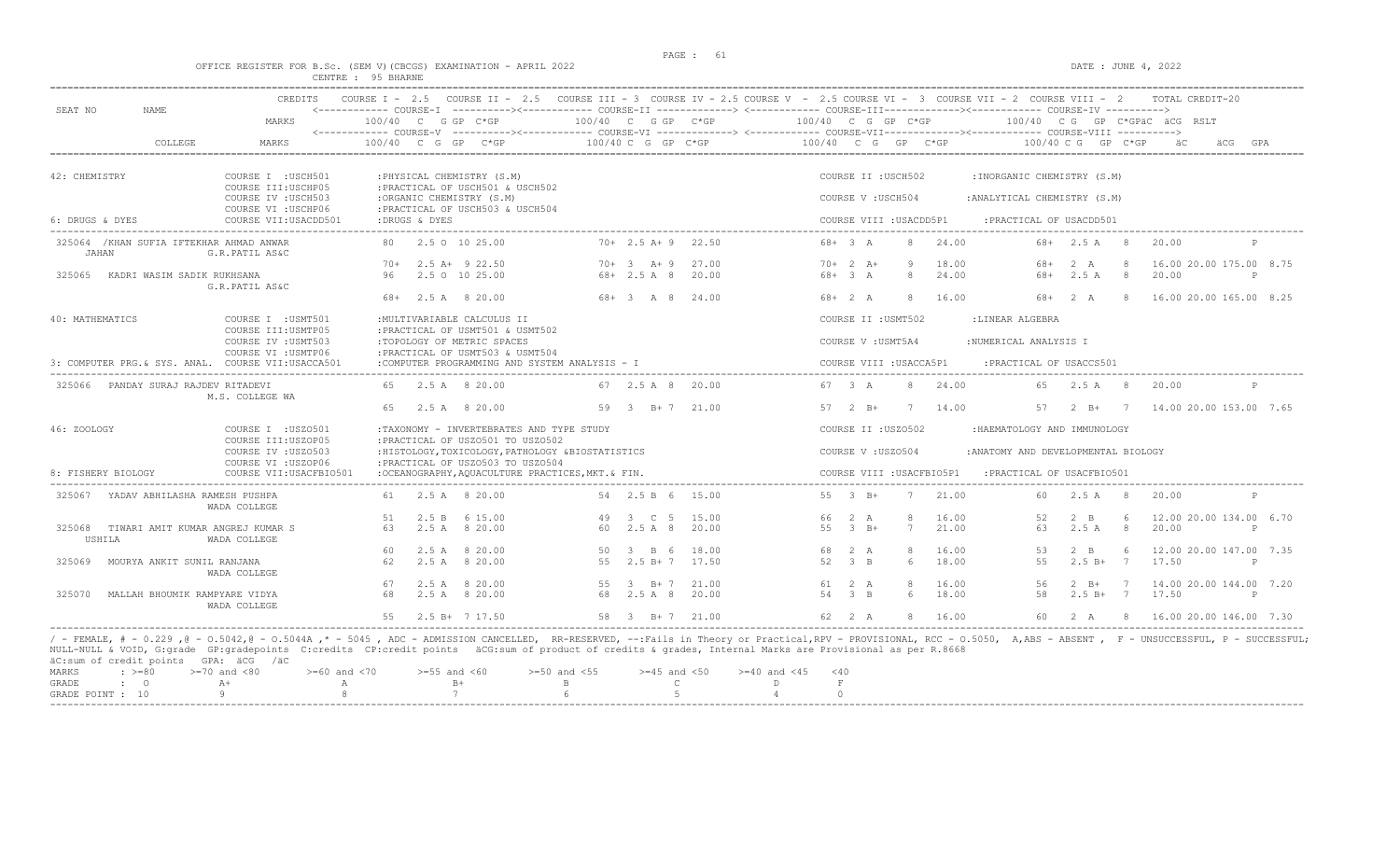# PAGE : 61 OFFICE REGISTER FOR B.Sc. (SEM V)(CBCGS) EXAMINATION - APRIL 2022 DATE : JUNE 4, 2022 CENTRE : 95 BHARNE

| SEAT NO            | NAME.                                    | MARKS                                                             | <------------ COURSE-I ----------><----------- COURSE-II -------------> <------------ COURSE-III-----------><------------ COURSE-IV ----------><br>$100/40$ C G GP C*GP |                                                                                        |                                      |                |                        |                           |                      |                 | 100/40 C G GP C*GP                   100/40  C G GP C*GP                   100/40  C G GP C*GPäC äCG RSLT |                              |                     |                                         |              |
|--------------------|------------------------------------------|-------------------------------------------------------------------|-------------------------------------------------------------------------------------------------------------------------------------------------------------------------|----------------------------------------------------------------------------------------|--------------------------------------|----------------|------------------------|---------------------------|----------------------|-----------------|-----------------------------------------------------------------------------------------------------------|------------------------------|---------------------|-----------------------------------------|--------------|
|                    | <b>COLLEGE</b>                           | MARKS                                                             | <------------ COURSE-V ----------><----------- COURSE-VI -------------> <------------ COURSE-VII---------------- COURSE-VIII ----------><br>$100/40$ C G GP C*GP        |                                                                                        | 100/40 C G GP C*GP                   |                | $100/40$ C G GP $C*GP$ |                           |                      |                 |                                                                                                           | $100/40 \, C \, G$ GP $C*GP$ |                     | – äC                                    | GPA          |
| 42: CHEMISTRY      |                                          | COURSE I : USCH501<br>COURSE III: USCHP05                         | : PHYSICAL CHEMISTRY (S.M)                                                                                                                                              | : PRACTICAL OF USCH501 & USCH502                                                       |                                      |                |                        | COURSE II : USCH502       |                      |                 | : INORGANIC CHEMISTRY (S.M)                                                                               |                              |                     |                                         |              |
|                    |                                          | COURSE IV : USCH503<br>COURSE VI : USCHP06                        | :ORGANIC CHEMISTRY (S.M)                                                                                                                                                | : PRACTICAL OF USCH503 & USCH504                                                       |                                      |                |                        | COURSE V: USCH504         |                      |                 | : ANALYTICAL CHEMISTRY (S.M)                                                                              |                              |                     |                                         |              |
| 6: DRUGS & DYES    |                                          | COURSE VII: USACDD501                                             | :DRUGS & DYES                                                                                                                                                           |                                                                                        |                                      |                |                        | COURSE VIII : USACDD5P1   |                      |                 | : PRACTICAL OF USACDD501                                                                                  |                              |                     |                                         |              |
| JAHAN              | 325064 / KHAN SUFIA IFTEKHAR AHMAD ANWAR | G.R.PATIL AS&C                                                    | 80 2.5 0 10 25.00                                                                                                                                                       |                                                                                        | $70+2.5 A+9$ 22.50                   |                |                        | $68 + 3 A$                | 8                    | 24.00           |                                                                                                           | $68 + 2.5$ A 8               |                     | 20.00                                   | P            |
|                    | 325065 KADRI WASIM SADIK RUKHSANA        | G.R.PATIL AS&C                                                    | $70+$ 2.5 A+ 9 22.50<br>96 2.5 0 10 25.00                                                                                                                               |                                                                                        | $70+ 3 A+ 9 27.00$<br>$68 + 2.5$ A 8 | 20.00          |                        | $70+2 A+$<br>$68 + 3 A$   | - 9<br>8             | 18.00<br>24.00  | 68+                                                                                                       | 68+ 2 A<br>2.5A              | 8<br>8 <sup>1</sup> | 16.00 20.00 175.00 8.75<br>20.00        | $\mathsf{P}$ |
|                    |                                          |                                                                   | 68+ 2.5 A 8 20.00                                                                                                                                                       |                                                                                        | 68+ 3 A 8 24.00                      |                |                        | $68 + 2 A$                | -8                   | 16.00           |                                                                                                           | 68+ 2 A                      |                     | 8 16.00 20.00 165.00 8.25               |              |
| 40: MATHEMATICS    |                                          | COURSE I : USMT501                                                | : MULTIVARIABLE CALCULUS II                                                                                                                                             |                                                                                        |                                      |                |                        | COURSE II : USMT502       |                      |                 | :LINEAR ALGEBRA                                                                                           |                              |                     |                                         |              |
|                    |                                          | COURSE III: USMTP05<br>COURSE IV : USMT503<br>COURSE VI : USMTP06 | :TOPOLOGY OF METRIC SPACES                                                                                                                                              | : PRACTICAL OF USMT501 & USMT502<br>: PRACTICAL OF USMT503 & USMT504                   |                                      |                |                        | COURSE V : USMT5A4        |                      |                 | :NUMERICAL ANALYSIS I                                                                                     |                              |                     |                                         |              |
|                    |                                          | 3: COMPUTER PRG.& SYS. ANAL. COURSE VII:USACCA501                 |                                                                                                                                                                         | :COMPUTER PROGRAMMING AND SYSTEM ANALYSIS - I                                          |                                      |                |                        | COURSE VIII : USACCA5P1   |                      |                 | : PRACTICAL OF USACCS501                                                                                  |                              |                     |                                         |              |
|                    | 325066 PANDAY SURAJ RAJDEV RITADEVI      | M.S. COLLEGE WA                                                   | 65 2.5 A 8 20.00                                                                                                                                                        |                                                                                        | 67 2.5 A 8 20.00                     |                |                        | 67 3 A                    | 8                    | 24.00           |                                                                                                           | 65 2.5 A 8                   |                     | 20.00                                   | P            |
|                    |                                          |                                                                   | 65                                                                                                                                                                      | 2.5 A 8 20.00                                                                          | 59 3 B+7 21.00                       |                |                        |                           |                      | 57 2 B+ 7 14.00 |                                                                                                           |                              |                     | 57 2 B+ 7 14.00 20.00 153.00 7.65       |              |
| 46: ZOOLOGY        |                                          | COURSE I : USZ0501                                                |                                                                                                                                                                         | :TAXONOMY - INVERTEBRATES AND TYPE STUDY                                               |                                      |                |                        | COURSE II : USZ0502       |                      |                 | :HAEMATOLOGY AND IMMUNOLOGY                                                                               |                              |                     |                                         |              |
|                    |                                          | COURSE III:USZOP05<br>COURSE IV : USZ0503                         |                                                                                                                                                                         | : PRACTICAL OF USZ0501 TO USZ0502<br>:HISTOLOGY, TOXICOLOGY, PATHOLOGY &BIOSTATISTICS  |                                      |                |                        | COURSE V: USZ0504         |                      |                 | : ANATOMY AND DEVELOPMENTAL BIOLOGY                                                                       |                              |                     |                                         |              |
| 8: FISHERY BIOLOGY |                                          | COURSE VI : USZOP06<br>COURSE VII: USACFBIO501                    |                                                                                                                                                                         | : PRACTICAL OF USZ0503 TO USZ0504<br>:OCEANOGRAPHY, AOUACULTURE PRACTICES, MKT. & FIN. |                                      |                |                        | COURSE VIII : USACFBIO5P1 |                      |                 | : PRACTICAL OF USACFBIO501                                                                                |                              |                     |                                         |              |
|                    | 325067 YADAV ABHILASHA RAMESH PUSHPA     | WADA COLLEGE                                                      | 61 2.5 A 8 20.00                                                                                                                                                        |                                                                                        | 54 2.5 B 6 15.00                     |                |                        | 55 3 B+                   |                      | 7 21.00         |                                                                                                           | 60 2.5 A 8                   |                     | 20.00                                   | P            |
|                    | 325068 TIWARI AMIT KUMAR ANGREJ KUMAR S  |                                                                   | 2.5 B 6 15.00<br>51<br>63                                                                                                                                               | 2.5 A 8 20.00                                                                          | 49 3 C 5<br>60 2.5 A 8               | 15.00<br>20.00 |                        | 66 2 A<br>$55 - 3 + 5+$   | 8<br>$7\phantom{.0}$ | 16.00<br>21.00  | 52<br>63                                                                                                  | $2 \quad B$<br>2.5A          | 6<br>8 <sup>8</sup> | 12.00 20.00 134.00 6.70<br>20.00        | P            |
| USHILA             |                                          | WADA COLLEGE                                                      |                                                                                                                                                                         |                                                                                        |                                      |                |                        |                           |                      |                 |                                                                                                           |                              |                     |                                         |              |
|                    |                                          |                                                                   | 60                                                                                                                                                                      | 2.5 A 8 20.00                                                                          | 50 3 B 6                             | 18.00          |                        | 68 2 A                    | 8                    | 16.00           | 53                                                                                                        | $2 \quad B$                  | 6                   | 12,00 20,00 147,00 7.35                 |              |
|                    | 325069 MOURYA ANKIT SUNIL RANJANA        | WADA COLLEGE                                                      | 62                                                                                                                                                                      | 2.5 A 8 20.00                                                                          | 55 2.5 B+ 7 17.50                    |                |                        | 52 3 B                    | 6                    | 18.00           | 55                                                                                                        | $2.5 B+$                     | $7\phantom{0}$      | 17.50                                   | P            |
|                    |                                          |                                                                   | 67                                                                                                                                                                      | 2.5 A 8 20.00                                                                          | 55 3 B+7 21.00                       |                |                        | 61 2 A                    | 8 <sup>8</sup>       | 16.00           | 56                                                                                                        | $2 \quad B+$                 | $7\phantom{0}7$     | 14.00 20.00 144.00 7.20                 |              |
| 325070             | MALLAH BHOUMIK RAMPYARE VIDYA            | WADA COLLEGE                                                      | 68                                                                                                                                                                      | 2.5 A 8 20.00                                                                          | 68 2.5 A 8 20.00                     |                |                        | 54 3 B                    | - 6                  | 18.00           | 58                                                                                                        | $2.5 B+ 7$                   |                     | 17.50                                   | P            |
|                    |                                          |                                                                   | 55 2.5 B + 7 17.50                                                                                                                                                      |                                                                                        | 58 3 B + 7 21.00                     |                |                        | 62 2 A                    |                      | 8 16.00         |                                                                                                           |                              |                     | 60  2  A  8  16.00  20.00  146.00  7.30 |              |

|  | MARKS : >=80 >=70 and <80 >=60 and <70 >=55 and <60 >=50 and <55 >=45 and <50 >=40 and <45 <40 |  |  |  |  |
|--|------------------------------------------------------------------------------------------------|--|--|--|--|
|  | GRADE : O A+ A A B+ B B C D                                                                    |  |  |  |  |
|  | GRADE POINT : $10$ 9 8 7 6 6 5 4 0                                                             |  |  |  |  |
|  |                                                                                                |  |  |  |  |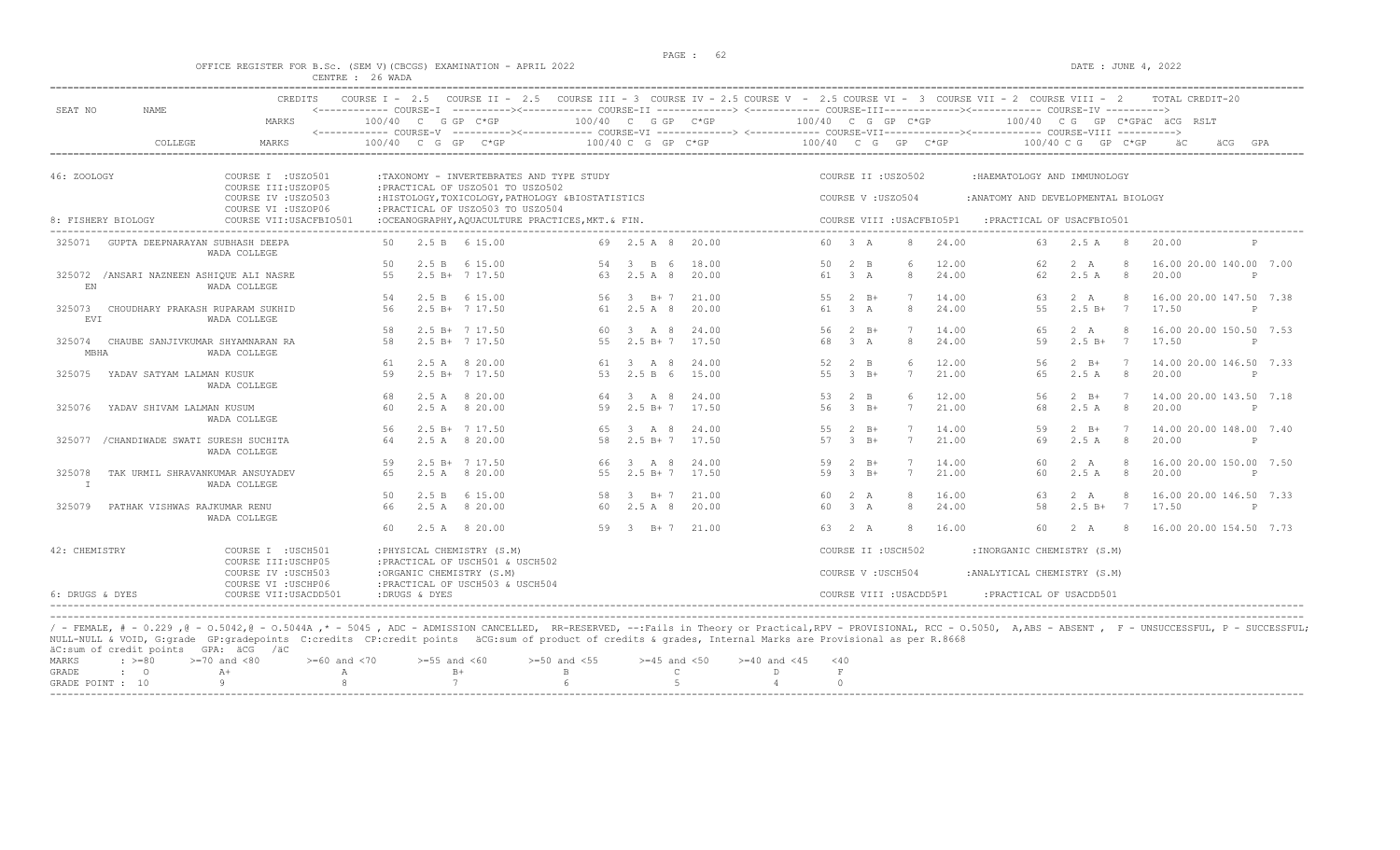#### OFFICE REGISTER FOR B.Sc. (SEM V)(CBCGS) EXAMINATION - APRIL 2022 DATE : JUNE 4, 2022 CENTRE : 26 WADA

|                        |                                           | CREDITS                                        | COURSE $I - 2.5$ |               |                                                                |                                                    |                        |       |                    |                                 |                         |                           | COURSE II - 2.5 COURSE III - 3 COURSE IV - 2.5 COURSE V - 2.5 COURSE VI - 3 COURSE VII - 2 COURSE VIII - 2                                                                                                                                                                                            |              |                 | TOTAL CREDIT-20              |              |
|------------------------|-------------------------------------------|------------------------------------------------|------------------|---------------|----------------------------------------------------------------|----------------------------------------------------|------------------------|-------|--------------------|---------------------------------|-------------------------|---------------------------|-------------------------------------------------------------------------------------------------------------------------------------------------------------------------------------------------------------------------------------------------------------------------------------------------------|--------------|-----------------|------------------------------|--------------|
| SEAT NO                | <b>NAME</b>                               | MARKS                                          |                  |               | 100/40 C G GP C*GP                                             |                                                    | 100/40 C G GP C*GP     |       | 100/40 C G GP C*GP |                                 |                         |                           | <------------ COURSE-I ----------><----------- COURSE-II -------------> <------------ COURSE-III-----------><---------><---------- COURSE-IV ---------->><br><------------ COURSE-V -----------><----------- COURSE-VI --------------> <------------ COURSE-VIII------------- COURSE-VIII ----------> |              |                 | 100/40 CG GP C*GPAC ACG RSLT |              |
|                        | COLLEGE                                   | MARKS                                          | $100/40$ C G     |               | GP<br>$C*GP$                                                   |                                                    | 100/40 C G GP C*GP     |       | 100/40 C G         |                                 | GP C*GP                 |                           | 100/40 C G                                                                                                                                                                                                                                                                                            |              | $GP$ $C*GP$     | äCG                          | GPA          |
| 46: ZOOLOGY            |                                           | COURSE I : USZO501                             |                  |               |                                                                | :TAXONOMY - INVERTEBRATES AND TYPE STUDY           |                        |       |                    |                                 | COURSE II : USZ0502     |                           | : HAEMATOLOGY AND IMMUNOLOGY                                                                                                                                                                                                                                                                          |              |                 |                              |              |
|                        |                                           | COURSE III: USZOP05<br>COURSE IV : USZ0503     |                  |               | : PRACTICAL OF USZ0501 TO USZ0502                              | : HISTOLOGY, TOXICOLOGY, PATHOLOGY & BIOSTATISTICS |                        |       |                    |                                 | COURSE V: USZ0504       |                           | : ANATOMY AND DEVELOPMENTAL BIOLOGY                                                                                                                                                                                                                                                                   |              |                 |                              |              |
|                        | 8: FISHERY BIOLOGY                        | COURSE VI : USZOP06<br>COURSE VII: USACFBIO501 |                  |               | : PRACTICAL OF USZ0503 TO USZ0504                              | :OCEANOGRAPHY, AOUACULTURE PRACTICES, MKT. & FIN.  |                        |       |                    |                                 |                         | COURSE VIII : USACFBIO5P1 | :PRACTICAL OF USACFBIO501                                                                                                                                                                                                                                                                             |              |                 |                              |              |
|                        |                                           |                                                |                  |               |                                                                |                                                    |                        |       |                    |                                 |                         |                           |                                                                                                                                                                                                                                                                                                       |              |                 |                              |              |
| 325071                 | GUPTA DEEPNARAYAN SUBHASH DEEPA           | WADA COLLEGE                                   | 50.              |               | 2.5 B 6 15.00                                                  |                                                    | 69 2.5 A 8 20.00       |       |                    | 60 3 A                          |                         | 24.00                     | 63                                                                                                                                                                                                                                                                                                    | $2.5 A$ 8    |                 | 20.00                        |              |
|                        |                                           |                                                | 50               | 2.5 B         | 6 15.00                                                        | 54                                                 | $\mathcal{B}$<br>B 6   | 18.00 | 50                 | 2<br>B                          |                         | 12.00                     |                                                                                                                                                                                                                                                                                                       | 2 A          |                 | 16.00 20.00 140.00 7.00      |              |
| EN                     | 325072 / ANSARI NAZNEEN ASHIQUE ALI NASRE | WADA COLLEGE                                   | 55               |               | $2.5 B+ 7 17.50$                                               | 63                                                 | 2.5 A 8                | 20.00 | 61                 | 3A                              | 8                       | 24.00                     | 62                                                                                                                                                                                                                                                                                                    | 2.5A         | 8               | 20.00                        | $\mathbb P$  |
|                        |                                           |                                                | 54               | 2.5 B         | 6 15.00                                                        | 56                                                 | $\mathcal{B}$<br>$B+7$ | 21.00 | 55                 | $2 \quad B+$                    |                         | 14.00                     | 63                                                                                                                                                                                                                                                                                                    | 2 A          |                 | 16.00 20.00 147.50 7.38      |              |
| 325073<br>EVI          | CHOUDHARY PRAKASH RUPARAM SUKHID          | WADA COLLEGE                                   | 56               |               | $2.5 B+ 7 17.50$                                               |                                                    | 61 2.5 A 8             | 20.00 |                    | 61 3 A                          | 8                       | 24.00                     | 55                                                                                                                                                                                                                                                                                                    | $2.5 B+$     | $\overline{7}$  | 17.50                        | $\mathbb{P}$ |
|                        |                                           |                                                | 58               |               | $2.5 B+ 7 17.50$                                               | 60                                                 | 3 A 8                  | 24.00 | 56                 | $2 \quad B+$                    |                         | 14.00                     | 65                                                                                                                                                                                                                                                                                                    | 2 A          | -8              | 16.00 20.00 150.50 7.53      |              |
| 325074<br>MBHA         | CHAUBE SANJIVKUMAR SHYAMNARAN RA          | WADA COLLEGE                                   | 58               |               | $2.5 B+ 7 17.50$                                               | 55                                                 | $2.5 B+7$              | 17.50 | 68                 | 3 A                             | 8                       | 24.00                     | 59                                                                                                                                                                                                                                                                                                    | $2.5 B+$     | $\overline{7}$  | 17.50                        | $\mathbb P$  |
|                        |                                           |                                                | 61               |               | 2.5 A 8 20.00                                                  |                                                    | 61 3 A 8               | 24.00 | 52                 | $2 \quad B$                     | $6\overline{6}$         | 12.00                     | 56                                                                                                                                                                                                                                                                                                    | $2 \quad B+$ | 7               | 14.00 20.00 146.50 7.33      |              |
| 325075                 | YADAV SATYAM LALMAN KUSUK                 | WADA COLLEGE                                   | 59               |               | $2.5 B+ 7 17.50$                                               | 53                                                 | 2.5 B 6                | 15.00 | 55                 | $-3$ $-B+$                      | $\overline{7}$          | 21.00                     | 65                                                                                                                                                                                                                                                                                                    | 2.5A         | -8              | 20.00                        | $\mathbb{P}$ |
|                        |                                           |                                                | 68               | 2.5A          | 8 20.00                                                        | 64                                                 | A 8<br>$\mathcal{R}$   | 24.00 | 53                 | $2 \quad B$                     |                         | 12.00                     | 56                                                                                                                                                                                                                                                                                                    | $2$ $B+$     | $\overline{7}$  | 14.00 20.00 143.50 7.18      |              |
| 325076                 | YADAV SHIVAM LALMAN KUSUM                 | WADA COLLEGE                                   | 60               |               | 2.5 A 8 20.00                                                  | 59                                                 | $2.5 B+7$              | 17.50 | 56                 | $-3$ $-B+$                      | 7                       | 21.00                     | 68                                                                                                                                                                                                                                                                                                    | 2.5A         | 8               | 20.00                        | $\mathbb{P}$ |
|                        |                                           |                                                | 56               |               | $2.5 B+ 7 17.50$                                               | 65                                                 | $3$ A $8$              | 24.00 | 55                 | 2<br>$B+$                       |                         | 14.00                     | 59                                                                                                                                                                                                                                                                                                    | $2 \quad B+$ |                 | 14,00 20,00 148,00 7.40      |              |
| 325077                 | /CHANDIWADE SWATI SURESH SUCHITA          | WADA COLLEGE                                   | 64               | 2.5A          | 8 20.00                                                        | 58                                                 | $2.5 B+7$              | 17.50 | 57                 | $\overline{\mathbf{3}}$<br>$B+$ | 7                       | 21.00                     | 69                                                                                                                                                                                                                                                                                                    | 2.5A         | 8               | 20.00                        | $\mathbb P$  |
|                        |                                           |                                                | 59               |               | $2.5 B+ 7 17.50$                                               | 66                                                 | 3 A 8                  | 24.00 | 59                 | $2 \quad B+$                    |                         | 14.00                     | 60                                                                                                                                                                                                                                                                                                    | 2 A          | 8               | 16.00 20.00 150.00 7.50      |              |
| 325078<br>$\mathbb{I}$ | TAK URMIL SHRAVANKUMAR ANSUYADEV          | WADA COLLEGE                                   | 65               | 2.5A          | 8 20.00                                                        | 55                                                 | $2.5 B+7$              | 17.50 | 59                 | $-3$ $-B+$                      | 7                       | 21.00                     | 60                                                                                                                                                                                                                                                                                                    | 2.5A         | -8              | 20.00                        | $\mathbb{P}$ |
|                        |                                           |                                                | 50               | 2.5 B         | 6 15.00                                                        | 58                                                 | $B+7$<br>3             | 21.00 | 60.                | 2 A                             | -8                      | 16.00                     | 63                                                                                                                                                                                                                                                                                                    | 2 A          |                 | 16.00 20.00 146.50 7.33      |              |
| 325079                 | PATHAK VISHWAS RAJKUMAR RENU              | WADA COLLEGE                                   | 66               |               | 2.5 A 8 20.00                                                  | 60                                                 | 2.5 A 8                | 20.00 | 60                 | 3 A                             | 8                       | 24.00                     | 58                                                                                                                                                                                                                                                                                                    | $2.5 B+$     | $7\phantom{0}7$ | 17.50                        | $\mathbb{P}$ |
|                        |                                           |                                                | 60               |               | 2.5 A 8 20.00                                                  | 59                                                 | 3 B+7 21.00            |       |                    | 63 2 A                          | 8                       | 16.00                     | 60.                                                                                                                                                                                                                                                                                                   | 2 A          | - 8             | 16.00 20.00 154.50 7.73      |              |
| 42: CHEMISTRY          |                                           | COURSE I : USCH501<br>COURSE III: USCHP05      |                  |               | : PHYSICAL CHEMISTRY (S.M)<br>: PRACTICAL OF USCH501 & USCH502 |                                                    |                        |       |                    |                                 | COURSE II : USCH502     |                           | : INORGANIC CHEMISTRY (S.M)                                                                                                                                                                                                                                                                           |              |                 |                              |              |
|                        |                                           | COURSE IV : USCH503<br>COURSE VI : USCHP06     |                  |               | :ORGANIC CHEMISTRY (S.M)<br>: PRACTICAL OF USCH503 & USCH504   |                                                    |                        |       |                    |                                 | COURSE V : USCH504      |                           | : ANALYTICAL CHEMISTRY (S.M)                                                                                                                                                                                                                                                                          |              |                 |                              |              |
| 6: DRUGS & DYES        |                                           | COURSE VII: USACDD501                          |                  | :DRUGS & DYES |                                                                |                                                    |                        |       |                    |                                 | COURSE VIII : USACDD5P1 |                           | : PRACTICAL OF USACDD501                                                                                                                                                                                                                                                                              |              |                 |                              |              |

/ - FEMALE, # - 0.229 ,@ - 0.5042,@ - 0.5044A ,\* - 5045 , ADC - ADMISSION CANCELLED, RR-RESERVED, --:Fails in Theory or Practical,RPV - PROVISIONAL, RCC - 0.5050, A,ABS - ABSENT , F - UNSUCCESSFUL, P - SUCCESSFUL; NULL-NULL & VOID, G:grade GP:gradepoints C:credits CP:credit points äCG:sum of product of credits & grades, Internal Marks are Provisional as per R.8668 äC:sum of credit points GPA: äCG /äC

| GRADE : 0 A+ A A B+ B C D F<br>GRADE POINT : 10 9 9 8 7 6 5 5 4 0 |  | MARKS : >=80 >=70 and <80 > >=60 and <70 >=55 and <60 >=50 and <55 >=45 and <50 >=40 and <45 <40 |  |  |  |
|-------------------------------------------------------------------|--|--------------------------------------------------------------------------------------------------|--|--|--|
|                                                                   |  |                                                                                                  |  |  |  |
|                                                                   |  |                                                                                                  |  |  |  |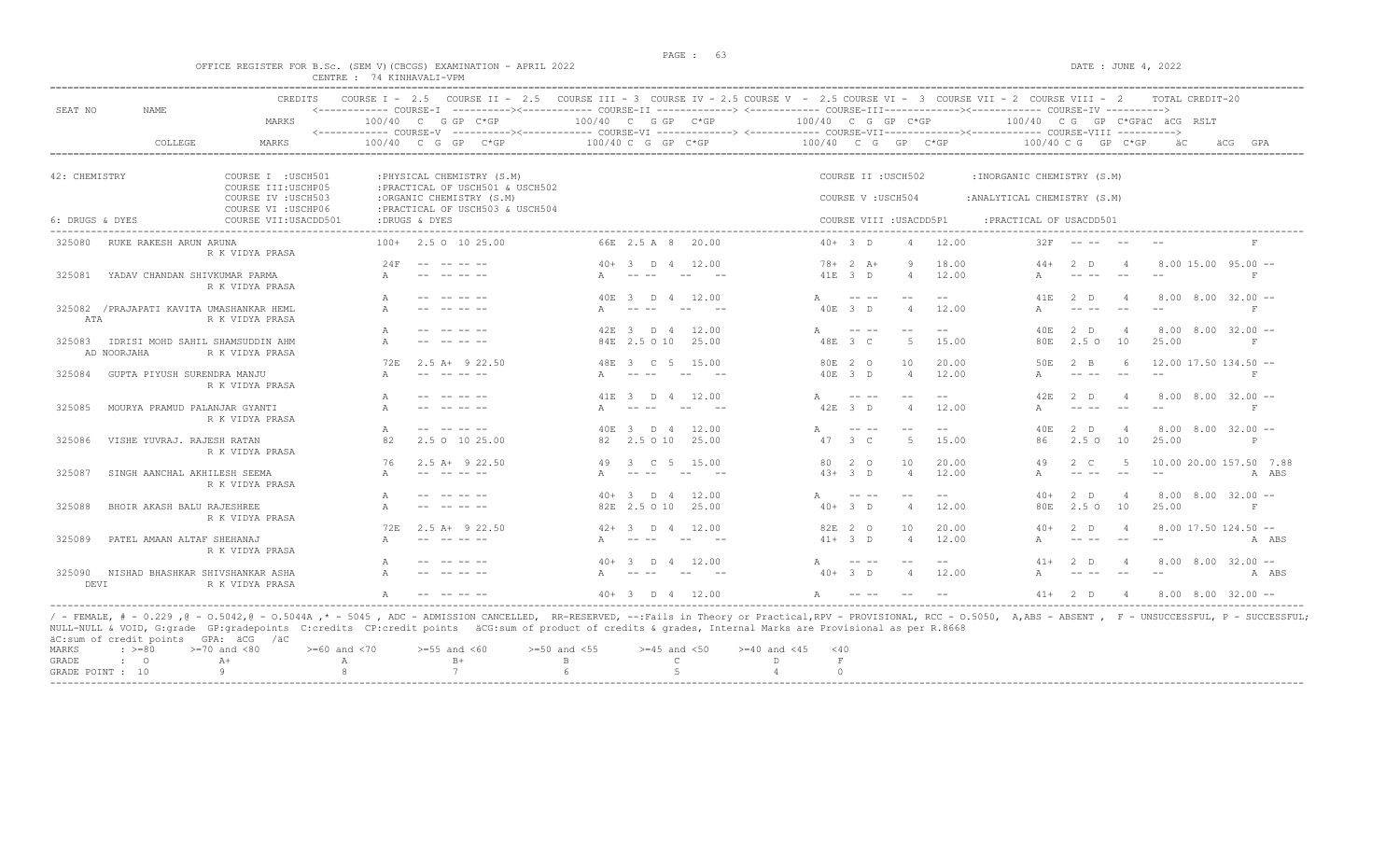### OFFICE REGISTER FOR B.Sc. (SEM V)(CBCGS) EXAMINATION - APRIL 2022 DATE : JUNE 4, 2022 CENTRE : 74 KINHAVALI-VPM

|                 |                                                 | <b>CREDITS</b>                             |             | COURSE I - 2.5 COURSE II - 2.5 COURSE III - 3 COURSE IV - 2.5 COURSE V - 2.5 COURSE VI - 3 COURSE VII - 2 COURSE VIII - 2                                                                                                                                                                                                 |       |                                                                                                                                                                                                                                                                                                                                                                                              |       |                      |                                                                                                                                                                                                                                                                                                                                                                                              |                |       |                              |                                                                                                                                                                                                                                                                                                                                                                                              |                | TOTAL CREDIT-20                       |            |
|-----------------|-------------------------------------------------|--------------------------------------------|-------------|---------------------------------------------------------------------------------------------------------------------------------------------------------------------------------------------------------------------------------------------------------------------------------------------------------------------------|-------|----------------------------------------------------------------------------------------------------------------------------------------------------------------------------------------------------------------------------------------------------------------------------------------------------------------------------------------------------------------------------------------------|-------|----------------------|----------------------------------------------------------------------------------------------------------------------------------------------------------------------------------------------------------------------------------------------------------------------------------------------------------------------------------------------------------------------------------------------|----------------|-------|------------------------------|----------------------------------------------------------------------------------------------------------------------------------------------------------------------------------------------------------------------------------------------------------------------------------------------------------------------------------------------------------------------------------------------|----------------|---------------------------------------|------------|
| SEAT NO         | NAME                                            | MARKS                                      |             | <------------ COURSE-T ----------><----------- COURSE-TT -------------> <------------ COURSE-TTT----------><--------><---------- COURSE-TV ----------><br>$100/40$ C G GP C*GP<br><------------ COURSE-V ----------><----------- COURSE-VI -------------> <------------ COURSE-VIII-------------- COURSE-VIII ----------> |       | $100/40$ C G GP C*GP                                                                                                                                                                                                                                                                                                                                                                         |       | $100/40$ C G GP C*GP |                                                                                                                                                                                                                                                                                                                                                                                              |                |       |                              |                                                                                                                                                                                                                                                                                                                                                                                              |                | 100/40 CG GP C*GPÄC ÄCG RSLT          |            |
|                 | COLLEGE                                         | MARKS                                      |             | $100/40$ C G GP C*GP                                                                                                                                                                                                                                                                                                      |       | $100/40$ C G GP C*GP                                                                                                                                                                                                                                                                                                                                                                         |       | 100/40 C G GP C*GP   |                                                                                                                                                                                                                                                                                                                                                                                              |                |       |                              | $100/40$ C G GP C*GP                                                                                                                                                                                                                                                                                                                                                                         |                | äС                                    | äCG<br>GPA |
|                 |                                                 |                                            |             |                                                                                                                                                                                                                                                                                                                           |       |                                                                                                                                                                                                                                                                                                                                                                                              |       |                      |                                                                                                                                                                                                                                                                                                                                                                                              |                |       |                              |                                                                                                                                                                                                                                                                                                                                                                                              |                |                                       |            |
| 42: CHEMISTRY   |                                                 | COURSE I : USCH501<br>COURSE III: USCHP05  |             | : PHYSICAL CHEMISTRY (S.M)<br>: PRACTICAL OF USCH501 & USCH502                                                                                                                                                                                                                                                            |       |                                                                                                                                                                                                                                                                                                                                                                                              |       |                      | COURSE II : USCH502                                                                                                                                                                                                                                                                                                                                                                          |                |       | : INORGANIC CHEMISTRY (S.M)  |                                                                                                                                                                                                                                                                                                                                                                                              |                |                                       |            |
|                 |                                                 | COURSE IV : USCH503<br>COURSE VI : USCHP06 |             | :ORGANIC CHEMISTRY (S.M)<br>: PRACTICAL OF USCH503 & USCH504                                                                                                                                                                                                                                                              |       |                                                                                                                                                                                                                                                                                                                                                                                              |       |                      | COURSE V: USCH504                                                                                                                                                                                                                                                                                                                                                                            |                |       | : ANALYTICAL CHEMISTRY (S.M) |                                                                                                                                                                                                                                                                                                                                                                                              |                |                                       |            |
| 6: DRUGS & DYES |                                                 | COURSE VII: USACDD501                      |             | :DRUGS & DYES                                                                                                                                                                                                                                                                                                             |       |                                                                                                                                                                                                                                                                                                                                                                                              |       |                      | COURSE VIII : USACDD5P1                                                                                                                                                                                                                                                                                                                                                                      |                |       | : PRACTICAL OF USACDD501     |                                                                                                                                                                                                                                                                                                                                                                                              |                |                                       |            |
| 325080          | RUKE RAKESH ARUN ARUNA                          | R K VIDYA PRASA                            |             | $100+$ 2.5 0 10 25.00                                                                                                                                                                                                                                                                                                     |       | 66E 2.5 A 8                                                                                                                                                                                                                                                                                                                                                                                  | 20.00 |                      | $40+3$ D                                                                                                                                                                                                                                                                                                                                                                                     | $\Delta$       | 12.00 | 32F                          |                                                                                                                                                                                                                                                                                                                                                                                              |                |                                       |            |
|                 |                                                 |                                            | 24F         |                                                                                                                                                                                                                                                                                                                           | $40+$ | $\overline{3}$ D 4                                                                                                                                                                                                                                                                                                                                                                           | 12.00 |                      | $78 + 2 A +$                                                                                                                                                                                                                                                                                                                                                                                 | <sup>Q</sup>   | 18.00 |                              | 2 <sub>0</sub>                                                                                                                                                                                                                                                                                                                                                                               |                | $8.00$ 15.00 95.00 $-$                |            |
| 325081          | YADAV CHANDAN SHIVKUMAR PARMA                   | R K VIDYA PRASA                            |             |                                                                                                                                                                                                                                                                                                                           |       |                                                                                                                                                                                                                                                                                                                                                                                              |       |                      | 41E 3 D                                                                                                                                                                                                                                                                                                                                                                                      | $\overline{4}$ | 12.00 |                              |                                                                                                                                                                                                                                                                                                                                                                                              |                |                                       | F          |
|                 |                                                 |                                            |             |                                                                                                                                                                                                                                                                                                                           | 40F.  | $\overline{3}$ D 4                                                                                                                                                                                                                                                                                                                                                                           | 12.00 |                      |                                                                                                                                                                                                                                                                                                                                                                                              |                |       | 41 F.                        | 2 <sub>D</sub>                                                                                                                                                                                                                                                                                                                                                                               |                | $8.00$ $8.00$ $32.00$ $-$             |            |
| ATA             | 325082 / PRAJAPATI KAVITA UMASHANKAR HEML       | R K VIDYA PRASA                            |             |                                                                                                                                                                                                                                                                                                                           |       |                                                                                                                                                                                                                                                                                                                                                                                              | $-$   |                      | 40E 3 D                                                                                                                                                                                                                                                                                                                                                                                      | $\Delta$       | 12.00 |                              | $\frac{1}{2} \frac{1}{2} \frac{1}{2} \frac{1}{2} \frac{1}{2} \frac{1}{2} \frac{1}{2} \frac{1}{2} \frac{1}{2} \frac{1}{2} \frac{1}{2} \frac{1}{2} \frac{1}{2} \frac{1}{2} \frac{1}{2} \frac{1}{2} \frac{1}{2} \frac{1}{2} \frac{1}{2} \frac{1}{2} \frac{1}{2} \frac{1}{2} \frac{1}{2} \frac{1}{2} \frac{1}{2} \frac{1}{2} \frac{1}{2} \frac{1}{2} \frac{1}{2} \frac{1}{2} \frac{1}{2} \frac{$ |                |                                       | F          |
|                 |                                                 |                                            |             |                                                                                                                                                                                                                                                                                                                           | 42F.  | $\mathcal{R}$<br>D 4                                                                                                                                                                                                                                                                                                                                                                         | 12.00 |                      |                                                                                                                                                                                                                                                                                                                                                                                              | $ -$           | $- -$ | 40E                          | 2 <sub>0</sub>                                                                                                                                                                                                                                                                                                                                                                               |                | $8.00$ $8.00$ $32.00$ $-$             |            |
| 325083          | IDRISI MOHD SAHIL SHAMSUDDIN AHM<br>AD NOORJAHA | R K VIDYA PRASA                            |             |                                                                                                                                                                                                                                                                                                                           |       | 84E 2.5 O 10                                                                                                                                                                                                                                                                                                                                                                                 | 25.00 |                      | 48E 3 C                                                                                                                                                                                                                                                                                                                                                                                      | -5             | 15.00 | 80E                          | $2.5^\circ$                                                                                                                                                                                                                                                                                                                                                                                  | 10             | 25.00                                 | F          |
|                 |                                                 |                                            | 72F         | $2.5$ A+ $9$ 22.50                                                                                                                                                                                                                                                                                                        | 48F.  | $\overline{C}$                                                                                                                                                                                                                                                                                                                                                                               | 15.00 |                      | 80E 2 0                                                                                                                                                                                                                                                                                                                                                                                      | 10             | 20.00 | 50E                          | $2 - B$                                                                                                                                                                                                                                                                                                                                                                                      |                | $12.00$ 17.50 134.50 --               |            |
| 325084          | GUPTA PIYUSH SURENDRA MANJU                     | R K VIDYA PRASA                            |             |                                                                                                                                                                                                                                                                                                                           |       | $\frac{1}{2} \frac{1}{2} \frac{1}{2} \frac{1}{2} \frac{1}{2} \frac{1}{2} \frac{1}{2} \frac{1}{2} \frac{1}{2} \frac{1}{2} \frac{1}{2} \frac{1}{2} \frac{1}{2} \frac{1}{2} \frac{1}{2} \frac{1}{2} \frac{1}{2} \frac{1}{2} \frac{1}{2} \frac{1}{2} \frac{1}{2} \frac{1}{2} \frac{1}{2} \frac{1}{2} \frac{1}{2} \frac{1}{2} \frac{1}{2} \frac{1}{2} \frac{1}{2} \frac{1}{2} \frac{1}{2} \frac{$ | $- -$ |                      | 40E 3 D                                                                                                                                                                                                                                                                                                                                                                                      | $\overline{4}$ | 12.00 |                              | $\frac{1}{2} \frac{1}{2} \frac{1}{2} \frac{1}{2} \frac{1}{2} \frac{1}{2} \frac{1}{2} \frac{1}{2} \frac{1}{2} \frac{1}{2} \frac{1}{2} \frac{1}{2} \frac{1}{2} \frac{1}{2} \frac{1}{2} \frac{1}{2} \frac{1}{2} \frac{1}{2} \frac{1}{2} \frac{1}{2} \frac{1}{2} \frac{1}{2} \frac{1}{2} \frac{1}{2} \frac{1}{2} \frac{1}{2} \frac{1}{2} \frac{1}{2} \frac{1}{2} \frac{1}{2} \frac{1}{2} \frac{$ |                |                                       |            |
|                 |                                                 |                                            |             |                                                                                                                                                                                                                                                                                                                           | 41 E  | 3 D 4 12.00                                                                                                                                                                                                                                                                                                                                                                                  |       |                      |                                                                                                                                                                                                                                                                                                                                                                                              |                | $- -$ | 42F                          | 2 <sub>0</sub>                                                                                                                                                                                                                                                                                                                                                                               |                | $8.00$ $8.00$ $32.00$ $-$             |            |
| 325085          | MOURYA PRAMUD PALANJAR GYANTI                   | R K VIDYA PRASA                            |             |                                                                                                                                                                                                                                                                                                                           |       |                                                                                                                                                                                                                                                                                                                                                                                              |       |                      | 42E 3 D                                                                                                                                                                                                                                                                                                                                                                                      | $\Delta$       | 12.00 |                              |                                                                                                                                                                                                                                                                                                                                                                                              |                |                                       | F          |
|                 |                                                 |                                            | A           | -- -- -- --                                                                                                                                                                                                                                                                                                               | 40 F. | -3-<br>D.                                                                                                                                                                                                                                                                                                                                                                                    | 12.00 |                      |                                                                                                                                                                                                                                                                                                                                                                                              | $-$            |       | 40 F.                        | 2 D                                                                                                                                                                                                                                                                                                                                                                                          |                | $8.00$ $8.00$ $32.00$ --              |            |
| 325086          | VISHE YUVRAJ. RAJESH RATAN                      | R K VIDYA PRASA                            | 82          | 2.5 0 10 25.00                                                                                                                                                                                                                                                                                                            | 82    | $2.5 \Omega$ 10                                                                                                                                                                                                                                                                                                                                                                              | 25.00 | 47                   | 3 <sup>°</sup>                                                                                                                                                                                                                                                                                                                                                                               | -5             | 15.00 | 86                           | 2.5 <sub>0</sub>                                                                                                                                                                                                                                                                                                                                                                             | 10             | 25.00                                 | P          |
|                 |                                                 |                                            | 76          | $2.5$ A+ $9$ 22.50                                                                                                                                                                                                                                                                                                        | 49    | $\overline{C}$<br>$\overline{a}$                                                                                                                                                                                                                                                                                                                                                             | 15.00 | 80                   | 2 0                                                                                                                                                                                                                                                                                                                                                                                          | 10             | 20.00 | 49                           | $2 \quad c$                                                                                                                                                                                                                                                                                                                                                                                  |                | 10.00 20.00 157.50 7.88               |            |
| 325087          | SINGH AANCHAL AKHILESH SEEMA                    | R K VIDYA PRASA                            |             |                                                                                                                                                                                                                                                                                                                           |       |                                                                                                                                                                                                                                                                                                                                                                                              |       |                      | $4.3+3$ D                                                                                                                                                                                                                                                                                                                                                                                    | $\overline{4}$ | 12.00 |                              |                                                                                                                                                                                                                                                                                                                                                                                              | $- -$          |                                       | A ABS      |
|                 |                                                 |                                            |             |                                                                                                                                                                                                                                                                                                                           |       | $40+3$ D 4                                                                                                                                                                                                                                                                                                                                                                                   | 12.00 |                      | $\frac{1}{2} \frac{1}{2} \frac{1}{2} \frac{1}{2} \frac{1}{2} \frac{1}{2} \frac{1}{2} \frac{1}{2} \frac{1}{2} \frac{1}{2} \frac{1}{2} \frac{1}{2} \frac{1}{2} \frac{1}{2} \frac{1}{2} \frac{1}{2} \frac{1}{2} \frac{1}{2} \frac{1}{2} \frac{1}{2} \frac{1}{2} \frac{1}{2} \frac{1}{2} \frac{1}{2} \frac{1}{2} \frac{1}{2} \frac{1}{2} \frac{1}{2} \frac{1}{2} \frac{1}{2} \frac{1}{2} \frac{$ | $-$            | $- -$ | $40+$                        | 2 <sub>0</sub>                                                                                                                                                                                                                                                                                                                                                                               |                | $8.00 \quad 8.00 \quad 32.00 \quad -$ |            |
| 325088          | BHOIR AKASH BALU RAJESHREE                      | R K VIDYA PRASA                            |             |                                                                                                                                                                                                                                                                                                                           |       | 82E 2.5 O 10                                                                                                                                                                                                                                                                                                                                                                                 | 25.00 |                      | $40+3$ D                                                                                                                                                                                                                                                                                                                                                                                     | $\Lambda$      | 12.00 | 80E                          | $2.5^\circ$                                                                                                                                                                                                                                                                                                                                                                                  | 10             | 25.00                                 | $_{\rm F}$ |
|                 |                                                 |                                            | <b>72F.</b> | $2.5$ A+ 9 22.50                                                                                                                                                                                                                                                                                                          | $42+$ | D.                                                                                                                                                                                                                                                                                                                                                                                           | 12.00 | 82F.                 | 2 0                                                                                                                                                                                                                                                                                                                                                                                          | 10             | 20.00 |                              | 2 <sub>n</sub>                                                                                                                                                                                                                                                                                                                                                                               |                | $8.00$ 17.50 124.50 $-$               |            |
| 325089          | PATEL AMAAN ALTAF SHEHANAJ                      | R K VIDYA PRASA                            |             | -------                                                                                                                                                                                                                                                                                                                   |       | $\frac{1}{2}$                                                                                                                                                                                                                                                                                                                                                                                | $- -$ |                      | $41 + 3$ D                                                                                                                                                                                                                                                                                                                                                                                   | $\Delta$       | 12.00 |                              | $\frac{1}{2}$                                                                                                                                                                                                                                                                                                                                                                                |                |                                       | A ABS      |
|                 |                                                 |                                            |             |                                                                                                                                                                                                                                                                                                                           |       | $\Box$                                                                                                                                                                                                                                                                                                                                                                                       | 12.00 |                      |                                                                                                                                                                                                                                                                                                                                                                                              |                |       |                              | 2 <sub>n</sub>                                                                                                                                                                                                                                                                                                                                                                               |                | $8.00$ $8.00$ $32.00$ $-$             |            |
| 325090<br>DEVI  | NISHAD BHASHKAR SHIVSHANKAR ASHA                | R K VIDYA PRASA                            |             |                                                                                                                                                                                                                                                                                                                           |       |                                                                                                                                                                                                                                                                                                                                                                                              |       |                      | $40+3$ D                                                                                                                                                                                                                                                                                                                                                                                     | $\Delta$       | 12.00 |                              |                                                                                                                                                                                                                                                                                                                                                                                              |                |                                       | A ABS      |
|                 |                                                 |                                            |             |                                                                                                                                                                                                                                                                                                                           |       | $40+3$ D 4                                                                                                                                                                                                                                                                                                                                                                                   | 12.00 | $\Delta$             | $\frac{1}{2}$                                                                                                                                                                                                                                                                                                                                                                                |                |       | $41 +$                       | 2 D                                                                                                                                                                                                                                                                                                                                                                                          | $\overline{4}$ | 8.00 8.00 32.00 --                    |            |

NULL-NULL & VOID, G:grade GP:gradepoints C:credits CP:credit points äCG:sum of product of credits & grades, Internal Marks are Provisional as per R.8668 äC:sum of credit points GPA: äCG /äC  $\begin{array}{lllllllllll} \text{MARKS} & : & \text{ & \texttt{>=0} & \texttt{=70} \text{ and } & \text{<80} & & \text{ & \texttt{=60} \text{ and } & \text{<70} & & \text{ & \texttt{=55} \text{ and } & \text{<60} & & \text{ & \texttt{=50} \text{ and } & \text{<55} & & \text{ & \texttt{=45} \text{ and } & \text{<55} & & \text{ & \texttt{=40} \text{ and } & \text{<45} & & \text{<40} \\ \text{GRADE} & : & & \text{O} & & \text{A$ GRADE : O A+ A  $A$  B+ B C D F F GRADE : O A+ A A B+ B C D F  $\,$ GRADE POINT : 10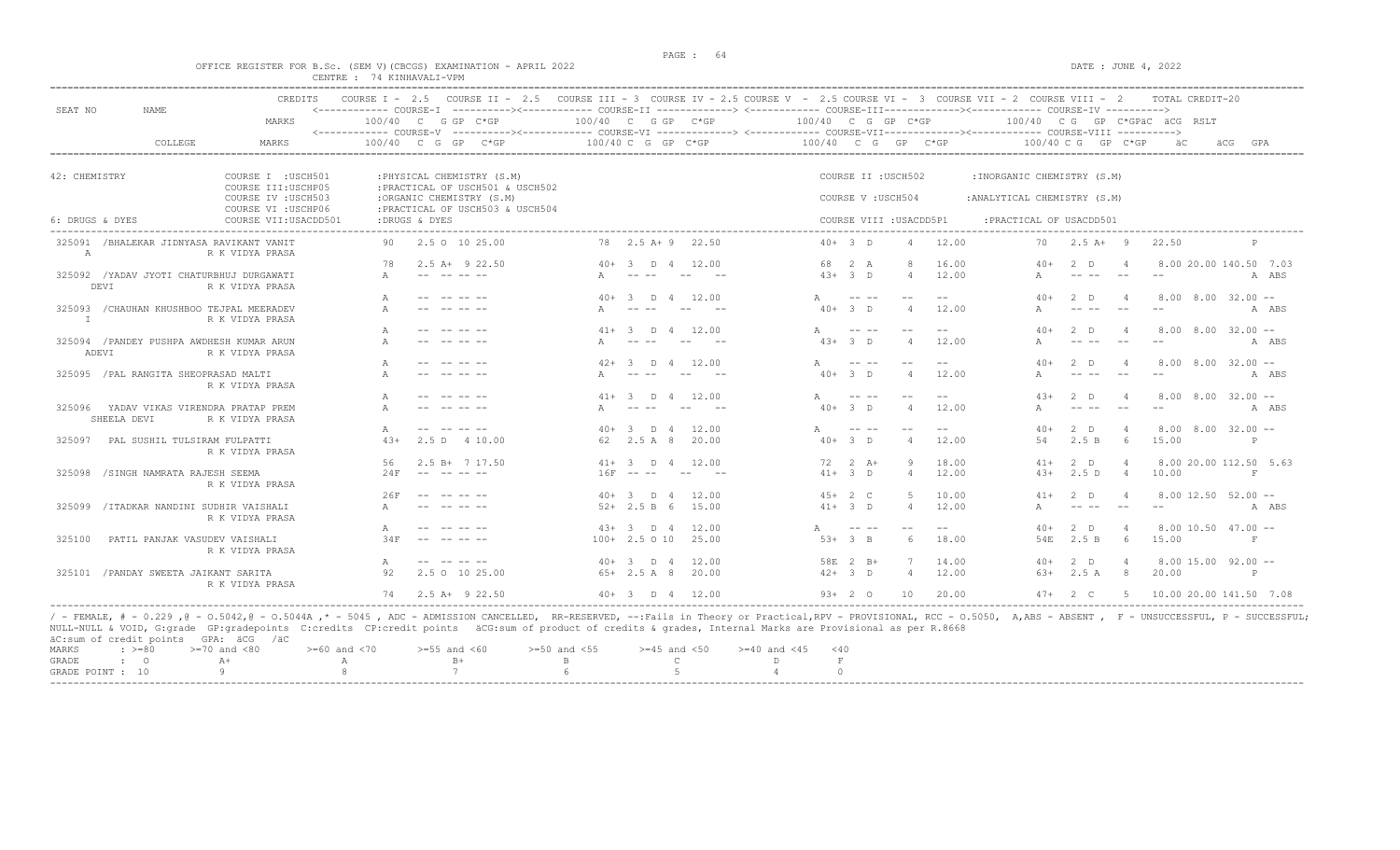### OFFICE REGISTER FOR B.Sc. (SEM V) (CBCGS) EXAMINATION - APRIL 2022 DATE : JUNE 4, 2022 CENTRE : 74 KINHAVALI-VPM

| SEAT NO         | NAME                                  | <b>CREDITS</b>                                               |                  |               |                                                                |                        |                                                                                                                                                                                                                                                                                                                                                                                              |                |       | COURSE I - 2.5 COURSE II - 2.5 COURSE III - 3 COURSE IV - 2.5 COURSE V - 2.5 COURSE VI - 3 COURSE VII - 2 COURSE VIII - 2<br><------------ COURSE-I ----------><------------ COURSE-II -------------> <------------ COURSE-III------------><----------- COURSE-IV ----------> |                                                                                                                                                                                                                                                                                                                                                                                              |                   |                         |       |                              |        |                                                                                                                                                                                                                                                                                                                                                                                              |                | TOTAL CREDIT-20              |     |             |
|-----------------|---------------------------------------|--------------------------------------------------------------|------------------|---------------|----------------------------------------------------------------|------------------------|----------------------------------------------------------------------------------------------------------------------------------------------------------------------------------------------------------------------------------------------------------------------------------------------------------------------------------------------------------------------------------------------|----------------|-------|-------------------------------------------------------------------------------------------------------------------------------------------------------------------------------------------------------------------------------------------------------------------------------|----------------------------------------------------------------------------------------------------------------------------------------------------------------------------------------------------------------------------------------------------------------------------------------------------------------------------------------------------------------------------------------------|-------------------|-------------------------|-------|------------------------------|--------|----------------------------------------------------------------------------------------------------------------------------------------------------------------------------------------------------------------------------------------------------------------------------------------------------------------------------------------------------------------------------------------------|----------------|------------------------------|-----|-------------|
|                 |                                       | MARKS                                                        |                  |               | 100/40 C G GP C*GP                                             | $100/40$ C G GP $C*GP$ |                                                                                                                                                                                                                                                                                                                                                                                              |                |       | 100/40 C G GP C*GP                                                                                                                                                                                                                                                            |                                                                                                                                                                                                                                                                                                                                                                                              |                   |                         |       |                              |        |                                                                                                                                                                                                                                                                                                                                                                                              |                | 100/40 CG GP C*GPÄC ÄCG RSLT |     |             |
|                 | COLLEGE                               | <b>MARKS</b>                                                 |                  |               | $100/40$ C G GP C*GP                                           |                        | 100/40 C G GP C*GP                                                                                                                                                                                                                                                                                                                                                                           |                |       | 100/40 C G GP C*GP                                                                                                                                                                                                                                                            |                                                                                                                                                                                                                                                                                                                                                                                              |                   |                         |       |                              |        | 100/40 C G GP C*GP                                                                                                                                                                                                                                                                                                                                                                           |                | äС                           | äCG | GPA         |
|                 |                                       |                                                              |                  |               |                                                                |                        |                                                                                                                                                                                                                                                                                                                                                                                              |                |       |                                                                                                                                                                                                                                                                               |                                                                                                                                                                                                                                                                                                                                                                                              |                   |                         |       |                              |        |                                                                                                                                                                                                                                                                                                                                                                                              |                |                              |     |             |
| 42: CHEMISTRY   |                                       | COURSE I : USCH501<br>COURSE III: USCHP05                    |                  |               | : PHYSICAL CHEMISTRY (S.M)<br>: PRACTICAL OF USCH501 & USCH502 |                        |                                                                                                                                                                                                                                                                                                                                                                                              |                |       |                                                                                                                                                                                                                                                                               |                                                                                                                                                                                                                                                                                                                                                                                              |                   | COURSE II : USCH502     |       | : INORGANIC CHEMISTRY (S.M)  |        |                                                                                                                                                                                                                                                                                                                                                                                              |                |                              |     |             |
|                 |                                       | COURSE IV : USCH503<br>COURSE VI : USCHP06                   |                  |               | :ORGANIC CHEMISTRY (S.M)<br>: PRACTICAL OF USCH503 & USCH504   |                        |                                                                                                                                                                                                                                                                                                                                                                                              |                |       |                                                                                                                                                                                                                                                                               |                                                                                                                                                                                                                                                                                                                                                                                              | COURSE V: USCH504 |                         |       | : ANALYTICAL CHEMISTRY (S.M) |        |                                                                                                                                                                                                                                                                                                                                                                                              |                |                              |     |             |
| 6: DRUGS & DYES |                                       | COURSE VII: USACDD501                                        |                  | :DRUGS & DYES |                                                                |                        |                                                                                                                                                                                                                                                                                                                                                                                              |                |       |                                                                                                                                                                                                                                                                               |                                                                                                                                                                                                                                                                                                                                                                                              |                   | COURSE VIII : USACDD5P1 |       |                              |        | : PRACTICAL OF USACDD501                                                                                                                                                                                                                                                                                                                                                                     |                |                              |     |             |
| A               |                                       | 325091 /BHALEKAR JIDNYASA RAVIKANT VANIT<br>R K VIDYA PRASA  | 90.              |               | 2.5 0 10 25.00                                                 |                        | 78 2.5 A + 9 22.50                                                                                                                                                                                                                                                                                                                                                                           |                |       | $40+3$ D                                                                                                                                                                                                                                                                      |                                                                                                                                                                                                                                                                                                                                                                                              |                   | $\overline{4}$          | 12.00 |                              | 70     | $2.5 A+ 9$                                                                                                                                                                                                                                                                                                                                                                                   |                | 22.50                        |     | P           |
|                 |                                       |                                                              | 78               |               | $2.5$ A+ $9$ 22.50                                             |                        | $40+3$ D 4                                                                                                                                                                                                                                                                                                                                                                                   |                | 12.00 | 68 2 A                                                                                                                                                                                                                                                                        |                                                                                                                                                                                                                                                                                                                                                                                              |                   | $\mathcal{R}$           | 16.00 |                              | $40+$  | 2 D                                                                                                                                                                                                                                                                                                                                                                                          |                | 8.00 20.00 140.50 7.03       |     |             |
| DEVI            |                                       | 325092 / YADAV JYOTI CHATURBHUJ DURGAWATI<br>R K VIDYA PRASA |                  |               |                                                                |                        |                                                                                                                                                                                                                                                                                                                                                                                              |                |       | $4.3+3$ D                                                                                                                                                                                                                                                                     |                                                                                                                                                                                                                                                                                                                                                                                              |                   | $\overline{4}$          | 12.00 |                              |        |                                                                                                                                                                                                                                                                                                                                                                                              |                |                              |     | A ABS       |
|                 |                                       |                                                              |                  |               |                                                                | $40+$                  | $\overline{\mathbf{3}}$<br>$\Box$                                                                                                                                                                                                                                                                                                                                                            | $\overline{4}$ | 12.00 |                                                                                                                                                                                                                                                                               | $\frac{1}{2} \frac{1}{2} \frac{1}{2} \frac{1}{2} \frac{1}{2} \frac{1}{2} \frac{1}{2} \frac{1}{2} \frac{1}{2} \frac{1}{2} \frac{1}{2} \frac{1}{2} \frac{1}{2} \frac{1}{2} \frac{1}{2} \frac{1}{2} \frac{1}{2} \frac{1}{2} \frac{1}{2} \frac{1}{2} \frac{1}{2} \frac{1}{2} \frac{1}{2} \frac{1}{2} \frac{1}{2} \frac{1}{2} \frac{1}{2} \frac{1}{2} \frac{1}{2} \frac{1}{2} \frac{1}{2} \frac{$ |                   |                         |       |                              | $40+$  | 2 <sub>n</sub>                                                                                                                                                                                                                                                                                                                                                                               |                | $8.00$ $8.00$ $32.00$ $-$    |     |             |
| T               |                                       | 325093 / CHAUHAN KHUSHBOO TEJPAL MEERADEV<br>R K VIDYA PRASA |                  |               |                                                                |                        | $\frac{1}{2} \frac{1}{2} \frac{1}{2} \frac{1}{2} \frac{1}{2} \frac{1}{2} \frac{1}{2} \frac{1}{2} \frac{1}{2} \frac{1}{2} \frac{1}{2} \frac{1}{2} \frac{1}{2} \frac{1}{2} \frac{1}{2} \frac{1}{2} \frac{1}{2} \frac{1}{2} \frac{1}{2} \frac{1}{2} \frac{1}{2} \frac{1}{2} \frac{1}{2} \frac{1}{2} \frac{1}{2} \frac{1}{2} \frac{1}{2} \frac{1}{2} \frac{1}{2} \frac{1}{2} \frac{1}{2} \frac{$ | $- -$          |       | $40+3$ D                                                                                                                                                                                                                                                                      |                                                                                                                                                                                                                                                                                                                                                                                              |                   | $\overline{4}$          | 12.00 |                              |        |                                                                                                                                                                                                                                                                                                                                                                                              | $-$            | $- -$                        |     | A ABS       |
|                 |                                       |                                                              | A                |               |                                                                | $41 +$                 | D 4                                                                                                                                                                                                                                                                                                                                                                                          |                | 12.00 | $\mathbb{A}$                                                                                                                                                                                                                                                                  |                                                                                                                                                                                                                                                                                                                                                                                              |                   | $ -$                    | $- -$ |                              | $40+$  | 2 <sub>D</sub>                                                                                                                                                                                                                                                                                                                                                                               |                | $8.00$ $8.00$ $32.00$ $-$    |     |             |
| ADEVI           |                                       | 325094 / PANDEY PUSHPA AWDHESH KUMAR ARUN<br>R K VIDYA PRASA | A                |               |                                                                |                        |                                                                                                                                                                                                                                                                                                                                                                                              |                |       | $43+3$ D                                                                                                                                                                                                                                                                      |                                                                                                                                                                                                                                                                                                                                                                                              |                   | $\overline{4}$          | 12.00 |                              |        |                                                                                                                                                                                                                                                                                                                                                                                              |                |                              |     | A ABS       |
|                 |                                       |                                                              |                  |               |                                                                | $42+$                  | 3 D 4                                                                                                                                                                                                                                                                                                                                                                                        |                | 12.00 | $\mathbb{A}$                                                                                                                                                                                                                                                                  |                                                                                                                                                                                                                                                                                                                                                                                              |                   |                         |       |                              | $40+$  | 2 <sub>0</sub>                                                                                                                                                                                                                                                                                                                                                                               |                | $8.00$ $8.00$ $32.00$ $-$    |     |             |
|                 | 325095 / PAL RANGITA SHEOPRASAD MALTI | R K VIDYA PRASA                                              |                  |               |                                                                |                        | $-$                                                                                                                                                                                                                                                                                                                                                                                          |                |       | $40+3$ D                                                                                                                                                                                                                                                                      |                                                                                                                                                                                                                                                                                                                                                                                              |                   | $\overline{4}$          | 12.00 |                              |        |                                                                                                                                                                                                                                                                                                                                                                                              |                |                              |     | A ABS       |
|                 |                                       |                                                              |                  |               |                                                                | $41+$                  | D 4                                                                                                                                                                                                                                                                                                                                                                                          |                | 12.00 |                                                                                                                                                                                                                                                                               |                                                                                                                                                                                                                                                                                                                                                                                              |                   |                         | $ -$  |                              | $43+$  | 2 <sub>0</sub>                                                                                                                                                                                                                                                                                                                                                                               |                | $8.00$ $8.00$ $32.00$ $-$    |     |             |
| SHEELA DEVI     |                                       | 325096 YADAV VIKAS VIRENDRA PRATAP PREM<br>R K VIDYA PRASA   |                  |               |                                                                |                        |                                                                                                                                                                                                                                                                                                                                                                                              | $- -$          |       | $40+3$ D                                                                                                                                                                                                                                                                      |                                                                                                                                                                                                                                                                                                                                                                                              |                   | $\overline{4}$          | 12.00 |                              |        | $\frac{1}{2} \frac{1}{2} \frac{1}{2} \frac{1}{2} \frac{1}{2} \frac{1}{2} \frac{1}{2} \frac{1}{2} \frac{1}{2} \frac{1}{2} \frac{1}{2} \frac{1}{2} \frac{1}{2} \frac{1}{2} \frac{1}{2} \frac{1}{2} \frac{1}{2} \frac{1}{2} \frac{1}{2} \frac{1}{2} \frac{1}{2} \frac{1}{2} \frac{1}{2} \frac{1}{2} \frac{1}{2} \frac{1}{2} \frac{1}{2} \frac{1}{2} \frac{1}{2} \frac{1}{2} \frac{1}{2} \frac{$ |                |                              |     | A ABS       |
|                 |                                       |                                                              | $\mathbb{A}$     |               |                                                                | $40+$                  | D 4<br>-3-                                                                                                                                                                                                                                                                                                                                                                                   |                | 12.00 | $\mathbb{A}$                                                                                                                                                                                                                                                                  | $\frac{1}{2} \frac{1}{2} \frac{1}{2} \frac{1}{2} \frac{1}{2} \frac{1}{2} \frac{1}{2} \frac{1}{2} \frac{1}{2} \frac{1}{2} \frac{1}{2} \frac{1}{2} \frac{1}{2} \frac{1}{2} \frac{1}{2} \frac{1}{2} \frac{1}{2} \frac{1}{2} \frac{1}{2} \frac{1}{2} \frac{1}{2} \frac{1}{2} \frac{1}{2} \frac{1}{2} \frac{1}{2} \frac{1}{2} \frac{1}{2} \frac{1}{2} \frac{1}{2} \frac{1}{2} \frac{1}{2} \frac{$ |                   | $-$                     |       |                              | $40+$  | 2 <sub>0</sub>                                                                                                                                                                                                                                                                                                                                                                               |                | $8.00$ $8.00$ $32.00$ $-$    |     |             |
| 325097          | PAL SUSHIL TULSIRAM FULPATTI          | R K VIDYA PRASA                                              | $43+$            |               | 2.5 D 4 10.00                                                  |                        | 62 2.5 A 8                                                                                                                                                                                                                                                                                                                                                                                   |                | 20.00 | $40+3$ D                                                                                                                                                                                                                                                                      |                                                                                                                                                                                                                                                                                                                                                                                              |                   | $\overline{4}$          | 12.00 |                              | 54     | 2.5 B                                                                                                                                                                                                                                                                                                                                                                                        | 6              | 15.00                        |     | P           |
|                 |                                       |                                                              | 56               |               | $2.5 B+ 7 17.50$                                               |                        | $41+ 3$ D 4                                                                                                                                                                                                                                                                                                                                                                                  |                | 12.00 | $72 \t2 \tA+$                                                                                                                                                                                                                                                                 |                                                                                                                                                                                                                                                                                                                                                                                              |                   | -9                      | 18.00 |                              | $41+$  | $2$ D                                                                                                                                                                                                                                                                                                                                                                                        | $\overline{4}$ | 8.00 20.00 112.50 5.63       |     |             |
|                 | 325098 /SINGH NAMRATA RAJESH SEEMA    | R K VIDYA PRASA                                              | 24F              | $- -$         |                                                                | 16F                    |                                                                                                                                                                                                                                                                                                                                                                                              | $  \,$         |       | $41 + 3$ D                                                                                                                                                                                                                                                                    |                                                                                                                                                                                                                                                                                                                                                                                              |                   | $\overline{4}$          | 12.00 |                              | $43+$  | 2.5D                                                                                                                                                                                                                                                                                                                                                                                         | $\overline{4}$ | 10.00                        |     | $\mathbf F$ |
|                 |                                       |                                                              | 26F              |               |                                                                | $40+$                  | $\overline{3}$ D 4                                                                                                                                                                                                                                                                                                                                                                           |                | 12.00 | $45+2$ C                                                                                                                                                                                                                                                                      |                                                                                                                                                                                                                                                                                                                                                                                              |                   | -5                      | 10.00 |                              | $41+$  | 2 <sub>D</sub>                                                                                                                                                                                                                                                                                                                                                                               | $\overline{4}$ | $8.00$ 12.50 52.00 --        |     |             |
|                 |                                       | 325099 / ITADKAR NANDINI SUDHIR VAISHALI<br>R K VIDYA PRASA  | $\triangleright$ |               |                                                                |                        | $52 + 2.5 B 6$                                                                                                                                                                                                                                                                                                                                                                               |                | 15.00 | $41+ 3 D$                                                                                                                                                                                                                                                                     |                                                                                                                                                                                                                                                                                                                                                                                              |                   | $\overline{4}$          | 12.00 |                              |        |                                                                                                                                                                                                                                                                                                                                                                                              |                |                              |     | A ABS       |
|                 |                                       |                                                              | $\mathbb{A}$     |               |                                                                |                        | $4.3+3$ D 4                                                                                                                                                                                                                                                                                                                                                                                  |                | 12.00 | $\mathbb{A}$                                                                                                                                                                                                                                                                  |                                                                                                                                                                                                                                                                                                                                                                                              |                   | $-$                     | $- -$ |                              | $40+$  | 2 <sub>D</sub>                                                                                                                                                                                                                                                                                                                                                                               |                | $8.0010.5047.00 -$           |     |             |
| 325100          | PATIL PANJAK VASUDEV VAISHALI         | R K VIDYA PRASA                                              | 34F              |               |                                                                |                        | $100+2.5010$                                                                                                                                                                                                                                                                                                                                                                                 |                | 25.00 | $53+3$ B                                                                                                                                                                                                                                                                      |                                                                                                                                                                                                                                                                                                                                                                                              |                   | - 6                     | 18.00 |                              | 54E    | 2.5 B                                                                                                                                                                                                                                                                                                                                                                                        | 6              | 15.00                        |     | F           |
|                 |                                       |                                                              |                  |               | and the search                                                 |                        | $40+3$ D 4                                                                                                                                                                                                                                                                                                                                                                                   |                | 12.00 | 58E 2 B+                                                                                                                                                                                                                                                                      |                                                                                                                                                                                                                                                                                                                                                                                              |                   |                         | 14.00 |                              | $40+$  | 2 D                                                                                                                                                                                                                                                                                                                                                                                          | $\overline{4}$ | $8.00$ 15.00 92.00 --        |     |             |
|                 | 325101 / PANDAY SWEETA JAIKANT SARITA | R K VIDYA PRASA                                              | 92               |               | 2.5 0 10 25.00                                                 |                        | $65+2.5A8$                                                                                                                                                                                                                                                                                                                                                                                   |                | 20.00 | $42+3$ D                                                                                                                                                                                                                                                                      |                                                                                                                                                                                                                                                                                                                                                                                              |                   | $\overline{4}$          | 12.00 |                              | $6.3+$ | 2.5A                                                                                                                                                                                                                                                                                                                                                                                         | 8 <sup>8</sup> | 20.00                        |     | P           |
|                 |                                       |                                                              | 74               |               | $2.5$ A+ 9 22.50                                               |                        | $40+3$ D 4                                                                                                                                                                                                                                                                                                                                                                                   |                | 12.00 | $93+20$                                                                                                                                                                                                                                                                       |                                                                                                                                                                                                                                                                                                                                                                                              |                   | 10                      | 20.00 |                              | $47+$  | $2^{\circ}$ C                                                                                                                                                                                                                                                                                                                                                                                | -5             | 10.00 20.00 141.50 7.08      |     |             |

/ - FEMALE, # - 0.229 ,@ - 0.5042,@ - 0.5044A ,\* - 5045 , ADC - ADMISSION CANCELLED, RR-RESERVED, --:Fails in Theory or Practical,RPV - PROVISIONAL, RCC - 0.5050, A,ABS - ABSENT , F - UNSUCCESSFUL, P - SUCCESSFUL;<br>NULL-NUL äC:sum of credit points GPA: äCG /äC  $\begin{array}{lllllllllll} \text{MARKS} & : & \text{ & \texttt{>=0} & \texttt{=70} & \text{and} & \texttt{<80} & \texttt{=60} & \text{and} & \texttt{<70} & \texttt{=55} & \text{and} & \texttt{<60} & \texttt{=50} & \text{and} & \texttt{<55} & \texttt{=45} & \text{and} & \texttt{<50} & \texttt{=40} & \text{and} & \texttt{<45} & \texttt{<40} \\ \texttt{GRADE} & : & \texttt{O} & \texttt{A+} & \texttt{A} & \text$ GRADE : O A+ A  $A$  B+ B C D F F GRADE : O A+ A A B+ B C D F  $\,$ GRADE POINT : 10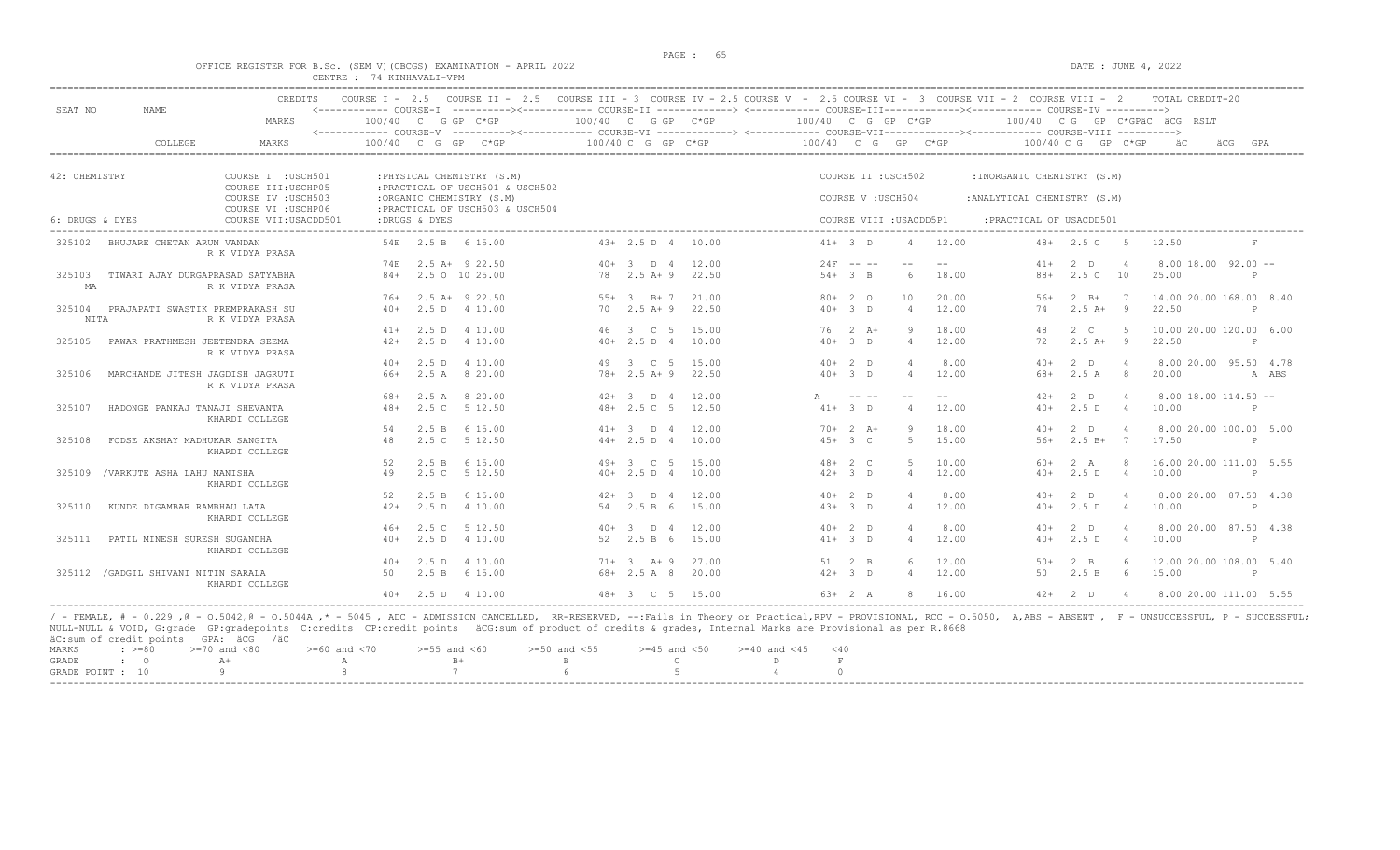### OFFICE REGISTER FOR B.Sc. (SEM V)(CBCGS) EXAMINATION - APRIL 2022 CENTRE : 74 KINHAVALI-VPM

| SEAT NO         | <b>NAME</b>                             | CREDITS                                    |       |               | COURSE I - 2.5 COURSE II - 2.5 COURSE III - 3 COURSE IV - 2.5 COURSE V - 2.5 COURSE VI - 3 COURSE VII - 2 COURSE VIII - 2<br><------------ COURSE-T ----------><----------- COURSE-TT -------------> <------------ COURSE-TTT----------><--------><--------- COURSE-TV ----------> |       |                        |                    |              |             |                         |       |                              |                      |                | TOTAL CREDIT-20              |              |       |
|-----------------|-----------------------------------------|--------------------------------------------|-------|---------------|------------------------------------------------------------------------------------------------------------------------------------------------------------------------------------------------------------------------------------------------------------------------------------|-------|------------------------|--------------------|--------------|-------------|-------------------------|-------|------------------------------|----------------------|----------------|------------------------------|--------------|-------|
|                 |                                         | MARKS                                      |       |               | $100/40$ C G GP C*GP<br><------------ COURSE-V ----------><----------- COURSE-VI -------------> <------------ COURSE-VIII------------- COURSE-VIII ---------->                                                                                                                     |       | $100/40$ C G GP $C*GP$ |                    |              |             | 100/40 C G GP C*GP      |       |                              |                      |                | 100/40 CG GP C*GPÄC ÄCG RSLT |              |       |
|                 | COLLEGE                                 | <b>MARKS</b>                               |       |               | $100/40$ C G GP C*GP                                                                                                                                                                                                                                                               |       | $100/40$ C G GP C*GP   |                    |              |             | $100/40$ C G GP C*GP    |       |                              | $100/40$ C G GP C*GP |                | äС                           | äCG<br>GPA   |       |
| 42: CHEMISTRY   |                                         | COURSE I : USCH501                         |       |               | : PHYSICAL CHEMISTRY (S.M)                                                                                                                                                                                                                                                         |       |                        |                    |              |             | COURSE II : USCH502     |       | : INORGANIC CHEMISTRY (S.M)  |                      |                |                              |              |       |
|                 |                                         | COURSE III: USCHP05<br>COURSE IV : USCH503 |       |               | : PRACTICAL OF USCH501 & USCH502<br>:ORGANIC CHEMISTRY (S.M)                                                                                                                                                                                                                       |       |                        |                    |              |             |                         |       |                              |                      |                |                              |              |       |
|                 |                                         | COURSE VI : USCHP06                        |       |               | : PRACTICAL OF USCH503 & USCH504                                                                                                                                                                                                                                                   |       |                        |                    |              |             | COURSE V: USCH504       |       | : ANALYTICAL CHEMISTRY (S.M) |                      |                |                              |              |       |
| 6: DRUGS & DYES |                                         | COURSE VII: USACDD501                      |       | :DRUGS & DYES |                                                                                                                                                                                                                                                                                    |       |                        |                    |              |             | COURSE VIII : USACDD5P1 |       | : PRACTICAL OF USACDD501     |                      |                |                              |              |       |
| 325102          | BHUJARE CHETAN ARUN VANDAN              | R K VIDYA PRASA                            |       |               | 54E 2.5 B 6 15.00                                                                                                                                                                                                                                                                  |       | $43+2.5 D 4$           | 10.00              |              | $41+ 3 D$   | $\overline{4}$          | 12.00 | $48+$                        | 2.5 C                | $-5$           | 12.50                        | $_{\rm F}$   |       |
|                 |                                         |                                            | 74 F. |               | 2.5 A+ 9 22.50                                                                                                                                                                                                                                                                     |       | $40+3$ D 4             | 12.00              |              | $24F$ -- -- | $\sim$ $-$              | $ -$  | $41 +$                       | 2 <sub>D</sub>       |                | $8.00$ 18.00 92.00 $-$       |              |       |
| 325103<br>MA    | TIWARI AJAY DURGAPRASAD SATYABHA        | R K VIDYA PRASA                            | $84+$ |               | 2.5 0 10 25.00                                                                                                                                                                                                                                                                     | 78    | $2.5$ A+ 9             | 22.50              |              | $54+3$ B    | -6                      | 18.00 | $88+$                        | $2.5^\circ$          | 10             | 25.00                        | P            |       |
|                 |                                         |                                            | 76+   |               | $2.5$ A+ $9$ 22.50                                                                                                                                                                                                                                                                 | $55+$ | $-3$ $-$ B + 7         | 21.00              |              | $80+20$     | 10                      | 20.00 | $.56+$                       | $2 \overline{B}$     | $\overline{7}$ | 14.00 20.00 168.00 8.40      |              |       |
| NITA            | 325104 PRAJAPATI SWASTIK PREMPRAKASH SU | R K VIDYA PRASA                            | $40+$ |               | 2.5 D 4 10.00                                                                                                                                                                                                                                                                      |       | $70 \t 2.5 \t A+9$     | 22.50              |              | $40+3$ D    | $\overline{4}$          | 12.00 | 74                           | $2.5 A+ 9$           |                | 22.50                        | P            |       |
|                 |                                         |                                            |       |               | $41+$ 2.5 D 4 10.00                                                                                                                                                                                                                                                                |       | 46 3 C 5               | 15.00              |              | $76$ 2 A+   | Q                       | 18.00 | 48                           | $2 \quad C$          | $-5$           | 10.00 20.00 120.00 6.00      |              |       |
| 325105          | PAWAR PRATHMESH JEETENDRA SEEMA         | R K VIDYA PRASA                            | $42+$ | 2.5D          | 4 10.00                                                                                                                                                                                                                                                                            |       | $40+2.5 D 4$           | 10.00              |              | $40+3$ D    | $\overline{4}$          | 12.00 | 72                           | $2.5 A+ 9$           |                | 22.50                        | P            |       |
|                 |                                         |                                            | $40+$ | 2.5 D         | 4 10.00                                                                                                                                                                                                                                                                            | 49    | 3 C 5                  | 15.00              |              | $40+2$ D    | $\Delta$                | 8.00  | $40+$                        | 2 <sub>0</sub>       | $\overline{4}$ | 8.00 20.00 95.50 4.78        |              |       |
| 325106          | MARCHANDE JITESH JAGDISH JAGRUTI        | R K VIDYA PRASA                            | 66+   |               | 2.5 A 8 20.00                                                                                                                                                                                                                                                                      |       | $78 + 2.5$ A + 9       | 22.50              |              | $40+3$ D    | $\overline{4}$          | 12.00 | 68+                          | 2.5A                 | - 8            | 20.00                        |              | A ABS |
|                 |                                         |                                            | 68+   |               | 2.5 A 8 20.00                                                                                                                                                                                                                                                                      |       | $42+3$ D 4             | 12.00              | $\mathbb{A}$ |             |                         | $- -$ | $42+$                        | $2$ D                |                | $8.00$ 18.00 114.50 $-$      |              |       |
| 325107          | HADONGE PANKAJ TANAJI SHEVANTA          | KHARDI COLLEGE                             | $48+$ | 2.5C          | 5 12.50                                                                                                                                                                                                                                                                            |       | $48 + 2.5$ C 5         | 12.50              |              | $41+ 3 D$   | $\overline{4}$          | 12.00 | $40+$                        | 2.5D                 | $\overline{4}$ | 10.00                        | P            |       |
|                 |                                         |                                            | 54    | 2.5 B         | 6 15.00                                                                                                                                                                                                                                                                            |       | $41+ 3$ D 4            | 12.00              |              | $70+2 A+$   | 9                       | 18.00 | $40+$                        | $2$ D                | $\overline{4}$ | 8.00 20.00 100.00 5.00       |              |       |
| 325108          | FODSE AKSHAY MADHUKAR SANGITA           | KHARDI COLLEGE                             | 48    | 2.5C          | 5 12.50                                                                                                                                                                                                                                                                            |       | $44+2.5 D 4$           | 10.00              |              | $45+3$ C    | -5                      | 15.00 | $56+$                        | $2.5 B+$             | $7\phantom{0}$ | 17.50                        | P            |       |
|                 |                                         |                                            | 52    | 2.5 B         | 6 15.00                                                                                                                                                                                                                                                                            |       | $49 + 3$ C 5           | 15.00              |              | $48 + 2 C$  | -5                      | 10.00 | $60+$                        | 2 A                  | -8             | 16.00 20.00 111.00 5.55      |              |       |
|                 | 325109 / VARKUTE ASHA LAHU MANISHA      | KHARDI COLLEGE                             | 49    |               | 2.5 C 5 12.50                                                                                                                                                                                                                                                                      |       | $40+2.5 D 4$           | 10.00              |              | $42+3$ D    | $\overline{4}$          | 12.00 | $40+$                        | 2.5D                 | $\overline{4}$ | 10.00                        | P            |       |
|                 |                                         |                                            | 52    |               | 2.5 B 6 15.00                                                                                                                                                                                                                                                                      |       | $42+3$ D 4             | 12.00              |              | $40+2$ D    | $\overline{4}$          | 8.00  | $40+$                        | 2 <sub>D</sub>       | $\Delta$       | 8.00 20.00 87.50 4.38        |              |       |
| 325110          | KUNDE DIGAMBAR RAMBHAU LATA             | KHARDI COLLEGE                             | $42+$ |               | 2.5 D 4 10.00                                                                                                                                                                                                                                                                      | 54    | 2.5 B 6                | 15.00              |              | $43+3$ D    | $\overline{4}$          | 12.00 | $40+$                        | 2.5D                 | $\overline{4}$ | 10.00                        | P            |       |
|                 |                                         |                                            | $46+$ | 2.5C          | 5 12.50                                                                                                                                                                                                                                                                            | $40+$ | D 4<br>$\mathcal{R}$   | 12.00              |              | $40+2$ D    | $\overline{4}$          | 8.00  | $40+$                        | 2 <sub>0</sub>       | $\overline{4}$ | 8.00 20.00 87.50 4.38        |              |       |
| 325111          | PATIL MINESH SURESH SUGANDHA            | KHARDI COLLEGE                             | $40+$ |               | 2.5 D 4 10.00                                                                                                                                                                                                                                                                      |       | 52 2.5 B 6             | 15.00              |              | $41+ 3 D$   | $\overline{4}$          | 12.00 | $40+$                        | 2.5D                 | $\overline{4}$ | 10.00                        | P            |       |
|                 |                                         |                                            | $40+$ | 2.5 D         | 4 10.00                                                                                                                                                                                                                                                                            |       | $71+ 3  A+ 9$          | 27.00              |              | 51 2 B      | $\kappa$                | 12.00 | $50+$                        | $2 \quad B$          | 6              | 12.00 20.00 108.00 5.40      |              |       |
| 325112          | /GADGIL SHIVANI NITIN SARALA            | KHARDI COLLEGE                             | 50    |               | 2.5 B 6 15.00                                                                                                                                                                                                                                                                      |       | $68 + 2.5$ A 8         | 20.00              |              | $42+3$ D    | $\overline{4}$          | 12.00 | 50                           | 2.5 B                | 6              | 15.00                        | $\mathbb{P}$ |       |
|                 |                                         |                                            |       |               | $40+$ 2.5 D 4 10.00                                                                                                                                                                                                                                                                |       |                        | $48 + 3$ C 5 15.00 |              | $63+2A$     | -8                      | 16.00 |                              | $42+2$ D             | $\overline{a}$ | 8.00 20.00 111.00 5.55       |              |       |

/ - FEMALE, # - 0.229 ,@ - 0.5042,@ - 0.5044A ,\* - 5045 , ADC - ADMISSION CANCELLED, RR-RESERVED, --:Fails in Theory or Practical,RPV - PROVISIONAL, RCC - 0.5050, A,ABS - ABSENT , F - UNSUCCESSFUL, P - SUCCESSFUL;<br>NULL-NUL MARKS :  $>= 80$   $>= 70$  and  $< 80$   $>= 60$  and  $< 70$   $>= 55$  and  $< 60$   $>= 50$  and  $< 55$   $>= 45$  and  $< 50$   $>= 40$  and  $< 45$   $< 40$ 

| GRADE         |  |  |  |  |
|---------------|--|--|--|--|
| GRADE POINT · |  |  |  |  |
| -----         |  |  |  |  |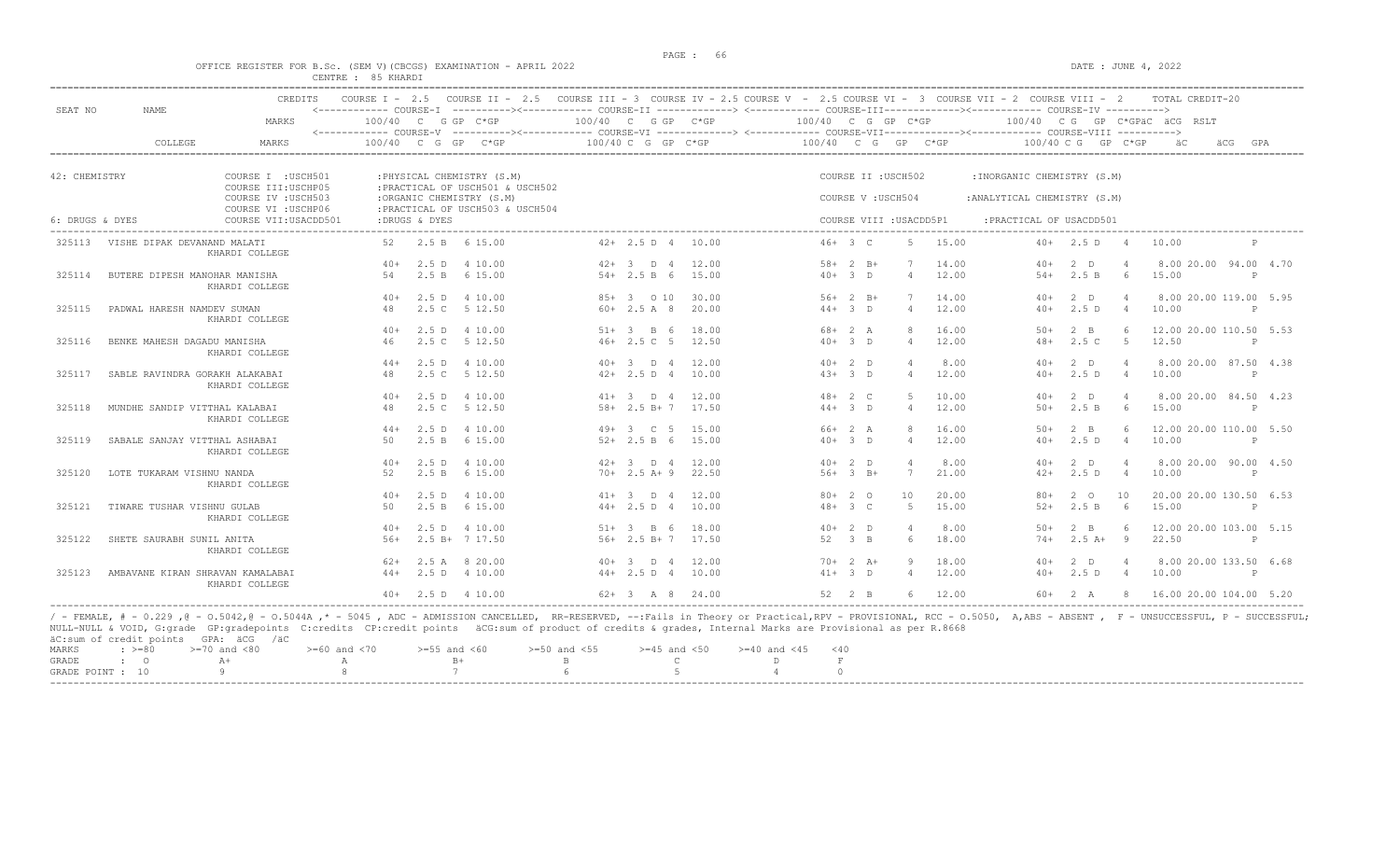$DATA: JUNE 4, 2022$ 

|  |  |  |                    | OFFICE REGISTER FOR B.SC. (SEM V)(CBCGS) EXAMINATION - APRIL 2022 |  |  |
|--|--|--|--------------------|-------------------------------------------------------------------|--|--|
|  |  |  | CENTRE : 85 KHARDI |                                                                   |  |  |

|                 |                                                                                   | <b>CREDITS</b>                               | COURSE $T = 2.5$       |               | COURSE II - 2.5 COURSE III - 3 COURSE IV - 2.5 COURSE V - 2.5 COURSE VI - 3 COURSE VII - 2 COURSE VIII - 2                                                                    |        |                    |                |                    |              |                         |       |                              |                      |                | TOTAL CREDIT-20                |              |     |
|-----------------|-----------------------------------------------------------------------------------|----------------------------------------------|------------------------|---------------|-------------------------------------------------------------------------------------------------------------------------------------------------------------------------------|--------|--------------------|----------------|--------------------|--------------|-------------------------|-------|------------------------------|----------------------|----------------|--------------------------------|--------------|-----|
| SEAT NO         | NAME                                                                              | MARKS                                        |                        |               | <------------ COURSE-T ----------><----------- COURSE-TT -------------> <------------ COURSE-TTT----------><--------><--------- COURSE-TV ----------><br>$100/40$ C G GP C*GP |        | 100/40 C G GP C*GP |                | 100/40 C G GP C*GP |              |                         |       |                              |                      |                | 100/40 CG GP C*GPäC äCG RSLT   |              |     |
|                 |                                                                                   |                                              | <------------ COURSE-V |               | ----------><------------- COURSE-VI ------------> <------------ COURSE-VII-----------><---------- COURSE-VIII ---------->                                                     |        |                    |                |                    |              |                         |       |                              |                      |                |                                |              |     |
|                 | COLLEGE                                                                           | MARKS                                        | 100/40 C               | G             | GP<br>$C*GP$                                                                                                                                                                  |        | 100/40 C G GP C*GP |                | 100/40 C G GP C*GP |              |                         |       |                              | $100/40$ C G GP C*GP |                | äCG                            |              | GPA |
|                 |                                                                                   |                                              |                        |               |                                                                                                                                                                               |        |                    |                |                    |              |                         |       |                              |                      |                |                                |              |     |
|                 | 42: CHEMISTRY<br>COURSE I : USCH501<br>COURSE III: USCHP05<br>COURSE IV : USCH503 |                                              |                        |               | : PHYSICAL CHEMISTRY (S.M)<br>: PRACTICAL OF USCH501 & USCH502                                                                                                                |        |                    |                |                    |              | COURSE II : USCH502     |       | : INORGANIC CHEMISTRY (S.M)  |                      |                |                                |              |     |
|                 |                                                                                   |                                              |                        |               | :ORGANIC CHEMISTRY (S.M)<br>: PRACTICAL OF USCH503 & USCH504                                                                                                                  |        |                    |                |                    |              | COURSE V : USCH504      |       | : ANALYTICAL CHEMISTRY (S.M) |                      |                |                                |              |     |
| 6: DRUGS & DYES |                                                                                   | COURSE VI : USCHP06<br>COURSE VII: USACDD501 |                        | :DRUGS & DYES |                                                                                                                                                                               |        |                    |                |                    |              | COURSE VIII : USACDD5P1 |       | : PRACTICAL OF USACDD501     |                      |                |                                |              |     |
| 325113          | VISHE DIPAK DEVANAND MALATI                                                       |                                              | 52                     |               | 2.5 B 6 15.00                                                                                                                                                                 |        | $42+2.5 D 4$       | 10.00          | $46+3$ C           |              | 5                       | 15.00 | $40+$                        | 2.5 D                | - 4            | 10.00                          |              |     |
|                 |                                                                                   | KHARDI COLLEGE                               |                        |               |                                                                                                                                                                               |        |                    |                |                    |              |                         |       |                              |                      |                |                                |              |     |
|                 |                                                                                   |                                              | $40+$                  |               | 2.5 D 4 10.00                                                                                                                                                                 |        | $42+3$ D 4         | 12.00          |                    | $58 + 2 B +$ |                         | 14.00 | $40+$                        | $2$ D                |                | 8.00 20.00 94.00 4.70          |              |     |
| 325114          | BUTERE DIPESH MANOHAR MANISHA                                                     | KHARDI COLLEGE                               | .54                    | 2.5 B         | 6 15.00                                                                                                                                                                       |        | $54 + 2.5 B 6$     | 15.00          | $40+$              | $\beta$ D    | $\overline{4}$          | 12.00 | $54+$                        | 2.5 B                | 6              | 15.00                          | P            |     |
|                 |                                                                                   |                                              | $40+$                  | 2.5 D         | 4 10.00                                                                                                                                                                       |        | 85+ 3 0 10         | 30.00          |                    | $56+2$ B+    |                         | 14.00 | $40+$                        | $2$ D                | $\overline{4}$ | 8.00 20.00 119.00 5.95         |              |     |
| 325115          | PADWAL HARESH NAMDEV SUMAN                                                        | KHARDI COLLEGE                               | 48                     |               | 2.5 C 5 12.50                                                                                                                                                                 |        | $60+2.5A8$         | 20.00          |                    | $44+3$ D     | $\overline{4}$          | 12.00 | $40+$                        | 2.5D                 | $\overline{4}$ | 10.00                          | P            |     |
|                 |                                                                                   |                                              | $40+$                  |               | 2.5 D 4 10.00                                                                                                                                                                 |        | $51+ 3 B 6$        | 18.00          |                    | $68 + 2 A$   | R                       | 16.00 | $50+$                        | $2 \quad B$          | -6             | 12.00 20.00 110.50 5.53        |              |     |
| 325116          | BENKE MAHESH DAGADU MANISHA                                                       |                                              | 46                     | 2.5C          | 5 12.50                                                                                                                                                                       |        | $46+2.5C$ 5        | 12.50          |                    | $40+3$ D     | $\overline{4}$          | 12.00 | $48+$                        | 2.5C                 | 5              | 12.50                          | $\mathbb{P}$ |     |
|                 |                                                                                   | KHARDI COLLEGE                               |                        | 2.5D          | 4 10.00                                                                                                                                                                       |        | $40+3$ D 4         |                | $40+2$ D           |              | $\overline{4}$          | 8.00  | $40+$                        |                      | $\overline{4}$ |                                |              |     |
| 325117          | SABLE RAVINDRA GORAKH ALAKABAI                                                    |                                              | $44+$<br>48            |               | 2.5 C 5 12.50                                                                                                                                                                 |        | $42+2.5 D 4$       | 12.00<br>10.00 |                    | $43+3$ D     | $\overline{4}$          | 12.00 | $40+$                        | 2 D<br>2.5D          | $\overline{4}$ | 8.00 20.00 87.50 4.38<br>10.00 | P            |     |
|                 |                                                                                   | KHARDI COLLEGE                               |                        |               |                                                                                                                                                                               |        |                    |                |                    |              |                         |       |                              |                      |                |                                |              |     |
|                 |                                                                                   |                                              | $40+$                  |               | 2.5 D 4 10.00                                                                                                                                                                 |        | $41+ 3$ D 4        | 12.00          | $48 + 2 C$         |              | $5^{\circ}$             | 10.00 | $40+$                        | $2$ D                | $\overline{4}$ | 8.00 20.00 84.50 4.23          |              |     |
| 325118          | MUNDHE SANDIP VITTHAL KALABAI                                                     | KHARDI COLLEGE                               | 48                     | 2.5C          | 5 12.50                                                                                                                                                                       |        | $58 + 2.5 B + 7$   | 17.50          |                    | $44+3$ D     | $\overline{4}$          | 12.00 | $50+$                        | 2.5 B                | 6              | 15.00                          | P            |     |
|                 |                                                                                   |                                              | $44+$                  | 2.5D          | 4 10.00                                                                                                                                                                       |        | $49+3$ C 5         | 15.00          | $66+2 A$           |              | 8                       | 16.00 | $50+$                        | $2 \quad B$          | -6             | 12.00 20.00 110.00 5.50        |              |     |
| 325119          | SABALE SANJAY VITTHAL ASHABAI                                                     | KHARDI COLLEGE                               | 50                     |               | 2.5 B 6 15.00                                                                                                                                                                 |        | $52+2.5 B 6$       | 15.00          |                    | $40+3$ D     | $\overline{4}$          | 12.00 | $40+$                        | 2.5D                 | $\overline{4}$ | 10.00                          | $\mathsf{P}$ |     |
|                 |                                                                                   |                                              | $40+$                  | 2.5 D         | 4 10.00                                                                                                                                                                       |        | $42+3$ D 4         | 12.00          | $40+2$ D           |              |                         | 8.00  | $40+$                        | 2 D                  |                | 8.00 20.00 90.00 4.50          |              |     |
| 325120          | LOTE TUKARAM VISHNU NANDA                                                         | KHARDI COLLEGE                               | 52                     | 2.5 B         | 6 15.00                                                                                                                                                                       |        | $70+2.5 A+9$       | 22.50          |                    | $56+3$ B+    | $7\phantom{.0}$         | 21.00 | $42+$                        | 2.5D                 | $\overline{4}$ | 10.00                          | $\mathsf{P}$ |     |
|                 |                                                                                   |                                              | $40+$                  |               | 2.5 D 4 10.00                                                                                                                                                                 |        | $41+ 3$ D 4        | 12.00          |                    | $80+20$      | 10                      | 20.00 | $80+$                        | $2^{\circ}$          | 10             | 20.00 20.00 130.50 6.53        |              |     |
| 325121          | TIWARE TUSHAR VISHNU GULAB                                                        | KHARDI COLLEGE                               | 50                     |               | 2.5 B 6 15.00                                                                                                                                                                 |        | $44+2.5 D 4$       | 10.00          |                    | $48 + 3 C$   | -5                      | 15.00 | $52+$                        | 2.5 B                | - 6            | 15.00                          | P            |     |
|                 |                                                                                   |                                              | $40+$                  |               | 2.5 D 4 10.00                                                                                                                                                                 |        | $51+ 3  B 6$       | 18.00          |                    | $40+2$ D     |                         | 8.00  | $50+$                        | $2 \quad B$          |                | 12.00 20.00 103.00 5.15        |              |     |
| 325122          | SHETE SAURABH SUNIL ANITA                                                         |                                              | $56+$                  |               | $2.5 B+ 7 17.50$                                                                                                                                                              |        | $56+2.5 B+7$       | 17.50          | 52                 | $3 \quad B$  |                         | 18.00 | $74+$                        | $2.5A+$              | 9              | 22.50                          | P            |     |
|                 |                                                                                   | KHARDI COLLEGE                               | $62+$                  | 2.5A          | 8 20.00                                                                                                                                                                       | $40+3$ | D 4                | 12.00          |                    | $70+2 A+$    |                         | 18.00 | $40+$                        | $2$ D                | $\overline{4}$ | 8.00 20.00 133.50 6.68         |              |     |
| 325123          | AMBAVANE KIRAN SHRAVAN KAMALABAI                                                  |                                              | $44+$                  |               | 2.5 D 4 10.00                                                                                                                                                                 |        | $44+2.5 D 4$       | 10.00          | $41+ 3 D$          |              | $\overline{4}$          | 12.00 | $40+$                        | 2.5D                 | 4              | 10.00                          | $\mathbb{P}$ |     |
|                 |                                                                                   | KHARDI COLLEGE                               |                        |               | $40+$ 2.5 D 4 10.00                                                                                                                                                           |        | $62+3$ A 8 24.00   |                | $52 \t 2 \t B$     |              | $6^{\circ}$             | 12.00 |                              | $60 + 2 A$           | -8             | 16.00 20.00 104.00 5.20        |              |     |

/ - FEMALE, # - 0.229 ,@ - 0.5042,@ - 0.5044A ,\* - 5045 , ADC - ADMISSION CANCELLED, RR-RESERVED, --:Fails in Theory or Practical,RPV - PROVISIONAL, RCC - 0.5050, A,ABS - ABSENT , F - UNSUCCESSFUL, P - SUCCESSFUL;<br>NULL-NUL MARKS :  $>= 80$   $>= 70$  and  $< 80$   $>= 60$  and  $< 70$   $>= 55$  and  $< 60$   $>= 50$  and  $< 55$   $>= 45$  and  $< 50$   $>= 40$  and  $< 45$   $< 40$ 

| GRADE            |  |  |  |  |
|------------------|--|--|--|--|
| GRADE POINT : 10 |  |  |  |  |
| -----            |  |  |  |  |